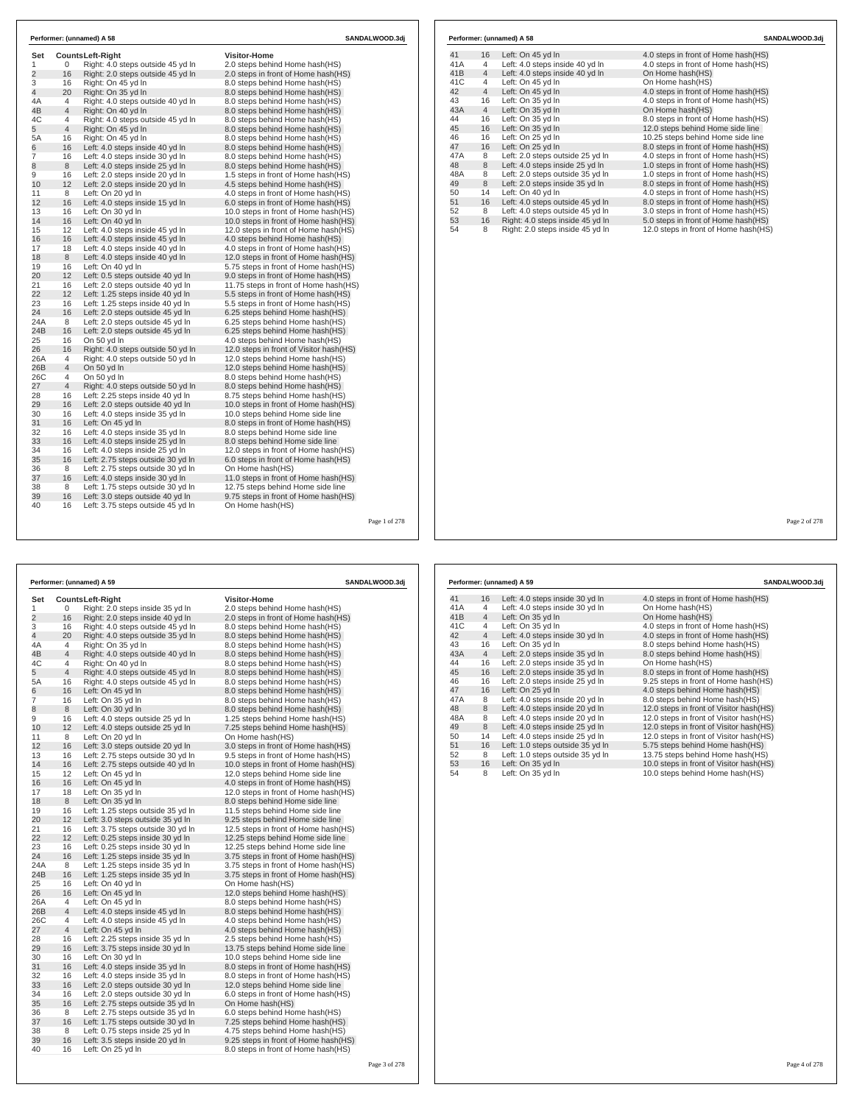| Set            |                | <b>CountsLeft-Right</b>           | <b>Visitor-Home</b>                      |
|----------------|----------------|-----------------------------------|------------------------------------------|
| 1              | 0              | Right: 4.0 steps outside 45 yd In | 2.0 steps behind Home hash(HS)           |
| $\overline{2}$ | 16             | Right: 2.0 steps outside 45 yd In | 2.0 steps in front of Home hash(HS)      |
| 3              | 16             | Right: On 45 vd In                | 8.0 steps behind Home hash (HS)          |
| $\overline{4}$ | 20             | Right: On 35 yd In                | 8.0 steps behind Home hash (HS)          |
| 4A             | $\overline{4}$ | Right: 4.0 steps outside 40 yd In | 8.0 steps behind Home hash (HS)          |
| 4B             | 4              | Right: On 40 yd In                | 8.0 steps behind Home hash (HS)          |
| 4C             | 4              | Right: 4.0 steps outside 45 yd In | 8.0 steps behind Home hash(HS)           |
| 5              | $\overline{4}$ | Right: On 45 yd In                | 8.0 steps behind Home hash (HS)          |
| 5A             | 16             | Right: On 45 yd In                | 8.0 steps behind Home hash(HS)           |
| 6              | 16             | Left: 4.0 steps inside 40 yd In   | 8.0 steps behind Home hash(HS)           |
| 7              | 16             | Left: 4.0 steps inside 30 yd In   | 8.0 steps behind Home hash(HS)           |
| 8              | 8              | Left: 4.0 steps inside 25 yd In   | 8.0 steps behind Home hash(HS)           |
| 9              | 16             | Left: 2.0 steps inside 20 yd In   | 1.5 steps in front of Home hash (HS)     |
| 10             | 12             | Left: 2.0 steps inside 20 yd In   | 4.5 steps behind Home hash (HS)          |
| 11             | 8              | Left: On 20 yd In                 | 4.0 steps in front of Home hash (HS)     |
| 12             | 16             | Left: 4.0 steps inside 15 yd In   | 6.0 steps in front of Home hash(HS)      |
| 13             | 16             | Left: On 30 yd In                 | 10.0 steps in front of Home hash(HS)     |
| 14             | 16             | Left: On 40 yd In                 | 10.0 steps in front of Home hash(HS)     |
| 15             | 12             | Left: 4.0 steps inside 45 yd In   | 12.0 steps in front of Home hash(HS)     |
| 16             | 16             | Left: 4.0 steps inside 45 yd In   | 4.0 steps behind Home hash (HS)          |
| 17             | 18             | Left: 4.0 steps inside 40 yd In   | 4.0 steps in front of Home hash (HS)     |
| 18             | 8              | Left: 4.0 steps inside 40 yd In   | 12.0 steps in front of Home hash(HS)     |
| 19             | 16             | Left: On 40 vd In                 | 5.75 steps in front of Home hash(HS)     |
| 20             | 12             | Left: 0.5 steps outside 40 yd In  | 9.0 steps in front of Home hash (HS)     |
| 21             | 16             | Left: 2.0 steps outside 40 yd In  | 11.75 steps in front of Home hash(HS)    |
| 22             | 12             | Left: 1.25 steps inside 40 yd In  | 5.5 steps in front of Home hash (HS)     |
| 23             | 16             | Left: 1.25 steps inside 40 yd In  | 5.5 steps in front of Home hash(HS)      |
| 24             | 16             | Left: 2.0 steps outside 45 yd In  | 6.25 steps behind Home hash (HS)         |
| 24A            | 8              | Left: 2.0 steps outside 45 yd In  | 6.25 steps behind Home hash (HS)         |
| 24B            | 16             | Left: 2.0 steps outside 45 yd In  | 6.25 steps behind Home hash (HS)         |
| 25             | 16             | On 50 yd In                       | 4.0 steps behind Home hash(HS)           |
| 26             | 16             | Right: 4.0 steps outside 50 yd In | 12.0 steps in front of Visitor hash (HS) |
| 26A            | 4              | Right: 4.0 steps outside 50 yd In | 12.0 steps behind Home hash(HS)          |
| 26B            | $\overline{4}$ | On 50 yd In                       | 12.0 steps behind Home hash(HS)          |
| 26C            | 4              | On 50 vd In                       | 8.0 steps behind Home hash(HS)           |
| 27             | $\overline{4}$ | Right: 4.0 steps outside 50 yd In | 8.0 steps behind Home hash(HS)           |
| 28             | 16             | Left: 2.25 steps inside 40 yd In  | 8.75 steps behind Home hash(HS)          |
| 29             | 16             | Left: 2.0 steps outside 40 yd In  | 10.0 steps in front of Home hash(HS)     |
| 30             | 16             | Left: 4.0 steps inside 35 yd In   | 10.0 steps behind Home side line         |
| 31             | 16             | Left: On 45 yd In                 | 8.0 steps in front of Home hash(HS)      |
| 32             | 16             | Left: 4.0 steps inside 35 yd In   | 8.0 steps behind Home side line          |
| 33             | 16             | Left: 4.0 steps inside 25 yd In   | 8.0 steps behind Home side line          |
| 34             | 16             | Left: 4.0 steps inside 25 yd In   | 12.0 steps in front of Home hash(HS)     |
| 35             | 16             | Left: 2.75 steps outside 30 yd In | 6.0 steps in front of Home hash(HS)      |
| 36             | 8              | Left: 2.75 steps outside 30 yd In | On Home hash(HS)                         |
| 37             | 16             | Left: 4.0 steps inside 30 yd In   | 11.0 steps in front of Home hash(HS)     |
| 38             | 8              | Left: 1.75 steps outside 30 vd In | 12.75 steps behind Home side line        |
| 39             | 16             | Left: 3.0 steps outside 40 yd In  | 9.75 steps in front of Home hash(HS)     |
| 40             | 16             | Left: 3.75 steps outside 45 yd In | On Home hash(HS)                         |

| Set<br><b>CountsLeft-Right</b><br><b>Visitor-Home</b><br>1<br>Right: 2.0 steps inside 35 yd In<br>2.0 steps behind Home hash(HS)<br>0<br>16<br>Right: 2.0 steps inside 40 yd In<br>2.0 steps in front of Home hash (HS)<br>3<br>16<br>Right: 4.0 steps outside 45 yd In<br>8.0 steps behind Home hash (HS)<br>4<br>20<br>Right: 4.0 steps outside 35 yd In<br>8.0 steps behind Home hash(HS)<br>Right: On 35 yd In<br>4A<br>4<br>8.0 steps behind Home hash(HS)<br>4<br>4B<br>Right: 4.0 steps outside 40 yd In<br>8.0 steps behind Home hash(HS)<br>4C<br>4<br>Right: On 40 yd In<br>8.0 steps behind Home hash (HS)<br>5<br>4<br>Right: 4.0 steps outside 45 yd In<br>8.0 steps behind Home hash(HS)<br>5A<br>16<br>Right: 4.0 steps outside 45 yd In<br>8.0 steps behind Home hash(HS)<br>6<br>16<br>Left: On 45 yd In<br>8.0 steps behind Home hash(HS)<br>7<br>16<br>Left: On 35 yd In<br>8.0 steps behind Home hash(HS)<br>8<br>Left: On 30 yd In<br>8.0 steps behind Home hash(HS)<br>9<br>16<br>Left: 4.0 steps outside 25 yd In<br>1.25 steps behind Home hash(HS)<br>12<br>10<br>Left: 4.0 steps outside 25 yd In<br>7.25 steps behind Home hash(HS)<br>8<br>11<br>Left: On 20 yd In<br>On Home hash(HS)<br>12<br>16<br>3.0 steps in front of Home hash(HS)<br>Left: 3.0 steps outside 20 yd In<br>13<br>16<br>Left: 2.75 steps outside 30 yd In<br>9.5 steps in front of Home hash (HS)<br>16<br>14<br>Left: 2.75 steps outside 40 yd In<br>10.0 steps in front of Home hash(HS)<br>15<br>12<br>Left: On 45 yd In<br>12.0 steps behind Home side line<br>16<br>16<br>Left: On 45 yd In<br>4.0 steps in front of Home hash (HS)<br>17<br>18<br>Left: On 35 yd In<br>12.0 steps in front of Home hash (HS)<br>18<br>8<br>Left: On 35 yd In<br>8.0 steps behind Home side line<br>19<br>16<br>Left: 1.25 steps outside 35 yd In<br>11.5 steps behind Home side line<br>12<br>20<br>Left: 3.0 steps outside 35 yd In<br>9.25 steps behind Home side line<br>16<br>Left: 3.75 steps outside 30 yd In<br>21<br>12.5 steps in front of Home hash(HS)<br>12<br>22<br>Left: 0.25 steps inside 30 yd In<br>12.25 steps behind Home side line<br>23<br>16<br>Left: 0.25 steps inside 30 yd In<br>12.25 steps behind Home side line<br>24<br>16<br>Left: 1.25 steps inside 35 yd In<br>3.75 steps in front of Home hash(HS)<br>24A<br>8<br>Left: 1.25 steps inside 35 yd In<br>3.75 steps in front of Home hash (HS)<br>24B<br>16<br>Left: 1.25 steps inside 35 yd In<br>3.75 steps in front of Home hash(HS)<br>16<br>25<br>Left: On 40 yd In<br>On Home hash(HS)<br>26<br>16<br>Left: On 45 yd In<br>12.0 steps behind Home hash(HS)<br>26A<br>4<br>Left: On 45 yd In<br>8.0 steps behind Home hash (HS)<br>4<br>26B<br>Left: 4.0 steps inside 45 yd In<br>8.0 steps behind Home hash(HS)<br>26C<br>4<br>Left: 4.0 steps inside 45 yd In<br>4.0 steps behind Home hash(HS)<br>4<br>27<br>Left: On 45 yd In<br>4.0 steps behind Home hash(HS)<br>28<br>16<br>Left: 2.25 steps inside 35 yd In<br>2.5 steps behind Home hash(HS)<br>29<br>16<br>Left: 3.75 steps inside 30 yd In<br>13.75 steps behind Home side line<br>16<br>Left: On 30 yd In<br>30<br>10.0 steps behind Home side line<br>16<br>31<br>Left: 4.0 steps inside 35 yd In<br>8.0 steps in front of Home hash(HS)<br>32<br>16<br>Left: 4.0 steps inside 35 yd In<br>8.0 steps in front of Home hash(HS)<br>33<br>16<br>Left: 2.0 steps outside 30 yd In<br>12.0 steps behind Home side line<br>34<br>16<br>6.0 steps in front of Home hash (HS)<br>Left: 2.0 steps outside 30 yd In<br>16<br>35<br>Left: 2.75 steps outside 35 yd In<br>On Home hash(HS)<br>36<br>8<br>Left: 2.75 steps outside 35 yd In<br>6.0 steps behind Home hash(HS) |                | Performer: (unnamed) A 59 | <b>SANDALWOOD.3dj</b> |
|----------------------------------------------------------------------------------------------------------------------------------------------------------------------------------------------------------------------------------------------------------------------------------------------------------------------------------------------------------------------------------------------------------------------------------------------------------------------------------------------------------------------------------------------------------------------------------------------------------------------------------------------------------------------------------------------------------------------------------------------------------------------------------------------------------------------------------------------------------------------------------------------------------------------------------------------------------------------------------------------------------------------------------------------------------------------------------------------------------------------------------------------------------------------------------------------------------------------------------------------------------------------------------------------------------------------------------------------------------------------------------------------------------------------------------------------------------------------------------------------------------------------------------------------------------------------------------------------------------------------------------------------------------------------------------------------------------------------------------------------------------------------------------------------------------------------------------------------------------------------------------------------------------------------------------------------------------------------------------------------------------------------------------------------------------------------------------------------------------------------------------------------------------------------------------------------------------------------------------------------------------------------------------------------------------------------------------------------------------------------------------------------------------------------------------------------------------------------------------------------------------------------------------------------------------------------------------------------------------------------------------------------------------------------------------------------------------------------------------------------------------------------------------------------------------------------------------------------------------------------------------------------------------------------------------------------------------------------------------------------------------------------------------------------------------------------------------------------------------------------------------------------------------------------------------------------------------------------------------------------------------------------------------------------------------------------------------------------------------------------------------------------------------------------------------------------------------------------------------------------------------------------------------------------------------------------------------------------------------------------------------------------------------------------------------------------------------|----------------|---------------------------|-----------------------|
|                                                                                                                                                                                                                                                                                                                                                                                                                                                                                                                                                                                                                                                                                                                                                                                                                                                                                                                                                                                                                                                                                                                                                                                                                                                                                                                                                                                                                                                                                                                                                                                                                                                                                                                                                                                                                                                                                                                                                                                                                                                                                                                                                                                                                                                                                                                                                                                                                                                                                                                                                                                                                                                                                                                                                                                                                                                                                                                                                                                                                                                                                                                                                                                                                                                                                                                                                                                                                                                                                                                                                                                                                                                                                                          |                |                           |                       |
|                                                                                                                                                                                                                                                                                                                                                                                                                                                                                                                                                                                                                                                                                                                                                                                                                                                                                                                                                                                                                                                                                                                                                                                                                                                                                                                                                                                                                                                                                                                                                                                                                                                                                                                                                                                                                                                                                                                                                                                                                                                                                                                                                                                                                                                                                                                                                                                                                                                                                                                                                                                                                                                                                                                                                                                                                                                                                                                                                                                                                                                                                                                                                                                                                                                                                                                                                                                                                                                                                                                                                                                                                                                                                                          |                |                           |                       |
|                                                                                                                                                                                                                                                                                                                                                                                                                                                                                                                                                                                                                                                                                                                                                                                                                                                                                                                                                                                                                                                                                                                                                                                                                                                                                                                                                                                                                                                                                                                                                                                                                                                                                                                                                                                                                                                                                                                                                                                                                                                                                                                                                                                                                                                                                                                                                                                                                                                                                                                                                                                                                                                                                                                                                                                                                                                                                                                                                                                                                                                                                                                                                                                                                                                                                                                                                                                                                                                                                                                                                                                                                                                                                                          | $\overline{2}$ |                           |                       |
|                                                                                                                                                                                                                                                                                                                                                                                                                                                                                                                                                                                                                                                                                                                                                                                                                                                                                                                                                                                                                                                                                                                                                                                                                                                                                                                                                                                                                                                                                                                                                                                                                                                                                                                                                                                                                                                                                                                                                                                                                                                                                                                                                                                                                                                                                                                                                                                                                                                                                                                                                                                                                                                                                                                                                                                                                                                                                                                                                                                                                                                                                                                                                                                                                                                                                                                                                                                                                                                                                                                                                                                                                                                                                                          |                |                           |                       |
|                                                                                                                                                                                                                                                                                                                                                                                                                                                                                                                                                                                                                                                                                                                                                                                                                                                                                                                                                                                                                                                                                                                                                                                                                                                                                                                                                                                                                                                                                                                                                                                                                                                                                                                                                                                                                                                                                                                                                                                                                                                                                                                                                                                                                                                                                                                                                                                                                                                                                                                                                                                                                                                                                                                                                                                                                                                                                                                                                                                                                                                                                                                                                                                                                                                                                                                                                                                                                                                                                                                                                                                                                                                                                                          |                |                           |                       |
|                                                                                                                                                                                                                                                                                                                                                                                                                                                                                                                                                                                                                                                                                                                                                                                                                                                                                                                                                                                                                                                                                                                                                                                                                                                                                                                                                                                                                                                                                                                                                                                                                                                                                                                                                                                                                                                                                                                                                                                                                                                                                                                                                                                                                                                                                                                                                                                                                                                                                                                                                                                                                                                                                                                                                                                                                                                                                                                                                                                                                                                                                                                                                                                                                                                                                                                                                                                                                                                                                                                                                                                                                                                                                                          |                |                           |                       |
|                                                                                                                                                                                                                                                                                                                                                                                                                                                                                                                                                                                                                                                                                                                                                                                                                                                                                                                                                                                                                                                                                                                                                                                                                                                                                                                                                                                                                                                                                                                                                                                                                                                                                                                                                                                                                                                                                                                                                                                                                                                                                                                                                                                                                                                                                                                                                                                                                                                                                                                                                                                                                                                                                                                                                                                                                                                                                                                                                                                                                                                                                                                                                                                                                                                                                                                                                                                                                                                                                                                                                                                                                                                                                                          |                |                           |                       |
|                                                                                                                                                                                                                                                                                                                                                                                                                                                                                                                                                                                                                                                                                                                                                                                                                                                                                                                                                                                                                                                                                                                                                                                                                                                                                                                                                                                                                                                                                                                                                                                                                                                                                                                                                                                                                                                                                                                                                                                                                                                                                                                                                                                                                                                                                                                                                                                                                                                                                                                                                                                                                                                                                                                                                                                                                                                                                                                                                                                                                                                                                                                                                                                                                                                                                                                                                                                                                                                                                                                                                                                                                                                                                                          |                |                           |                       |
|                                                                                                                                                                                                                                                                                                                                                                                                                                                                                                                                                                                                                                                                                                                                                                                                                                                                                                                                                                                                                                                                                                                                                                                                                                                                                                                                                                                                                                                                                                                                                                                                                                                                                                                                                                                                                                                                                                                                                                                                                                                                                                                                                                                                                                                                                                                                                                                                                                                                                                                                                                                                                                                                                                                                                                                                                                                                                                                                                                                                                                                                                                                                                                                                                                                                                                                                                                                                                                                                                                                                                                                                                                                                                                          |                |                           |                       |
|                                                                                                                                                                                                                                                                                                                                                                                                                                                                                                                                                                                                                                                                                                                                                                                                                                                                                                                                                                                                                                                                                                                                                                                                                                                                                                                                                                                                                                                                                                                                                                                                                                                                                                                                                                                                                                                                                                                                                                                                                                                                                                                                                                                                                                                                                                                                                                                                                                                                                                                                                                                                                                                                                                                                                                                                                                                                                                                                                                                                                                                                                                                                                                                                                                                                                                                                                                                                                                                                                                                                                                                                                                                                                                          |                |                           |                       |
|                                                                                                                                                                                                                                                                                                                                                                                                                                                                                                                                                                                                                                                                                                                                                                                                                                                                                                                                                                                                                                                                                                                                                                                                                                                                                                                                                                                                                                                                                                                                                                                                                                                                                                                                                                                                                                                                                                                                                                                                                                                                                                                                                                                                                                                                                                                                                                                                                                                                                                                                                                                                                                                                                                                                                                                                                                                                                                                                                                                                                                                                                                                                                                                                                                                                                                                                                                                                                                                                                                                                                                                                                                                                                                          |                |                           |                       |
|                                                                                                                                                                                                                                                                                                                                                                                                                                                                                                                                                                                                                                                                                                                                                                                                                                                                                                                                                                                                                                                                                                                                                                                                                                                                                                                                                                                                                                                                                                                                                                                                                                                                                                                                                                                                                                                                                                                                                                                                                                                                                                                                                                                                                                                                                                                                                                                                                                                                                                                                                                                                                                                                                                                                                                                                                                                                                                                                                                                                                                                                                                                                                                                                                                                                                                                                                                                                                                                                                                                                                                                                                                                                                                          |                |                           |                       |
|                                                                                                                                                                                                                                                                                                                                                                                                                                                                                                                                                                                                                                                                                                                                                                                                                                                                                                                                                                                                                                                                                                                                                                                                                                                                                                                                                                                                                                                                                                                                                                                                                                                                                                                                                                                                                                                                                                                                                                                                                                                                                                                                                                                                                                                                                                                                                                                                                                                                                                                                                                                                                                                                                                                                                                                                                                                                                                                                                                                                                                                                                                                                                                                                                                                                                                                                                                                                                                                                                                                                                                                                                                                                                                          | 8              |                           |                       |
|                                                                                                                                                                                                                                                                                                                                                                                                                                                                                                                                                                                                                                                                                                                                                                                                                                                                                                                                                                                                                                                                                                                                                                                                                                                                                                                                                                                                                                                                                                                                                                                                                                                                                                                                                                                                                                                                                                                                                                                                                                                                                                                                                                                                                                                                                                                                                                                                                                                                                                                                                                                                                                                                                                                                                                                                                                                                                                                                                                                                                                                                                                                                                                                                                                                                                                                                                                                                                                                                                                                                                                                                                                                                                                          |                |                           |                       |
|                                                                                                                                                                                                                                                                                                                                                                                                                                                                                                                                                                                                                                                                                                                                                                                                                                                                                                                                                                                                                                                                                                                                                                                                                                                                                                                                                                                                                                                                                                                                                                                                                                                                                                                                                                                                                                                                                                                                                                                                                                                                                                                                                                                                                                                                                                                                                                                                                                                                                                                                                                                                                                                                                                                                                                                                                                                                                                                                                                                                                                                                                                                                                                                                                                                                                                                                                                                                                                                                                                                                                                                                                                                                                                          |                |                           |                       |
|                                                                                                                                                                                                                                                                                                                                                                                                                                                                                                                                                                                                                                                                                                                                                                                                                                                                                                                                                                                                                                                                                                                                                                                                                                                                                                                                                                                                                                                                                                                                                                                                                                                                                                                                                                                                                                                                                                                                                                                                                                                                                                                                                                                                                                                                                                                                                                                                                                                                                                                                                                                                                                                                                                                                                                                                                                                                                                                                                                                                                                                                                                                                                                                                                                                                                                                                                                                                                                                                                                                                                                                                                                                                                                          |                |                           |                       |
|                                                                                                                                                                                                                                                                                                                                                                                                                                                                                                                                                                                                                                                                                                                                                                                                                                                                                                                                                                                                                                                                                                                                                                                                                                                                                                                                                                                                                                                                                                                                                                                                                                                                                                                                                                                                                                                                                                                                                                                                                                                                                                                                                                                                                                                                                                                                                                                                                                                                                                                                                                                                                                                                                                                                                                                                                                                                                                                                                                                                                                                                                                                                                                                                                                                                                                                                                                                                                                                                                                                                                                                                                                                                                                          |                |                           |                       |
|                                                                                                                                                                                                                                                                                                                                                                                                                                                                                                                                                                                                                                                                                                                                                                                                                                                                                                                                                                                                                                                                                                                                                                                                                                                                                                                                                                                                                                                                                                                                                                                                                                                                                                                                                                                                                                                                                                                                                                                                                                                                                                                                                                                                                                                                                                                                                                                                                                                                                                                                                                                                                                                                                                                                                                                                                                                                                                                                                                                                                                                                                                                                                                                                                                                                                                                                                                                                                                                                                                                                                                                                                                                                                                          |                |                           |                       |
|                                                                                                                                                                                                                                                                                                                                                                                                                                                                                                                                                                                                                                                                                                                                                                                                                                                                                                                                                                                                                                                                                                                                                                                                                                                                                                                                                                                                                                                                                                                                                                                                                                                                                                                                                                                                                                                                                                                                                                                                                                                                                                                                                                                                                                                                                                                                                                                                                                                                                                                                                                                                                                                                                                                                                                                                                                                                                                                                                                                                                                                                                                                                                                                                                                                                                                                                                                                                                                                                                                                                                                                                                                                                                                          |                |                           |                       |
|                                                                                                                                                                                                                                                                                                                                                                                                                                                                                                                                                                                                                                                                                                                                                                                                                                                                                                                                                                                                                                                                                                                                                                                                                                                                                                                                                                                                                                                                                                                                                                                                                                                                                                                                                                                                                                                                                                                                                                                                                                                                                                                                                                                                                                                                                                                                                                                                                                                                                                                                                                                                                                                                                                                                                                                                                                                                                                                                                                                                                                                                                                                                                                                                                                                                                                                                                                                                                                                                                                                                                                                                                                                                                                          |                |                           |                       |
|                                                                                                                                                                                                                                                                                                                                                                                                                                                                                                                                                                                                                                                                                                                                                                                                                                                                                                                                                                                                                                                                                                                                                                                                                                                                                                                                                                                                                                                                                                                                                                                                                                                                                                                                                                                                                                                                                                                                                                                                                                                                                                                                                                                                                                                                                                                                                                                                                                                                                                                                                                                                                                                                                                                                                                                                                                                                                                                                                                                                                                                                                                                                                                                                                                                                                                                                                                                                                                                                                                                                                                                                                                                                                                          |                |                           |                       |
|                                                                                                                                                                                                                                                                                                                                                                                                                                                                                                                                                                                                                                                                                                                                                                                                                                                                                                                                                                                                                                                                                                                                                                                                                                                                                                                                                                                                                                                                                                                                                                                                                                                                                                                                                                                                                                                                                                                                                                                                                                                                                                                                                                                                                                                                                                                                                                                                                                                                                                                                                                                                                                                                                                                                                                                                                                                                                                                                                                                                                                                                                                                                                                                                                                                                                                                                                                                                                                                                                                                                                                                                                                                                                                          |                |                           |                       |
|                                                                                                                                                                                                                                                                                                                                                                                                                                                                                                                                                                                                                                                                                                                                                                                                                                                                                                                                                                                                                                                                                                                                                                                                                                                                                                                                                                                                                                                                                                                                                                                                                                                                                                                                                                                                                                                                                                                                                                                                                                                                                                                                                                                                                                                                                                                                                                                                                                                                                                                                                                                                                                                                                                                                                                                                                                                                                                                                                                                                                                                                                                                                                                                                                                                                                                                                                                                                                                                                                                                                                                                                                                                                                                          |                |                           |                       |
|                                                                                                                                                                                                                                                                                                                                                                                                                                                                                                                                                                                                                                                                                                                                                                                                                                                                                                                                                                                                                                                                                                                                                                                                                                                                                                                                                                                                                                                                                                                                                                                                                                                                                                                                                                                                                                                                                                                                                                                                                                                                                                                                                                                                                                                                                                                                                                                                                                                                                                                                                                                                                                                                                                                                                                                                                                                                                                                                                                                                                                                                                                                                                                                                                                                                                                                                                                                                                                                                                                                                                                                                                                                                                                          |                |                           |                       |
|                                                                                                                                                                                                                                                                                                                                                                                                                                                                                                                                                                                                                                                                                                                                                                                                                                                                                                                                                                                                                                                                                                                                                                                                                                                                                                                                                                                                                                                                                                                                                                                                                                                                                                                                                                                                                                                                                                                                                                                                                                                                                                                                                                                                                                                                                                                                                                                                                                                                                                                                                                                                                                                                                                                                                                                                                                                                                                                                                                                                                                                                                                                                                                                                                                                                                                                                                                                                                                                                                                                                                                                                                                                                                                          |                |                           |                       |
|                                                                                                                                                                                                                                                                                                                                                                                                                                                                                                                                                                                                                                                                                                                                                                                                                                                                                                                                                                                                                                                                                                                                                                                                                                                                                                                                                                                                                                                                                                                                                                                                                                                                                                                                                                                                                                                                                                                                                                                                                                                                                                                                                                                                                                                                                                                                                                                                                                                                                                                                                                                                                                                                                                                                                                                                                                                                                                                                                                                                                                                                                                                                                                                                                                                                                                                                                                                                                                                                                                                                                                                                                                                                                                          |                |                           |                       |
|                                                                                                                                                                                                                                                                                                                                                                                                                                                                                                                                                                                                                                                                                                                                                                                                                                                                                                                                                                                                                                                                                                                                                                                                                                                                                                                                                                                                                                                                                                                                                                                                                                                                                                                                                                                                                                                                                                                                                                                                                                                                                                                                                                                                                                                                                                                                                                                                                                                                                                                                                                                                                                                                                                                                                                                                                                                                                                                                                                                                                                                                                                                                                                                                                                                                                                                                                                                                                                                                                                                                                                                                                                                                                                          |                |                           |                       |
|                                                                                                                                                                                                                                                                                                                                                                                                                                                                                                                                                                                                                                                                                                                                                                                                                                                                                                                                                                                                                                                                                                                                                                                                                                                                                                                                                                                                                                                                                                                                                                                                                                                                                                                                                                                                                                                                                                                                                                                                                                                                                                                                                                                                                                                                                                                                                                                                                                                                                                                                                                                                                                                                                                                                                                                                                                                                                                                                                                                                                                                                                                                                                                                                                                                                                                                                                                                                                                                                                                                                                                                                                                                                                                          |                |                           |                       |
|                                                                                                                                                                                                                                                                                                                                                                                                                                                                                                                                                                                                                                                                                                                                                                                                                                                                                                                                                                                                                                                                                                                                                                                                                                                                                                                                                                                                                                                                                                                                                                                                                                                                                                                                                                                                                                                                                                                                                                                                                                                                                                                                                                                                                                                                                                                                                                                                                                                                                                                                                                                                                                                                                                                                                                                                                                                                                                                                                                                                                                                                                                                                                                                                                                                                                                                                                                                                                                                                                                                                                                                                                                                                                                          |                |                           |                       |
|                                                                                                                                                                                                                                                                                                                                                                                                                                                                                                                                                                                                                                                                                                                                                                                                                                                                                                                                                                                                                                                                                                                                                                                                                                                                                                                                                                                                                                                                                                                                                                                                                                                                                                                                                                                                                                                                                                                                                                                                                                                                                                                                                                                                                                                                                                                                                                                                                                                                                                                                                                                                                                                                                                                                                                                                                                                                                                                                                                                                                                                                                                                                                                                                                                                                                                                                                                                                                                                                                                                                                                                                                                                                                                          |                |                           |                       |
|                                                                                                                                                                                                                                                                                                                                                                                                                                                                                                                                                                                                                                                                                                                                                                                                                                                                                                                                                                                                                                                                                                                                                                                                                                                                                                                                                                                                                                                                                                                                                                                                                                                                                                                                                                                                                                                                                                                                                                                                                                                                                                                                                                                                                                                                                                                                                                                                                                                                                                                                                                                                                                                                                                                                                                                                                                                                                                                                                                                                                                                                                                                                                                                                                                                                                                                                                                                                                                                                                                                                                                                                                                                                                                          |                |                           |                       |
|                                                                                                                                                                                                                                                                                                                                                                                                                                                                                                                                                                                                                                                                                                                                                                                                                                                                                                                                                                                                                                                                                                                                                                                                                                                                                                                                                                                                                                                                                                                                                                                                                                                                                                                                                                                                                                                                                                                                                                                                                                                                                                                                                                                                                                                                                                                                                                                                                                                                                                                                                                                                                                                                                                                                                                                                                                                                                                                                                                                                                                                                                                                                                                                                                                                                                                                                                                                                                                                                                                                                                                                                                                                                                                          |                |                           |                       |
|                                                                                                                                                                                                                                                                                                                                                                                                                                                                                                                                                                                                                                                                                                                                                                                                                                                                                                                                                                                                                                                                                                                                                                                                                                                                                                                                                                                                                                                                                                                                                                                                                                                                                                                                                                                                                                                                                                                                                                                                                                                                                                                                                                                                                                                                                                                                                                                                                                                                                                                                                                                                                                                                                                                                                                                                                                                                                                                                                                                                                                                                                                                                                                                                                                                                                                                                                                                                                                                                                                                                                                                                                                                                                                          |                |                           |                       |
|                                                                                                                                                                                                                                                                                                                                                                                                                                                                                                                                                                                                                                                                                                                                                                                                                                                                                                                                                                                                                                                                                                                                                                                                                                                                                                                                                                                                                                                                                                                                                                                                                                                                                                                                                                                                                                                                                                                                                                                                                                                                                                                                                                                                                                                                                                                                                                                                                                                                                                                                                                                                                                                                                                                                                                                                                                                                                                                                                                                                                                                                                                                                                                                                                                                                                                                                                                                                                                                                                                                                                                                                                                                                                                          |                |                           |                       |
|                                                                                                                                                                                                                                                                                                                                                                                                                                                                                                                                                                                                                                                                                                                                                                                                                                                                                                                                                                                                                                                                                                                                                                                                                                                                                                                                                                                                                                                                                                                                                                                                                                                                                                                                                                                                                                                                                                                                                                                                                                                                                                                                                                                                                                                                                                                                                                                                                                                                                                                                                                                                                                                                                                                                                                                                                                                                                                                                                                                                                                                                                                                                                                                                                                                                                                                                                                                                                                                                                                                                                                                                                                                                                                          |                |                           |                       |
|                                                                                                                                                                                                                                                                                                                                                                                                                                                                                                                                                                                                                                                                                                                                                                                                                                                                                                                                                                                                                                                                                                                                                                                                                                                                                                                                                                                                                                                                                                                                                                                                                                                                                                                                                                                                                                                                                                                                                                                                                                                                                                                                                                                                                                                                                                                                                                                                                                                                                                                                                                                                                                                                                                                                                                                                                                                                                                                                                                                                                                                                                                                                                                                                                                                                                                                                                                                                                                                                                                                                                                                                                                                                                                          |                |                           |                       |
|                                                                                                                                                                                                                                                                                                                                                                                                                                                                                                                                                                                                                                                                                                                                                                                                                                                                                                                                                                                                                                                                                                                                                                                                                                                                                                                                                                                                                                                                                                                                                                                                                                                                                                                                                                                                                                                                                                                                                                                                                                                                                                                                                                                                                                                                                                                                                                                                                                                                                                                                                                                                                                                                                                                                                                                                                                                                                                                                                                                                                                                                                                                                                                                                                                                                                                                                                                                                                                                                                                                                                                                                                                                                                                          |                |                           |                       |
|                                                                                                                                                                                                                                                                                                                                                                                                                                                                                                                                                                                                                                                                                                                                                                                                                                                                                                                                                                                                                                                                                                                                                                                                                                                                                                                                                                                                                                                                                                                                                                                                                                                                                                                                                                                                                                                                                                                                                                                                                                                                                                                                                                                                                                                                                                                                                                                                                                                                                                                                                                                                                                                                                                                                                                                                                                                                                                                                                                                                                                                                                                                                                                                                                                                                                                                                                                                                                                                                                                                                                                                                                                                                                                          |                |                           |                       |
|                                                                                                                                                                                                                                                                                                                                                                                                                                                                                                                                                                                                                                                                                                                                                                                                                                                                                                                                                                                                                                                                                                                                                                                                                                                                                                                                                                                                                                                                                                                                                                                                                                                                                                                                                                                                                                                                                                                                                                                                                                                                                                                                                                                                                                                                                                                                                                                                                                                                                                                                                                                                                                                                                                                                                                                                                                                                                                                                                                                                                                                                                                                                                                                                                                                                                                                                                                                                                                                                                                                                                                                                                                                                                                          |                |                           |                       |
|                                                                                                                                                                                                                                                                                                                                                                                                                                                                                                                                                                                                                                                                                                                                                                                                                                                                                                                                                                                                                                                                                                                                                                                                                                                                                                                                                                                                                                                                                                                                                                                                                                                                                                                                                                                                                                                                                                                                                                                                                                                                                                                                                                                                                                                                                                                                                                                                                                                                                                                                                                                                                                                                                                                                                                                                                                                                                                                                                                                                                                                                                                                                                                                                                                                                                                                                                                                                                                                                                                                                                                                                                                                                                                          |                |                           |                       |
|                                                                                                                                                                                                                                                                                                                                                                                                                                                                                                                                                                                                                                                                                                                                                                                                                                                                                                                                                                                                                                                                                                                                                                                                                                                                                                                                                                                                                                                                                                                                                                                                                                                                                                                                                                                                                                                                                                                                                                                                                                                                                                                                                                                                                                                                                                                                                                                                                                                                                                                                                                                                                                                                                                                                                                                                                                                                                                                                                                                                                                                                                                                                                                                                                                                                                                                                                                                                                                                                                                                                                                                                                                                                                                          |                |                           |                       |
|                                                                                                                                                                                                                                                                                                                                                                                                                                                                                                                                                                                                                                                                                                                                                                                                                                                                                                                                                                                                                                                                                                                                                                                                                                                                                                                                                                                                                                                                                                                                                                                                                                                                                                                                                                                                                                                                                                                                                                                                                                                                                                                                                                                                                                                                                                                                                                                                                                                                                                                                                                                                                                                                                                                                                                                                                                                                                                                                                                                                                                                                                                                                                                                                                                                                                                                                                                                                                                                                                                                                                                                                                                                                                                          |                |                           |                       |
|                                                                                                                                                                                                                                                                                                                                                                                                                                                                                                                                                                                                                                                                                                                                                                                                                                                                                                                                                                                                                                                                                                                                                                                                                                                                                                                                                                                                                                                                                                                                                                                                                                                                                                                                                                                                                                                                                                                                                                                                                                                                                                                                                                                                                                                                                                                                                                                                                                                                                                                                                                                                                                                                                                                                                                                                                                                                                                                                                                                                                                                                                                                                                                                                                                                                                                                                                                                                                                                                                                                                                                                                                                                                                                          |                |                           |                       |
|                                                                                                                                                                                                                                                                                                                                                                                                                                                                                                                                                                                                                                                                                                                                                                                                                                                                                                                                                                                                                                                                                                                                                                                                                                                                                                                                                                                                                                                                                                                                                                                                                                                                                                                                                                                                                                                                                                                                                                                                                                                                                                                                                                                                                                                                                                                                                                                                                                                                                                                                                                                                                                                                                                                                                                                                                                                                                                                                                                                                                                                                                                                                                                                                                                                                                                                                                                                                                                                                                                                                                                                                                                                                                                          |                |                           |                       |
|                                                                                                                                                                                                                                                                                                                                                                                                                                                                                                                                                                                                                                                                                                                                                                                                                                                                                                                                                                                                                                                                                                                                                                                                                                                                                                                                                                                                                                                                                                                                                                                                                                                                                                                                                                                                                                                                                                                                                                                                                                                                                                                                                                                                                                                                                                                                                                                                                                                                                                                                                                                                                                                                                                                                                                                                                                                                                                                                                                                                                                                                                                                                                                                                                                                                                                                                                                                                                                                                                                                                                                                                                                                                                                          |                |                           |                       |
|                                                                                                                                                                                                                                                                                                                                                                                                                                                                                                                                                                                                                                                                                                                                                                                                                                                                                                                                                                                                                                                                                                                                                                                                                                                                                                                                                                                                                                                                                                                                                                                                                                                                                                                                                                                                                                                                                                                                                                                                                                                                                                                                                                                                                                                                                                                                                                                                                                                                                                                                                                                                                                                                                                                                                                                                                                                                                                                                                                                                                                                                                                                                                                                                                                                                                                                                                                                                                                                                                                                                                                                                                                                                                                          |                |                           |                       |
| 37<br>16<br>Left: 1.75 steps outside 30 yd In<br>7.25 steps behind Home hash(HS)                                                                                                                                                                                                                                                                                                                                                                                                                                                                                                                                                                                                                                                                                                                                                                                                                                                                                                                                                                                                                                                                                                                                                                                                                                                                                                                                                                                                                                                                                                                                                                                                                                                                                                                                                                                                                                                                                                                                                                                                                                                                                                                                                                                                                                                                                                                                                                                                                                                                                                                                                                                                                                                                                                                                                                                                                                                                                                                                                                                                                                                                                                                                                                                                                                                                                                                                                                                                                                                                                                                                                                                                                         |                |                           |                       |
| 8<br>38<br>Left: 0.75 steps inside 25 yd In<br>4.75 steps behind Home hash(HS)                                                                                                                                                                                                                                                                                                                                                                                                                                                                                                                                                                                                                                                                                                                                                                                                                                                                                                                                                                                                                                                                                                                                                                                                                                                                                                                                                                                                                                                                                                                                                                                                                                                                                                                                                                                                                                                                                                                                                                                                                                                                                                                                                                                                                                                                                                                                                                                                                                                                                                                                                                                                                                                                                                                                                                                                                                                                                                                                                                                                                                                                                                                                                                                                                                                                                                                                                                                                                                                                                                                                                                                                                           |                |                           |                       |
| 39<br>16<br>Left: 3.5 steps inside 20 yd In<br>9.25 steps in front of Home hash(HS)                                                                                                                                                                                                                                                                                                                                                                                                                                                                                                                                                                                                                                                                                                                                                                                                                                                                                                                                                                                                                                                                                                                                                                                                                                                                                                                                                                                                                                                                                                                                                                                                                                                                                                                                                                                                                                                                                                                                                                                                                                                                                                                                                                                                                                                                                                                                                                                                                                                                                                                                                                                                                                                                                                                                                                                                                                                                                                                                                                                                                                                                                                                                                                                                                                                                                                                                                                                                                                                                                                                                                                                                                      |                |                           |                       |
| 40<br>16<br>Left: On 25 yd In<br>8.0 steps in front of Home hash(HS)                                                                                                                                                                                                                                                                                                                                                                                                                                                                                                                                                                                                                                                                                                                                                                                                                                                                                                                                                                                                                                                                                                                                                                                                                                                                                                                                                                                                                                                                                                                                                                                                                                                                                                                                                                                                                                                                                                                                                                                                                                                                                                                                                                                                                                                                                                                                                                                                                                                                                                                                                                                                                                                                                                                                                                                                                                                                                                                                                                                                                                                                                                                                                                                                                                                                                                                                                                                                                                                                                                                                                                                                                                     |                |                           |                       |

|      |                | Performer: (unnamed) A 58        | SANDALWOOD.3dj                       |
|------|----------------|----------------------------------|--------------------------------------|
| 41   | 16             | Left: On 45 yd In                | 4.0 steps in front of Home hash (HS) |
| 41A  | 4              | Left: 4.0 steps inside 40 yd In  | 4.0 steps in front of Home hash(HS)  |
| 41B  | $\overline{4}$ | Left: 4.0 steps inside 40 yd In  | On Home hash(HS)                     |
| 41C  | 4              | Left: On 45 yd In                | On Home hash(HS)                     |
| 42   | $\overline{4}$ | Left: On 45 yd In                | 4.0 steps in front of Home hash(HS)  |
| 43   | 16             | Left: On 35 yd In                | 4.0 steps in front of Home hash(HS)  |
| 43A  | $\overline{4}$ | Left: On 35 yd In                | On Home hash(HS)                     |
| 44   | 16             | Left: On 35 vd In                | 8.0 steps in front of Home hash(HS)  |
| 45   | 16             | Left: On 35 yd In                | 12.0 steps behind Home side line     |
| 46   | 16             | Left: On 25 vd In                | 10.25 steps behind Home side line    |
| 47   | 16             | Left: On 25 yd In                | 8.0 steps in front of Home hash(HS)  |
| 47 A | 8              | Left: 2.0 steps outside 25 yd In | 4.0 steps in front of Home hash(HS)  |
| 48   | 8              | Left: 4.0 steps inside 25 yd In  | 1.0 steps in front of Home hash(HS)  |
| 48A  | 8              | Left: 2.0 steps outside 35 yd In | 1.0 steps in front of Home hash(HS)  |
| 49   | 8              | Left: 2.0 steps inside 35 yd In  | 8.0 steps in front of Home hash(HS)  |
| 50   | 14             | Left: On 40 yd In                | 4.0 steps in front of Home hash(HS)  |
| 51   | 16             | Left: 4.0 steps outside 45 yd In | 8.0 steps in front of Home hash(HS)  |
| 52   | 8              | Left: 4.0 steps outside 45 yd In | 3.0 steps in front of Home hash(HS)  |
| 53   | 16             | Right: 4.0 steps inside 45 yd In | 5.0 steps in front of Home hash(HS)  |
| 54   | 8              | Right: 2.0 steps inside 45 yd In | 12.0 steps in front of Home hash(HS) |

Page 2 of 278

| Performer: (unnamed) A 59 |                |                                  | SANDALWOOD.3dj                           |  |
|---------------------------|----------------|----------------------------------|------------------------------------------|--|
| 41                        | 16             | Left: 4.0 steps inside 30 yd In  | 4.0 steps in front of Home hash (HS)     |  |
| 41A                       | $\overline{4}$ | Left: 4.0 steps inside 30 yd In  | On Home hash(HS)                         |  |
| 41B                       | $\overline{4}$ | Left: On 35 yd In                | On Home hash(HS)                         |  |
| 41C                       | 4              | Left: On 35 yd In                | 4.0 steps in front of Home hash(HS)      |  |
| 42                        | $\overline{4}$ | Left: 4.0 steps inside 30 yd In  | 4.0 steps in front of Home hash(HS)      |  |
| 43                        | 16             | Left: On 35 yd In                | 8.0 steps behind Home hash(HS)           |  |
| 43A                       | $\overline{4}$ | Left: 2.0 steps inside 35 yd In  | 8.0 steps behind Home hash(HS)           |  |
| 44                        | 16             | Left: 2.0 steps inside 35 vd In  | On Home hash(HS)                         |  |
| 45                        | 16             | Left: 2.0 steps inside 35 yd In  | 8.0 steps in front of Home hash(HS)      |  |
| 46                        | 16             | Left: 2.0 steps inside 25 vd In  | 9.25 steps in front of Home hash(HS)     |  |
| 47                        | 16             | Left: On 25 yd In                | 4.0 steps behind Home hash (HS)          |  |
| 47A                       | 8              | Left: 4.0 steps inside 20 yd In  | 8.0 steps behind Home hash(HS)           |  |
| 48                        | 8              | Left: 4.0 steps inside 20 yd In  | 12.0 steps in front of Visitor hash (HS) |  |
| 48A                       | 8              | Left: 4.0 steps inside 20 yd In  | 12.0 steps in front of Visitor hash(HS)  |  |
| 49                        | 8              | Left: 4.0 steps inside 25 yd In  | 12.0 steps in front of Visitor hash(HS)  |  |
| 50                        | 14             | Left: 4.0 steps inside 25 yd In  | 12.0 steps in front of Visitor hash(HS)  |  |
| 51                        | 16             | Left: 1.0 steps outside 35 yd In | 5.75 steps behind Home hash(HS)          |  |
| 52                        | 8              | Left: 1.0 steps outside 35 yd In | 13.75 steps behind Home hash(HS)         |  |
| 53                        | 16             | Left: On 35 yd In                | 10.0 steps in front of Visitor hash(HS)  |  |
| 54                        | 8              | Left: On 35 yd In                | 10.0 steps behind Home hash(HS)          |  |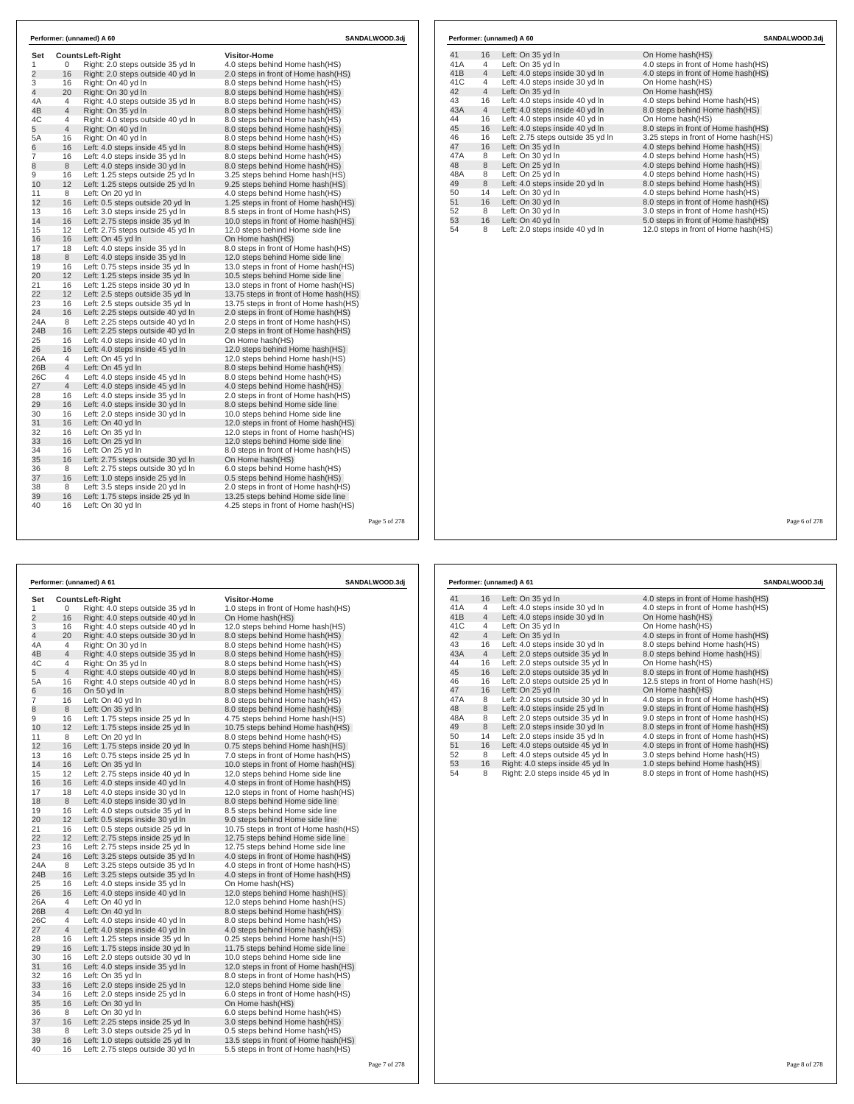| 0<br>16<br>16<br>20<br>4<br>$\overline{4}$<br>4<br>$\overline{4}$<br>16<br>16<br>16<br>8<br>16<br>12<br>8 | <b>CountsLeft-Right</b><br>Right: 2.0 steps outside 35 yd In<br>Right: 2.0 steps outside 40 yd In<br>Right: On 40 vd In<br>Right: On 30 yd In<br>Right: 4.0 steps outside 35 yd In<br>Right: On 35 yd In<br>Right: 4.0 steps outside 40 yd In<br>Right: On 40 yd In<br>Right: On 40 yd In<br>Left: 4.0 steps inside 45 yd In<br>Left: 4.0 steps inside 35 yd In<br>Left: 4.0 steps inside 30 yd In<br>Left: 1.25 steps outside 25 yd In | <b>Visitor-Home</b><br>4.0 steps behind Home hash(HS)<br>2.0 steps in front of Home hash(HS)<br>8.0 steps behind Home hash(HS)<br>8.0 steps behind Home hash(HS)<br>8.0 steps behind Home hash(HS)<br>8.0 steps behind Home hash(HS)<br>8.0 steps behind Home hash(HS)<br>8.0 steps behind Home hash(HS)<br>8.0 steps behind Home hash(HS)<br>8.0 steps behind Home hash(HS)<br>8.0 steps behind Home hash(HS)<br>8.0 steps behind Home hash(HS)                                                                                                                                                                                                                                                                                                                                                                                                                                                                                                                                                                                                                                                   |
|-----------------------------------------------------------------------------------------------------------|-----------------------------------------------------------------------------------------------------------------------------------------------------------------------------------------------------------------------------------------------------------------------------------------------------------------------------------------------------------------------------------------------------------------------------------------|----------------------------------------------------------------------------------------------------------------------------------------------------------------------------------------------------------------------------------------------------------------------------------------------------------------------------------------------------------------------------------------------------------------------------------------------------------------------------------------------------------------------------------------------------------------------------------------------------------------------------------------------------------------------------------------------------------------------------------------------------------------------------------------------------------------------------------------------------------------------------------------------------------------------------------------------------------------------------------------------------------------------------------------------------------------------------------------------------|
|                                                                                                           |                                                                                                                                                                                                                                                                                                                                                                                                                                         |                                                                                                                                                                                                                                                                                                                                                                                                                                                                                                                                                                                                                                                                                                                                                                                                                                                                                                                                                                                                                                                                                                    |
|                                                                                                           |                                                                                                                                                                                                                                                                                                                                                                                                                                         |                                                                                                                                                                                                                                                                                                                                                                                                                                                                                                                                                                                                                                                                                                                                                                                                                                                                                                                                                                                                                                                                                                    |
|                                                                                                           |                                                                                                                                                                                                                                                                                                                                                                                                                                         |                                                                                                                                                                                                                                                                                                                                                                                                                                                                                                                                                                                                                                                                                                                                                                                                                                                                                                                                                                                                                                                                                                    |
|                                                                                                           |                                                                                                                                                                                                                                                                                                                                                                                                                                         |                                                                                                                                                                                                                                                                                                                                                                                                                                                                                                                                                                                                                                                                                                                                                                                                                                                                                                                                                                                                                                                                                                    |
|                                                                                                           |                                                                                                                                                                                                                                                                                                                                                                                                                                         |                                                                                                                                                                                                                                                                                                                                                                                                                                                                                                                                                                                                                                                                                                                                                                                                                                                                                                                                                                                                                                                                                                    |
|                                                                                                           |                                                                                                                                                                                                                                                                                                                                                                                                                                         |                                                                                                                                                                                                                                                                                                                                                                                                                                                                                                                                                                                                                                                                                                                                                                                                                                                                                                                                                                                                                                                                                                    |
|                                                                                                           |                                                                                                                                                                                                                                                                                                                                                                                                                                         |                                                                                                                                                                                                                                                                                                                                                                                                                                                                                                                                                                                                                                                                                                                                                                                                                                                                                                                                                                                                                                                                                                    |
|                                                                                                           |                                                                                                                                                                                                                                                                                                                                                                                                                                         |                                                                                                                                                                                                                                                                                                                                                                                                                                                                                                                                                                                                                                                                                                                                                                                                                                                                                                                                                                                                                                                                                                    |
|                                                                                                           |                                                                                                                                                                                                                                                                                                                                                                                                                                         |                                                                                                                                                                                                                                                                                                                                                                                                                                                                                                                                                                                                                                                                                                                                                                                                                                                                                                                                                                                                                                                                                                    |
|                                                                                                           |                                                                                                                                                                                                                                                                                                                                                                                                                                         |                                                                                                                                                                                                                                                                                                                                                                                                                                                                                                                                                                                                                                                                                                                                                                                                                                                                                                                                                                                                                                                                                                    |
|                                                                                                           |                                                                                                                                                                                                                                                                                                                                                                                                                                         |                                                                                                                                                                                                                                                                                                                                                                                                                                                                                                                                                                                                                                                                                                                                                                                                                                                                                                                                                                                                                                                                                                    |
|                                                                                                           |                                                                                                                                                                                                                                                                                                                                                                                                                                         |                                                                                                                                                                                                                                                                                                                                                                                                                                                                                                                                                                                                                                                                                                                                                                                                                                                                                                                                                                                                                                                                                                    |
|                                                                                                           |                                                                                                                                                                                                                                                                                                                                                                                                                                         | 3.25 steps behind Home hash(HS)                                                                                                                                                                                                                                                                                                                                                                                                                                                                                                                                                                                                                                                                                                                                                                                                                                                                                                                                                                                                                                                                    |
|                                                                                                           | Left: 1.25 steps outside 25 yd In                                                                                                                                                                                                                                                                                                                                                                                                       | 9.25 steps behind Home hash (HS)                                                                                                                                                                                                                                                                                                                                                                                                                                                                                                                                                                                                                                                                                                                                                                                                                                                                                                                                                                                                                                                                   |
|                                                                                                           | Left: On 20 yd In                                                                                                                                                                                                                                                                                                                                                                                                                       | 4.0 steps behind Home hash(HS)                                                                                                                                                                                                                                                                                                                                                                                                                                                                                                                                                                                                                                                                                                                                                                                                                                                                                                                                                                                                                                                                     |
| 16                                                                                                        | Left: 0.5 steps outside 20 yd In                                                                                                                                                                                                                                                                                                                                                                                                        | 1.25 steps in front of Home hash(HS)                                                                                                                                                                                                                                                                                                                                                                                                                                                                                                                                                                                                                                                                                                                                                                                                                                                                                                                                                                                                                                                               |
|                                                                                                           |                                                                                                                                                                                                                                                                                                                                                                                                                                         | 8.5 steps in front of Home hash (HS)                                                                                                                                                                                                                                                                                                                                                                                                                                                                                                                                                                                                                                                                                                                                                                                                                                                                                                                                                                                                                                                               |
|                                                                                                           |                                                                                                                                                                                                                                                                                                                                                                                                                                         | 10.0 steps in front of Home hash(HS)                                                                                                                                                                                                                                                                                                                                                                                                                                                                                                                                                                                                                                                                                                                                                                                                                                                                                                                                                                                                                                                               |
|                                                                                                           |                                                                                                                                                                                                                                                                                                                                                                                                                                         | 12.0 steps behind Home side line                                                                                                                                                                                                                                                                                                                                                                                                                                                                                                                                                                                                                                                                                                                                                                                                                                                                                                                                                                                                                                                                   |
|                                                                                                           |                                                                                                                                                                                                                                                                                                                                                                                                                                         | On Home hash(HS)                                                                                                                                                                                                                                                                                                                                                                                                                                                                                                                                                                                                                                                                                                                                                                                                                                                                                                                                                                                                                                                                                   |
|                                                                                                           |                                                                                                                                                                                                                                                                                                                                                                                                                                         | 8.0 steps in front of Home hash(HS)                                                                                                                                                                                                                                                                                                                                                                                                                                                                                                                                                                                                                                                                                                                                                                                                                                                                                                                                                                                                                                                                |
|                                                                                                           |                                                                                                                                                                                                                                                                                                                                                                                                                                         | 12.0 steps behind Home side line                                                                                                                                                                                                                                                                                                                                                                                                                                                                                                                                                                                                                                                                                                                                                                                                                                                                                                                                                                                                                                                                   |
|                                                                                                           |                                                                                                                                                                                                                                                                                                                                                                                                                                         | 13.0 steps in front of Home hash(HS)                                                                                                                                                                                                                                                                                                                                                                                                                                                                                                                                                                                                                                                                                                                                                                                                                                                                                                                                                                                                                                                               |
|                                                                                                           |                                                                                                                                                                                                                                                                                                                                                                                                                                         | 10.5 steps behind Home side line                                                                                                                                                                                                                                                                                                                                                                                                                                                                                                                                                                                                                                                                                                                                                                                                                                                                                                                                                                                                                                                                   |
|                                                                                                           |                                                                                                                                                                                                                                                                                                                                                                                                                                         | 13.0 steps in front of Home hash(HS)                                                                                                                                                                                                                                                                                                                                                                                                                                                                                                                                                                                                                                                                                                                                                                                                                                                                                                                                                                                                                                                               |
|                                                                                                           |                                                                                                                                                                                                                                                                                                                                                                                                                                         | 13.75 steps in front of Home hash(HS)                                                                                                                                                                                                                                                                                                                                                                                                                                                                                                                                                                                                                                                                                                                                                                                                                                                                                                                                                                                                                                                              |
|                                                                                                           |                                                                                                                                                                                                                                                                                                                                                                                                                                         | 13.75 steps in front of Home hash(HS)                                                                                                                                                                                                                                                                                                                                                                                                                                                                                                                                                                                                                                                                                                                                                                                                                                                                                                                                                                                                                                                              |
|                                                                                                           |                                                                                                                                                                                                                                                                                                                                                                                                                                         | 2.0 steps in front of Home hash(HS)                                                                                                                                                                                                                                                                                                                                                                                                                                                                                                                                                                                                                                                                                                                                                                                                                                                                                                                                                                                                                                                                |
|                                                                                                           |                                                                                                                                                                                                                                                                                                                                                                                                                                         | 2.0 steps in front of Home hash (HS)                                                                                                                                                                                                                                                                                                                                                                                                                                                                                                                                                                                                                                                                                                                                                                                                                                                                                                                                                                                                                                                               |
|                                                                                                           |                                                                                                                                                                                                                                                                                                                                                                                                                                         | 2.0 steps in front of Home hash(HS)                                                                                                                                                                                                                                                                                                                                                                                                                                                                                                                                                                                                                                                                                                                                                                                                                                                                                                                                                                                                                                                                |
|                                                                                                           |                                                                                                                                                                                                                                                                                                                                                                                                                                         | On Home hash(HS)                                                                                                                                                                                                                                                                                                                                                                                                                                                                                                                                                                                                                                                                                                                                                                                                                                                                                                                                                                                                                                                                                   |
|                                                                                                           |                                                                                                                                                                                                                                                                                                                                                                                                                                         | 12.0 steps behind Home hash(HS)                                                                                                                                                                                                                                                                                                                                                                                                                                                                                                                                                                                                                                                                                                                                                                                                                                                                                                                                                                                                                                                                    |
|                                                                                                           |                                                                                                                                                                                                                                                                                                                                                                                                                                         | 12.0 steps behind Home hash(HS)                                                                                                                                                                                                                                                                                                                                                                                                                                                                                                                                                                                                                                                                                                                                                                                                                                                                                                                                                                                                                                                                    |
|                                                                                                           |                                                                                                                                                                                                                                                                                                                                                                                                                                         | 8.0 steps behind Home hash (HS)                                                                                                                                                                                                                                                                                                                                                                                                                                                                                                                                                                                                                                                                                                                                                                                                                                                                                                                                                                                                                                                                    |
|                                                                                                           |                                                                                                                                                                                                                                                                                                                                                                                                                                         | 8.0 steps behind Home hash(HS)                                                                                                                                                                                                                                                                                                                                                                                                                                                                                                                                                                                                                                                                                                                                                                                                                                                                                                                                                                                                                                                                     |
|                                                                                                           |                                                                                                                                                                                                                                                                                                                                                                                                                                         | 4.0 steps behind Home hash(HS)                                                                                                                                                                                                                                                                                                                                                                                                                                                                                                                                                                                                                                                                                                                                                                                                                                                                                                                                                                                                                                                                     |
|                                                                                                           |                                                                                                                                                                                                                                                                                                                                                                                                                                         | 2.0 steps in front of Home hash (HS)                                                                                                                                                                                                                                                                                                                                                                                                                                                                                                                                                                                                                                                                                                                                                                                                                                                                                                                                                                                                                                                               |
|                                                                                                           |                                                                                                                                                                                                                                                                                                                                                                                                                                         | 8.0 steps behind Home side line                                                                                                                                                                                                                                                                                                                                                                                                                                                                                                                                                                                                                                                                                                                                                                                                                                                                                                                                                                                                                                                                    |
|                                                                                                           |                                                                                                                                                                                                                                                                                                                                                                                                                                         | 10.0 steps behind Home side line                                                                                                                                                                                                                                                                                                                                                                                                                                                                                                                                                                                                                                                                                                                                                                                                                                                                                                                                                                                                                                                                   |
|                                                                                                           |                                                                                                                                                                                                                                                                                                                                                                                                                                         | 12.0 steps in front of Home hash (HS)                                                                                                                                                                                                                                                                                                                                                                                                                                                                                                                                                                                                                                                                                                                                                                                                                                                                                                                                                                                                                                                              |
|                                                                                                           |                                                                                                                                                                                                                                                                                                                                                                                                                                         | 12.0 steps in front of Home hash(HS)                                                                                                                                                                                                                                                                                                                                                                                                                                                                                                                                                                                                                                                                                                                                                                                                                                                                                                                                                                                                                                                               |
|                                                                                                           |                                                                                                                                                                                                                                                                                                                                                                                                                                         | 12.0 steps behind Home side line                                                                                                                                                                                                                                                                                                                                                                                                                                                                                                                                                                                                                                                                                                                                                                                                                                                                                                                                                                                                                                                                   |
|                                                                                                           |                                                                                                                                                                                                                                                                                                                                                                                                                                         | 8.0 steps in front of Home hash (HS)                                                                                                                                                                                                                                                                                                                                                                                                                                                                                                                                                                                                                                                                                                                                                                                                                                                                                                                                                                                                                                                               |
|                                                                                                           |                                                                                                                                                                                                                                                                                                                                                                                                                                         | On Home hash(HS)                                                                                                                                                                                                                                                                                                                                                                                                                                                                                                                                                                                                                                                                                                                                                                                                                                                                                                                                                                                                                                                                                   |
|                                                                                                           |                                                                                                                                                                                                                                                                                                                                                                                                                                         | 6.0 steps behind Home hash(HS)                                                                                                                                                                                                                                                                                                                                                                                                                                                                                                                                                                                                                                                                                                                                                                                                                                                                                                                                                                                                                                                                     |
|                                                                                                           |                                                                                                                                                                                                                                                                                                                                                                                                                                         | 0.5 steps behind Home hash(HS)                                                                                                                                                                                                                                                                                                                                                                                                                                                                                                                                                                                                                                                                                                                                                                                                                                                                                                                                                                                                                                                                     |
|                                                                                                           |                                                                                                                                                                                                                                                                                                                                                                                                                                         | 2.0 steps in front of Home hash(HS)                                                                                                                                                                                                                                                                                                                                                                                                                                                                                                                                                                                                                                                                                                                                                                                                                                                                                                                                                                                                                                                                |
|                                                                                                           |                                                                                                                                                                                                                                                                                                                                                                                                                                         | 13.25 steps behind Home side line                                                                                                                                                                                                                                                                                                                                                                                                                                                                                                                                                                                                                                                                                                                                                                                                                                                                                                                                                                                                                                                                  |
|                                                                                                           |                                                                                                                                                                                                                                                                                                                                                                                                                                         | 4.25 steps in front of Home hash (HS)                                                                                                                                                                                                                                                                                                                                                                                                                                                                                                                                                                                                                                                                                                                                                                                                                                                                                                                                                                                                                                                              |
|                                                                                                           | 16<br>16<br>12<br>16<br>18<br>8<br>16<br>12<br>16<br>12<br>16<br>16<br>8<br>16<br>16<br>16<br>4<br>$\overline{4}$<br>4<br>$\overline{4}$<br>16<br>16<br>16<br>16<br>16<br>16<br>16<br>16<br>8<br>16<br>8<br>16<br>16                                                                                                                                                                                                                    | Left: 3.0 steps inside 25 yd In<br>Left: 2.75 steps inside 35 yd In<br>Left: 2.75 steps outside 45 yd In<br>Left: On 45 yd In<br>Left: 4.0 steps inside 35 yd In<br>Left: 4.0 steps inside 35 yd In<br>Left: 0.75 steps inside 35 yd In<br>Left: 1.25 steps inside 35 yd In<br>Left: 1.25 steps inside 30 yd In<br>Left: 2.5 steps outside 35 vd In<br>Left: 2.5 steps outside 35 yd In<br>Left: 2.25 steps outside 40 yd In<br>Left: 2.25 steps outside 40 yd In<br>Left: 2.25 steps outside 40 yd In<br>Left: 4.0 steps inside 40 yd In<br>Left: 4.0 steps inside 45 yd In<br>Left: On 45 yd In<br>Left: On 45 yd In<br>Left: 4.0 steps inside 45 yd In<br>Left: 4.0 steps inside 45 yd In<br>Left: 4.0 steps inside 35 yd In<br>Left: 4.0 steps inside 30 yd In<br>Left: 2.0 steps inside 30 yd In<br>Left: On 40 vd In<br>Left: On 35 yd In<br>Left: On 25 yd In<br>Left: On 25 yd In<br>Left: 2.75 steps outside 30 yd In<br>Left: 2.75 steps outside 30 yd In<br>Left: 1.0 steps inside 25 yd In<br>Left: 3.5 steps inside 20 yd In<br>Left: 1.75 steps inside 25 yd In<br>Left: On 30 yd In |

|     |                | Performer: (unnamed) A 60         | SANDALWOOD.3di                        |
|-----|----------------|-----------------------------------|---------------------------------------|
| 41  | 16             | Left: On 35 yd In                 | On Home hash(HS)                      |
| 41A | 4              | Left: On 35 yd In                 | 4.0 steps in front of Home hash(HS)   |
| 41B | $\overline{4}$ | Left: 4.0 steps inside 30 yd In   | 4.0 steps in front of Home hash(HS)   |
| 41C | 4              | Left: 4.0 steps inside 30 yd In   | On Home hash(HS)                      |
| 42  | $\overline{4}$ | Left: On 35 yd In                 | On Home hash(HS)                      |
| 43  | 16             | Left: 4.0 steps inside 40 yd In   | 4.0 steps behind Home hash(HS)        |
| 43A | $\overline{4}$ | Left: 4.0 steps inside 40 yd In   | 8.0 steps behind Home hash(HS)        |
| 44  | 16             | Left: 4.0 steps inside 40 vd In   | On Home hash(HS)                      |
| 45  | 16             | Left: 4.0 steps inside 40 yd In   | 8.0 steps in front of Home hash(HS)   |
| 46  | 16             | Left: 2.75 steps outside 35 yd In | 3.25 steps in front of Home hash (HS) |
| 47  | 16             | Left: On 35 yd In                 | 4.0 steps behind Home hash(HS)        |
| 47A | 8              | Left: On 30 vd In                 | 4.0 steps behind Home hash(HS)        |
| 48  | 8              | Left: On 25 yd In                 | 4.0 steps behind Home hash(HS)        |
| 48A | 8              | Left: On 25 yd In                 | 4.0 steps behind Home hash(HS)        |
| 49  | 8              | Left: 4.0 steps inside 20 yd In   | 8.0 steps behind Home hash(HS)        |
| 50  | 14             | Left: On 30 yd In                 | 4.0 steps behind Home hash(HS)        |
| 51  | 16             | Left: On 30 yd In                 | 8.0 steps in front of Home hash(HS)   |
| 52  | 8              | Left: On 30 yd In                 | 3.0 steps in front of Home hash(HS)   |
| 53  | 16             | Left: On 40 yd In                 | 5.0 steps in front of Home hash(HS)   |
| 54  | 8              | Left: 2.0 steps inside 40 yd In   | 12.0 steps in front of Home hash(HS)  |

Page 5 of 278

|                |                | Performer: (unnamed) A 61         | SANDALWOOD.3dj                        |  |  |
|----------------|----------------|-----------------------------------|---------------------------------------|--|--|
| Set            |                | <b>CountsLeft-Right</b>           | <b>Visitor-Home</b>                   |  |  |
| 1              | 0              | Right: 4.0 steps outside 35 yd In | 1.0 steps in front of Home hash(HS)   |  |  |
| $\overline{2}$ | 16             | Right: 4.0 steps outside 40 yd In | On Home hash(HS)                      |  |  |
| 3              | 16             | Right: 4.0 steps outside 40 yd In | 12.0 steps behind Home hash(HS)       |  |  |
| 4              | 20             | Right: 4.0 steps outside 30 yd In | 8.0 steps behind Home hash(HS)        |  |  |
| 4A             | 4              | Right: On 30 yd In                | 8.0 steps behind Home hash(HS)        |  |  |
| 4B             | $\overline{4}$ | Right: 4.0 steps outside 35 yd In | 8.0 steps behind Home hash(HS)        |  |  |
| 4C             | 4              | Right: On 35 yd In                | 8.0 steps behind Home hash(HS)        |  |  |
| 5              | $\overline{4}$ | Right: 4.0 steps outside 40 yd In | 8.0 steps behind Home hash(HS)        |  |  |
| 5A             | 16             | Right: 4.0 steps outside 40 yd In | 8.0 steps behind Home hash(HS)        |  |  |
| 6              | 16             | On 50 yd In                       | 8.0 steps behind Home hash (HS)       |  |  |
| 7              | 16             | Left: On 40 yd In                 | 8.0 steps behind Home hash(HS)        |  |  |
| 8              | 8              | Left: On 35 yd In                 | 8.0 steps behind Home hash(HS)        |  |  |
| 9              | 16             | Left: 1.75 steps inside 25 yd In  | 4.75 steps behind Home hash (HS)      |  |  |
| 10             | 12             | Left: 1.75 steps inside 25 yd In  | 10.75 steps behind Home hash(HS)      |  |  |
| 11             | 8              | Left: On 20 yd In                 | 8.0 steps behind Home hash(HS)        |  |  |
| 12             | 16             | Left: 1.75 steps inside 20 yd In  | 0.75 steps behind Home hash (HS)      |  |  |
| 13             | 16             | Left: 0.75 steps inside 25 yd In  | 7.0 steps in front of Home hash(HS)   |  |  |
| 14             | 16             | Left: On 35 yd In                 | 10.0 steps in front of Home hash(HS)  |  |  |
| 15             | 12             | Left: 2.75 steps inside 40 yd In  | 12.0 steps behind Home side line      |  |  |
| 16             | 16             | Left: 4.0 steps inside 40 yd In   | 4.0 steps in front of Home hash(HS)   |  |  |
| 17             | 18             | Left: 4.0 steps inside 30 yd In   | 12.0 steps in front of Home hash(HS)  |  |  |
| 18             | $\,8\,$        | Left: 4.0 steps inside 30 yd In   | 8.0 steps behind Home side line       |  |  |
| 19             | 16             | Left: 4.0 steps outside 35 yd In  | 8.5 steps behind Home side line       |  |  |
| 20             | 12             | Left: 0.5 steps inside 30 yd In   | 9.0 steps behind Home side line       |  |  |
| 21             | 16             | Left: 0.5 steps outside 25 yd In  | 10.75 steps in front of Home hash(HS) |  |  |
| 22             | 12             | Left: 2.75 steps inside 25 yd In  | 12.75 steps behind Home side line     |  |  |
| 23             | 16             | Left: 2.75 steps inside 25 yd In  | 12.75 steps behind Home side line     |  |  |
| 24             | 16             | Left: 3.25 steps outside 35 yd In | 4.0 steps in front of Home hash (HS)  |  |  |
| 24A            | 8              | Left: 3.25 steps outside 35 yd In | 4.0 steps in front of Home hash (HS)  |  |  |
| 24B            | 16             | Left: 3.25 steps outside 35 yd In | 4.0 steps in front of Home hash(HS)   |  |  |
| 25             | 16             | Left: 4.0 steps inside 35 yd In   | On Home hash(HS)                      |  |  |
| 26             | 16             | Left: 4.0 steps inside 40 yd In   | 12.0 steps behind Home hash(HS)       |  |  |
| 26A            | 4              | Left: On 40 yd In                 | 12.0 steps behind Home hash(HS)       |  |  |
| 26B            | $\overline{4}$ | Left: On 40 yd In                 | 8.0 steps behind Home hash(HS)        |  |  |
| 26C            | 4              | Left: 4.0 steps inside 40 yd In   | 8.0 steps behind Home hash(HS)        |  |  |
| 27             | $\overline{4}$ | Left: 4.0 steps inside 40 yd In   | 4.0 steps behind Home hash(HS)        |  |  |
| 28             | 16             | Left: 1.25 steps inside 35 yd In  | 0.25 steps behind Home hash(HS)       |  |  |
| 29             | 16             | Left: 1.75 steps inside 30 yd In  | 11.75 steps behind Home side line     |  |  |
| 30             | 16             | Left: 2.0 steps outside 30 yd In  | 10.0 steps behind Home side line      |  |  |
| 31             | 16             | Left: 4.0 steps inside 35 yd In   | 12.0 steps in front of Home hash(HS)  |  |  |
| 32             | 16             | Left: On 35 yd In                 | 8.0 steps in front of Home hash(HS)   |  |  |
| 33             | 16             | Left: 2.0 steps inside 25 yd In   | 12.0 steps behind Home side line      |  |  |
| 34             | 16             | Left: 2.0 steps inside 25 yd In   | 6.0 steps in front of Home hash(HS)   |  |  |
| 35             | 16             | Left: On 30 yd In                 | On Home hash(HS)                      |  |  |
| 36             | 8              | Left: On 30 yd In                 | 6.0 steps behind Home hash(HS)        |  |  |
| 37             | 16             | Left: 2.25 steps inside 25 yd In  | 3.0 steps behind Home hash(HS)        |  |  |
| 38             | 8              | Left: 3.0 steps outside 25 yd In  | 0.5 steps behind Home hash (HS)       |  |  |
| 39             | 16             | Left: 1.0 steps outside 25 yd In  | 13.5 steps in front of Home hash(HS)  |  |  |
| 40             | 16             | Left: 2.75 steps outside 30 yd In | 5.5 steps in front of Home hash(HS)   |  |  |
|                |                |                                   |                                       |  |  |

|                 |                | Performer: (unnamed) A 61        | SANDALWOOD.3di                       |
|-----------------|----------------|----------------------------------|--------------------------------------|
| 41              | 16             | Left: On 35 yd In                | 4.0 steps in front of Home hash (HS) |
| 41A             | 4              | Left: 4.0 steps inside 30 yd In  | 4.0 steps in front of Home hash(HS)  |
| 41 <sub>B</sub> | $\overline{4}$ | Left: 4.0 steps inside 30 yd In  | On Home hash(HS)                     |
| 41C             | 4              | Left: On 35 yd In                | On Home hash(HS)                     |
| 42              | $\overline{4}$ | Left: On 35 yd In                | 4.0 steps in front of Home hash(HS)  |
| 43              | 16             | Left: 4.0 steps inside 30 yd In  | 8.0 steps behind Home hash(HS)       |
| 43A             | $\overline{4}$ | Left: 2.0 steps outside 35 yd In | 8.0 steps behind Home hash(HS)       |
| 44              | 16             | Left: 2.0 steps outside 35 vd In | On Home hash(HS)                     |
| 45              | 16             | Left: 2.0 steps outside 35 yd In | 8.0 steps in front of Home hash(HS)  |
| 46              | 16             | Left: 2.0 steps outside 25 yd In | 12.5 steps in front of Home hash(HS) |
| 47              | 16             | Left: On 25 yd In                | On Home hash(HS)                     |
| 47A             | 8              | Left: 2.0 steps outside 30 yd In | 4.0 steps in front of Home hash(HS)  |
| 48              | 8              | Left: 4.0 steps inside 25 yd In  | 9.0 steps in front of Home hash(HS)  |
| 48A             | 8              | Left: 2.0 steps outside 35 yd In | 9.0 steps in front of Home hash(HS)  |
| 49              | 8              | Left: 2.0 steps inside 30 yd In  | 8.0 steps in front of Home hash(HS)  |
| 50              | 14             | Left: 2.0 steps inside 35 yd In  | 4.0 steps in front of Home hash(HS)  |
| 51              | 16             | Left: 4.0 steps outside 45 yd In | 4.0 steps in front of Home hash(HS)  |
| 52              | 8              | Left: 4.0 steps outside 45 yd In | 3.0 steps behind Home hash(HS)       |
| 53              | 16             | Right: 4.0 steps inside 45 yd In | 1.0 steps behind Home hash(HS)       |
| 54              | 8              | Right: 2.0 steps inside 45 yd In | 8.0 steps in front of Home hash(HS)  |

Page 6 of 278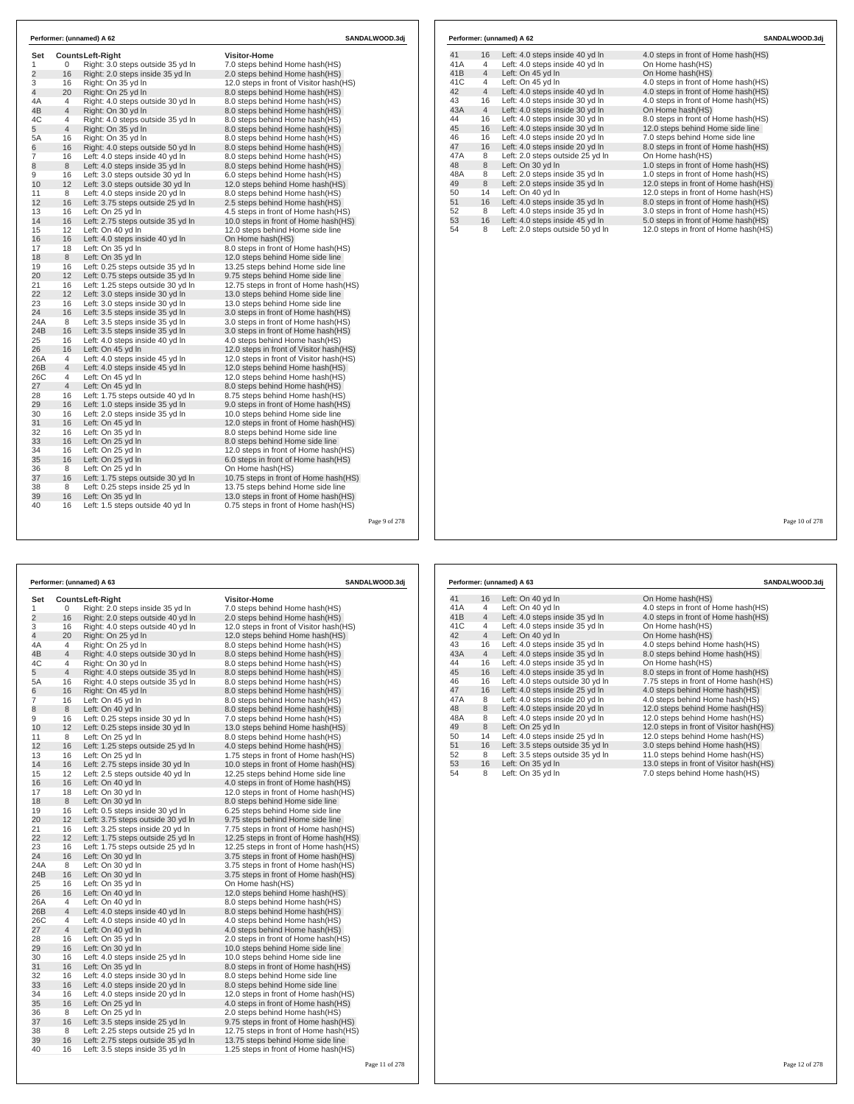| Set            |                | <b>CountsLeft-Right</b>           | <b>Visitor-Home</b>                      |  |
|----------------|----------------|-----------------------------------|------------------------------------------|--|
| 1              | 0              | Right: 3.0 steps outside 35 yd In | 7.0 steps behind Home hash(HS)           |  |
| $\overline{2}$ | 16             | Right: 2.0 steps inside 35 yd In  | 2.0 steps behind Home hash(HS)           |  |
| 3              | 16             | Right: On 35 yd In                | 12.0 steps in front of Visitor hash(HS)  |  |
| 4              | 20             | Right: On 25 yd In                | 8.0 steps behind Home hash(HS)           |  |
| 4A             | 4              | Right: 4.0 steps outside 30 yd In | 8.0 steps behind Home hash(HS)           |  |
| 4B             | 4              | Right: On 30 yd In                | 8.0 steps behind Home hash (HS)          |  |
| 4C             | 4              | Right: 4.0 steps outside 35 yd In | 8.0 steps behind Home hash(HS)           |  |
| 5              | $\overline{4}$ | Right: On 35 yd In                | 8.0 steps behind Home hash(HS)           |  |
| 5A             | 16             | Right: On 35 yd In                | 8.0 steps behind Home hash(HS)           |  |
| 6              | 16             | Right: 4.0 steps outside 50 yd In | 8.0 steps behind Home hash (HS)          |  |
| $\overline{7}$ | 16             | Left: 4.0 steps inside 40 yd In   | 8.0 steps behind Home hash(HS)           |  |
| 8              | 8              | Left: 4.0 steps inside 35 yd In   | 8.0 steps behind Home hash (HS)          |  |
| 9              | 16             | Left: 3.0 steps outside 30 yd In  | 6.0 steps behind Home hash(HS)           |  |
| 10             | 12             | Left: 3.0 steps outside 30 yd In  | 12.0 steps behind Home hash(HS)          |  |
| 11             | 8              | Left: 4.0 steps inside 20 yd In   | 8.0 steps behind Home hash(HS)           |  |
| 12             | 16             | Left: 3.75 steps outside 25 yd In | 2.5 steps behind Home hash(HS)           |  |
| 13             | 16             | Left: On 25 yd In                 | 4.5 steps in front of Home hash(HS)      |  |
| 14             | 16             | Left: 2.75 steps outside 35 yd In | 10.0 steps in front of Home hash(HS)     |  |
| 15             | 12             | Left: On 40 yd In                 | 12.0 steps behind Home side line         |  |
| 16             | 16             | Left: 4.0 steps inside 40 yd In   | On Home hash(HS)                         |  |
| 17             | 18             | Left: On 35 yd In                 | 8.0 steps in front of Home hash(HS)      |  |
| 18             | 8              | Left: On 35 yd In                 | 12.0 steps behind Home side line         |  |
| 19             | 16             | Left: 0.25 steps outside 35 yd In | 13.25 steps behind Home side line        |  |
| 20             | 12             | Left: 0.75 steps outside 35 yd In | 9.75 steps behind Home side line         |  |
| 21             | 16             | Left: 1.25 steps outside 30 yd In | 12.75 steps in front of Home hash(HS)    |  |
| 22             | 12             | Left: 3.0 steps inside 30 yd In   | 13.0 steps behind Home side line         |  |
| 23             | 16             | Left: 3.0 steps inside 30 yd In   | 13.0 steps behind Home side line         |  |
| 24             | 16             | Left: 3.5 steps inside 35 yd In   | 3.0 steps in front of Home hash(HS)      |  |
| 24A            | 8              | Left: 3.5 steps inside 35 yd In   | 3.0 steps in front of Home hash(HS)      |  |
| 24B            | 16             | Left: 3.5 steps inside 35 yd In   | 3.0 steps in front of Home hash(HS)      |  |
| 25             | 16             | Left: 4.0 steps inside 40 yd In   | 4.0 steps behind Home hash(HS)           |  |
| 26             | 16             | Left: On 45 yd In                 | 12.0 steps in front of Visitor hash(HS)  |  |
| 26A            | 4              | Left: 4.0 steps inside 45 vd In   | 12.0 steps in front of Visitor hash (HS) |  |
| 26B            | $\overline{4}$ | Left: 4.0 steps inside 45 yd In   | 12.0 steps behind Home hash(HS)          |  |
| 26C            | 4              | Left: On 45 vd In                 | 12.0 steps behind Home hash(HS)          |  |
| 27             | $\overline{4}$ | Left: On 45 yd In                 | 8.0 steps behind Home hash(HS)           |  |
| 28             | 16             | Left: 1.75 steps outside 40 yd In | 8.75 steps behind Home hash(HS)          |  |
| 29             | 16             | Left: 1.0 steps inside 35 yd In   | 9.0 steps in front of Home hash(HS)      |  |
| 30             | 16             | Left: 2.0 steps inside 35 yd In   | 10.0 steps behind Home side line         |  |
| 31             | 16             | Left: On 45 yd In                 | 12.0 steps in front of Home hash(HS)     |  |
| 32             | 16             | Left: On 35 yd In                 | 8.0 steps behind Home side line          |  |
| 33             | 16             | Left: On 25 yd In                 | 8.0 steps behind Home side line          |  |
| 34             | 16             | Left: On 25 yd In                 | 12.0 steps in front of Home hash(HS)     |  |
| 35             | 16             | Left: On 25 yd In                 | 6.0 steps in front of Home hash(HS)      |  |
| 36             | 8              | Left: On 25 yd In                 | On Home hash(HS)                         |  |
| 37             | 16             | Left: 1.75 steps outside 30 yd In | 10.75 steps in front of Home hash(HS)    |  |
| 38             | 8              | Left: 0.25 steps inside 25 yd In  | 13.75 steps behind Home side line        |  |
| 39             | 16             | Left: On 35 yd In                 | 13.0 steps in front of Home hash(HS)     |  |
| 40             | 16             | Left: 1.5 steps outside 40 yd In  | 0.75 steps in front of Home hash(HS)     |  |

|     |                | Performer: (unnamed) A 62        | SANDALWOOD.3dj                       |
|-----|----------------|----------------------------------|--------------------------------------|
| 41  | 16             | Left: 4.0 steps inside 40 yd In  | 4.0 steps in front of Home hash (HS) |
| 41A | 4              | Left: 4.0 steps inside 40 yd In  | On Home hash(HS)                     |
| 41B | $\overline{4}$ | Left: On 45 yd In                | On Home hash(HS)                     |
| 41C | 4              | Left: On 45 yd In                | 4.0 steps in front of Home hash (HS) |
| 42  | $\overline{4}$ | Left: 4.0 steps inside 40 yd In  | 4.0 steps in front of Home hash(HS)  |
| 43  | 16             | Left: 4.0 steps inside 30 yd In  | 4.0 steps in front of Home hash(HS)  |
| 43A | $\overline{4}$ | Left: 4.0 steps inside 30 yd In  | On Home hash(HS)                     |
| 44  | 16             | Left: 4.0 steps inside 30 vd In  | 8.0 steps in front of Home hash(HS)  |
| 45  | 16             | Left: 4.0 steps inside 30 yd In  | 12.0 steps behind Home side line     |
| 46  | 16             | Left: 4.0 steps inside 20 vd In  | 7.0 steps behind Home side line      |
| 47  | 16             | Left: 4.0 steps inside 20 yd In  | 8.0 steps in front of Home hash(HS)  |
| 47A | 8              | Left: 2.0 steps outside 25 yd In | On Home hash(HS)                     |
| 48  | 8              | Left: On 30 yd In                | 1.0 steps in front of Home hash(HS)  |
| 48A | 8              | Left: 2.0 steps inside 35 yd In  | 1.0 steps in front of Home hash(HS)  |
| 49  | 8              | Left: 2.0 steps inside 35 yd In  | 12.0 steps in front of Home hash(HS) |
| 50  | 14             | Left: On 40 yd In                | 12.0 steps in front of Home hash(HS) |
| 51  | 16             | Left: 4.0 steps inside 35 yd In  | 8.0 steps in front of Home hash (HS) |
| 52  | 8              | Left: 4.0 steps inside 35 yd In  | 3.0 steps in front of Home hash(HS)  |
| 53  | 16             | Left: 4.0 steps inside 45 yd In  | 5.0 steps in front of Home hash(HS)  |
| 54  | 8              | Left: 2.0 steps outside 50 yd In | 12.0 steps in front of Home hash(HS) |

| Ń. | ١ |
|----|---|
| ٠  |   |
| ×  |   |
|    |   |

|                |    | Performer: (unnamed) A 63         |                                          | SANDALWOOD.3dj |
|----------------|----|-----------------------------------|------------------------------------------|----------------|
| Set            |    | Counts Left-Right                 | <b>Visitor-Home</b>                      |                |
| 1              | 0  | Right: 2.0 steps inside 35 yd In  | 7.0 steps behind Home hash(HS)           |                |
| $\overline{2}$ | 16 | Right: 2.0 steps outside 40 yd In | 2.0 steps behind Home hash(HS)           |                |
| 3              | 16 | Right: 4.0 steps outside 40 yd In | 12.0 steps in front of Visitor hash (HS) |                |
| 4              | 20 | Right: On 25 yd In                | 12.0 steps behind Home hash(HS)          |                |
| 4A             | 4  | Right: On 25 yd In                | 8.0 steps behind Home hash(HS)           |                |
| 4B             | 4  | Right: 4.0 steps outside 30 yd In | 8.0 steps behind Home hash(HS)           |                |
| 4C             | 4  | Right: On 30 yd In                | 8.0 steps behind Home hash(HS)           |                |
| 5              | 4  | Right: 4.0 steps outside 35 yd In | 8.0 steps behind Home hash(HS)           |                |
| 5А             | 16 | Right: 4.0 steps outside 35 yd In | 8.0 steps behind Home hash(HS)           |                |
| 6              | 16 | Right: On 45 yd In                | 8.0 steps behind Home hash (HS)          |                |
| 7              | 16 | Left: On 45 yd In                 | 8.0 steps behind Home hash(HS)           |                |
| 8              | 8  | Left: On 40 yd In                 | 8.0 steps behind Home hash (HS)          |                |
| 9              | 16 | Left: 0.25 steps inside 30 yd In  | 7.0 steps behind Home hash(HS)           |                |
| 10             | 12 | Left: 0.25 steps inside 30 yd In  | 13.0 steps behind Home hash(HS)          |                |
| 11             | 8  | Left: On 25 yd In                 | 8.0 steps behind Home hash(HS)           |                |
| 12             | 16 | Left: 1.25 steps outside 25 yd In | 4.0 steps behind Home hash(HS)           |                |
| 13             | 16 | Left: On 25 yd In                 | 1.75 steps in front of Home hash(HS)     |                |
| 14             | 16 | Left: 2.75 steps inside 30 yd In  | 10.0 steps in front of Home hash(HS)     |                |
| 15             | 12 | Left: 2.5 steps outside 40 yd In  | 12.25 steps behind Home side line        |                |
| 16             | 16 | Left: On 40 yd In                 | 4.0 steps in front of Home hash(HS)      |                |
| 17             | 18 | Left: On 30 yd In                 | 12.0 steps in front of Home hash(HS)     |                |
| 18             | 8  | Left: On 30 yd In                 | 8.0 steps behind Home side line          |                |
| 19             | 16 | Left: 0.5 steps inside 30 yd In   | 6.25 steps behind Home side line         |                |
| 20             | 12 | Left: 3.75 steps outside 30 yd In | 9.75 steps behind Home side line         |                |
| 21             | 16 | Left: 3.25 steps inside 20 yd In  | 7.75 steps in front of Home hash(HS)     |                |
| 22             | 12 | Left: 1.75 steps outside 25 yd In | 12.25 steps in front of Home hash (HS)   |                |
| 23             | 16 | Left: 1.75 steps outside 25 yd In | 12.25 steps in front of Home hash (HS)   |                |
| 24             | 16 | Left: On 30 yd In                 | 3.75 steps in front of Home hash (HS)    |                |
| 24A            | 8  | Left: On 30 yd In                 | 3.75 steps in front of Home hash (HS)    |                |
| 24B            | 16 | Left: On 30 yd In                 | 3.75 steps in front of Home hash(HS)     |                |
| 25             | 16 | Left: On 35 yd In                 | On Home hash(HS)                         |                |
| 26             | 16 | Left: On 40 yd In                 | 12.0 steps behind Home hash(HS)          |                |
| 26A            | 4  | Left: On 40 yd In                 | 8.0 steps behind Home hash (HS)          |                |
| 26B            | 4  | Left: 4.0 steps inside 40 yd In   | 8.0 steps behind Home hash(HS)           |                |
| 26C            | 4  | Left: 4.0 steps inside 40 yd In   | 4.0 steps behind Home hash(HS)           |                |
| 27             | 4  | Left: On 40 yd In                 | 4.0 steps behind Home hash(HS)           |                |
| 28             | 16 | Left: On 35 yd In                 | 2.0 steps in front of Home hash (HS)     |                |
| 29             | 16 | Left: On 30 yd In                 | 10.0 steps behind Home side line         |                |
| 30             | 16 | Left: 4.0 steps inside 25 yd In   | 10.0 steps behind Home side line         |                |
| 31             | 16 | Left: On 35 yd In                 | 8.0 steps in front of Home hash(HS)      |                |
| 32             | 16 | Left: 4.0 steps inside 30 yd In   | 8.0 steps behind Home side line          |                |
| 33             | 16 | Left: 4.0 steps inside 20 yd In   | 8.0 steps behind Home side line          |                |
| 34             | 16 | Left: 4.0 steps inside 20 yd In   | 12.0 steps in front of Home hash(HS)     |                |
| 35             | 16 | Left: On 25 yd In                 | 4.0 steps in front of Home hash(HS)      |                |
| 36             | 8  | Left: On 25 yd In                 | 2.0 steps behind Home hash(HS)           |                |
| 37             | 16 | Left: 3.5 steps inside 25 yd In   | 9.75 steps in front of Home hash(HS)     |                |
| 38             | 8  | Left: 2.25 steps outside 25 yd In | 12.75 steps in front of Home hash(HS)    |                |
| 39             | 16 | Left: 2.75 steps outside 35 yd In | 13.75 steps behind Home side line        |                |
| 40             | 16 | Left: 3.5 steps inside 35 yd In   | 1.25 steps in front of Home hash(HS)     |                |
|                |    |                                   |                                          |                |

|     |                | Performer: (unnamed) A 63        | SANDALWOOD.3dj                          |
|-----|----------------|----------------------------------|-----------------------------------------|
| 41  | 16             | Left: On 40 yd In                | On Home hash(HS)                        |
| 41A | 4              | Left: On 40 yd In                | 4.0 steps in front of Home hash(HS)     |
| 41B | $\overline{4}$ | Left: 4.0 steps inside 35 yd In  | 4.0 steps in front of Home hash(HS)     |
| 41C | 4              | Left: 4.0 steps inside 35 yd In  | On Home hash(HS)                        |
| 42  | $\overline{4}$ | Left: On 40 vd In                | On Home hash(HS)                        |
| 43  | 16             | Left: 4.0 steps inside 35 yd In  | 4.0 steps behind Home hash(HS)          |
| 43A | $\overline{4}$ | Left: 4.0 steps inside 35 yd In  | 8.0 steps behind Home hash(HS)          |
| 44  | 16             | Left: 4.0 steps inside 35 yd In  | On Home hash(HS)                        |
| 45  | 16             | Left: 4.0 steps inside 35 yd In  | 8.0 steps in front of Home hash(HS)     |
| 46  | 16             | Left: 4.0 steps outside 30 yd In | 7.75 steps in front of Home hash(HS)    |
| 47  | 16             | Left: 4.0 steps inside 25 yd In  | 4.0 steps behind Home hash(HS)          |
| 47A | 8              | Left: 4.0 steps inside 20 yd In  | 4.0 steps behind Home hash(HS)          |
| 48  | 8              | Left: 4.0 steps inside 20 yd In  | 12.0 steps behind Home hash(HS)         |
| 48A | 8              | Left: 4.0 steps inside 20 yd In  | 12.0 steps behind Home hash(HS)         |
| 49  | 8              | Left: On 25 vd In                | 12.0 steps in front of Visitor hash(HS) |
| 50  | 14             | Left: 4.0 steps inside 25 yd In  | 12.0 steps behind Home hash(HS)         |
| 51  | 16             | Left: 3.5 steps outside 35 yd In | 3.0 steps behind Home hash(HS)          |
| 52  | 8              | Left: 3.5 steps outside 35 yd In | 11.0 steps behind Home hash(HS)         |
| 53  | 16             | Left: On 35 yd In                | 13.0 steps in front of Visitor hash(HS) |
| 54  | 8              | Left: On 35 yd In                | 7.0 steps behind Home hash(HS)          |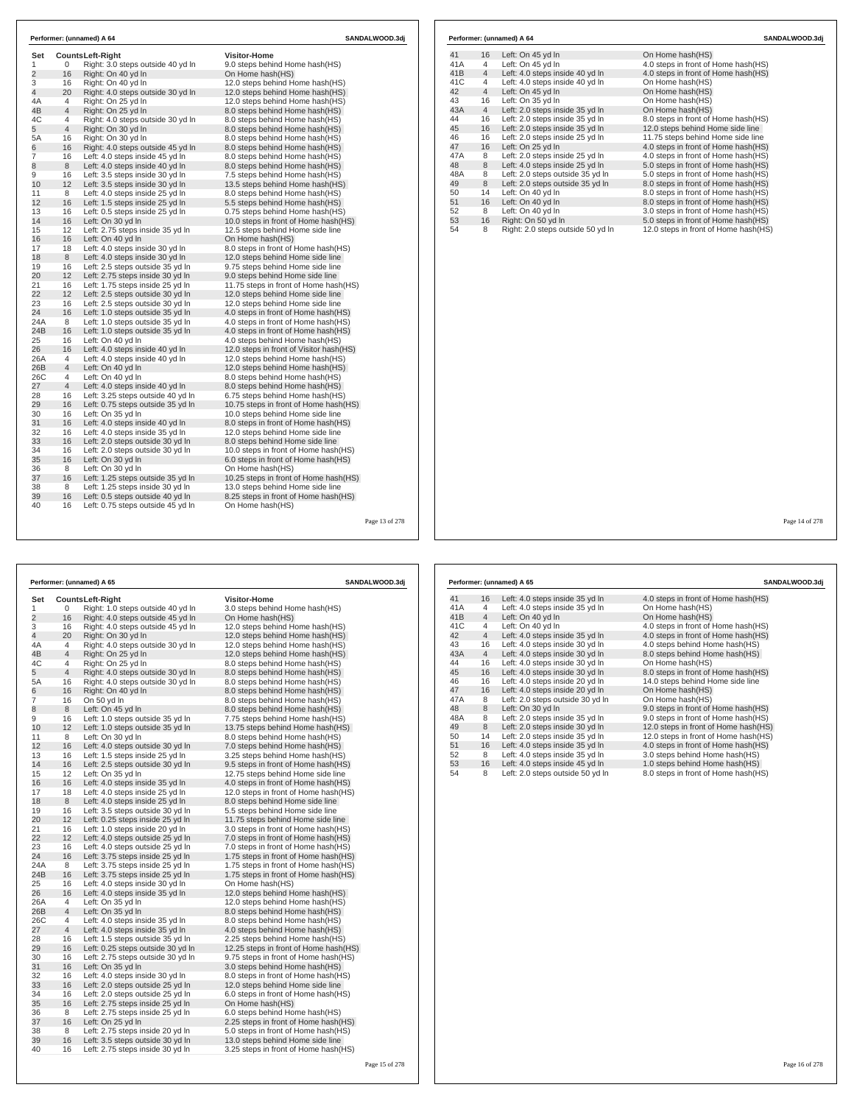| Set            |    | <b>CountsLeft-Right</b>           | <b>Visitor-Home</b>                     |  |
|----------------|----|-----------------------------------|-----------------------------------------|--|
| 1              | 0  | Right: 3.0 steps outside 40 yd In | 9.0 steps behind Home hash(HS)          |  |
| $\overline{c}$ | 16 | Right: On 40 yd In                | On Home hash(HS)                        |  |
| 3              | 16 | Right: On 40 yd In                | 12.0 steps behind Home hash(HS)         |  |
| 4              | 20 | Right: 4.0 steps outside 30 yd In | 12.0 steps behind Home hash(HS)         |  |
| 4A             | 4  | Right: On 25 yd In                | 12.0 steps behind Home hash(HS)         |  |
| 4B             | 4  | Right: On 25 yd In                | 8.0 steps behind Home hash (HS)         |  |
| 4C             | 4  | Right: 4.0 steps outside 30 yd In | 8.0 steps behind Home hash(HS)          |  |
| 5              | 4  | Right: On 30 yd In                | 8.0 steps behind Home hash(HS)          |  |
| 5A             | 16 | Right: On 30 yd In                | 8.0 steps behind Home hash(HS)          |  |
| 6              | 16 | Right: 4.0 steps outside 45 yd In | 8.0 steps behind Home hash(HS)          |  |
| 7              | 16 | Left: 4.0 steps inside 45 yd In   | 8.0 steps behind Home hash(HS)          |  |
| 8              | 8  | Left: 4.0 steps inside 40 yd In   | 8.0 steps behind Home hash(HS)          |  |
| 9              | 16 | Left: 3.5 steps inside 30 yd In   | 7.5 steps behind Home hash(HS)          |  |
| 10             | 12 | Left: 3.5 steps inside 30 yd In   | 13.5 steps behind Home hash(HS)         |  |
| 11             | 8  | Left: 4.0 steps inside 25 yd In   | 8.0 steps behind Home hash(HS)          |  |
| 12             | 16 | Left: 1.5 steps inside 25 yd In   | 5.5 steps behind Home hash (HS)         |  |
| 13             | 16 | Left: 0.5 steps inside 25 yd In   | 0.75 steps behind Home hash(HS)         |  |
| 14             | 16 | Left: On 30 yd In                 | 10.0 steps in front of Home hash(HS)    |  |
| 15             | 12 | Left: 2.75 steps inside 35 yd In  | 12.5 steps behind Home side line        |  |
| 16             | 16 | Left: On 40 yd In                 | On Home hash(HS)                        |  |
| 17             | 18 | Left: 4.0 steps inside 30 yd In   | 8.0 steps in front of Home hash (HS)    |  |
| 18             | 8  | Left: 4.0 steps inside 30 yd In   | 12.0 steps behind Home side line        |  |
| 19             | 16 | Left: 2.5 steps outside 35 yd In  | 9.75 steps behind Home side line        |  |
| 20             | 12 | Left: 2.75 steps inside 30 yd In  | 9.0 steps behind Home side line         |  |
| 21             | 16 | Left: 1.75 steps inside 25 yd In  | 11.75 steps in front of Home hash(HS)   |  |
| 22             | 12 | Left: 2.5 steps outside 30 vd In  | 12.0 steps behind Home side line        |  |
| 23             | 16 | Left: 2.5 steps outside 30 yd In  | 12.0 steps behind Home side line        |  |
| 24             | 16 | Left: 1.0 steps outside 35 vd In  | 4.0 steps in front of Home hash (HS)    |  |
| 24A            | 8  | Left: 1.0 steps outside 35 yd In  | 4.0 steps in front of Home hash(HS)     |  |
| 24B            | 16 | Left: 1.0 steps outside 35 yd In  | 4.0 steps in front of Home hash(HS)     |  |
| 25             | 16 | Left: On 40 yd In                 | 4.0 steps behind Home hash(HS)          |  |
| 26             | 16 | Left: 4.0 steps inside 40 yd In   | 12.0 steps in front of Visitor hash(HS) |  |
| 26A            | 4  | Left: 4.0 steps inside 40 yd In   | 12.0 steps behind Home hash(HS)         |  |
| 26B            | 4  | Left: On 40 yd In                 | 12.0 steps behind Home hash(HS)         |  |
| 26C            | 4  | Left: On 40 vd In                 | 8.0 steps behind Home hash(HS)          |  |
| 27             | 4  | Left: 4.0 steps inside 40 yd In   | 8.0 steps behind Home hash(HS)          |  |
| 28             | 16 | Left: 3.25 steps outside 40 yd In | 6.75 steps behind Home hash (HS)        |  |
| 29             | 16 | Left: 0.75 steps outside 35 yd In | 10.75 steps in front of Home hash(HS)   |  |
| 30             | 16 | Left: On 35 yd In                 | 10.0 steps behind Home side line        |  |
| 31             | 16 | Left: 4.0 steps inside 40 yd In   | 8.0 steps in front of Home hash(HS)     |  |
| 32             | 16 | Left: 4.0 steps inside 35 yd In   | 12.0 steps behind Home side line        |  |
| 33             | 16 | Left: 2.0 steps outside 30 yd In  | 8.0 steps behind Home side line         |  |
| 34             | 16 | Left: 2.0 steps outside 30 yd In  | 10.0 steps in front of Home hash(HS)    |  |
| 35             | 16 | Left: On 30 yd In                 | 6.0 steps in front of Home hash(HS)     |  |
| 36             | 8  | Left: On 30 yd In                 | On Home hash(HS)                        |  |
| 37             | 16 | Left: 1.25 steps outside 35 yd In | 10.25 steps in front of Home hash (HS)  |  |
| 38             | 8  | Left: 1.25 steps inside 30 yd In  | 13.0 steps behind Home side line        |  |
| 39             | 16 | Left: 0.5 steps outside 40 yd In  | 8.25 steps in front of Home hash (HS)   |  |
| 40             | 16 | Left: 0.75 steps outside 45 yd In | On Home hash(HS)                        |  |

|     |                | Performer: (unnamed) A 64         | SANDALWOOD.3di                       |
|-----|----------------|-----------------------------------|--------------------------------------|
| 41  | 16             | Left: On 45 yd In                 | On Home hash(HS)                     |
| 41A | 4              | Left: On 45 yd In                 | 4.0 steps in front of Home hash(HS)  |
| 41B | $\overline{4}$ | Left: 4.0 steps inside 40 yd In   | 4.0 steps in front of Home hash(HS)  |
| 41C | 4              | Left: 4.0 steps inside 40 yd In   | On Home hash(HS)                     |
| 42  | $\overline{4}$ | Left: On 45 yd In                 | On Home hash(HS)                     |
| 43  | 16             | Left: On 35 yd In                 | On Home hash(HS)                     |
| 43A | $\overline{4}$ | Left: 2.0 steps inside 35 yd In   | On Home hash(HS)                     |
| 44  | 16             | Left: 2.0 steps inside 35 yd In   | 8.0 steps in front of Home hash(HS)  |
| 45  | 16             | Left: 2.0 steps inside 35 yd In   | 12.0 steps behind Home side line     |
| 46  | 16             | Left: 2.0 steps inside 25 yd In   | 11.75 steps behind Home side line    |
| 47  | 16             | Left: On 25 yd In                 | 4.0 steps in front of Home hash(HS)  |
| 47A | 8              | Left: 2.0 steps inside 25 yd In   | 4.0 steps in front of Home hash(HS)  |
| 48  | 8              | Left: 4.0 steps inside 25 yd In   | 5.0 steps in front of Home hash(HS)  |
| 48A | 8              | Left: 2.0 steps outside 35 yd In  | 5.0 steps in front of Home hash(HS)  |
| 49  | 8              | Left: 2.0 steps outside 35 yd In  | 8.0 steps in front of Home hash(HS)  |
| 50  | 14             | Left: On 40 yd In                 | 8.0 steps in front of Home hash(HS)  |
| 51  | 16             | Left: On 40 yd In                 | 8.0 steps in front of Home hash(HS)  |
| 52  | 8              | Left: On 40 yd In                 | 3.0 steps in front of Home hash(HS)  |
| 53  | 16             | Right: On 50 yd In                | 5.0 steps in front of Home hash(HS)  |
| 54  | 8              | Right: 2.0 steps outside 50 yd In | 12.0 steps in front of Home hash(HS) |

f 278

 $\Gamma$ 

|                |                | Performer: (unnamed) A 65         | SANDALWOOD.3dj                        |  |
|----------------|----------------|-----------------------------------|---------------------------------------|--|
| Set            |                | <b>CountsLeft-Right</b>           | <b>Visitor-Home</b>                   |  |
| 1              | 0              | Right: 1.0 steps outside 40 yd In | 3.0 steps behind Home hash(HS)        |  |
| $\overline{2}$ | 16             | Right: 4.0 steps outside 45 yd In | On Home hash(HS)                      |  |
| 3              | 16             | Right: 4.0 steps outside 45 yd In | 12.0 steps behind Home hash(HS)       |  |
| $\overline{4}$ | 20             | Right: On 30 yd In                | 12.0 steps behind Home hash(HS)       |  |
| 4A             | 4              | Right: 4.0 steps outside 30 yd In | 12.0 steps behind Home hash(HS)       |  |
| 4B             | 4              | Right: On 25 yd In                | 12.0 steps behind Home hash(HS)       |  |
| 4C             | 4              | Right: On 25 yd In                | 8.0 steps behind Home hash(HS)        |  |
| 5              | $\overline{4}$ | Right: 4.0 steps outside 30 yd In | 8.0 steps behind Home hash(HS)        |  |
| 5A             | 16             | Right: 4.0 steps outside 30 yd In | 8.0 steps behind Home hash(HS)        |  |
| 6              | 16             | Right: On 40 yd In                | 8.0 steps behind Home hash(HS)        |  |
| $\overline{7}$ | 16             | On 50 yd In                       | 8.0 steps behind Home hash(HS)        |  |
| 8              | $\,8\,$        | Left: On 45 yd In                 | 8.0 steps behind Home hash(HS)        |  |
| 9              | 16             | Left: 1.0 steps outside 35 yd In  | 7.75 steps behind Home hash(HS)       |  |
| 10             | 12             | Left: 1.0 steps outside 35 yd In  | 13.75 steps behind Home hash(HS)      |  |
| 11             | 8              | Left: On 30 yd In                 | 8.0 steps behind Home hash(HS)        |  |
| 12             | 16             | Left: 4.0 steps outside 30 yd In  | 7.0 steps behind Home hash(HS)        |  |
| 13             | 16             | Left: 1.5 steps inside 25 yd In   | 3.25 steps behind Home hash(HS)       |  |
| 14             | 16             | Left: 2.5 steps outside 30 yd In  | 9.5 steps in front of Home hash(HS)   |  |
| 15             | 12             | Left: On 35 yd In                 | 12.75 steps behind Home side line     |  |
| 16             | 16             | Left: 4.0 steps inside 35 yd In   | 4.0 steps in front of Home hash (HS)  |  |
| 17             | 18             | Left: 4.0 steps inside 25 yd In   | 12.0 steps in front of Home hash (HS) |  |
| 18             | 8              | Left: 4.0 steps inside 25 yd In   | 8.0 steps behind Home side line       |  |
| 19             | 16             | Left: 3.5 steps outside 30 yd In  | 5.5 steps behind Home side line       |  |
| 20             | 12             | Left: 0.25 steps inside 25 yd In  | 11.75 steps behind Home side line     |  |
| 21             | 16             | Left: 1.0 steps inside 20 yd In   | 3.0 steps in front of Home hash(HS)   |  |
| 22             | 12             | Left: 4.0 steps outside 25 yd In  | 7.0 steps in front of Home hash(HS)   |  |
| 23             | 16             | Left: 4.0 steps outside 25 yd In  | 7.0 steps in front of Home hash(HS)   |  |
| 24             | 16             | Left: 3.75 steps inside 25 yd In  | 1.75 steps in front of Home hash(HS)  |  |
| 24A            | 8              | Left: 3.75 steps inside 25 yd In  | 1.75 steps in front of Home hash(HS)  |  |
| 24B            | 16             | Left: 3.75 steps inside 25 yd In  | 1.75 steps in front of Home hash(HS)  |  |
| 25             | 16             | Left: 4.0 steps inside 30 yd In   | On Home hash(HS)                      |  |
| 26             | 16             | Left: 4.0 steps inside 35 yd In   | 12.0 steps behind Home hash(HS)       |  |
| 26A            | 4              | Left: On 35 yd In                 | 12.0 steps behind Home hash(HS)       |  |
| 26B            | $\overline{4}$ | Left: On 35 yd In                 | 8.0 steps behind Home hash(HS)        |  |
| 26C            | 4              | Left: 4.0 steps inside 35 yd In   | 8.0 steps behind Home hash(HS)        |  |
| 27             | $\overline{4}$ | Left: 4.0 steps inside 35 yd In   | 4.0 steps behind Home hash(HS)        |  |
| 28             | 16             | Left: 1.5 steps outside 35 yd In  | 2.25 steps behind Home hash(HS)       |  |
| 29             | 16             | Left: 0.25 steps outside 30 yd In | 12.25 steps in front of Home hash(HS) |  |
| 30             | 16             | Left: 2.75 steps outside 30 yd In | 9.75 steps in front of Home hash (HS) |  |
| 31             | 16             | Left: On 35 yd In                 | 3.0 steps behind Home hash(HS)        |  |
| 32             | 16             | Left: 4.0 steps inside 30 yd In   | 8.0 steps in front of Home hash(HS)   |  |
| 33             | 16             | Left: 2.0 steps outside 25 yd In  | 12.0 steps behind Home side line      |  |
| 34             | 16             | Left: 2.0 steps outside 25 yd In  | 6.0 steps in front of Home hash(HS)   |  |
| 35             | 16             | Left: 2.75 steps inside 25 yd In  | On Home hash(HS)                      |  |
| 36             | 8              | Left: 2.75 steps inside 25 yd In  | 6.0 steps behind Home hash(HS)        |  |
| 37             | 16             | Left: On 25 yd In                 | 2.25 steps in front of Home hash(HS)  |  |
| 38             | 8              | Left: 2.75 steps inside 20 yd In  | 5.0 steps in front of Home hash(HS)   |  |
| 39             | 16             | Left: 3.5 steps outside 30 yd In  | 13.0 steps behind Home side line      |  |
| 40             | 16             | Left: 2.75 steps inside 30 yd In  | 3.25 steps in front of Home hash(HS)  |  |

|     |                | Performer: (unnamed) A 65        | SANDALWOOD.3di                       |
|-----|----------------|----------------------------------|--------------------------------------|
| 41  | 16             | Left: 4.0 steps inside 35 yd In  | 4.0 steps in front of Home hash (HS) |
| 41A | 4              | Left: 4.0 steps inside 35 yd In  | On Home hash(HS)                     |
| 41B | $\overline{4}$ | Left: On 40 yd In                | On Home hash(HS)                     |
| 41C | 4              | Left: On 40 yd In                | 4.0 steps in front of Home hash(HS)  |
| 42  | $\overline{4}$ | Left: 4.0 steps inside 35 yd In  | 4.0 steps in front of Home hash(HS)  |
| 43  | 16             | Left: 4.0 steps inside 30 yd In  | 4.0 steps behind Home hash(HS)       |
| 43A | $\overline{4}$ | Left: 4.0 steps inside 30 yd In  | 8.0 steps behind Home hash(HS)       |
| 44  | 16             | Left: 4.0 steps inside 30 vd In  | On Home hash(HS)                     |
| 45  | 16             | Left: 4.0 steps inside 30 yd In  | 8.0 steps in front of Home hash(HS)  |
| 46  | 16             | Left: 4.0 steps inside 20 vd In  | 14.0 steps behind Home side line     |
| 47  | 16             | Left: 4.0 steps inside 20 yd In  | On Home hash(HS)                     |
| 47A | 8              | Left: 2.0 steps outside 30 vd In | On Home hash(HS)                     |
| 48  | 8              | Left: On 30 yd In                | 9.0 steps in front of Home hash(HS)  |
| 48A | 8              | Left: 2.0 steps inside 35 yd In  | 9.0 steps in front of Home hash(HS)  |
| 49  | 8              | Left: 2.0 steps inside 30 yd In  | 12.0 steps in front of Home hash(HS) |
| 50  | 14             | Left: 2.0 steps inside 35 yd In  | 12.0 steps in front of Home hash(HS) |
| 51  | 16             | Left: 4.0 steps inside 35 yd In  | 4.0 steps in front of Home hash(HS)  |
| 52  | 8              | Left: 4.0 steps inside 35 yd In  | 3.0 steps behind Home hash(HS)       |
| 53  | 16             | Left: 4.0 steps inside 45 yd In  | 1.0 steps behind Home hash(HS)       |
| 54  | 8              | Left: 2.0 steps outside 50 yd In | 8.0 steps in front of Home hash(HS)  |

Page 14 of 278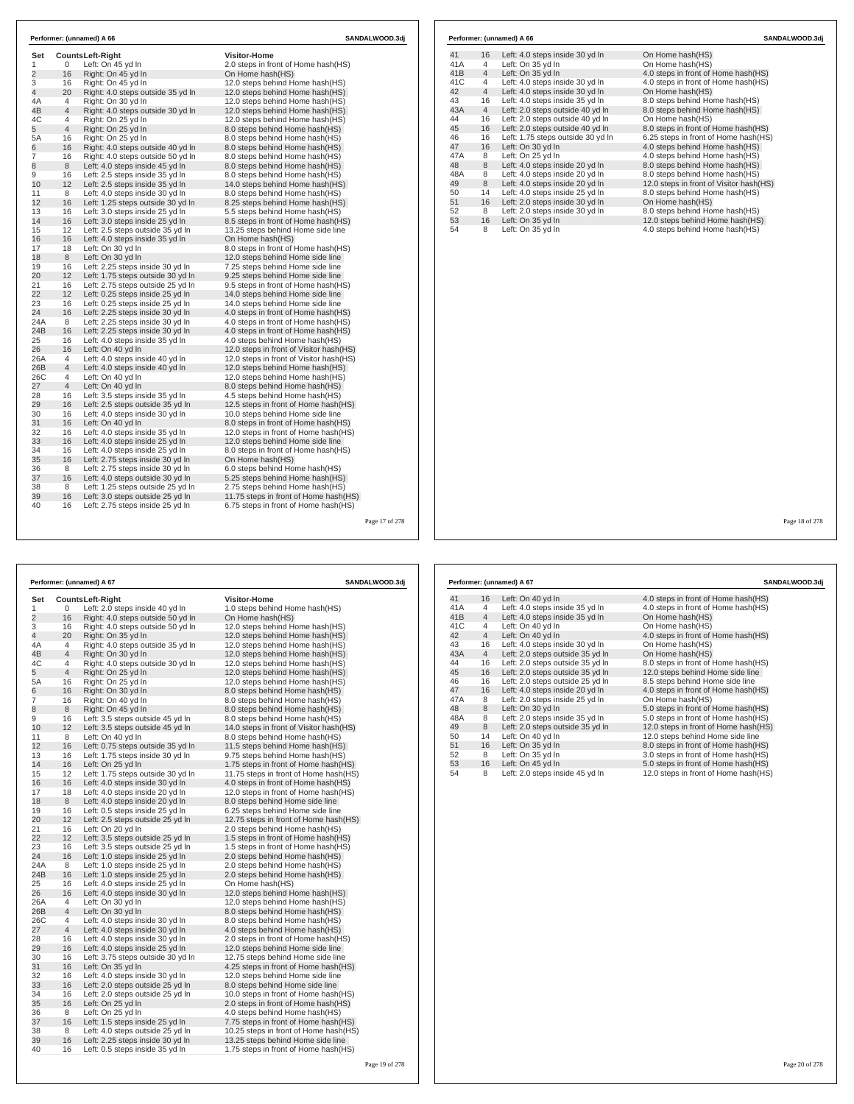| Set            |                | <b>CountsLeft-Right</b>           | <b>Visitor-Home</b>                     |  |
|----------------|----------------|-----------------------------------|-----------------------------------------|--|
| $\mathbf{1}$   | 0              | Left: On 45 yd In                 | 2.0 steps in front of Home hash(HS)     |  |
| $\overline{2}$ | 16             | Right: On 45 yd In                | On Home hash(HS)                        |  |
| 3              | 16             | Right: On 45 vd In                | 12.0 steps behind Home hash(HS)         |  |
| 4              | 20             | Right: 4.0 steps outside 35 yd In | 12.0 steps behind Home hash(HS)         |  |
| 4A             | $\overline{4}$ | Right: On 30 vd In                | 12.0 steps behind Home hash(HS)         |  |
| 4B             | $\overline{4}$ | Right: 4.0 steps outside 30 yd In | 12.0 steps behind Home hash(HS)         |  |
| 4C             | 4              | Right: On 25 yd In                | 12.0 steps behind Home hash(HS)         |  |
| 5              | $\overline{4}$ | Right: On 25 yd In                | 8.0 steps behind Home hash(HS)          |  |
| 5A             | 16             | Right: On 25 yd In                | 8.0 steps behind Home hash(HS)          |  |
| 6              | 16             | Right: 4.0 steps outside 40 yd In | 8.0 steps behind Home hash(HS)          |  |
| $\overline{7}$ | 16             | Right: 4.0 steps outside 50 yd In | 8.0 steps behind Home hash(HS)          |  |
| 8              | 8              | Left: 4.0 steps inside 45 yd In   | 8.0 steps behind Home hash (HS)         |  |
| 9              | 16             | Left: 2.5 steps inside 35 yd In   | 8.0 steps behind Home hash(HS)          |  |
| 10             | 12             | Left: 2.5 steps inside 35 yd In   | 14.0 steps behind Home hash(HS)         |  |
| 11             | 8              | Left: 4.0 steps inside 30 yd In   | 8.0 steps behind Home hash(HS)          |  |
| 12             | 16             | Left: 1.25 steps outside 30 yd In | 8.25 steps behind Home hash(HS)         |  |
| 13             | 16             | Left: 3.0 steps inside 25 yd In   | 5.5 steps behind Home hash(HS)          |  |
| 14             | 16             | Left: 3.0 steps inside 25 yd In   | 8.5 steps in front of Home hash(HS)     |  |
| 15             | 12             | Left: 2.5 steps outside 35 vd In  | 13.25 steps behind Home side line       |  |
| 16             | 16             | Left: 4.0 steps inside 35 yd In   | On Home hash(HS)                        |  |
| 17             | 18             | Left: On 30 yd In                 | 8.0 steps in front of Home hash (HS)    |  |
| 18             | 8              | Left: On 30 yd In                 | 12.0 steps behind Home side line        |  |
| 19             | 16             | Left: 2.25 steps inside 30 yd In  | 7.25 steps behind Home side line        |  |
| 20             | 12             | Left: 1.75 steps outside 30 yd In | 9.25 steps behind Home side line        |  |
| 21             | 16             | Left: 2.75 steps outside 25 yd In | 9.5 steps in front of Home hash (HS)    |  |
| 22             | 12             | Left: 0.25 steps inside 25 yd In  | 14.0 steps behind Home side line        |  |
| 23             | 16             | Left: 0.25 steps inside 25 yd In  | 14.0 steps behind Home side line        |  |
| 24             | 16             | Left: 2.25 steps inside 30 yd In  | 4.0 steps in front of Home hash(HS)     |  |
| 24A            | 8              | Left: 2.25 steps inside 30 yd In  | 4.0 steps in front of Home hash (HS)    |  |
| 24B            | 16             | Left: 2.25 steps inside 30 vd In  | 4.0 steps in front of Home hash(HS)     |  |
| 25             | 16             | Left: 4.0 steps inside 35 yd In   | 4.0 steps behind Home hash(HS)          |  |
| 26             | 16             | Left: On 40 yd In                 | 12.0 steps in front of Visitor hash(HS) |  |
| 26A            | 4              | Left: 4.0 steps inside 40 yd In   | 12.0 steps in front of Visitor hash(HS) |  |
| 26B            | $\overline{4}$ | Left: 4.0 steps inside 40 yd In   | 12.0 steps behind Home hash(HS)         |  |
| 26C            | $\overline{4}$ | Left: On 40 yd In                 | 12.0 steps behind Home hash(HS)         |  |
| 27             | $\overline{4}$ | Left: On 40 yd In                 | 8.0 steps behind Home hash(HS)          |  |
| 28             | 16             | Left: 3.5 steps inside 35 yd In   | 4.5 steps behind Home hash(HS)          |  |
| 29             | 16             | Left: 2.5 steps outside 35 yd In  | 12.5 steps in front of Home hash(HS)    |  |
| 30             | 16             | Left: 4.0 steps inside 30 yd In   | 10.0 steps behind Home side line        |  |
| 31             | 16             | Left: On 40 vd In                 | 8.0 steps in front of Home hash(HS)     |  |
| 32             | 16             | Left: 4.0 steps inside 35 yd In   | 12.0 steps in front of Home hash(HS)    |  |
| 33             | 16             | Left: 4.0 steps inside 25 yd In   | 12.0 steps behind Home side line        |  |
| 34             | 16             | Left: 4.0 steps inside 25 yd In   | 8.0 steps in front of Home hash(HS)     |  |
| 35             | 16             | Left: 2.75 steps inside 30 yd In  | On Home hash(HS)                        |  |
| 36             | 8              | Left: 2.75 steps inside 30 yd In  | 6.0 steps behind Home hash(HS)          |  |
| 37             | 16             | Left: 4.0 steps outside 30 yd In  | 5.25 steps behind Home hash(HS)         |  |
| 38             | 8              | Left: 1.25 steps outside 25 yd In | 2.75 steps behind Home hash(HS)         |  |
| 39             | 16<br>16       | Left: 3.0 steps outside 25 yd In  | 11.75 steps in front of Home hash (HS)  |  |
| 40             |                | Left: 2.75 steps inside 25 yd In  | 6.75 steps in front of Home hash(HS)    |  |

| Left: 4.0 steps inside 30 yd In<br>16<br>Left: On 35 yd In<br>Left: On 35 yd In<br>Left: 4.0 steps inside 30 yd In<br>Left: 4.0 steps inside 30 yd In<br>Left: 4.0 steps inside 35 yd In<br>16 | On Home hash(HS)<br>On Home hash(HS)<br>4.0 steps in front of Home hash(HS)<br>4.0 steps in front of Home hash(HS)<br>On Home hash(HS) |
|------------------------------------------------------------------------------------------------------------------------------------------------------------------------------------------------|----------------------------------------------------------------------------------------------------------------------------------------|
|                                                                                                                                                                                                |                                                                                                                                        |
|                                                                                                                                                                                                |                                                                                                                                        |
|                                                                                                                                                                                                |                                                                                                                                        |
|                                                                                                                                                                                                |                                                                                                                                        |
|                                                                                                                                                                                                |                                                                                                                                        |
|                                                                                                                                                                                                | 8.0 steps behind Home hash(HS)                                                                                                         |
| Left: 2.0 steps outside 40 yd In                                                                                                                                                               | 8.0 steps behind Home hash(HS)                                                                                                         |
| Left: 2.0 steps outside 40 yd In<br>16                                                                                                                                                         | On Home hash(HS)                                                                                                                       |
| Left: 2.0 steps outside 40 yd In                                                                                                                                                               | 8.0 steps in front of Home hash(HS)                                                                                                    |
| Left: 1.75 steps outside 30 yd In                                                                                                                                                              | 6.25 steps in front of Home hash(HS)                                                                                                   |
| Left: On 30 yd In                                                                                                                                                                              | 4.0 steps behind Home hash(HS)                                                                                                         |
| Left: On 25 yd In                                                                                                                                                                              | 4.0 steps behind Home hash(HS)                                                                                                         |
| Left: 4.0 steps inside 20 yd In                                                                                                                                                                | 8.0 steps behind Home hash(HS)                                                                                                         |
| Left: 4.0 steps inside 20 yd In                                                                                                                                                                | 8.0 steps behind Home hash(HS)                                                                                                         |
| Left: 4.0 steps inside 20 yd In                                                                                                                                                                | 12.0 steps in front of Visitor hash(HS)                                                                                                |
| Left: 4.0 steps inside 25 yd In                                                                                                                                                                | 8.0 steps behind Home hash(HS)                                                                                                         |
| Left: 2.0 steps inside 30 yd In                                                                                                                                                                | On Home hash(HS)                                                                                                                       |
| Left: 2.0 steps inside 30 yd In                                                                                                                                                                | 8.0 steps behind Home hash(HS)                                                                                                         |
| Left: On 35 yd In                                                                                                                                                                              | 12.0 steps behind Home hash(HS)                                                                                                        |
| Left: On 35 yd In                                                                                                                                                                              | 4.0 steps behind Home hash(HS)                                                                                                         |
|                                                                                                                                                                                                | 16<br>16<br>16<br>14<br>16<br>16                                                                                                       |

|                | Performer: (unnamed) A 67<br><b>SANDALWOOD.3dj</b> |                                   |                                          |  |  |  |
|----------------|----------------------------------------------------|-----------------------------------|------------------------------------------|--|--|--|
| Set            |                                                    | <b>CountsLeft-Right</b>           | <b>Visitor-Home</b>                      |  |  |  |
| 1              | 0                                                  | Left: 2.0 steps inside 40 yd In   | 1.0 steps behind Home hash(HS)           |  |  |  |
| $\overline{2}$ | 16                                                 | Right: 4.0 steps outside 50 yd In | On Home hash(HS)                         |  |  |  |
| 3              | 16                                                 | Right: 4.0 steps outside 50 yd In | 12.0 steps behind Home hash(HS)          |  |  |  |
| 4              | 20                                                 | Right: On 35 yd In                | 12.0 steps behind Home hash(HS)          |  |  |  |
| 4A             | 4                                                  | Right: 4.0 steps outside 35 yd In | 12.0 steps behind Home hash(HS)          |  |  |  |
| 4B             | 4                                                  | Right: On 30 yd In                | 12.0 steps behind Home hash(HS)          |  |  |  |
| 4C             | 4                                                  | Right: 4.0 steps outside 30 yd In | 12.0 steps behind Home hash(HS)          |  |  |  |
| 5              | 4                                                  | Right: On 25 yd In                | 12.0 steps behind Home hash(HS)          |  |  |  |
| 5A             | 16                                                 | Right: On 25 yd In                | 12.0 steps behind Home hash(HS)          |  |  |  |
| 6              | 16                                                 | Right: On 30 yd In                | 8.0 steps behind Home hash(HS)           |  |  |  |
| 7              | 16                                                 | Right: On 40 yd In                | 8.0 steps behind Home hash(HS)           |  |  |  |
| 8              | 8                                                  | Right: On 45 yd In                | 8.0 steps behind Home hash(HS)           |  |  |  |
| 9              | 16                                                 | Left: 3.5 steps outside 45 yd In  | 8.0 steps behind Home hash(HS)           |  |  |  |
| 10             | 12                                                 | Left: 3.5 steps outside 45 yd In  | 14.0 steps in front of Visitor hash (HS) |  |  |  |
| 11             | 8                                                  | Left: On 40 yd In                 | 8.0 steps behind Home hash(HS)           |  |  |  |
| 12             | 16                                                 | Left: 0.75 steps outside 35 yd In | 11.5 steps behind Home hash(HS)          |  |  |  |
| 13             | 16                                                 | Left: 1.75 steps inside 30 yd In  | 9.75 steps behind Home hash(HS)          |  |  |  |
| 14             | 16                                                 | Left: On 25 yd In                 | 1.75 steps in front of Home hash(HS)     |  |  |  |
| 15             | 12                                                 | Left: 1.75 steps outside 30 yd In | 11.75 steps in front of Home hash(HS)    |  |  |  |
| 16             | 16                                                 | Left: 4.0 steps inside 30 yd In   | 4.0 steps in front of Home hash (HS)     |  |  |  |
| 17             | 18                                                 | Left: 4.0 steps inside 20 yd In   | 12.0 steps in front of Home hash (HS)    |  |  |  |
| 18             | 8                                                  | Left: 4.0 steps inside 20 yd In   | 8.0 steps behind Home side line          |  |  |  |
| 19             | 16                                                 | Left: 0.5 steps inside 25 yd In   | 6.25 steps behind Home side line         |  |  |  |
| 20             | 12                                                 | Left: 2.5 steps outside 25 yd In  | 12.75 steps in front of Home hash(HS)    |  |  |  |
| 21             | 16                                                 | Left: On 20 yd In                 | 2.0 steps behind Home hash (HS)          |  |  |  |
| 22             | 12                                                 | Left: 3.5 steps outside 25 yd In  | 1.5 steps in front of Home hash (HS)     |  |  |  |
| 23             | 16                                                 | Left: 3.5 steps outside 25 yd In  | 1.5 steps in front of Home hash (HS)     |  |  |  |
| 24             | 16                                                 | Left: 1.0 steps inside 25 yd In   | 2.0 steps behind Home hash(HS)           |  |  |  |
| 24A            | 8                                                  | Left: 1.0 steps inside 25 yd In   | 2.0 steps behind Home hash(HS)           |  |  |  |
| 24B            | 16                                                 | Left: 1.0 steps inside 25 yd In   | 2.0 steps behind Home hash(HS)           |  |  |  |
| 25             | 16                                                 | Left: 4.0 steps inside 25 yd In   | On Home hash(HS)                         |  |  |  |
| 26             | 16                                                 | Left: 4.0 steps inside 30 yd In   | 12.0 steps behind Home hash(HS)          |  |  |  |
| 26A            | 4                                                  | Left: On 30 yd In                 | 12.0 steps behind Home hash(HS)          |  |  |  |
| 26B            | 4                                                  | Left: On 30 yd In                 | 8.0 steps behind Home hash(HS)           |  |  |  |
| 26C            | 4                                                  | Left: 4.0 steps inside 30 yd In   | 8.0 steps behind Home hash(HS)           |  |  |  |
| 27             | $\overline{4}$                                     | Left: 4.0 steps inside 30 yd In   | 4.0 steps behind Home hash(HS)           |  |  |  |
| 28             | 16                                                 | Left: 4.0 steps inside 30 yd In   | 2.0 steps in front of Home hash(HS)      |  |  |  |
| 29             | 16                                                 | Left: 4.0 steps inside 25 yd In   | 12.0 steps behind Home side line         |  |  |  |
| 30             | 16                                                 | Left: 3.75 steps outside 30 yd In | 12.75 steps behind Home side line        |  |  |  |
| 31             | 16                                                 | Left: On 35 yd In                 | 4.25 steps in front of Home hash (HS)    |  |  |  |
| 32             | 16                                                 | Left: 4.0 steps inside 30 yd In   | 12.0 steps behind Home side line         |  |  |  |
| 33             | 16                                                 | Left: 2.0 steps outside 25 yd In  | 8.0 steps behind Home side line          |  |  |  |
| 34             | 16                                                 | Left: 2.0 steps outside 25 yd In  | 10.0 steps in front of Home hash(HS)     |  |  |  |
| 35             | 16                                                 | Left: On 25 yd In                 | 2.0 steps in front of Home hash(HS)      |  |  |  |
| 36             | 8                                                  | Left: On 25 yd In                 | 4.0 steps behind Home hash(HS)           |  |  |  |
| 37             | 16                                                 | Left: 1.5 steps inside 25 yd In   | 7.75 steps in front of Home hash(HS)     |  |  |  |
| 38             | 8                                                  | Left: 4.0 steps outside 25 yd In  | 10.25 steps in front of Home hash(HS)    |  |  |  |
| 39             | 16                                                 | Left: 2.25 steps inside 30 yd In  | 13.25 steps behind Home side line        |  |  |  |
| 40             | 16                                                 | Left: 0.5 steps inside 35 yd In   | 1.75 steps in front of Home hash(HS)     |  |  |  |
|                |                                                    |                                   |                                          |  |  |  |

|     |                | Performer: (unnamed) A 67        | SANDALWOOD.3dj                       |
|-----|----------------|----------------------------------|--------------------------------------|
| 41  | 16             | Left: On 40 yd In                | 4.0 steps in front of Home hash (HS) |
| 41A | 4              | Left: 4.0 steps inside 35 yd In  | 4.0 steps in front of Home hash(HS)  |
| 41B | $\overline{4}$ | Left: 4.0 steps inside 35 yd In  | On Home hash(HS)                     |
| 41C | 4              | Left: On 40 yd In                | On Home hash(HS)                     |
| 42  | $\overline{4}$ | Left: On 40 yd In                | 4.0 steps in front of Home hash(HS)  |
| 43  | 16             | Left: 4.0 steps inside 30 yd In  | On Home hash(HS)                     |
| 43A | $\overline{4}$ | Left: 2.0 steps outside 35 yd In | On Home hash(HS)                     |
| 44  | 16             | Left: 2.0 steps outside 35 vd In | 8.0 steps in front of Home hash(HS)  |
| 45  | 16             | Left: 2.0 steps outside 35 yd In | 12.0 steps behind Home side line     |
| 46  | 16             | Left: 2.0 steps outside 25 yd In | 8.5 steps behind Home side line      |
| 47  | 16             | Left: 4.0 steps inside 20 yd In  | 4.0 steps in front of Home hash (HS) |
| 47A | 8              | Left: 2.0 steps inside 25 yd In  | On Home hash(HS)                     |
| 48  | 8              | Left: On 30 yd In                | 5.0 steps in front of Home hash(HS)  |
| 48A | 8              | Left: 2.0 steps inside 35 yd In  | 5.0 steps in front of Home hash(HS)  |
| 49  | 8              | Left: 2.0 steps outside 35 yd In | 12.0 steps in front of Home hash(HS) |
| 50  | 14             | Left: On 40 yd In                | 12.0 steps behind Home side line     |
| 51  | 16             | Left: On 35 yd In                | 8.0 steps in front of Home hash(HS)  |
| 52  | 8              | Left: On 35 yd In                | 3.0 steps in front of Home hash(HS)  |
| 53  | 16             | Left: On 45 yd In                | 5.0 steps in front of Home hash(HS)  |
| 54  | 8              | Left: 2.0 steps inside 45 yd In  | 12.0 steps in front of Home hash(HS) |

Page 18 of 278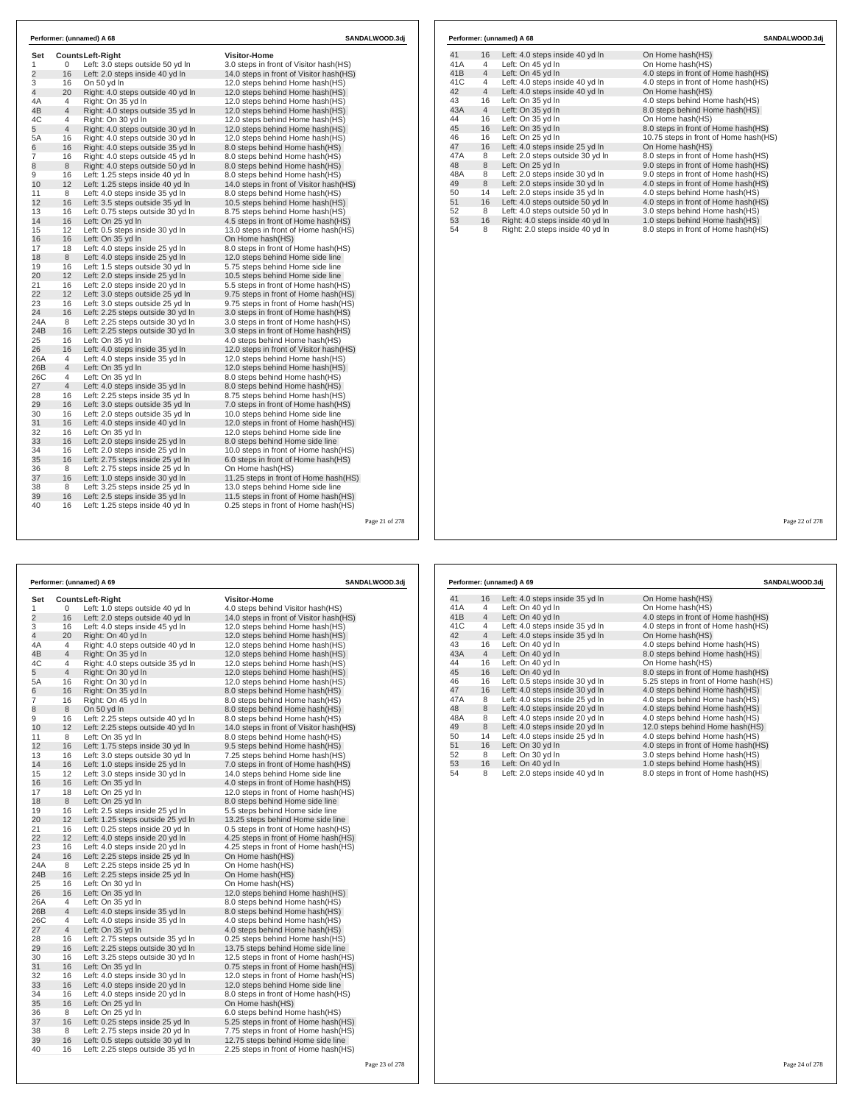| Set            |                     | Counts Left-Right                                                      | <b>Visitor-Home</b>                                                         |  |
|----------------|---------------------|------------------------------------------------------------------------|-----------------------------------------------------------------------------|--|
| 1              | 0                   | Left: 3.0 steps outside 50 yd In                                       | 3.0 steps in front of Visitor hash(HS)                                      |  |
| $\overline{2}$ | 16                  | Left: 2.0 steps inside 40 yd In                                        | 14.0 steps in front of Visitor hash (HS)                                    |  |
| 3              | 16                  | On 50 yd In                                                            | 12.0 steps behind Home hash(HS)                                             |  |
| 4              | 20                  | Right: 4.0 steps outside 40 yd In                                      | 12.0 steps behind Home hash(HS)                                             |  |
| 4A             | $\overline{4}$      | Right: On 35 yd In                                                     | 12.0 steps behind Home hash(HS)                                             |  |
| 4B             | $\overline{4}$      | Right: 4.0 steps outside 35 yd In                                      | 12.0 steps behind Home hash(HS)                                             |  |
| 4C             | 4<br>$\overline{4}$ | Right: On 30 yd In                                                     | 12.0 steps behind Home hash(HS)                                             |  |
| 5              |                     | Right: 4.0 steps outside 30 yd In                                      | 12.0 steps behind Home hash (HS)                                            |  |
| 5A             | 16<br>16            | Right: 4.0 steps outside 30 yd In<br>Right: 4.0 steps outside 35 yd In | 12.0 steps behind Home hash(HS)                                             |  |
| 6              |                     |                                                                        | 8.0 steps behind Home hash(HS)                                              |  |
| 7              | 16                  | Right: 4.0 steps outside 45 yd In                                      | 8.0 steps behind Home hash(HS)                                              |  |
| 8<br>9         | 8<br>16             | Right: 4.0 steps outside 50 yd In<br>Left: 1.25 steps inside 40 yd In  | 8.0 steps behind Home hash(HS)<br>8.0 steps behind Home hash(HS)            |  |
| 10             | 12                  |                                                                        |                                                                             |  |
| 11             | 8                   | Left: 1.25 steps inside 40 yd In<br>Left: 4.0 steps inside 35 yd In    | 14.0 steps in front of Visitor hash (HS)                                    |  |
| 12             | 16                  | Left: 3.5 steps outside 35 yd In                                       | 8.0 steps behind Home hash(HS)<br>10.5 steps behind Home hash(HS)           |  |
|                | 16                  | Left: 0.75 steps outside 30 yd In                                      |                                                                             |  |
| 13<br>14       | 16                  | Left: On 25 yd In                                                      | 8.75 steps behind Home hash(HS)                                             |  |
| 15             | 12                  | Left: 0.5 steps inside 30 yd In                                        | 4.5 steps in front of Home hash(HS)<br>13.0 steps in front of Home hash(HS) |  |
| 16             | 16                  | Left: On 35 yd In                                                      | On Home hash(HS)                                                            |  |
| 17             | 18                  | Left: 4.0 steps inside 25 yd In                                        | 8.0 steps in front of Home hash(HS)                                         |  |
| 18             | 8                   | Left: 4.0 steps inside 25 yd In                                        | 12.0 steps behind Home side line                                            |  |
| 19             | 16                  | Left: 1.5 steps outside 30 yd In                                       | 5.75 steps behind Home side line                                            |  |
| 20             | 12                  | Left: 2.0 steps inside 25 yd In                                        | 10.5 steps behind Home side line                                            |  |
| 21             | 16                  | Left: 2.0 steps inside 20 yd In                                        | 5.5 steps in front of Home hash(HS)                                         |  |
| 22             | 12                  | Left: 3.0 steps outside 25 vd In                                       | 9.75 steps in front of Home hash(HS)                                        |  |
| 23             | 16                  | Left: 3.0 steps outside 25 yd In                                       | 9.75 steps in front of Home hash(HS)                                        |  |
| 24             | 16                  | Left: 2.25 steps outside 30 yd In                                      | 3.0 steps in front of Home hash(HS)                                         |  |
| 24A            | 8                   | Left: 2.25 steps outside 30 yd In                                      | 3.0 steps in front of Home hash(HS)                                         |  |
| 24B            | 16                  | Left: 2.25 steps outside 30 yd In                                      | 3.0 steps in front of Home hash(HS)                                         |  |
| 25             | 16                  | Left: On 35 yd In                                                      | 4.0 steps behind Home hash(HS)                                              |  |
| 26             | 16                  | Left: 4.0 steps inside 35 yd In                                        | 12.0 steps in front of Visitor hash(HS)                                     |  |
| 26A            | 4                   | Left: 4.0 steps inside 35 yd In                                        | 12.0 steps behind Home hash(HS)                                             |  |
| 26B            | $\overline{4}$      | Left: On 35 yd In                                                      | 12.0 steps behind Home hash(HS)                                             |  |
| 26C            | 4                   | Left: On 35 yd In                                                      | 8.0 steps behind Home hash(HS)                                              |  |
| 27             | $\overline{4}$      | Left: 4.0 steps inside 35 yd In                                        | 8.0 steps behind Home hash(HS)                                              |  |
| 28             | 16                  | Left: 2.25 steps inside 35 yd In                                       | 8.75 steps behind Home hash(HS)                                             |  |
| 29             | 16                  | Left: 3.0 steps outside 35 yd In                                       | 7.0 steps in front of Home hash(HS)                                         |  |
| 30             | 16                  | Left: 2.0 steps outside 35 yd In                                       | 10.0 steps behind Home side line                                            |  |
| 31             | 16                  | Left: 4.0 steps inside 40 yd In                                        | 12.0 steps in front of Home hash (HS)                                       |  |
| 32             | 16                  | Left: On 35 yd In                                                      | 12.0 steps behind Home side line                                            |  |
| 33             | 16                  | Left: 2.0 steps inside 25 yd In                                        | 8.0 steps behind Home side line                                             |  |
| 34             | 16                  | Left: 2.0 steps inside 25 yd In                                        | 10.0 steps in front of Home hash(HS)                                        |  |
| 35             | 16                  | Left: 2.75 steps inside 25 yd In                                       | 6.0 steps in front of Home hash(HS)                                         |  |
| 36             | 8                   | Left: 2.75 steps inside 25 yd In                                       | On Home hash(HS)                                                            |  |
| 37             | 16                  | Left: 1.0 steps inside 30 yd In                                        | 11.25 steps in front of Home hash(HS)                                       |  |
| 38             | 8                   | Left: 3.25 steps inside 25 yd In                                       | 13.0 steps behind Home side line                                            |  |
| 39             | 16                  | Left: 2.5 steps inside 35 yd In                                        | 11.5 steps in front of Home hash (HS)                                       |  |
| 40             | 16                  | Left: 1.25 steps inside 40 yd In                                       | 0.25 steps in front of Home hash(HS)                                        |  |

| 41  | 16             | Left: 4.0 steps inside 40 yd In  | On Home hash(HS)                      |
|-----|----------------|----------------------------------|---------------------------------------|
| 41A | 4              | Left: On 45 yd In                | On Home hash(HS)                      |
| 41B | $\overline{4}$ | Left: On 45 yd In                | 4.0 steps in front of Home hash(HS)   |
| 41C | $\overline{4}$ | Left: 4.0 steps inside 40 yd In  | 4.0 steps in front of Home hash(HS)   |
| 42  | $\overline{4}$ | Left: 4.0 steps inside 40 yd In  | On Home hash(HS)                      |
| 43  | 16             | Left: On 35 yd In                | 4.0 steps behind Home hash(HS)        |
| 43A | $\overline{4}$ | Left: On 35 yd In                | 8.0 steps behind Home hash(HS)        |
| 44  | 16             | Left: On 35 yd In                | On Home hash(HS)                      |
| 45  | 16             | Left: On 35 yd In                | 8.0 steps in front of Home hash(HS)   |
| 46  | 16             | Left: On 25 yd In                | 10.75 steps in front of Home hash(HS) |
| 47  | 16             | Left: 4.0 steps inside 25 yd In  | On Home hash(HS)                      |
| 47A | 8              | Left: 2.0 steps outside 30 yd In | 8.0 steps in front of Home hash (HS)  |
| 48  | 8              | Left: On 25 yd In                | 9.0 steps in front of Home hash(HS)   |
| 48A | 8              | Left: 2.0 steps inside 30 yd In  | 9.0 steps in front of Home hash(HS)   |
| 49  | 8              | Left: 2.0 steps inside 30 yd In  | 4.0 steps in front of Home hash(HS)   |
| 50  | 14             | Left: 2.0 steps inside 35 yd In  | 4.0 steps behind Home hash(HS)        |
| 51  | 16             | Left: 4.0 steps outside 50 yd In | 4.0 steps in front of Home hash(HS)   |
| 52  | 8              | Left: 4.0 steps outside 50 yd In | 3.0 steps behind Home hash(HS)        |
| 53  | 16             | Right: 4.0 steps inside 40 yd In | 1.0 steps behind Home hash(HS)        |
| 54  | 8              | Right: 2.0 steps inside 40 yd In | 8.0 steps in front of Home hash(HS)   |

Page 21 of 278

|                |                     | Performer: (unnamed) A 69                                          | <b>SANDALWOOD.3dj</b>                                            |  |
|----------------|---------------------|--------------------------------------------------------------------|------------------------------------------------------------------|--|
| Set            |                     | <b>CountsLeft-Right</b>                                            | Visitor-Home                                                     |  |
| 1              | 0                   | Left: 1.0 steps outside 40 yd In                                   | 4.0 steps behind Visitor hash(HS)                                |  |
| $\overline{2}$ | 16                  | Left: 2.0 steps outside 40 yd In                                   | 14.0 steps in front of Visitor hash(HS)                          |  |
| 3              | 16                  | Left: 4.0 steps inside 45 yd In                                    | 12.0 steps behind Home hash(HS)                                  |  |
| 4              | 20                  | Right: On 40 yd In                                                 | 12.0 steps behind Home hash(HS)                                  |  |
| 4A             | 4                   | Right: 4.0 steps outside 40 yd In                                  | 12.0 steps behind Home hash(HS)                                  |  |
| 4B             | 4                   | Right: On 35 yd In                                                 | 12.0 steps behind Home hash(HS)                                  |  |
| 4C             | 4                   | Right: 4.0 steps outside 35 yd In                                  | 12.0 steps behind Home hash(HS)                                  |  |
| 5              | 4                   | Right: On 30 yd In                                                 | 12.0 steps behind Home hash(HS)                                  |  |
| 5A             | 16                  | Right: On 30 yd In                                                 | 12.0 steps behind Home hash(HS)                                  |  |
| 6              | 16                  | Right: On 35 yd In                                                 | 8.0 steps behind Home hash(HS)                                   |  |
| 7              | 16                  | Right: On 45 yd In                                                 | 8.0 steps behind Home hash(HS)                                   |  |
| 8              | 8                   | On 50 yd In                                                        | 8.0 steps behind Home hash(HS)                                   |  |
| 9              | 16                  | Left: 2.25 steps outside 40 yd In                                  | 8.0 steps behind Home hash(HS)                                   |  |
| 10             | 12                  | Left: 2.25 steps outside 40 yd In                                  | 14.0 steps in front of Visitor hash(HS)                          |  |
| 11             | 8                   | Left: On 35 yd In                                                  | 8.0 steps behind Home hash(HS)                                   |  |
| 12             | 16                  | Left: 1.75 steps inside 30 yd In                                   | 9.5 steps behind Home hash(HS)                                   |  |
| 13             | 16                  | Left: 3.0 steps outside 30 yd In                                   | 7.25 steps behind Home hash(HS)                                  |  |
| 14             | 16                  | Left: 1.0 steps inside 25 yd In                                    | 7.0 steps in front of Home hash(HS)                              |  |
| 15             | 12                  | Left: 3.0 steps inside 30 yd In                                    | 14.0 steps behind Home side line                                 |  |
| 16             | 16                  | Left: On 35 yd In                                                  | 4.0 steps in front of Home hash(HS)                              |  |
| 17             | 18                  | Left: On 25 yd In                                                  | 12.0 steps in front of Home hash (HS)                            |  |
| 18             | 8                   | Left: On 25 yd In                                                  | 8.0 steps behind Home side line                                  |  |
| 19             | 16                  | Left: 2.5 steps inside 25 yd In                                    | 5.5 steps behind Home side line                                  |  |
| 20             | 12                  | Left: 1.25 steps outside 25 yd In                                  | 13.25 steps behind Home side line                                |  |
| 21             | 16                  | Left: 0.25 steps inside 20 yd In                                   | 0.5 steps in front of Home hash (HS)                             |  |
| 22             | 12                  | Left: 4.0 steps inside 20 yd In                                    | 4.25 steps in front of Home hash (HS)                            |  |
| 23             | 16                  | Left: 4.0 steps inside 20 yd In                                    | 4.25 steps in front of Home hash(HS)                             |  |
| 24             | 16                  | Left: 2.25 steps inside 25 yd In                                   | On Home hash(HS)                                                 |  |
| 24A            | 8                   | Left: 2.25 steps inside 25 yd In                                   | On Home hash(HS)                                                 |  |
| 24B            | 16                  | Left: 2.25 steps inside 25 yd In                                   | On Home hash(HS)                                                 |  |
| 25             | 16<br>16            | Left: On 30 yd In                                                  | On Home hash(HS)                                                 |  |
| 26             |                     | Left: On 35 yd In                                                  | 12.0 steps behind Home hash(HS)                                  |  |
| 26A<br>26B     | 4<br>$\overline{4}$ | Left: On 35 yd In                                                  | 8.0 steps behind Home hash(HS)                                   |  |
| 26C            | 4                   | Left: 4.0 steps inside 35 yd In<br>Left: 4.0 steps inside 35 yd In | 8.0 steps behind Home hash(HS)                                   |  |
| 27             | $\overline{4}$      | Left: On 35 yd In                                                  | 4.0 steps behind Home hash(HS)<br>4.0 steps behind Home hash(HS) |  |
| 28             | 16                  | Left: 2.75 steps outside 35 yd In                                  | 0.25 steps behind Home hash(HS)                                  |  |
| 29             | 16                  | Left: 2.25 steps outside 30 yd In                                  | 13.75 steps behind Home side line                                |  |
| 30             | 16                  | Left: 3.25 steps outside 30 yd In                                  | 12.5 steps in front of Home hash(HS)                             |  |
| 31             | 16                  | Left: On 35 yd In                                                  | 0.75 steps in front of Home hash(HS)                             |  |
| 32             | 16                  | Left: 4.0 steps inside 30 yd In                                    | 12.0 steps in front of Home hash (HS)                            |  |
| 33             | 16                  | Left: 4.0 steps inside 20 yd In                                    | 12.0 steps behind Home side line                                 |  |
| 34             | 16                  | Left: 4.0 steps inside 20 yd In                                    | 8.0 steps in front of Home hash(HS)                              |  |
| 35             | 16                  | Left: On 25 yd In                                                  | On Home hash(HS)                                                 |  |
| 36             | 8                   | Left: On 25 yd In                                                  | 6.0 steps behind Home hash (HS)                                  |  |
| 37             | 16                  | Left: 0.25 steps inside 25 yd In                                   | 5.25 steps in front of Home hash(HS)                             |  |
| 38             | 8                   | Left: 2.75 steps inside 20 yd In                                   | 7.75 steps in front of Home hash(HS)                             |  |
| 39             | 16                  | Left: 0.5 steps outside 30 yd In                                   | 12.75 steps behind Home side line                                |  |
| 40             | 16                  | Left: 2.25 steps outside 35 yd In                                  | 2.25 steps in front of Home hash(HS)                             |  |

Page 22 of 278

|     |                | Performer: (unnamed) A 69       | SANDALWOOD.3dj                       |
|-----|----------------|---------------------------------|--------------------------------------|
| 41  | 16             | Left: 4.0 steps inside 35 yd In | On Home hash(HS)                     |
| 41A | 4              | Left: On 40 yd In               | On Home hash(HS)                     |
| 41B | $\overline{4}$ | Left: On 40 yd In               | 4.0 steps in front of Home hash(HS)  |
| 41C | 4              | Left: 4.0 steps inside 35 yd In | 4.0 steps in front of Home hash(HS)  |
| 42  | $\overline{4}$ | Left: 4.0 steps inside 35 yd In | On Home hash(HS)                     |
| 43  | 16             | Left: On 40 yd In               | 4.0 steps behind Home hash(HS)       |
| 43A | $\overline{4}$ | Left: On 40 yd In               | 8.0 steps behind Home hash(HS)       |
| 44  | 16             | Left: On 40 vd In               | On Home hash(HS)                     |
| 45  | 16             | Left: On 40 yd In               | 8.0 steps in front of Home hash (HS) |
| 46  | 16             | Left: 0.5 steps inside 30 yd In | 5.25 steps in front of Home hash(HS) |
| 47  | 16             | Left: 4.0 steps inside 30 yd In | 4.0 steps behind Home hash(HS)       |
| 47A | 8              | Left: 4.0 steps inside 25 yd In | 4.0 steps behind Home hash(HS)       |
| 48  | 8              | Left: 4.0 steps inside 20 yd In | 4.0 steps behind Home hash(HS)       |
| 48A | 8              | Left: 4.0 steps inside 20 yd In | 4.0 steps behind Home hash(HS)       |
| 49  | 8              | Left: 4.0 steps inside 20 yd In | 12.0 steps behind Home hash(HS)      |
| 50  | 14             | Left: 4.0 steps inside 25 yd In | 4.0 steps behind Home hash(HS)       |
| 51  | 16             | Left: On 30 yd In               | 4.0 steps in front of Home hash(HS)  |
| 52  | 8              | Left: On 30 yd In               | 3.0 steps behind Home hash(HS)       |
| 53  | 16             | Left: On 40 yd In               | 1.0 steps behind Home hash(HS)       |
| 54  | 8              | Left: 2.0 steps inside 40 yd In | 8.0 steps in front of Home hash (HS) |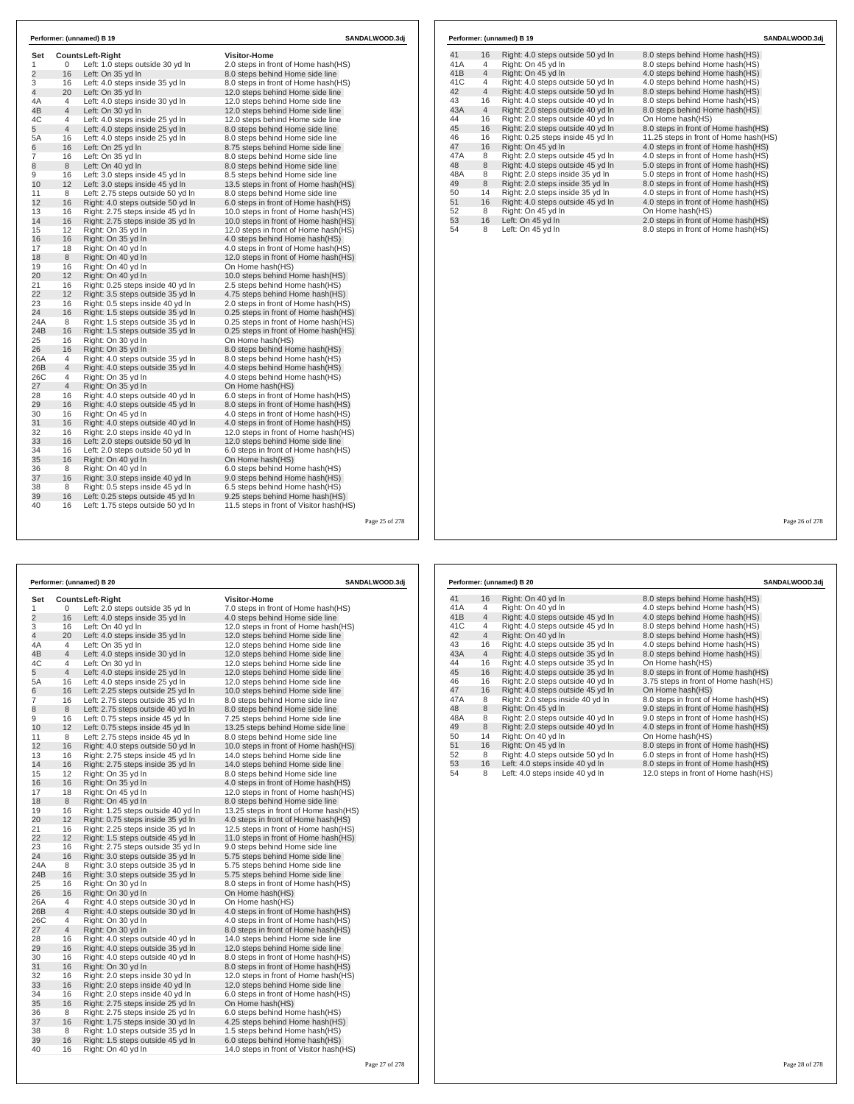| Set<br>1       | 0              | <b>CountsLeft-Right</b><br>Left: 1.0 steps outside 30 yd In            | <b>Visitor-Home</b><br>2.0 steps in front of Home hash(HS)                 |                |
|----------------|----------------|------------------------------------------------------------------------|----------------------------------------------------------------------------|----------------|
| $\overline{2}$ | 16             | Left: On 35 yd In                                                      | 8.0 steps behind Home side line                                            |                |
| 3              | 16             | Left: 4.0 steps inside 35 yd In                                        | 8.0 steps in front of Home hash (HS)                                       |                |
| 4              | 20             | Left: On 35 yd In                                                      | 12.0 steps behind Home side line                                           |                |
| 4A             | 4              | Left: 4.0 steps inside 30 yd In                                        | 12.0 steps behind Home side line                                           |                |
| 4B             | $\overline{4}$ | Left: On 30 yd In                                                      | 12.0 steps behind Home side line                                           |                |
| 4C             | $\overline{4}$ | Left: 4.0 steps inside 25 yd In                                        | 12.0 steps behind Home side line                                           |                |
| 5              | $\overline{4}$ | Left: 4.0 steps inside 25 yd In                                        | 8.0 steps behind Home side line                                            |                |
| 5A             | 16             | Left: 4.0 steps inside 25 yd In                                        | 8.0 steps behind Home side line                                            |                |
| 6              | 16             | Left: On 25 yd In                                                      | 8.75 steps behind Home side line                                           |                |
| 7              | 16             | Left: On 35 yd In                                                      | 8.0 steps behind Home side line                                            |                |
| 8              | 8              | Left: On 40 vd In                                                      | 8.0 steps behind Home side line                                            |                |
| 9              | 16             | Left: 3.0 steps inside 45 yd In                                        | 8.5 steps behind Home side line                                            |                |
| 10             | 12             | Left: 3.0 steps inside 45 yd In                                        | 13.5 steps in front of Home hash(HS)                                       |                |
| 11             | 8              | Left: 2.75 steps outside 50 yd In                                      | 8.0 steps behind Home side line                                            |                |
| 12             | 16             | Right: 4.0 steps outside 50 yd In                                      | 6.0 steps in front of Home hash(HS)                                        |                |
| 13             | 16             | Right: 2.75 steps inside 45 yd In                                      | 10.0 steps in front of Home hash(HS)                                       |                |
| 14             | 16             | Right: 2.75 steps inside 35 yd In                                      | 10.0 steps in front of Home hash(HS)                                       |                |
| 15             | 12             | Right: On 35 yd In                                                     | 12.0 steps in front of Home hash(HS)                                       |                |
| 16             | 16             | Right: On 35 yd In                                                     | 4.0 steps behind Home hash(HS)                                             |                |
| 17             | 18             | Right: On 40 yd In                                                     | 4.0 steps in front of Home hash(HS)                                        |                |
| 18             | 8              | Right: On 40 yd In                                                     | 12.0 steps in front of Home hash(HS)                                       |                |
| 19             | 16             | Right: On 40 yd In                                                     | On Home hash(HS)                                                           |                |
| 20             | 12             | Right: On 40 yd In                                                     | 10.0 steps behind Home hash(HS)                                            |                |
| 21             | 16             | Right: 0.25 steps inside 40 yd In                                      | 2.5 steps behind Home hash(HS)                                             |                |
| 22             | 12             | Right: 3.5 steps outside 35 yd In                                      | 4.75 steps behind Home hash(HS)                                            |                |
| 23             | 16             | Right: 0.5 steps inside 40 yd In                                       | 2.0 steps in front of Home hash(HS)                                        |                |
| 24             | 16             | Right: 1.5 steps outside 35 vd In                                      | 0.25 steps in front of Home hash(HS)                                       |                |
| 24A            | 8              | Right: 1.5 steps outside 35 yd In                                      | 0.25 steps in front of Home hash(HS)                                       |                |
| 24B            | 16             | Right: 1.5 steps outside 35 yd In                                      | 0.25 steps in front of Home hash(HS)                                       |                |
| 25             | 16             | Right: On 30 yd In                                                     | On Home hash(HS)                                                           |                |
| 26             | 16             | Right: On 35 yd In                                                     | 8.0 steps behind Home hash(HS)                                             |                |
| 26A            | 4              | Right: 4.0 steps outside 35 yd In                                      | 8.0 steps behind Home hash(HS)                                             |                |
| 26B            | $\overline{4}$ | Right: 4.0 steps outside 35 yd In                                      | 4.0 steps behind Home hash(HS)                                             |                |
| 26C            | 4              | Right: On 35 yd In                                                     | 4.0 steps behind Home hash(HS)                                             |                |
| 27             | $\overline{4}$ | Right: On 35 yd In                                                     | On Home hash(HS)                                                           |                |
| 28             | 16             | Right: 4.0 steps outside 40 yd In                                      | 6.0 steps in front of Home hash(HS)                                        |                |
| 29             | 16             | Right: 4.0 steps outside 45 yd In                                      | 8.0 steps in front of Home hash(HS)                                        |                |
| 30             | 16             | Right: On 45 yd In                                                     | 4.0 steps in front of Home hash(HS)                                        |                |
| 31             | 16             | Right: 4.0 steps outside 40 yd In                                      | 4.0 steps in front of Home hash(HS)                                        |                |
| 32             | 16             | Right: 2.0 steps inside 40 yd In                                       | 12.0 steps in front of Home hash(HS)                                       |                |
| 33             | 16             | Left: 2.0 steps outside 50 yd In                                       | 12.0 steps behind Home side line                                           |                |
| 34             | 16             | Left: 2.0 steps outside 50 yd In                                       | 6.0 steps in front of Home hash(HS)                                        |                |
| 35             | 16             | Right: On 40 yd In                                                     | On Home hash(HS)                                                           |                |
| 36             | 8              | Right: On 40 yd In                                                     | 6.0 steps behind Home hash(HS)                                             |                |
| 37             | 16             | Right: 3.0 steps inside 40 yd In                                       | 9.0 steps behind Home hash(HS)                                             |                |
| 38             | 8              | Right: 0.5 steps inside 45 yd In                                       | 6.5 steps behind Home hash(HS)                                             |                |
| 39<br>40       | 16<br>16       | Left: 0.25 steps outside 45 yd In<br>Left: 1.75 steps outside 50 vd In | 9.25 steps behind Home hash(HS)<br>11.5 steps in front of Visitor hash(HS) |                |
|                |                |                                                                        |                                                                            |                |
|                |                |                                                                        |                                                                            | Page 25 of 278 |
|                |                |                                                                        |                                                                            |                |

|              |                | Performer: (unnamed) B 20          | <b>SANDALWOOD.3dj</b>                   |  |  |
|--------------|----------------|------------------------------------|-----------------------------------------|--|--|
| Set          |                | Counts Left-Right                  | <b>Visitor-Home</b>                     |  |  |
| $\mathbf{1}$ | 0              | Left: 2.0 steps outside 35 yd In   | 7.0 steps in front of Home hash(HS)     |  |  |
| 2            | 16             | Left: 4.0 steps inside 35 yd In    | 4.0 steps behind Home side line         |  |  |
| 3            | 16             | Left: On 40 yd In                  | 12.0 steps in front of Home hash(HS)    |  |  |
| 4            | 20             | Left: 4.0 steps inside 35 yd In    | 12.0 steps behind Home side line        |  |  |
| 4A           | 4              | Left: On 35 yd In                  | 12.0 steps behind Home side line        |  |  |
| 4B           | $\overline{4}$ | Left: 4.0 steps inside 30 yd In    | 12.0 steps behind Home side line        |  |  |
| 4C           | 4              | Left: On 30 yd In                  | 12.0 steps behind Home side line        |  |  |
| 5            | 4              | Left: 4.0 steps inside 25 yd In    | 12.0 steps behind Home side line        |  |  |
| 5A           | 16             | Left: 4.0 steps inside 25 yd In    | 12.0 steps behind Home side line        |  |  |
| 6            | 16             | Left: 2.25 steps outside 25 yd In  | 10.0 steps behind Home side line        |  |  |
| 7            | 16             | Left: 2.75 steps outside 35 yd In  | 8.0 steps behind Home side line         |  |  |
| 8            | 8              | Left: 2.75 steps outside 40 yd In  | 8.0 steps behind Home side line         |  |  |
| 9            | 16             | Left: 0.75 steps inside 45 yd In   | 7.25 steps behind Home side line        |  |  |
| 10           | 12             | Left: 0.75 steps inside 45 yd In   | 13.25 steps behind Home side line       |  |  |
| 11           | 8              | Left: 2.75 steps inside 45 yd In   | 8.0 steps behind Home side line         |  |  |
| 12           | 16             | Right: 4.0 steps outside 50 yd In  | 10.0 steps in front of Home hash(HS)    |  |  |
| 13           | 16             | Right: 2.75 steps inside 45 yd In  | 14.0 steps behind Home side line        |  |  |
| 14           | 16             | Right: 2.75 steps inside 35 yd In  | 14.0 steps behind Home side line        |  |  |
| 15           | 12             | Right: On 35 yd In                 | 8.0 steps behind Home side line         |  |  |
| 16           | 16             | Right: On 35 yd In                 | 4.0 steps in front of Home hash(HS)     |  |  |
| 17           | 18             | Right: On 45 yd In                 | 12.0 steps in front of Home hash(HS)    |  |  |
| 18           | 8              | Right: On 45 yd In                 | 8.0 steps behind Home side line         |  |  |
| 19           | 16             | Right: 1.25 steps outside 40 yd In | 13.25 steps in front of Home hash (HS)  |  |  |
| 20           | 12             | Right: 0.75 steps inside 35 yd In  | 4.0 steps in front of Home hash(HS)     |  |  |
| 21           | 16             | Right: 2.25 steps inside 35 yd In  | 12.5 steps in front of Home hash (HS)   |  |  |
| 22           | 12             | Right: 1.5 steps outside 45 yd In  | 11.0 steps in front of Home hash(HS)    |  |  |
| 23           | 16             | Right: 2.75 steps outside 35 yd In | 9.0 steps behind Home side line         |  |  |
| 24           | 16             | Right: 3.0 steps outside 35 yd In  | 5.75 steps behind Home side line        |  |  |
| 24A          | 8              | Right: 3.0 steps outside 35 yd In  | 5.75 steps behind Home side line        |  |  |
| 24B          | 16             | Right: 3.0 steps outside 35 yd In  | 5.75 steps behind Home side line        |  |  |
| 25           | 16             | Right: On 30 yd In                 | 8.0 steps in front of Home hash(HS)     |  |  |
| 26           | 16             | Right: On 30 yd In                 | On Home hash(HS)                        |  |  |
| 26A          | 4              | Right: 4.0 steps outside 30 yd In  | On Home hash(HS)                        |  |  |
| 26B          | 4              | Right: 4.0 steps outside 30 yd In  | 4.0 steps in front of Home hash(HS)     |  |  |
| 26C          | 4              | Right: On 30 yd In                 | 4.0 steps in front of Home hash(HS)     |  |  |
| 27           | 4              | Right: On 30 yd In                 | 8.0 steps in front of Home hash(HS)     |  |  |
| 28           | 16             | Right: 4.0 steps outside 40 yd In  | 14.0 steps behind Home side line        |  |  |
| 29           | 16             | Right: 4.0 steps outside 35 yd In  | 12.0 steps behind Home side line        |  |  |
| 30           | 16             | Right: 4.0 steps outside 40 yd In  | 8.0 steps in front of Home hash(HS)     |  |  |
| 31           | 16             | Right: On 30 yd In                 | 8.0 steps in front of Home hash(HS)     |  |  |
| 32           | 16             | Right: 2.0 steps inside 30 yd In   | 12.0 steps in front of Home hash (HS)   |  |  |
| 33           | 16             | Right: 2.0 steps inside 40 yd In   | 12.0 steps behind Home side line        |  |  |
| 34           | 16             | Right: 2.0 steps inside 40 yd In   | 6.0 steps in front of Home hash(HS)     |  |  |
| 35           | 16             | Right: 2.75 steps inside 25 yd In  | On Home hash(HS)                        |  |  |
| 36           | 8              | Right: 2.75 steps inside 25 yd In  | 6.0 steps behind Home hash(HS)          |  |  |
| 37           | 16             | Right: 1.75 steps inside 30 yd In  | 4.25 steps behind Home hash(HS)         |  |  |
| 38           | 8              | Right: 1.0 steps outside 35 yd In  | 1.5 steps behind Home hash(HS)          |  |  |
| 39           | 16             | Right: 1.5 steps outside 45 yd In  | 6.0 steps behind Home hash(HS)          |  |  |
| 40           | 16             | Right: On 40 yd In                 | 14.0 steps in front of Visitor hash(HS) |  |  |

| Performer: (unnamed) B 19 |                |                                   | SANDALWOOD.3dj                        |
|---------------------------|----------------|-----------------------------------|---------------------------------------|
| 41                        | 16             | Right: 4.0 steps outside 50 yd In | 8.0 steps behind Home hash (HS)       |
| 41A                       | 4              | Right: On 45 yd In                | 8.0 steps behind Home hash(HS)        |
| 41B                       | $\overline{4}$ | Right: On 45 yd In                | 4.0 steps behind Home hash(HS)        |
| 41C                       | 4              | Right: 4.0 steps outside 50 yd In | 4.0 steps behind Home hash(HS)        |
| 42                        | $\overline{4}$ | Right: 4.0 steps outside 50 yd In | 8.0 steps behind Home hash (HS)       |
| 43                        | 16             | Right: 4.0 steps outside 40 yd In | 8.0 steps behind Home hash(HS)        |
| 43A                       | $\overline{4}$ | Right: 2.0 steps outside 40 yd In | 8.0 steps behind Home hash(HS)        |
| 44                        | 16             | Right: 2.0 steps outside 40 vd In | On Home hash(HS)                      |
| 45                        | 16             | Right: 2.0 steps outside 40 yd In | 8.0 steps in front of Home hash(HS)   |
| 46                        | 16             | Right: 0.25 steps inside 45 yd In | 11.25 steps in front of Home hash(HS) |
| 47                        | 16             | Right: On 45 yd In                | 4.0 steps in front of Home hash(HS)   |
| 47A                       | 8              | Right: 2.0 steps outside 45 yd In | 4.0 steps in front of Home hash(HS)   |
| 48                        | 8              | Right: 4.0 steps outside 45 yd In | 5.0 steps in front of Home hash(HS)   |
| 48A                       | 8              | Right: 2.0 steps inside 35 yd In  | 5.0 steps in front of Home hash(HS)   |
| 49                        | 8              | Right: 2.0 steps inside 35 yd In  | 8.0 steps in front of Home hash(HS)   |
| 50                        | 14             | Right: 2.0 steps inside 35 yd In  | 4.0 steps in front of Home hash(HS)   |
| 51                        | 16             | Right: 4.0 steps outside 45 yd In | 4.0 steps in front of Home hash(HS)   |
| 52                        | 8              | Right: On 45 yd In                | On Home hash(HS)                      |
| 53                        | 16             | Left: On 45 yd In                 | 2.0 steps in front of Home hash(HS)   |
| 54                        | 8              | Left: On 45 yd In                 | 8.0 steps in front of Home hash(HS)   |
|                           |                |                                   |                                       |

Page 26 of 278

|     |                | Performer: (unnamed) B 20         | SANDALWOOD.3di                       |
|-----|----------------|-----------------------------------|--------------------------------------|
| 41  | 16             | Right: On 40 yd In                | 8.0 steps behind Home hash (HS)      |
| 41A | 4              | Right: On 40 yd In                | 4.0 steps behind Home hash(HS)       |
| 41B | $\overline{4}$ | Right: 4.0 steps outside 45 yd In | 4.0 steps behind Home hash(HS)       |
| 41C | 4              | Right: 4.0 steps outside 45 yd In | 8.0 steps behind Home hash(HS)       |
| 42  | $\overline{4}$ | Right: On 40 yd In                | 8.0 steps behind Home hash(HS)       |
| 43  | 16             | Right: 4.0 steps outside 35 yd In | 4.0 steps behind Home hash(HS)       |
| 43A | $\overline{4}$ | Right: 4.0 steps outside 35 yd In | 8.0 steps behind Home hash(HS)       |
| 44  | 16             | Right: 4.0 steps outside 35 yd In | On Home hash(HS)                     |
| 45  | 16             | Right: 4.0 steps outside 35 yd In | 8.0 steps in front of Home hash(HS)  |
| 46  | 16             | Right: 2.0 steps outside 40 yd In | 3.75 steps in front of Home hash(HS) |
| 47  | 16             | Right: 4.0 steps outside 45 yd In | On Home hash(HS)                     |
| 47A | 8              | Right: 2.0 steps inside 40 yd In  | 8.0 steps in front of Home hash(HS)  |
| 48  | 8              | Right: On 45 yd In                | 9.0 steps in front of Home hash (HS) |
| 48A | 8              | Right: 2.0 steps outside 40 yd In | 9.0 steps in front of Home hash(HS)  |
| 49  | 8              | Right: 2.0 steps outside 40 yd In | 4.0 steps in front of Home hash(HS)  |
| 50  | 14             | Right: On 40 yd In                | On Home hash(HS)                     |
| 51  | 16             | Right: On 45 yd In                | 8.0 steps in front of Home hash(HS)  |
| 52  | 8              | Right: 4.0 steps outside 50 yd In | 6.0 steps in front of Home hash(HS)  |
| 53  | 16             | Left: 4.0 steps inside 40 yd In   | 8.0 steps in front of Home hash(HS)  |
| 54  | 8              | Left: 4.0 steps inside 40 yd In   | 12.0 steps in front of Home hash(HS) |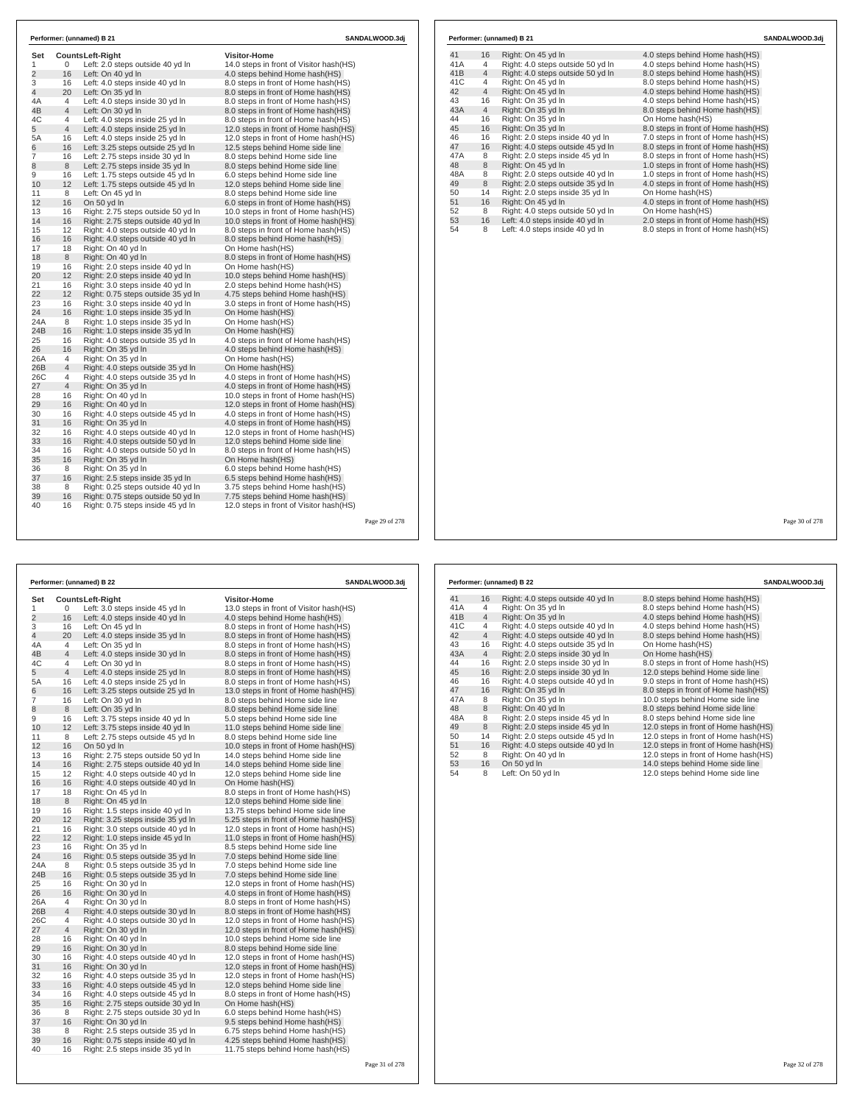| Set<br>1       | 0              | <b>CountsLeft-Right</b><br>Left: 2.0 steps outside 40 yd In | <b>Visitor-Home</b><br>14.0 steps in front of Visitor hash(HS) |  |
|----------------|----------------|-------------------------------------------------------------|----------------------------------------------------------------|--|
| $\overline{2}$ | 16             | Left: On 40 yd In                                           | 4.0 steps behind Home hash (HS)                                |  |
| 3              | 16             | Left: 4.0 steps inside 40 yd In                             | 8.0 steps in front of Home hash (HS)                           |  |
| 4              | 20             | Left: On 35 yd In                                           | 8.0 steps in front of Home hash(HS)                            |  |
| 4Α             | $\overline{4}$ | Left: 4.0 steps inside 30 yd In                             | 8.0 steps in front of Home hash (HS)                           |  |
| 4B             | $\overline{4}$ | Left: On 30 yd In                                           | 8.0 steps in front of Home hash(HS)                            |  |
| 4C             | 4              | Left: 4.0 steps inside 25 yd In                             | 8.0 steps in front of Home hash (HS)                           |  |
| 5              | $\overline{4}$ | Left: 4.0 steps inside 25 yd In                             | 12.0 steps in front of Home hash(HS)                           |  |
| 5А             | 16             | Left: 4.0 steps inside 25 yd In                             | 12.0 steps in front of Home hash(HS)                           |  |
| 6              | 16             | Left: 3.25 steps outside 25 yd In                           | 12.5 steps behind Home side line                               |  |
| 7              | 16             | Left: 2.75 steps inside 30 yd In                            | 8.0 steps behind Home side line                                |  |
| 8              | 8              | Left: 2.75 steps inside 35 yd In                            | 8.0 steps behind Home side line                                |  |
| 9              | 16             | Left: 1.75 steps outside 45 yd In                           | 6.0 steps behind Home side line                                |  |
| 10             | 12             | Left: 1.75 steps outside 45 yd In                           | 12.0 steps behind Home side line                               |  |
| 11             | 8              | Left: On 45 yd In                                           | 8.0 steps behind Home side line                                |  |
| 12             | 16             | On 50 yd In                                                 | 6.0 steps in front of Home hash (HS)                           |  |
| 13             | 16             | Right: 2.75 steps outside 50 yd In                          | 10.0 steps in front of Home hash(HS)                           |  |
| 14             | 16             | Right: 2.75 steps outside 40 yd In                          | 10.0 steps in front of Home hash(HS)                           |  |
| 15             | 12             | Right: 4.0 steps outside 40 vd In                           | 8.0 steps in front of Home hash (HS)                           |  |
| 16             | 16             | Right: 4.0 steps outside 40 yd In                           | 8.0 steps behind Home hash(HS)                                 |  |
| 17             | 18             | Right: On 40 yd In                                          | On Home hash(HS)                                               |  |
| 18             | 8              | Right: On 40 yd In                                          | 8.0 steps in front of Home hash(HS)                            |  |
| 19             | 16             | Right: 2.0 steps inside 40 yd In                            | On Home hash(HS)                                               |  |
| 20             | 12             | Right: 2.0 steps inside 40 yd In                            | 10.0 steps behind Home hash(HS)                                |  |
| 21             | 16             | Right: 3.0 steps inside 40 yd In                            | 2.0 steps behind Home hash(HS)                                 |  |
| 22             | 12             | Right: 0.75 steps outside 35 yd In                          | 4.75 steps behind Home hash(HS)                                |  |
| 23             | 16             | Right: 3.0 steps inside 40 yd In                            | 3.0 steps in front of Home hash(HS)                            |  |
| 24             | 16             | Right: 1.0 steps inside 35 yd In                            | On Home hash (HS)                                              |  |
| 24A            | 8              | Right: 1.0 steps inside 35 yd In                            | On Home hash(HS)                                               |  |
| 24B            | 16             | Right: 1.0 steps inside 35 yd In                            | On Home hash(HS)                                               |  |
| 25             | 16             | Right: 4.0 steps outside 35 yd In                           | 4.0 steps in front of Home hash (HS)                           |  |
| 26             | 16             | Right: On 35 yd In                                          | 4.0 steps behind Home hash (HS)                                |  |
| 26A            | 4              | Right: On 35 yd In                                          | On Home hash(HS)                                               |  |
| 26B            | $\overline{4}$ | Right: 4.0 steps outside 35 yd In                           | On Home hash(HS)                                               |  |
| 26C            | 4              | Right: 4.0 steps outside 35 yd In                           | 4.0 steps in front of Home hash (HS)                           |  |
| 27             | $\overline{4}$ | Right: On 35 yd In                                          | 4.0 steps in front of Home hash(HS)                            |  |
| 28             | 16             | Right: On 40 yd In                                          | 10.0 steps in front of Home hash(HS)                           |  |
| 29             | 16             | Right: On 40 yd In                                          | 12.0 steps in front of Home hash(HS)                           |  |
| 30             | 16             | Right: 4.0 steps outside 45 yd In                           | 4.0 steps in front of Home hash (HS)                           |  |
| 31             | 16             | Right: On 35 yd In                                          | 4.0 steps in front of Home hash(HS)                            |  |
| 32             | 16             | Right: 4.0 steps outside 40 yd In                           | 12.0 steps in front of Home hash(HS)                           |  |
| 33             | 16             | Right: 4.0 steps outside 50 yd In                           | 12.0 steps behind Home side line                               |  |
| 34             | 16             | Right: 4.0 steps outside 50 yd In                           | 8.0 steps in front of Home hash(HS)                            |  |
| 35             | 16             | Right: On 35 yd In                                          | On Home hash(HS)                                               |  |
| 36             | 8              | Right: On 35 yd In                                          | 6.0 steps behind Home hash(HS)                                 |  |
| 37             | 16             | Right: 2.5 steps inside 35 yd In                            | 6.5 steps behind Home hash(HS)                                 |  |
| 38             | 8              | Right: 0.25 steps outside 40 yd In                          | 3.75 steps behind Home hash(HS)                                |  |
| 39             | 16             | Right: 0.75 steps outside 50 yd In                          | 7.75 steps behind Home hash(HS)                                |  |
| 40             | 16             | Right: 0.75 steps inside 45 yd In                           | 12.0 steps in front of Visitor hash (HS)                       |  |

| 31<br>38<br>39<br>40 | 16<br>8<br>16<br>16 | Right: 2.5 steps inside 35 yd In<br>Right: 0.25 steps outside 40 yd In<br>Right: 0.75 steps outside 50 yd In<br>Right: 0.75 steps inside 45 yd In | 6.5 steps behind Home hash(HS)<br>3.75 steps behind Home hash(HS)<br>7.75 steps behind Home hash(HS)<br>12.0 steps in front of Visitor hash(HS) |                |     |                |                                   |                                      |                |
|----------------------|---------------------|---------------------------------------------------------------------------------------------------------------------------------------------------|-------------------------------------------------------------------------------------------------------------------------------------------------|----------------|-----|----------------|-----------------------------------|--------------------------------------|----------------|
|                      |                     |                                                                                                                                                   |                                                                                                                                                 | Page 29 of 278 |     |                |                                   |                                      | Page 30 of 278 |
|                      |                     |                                                                                                                                                   |                                                                                                                                                 |                |     |                |                                   |                                      |                |
|                      |                     | Performer: (unnamed) B 22                                                                                                                         |                                                                                                                                                 | SANDALWOOD.3dj |     |                | Performer: (unnamed) B 22         |                                      | SANDALWOOD.3dj |
| Set                  |                     | <b>CountsLeft-Right</b>                                                                                                                           | <b>Visitor-Home</b>                                                                                                                             |                | 41  | 16             | Right: 4.0 steps outside 40 yd In | 8.0 steps behind Home hash(HS)       |                |
| $\mathbf{1}$         | $\Omega$            | Left: 3.0 steps inside 45 yd In                                                                                                                   | 13.0 steps in front of Visitor hash(HS)                                                                                                         |                | 41A | $\overline{4}$ | Right: On 35 yd In                | 8.0 steps behind Home hash(HS)       |                |
| $\overline{2}$       | 16                  | Left: 4.0 steps inside 40 yd In                                                                                                                   | 4.0 steps behind Home hash(HS)                                                                                                                  |                | 41B | $\overline{4}$ | Right: On 35 yd In                | 4.0 steps behind Home hash(HS)       |                |
| 3                    | 16                  | Left: On 45 yd In                                                                                                                                 | 8.0 steps in front of Home hash(HS)                                                                                                             |                | 41C | $\overline{4}$ | Right: 4.0 steps outside 40 yd In | 4.0 steps behind Home hash(HS)       |                |
| $\overline{4}$       | 20                  | Left: 4.0 steps inside 35 yd In                                                                                                                   | 8.0 steps in front of Home hash(HS)                                                                                                             |                | 42  | $\overline{4}$ | Right: 4.0 steps outside 40 yd In | 8.0 steps behind Home hash(HS)       |                |
| 4A                   | $\overline{4}$      | Left: On 35 vd In                                                                                                                                 | 8.0 steps in front of Home hash(HS)                                                                                                             |                | 43  | 16             | Right: 4.0 steps outside 35 yd In | On Home hash(HS)                     |                |
| 4B                   | $\overline{4}$      | Left: 4.0 steps inside 30 yd In                                                                                                                   | 8.0 steps in front of Home hash(HS)                                                                                                             |                | 43A | $\overline{4}$ | Right: 2.0 steps inside 30 yd In  | On Home hash(HS)                     |                |
| 4C                   | $\overline{4}$      | Left: On 30 yd In                                                                                                                                 | 8.0 steps in front of Home hash(HS)                                                                                                             |                | 44  | 16             | Right: 2.0 steps inside 30 yd In  | 8.0 steps in front of Home hash(HS)  |                |
| 5                    | $\overline{4}$      | Left: 4.0 steps inside 25 yd In                                                                                                                   | 8.0 steps in front of Home hash(HS)                                                                                                             |                | 45  | 16             | Right: 2.0 steps inside 30 yd In  | 12.0 steps behind Home side line     |                |
| 5A                   | 16                  | Left: 4.0 steps inside 25 yd In                                                                                                                   | 8.0 steps in front of Home hash(HS)                                                                                                             |                | 46  | 16             | Right: 4.0 steps outside 40 yd In | 9.0 steps in front of Home hash(HS)  |                |
| 6                    | 16                  | Left: 3.25 steps outside 25 yd In                                                                                                                 | 13.0 steps in front of Home hash(HS)                                                                                                            |                | 47  | 16             | Right: On 35 yd In                | 8.0 steps in front of Home hash(HS)  |                |
| $\overline{7}$       | 16                  | Left: On 30 yd In                                                                                                                                 | 8.0 steps behind Home side line                                                                                                                 |                | 47A | 8              | Right: On 35 yd In                | 10.0 steps behind Home side line     |                |
| $\bf 8$              | 8                   | Left: On 35 yd In                                                                                                                                 | 8.0 steps behind Home side line                                                                                                                 |                | 48  | 8              | Right: On 40 yd In                | 8.0 steps behind Home side line      |                |
| 9                    | 16                  | Left: 3.75 steps inside 40 yd In                                                                                                                  | 5.0 steps behind Home side line                                                                                                                 |                | 48A | 8              | Right: 2.0 steps inside 45 yd In  | 8.0 steps behind Home side line      |                |
| 10                   | 12                  | Left: 3.75 steps inside 40 yd In                                                                                                                  | 11.0 steps behind Home side line                                                                                                                |                | 49  | 8              | Right: 2.0 steps inside 45 yd In  | 12.0 steps in front of Home hash(HS) |                |
| 11                   | 8                   | Left: 2.75 steps outside 45 yd In                                                                                                                 | 8.0 steps behind Home side line                                                                                                                 |                | 50  | 14             | Right: 2.0 steps outside 45 yd In | 12.0 steps in front of Home hash(HS) |                |
| 12                   | 16                  | On 50 yd In                                                                                                                                       | 10.0 steps in front of Home hash(HS)                                                                                                            |                | 51  | 16             | Right: 4.0 steps outside 40 yd In | 12.0 steps in front of Home hash(HS) |                |
| 13                   | 16                  | Right: 2.75 steps outside 50 yd In                                                                                                                | 14.0 steps behind Home side line                                                                                                                |                | 52  | 8              | Right: On 40 yd In                | 12.0 steps in front of Home hash(HS) |                |
| 14                   | 16                  | Right: 2.75 steps outside 40 yd In                                                                                                                | 14.0 steps behind Home side line                                                                                                                |                | 53  | 16             | On 50 yd In                       | 14.0 steps behind Home side line     |                |
| 15                   | 12                  | Right: 4.0 steps outside 40 yd In                                                                                                                 | 12.0 steps behind Home side line                                                                                                                |                | 54  | 8              | Left: On 50 yd In                 | 12.0 steps behind Home side line     |                |
| 16                   | 16                  | Right: 4.0 steps outside 40 yd In                                                                                                                 | On Home hash(HS)                                                                                                                                |                |     |                |                                   |                                      |                |
| 17                   | 18                  | Right: On 45 yd In                                                                                                                                | 8.0 steps in front of Home hash(HS)                                                                                                             |                |     |                |                                   |                                      |                |
| 18                   | 8                   | Right: On 45 yd In                                                                                                                                | 12.0 steps behind Home side line                                                                                                                |                |     |                |                                   |                                      |                |
| 19                   | 16                  | Right: 1.5 steps inside 40 yd In                                                                                                                  | 13.75 steps behind Home side line                                                                                                               |                |     |                |                                   |                                      |                |
| 20                   | 12                  | Right: 3.25 steps inside 35 yd In                                                                                                                 | 5.25 steps in front of Home hash(HS)                                                                                                            |                |     |                |                                   |                                      |                |
|                      |                     |                                                                                                                                                   |                                                                                                                                                 |                |     |                |                                   |                                      |                |

# **Performer: (unnamed) B 21 SANDALWOOD.3dj**

| 41              | 16             | Right: On 45 yd In                | 4.0 steps behind Home hash (HS)     |
|-----------------|----------------|-----------------------------------|-------------------------------------|
| 41A             | 4              | Right: 4.0 steps outside 50 yd In | 4.0 steps behind Home hash(HS)      |
| 41 <sub>B</sub> | $\overline{4}$ | Right: 4.0 steps outside 50 yd In | 8.0 steps behind Home hash(HS)      |
| 41C             | 4              | Right: On 45 yd In                | 8.0 steps behind Home hash(HS)      |
| 42              | $\overline{4}$ | Right: On 45 yd In                | 4.0 steps behind Home hash(HS)      |
| 43              | 16             | Right: On 35 yd In                | 4.0 steps behind Home hash(HS)      |
| 43A             | $\overline{4}$ | Right: On 35 yd In                | 8.0 steps behind Home hash(HS)      |
| 44              | 16             | Right: On 35 vd In                | On Home hash(HS)                    |
| 45              | 16             | Right: On 35 yd In                | 8.0 steps in front of Home hash(HS) |
| 46              | 16             | Right: 2.0 steps inside 40 yd In  | 7.0 steps in front of Home hash(HS) |
| 47              | 16             | Right: 4.0 steps outside 45 yd In | 8.0 steps in front of Home hash(HS) |
| 47A             | 8              | Right: 2.0 steps inside 45 vd In  | 8.0 steps in front of Home hash(HS) |
| 48              | 8              | Right: On 45 yd In                | 1.0 steps in front of Home hash(HS) |
| 48A             | 8              | Right: 2.0 steps outside 40 yd In | 1.0 steps in front of Home hash(HS) |
| 49              | 8              | Right: 2.0 steps outside 35 yd In | 4.0 steps in front of Home hash(HS) |
| 50              | 14             | Right: 2.0 steps inside 35 yd In  | On Home hash(HS)                    |
| 51              | 16             | Right: On 45 yd In                | 4.0 steps in front of Home hash(HS) |
| 52              | 8              | Right: 4.0 steps outside 50 yd In | On Home hash(HS)                    |
| 53              | 16             | Left: 4.0 steps inside 40 yd In   | 2.0 steps in front of Home hash(HS) |
| 54              | 8              | Left: 4.0 steps inside 40 yd In   | 8.0 steps in front of Home hash(HS) |
|                 |                |                                   |                                     |

| Set            | Visitor-Home<br>CountsLeft-Right |                                    |                                         |  |  |
|----------------|----------------------------------|------------------------------------|-----------------------------------------|--|--|
| 1              | 0                                | Left: 3.0 steps inside 45 yd In    | 13.0 steps in front of Visitor hash(HS) |  |  |
| $\overline{2}$ | 16                               | Left: 4.0 steps inside 40 yd In    | 4.0 steps behind Home hash(HS)          |  |  |
| 3              | 16                               | Left: On 45 yd In                  | 8.0 steps in front of Home hash(HS)     |  |  |
| 4              | 20                               | Left: 4.0 steps inside 35 yd In    | 8.0 steps in front of Home hash (HS)    |  |  |
| 4A             | 4                                | Left: On 35 yd In                  | 8.0 steps in front of Home hash(HS)     |  |  |
| 4B             | $\overline{4}$                   | Left: 4.0 steps inside 30 yd In    | 8.0 steps in front of Home hash(HS)     |  |  |
| 4C             | 4                                | Left: On 30 yd In                  | 8.0 steps in front of Home hash(HS)     |  |  |
| 5              | 4                                | Left: 4.0 steps inside 25 yd In    | 8.0 steps in front of Home hash(HS)     |  |  |
| 5A             | 16                               | Left: 4.0 steps inside 25 yd In    | 8.0 steps in front of Home hash(HS)     |  |  |
| 6              | 16                               | Left: 3.25 steps outside 25 yd In  | 13.0 steps in front of Home hash(HS)    |  |  |
| 7              | 16                               | Left: On 30 yd In                  | 8.0 steps behind Home side line         |  |  |
| 8              | 8                                | Left: On 35 yd In                  | 8.0 steps behind Home side line         |  |  |
| 9              | 16                               | Left: 3.75 steps inside 40 yd In   | 5.0 steps behind Home side line         |  |  |
| 10             | 12                               | Left: 3.75 steps inside 40 yd In   | 11.0 steps behind Home side line        |  |  |
| 11             | 8                                | Left: 2.75 steps outside 45 yd In  | 8.0 steps behind Home side line         |  |  |
| 12             | 16                               | On 50 yd In                        | 10.0 steps in front of Home hash(HS)    |  |  |
| 13             | 16                               | Right: 2.75 steps outside 50 yd In | 14.0 steps behind Home side line        |  |  |
| 14             | 16                               | Right: 2.75 steps outside 40 yd In | 14.0 steps behind Home side line        |  |  |
| 15             | 12                               | Right: 4.0 steps outside 40 yd In  | 12.0 steps behind Home side line        |  |  |
| 16             | 16                               | Right: 4.0 steps outside 40 yd In  | On Home hash(HS)                        |  |  |
| 17             | 18                               | Right: On 45 yd In                 | 8.0 steps in front of Home hash(HS)     |  |  |
| 18             | 8                                | Right: On 45 yd In                 | 12.0 steps behind Home side line        |  |  |
| 19             | 16                               | Right: 1.5 steps inside 40 yd In   | 13.75 steps behind Home side line       |  |  |
| 20             | 12                               | Right: 3.25 steps inside 35 yd In  | 5.25 steps in front of Home hash(HS)    |  |  |
| 21             | 16                               | Right: 3.0 steps outside 40 yd In  | 12.0 steps in front of Home hash(HS)    |  |  |
| 22             | 12                               | Right: 1.0 steps inside 45 yd In   | 11.0 steps in front of Home hash(HS)    |  |  |
| 23             | 16                               | Right: On 35 yd In                 | 8.5 steps behind Home side line         |  |  |
| 24             | 16                               | Right: 0.5 steps outside 35 yd In  | 7.0 steps behind Home side line         |  |  |
| 24A            | 8                                | Right: 0.5 steps outside 35 yd In  | 7.0 steps behind Home side line         |  |  |
| 24B            | 16                               | Right: 0.5 steps outside 35 yd In  | 7.0 steps behind Home side line         |  |  |
| 25             | 16                               | Right: On 30 yd In                 | 12.0 steps in front of Home hash(HS)    |  |  |
| 26             | 16                               | Right: On 30 yd In                 | 4.0 steps in front of Home hash(HS)     |  |  |
| 26A            | 4                                | Right: On 30 yd In                 | 8.0 steps in front of Home hash (HS)    |  |  |
| 26B            | 4                                | Right: 4.0 steps outside 30 yd In  | 8.0 steps in front of Home hash (HS)    |  |  |
| 26C            | 4                                | Right: 4.0 steps outside 30 yd In  | 12.0 steps in front of Home hash(HS)    |  |  |
| 27             | 4                                | Right: On 30 yd In                 | 12.0 steps in front of Home hash(HS)    |  |  |
| 28             | 16                               | Right: On 40 yd In                 | 10.0 steps behind Home side line        |  |  |
| 29             | 16                               | Right: On 30 yd In                 | 8.0 steps behind Home side line         |  |  |
| 30             | 16                               | Right: 4.0 steps outside 40 yd In  | 12.0 steps in front of Home hash(HS)    |  |  |
| 31             | 16                               | Right: On 30 yd In                 | 12.0 steps in front of Home hash(HS)    |  |  |
| 32             | 16                               | Right: 4.0 steps outside 35 yd In  | 12.0 steps in front of Home hash(HS)    |  |  |
| 33             | 16                               | Right: 4.0 steps outside 45 yd In  | 12.0 steps behind Home side line        |  |  |
| 34             | 16                               | Right: 4.0 steps outside 45 yd In  | 8.0 steps in front of Home hash (HS)    |  |  |
| 35             | 16                               | Right: 2.75 steps outside 30 yd In | On Home hash(HS)                        |  |  |
| 36             | 8                                | Right: 2.75 steps outside 30 yd In | 6.0 steps behind Home hash(HS)          |  |  |
| 37             | 16                               | Right: On 30 yd In                 | 9.5 steps behind Home hash(HS)          |  |  |
| 38             | 8                                | Right: 2.5 steps outside 35 yd In  | 6.75 steps behind Home hash(HS)         |  |  |
| 39             | 16                               | Right: 0.75 steps inside 40 yd In  | 4.25 steps behind Home hash (HS)        |  |  |
| 40             | 16                               | Right: 2.5 steps inside 35 yd In   | 11.75 steps behind Home hash(HS)        |  |  |
|                |                                  |                                    |                                         |  |  |
|                |                                  |                                    |                                         |  |  |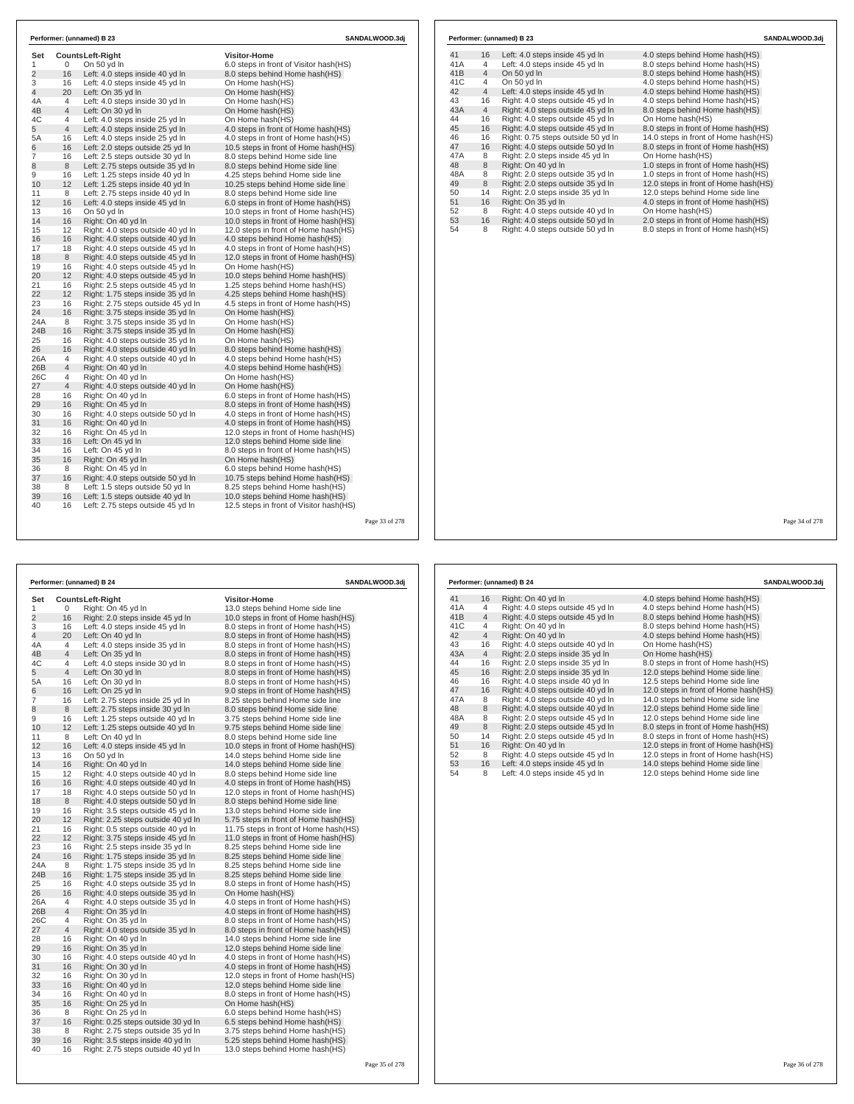| Set            |                     | <b>CountsLeft-Right</b>                                                | <b>Visitor-Home</b>                                                         |
|----------------|---------------------|------------------------------------------------------------------------|-----------------------------------------------------------------------------|
| 1              | 0                   | On 50 yd In                                                            | 6.0 steps in front of Visitor hash(HS)                                      |
| $\overline{2}$ | 16                  | Left: 4.0 steps inside 40 yd In                                        | 8.0 steps behind Home hash(HS)                                              |
| 3              | 16                  | Left: 4.0 steps inside 45 yd In                                        | On Home hash(HS)                                                            |
| 4              | 20                  | Left: On 35 yd In                                                      | On Home hash(HS)                                                            |
| 4A             | 4                   | Left: 4.0 steps inside 30 yd In                                        | On Home hash(HS)                                                            |
| 4B             | $\overline{4}$      | Left: On 30 yd In                                                      | On Home hash(HS)                                                            |
| 4C<br>5        | 4<br>$\overline{4}$ | Left: 4.0 steps inside 25 yd In                                        | On Home hash(HS)                                                            |
| 5A             |                     | Left: 4.0 steps inside 25 yd In                                        | 4.0 steps in front of Home hash(HS)                                         |
|                | 16                  | Left: 4.0 steps inside 25 yd In                                        | 4.0 steps in front of Home hash(HS)                                         |
| 6              | 16                  | Left: 2.0 steps outside 25 yd In                                       | 10.5 steps in front of Home hash(HS)                                        |
| 7              | 16                  | Left: 2.5 steps outside 30 yd In                                       | 8.0 steps behind Home side line                                             |
| 8<br>9         | 8                   | Left: 2.75 steps outside 35 yd In                                      | 8.0 steps behind Home side line                                             |
|                | 16                  | Left: 1.25 steps inside 40 yd In                                       | 4.25 steps behind Home side line                                            |
| 10             | 12                  | Left: 1.25 steps inside 40 yd In                                       | 10.25 steps behind Home side line                                           |
| 11             | 8                   | Left: 2.75 steps inside 40 yd In                                       | 8.0 steps behind Home side line                                             |
| 12             | 16                  | Left: 4.0 steps inside 45 yd In                                        | 6.0 steps in front of Home hash(HS)                                         |
| 13<br>14       | 16                  | On 50 yd In                                                            | 10.0 steps in front of Home hash(HS)                                        |
|                | 16                  | Right: On 40 yd In                                                     | 10.0 steps in front of Home hash(HS)                                        |
| 15             | 12                  | Right: 4.0 steps outside 40 yd In                                      | 12.0 steps in front of Home hash(HS)                                        |
| 16             | 16                  | Right: 4.0 steps outside 40 yd In                                      | 4.0 steps behind Home hash(HS)                                              |
| 17<br>18       | 18                  | Right: 4.0 steps outside 45 yd In                                      | 4.0 steps in front of Home hash(HS)                                         |
|                | 8                   | Right: 4.0 steps outside 45 yd In                                      | 12.0 steps in front of Home hash(HS)                                        |
| 19<br>20       | 16<br>12            | Right: 4.0 steps outside 45 yd In                                      | On Home hash(HS)                                                            |
| 21             |                     | Right: 4.0 steps outside 45 yd In                                      | 10.0 steps behind Home hash(HS)                                             |
| 22             | 16                  | Right: 2.5 steps outside 45 yd In                                      | 1.25 steps behind Home hash(HS)                                             |
| 23             | 12<br>16            | Right: 1.75 steps inside 35 yd In                                      | 4.25 steps behind Home hash(HS)                                             |
| 24             | 16                  | Right: 2.75 steps outside 45 yd In                                     | 4.5 steps in front of Home hash(HS)                                         |
| 24A            | 8                   | Right: 3.75 steps inside 35 yd In<br>Right: 3.75 steps inside 35 yd In | On Home hash(HS)<br>On Home hash(HS)                                        |
| 24B            |                     |                                                                        |                                                                             |
| 25             | 16<br>16            | Right: 3.75 steps inside 35 yd In                                      | On Home hash(HS)                                                            |
| 26             | 16                  | Right: 4.0 steps outside 35 yd In<br>Right: 4.0 steps outside 40 yd In | On Home hash(HS)<br>8.0 steps behind Home hash(HS)                          |
| 26A            | 4                   |                                                                        |                                                                             |
| 26B            | $\overline{4}$      | Right: 4.0 steps outside 40 yd In                                      | 4.0 steps behind Home hash(HS)                                              |
| 26C            |                     | Right: On 40 yd In                                                     | 4.0 steps behind Home hash(HS)                                              |
| 27             | 4<br>4              | Right: On 40 yd In<br>Right: 4.0 steps outside 40 yd In                | On Home hash(HS)<br>On Home hash(HS)                                        |
|                |                     |                                                                        |                                                                             |
| 28<br>29       | 16<br>16            | Right: On 40 yd In<br>Right: On 45 yd In                               | 6.0 steps in front of Home hash(HS)<br>8.0 steps in front of Home hash(HS)  |
| 30             | 16                  | Right: 4.0 steps outside 50 yd In                                      | 4.0 steps in front of Home hash(HS)                                         |
| 31             | 16                  |                                                                        |                                                                             |
| 32             | 16                  | Right: On 40 yd In                                                     | 4.0 steps in front of Home hash(HS)<br>12.0 steps in front of Home hash(HS) |
| 33             | 16                  | Right: On 45 yd In                                                     |                                                                             |
|                |                     | Left: On 45 yd In                                                      | 12.0 steps behind Home side line                                            |
| 34<br>35       | 16                  | Left: On 45 yd In                                                      | 8.0 steps in front of Home hash(HS)                                         |
| 36             | 16<br>8             | Right: On 45 yd In                                                     | On Home hash(HS)                                                            |
|                |                     | Right: On 45 yd In                                                     | 6.0 steps behind Home hash(HS)                                              |
| 37             | 16                  | Right: 4.0 steps outside 50 yd In                                      | 10.75 steps behind Home hash(HS)                                            |
| 38<br>39       | 8<br>16             | Left: 1.5 steps outside 50 yd In                                       | 8.25 steps behind Home hash(HS)                                             |
|                |                     | Left: 1.5 steps outside 40 yd In                                       | 10.0 steps behind Home hash(HS)                                             |

|     |                | Performer: (unnamed) B 23          | SANDALWOOD.3di                       |
|-----|----------------|------------------------------------|--------------------------------------|
| 41  | 16             | Left: 4.0 steps inside 45 yd In    | 4.0 steps behind Home hash (HS)      |
| 41A | 4              | Left: 4.0 steps inside 45 yd In    | 8.0 steps behind Home hash(HS)       |
| 41B | $\overline{4}$ | On 50 yd In                        | 8.0 steps behind Home hash(HS)       |
| 41C | 4              | On 50 yd In                        | 4.0 steps behind Home hash(HS)       |
| 42  | $\overline{4}$ | Left: 4.0 steps inside 45 yd In    | 4.0 steps behind Home hash (HS)      |
| 43  | 16             | Right: 4.0 steps outside 45 yd In  | 4.0 steps behind Home hash(HS)       |
| 43A | $\overline{4}$ | Right: 4.0 steps outside 45 yd In  | 8.0 steps behind Home hash(HS)       |
| 44  | 16             | Right: 4.0 steps outside 45 vd In  | On Home hash(HS)                     |
| 45  | 16             | Right: 4.0 steps outside 45 yd In  | 8.0 steps in front of Home hash(HS)  |
| 46  | 16             | Right: 0.75 steps outside 50 yd In | 14.0 steps in front of Home hash(HS) |
| 47  | 16             | Right: 4.0 steps outside 50 yd In  | 8.0 steps in front of Home hash(HS)  |
| 47A | 8              | Right: 2.0 steps inside 45 vd In   | On Home hash(HS)                     |
| 48  | 8              | Right: On 40 yd In                 | 1.0 steps in front of Home hash(HS)  |
| 48A | 8              | Right: 2.0 steps outside 35 yd In  | 1.0 steps in front of Home hash (HS) |
| 49  | 8              | Right: 2.0 steps outside 35 yd In  | 12.0 steps in front of Home hash(HS) |
| 50  | 14             | Right: 2.0 steps inside 35 yd In   | 12.0 steps behind Home side line     |
| 51  | 16             | Right: On 35 yd In                 | 4.0 steps in front of Home hash(HS)  |
| 52  | 8              | Right: 4.0 steps outside 40 yd In  | On Home hash(HS)                     |
| 53  | 16             | Right: 4.0 steps outside 50 yd In  | 2.0 steps in front of Home hash(HS)  |
| 54  | 8              | Right: 4.0 steps outside 50 yd In  | 8.0 steps in front of Home hash(HS)  |

Page 33 of 278

| Performer: (unnamed) B 24 |    |                                    | <b>SANDALWOOD.3dj</b>                 |
|---------------------------|----|------------------------------------|---------------------------------------|
| Set                       |    | <b>CountsLeft-Right</b>            | <b>Visitor-Home</b>                   |
| 1                         | 0  | Right: On 45 yd In                 | 13.0 steps behind Home side line      |
| $\overline{2}$            | 16 | Right: 2.0 steps inside 45 yd In   | 10.0 steps in front of Home hash(HS)  |
| 3                         | 16 | Left: 4.0 steps inside 45 yd In    | 8.0 steps in front of Home hash (HS)  |
| 4                         | 20 | Left: On 40 yd In                  | 8.0 steps in front of Home hash(HS)   |
| 4A                        | 4  | Left: 4.0 steps inside 35 yd In    | 8.0 steps in front of Home hash (HS)  |
| 4B                        | 4  | Left: On 35 yd In                  | 8.0 steps in front of Home hash(HS)   |
| 4C                        | 4  | Left: 4.0 steps inside 30 yd In    | 8.0 steps in front of Home hash (HS)  |
| 5                         | 4  | Left: On 30 yd In                  | 8.0 steps in front of Home hash(HS)   |
| 5A                        | 16 | Left: On 30 yd In                  | 8.0 steps in front of Home hash(HS)   |
| 6                         | 16 | Left: On 25 yd In                  | 9.0 steps in front of Home hash(HS)   |
| 7                         | 16 | Left: 2.75 steps inside 25 yd In   | 8.25 steps behind Home side line      |
| 8                         | 8  | Left: 2.75 steps inside 30 yd In   | 8.0 steps behind Home side line       |
| 9                         | 16 | Left: 1.25 steps outside 40 yd In  | 3.75 steps behind Home side line      |
| 10                        | 12 | Left: 1.25 steps outside 40 yd In  | 9.75 steps behind Home side line      |
| 11                        | 8  | Left: On 40 yd In                  | 8.0 steps behind Home side line       |
| 12                        | 16 | Left: 4.0 steps inside 45 yd In    | 10.0 steps in front of Home hash(HS)  |
| 13                        | 16 | On 50 yd In                        | 14.0 steps behind Home side line      |
| 14                        | 16 | Right: On 40 yd In                 | 14.0 steps behind Home side line      |
| 15                        | 12 | Right: 4.0 steps outside 40 yd In  | 8.0 steps behind Home side line       |
| 16                        | 16 | Right: 4.0 steps outside 40 yd In  | 4.0 steps in front of Home hash(HS)   |
| 17                        | 18 | Right: 4.0 steps outside 50 yd In  | 12.0 steps in front of Home hash(HS)  |
| 18                        | 8  | Right: 4.0 steps outside 50 yd In  | 8.0 steps behind Home side line       |
| 19                        | 16 | Right: 3.5 steps outside 45 yd In  | 13.0 steps behind Home side line      |
| 20                        | 12 | Right: 2.25 steps outside 40 yd In | 5.75 steps in front of Home hash(HS)  |
| 21                        | 16 | Right: 0.5 steps outside 40 yd In  | 11.75 steps in front of Home hash(HS) |
| 22                        | 12 | Right: 3.75 steps inside 45 yd In  | 11.0 steps in front of Home hash(HS)  |
| 23                        | 16 | Right: 2.5 steps inside 35 yd In   | 8.25 steps behind Home side line      |
| 24                        | 16 | Right: 1.75 steps inside 35 yd In  | 8.25 steps behind Home side line      |
| 24A                       | 8  | Right: 1.75 steps inside 35 yd In  | 8.25 steps behind Home side line      |
| 24B                       | 16 | Right: 1.75 steps inside 35 yd In  | 8.25 steps behind Home side line      |
| 25                        | 16 | Right: 4.0 steps outside 35 yd In  | 8.0 steps in front of Home hash(HS)   |
| 26                        | 16 | Right: 4.0 steps outside 35 yd In  | On Home hash(HS)                      |
| 26A                       | 4  | Right: 4.0 steps outside 35 yd In  | 4.0 steps in front of Home hash (HS)  |
| 26B                       | 4  | Right: On 35 yd In                 | 4.0 steps in front of Home hash(HS)   |
| 26C                       | 4  | Right: On 35 yd In                 | 8.0 steps in front of Home hash (HS)  |
| 27                        | 4  | Right: 4.0 steps outside 35 yd In  | 8.0 steps in front of Home hash(HS)   |
| 28                        | 16 | Right: On 40 yd In                 | 14.0 steps behind Home side line      |
| 29                        | 16 | Right: On 35 yd In                 | 12.0 steps behind Home side line      |
| 30                        | 16 | Right: 4.0 steps outside 40 yd In  | 4.0 steps in front of Home hash (HS)  |
| 31                        | 16 | Right: On 30 yd In                 | 4.0 steps in front of Home hash (HS)  |
| 32                        | 16 | Right: On 30 yd In                 | 12.0 steps in front of Home hash(HS)  |
| 33                        | 16 | Right: On 40 yd In                 | 12.0 steps behind Home side line      |
| 34                        | 16 | Right: On 40 yd In                 | 8.0 steps in front of Home hash(HS)   |
| 35                        | 16 | Right: On 25 yd In                 | On Home hash(HS)                      |
| 36                        | 8  | Right: On 25 yd In                 | 6.0 steps behind Home hash(HS)        |
| 37                        | 16 | Right: 0.25 steps outside 30 yd In | 6.5 steps behind Home hash(HS)        |
| 38                        | 8  | Right: 2.75 steps outside 35 yd In | 3.75 steps behind Home hash(HS)       |
| 39                        | 16 | Right: 3.5 steps inside 40 yd In   | 5.25 steps behind Home hash(HS)       |
| 40                        | 16 | Right: 2.75 steps outside 40 yd In | 13.0 steps behind Home hash(HS)       |

|     | Performer: (unnamed) B 24 |                                   |                                      |  |  |
|-----|---------------------------|-----------------------------------|--------------------------------------|--|--|
| 41  | 16                        | Right: On 40 yd In                | 4.0 steps behind Home hash (HS)      |  |  |
| 41A | 4                         | Right: 4.0 steps outside 45 yd In | 4.0 steps behind Home hash(HS)       |  |  |
| 41B | $\overline{4}$            | Right: 4.0 steps outside 45 vd In | 8.0 steps behind Home hash(HS)       |  |  |
| 41C | 4                         | Right: On 40 yd In                | 8.0 steps behind Home hash(HS)       |  |  |
| 42  | $\overline{4}$            | Right: On 40 yd In                | 4.0 steps behind Home hash(HS)       |  |  |
| 43  | 16                        | Right: 4.0 steps outside 40 yd In | On Home hash(HS)                     |  |  |
| 43A | $\overline{4}$            | Right: 2.0 steps inside 35 yd In  | On Home hash(HS)                     |  |  |
| 44  | 16                        | Right: 2.0 steps inside 35 vd In  | 8.0 steps in front of Home hash(HS)  |  |  |
| 45  | 16                        | Right: 2.0 steps inside 35 yd In  | 12.0 steps behind Home side line     |  |  |
| 46  | 16                        | Right: 4.0 steps inside 40 yd In  | 12.5 steps behind Home side line     |  |  |
| 47  | 16                        | Right: 4.0 steps outside 40 yd In | 12.0 steps in front of Home hash(HS) |  |  |
| 47A | 8                         | Right: 4.0 steps outside 40 vd In | 14.0 steps behind Home side line     |  |  |
| 48  | 8                         | Right: 4.0 steps outside 40 yd In | 12.0 steps behind Home side line     |  |  |
| 48A | 8                         | Right: 2.0 steps outside 45 yd In | 12.0 steps behind Home side line     |  |  |
| 49  | 8                         | Right: 2.0 steps outside 45 yd In | 8.0 steps in front of Home hash(HS)  |  |  |
| 50  | 14                        | Right: 2.0 steps outside 45 yd In | 8.0 steps in front of Home hash (HS) |  |  |
| 51  | 16                        | Right: On 40 yd In                | 12.0 steps in front of Home hash(HS) |  |  |
| 52  | 8                         | Right: 4.0 steps outside 45 yd In | 12.0 steps in front of Home hash(HS) |  |  |
| 53  | 16                        | Left: 4.0 steps inside 45 yd In   | 14.0 steps behind Home side line     |  |  |
| 54  | 8                         | Left: 4.0 steps inside 45 yd In   | 12.0 steps behind Home side line     |  |  |

Page 34 of 278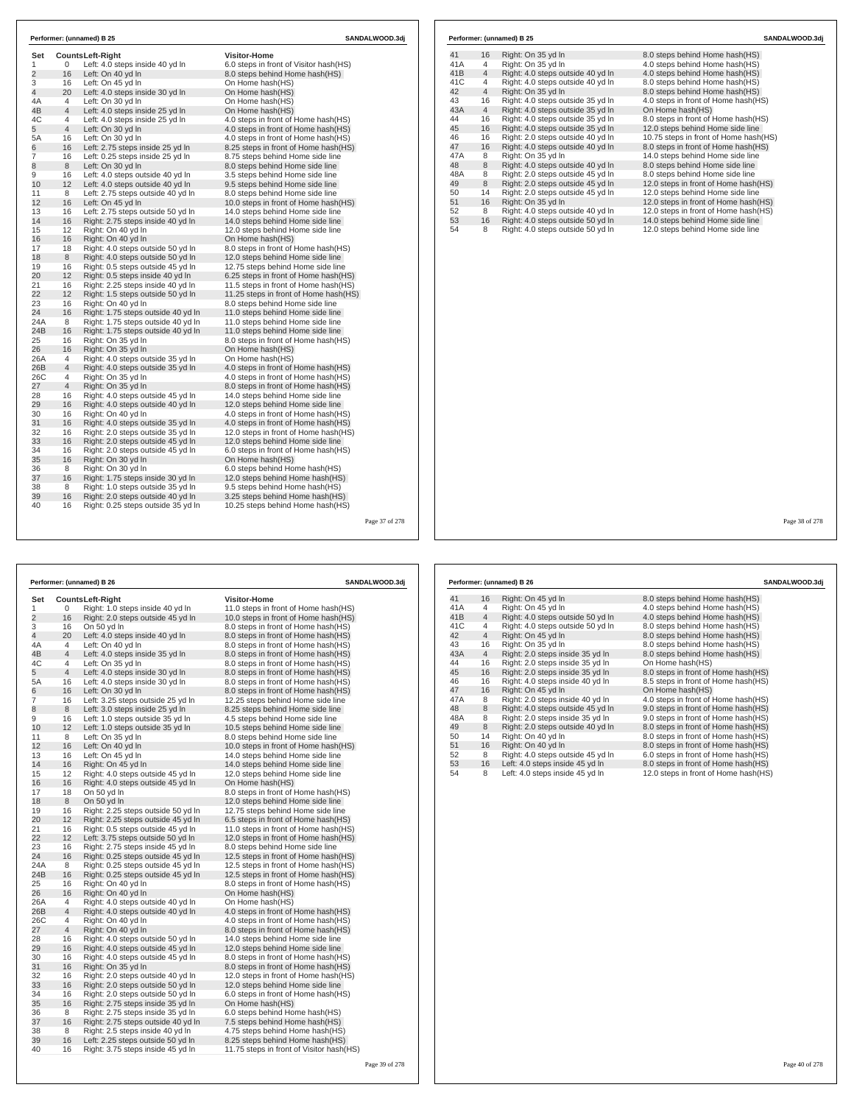| Set            |                |                                                      | <b>Visitor-Home</b>                    |  |
|----------------|----------------|------------------------------------------------------|----------------------------------------|--|
| 1              | 0              | Counts Left-Right<br>Left: 4.0 steps inside 40 yd In | 6.0 steps in front of Visitor hash(HS) |  |
| $\overline{2}$ | 16             | Left: On 40 yd In                                    | 8.0 steps behind Home hash(HS)         |  |
| 3              | 16             | Left: On 45 yd In                                    | On Home hash(HS)                       |  |
| 4              | 20             | Left: 4.0 steps inside 30 yd In                      | On Home hash(HS)                       |  |
| 4A             | 4              | Left: On 30 yd In                                    | On Home hash(HS)                       |  |
| 4B             | $\overline{4}$ | Left: 4.0 steps inside 25 yd In                      | On Home hash(HS)                       |  |
| 4C             | 4              | Left: 4.0 steps inside 25 yd In                      | 4.0 steps in front of Home hash(HS)    |  |
| 5              | $\overline{4}$ | Left: On 30 yd In                                    | 4.0 steps in front of Home hash(HS)    |  |
| 5A             | 16             | Left: On 30 yd In                                    | 4.0 steps in front of Home hash(HS)    |  |
| 6              | 16             | Left: 2.75 steps inside 25 yd In                     | 8.25 steps in front of Home hash(HS)   |  |
| 7              | 16             | Left: 0.25 steps inside 25 yd In                     | 8.75 steps behind Home side line       |  |
| 8              | 8              | Left: On 30 yd In                                    | 8.0 steps behind Home side line        |  |
| 9              | 16             | Left: 4.0 steps outside 40 yd In                     | 3.5 steps behind Home side line        |  |
| 10             | 12             | Left: 4.0 steps outside 40 yd In                     | 9.5 steps behind Home side line        |  |
| 11             | 8              | Left: 2.75 steps outside 40 yd In                    | 8.0 steps behind Home side line        |  |
| 12             | 16             | Left: On 45 yd In                                    | 10.0 steps in front of Home hash(HS)   |  |
| 13             | 16             | Left: 2.75 steps outside 50 yd In                    | 14.0 steps behind Home side line       |  |
| 14             | 16             | Right: 2.75 steps inside 40 yd In                    | 14.0 steps behind Home side line       |  |
| 15             | 12             | Right: On 40 yd In                                   | 12.0 steps behind Home side line       |  |
| 16             | 16             | Right: On 40 yd In                                   | On Home hash(HS)                       |  |
| 17             | 18             | Right: 4.0 steps outside 50 yd In                    | 8.0 steps in front of Home hash(HS)    |  |
| 18             | 8              | Right: 4.0 steps outside 50 yd In                    | 12.0 steps behind Home side line       |  |
| 19             | 16             | Right: 0.5 steps outside 45 yd In                    | 12.75 steps behind Home side line      |  |
| 20             | 12             | Right: 0.5 steps inside 40 yd In                     | 6.25 steps in front of Home hash(HS)   |  |
| 21             | 16             | Right: 2.25 steps inside 40 yd In                    | 11.5 steps in front of Home hash (HS)  |  |
| 22             | 12             | Right: 1.5 steps outside 50 vd In                    | 11.25 steps in front of Home hash (HS) |  |
| 23             | 16             | Right: On 40 yd In                                   | 8.0 steps behind Home side line        |  |
| 24             | 16             | Right: 1.75 steps outside 40 yd In                   | 11.0 steps behind Home side line       |  |
| 24A            | 8              | Right: 1.75 steps outside 40 yd In                   | 11.0 steps behind Home side line       |  |
| 24B            | 16             | Right: 1.75 steps outside 40 yd In                   | 11.0 steps behind Home side line       |  |
| 25             | 16             | Right: On 35 yd In                                   | 8.0 steps in front of Home hash(HS)    |  |
| 26             | 16             | Right: On 35 yd In                                   | On Home hash(HS)                       |  |
| 26A            | 4              | Right: 4.0 steps outside 35 yd In                    | On Home hash(HS)                       |  |
| 26B            | $\overline{4}$ | Right: 4.0 steps outside 35 yd In                    | 4.0 steps in front of Home hash(HS)    |  |
| 26C            | 4              | Right: On 35 yd In                                   | 4.0 steps in front of Home hash(HS)    |  |
| 27             | $\overline{4}$ | Right: On 35 yd In                                   | 8.0 steps in front of Home hash(HS)    |  |
| 28             | 16             | Right: 4.0 steps outside 45 yd In                    | 14.0 steps behind Home side line       |  |
| 29             | 16             | Right: 4.0 steps outside 40 yd In                    | 12.0 steps behind Home side line       |  |
| 30             | 16             | Right: On 40 yd In                                   | 4.0 steps in front of Home hash(HS)    |  |
| 31             | 16             | Right: 4.0 steps outside 35 yd In                    | 4.0 steps in front of Home hash(HS)    |  |
| 32             | 16             | Right: 2.0 steps outside 35 yd In                    | 12.0 steps in front of Home hash(HS)   |  |
| 33             | 16             | Right: 2.0 steps outside 45 yd In                    | 12.0 steps behind Home side line       |  |
| 34             | 16             | Right: 2.0 steps outside 45 yd In                    | 6.0 steps in front of Home hash(HS)    |  |
| 35             | 16             | Right: On 30 yd In                                   | On Home hash(HS)                       |  |
| 36             | 8              | Right: On 30 yd In                                   | 6.0 steps behind Home hash(HS)         |  |
| 37             | 16             | Right: 1.75 steps inside 30 yd In                    | 12.0 steps behind Home hash(HS)        |  |
| 38             | 8              | Right: 1.0 steps outside 35 yd In                    | 9.5 steps behind Home hash (HS)        |  |
| 39             | 16             | Right: 2.0 steps outside 40 yd In                    | 3.25 steps behind Home hash(HS)        |  |
| 40             | 16             | Right: 0.25 steps outside 35 yd In                   | 10.25 steps behind Home hash(HS)       |  |

|     |                | Performer: (unnamed) B 25         | SANDALWOOD.3dj                        |  |  |
|-----|----------------|-----------------------------------|---------------------------------------|--|--|
| 41  | 16             | Right: On 35 yd In                | 8.0 steps behind Home hash (HS)       |  |  |
| 41A | 4              | Right: On 35 yd In                | 4.0 steps behind Home hash(HS)        |  |  |
| 41B | $\overline{4}$ | Right: 4.0 steps outside 40 yd In | 4.0 steps behind Home hash(HS)        |  |  |
| 41C | 4              | Right: 4.0 steps outside 40 yd In | 8.0 steps behind Home hash(HS)        |  |  |
| 42  | $\overline{4}$ | Right: On 35 yd In                | 8.0 steps behind Home hash(HS)        |  |  |
| 43  | 16             | Right: 4.0 steps outside 35 yd In | 4.0 steps in front of Home hash(HS)   |  |  |
| 43A | $\overline{4}$ | Right: 4.0 steps outside 35 yd In | On Home hash(HS)                      |  |  |
| 44  | 16             | Right: 4.0 steps outside 35 yd In | 8.0 steps in front of Home hash(HS)   |  |  |
| 45  | 16             | Right: 4.0 steps outside 35 yd In | 12.0 steps behind Home side line      |  |  |
| 46  | 16             | Right: 2.0 steps outside 40 vd In | 10.75 steps in front of Home hash(HS) |  |  |
| 47  | 16             | Right: 4.0 steps outside 40 yd In | 8.0 steps in front of Home hash(HS)   |  |  |
| 47A | 8              | Right: On 35 yd In                | 14.0 steps behind Home side line      |  |  |
| 48  | $\,8\,$        | Right: 4.0 steps outside 40 yd In | 8.0 steps behind Home side line       |  |  |
| 48A | 8              | Right: 2.0 steps outside 45 yd In | 8.0 steps behind Home side line       |  |  |
| 49  | 8              | Right: 2.0 steps outside 45 yd In | 12.0 steps in front of Home hash(HS)  |  |  |
| 50  | 14             | Right: 2.0 steps outside 45 yd In | 12.0 steps behind Home side line      |  |  |
| 51  | 16             | Right: On 35 yd In                | 12.0 steps in front of Home hash(HS)  |  |  |
| 52  | 8              | Right: 4.0 steps outside 40 yd In | 12.0 steps in front of Home hash(HS)  |  |  |
| 53  | 16             | Right: 4.0 steps outside 50 yd In | 14.0 steps behind Home side line      |  |  |
| 54  | 8              | Right: 4.0 steps outside 50 yd In | 12.0 steps behind Home side line      |  |  |

Г

| Performer: (unnamed) B 26 |                |                                    | SANDALWOOD.3dj                            |  |  |  |
|---------------------------|----------------|------------------------------------|-------------------------------------------|--|--|--|
| Set                       |                | Counts Left-Right                  | <b>Visitor-Home</b>                       |  |  |  |
| 1                         | 0              | Right: 1.0 steps inside 40 yd In   | 11.0 steps in front of Home hash(HS)      |  |  |  |
| $\overline{c}$            | 16             | Right: 2.0 steps outside 45 yd In  | 10.0 steps in front of Home hash(HS)      |  |  |  |
| 3                         | 16             | On 50 vd In                        | 8.0 steps in front of Home hash (HS)      |  |  |  |
| 4                         | 20             | Left: 4.0 steps inside 40 yd In    | 8.0 steps in front of Home hash(HS)       |  |  |  |
| 4A                        | 4              | Left: On 40 yd In                  | 8.0 steps in front of Home hash (HS)      |  |  |  |
| 4B                        | 4              | Left: 4.0 steps inside 35 yd In    | 8.0 steps in front of Home hash(HS)       |  |  |  |
| 4C                        | 4              | Left: On 35 yd In                  | 8.0 steps in front of Home hash (HS)      |  |  |  |
| 5                         | 4              | Left: 4.0 steps inside 30 yd In    | 8.0 steps in front of Home hash(HS)       |  |  |  |
| 5A                        | 16             | Left: 4.0 steps inside 30 yd In    | 8.0 steps in front of Home hash (HS)      |  |  |  |
| 6                         | 16             | Left: On 30 yd In                  | 8.0 steps in front of Home hash(HS)       |  |  |  |
| 7                         | 16             | Left: 3.25 steps outside 25 yd In  | 12.25 steps behind Home side line         |  |  |  |
| 8                         | 8              | Left: 3.0 steps inside 25 yd In    | 8.25 steps behind Home side line          |  |  |  |
| 9                         | 16             | Left: 1.0 steps outside 35 yd In   | 4.5 steps behind Home side line           |  |  |  |
| 10                        | 12             | Left: 1.0 steps outside 35 yd In   | 10.5 steps behind Home side line          |  |  |  |
| 11                        | 8              | Left: On 35 yd In                  | 8.0 steps behind Home side line           |  |  |  |
| 12                        | 16             | Left: On 40 yd In                  | 10.0 steps in front of Home hash(HS)      |  |  |  |
| 13                        | 16             | Left: On 45 yd In                  | 14.0 steps behind Home side line          |  |  |  |
| 14                        | 16             | Right: On 45 yd In                 | 14.0 steps behind Home side line          |  |  |  |
| 15                        | 12             | Right: 4.0 steps outside 45 yd In  | 12.0 steps behind Home side line          |  |  |  |
| 16                        | 16             | Right: 4.0 steps outside 45 yd In  | On Home hash(HS)                          |  |  |  |
| 17                        | 18             | On 50 yd In                        | 8.0 steps in front of Home hash(HS)       |  |  |  |
| 18                        | 8              | On 50 yd In                        | 12.0 steps behind Home side line          |  |  |  |
| 19                        | 16             | Right: 2.25 steps outside 50 yd In | 12.75 steps behind Home side line         |  |  |  |
| 20                        | 12             | Right: 2.25 steps outside 45 yd In | 6.5 steps in front of Home hash(HS)       |  |  |  |
| 21                        | 16             | Right: 0.5 steps outside 45 yd In  | 11.0 steps in front of Home hash(HS)      |  |  |  |
| 22                        | 12             | Left: 3.75 steps outside 50 yd In  | 12.0 steps in front of Home hash(HS)      |  |  |  |
| 23                        | 16             | Right: 2.75 steps inside 45 yd In  | 8.0 steps behind Home side line           |  |  |  |
| 24                        | 16             | Right: 0.25 steps outside 45 yd In | 12.5 steps in front of Home hash (HS)     |  |  |  |
| 24A                       | 8              | Right: 0.25 steps outside 45 yd In | 12.5 steps in front of Home hash(HS)      |  |  |  |
| 24B                       | 16             | Right: 0.25 steps outside 45 yd In | 12.5 steps in front of Home hash (HS)     |  |  |  |
| 25                        | 16             | Right: On 40 yd In                 | 8.0 steps in front of Home hash(HS)       |  |  |  |
| 26                        | 16             | Right: On 40 yd In                 | On Home hash(HS)                          |  |  |  |
| 26A                       | $\overline{4}$ | Right: 4.0 steps outside 40 yd In  | On Home hash(HS)                          |  |  |  |
| 26B                       | $\overline{4}$ | Right: 4.0 steps outside 40 yd In  | 4.0 steps in front of Home hash(HS)       |  |  |  |
| 26C                       | 4              | Right: On 40 yd In                 | 4.0 steps in front of Home hash (HS)      |  |  |  |
| 27                        | $\overline{4}$ | Right: On 40 yd In                 | 8.0 steps in front of Home hash(HS)       |  |  |  |
| 28                        | 16             | Right: 4.0 steps outside 50 yd In  | 14.0 steps behind Home side line          |  |  |  |
| 29                        | 16             | Right: 4.0 steps outside 45 yd In  | 12.0 steps behind Home side line          |  |  |  |
| 30                        | 16             | Right: 4.0 steps outside 45 yd In  | 8.0 steps in front of Home hash(HS)       |  |  |  |
| 31                        | 16             | Right: On 35 vd In                 | 8.0 steps in front of Home hash(HS)       |  |  |  |
| 32                        | 16             | Right: 2.0 steps outside 40 yd In  | 12.0 steps in front of Home hash (HS)     |  |  |  |
| 33                        | 16             | Right: 2.0 steps outside 50 yd In  | 12.0 steps behind Home side line          |  |  |  |
| 34                        | 16             | Right: 2.0 steps outside 50 yd In  | 6.0 steps in front of Home hash(HS)       |  |  |  |
| 35                        | 16             | Right: 2.75 steps inside 35 yd In  | On Home hash(HS)                          |  |  |  |
| 36                        | 8              | Right: 2.75 steps inside 35 yd In  | 6.0 steps behind Home hash(HS)            |  |  |  |
| 37                        | 16             | Right: 2.75 steps outside 40 yd In | 7.5 steps behind Home hash(HS)            |  |  |  |
| 38                        | 8              | Right: 2.5 steps inside 40 yd In   | 4.75 steps behind Home hash (HS)          |  |  |  |
| 39                        | 16             | Left: 2.25 steps outside 50 yd In  | 8.25 steps behind Home hash(HS)           |  |  |  |
| 40                        | 16             | Right: 3.75 steps inside 45 yd In  | 11.75 steps in front of Visitor hash (HS) |  |  |  |
|                           |                |                                    |                                           |  |  |  |

|     | Performer: (unnamed) B 26 |                                   |                                      |  |  |
|-----|---------------------------|-----------------------------------|--------------------------------------|--|--|
| 41  | 16                        | Right: On 45 yd In                | 8.0 steps behind Home hash (HS)      |  |  |
| 41A | 4                         | Right: On 45 yd In                | 4.0 steps behind Home hash(HS)       |  |  |
| 41B | $\overline{4}$            | Right: 4.0 steps outside 50 yd In | 4.0 steps behind Home hash (HS)      |  |  |
| 41C | 4                         | Right: 4.0 steps outside 50 yd In | 8.0 steps behind Home hash(HS)       |  |  |
| 42  | $\overline{4}$            | Right: On 45 yd In                | 8.0 steps behind Home hash(HS)       |  |  |
| 43  | 16                        | Right: On 35 yd In                | 8.0 steps behind Home hash(HS)       |  |  |
| 43A | $\overline{4}$            | Right: 2.0 steps inside 35 yd In  | 8.0 steps behind Home hash(HS)       |  |  |
| 44  | 16                        | Right: 2.0 steps inside 35 yd In  | On Home hash(HS)                     |  |  |
| 45  | 16                        | Right: 2.0 steps inside 35 yd In  | 8.0 steps in front of Home hash (HS) |  |  |
| 46  | 16                        | Right: 4.0 steps inside 40 vd In  | 8.5 steps in front of Home hash(HS)  |  |  |
| 47  | 16                        | Right: On 45 yd In                | On Home hash(HS)                     |  |  |
| 47A | 8                         | Right: 2.0 steps inside 40 yd In  | 4.0 steps in front of Home hash(HS)  |  |  |
| 48  | 8                         | Right: 4.0 steps outside 45 yd In | 9.0 steps in front of Home hash (HS) |  |  |
| 48A | 8                         | Right: 2.0 steps inside 35 yd In  | 9.0 steps in front of Home hash(HS)  |  |  |
| 49  | 8                         | Right: 2.0 steps outside 40 yd In | 8.0 steps in front of Home hash(HS)  |  |  |
| 50  | 14                        | Right: On 40 yd In                | 8.0 steps in front of Home hash(HS)  |  |  |
| 51  | 16                        | Right: On 40 vd In                | 8.0 steps in front of Home hash(HS)  |  |  |
| 52  | 8                         | Right: 4.0 steps outside 45 yd In | 6.0 steps in front of Home hash(HS)  |  |  |
| 53  | 16                        | Left: 4.0 steps inside 45 yd In   | 8.0 steps in front of Home hash(HS)  |  |  |
| 54  | 8                         | Left: 4.0 steps inside 45 yd In   | 12.0 steps in front of Home hash(HS) |  |  |

Page 38 of 278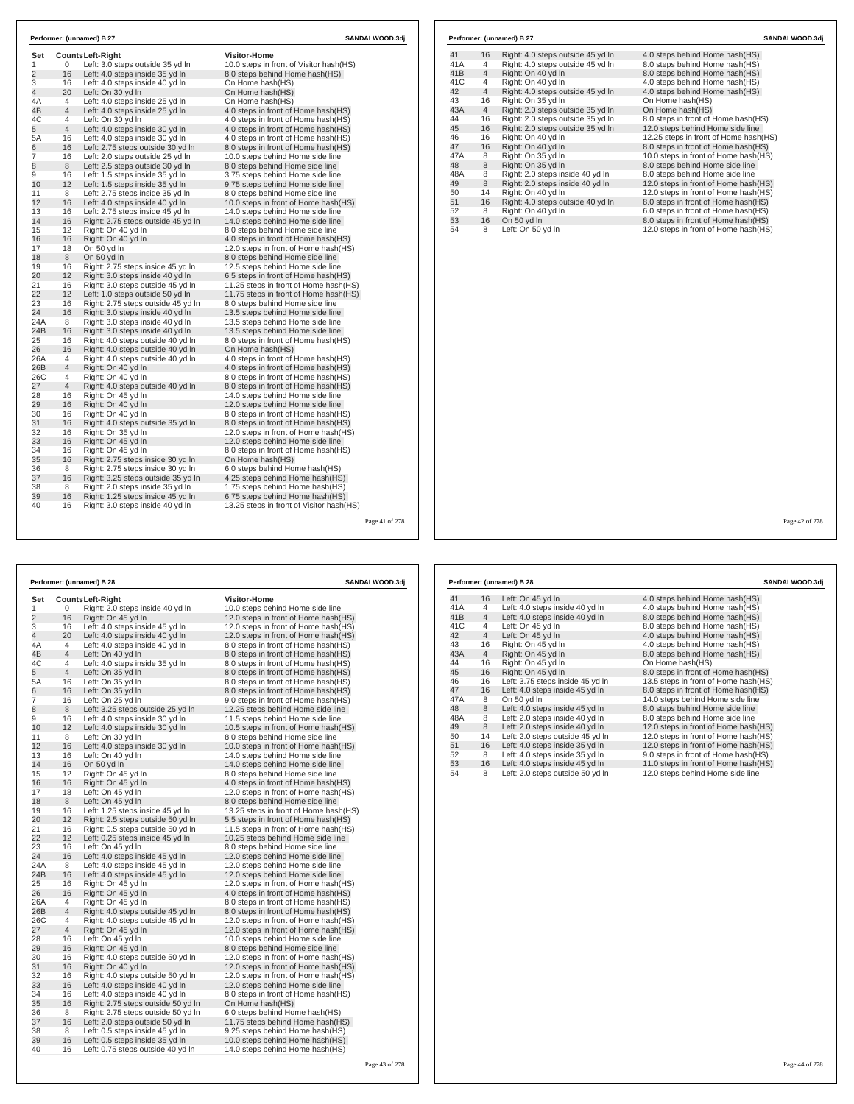| Set             |                | <b>CountsLeft-Right</b>                                                | <b>Visitor-Home</b>                                                         |  |
|-----------------|----------------|------------------------------------------------------------------------|-----------------------------------------------------------------------------|--|
| 1               | 0              | Left: 3.0 steps outside 35 yd In                                       | 10.0 steps in front of Visitor hash(HS)                                     |  |
| $\overline{2}$  | 16             | Left: 4.0 steps inside 35 yd In                                        | 8.0 steps behind Home hash (HS)                                             |  |
| 3               | 16             | Left: 4.0 steps inside 40 yd In                                        | On Home hash(HS)                                                            |  |
| $\overline{4}$  | 20             | Left: On 30 yd In                                                      | On Home hash(HS)                                                            |  |
| 4A              | 4              | Left: 4.0 steps inside 25 yd In                                        | On Home hash(HS)                                                            |  |
| 4B              | $\overline{4}$ | Left: 4.0 steps inside 25 yd In                                        | 4.0 steps in front of Home hash(HS)                                         |  |
| 4C              | 4              | Left: On 30 yd In                                                      | 4.0 steps in front of Home hash (HS)                                        |  |
| 5               | 4              | Left: 4.0 steps inside 30 yd In                                        | 4.0 steps in front of Home hash(HS)                                         |  |
| 5A              | 16             | Left: 4.0 steps inside 30 yd In                                        | 4.0 steps in front of Home hash(HS)                                         |  |
| 6               | 16             | Left: 2.75 steps outside 30 yd In                                      | 8.0 steps in front of Home hash(HS)                                         |  |
| 7               | 16             | Left: 2.0 steps outside 25 yd In                                       | 10.0 steps behind Home side line                                            |  |
| 8               | 8              | Left: 2.5 steps outside 30 vd In                                       | 8.0 steps behind Home side line                                             |  |
| 9               | 16             | Left: 1.5 steps inside 35 yd In                                        | 3.75 steps behind Home side line                                            |  |
| 10              | 12             | Left: 1.5 steps inside 35 yd In                                        | 9.75 steps behind Home side line                                            |  |
| 11              | 8              | Left: 2.75 steps inside 35 yd In                                       | 8.0 steps behind Home side line                                             |  |
| 12 <sup>2</sup> | 16             | Left: 4.0 steps inside 40 yd In                                        | 10.0 steps in front of Home hash(HS)                                        |  |
| 13              | 16             | Left: 2.75 steps inside 45 yd In                                       | 14.0 steps behind Home side line                                            |  |
| 14              | 16             | Right: 2.75 steps outside 45 yd In                                     | 14.0 steps behind Home side line                                            |  |
| 15              | 12             | Right: On 40 yd In                                                     | 8.0 steps behind Home side line                                             |  |
| 16              | 16             | Right: On 40 yd In                                                     | 4.0 steps in front of Home hash(HS)                                         |  |
| 17              | 18             | On 50 yd In                                                            | 12.0 steps in front of Home hash(HS)                                        |  |
| 18              | 8              | On 50 yd In                                                            | 8.0 steps behind Home side line                                             |  |
| 19              | 16             | Right: 2.75 steps inside 45 yd In                                      | 12.5 steps behind Home side line                                            |  |
| 20              | 12             | Right: 3.0 steps inside 40 yd In                                       | 6.5 steps in front of Home hash(HS)                                         |  |
| 21              | 16             | Right: 3.0 steps outside 45 yd In                                      | 11.25 steps in front of Home hash(HS)                                       |  |
| 22              | 12             | Left: 1.0 steps outside 50 yd In                                       | 11.75 steps in front of Home hash(HS)                                       |  |
| 23              | 16             | Right: 2.75 steps outside 45 yd In                                     | 8.0 steps behind Home side line                                             |  |
| 24              | 16             | Right: 3.0 steps inside 40 yd In                                       | 13.5 steps behind Home side line                                            |  |
| 24A             | 8              | Right: 3.0 steps inside 40 yd In                                       | 13.5 steps behind Home side line                                            |  |
| 24B             | 16             | Right: 3.0 steps inside 40 yd In                                       | 13.5 steps behind Home side line                                            |  |
| 25              | 16             | Right: 4.0 steps outside 40 yd In                                      | 8.0 steps in front of Home hash(HS)                                         |  |
| 26              | 16             | Right: 4.0 steps outside 40 yd In                                      | On Home hash(HS)                                                            |  |
| 26A             | 4              | Right: 4.0 steps outside 40 yd In                                      | 4.0 steps in front of Home hash (HS)                                        |  |
| 26B             | 4              | Right: On 40 yd In                                                     | 4.0 steps in front of Home hash(HS)                                         |  |
| 26C             | 4              | Right: On 40 vd In                                                     | 8.0 steps in front of Home hash (HS)                                        |  |
| 27              | 4              | Right: 4.0 steps outside 40 yd In                                      | 8.0 steps in front of Home hash(HS)                                         |  |
| 28              | 16             | Right: On 45 vd In                                                     | 14.0 steps behind Home side line                                            |  |
| 29              | 16             | Right: On 40 yd In                                                     | 12.0 steps behind Home side line                                            |  |
| 30              | 16             | Right: On 40 yd In                                                     | 8.0 steps in front of Home hash (HS)                                        |  |
| 31<br>32        | 16<br>16       | Right: 4.0 steps outside 35 yd In                                      | 8.0 steps in front of Home hash(HS)                                         |  |
| 33              | 16             | Right: On 35 yd In<br>Right: On 45 vd In                               | 12.0 steps in front of Home hash(HS)<br>12.0 steps behind Home side line    |  |
|                 |                |                                                                        |                                                                             |  |
| 34              | 16             | Right: On 45 yd In                                                     | 8.0 steps in front of Home hash (HS)<br>On Home hash(HS)                    |  |
| 35<br>36        | 16<br>8        | Right: 2.75 steps inside 30 yd In<br>Right: 2.75 steps inside 30 yd In | 6.0 steps behind Home hash(HS)                                              |  |
| 37              | 16             | Right: 3.25 steps outside 35 yd In                                     | 4.25 steps behind Home hash (HS)                                            |  |
|                 |                | Right: 2.0 steps inside 35 vd In                                       | 1.75 steps behind Home hash(HS)                                             |  |
| 38              | 8<br>16        |                                                                        |                                                                             |  |
| 39<br>40        | 16             | Right: 1.25 steps inside 45 yd In<br>Right: 3.0 steps inside 40 yd In  | 6.75 steps behind Home hash(HS)<br>13.25 steps in front of Visitor hash(HS) |  |

| Performer: (unnamed) B 27 |  |  |  |
|---------------------------|--|--|--|
|---------------------------|--|--|--|

| 16             | Right: 4.0 steps outside 45 yd In | 4.0 steps behind Home hash (HS)       |
|----------------|-----------------------------------|---------------------------------------|
| 4              | Right: 4.0 steps outside 45 yd In | 8.0 steps behind Home hash(HS)        |
| $\overline{4}$ | Right: On 40 vd In                | 8.0 steps behind Home hash(HS)        |
| 4              | Right: On 40 yd In                | 4.0 steps behind Home hash(HS)        |
| $\overline{4}$ | Right: 4.0 steps outside 45 yd In | 4.0 steps behind Home hash (HS)       |
| 16             | Right: On 35 yd In                | On Home hash(HS)                      |
| $\overline{4}$ | Right: 2.0 steps outside 35 yd In | On Home hash(HS)                      |
| 16             | Right: 2.0 steps outside 35 yd In | 8.0 steps in front of Home hash(HS)   |
| 16             | Right: 2.0 steps outside 35 yd In | 12.0 steps behind Home side line      |
| 16             | Right: On 40 yd In                | 12.25 steps in front of Home hash(HS) |
| 16             | Right: On 40 yd In                | 8.0 steps in front of Home hash(HS)   |
| 8              | Right: On 35 yd In                | 10.0 steps in front of Home hash(HS)  |
| 8              | Right: On 35 yd In                | 8.0 steps behind Home side line       |
| 8              | Right: 2.0 steps inside 40 yd In  | 8.0 steps behind Home side line       |
| 8              | Right: 2.0 steps inside 40 yd In  | 12.0 steps in front of Home hash(HS)  |
| 14             | Right: On 40 yd In                | 12.0 steps in front of Home hash(HS)  |
| 16             | Right: 4.0 steps outside 40 yd In | 8.0 steps in front of Home hash(HS)   |
| 8              | Right: On 40 vd In                | 6.0 steps in front of Home hash(HS)   |
| 16             | On 50 yd In                       | 8.0 steps in front of Home hash(HS)   |
| 8              | Left: On 50 yd In                 | 12.0 steps in front of Home hash(HS)  |
|                |                                   |                                       |

Page 42 of 278

**Performer: (unnamed) B 27 SANDALWOOD.3dj**

|                |                | Performer: (unnamed) B 28          |                                       | SANDALWOOD.3dj |
|----------------|----------------|------------------------------------|---------------------------------------|----------------|
| Set            |                | <b>CountsLeft-Right</b>            | <b>Visitor-Home</b>                   |                |
| 1              | 0              | Right: 2.0 steps inside 40 yd In   | 10.0 steps behind Home side line      |                |
| $\overline{2}$ | 16             | Right: On 45 yd In                 | 12.0 steps in front of Home hash(HS)  |                |
| 3              | 16             | Left: 4.0 steps inside 45 yd In    | 12.0 steps in front of Home hash(HS)  |                |
| 4              | 20             | Left: 4.0 steps inside 40 yd In    | 12.0 steps in front of Home hash(HS)  |                |
| 4A             | $\overline{4}$ | Left: 4.0 steps inside 40 yd In    | 8.0 steps in front of Home hash(HS)   |                |
| 4B             | $\overline{4}$ | Left: On 40 yd In                  | 8.0 steps in front of Home hash(HS)   |                |
| 4C             | $\overline{4}$ | Left: 4.0 steps inside 35 yd In    | 8.0 steps in front of Home hash(HS)   |                |
| 5              | $\overline{4}$ | Left: On 35 yd In                  | 8.0 steps in front of Home hash(HS)   |                |
| 5A             | 16             | Left: On 35 yd In                  | 8.0 steps in front of Home hash(HS)   |                |
| 6              | 16             | Left: On 35 yd In                  | 8.0 steps in front of Home hash(HS)   |                |
| $\overline{7}$ | 16             | Left: On 25 yd In                  | 9.0 steps in front of Home hash (HS)  |                |
| 8              | 8              | Left: 3.25 steps outside 25 yd In  | 12.25 steps behind Home side line     |                |
| 9              | 16             | Left: 4.0 steps inside 30 yd In    | 11.5 steps behind Home side line      |                |
| 10             | 12             | Left: 4.0 steps inside 30 yd In    | 10.5 steps in front of Home hash(HS)  |                |
| 11             | 8              | Left: On 30 yd In                  | 8.0 steps behind Home side line       |                |
| 12             | 16             | Left: 4.0 steps inside 30 yd In    | 10.0 steps in front of Home hash(HS)  |                |
| 13             | 16             | Left: On 40 yd In                  | 14.0 steps behind Home side line      |                |
| 14             | 16             | On 50 yd In                        | 14.0 steps behind Home side line      |                |
| 15             | 12             | Right: On 45 yd In                 | 8.0 steps behind Home side line       |                |
| 16             | 16             | Right: On 45 yd In                 | 4.0 steps in front of Home hash(HS)   |                |
| 17             | 18             | Left: On 45 yd In                  | 12.0 steps in front of Home hash(HS)  |                |
| 18             | 8              | Left: On 45 yd In                  | 8.0 steps behind Home side line       |                |
| 19             | 16             | Left: 1.25 steps inside 45 yd In   | 13.25 steps in front of Home hash(HS) |                |
| 20             | 12             | Right: 2.5 steps outside 50 yd In  | 5.5 steps in front of Home hash(HS)   |                |
| 21             | 16             | Right: 0.5 steps outside 50 yd In  | 11.5 steps in front of Home hash(HS)  |                |
| 22             | 12             | Left: 0.25 steps inside 45 yd In   | 10.25 steps behind Home side line     |                |
| 23             | 16             | Left: On 45 yd In                  | 8.0 steps behind Home side line       |                |
| 24             | 16             | Left: 4.0 steps inside 45 yd In    | 12.0 steps behind Home side line      |                |
| 24A            | 8              | Left: 4.0 steps inside 45 yd In    | 12.0 steps behind Home side line      |                |
| 24B            | 16             | Left: 4.0 steps inside 45 yd In    | 12.0 steps behind Home side line      |                |
| 25             | 16             | Right: On 45 yd In                 | 12.0 steps in front of Home hash(HS)  |                |
| 26             | 16             | Right: On 45 yd In                 | 4.0 steps in front of Home hash(HS)   |                |
| 26A            | $\overline{4}$ | Right: On 45 vd In                 | 8.0 steps in front of Home hash (HS)  |                |
| 26B            | $\overline{4}$ | Right: 4.0 steps outside 45 yd In  | 8.0 steps in front of Home hash(HS)   |                |
| 26C            | $\overline{4}$ | Right: 4.0 steps outside 45 yd In  | 12.0 steps in front of Home hash(HS)  |                |
| 27             | $\overline{4}$ | Right: On 45 yd In                 | 12.0 steps in front of Home hash(HS)  |                |
| 28             | 16             | Left: On 45 vd In                  | 10.0 steps behind Home side line      |                |
| 29             | 16             | Right: On 45 yd In                 | 8.0 steps behind Home side line       |                |
| 30             | 16             | Right: 4.0 steps outside 50 yd In  | 12.0 steps in front of Home hash(HS)  |                |
| 31             | 16             | Right: On 40 yd In                 | 12.0 steps in front of Home hash(HS)  |                |
| 32             | 16             | Right: 4.0 steps outside 50 yd In  | 12.0 steps in front of Home hash(HS)  |                |
| 33             | 16             | Left: 4.0 steps inside 40 yd In    | 12.0 steps behind Home side line      |                |
| 34             | 16             | Left: 4.0 steps inside 40 yd In    | 8.0 steps in front of Home hash(HS)   |                |
| 35             | 16             | Right: 2.75 steps outside 50 yd In | On Home hash(HS)                      |                |
| 36             | 8              | Right: 2.75 steps outside 50 yd In | 6.0 steps behind Home hash(HS)        |                |
| 37             | 16             | Left: 2.0 steps outside 50 yd In   | 11.75 steps behind Home hash(HS)      |                |
| 38             | 8              | Left: 0.5 steps inside 45 yd In    | 9.25 steps behind Home hash(HS)       |                |
| 39             | 16             | Left: 0.5 steps inside 35 yd In    | 10.0 steps behind Home hash(HS)       |                |
| 40             | 16             | Left: 0.75 steps outside 40 yd In  | 14.0 steps behind Home hash(HS)       |                |
|                |                |                                    |                                       | Page 43 of 278 |
|                |                |                                    |                                       |                |

|     | Performer: (unnamed) B 28 |                                  |                                      |  |
|-----|---------------------------|----------------------------------|--------------------------------------|--|
| 41  | 16                        | Left: On 45 yd In                | 4.0 steps behind Home hash (HS)      |  |
| 41A | 4                         | Left: 4.0 steps inside 40 yd In  | 4.0 steps behind Home hash(HS)       |  |
| 41B | $\overline{4}$            | Left: 4.0 steps inside 40 yd In  | 8.0 steps behind Home hash(HS)       |  |
| 41C | 4                         | Left: On 45 yd In                | 8.0 steps behind Home hash(HS)       |  |
| 42  | $\overline{4}$            | Left: On 45 yd In                | 4.0 steps behind Home hash(HS)       |  |
| 43  | 16                        | Right: On 45 yd In               | 4.0 steps behind Home hash(HS)       |  |
| 43A | $\overline{4}$            | Right: On 45 yd In               | 8.0 steps behind Home hash(HS)       |  |
| 44  | 16                        | Right: On 45 yd In               | On Home hash(HS)                     |  |
| 45  | 16                        | Right: On 45 yd In               | 8.0 steps in front of Home hash(HS)  |  |
| 46  | 16                        | Left: 3.75 steps inside 45 yd In | 13.5 steps in front of Home hash(HS) |  |
| 47  | 16                        | Left: 4.0 steps inside 45 yd In  | 8.0 steps in front of Home hash(HS)  |  |
| 47A | 8                         | On 50 yd In                      | 14.0 steps behind Home side line     |  |
| 48  | 8                         | Left: 4.0 steps inside 45 yd In  | 8.0 steps behind Home side line      |  |
| 48A | 8                         | Left: 2.0 steps inside 40 yd In  | 8.0 steps behind Home side line      |  |
| 49  | 8                         | Left: 2.0 steps inside 40 yd In  | 12.0 steps in front of Home hash(HS) |  |
| 50  | 14                        | Left: 2.0 steps outside 45 yd In | 12.0 steps in front of Home hash(HS) |  |
| 51  | 16                        | Left: 4.0 steps inside 35 yd In  | 12.0 steps in front of Home hash(HS) |  |
| 52  | 8                         | Left: 4.0 steps inside 35 yd In  | 9.0 steps in front of Home hash(HS)  |  |
| 53  | 16                        | Left: 4.0 steps inside 45 yd In  | 11.0 steps in front of Home hash(HS) |  |
| 54  | 8                         | Left: 2.0 steps outside 50 yd In | 12.0 steps behind Home side line     |  |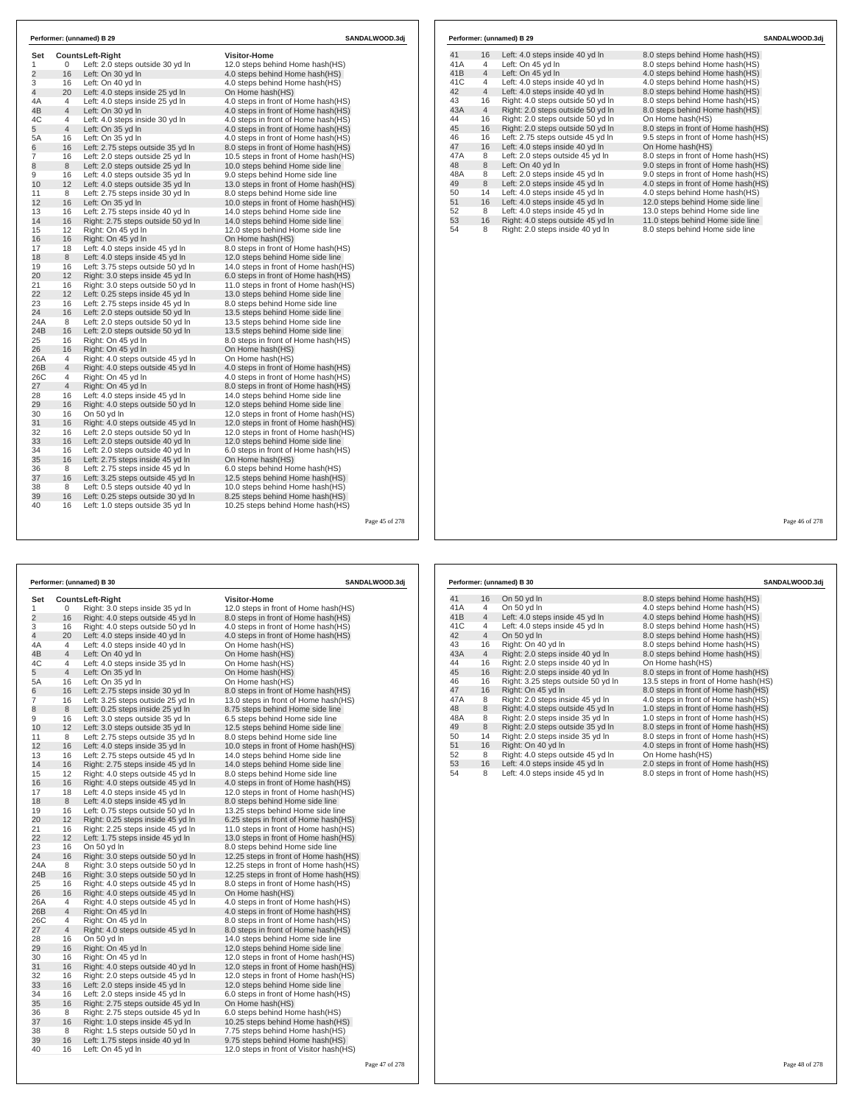| Set<br>1        |                | <b>CountsLeft-Right</b>                               | <b>Visitor-Home</b>                                                |  |
|-----------------|----------------|-------------------------------------------------------|--------------------------------------------------------------------|--|
| $\overline{2}$  | 0<br>16        | Left: 2.0 steps outside 30 yd In<br>Left: On 30 yd In | 12.0 steps behind Home hash(HS)<br>4.0 steps behind Home hash (HS) |  |
| 3               | 16             | Left: On 40 yd In                                     | 4.0 steps behind Home hash(HS)                                     |  |
| $\overline{4}$  | 20             | Left: 4.0 steps inside 25 yd In                       | On Home hash(HS)                                                   |  |
| 4A              | 4              | Left: 4.0 steps inside 25 yd In                       | 4.0 steps in front of Home hash (HS)                               |  |
| 4B              | 4              | Left: On 30 yd In                                     | 4.0 steps in front of Home hash(HS)                                |  |
| 4C              | 4              | Left: 4.0 steps inside 30 yd In                       | 4.0 steps in front of Home hash (HS)                               |  |
| 5               | 4              | Left: On 35 yd In                                     | 4.0 steps in front of Home hash(HS)                                |  |
| 5A              | 16             | Left: On 35 yd In                                     | 4.0 steps in front of Home hash (HS)                               |  |
| 6               | 16             | Left: 2.75 steps outside 35 yd In                     | 8.0 steps in front of Home hash(HS)                                |  |
| $\overline{7}$  | 16             | Left: 2.0 steps outside 25 yd In                      | 10.5 steps in front of Home hash(HS)                               |  |
| 8               | 8              | Left: 2.0 steps outside 25 yd In                      | 10.0 steps behind Home side line                                   |  |
| 9               | 16             | Left: 4.0 steps outside 35 yd In                      | 9.0 steps behind Home side line                                    |  |
| 10              | 12             | Left: 4.0 steps outside 35 yd In                      | 13.0 steps in front of Home hash(HS)                               |  |
| 11              | 8              | Left: 2.75 steps inside 30 yd In                      | 8.0 steps behind Home side line                                    |  |
| 12              | 16             | Left: On 35 yd In                                     | 10.0 steps in front of Home hash(HS)                               |  |
| 13              | 16             | Left: 2.75 steps inside 40 yd In                      | 14.0 steps behind Home side line                                   |  |
| 14              | 16             | Right: 2.75 steps outside 50 yd In                    | 14.0 steps behind Home side line                                   |  |
| 15              | 12             | Right: On 45 yd In                                    | 12.0 steps behind Home side line                                   |  |
| 16              | 16             | Right: On 45 yd In                                    | On Home hash(HS)                                                   |  |
| 17              | 18             | Left: 4.0 steps inside 45 yd In                       | 8.0 steps in front of Home hash (HS)                               |  |
| 18              | 8              | Left: 4.0 steps inside 45 yd In                       | 12.0 steps behind Home side line                                   |  |
| 19              | 16             | Left: 3.75 steps outside 50 yd In                     | 14.0 steps in front of Home hash(HS)                               |  |
| 20              | 12             | Right: 3.0 steps inside 45 yd In                      | 6.0 steps in front of Home hash(HS)                                |  |
| 21              | 16             | Right: 3.0 steps outside 50 yd In                     | 11.0 steps in front of Home hash(HS)                               |  |
| 22              | 12             | Left: 0.25 steps inside 45 yd In                      | 13.0 steps behind Home side line                                   |  |
| 23              | 16             | Left: 2.75 steps inside 45 yd In                      | 8.0 steps behind Home side line                                    |  |
| 24              | 16             | Left: 2.0 steps outside 50 yd In                      | 13.5 steps behind Home side line                                   |  |
| 24A             | 8              | Left: 2.0 steps outside 50 yd In                      | 13.5 steps behind Home side line                                   |  |
| 24 <sub>B</sub> | 16             | Left: 2.0 steps outside 50 yd In                      | 13.5 steps behind Home side line                                   |  |
| 25              | 16             | Right: On 45 yd In                                    | 8.0 steps in front of Home hash (HS)                               |  |
| 26              | 16             | Right: On 45 yd In                                    | On Home hash(HS)                                                   |  |
| 26A             | 4              | Right: 4.0 steps outside 45 yd In                     | On Home hash(HS)                                                   |  |
| 26B             | $\overline{4}$ | Right: 4.0 steps outside 45 yd In                     | 4.0 steps in front of Home hash(HS)                                |  |
| 26C             | 4              | Right: On 45 yd In                                    | 4.0 steps in front of Home hash (HS)                               |  |
| 27              | $\overline{4}$ | Right: On 45 yd In                                    | 8.0 steps in front of Home hash(HS)                                |  |
| 28              | 16             | Left: 4.0 steps inside 45 yd In                       | 14.0 steps behind Home side line                                   |  |
| 29              | 16             | Right: 4.0 steps outside 50 yd In                     | 12.0 steps behind Home side line                                   |  |
| 30              | 16             | On 50 yd In                                           | 12.0 steps in front of Home hash(HS)                               |  |
| 31              | 16             | Right: 4.0 steps outside 45 yd In                     | 12.0 steps in front of Home hash(HS)                               |  |
| 32              | 16             | Left: 2.0 steps outside 50 yd In                      | 12.0 steps in front of Home hash (HS)                              |  |
| 33              | 16             | Left: 2.0 steps outside 40 yd In                      | 12.0 steps behind Home side line                                   |  |
| 34              | 16             | Left: 2.0 steps outside 40 yd In                      | 6.0 steps in front of Home hash (HS)                               |  |
| 35              | 16             | Left: 2.75 steps inside 45 yd In                      | On Home hash(HS)                                                   |  |
| 36              | 8              | Left: 2.75 steps inside 45 yd In                      | 6.0 steps behind Home hash(HS)                                     |  |
| 37              | 16             | Left: 3.25 steps outside 45 yd In                     | 12.5 steps behind Home hash(HS)                                    |  |
| 38              | 8              | Left: 0.5 steps outside 40 vd In                      | 10.0 steps behind Home hash (HS)                                   |  |
| 39              | 16             | Left: 0.25 steps outside 30 yd In                     | 8.25 steps behind Home hash(HS)                                    |  |
| 40              | 16             | Left: 1.0 steps outside 35 yd In                      | 10.25 steps behind Home hash(HS)                                   |  |

|                |                         | Performer: (unnamed) B 30          | SANDALWOOD.3dj                          |  |
|----------------|-------------------------|------------------------------------|-----------------------------------------|--|
| Set            | <b>CountsLeft-Right</b> |                                    | <b>Visitor-Home</b>                     |  |
| 1              | 0                       | Right: 3.0 steps inside 35 yd In   | 12.0 steps in front of Home hash(HS)    |  |
| $\overline{2}$ | 16                      | Right: 4.0 steps outside 45 yd In  | 8.0 steps in front of Home hash(HS)     |  |
| 3              | 16                      | Right: 4.0 steps outside 50 yd In  | 4.0 steps in front of Home hash(HS)     |  |
| $\overline{4}$ | 20                      | Left: 4.0 steps inside 40 yd In    | 4.0 steps in front of Home hash (HS)    |  |
| 4A             | 4                       | Left: 4.0 steps inside 40 yd In    | On Home hash(HS)                        |  |
| 4B             | 4                       | Left: On 40 yd In                  | On Home hash(HS)                        |  |
| 4C             | 4                       | Left: 4.0 steps inside 35 yd In    | On Home hash(HS)                        |  |
| 5              | $\overline{4}$          | Left: On 35 yd In                  | On Home hash(HS)                        |  |
| 5A             | 16                      | Left: On 35 yd In                  | On Home hash(HS)                        |  |
| 6              | 16                      | Left: 2.75 steps inside 30 yd In   | 8.0 steps in front of Home hash(HS)     |  |
| 7              | 16                      | Left: 3.25 steps outside 25 yd In  | 13.0 steps in front of Home hash(HS)    |  |
| 8              | 8                       | Left: 0.25 steps inside 25 yd In   | 8.75 steps behind Home side line        |  |
| 9              | 16                      | Left: 3.0 steps outside 35 yd In   | 6.5 steps behind Home side line         |  |
| 10             | 12                      | Left: 3.0 steps outside 35 yd In   | 12.5 steps behind Home side line        |  |
| 11             | 8                       | Left: 2.75 steps outside 35 yd In  | 8.0 steps behind Home side line         |  |
| 12             | 16                      | Left: 4.0 steps inside 35 yd In    | 10.0 steps in front of Home hash(HS)    |  |
| 13             | 16                      | Left: 2.75 steps outside 45 yd In  | 14.0 steps behind Home side line        |  |
| 14             | 16                      | Right: 2.75 steps inside 45 yd In  | 14.0 steps behind Home side line        |  |
| 15             | 12                      | Right: 4.0 steps outside 45 yd In  | 8.0 steps behind Home side line         |  |
| 16             | 16                      | Right: 4.0 steps outside 45 yd In  | 4.0 steps in front of Home hash(HS)     |  |
| 17             | 18                      | Left: 4.0 steps inside 45 yd In    | 12.0 steps in front of Home hash(HS)    |  |
| 18             | 8                       | Left: 4.0 steps inside 45 yd In    | 8.0 steps behind Home side line         |  |
| 19             | 16                      | Left: 0.75 steps outside 50 yd In  | 13.25 steps behind Home side line       |  |
| 20             | 12                      | Right: 0.25 steps inside 45 yd In  | 6.25 steps in front of Home hash(HS)    |  |
| 21             | 16                      | Right: 2.25 steps inside 45 yd In  | 11.0 steps in front of Home hash(HS)    |  |
| 22             | 12                      | Left: 1.75 steps inside 45 yd In   | 13.0 steps in front of Home hash(HS)    |  |
| 23             | 16                      | On 50 yd In                        | 8.0 steps behind Home side line         |  |
| 24             | 16                      | Right: 3.0 steps outside 50 yd In  | 12.25 steps in front of Home hash (HS)  |  |
| 24A            | 8                       |                                    |                                         |  |
|                | 16                      | Right: 3.0 steps outside 50 yd In  | 12.25 steps in front of Home hash (HS)  |  |
| 24B            |                         | Right: 3.0 steps outside 50 yd In  | 12.25 steps in front of Home hash(HS)   |  |
| 25             | 16                      | Right: 4.0 steps outside 45 yd In  | 8.0 steps in front of Home hash(HS)     |  |
| 26             | 16                      | Right: 4.0 steps outside 45 yd In  | On Home hash(HS)                        |  |
| 26A            | 4                       | Right: 4.0 steps outside 45 yd In  | 4.0 steps in front of Home hash(HS)     |  |
| 26B            | $\overline{4}$          | Right: On 45 yd In                 | 4.0 steps in front of Home hash(HS)     |  |
| 26C            | 4                       | Right: On 45 yd In                 | 8.0 steps in front of Home hash(HS)     |  |
| 27             | $\overline{4}$          | Right: 4.0 steps outside 45 yd In  | 8.0 steps in front of Home hash(HS)     |  |
| 28             | 16                      | On 50 yd In                        | 14.0 steps behind Home side line        |  |
| 29             | 16                      | Right: On 45 yd In                 | 12.0 steps behind Home side line        |  |
| 30             | 16                      | Right: On 45 yd In                 | 12.0 steps in front of Home hash (HS)   |  |
| 31             | 16                      | Right: 4.0 steps outside 40 yd In  | 12.0 steps in front of Home hash(HS)    |  |
| 32             | 16                      | Right: 2.0 steps outside 45 yd In  | 12.0 steps in front of Home hash(HS)    |  |
| 33             | 16                      | Left: 2.0 steps inside 45 yd In    | 12.0 steps behind Home side line        |  |
| 34             | 16                      | Left: 2.0 steps inside 45 yd In    | 6.0 steps in front of Home hash (HS)    |  |
| 35             | 16                      | Right: 2.75 steps outside 45 yd In | On Home hash(HS)                        |  |
| 36             | 8                       | Right: 2.75 steps outside 45 yd In | 6.0 steps behind Home hash(HS)          |  |
| 37             | 16                      | Right: 1.0 steps inside 45 yd In   | 10.25 steps behind Home hash(HS)        |  |
| 38             | 8                       | Right: 1.5 steps outside 50 yd In  | 7.75 steps behind Home hash(HS)         |  |
| 39             | 16                      | Left: 1.75 steps inside 40 yd In   | 9.75 steps behind Home hash(HS)         |  |
| 40             | 16                      | Left: On 45 yd In                  | 12.0 steps in front of Visitor hash(HS) |  |

| Performer: (unnamed) B 29 |                |                                   | SANDALWOOD.3dj                       |  |
|---------------------------|----------------|-----------------------------------|--------------------------------------|--|
| 41                        | 16             | Left: 4.0 steps inside 40 yd In   | 8.0 steps behind Home hash (HS)      |  |
| 41A                       | 4              | Left: On 45 yd In                 | 8.0 steps behind Home hash(HS)       |  |
| 41B                       | $\overline{4}$ | Left: On 45 yd In                 | 4.0 steps behind Home hash(HS)       |  |
| 41C                       | $\overline{4}$ | Left: 4.0 steps inside 40 yd In   | 4.0 steps behind Home hash(HS)       |  |
| 42                        | $\overline{4}$ | Left: 4.0 steps inside 40 yd In   | 8.0 steps behind Home hash(HS)       |  |
| 43                        | 16             | Right: 4.0 steps outside 50 yd In | 8.0 steps behind Home hash(HS)       |  |
| 43A                       | $\overline{4}$ | Right: 2.0 steps outside 50 yd In | 8.0 steps behind Home hash(HS)       |  |
| 44                        | 16             | Right: 2.0 steps outside 50 yd In | On Home hash(HS)                     |  |
| 45                        | 16             | Right: 2.0 steps outside 50 yd In | 8.0 steps in front of Home hash(HS)  |  |
| 46                        | 16             | Left: 2.75 steps outside 45 vd In | 9.5 steps in front of Home hash (HS) |  |
| 47                        | 16             | Left: 4.0 steps inside 40 yd In   | On Home hash(HS)                     |  |
| 47A                       | 8              | Left: 2.0 steps outside 45 vd In  | 8.0 steps in front of Home hash(HS)  |  |
| 48                        | 8              | Left: On 40 yd In                 | 9.0 steps in front of Home hash (HS) |  |
| 48A                       | 8              | Left: 2.0 steps inside 45 yd In   | 9.0 steps in front of Home hash(HS)  |  |
| 49                        | 8              | Left: 2.0 steps inside 45 yd In   | 4.0 steps in front of Home hash(HS)  |  |
| 50                        | 14             | Left: 4.0 steps inside 45 yd In   | 4.0 steps behind Home hash(HS)       |  |
| 51                        | 16             | Left: 4.0 steps inside 45 yd In   | 12.0 steps behind Home side line     |  |
| 52                        | 8              | Left: 4.0 steps inside 45 yd In   | 13.0 steps behind Home side line     |  |
| 53                        | 16             | Right: 4.0 steps outside 45 yd In | 11.0 steps behind Home side line     |  |
| 54                        | 8              | Right: 2.0 steps inside 40 yd In  | 8.0 steps behind Home side line      |  |

Page 46 of 278

|     | Performer: (unnamed) B 30 |                                    |                                      |  |  |
|-----|---------------------------|------------------------------------|--------------------------------------|--|--|
| 41  | 16                        | On 50 yd In                        | 8.0 steps behind Home hash(HS)       |  |  |
| 41A | $\overline{4}$            | On 50 yd In                        | 4.0 steps behind Home hash(HS)       |  |  |
| 41B | $\overline{4}$            | Left: 4.0 steps inside 45 yd In    | 4.0 steps behind Home hash(HS)       |  |  |
| 41C | 4                         | Left: 4.0 steps inside 45 yd In    | 8.0 steps behind Home hash(HS)       |  |  |
| 42  | $\overline{4}$            | On 50 yd In                        | 8.0 steps behind Home hash(HS)       |  |  |
| 43  | 16                        | Right: On 40 yd In                 | 8.0 steps behind Home hash(HS)       |  |  |
| 43A | $\overline{4}$            | Right: 2.0 steps inside 40 yd In   | 8.0 steps behind Home hash(HS)       |  |  |
| 44  | 16                        | Right: 2.0 steps inside 40 vd In   | On Home hash(HS)                     |  |  |
| 45  | 16                        | Right: 2.0 steps inside 40 yd In   | 8.0 steps in front of Home hash(HS)  |  |  |
| 46  | 16                        | Right: 3.25 steps outside 50 yd In | 13.5 steps in front of Home hash(HS) |  |  |
| 47  | 16                        | Right: On 45 yd In                 | 8.0 steps in front of Home hash(HS)  |  |  |
| 47A | 8                         | Right: 2.0 steps inside 45 yd In   | 4.0 steps in front of Home hash(HS)  |  |  |
| 48  | 8                         | Right: 4.0 steps outside 45 yd In  | 1.0 steps in front of Home hash (HS) |  |  |
| 48A | 8                         | Right: 2.0 steps inside 35 yd In   | 1.0 steps in front of Home hash(HS)  |  |  |
| 49  | 8                         | Right: 2.0 steps outside 35 yd In  | 8.0 steps in front of Home hash(HS)  |  |  |
| 50  | 14                        | Right: 2.0 steps inside 35 yd In   | 8.0 steps in front of Home hash(HS)  |  |  |
| 51  | 16                        | Right: On 40 vd In                 | 4.0 steps in front of Home hash (HS) |  |  |
| 52  | 8                         | Right: 4.0 steps outside 45 yd In  | On Home hash(HS)                     |  |  |
| 53  | 16                        | Left: 4.0 steps inside 45 yd In    | 2.0 steps in front of Home hash(HS)  |  |  |
| 54  | 8                         | Left: 4.0 steps inside 45 yd In    | 8.0 steps in front of Home hash(HS)  |  |  |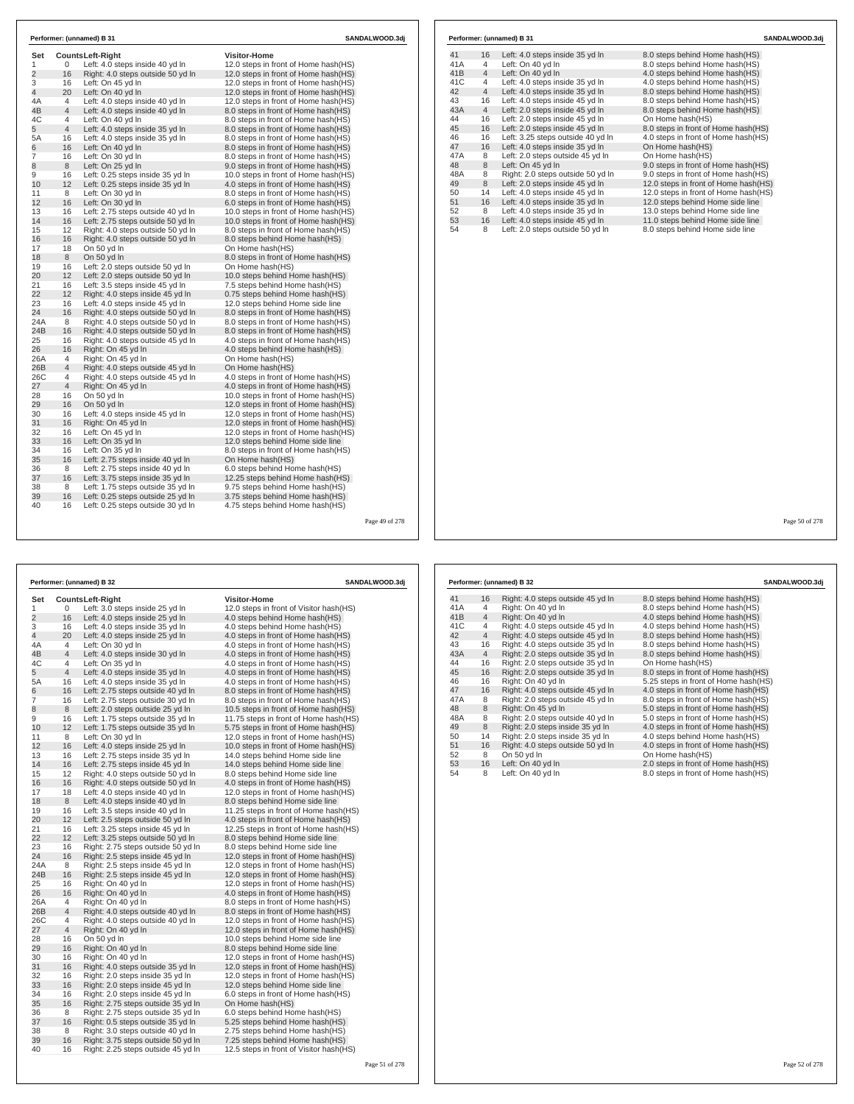| Set            |                | <b>CountsLeft-Right</b>           | <b>Visitor-Home</b>                  |  |
|----------------|----------------|-----------------------------------|--------------------------------------|--|
| 1              | 0              | Left: 4.0 steps inside 40 yd In   | 12.0 steps in front of Home hash(HS) |  |
| $\overline{c}$ | 16             | Right: 4.0 steps outside 50 yd In | 12.0 steps in front of Home hash(HS) |  |
| 3              | 16             | Left: On 45 yd In                 | 12.0 steps in front of Home hash(HS) |  |
| 4              | 20             | Left: On 40 yd In                 | 12.0 steps in front of Home hash(HS) |  |
| 4A             | 4              | Left: 4.0 steps inside 40 yd In   | 12.0 steps in front of Home hash(HS) |  |
| 4B             | $\overline{4}$ | Left: 4.0 steps inside 40 yd In   | 8.0 steps in front of Home hash(HS)  |  |
| 4C             | 4              | Left: On 40 yd In                 | 8.0 steps in front of Home hash(HS)  |  |
| 5              | $\overline{4}$ | Left: 4.0 steps inside 35 yd In   | 8.0 steps in front of Home hash(HS)  |  |
| 5A             | 16             | Left: 4.0 steps inside 35 yd In   | 8.0 steps in front of Home hash(HS)  |  |
| 6              | 16             | Left: On 40 vd In                 | 8.0 steps in front of Home hash(HS)  |  |
| $\overline{7}$ | 16             | Left: On 30 yd In                 | 8.0 steps in front of Home hash(HS)  |  |
| 8              | 8              | Left: On 25 yd In                 | 9.0 steps in front of Home hash(HS)  |  |
| 9              | 16             | Left: 0.25 steps inside 35 yd In  | 10.0 steps in front of Home hash(HS) |  |
| 10             | 12             | Left: 0.25 steps inside 35 yd In  | 4.0 steps in front of Home hash(HS)  |  |
| 11             | 8              | Left: On 30 yd In                 | 8.0 steps in front of Home hash(HS)  |  |
| 12             | 16             | Left: On 30 yd In                 | 6.0 steps in front of Home hash(HS)  |  |
| 13             | 16             | Left: 2.75 steps outside 40 yd In | 10.0 steps in front of Home hash(HS) |  |
| 14             | 16             | Left: 2.75 steps outside 50 yd In | 10.0 steps in front of Home hash(HS) |  |
| 15             | 12             | Right: 4.0 steps outside 50 yd In | 8.0 steps in front of Home hash(HS)  |  |
| 16             | 16             | Right: 4.0 steps outside 50 yd In | 8.0 steps behind Home hash(HS)       |  |
| 17             | 18             | On 50 yd In                       | On Home hash(HS)                     |  |
| 18             | 8              | On 50 yd In                       | 8.0 steps in front of Home hash(HS)  |  |
| 19             | 16             | Left: 2.0 steps outside 50 yd In  | On Home hash(HS)                     |  |
| 20             | 12             | Left: 2.0 steps outside 50 yd In  | 10.0 steps behind Home hash(HS)      |  |
| 21             | 16             | Left: 3.5 steps inside 45 yd In   | 7.5 steps behind Home hash(HS)       |  |
| 22             | 12             | Right: 4.0 steps inside 45 yd In  | 0.75 steps behind Home hash(HS)      |  |
| 23             | 16             | Left: 4.0 steps inside 45 yd In   | 12.0 steps behind Home side line     |  |
| 24             | 16             | Right: 4.0 steps outside 50 yd In | 8.0 steps in front of Home hash(HS)  |  |
| 24A            | 8              | Right: 4.0 steps outside 50 yd In | 8.0 steps in front of Home hash(HS)  |  |
| 24B            | 16             | Right: 4.0 steps outside 50 yd In | 8.0 steps in front of Home hash(HS)  |  |
| 25             | 16             | Right: 4.0 steps outside 45 yd In | 4.0 steps in front of Home hash(HS)  |  |
| 26             | 16             | Right: On 45 yd In                | 4.0 steps behind Home hash(HS)       |  |
| 26A            | 4              | Right: On 45 yd In                | On Home hash(HS)                     |  |
| 26B            | 4              | Right: 4.0 steps outside 45 yd In | On Home hash(HS)                     |  |
| 26C            | 4              | Right: 4.0 steps outside 45 yd In | 4.0 steps in front of Home hash(HS)  |  |
| 27             | $\overline{4}$ | Right: On 45 yd In                | 4.0 steps in front of Home hash(HS)  |  |
| 28             | 16             | On 50 yd In                       | 10.0 steps in front of Home hash(HS) |  |
| 29             | 16             | On 50 yd In                       | 12.0 steps in front of Home hash(HS) |  |
| 30             | 16             | Left: 4.0 steps inside 45 yd In   | 12.0 steps in front of Home hash(HS) |  |
| 31             | 16             | Right: On 45 yd In                | 12.0 steps in front of Home hash(HS) |  |
| 32             | 16             | Left: On 45 yd In                 | 12.0 steps in front of Home hash(HS) |  |
| 33             | 16             | Left: On 35 yd In                 | 12.0 steps behind Home side line     |  |
| 34             | 16             | Left: On 35 yd In                 | 8.0 steps in front of Home hash(HS)  |  |
| 35             | 16             | Left: 2.75 steps inside 40 yd In  | On Home hash(HS)                     |  |
| 36             | 8              | Left: 2.75 steps inside 40 yd In  | 6.0 steps behind Home hash(HS)       |  |
| 37             | 16             | Left: 3.75 steps inside 35 yd In  | 12.25 steps behind Home hash(HS)     |  |
| 38             | 8              | Left: 1.75 steps outside 35 yd In | 9.75 steps behind Home hash(HS)      |  |
| 39             | 16             | Left: 0.25 steps outside 25 yd In | 3.75 steps behind Home hash(HS)      |  |
| 40             | 16             | Left: 0.25 steps outside 30 yd In | 4.75 steps behind Home hash(HS)      |  |

|     |                | Performer: (unnamed) B 31         | SANDALWOOD.3di                       |
|-----|----------------|-----------------------------------|--------------------------------------|
| 41  | 16             | Left: 4.0 steps inside 35 yd In   | 8.0 steps behind Home hash(HS)       |
| 41A | 4              | Left: On 40 yd In                 | 8.0 steps behind Home hash(HS)       |
| 41B | $\overline{4}$ | Left: On 40 yd In                 | 4.0 steps behind Home hash(HS)       |
| 41C | 4              | Left: 4.0 steps inside 35 yd In   | 4.0 steps behind Home hash(HS)       |
| 42  | $\overline{4}$ | Left: 4.0 steps inside 35 yd In   | 8.0 steps behind Home hash(HS)       |
| 43  | 16             | Left: 4.0 steps inside 45 yd In   | 8.0 steps behind Home hash(HS)       |
| 43A | $\overline{4}$ | Left: 2.0 steps inside 45 yd In   | 8.0 steps behind Home hash(HS)       |
| 44  | 16             | Left: 2.0 steps inside 45 yd In   | On Home hash(HS)                     |
| 45  | 16             | Left: 2.0 steps inside 45 yd In   | 8.0 steps in front of Home hash(HS)  |
| 46  | 16             | Left: 3.25 steps outside 40 yd In | 4.0 steps in front of Home hash(HS)  |
| 47  | 16             | Left: 4.0 steps inside 35 yd In   | On Home hash(HS)                     |
| 47A | 8              | Left: 2.0 steps outside 45 yd In  | On Home hash(HS)                     |
| 48  | 8              | Left: On 45 yd In                 | 9.0 steps in front of Home hash(HS)  |
| 48A | 8              | Right: 2.0 steps outside 50 yd In | 9.0 steps in front of Home hash(HS)  |
| 49  | 8              | Left: 2.0 steps inside 45 yd In   | 12.0 steps in front of Home hash(HS) |
| 50  | 14             | Left: 4.0 steps inside 45 yd In   | 12.0 steps in front of Home hash(HS) |
| 51  | 16             | Left: 4.0 steps inside 35 yd In   | 12.0 steps behind Home side line     |
| 52  | 8              | Left: 4.0 steps inside 35 yd In   | 13.0 steps behind Home side line     |
| 53  | 16             | Left: 4.0 steps inside 45 yd In   | 11.0 steps behind Home side line     |
| 54  | 8              | Left: 2.0 steps outside 50 yd In  | 8.0 steps behind Home side line      |

Page 49 of 278

| Performer: (unnamed) B 32 |                |                                    | SANDALWOOD.3dj                          |  |  |
|---------------------------|----------------|------------------------------------|-----------------------------------------|--|--|
| Set                       |                | <b>CountsLeft-Right</b>            | <b>Visitor-Home</b>                     |  |  |
| 1                         | 0              | Left: 3.0 steps inside 25 yd In    | 12.0 steps in front of Visitor hash(HS) |  |  |
| $\overline{2}$            | 16             | Left: 4.0 steps inside 25 yd In    | 4.0 steps behind Home hash (HS)         |  |  |
| 3                         | 16             | Left: 4.0 steps inside 35 yd In    | 4.0 steps behind Home hash(HS)          |  |  |
| 4                         | 20             | Left: 4.0 steps inside 25 yd In    | 4.0 steps in front of Home hash(HS)     |  |  |
| 4A                        | 4              | Left: On 30 yd In                  | 4.0 steps in front of Home hash (HS)    |  |  |
| 4B                        | $\overline{4}$ | Left: 4.0 steps inside 30 yd In    | 4.0 steps in front of Home hash(HS)     |  |  |
| 4C                        | 4              | Left: On 35 yd In                  | 4.0 steps in front of Home hash (HS)    |  |  |
| 5                         | 4              | Left: 4.0 steps inside 35 yd In    | 4.0 steps in front of Home hash(HS)     |  |  |
| 5A                        | 16             | Left: 4.0 steps inside 35 yd In    | 4.0 steps in front of Home hash (HS)    |  |  |
| 6                         | 16             | Left: 2.75 steps outside 40 yd In  | 8.0 steps in front of Home hash(HS)     |  |  |
| 7                         | 16             | Left: 2.75 steps outside 30 yd In  | 8.0 steps in front of Home hash (HS)    |  |  |
| 8                         | 8              | Left: 2.0 steps outside 25 yd In   | 10.5 steps in front of Home hash(HS)    |  |  |
| 9                         | 16             | Left: 1.75 steps outside 35 yd In  | 11.75 steps in front of Home hash(HS)   |  |  |
| 10                        | 12             | Left: 1.75 steps outside 35 yd In  | 5.75 steps in front of Home hash(HS)    |  |  |
| 11                        | 8              | Left: On 30 yd In                  | 12.0 steps in front of Home hash (HS)   |  |  |
| 12                        | 16             | Left: 4.0 steps inside 25 yd In    | 10.0 steps in front of Home hash(HS)    |  |  |
| 13                        | 16             | Left: 2.75 steps inside 35 yd In   | 14.0 steps behind Home side line        |  |  |
| 14                        | 16             | Left: 2.75 steps inside 45 yd In   | 14.0 steps behind Home side line        |  |  |
| 15                        | 12             | Right: 4.0 steps outside 50 yd In  | 8.0 steps behind Home side line         |  |  |
| 16                        | 16             | Right: 4.0 steps outside 50 yd In  | 4.0 steps in front of Home hash(HS)     |  |  |
| 17                        | 18             | Left: 4.0 steps inside 40 yd In    | 12.0 steps in front of Home hash(HS)    |  |  |
| 18                        | 8              | Left: 4.0 steps inside 40 yd In    | 8.0 steps behind Home side line         |  |  |
| 19                        | 16             | Left: 3.5 steps inside 40 yd In    | 11.25 steps in front of Home hash (HS)  |  |  |
| 20                        | 12             | Left: 2.5 steps outside 50 yd In   | 4.0 steps in front of Home hash(HS)     |  |  |
| 21                        | 16             | Left: 3.25 steps inside 45 yd In   | 12.25 steps in front of Home hash(HS)   |  |  |
| 22                        | 12             | Left: 3.25 steps outside 50 yd In  | 8.0 steps behind Home side line         |  |  |
| 23                        | 16             | Right: 2.75 steps outside 50 yd In | 8.0 steps behind Home side line         |  |  |
| 24                        | 16             | Right: 2.5 steps inside 45 yd In   | 12.0 steps in front of Home hash(HS)    |  |  |
| 24A                       | 8              | Right: 2.5 steps inside 45 yd In   | 12.0 steps in front of Home hash (HS)   |  |  |
| 24B                       | 16             | Right: 2.5 steps inside 45 yd In   | 12.0 steps in front of Home hash(HS)    |  |  |
| 25                        | 16             | Right: On 40 yd In                 | 12.0 steps in front of Home hash(HS)    |  |  |
| 26                        | 16             | Right: On 40 yd In                 | 4.0 steps in front of Home hash(HS)     |  |  |
| 26A                       | 4              | Right: On 40 yd In                 | 8.0 steps in front of Home hash (HS)    |  |  |
| 26B                       | 4              | Right: 4.0 steps outside 40 yd In  | 8.0 steps in front of Home hash(HS)     |  |  |
| 26C                       | 4              | Right: 4.0 steps outside 40 yd In  | 12.0 steps in front of Home hash(HS)    |  |  |
| 27                        | 4              | Right: On 40 yd In                 | 12.0 steps in front of Home hash(HS)    |  |  |
| 28                        | 16             | On 50 yd In                        | 10.0 steps behind Home side line        |  |  |
| 29                        | 16             | Right: On 40 yd In                 | 8.0 steps behind Home side line         |  |  |
| 30                        | 16             | Right: On 40 yd In                 | 12.0 steps in front of Home hash(HS)    |  |  |
| 31                        | 16             | Right: 4.0 steps outside 35 yd In  | 12.0 steps in front of Home hash(HS)    |  |  |
| 32                        | 16             | Right: 2.0 steps inside 35 yd In   | 12.0 steps in front of Home hash (HS)   |  |  |
| 33                        | 16             | Right: 2.0 steps inside 45 yd In   | 12.0 steps behind Home side line        |  |  |
| 34                        | 16             | Right: 2.0 steps inside 45 yd In   | 6.0 steps in front of Home hash(HS)     |  |  |
| 35                        | 16             | Right: 2.75 steps outside 35 yd In | On Home hash(HS)                        |  |  |
| 36                        | 8              | Right: 2.75 steps outside 35 yd In | 6.0 steps behind Home hash (HS)         |  |  |
| 37                        | 16             | Right: 0.5 steps outside 35 yd In  | 5.25 steps behind Home hash(HS)         |  |  |
| 38                        | 8              | Right: 3.0 steps outside 40 yd In  | 2.75 steps behind Home hash(HS)         |  |  |
| 39                        | 16             | Right: 3.75 steps outside 50 yd In | 7.25 steps behind Home hash (HS)        |  |  |
| 40                        | 16             | Right: 2.25 steps outside 45 yd In | 12.5 steps in front of Visitor hash(HS) |  |  |

|     | Performer: (unnamed) B 32<br>SANDALWOOD.3dj |                                   |                                      |
|-----|---------------------------------------------|-----------------------------------|--------------------------------------|
| 41  | 16                                          | Right: 4.0 steps outside 45 yd In | 8.0 steps behind Home hash (HS)      |
| 41A | 4                                           | Right: On 40 yd In                | 8.0 steps behind Home hash(HS)       |
| 41B | $\overline{4}$                              | Right: On 40 yd In                | 4.0 steps behind Home hash(HS)       |
| 41C | 4                                           | Right: 4.0 steps outside 45 yd In | 4.0 steps behind Home hash(HS)       |
| 42  | $\overline{4}$                              | Right: 4.0 steps outside 45 yd In | 8.0 steps behind Home hash(HS)       |
| 43  | 16                                          | Right: 4.0 steps outside 35 yd In | 8.0 steps behind Home hash(HS)       |
| 43A | $\overline{4}$                              | Right: 2.0 steps outside 35 yd In | 8.0 steps behind Home hash(HS)       |
| 44  | 16                                          | Right: 2.0 steps outside 35 yd In | On Home hash(HS)                     |
| 45  | 16                                          | Right: 2.0 steps outside 35 yd In | 8.0 steps in front of Home hash(HS)  |
| 46  | 16                                          | Right: On 40 vd In                | 5.25 steps in front of Home hash(HS) |
| 47  | 16                                          | Right: 4.0 steps outside 45 yd In | 4.0 steps in front of Home hash(HS)  |
| 47A | 8                                           | Right: 2.0 steps outside 45 yd In | 8.0 steps in front of Home hash(HS)  |
| 48  | 8                                           | Right: On 45 yd In                | 5.0 steps in front of Home hash(HS)  |
| 48A | 8                                           | Right: 2.0 steps outside 40 yd In | 5.0 steps in front of Home hash(HS)  |
| 49  | 8                                           | Right: 2.0 steps inside 35 yd In  | 4.0 steps in front of Home hash(HS)  |
| 50  | 14                                          | Right: 2.0 steps inside 35 yd In  | 4.0 steps behind Home hash(HS)       |
| 51  | 16                                          | Right: 4.0 steps outside 50 yd In | 4.0 steps in front of Home hash(HS)  |
| 52  | 8                                           | On 50 yd In                       | On Home hash(HS)                     |
| 53  | 16                                          | Left: On 40 yd In                 | 2.0 steps in front of Home hash(HS)  |
| 54  | 8                                           | Left: On 40 yd In                 | 8.0 steps in front of Home hash(HS)  |

Page 50 of 278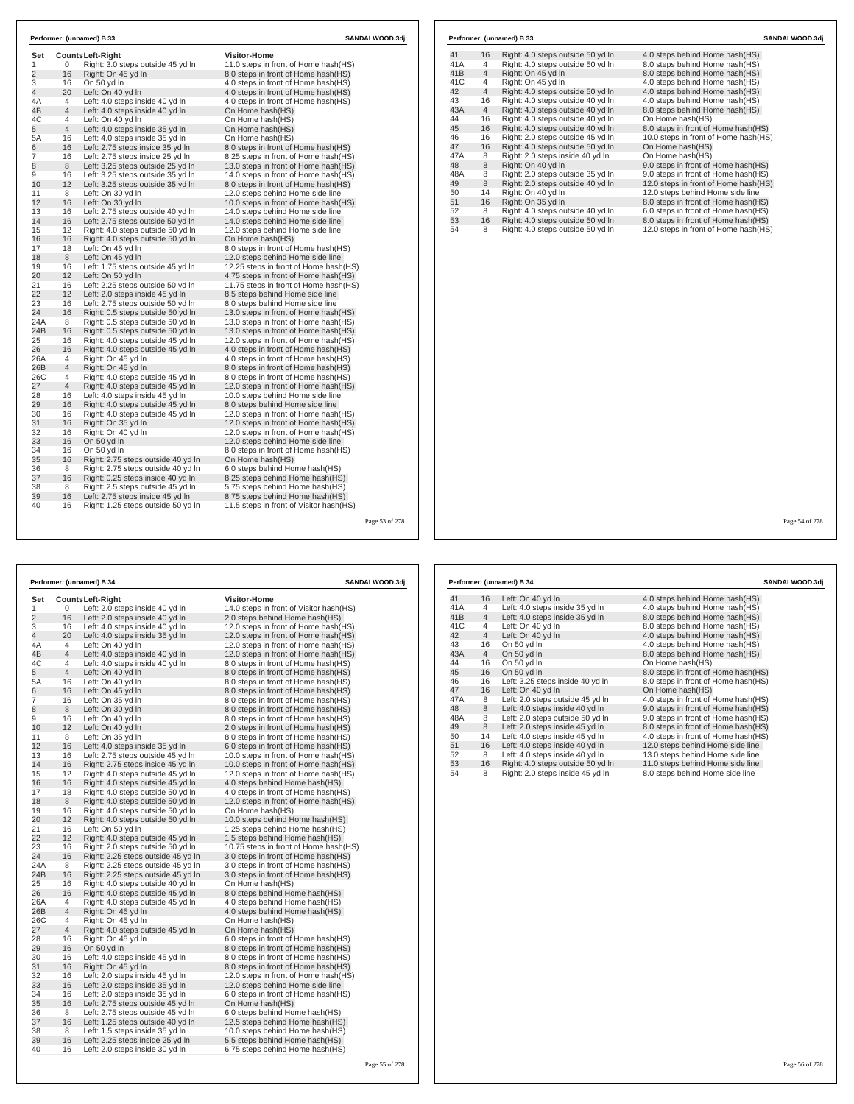| Set            |                | <b>CountsLeft-Right</b>            | <b>Visitor-Home</b>                     |  |
|----------------|----------------|------------------------------------|-----------------------------------------|--|
| 1              | 0              | Right: 3.0 steps outside 45 yd In  | 11.0 steps in front of Home hash(HS)    |  |
| $\overline{2}$ | 16             | Right: On 45 yd In                 | 8.0 steps in front of Home hash(HS)     |  |
| 3              | 16             | On 50 yd In                        | 4.0 steps in front of Home hash (HS)    |  |
| 4              | 20             | Left: On 40 yd In                  | 4.0 steps in front of Home hash (HS)    |  |
| 4A             | $\overline{4}$ | Left: 4.0 steps inside 40 yd In    | 4.0 steps in front of Home hash (HS)    |  |
| 4B             | $\overline{4}$ | Left: 4.0 steps inside 40 yd In    | On Home hash(HS)                        |  |
| 4C             | $\overline{4}$ | Left: On 40 vd In                  | On Home hash(HS)                        |  |
| 5              | $\overline{4}$ | Left: 4.0 steps inside 35 yd In    | On Home hash(HS)                        |  |
| 5A             | 16             | Left: 4.0 steps inside 35 yd In    | On Home hash(HS)                        |  |
| 6              | 16             | Left: 2.75 steps inside 35 yd In   | 8.0 steps in front of Home hash(HS)     |  |
| $\overline{7}$ | 16             | Left: 2.75 steps inside 25 yd In   | 8.25 steps in front of Home hash (HS)   |  |
| 8              | 8              | Left: 3.25 steps outside 25 yd In  | 13.0 steps in front of Home hash(HS)    |  |
| 9              | 16             | Left: 3.25 steps outside 35 yd In  | 14.0 steps in front of Home hash(HS)    |  |
| 10             | 12             | Left: 3.25 steps outside 35 yd In  | 8.0 steps in front of Home hash(HS)     |  |
| 11             | 8              | Left: On 30 yd In                  | 12.0 steps behind Home side line        |  |
| 12             | 16             | Left: On 30 yd In                  | 10.0 steps in front of Home hash(HS)    |  |
| 13             | 16             | Left: 2.75 steps outside 40 yd In  | 14.0 steps behind Home side line        |  |
| 14             | 16             | Left: 2.75 steps outside 50 yd In  | 14.0 steps behind Home side line        |  |
| 15             | 12             | Right: 4.0 steps outside 50 yd In  | 12.0 steps behind Home side line        |  |
| 16             | 16             | Right: 4.0 steps outside 50 yd In  | On Home hash(HS)                        |  |
| 17             | 18             | Left: On 45 yd In                  | 8.0 steps in front of Home hash (HS)    |  |
| 18             | 8              | Left: On 45 yd In                  | 12.0 steps behind Home side line        |  |
| 19             | 16             | Left: 1.75 steps outside 45 yd In  | 12.25 steps in front of Home hash (HS)  |  |
| 20             | 12             | Left: On 50 yd In                  | 4.75 steps in front of Home hash(HS)    |  |
| 21             | 16             | Left: 2.25 steps outside 50 yd In  | 11.75 steps in front of Home hash(HS)   |  |
| 22             | 12             | Left: 2.0 steps inside 45 yd In    | 8.5 steps behind Home side line         |  |
| 23             | 16             | Left: 2.75 steps outside 50 yd In  | 8.0 steps behind Home side line         |  |
| 24             | 16             | Right: 0.5 steps outside 50 yd In  | 13.0 steps in front of Home hash(HS)    |  |
| 24A            | 8              | Right: 0.5 steps outside 50 yd In  | 13.0 steps in front of Home hash(HS)    |  |
| 24B            | 16             | Right: 0.5 steps outside 50 yd In  | 13.0 steps in front of Home hash(HS)    |  |
| 25             | 16             | Right: 4.0 steps outside 45 yd In  | 12.0 steps in front of Home hash(HS)    |  |
| 26             | 16             | Right: 4.0 steps outside 45 yd In  | 4.0 steps in front of Home hash(HS)     |  |
| 26A            | $\overline{4}$ | Right: On 45 vd In                 | 4.0 steps in front of Home hash (HS)    |  |
| 26B            | $\overline{4}$ | Right: On 45 yd In                 | 8.0 steps in front of Home hash(HS)     |  |
| 26C            | 4              | Right: 4.0 steps outside 45 yd In  | 8.0 steps in front of Home hash(HS)     |  |
| 27             | $\overline{4}$ | Right: 4.0 steps outside 45 yd In  | 12.0 steps in front of Home hash(HS)    |  |
| 28             | 16             | Left: 4.0 steps inside 45 yd In    | 10.0 steps behind Home side line        |  |
| 29             | 16             | Right: 4.0 steps outside 45 yd In  | 8.0 steps behind Home side line         |  |
| 30             | 16             | Right: 4.0 steps outside 45 yd In  | 12.0 steps in front of Home hash(HS)    |  |
| 31             | 16             | Right: On 35 yd In                 | 12.0 steps in front of Home hash(HS)    |  |
| 32             | 16             | Right: On 40 yd In                 | 12.0 steps in front of Home hash(HS)    |  |
| 33             | 16             | On 50 vd In                        | 12.0 steps behind Home side line        |  |
| 34             | 16             | On 50 yd In                        | 8.0 steps in front of Home hash(HS)     |  |
| 35             | 16             | Right: 2.75 steps outside 40 yd In | On Home hash(HS)                        |  |
| 36             | 8              | Right: 2.75 steps outside 40 yd In | 6.0 steps behind Home hash(HS)          |  |
| 37             | 16             | Right: 0.25 steps inside 40 yd In  | 8.25 steps behind Home hash(HS)         |  |
| 38<br>39       | 8<br>16        | Right: 2.5 steps outside 45 yd In  | 5.75 steps behind Home hash(HS)         |  |
|                |                | Left: 2.75 steps inside 45 yd In   | 8.75 steps behind Home hash (HS)        |  |
| 40             | 16             | Right: 1.25 steps outside 50 yd In | 11.5 steps in front of Visitor hash(HS) |  |

|     | Performer: (unnamed) B 33<br>SANDALWOOD.3dj |                                   |                                       |  |  |
|-----|---------------------------------------------|-----------------------------------|---------------------------------------|--|--|
| 41  | 16                                          | Right: 4.0 steps outside 50 yd In | 4.0 steps behind Home hash (HS)       |  |  |
| 41A | 4                                           | Right: 4.0 steps outside 50 yd In | 8.0 steps behind Home hash(HS)        |  |  |
| 41B | $\overline{4}$                              | Right: On 45 yd In                | 8.0 steps behind Home hash(HS)        |  |  |
| 41C | 4                                           | Right: On 45 yd In                | 4.0 steps behind Home hash(HS)        |  |  |
| 42  | $\overline{4}$                              | Right: 4.0 steps outside 50 yd In | 4.0 steps behind Home hash(HS)        |  |  |
| 43  | 16                                          | Right: 4.0 steps outside 40 yd In | 4.0 steps behind Home hash(HS)        |  |  |
| 43A | $\overline{4}$                              | Right: 4.0 steps outside 40 yd In | 8.0 steps behind Home hash(HS)        |  |  |
| 44  | 16                                          | Right: 4.0 steps outside 40 yd In | On Home hash(HS)                      |  |  |
| 45  | 16                                          | Right: 4.0 steps outside 40 yd In | 8.0 steps in front of Home hash(HS)   |  |  |
| 46  | 16                                          | Right: 2.0 steps outside 45 vd In | 10.0 steps in front of Home hash(HS)  |  |  |
| 47  | 16                                          | Right: 4.0 steps outside 50 yd In | On Home hash(HS)                      |  |  |
| 47A | 8                                           | Right: 2.0 steps inside 40 yd In  | On Home hash(HS)                      |  |  |
| 48  | 8                                           | Right: On 40 yd In                | 9.0 steps in front of Home hash(HS)   |  |  |
| 48A | 8                                           | Right: 2.0 steps outside 35 yd In | 9.0 steps in front of Home hash(HS)   |  |  |
| 49  |                                             |                                   |                                       |  |  |
|     | 8                                           | Right: 2.0 steps outside 40 yd In | 12.0 steps in front of Home hash(HS)  |  |  |
| 50  | 14                                          | Right: On 40 yd In                | 12.0 steps behind Home side line      |  |  |
| 51  | 16                                          | Right: On 35 yd In                | 8.0 steps in front of Home hash(HS)   |  |  |
| 52  | 8                                           | Right: 4.0 steps outside 40 yd In | 6.0 steps in front of Home hash(HS)   |  |  |
| 53  | 16                                          | Right: 4.0 steps outside 50 yd In | 8.0 steps in front of Home hash(HS)   |  |  |
| 54  | 8                                           | Right: 4.0 steps outside 50 yd In | 12.0 steps in front of Home hash (HS) |  |  |

Page 54 of 278

|                |                | Performer: (unnamed) B 34          |                                         | <b>SANDALWOOD.3dj</b> |
|----------------|----------------|------------------------------------|-----------------------------------------|-----------------------|
| Set            |                | <b>CountsLeft-Right</b>            | <b>Visitor-Home</b>                     |                       |
| 1              | 0              | Left: 2.0 steps inside 40 yd In    | 14.0 steps in front of Visitor hash(HS) |                       |
| $\overline{2}$ | 16             | Left: 2.0 steps inside 40 yd In    | 2.0 steps behind Home hash (HS)         |                       |
| 3              | 16             | Left: 4.0 steps inside 40 yd In    | 12.0 steps in front of Home hash(HS)    |                       |
| 4              | 20             | Left: 4.0 steps inside 35 yd In    | 12.0 steps in front of Home hash(HS)    |                       |
| 4Α             | 4              | Left: On 40 yd In                  | 12.0 steps in front of Home hash(HS)    |                       |
| 4B             | $\overline{4}$ | Left: 4.0 steps inside 40 yd In    | 12.0 steps in front of Home hash(HS)    |                       |
| 4C             | 4              | Left: 4.0 steps inside 40 yd In    | 8.0 steps in front of Home hash(HS)     |                       |
| 5              | $\overline{4}$ | Left: On 40 yd In                  | 8.0 steps in front of Home hash(HS)     |                       |
| 5A             | 16             | Left: On 40 yd In                  | 8.0 steps in front of Home hash (HS)    |                       |
| 6              | 16             | Left: On 45 yd In                  | 8.0 steps in front of Home hash (HS)    |                       |
| 7              | 16             | Left: On 35 yd In                  | 8.0 steps in front of Home hash(HS)     |                       |
| 8              | 8              | Left: On 30 yd In                  | 8.0 steps in front of Home hash(HS)     |                       |
| 9              | 16             | Left: On 40 yd In                  | 8.0 steps in front of Home hash(HS)     |                       |
| 10             | 12             | Left: On 40 yd In                  | 2.0 steps in front of Home hash (HS)    |                       |
| 11             | 8              | Left: On 35 yd In                  | 8.0 steps in front of Home hash(HS)     |                       |
| 12             | 16             | Left: 4.0 steps inside 35 yd In    | 6.0 steps in front of Home hash(HS)     |                       |
| 13             | 16             | Left: 2.75 steps outside 45 yd In  | 10.0 steps in front of Home hash(HS)    |                       |
| 14             | 16             | Right: 2.75 steps inside 45 yd In  | 10.0 steps in front of Home hash(HS)    |                       |
| 15             | 12             | Right: 4.0 steps outside 45 yd In  | 12.0 steps in front of Home hash(HS)    |                       |
| 16             | 16             | Right: 4.0 steps outside 45 yd In  | 4.0 steps behind Home hash(HS)          |                       |
| 17             | 18             | Right: 4.0 steps outside 50 yd In  | 4.0 steps in front of Home hash(HS)     |                       |
| 18             | 8              | Right: 4.0 steps outside 50 yd In  | 12.0 steps in front of Home hash(HS)    |                       |
| 19             | 16             | Right: 4.0 steps outside 50 yd In  | On Home hash(HS)                        |                       |
| 20             | 12             | Right: 4.0 steps outside 50 yd In  | 10.0 steps behind Home hash(HS)         |                       |
| 21             | 16             | Left: On 50 yd In                  | 1.25 steps behind Home hash(HS)         |                       |
| 22             | 12             | Right: 4.0 steps outside 45 yd In  | 1.5 steps behind Home hash(HS)          |                       |
| 23             | 16             | Right: 2.0 steps outside 50 yd In  | 10.75 steps in front of Home hash(HS)   |                       |
| 24             | 16             | Right: 2.25 steps outside 45 yd In | 3.0 steps in front of Home hash (HS)    |                       |
| 24A            | 8              | Right: 2.25 steps outside 45 yd In | 3.0 steps in front of Home hash(HS)     |                       |
| 24B            | 16             | Right: 2.25 steps outside 45 yd In | 3.0 steps in front of Home hash (HS)    |                       |
| 25             | 16             | Right: 4.0 steps outside 40 yd In  | On Home hash(HS)                        |                       |
| 26             | 16             | Right: 4.0 steps outside 45 yd In  | 8.0 steps behind Home hash(HS)          |                       |
| 26A            | 4              | Right: 4.0 steps outside 45 yd In  | 4.0 steps behind Home hash(HS)          |                       |
| 26B            | $\overline{4}$ | Right: On 45 yd In                 | 4.0 steps behind Home hash(HS)          |                       |
| 26C            | 4              | Right: On 45 yd In                 | On Home hash(HS)                        |                       |
| 27             | $\overline{4}$ | Right: 4.0 steps outside 45 yd In  | On Home hash(HS)                        |                       |
| 28             | 16             | Right: On 45 yd In                 | 6.0 steps in front of Home hash(HS)     |                       |
| 29             | 16             | On 50 yd In                        | 8.0 steps in front of Home hash(HS)     |                       |
| 30             | 16             | Left: 4.0 steps inside 45 yd In    | 8.0 steps in front of Home hash(HS)     |                       |
| 31             | 16             | Right: On 45 yd In                 | 8.0 steps in front of Home hash(HS)     |                       |
| 32             | 16             | Left: 2.0 steps inside 45 yd In    | 12.0 steps in front of Home hash(HS)    |                       |
| 33             | 16             | Left: 2.0 steps inside 35 yd In    | 12.0 steps behind Home side line        |                       |
| 34             | 16             | Left: 2.0 steps inside 35 yd In    | 6.0 steps in front of Home hash(HS)     |                       |
| 35             | 16             | Left: 2.75 steps outside 45 yd In  | On Home hash(HS)                        |                       |
| 36             | 8              | Left: 2.75 steps outside 45 yd In  | 6.0 steps behind Home hash(HS)          |                       |
| 37             | 16             | Left: 1.25 steps outside 40 yd In  | 12.5 steps behind Home hash(HS)         |                       |
| 38             | 8              | Left: 1.5 steps inside 35 yd In    | 10.0 steps behind Home hash(HS)         |                       |
| 39             | 16             | Left: 2.25 steps inside 25 yd In   | 5.5 steps behind Home hash(HS)          |                       |
| 40             | 16             | Left: 2.0 steps inside 30 yd In    | 6.75 steps behind Home hash(HS)         |                       |
|                |                |                                    |                                         |                       |
|                |                |                                    |                                         | Page 55 of 278        |
|                |                |                                    |                                         |                       |

|     | Performer: (unnamed) B 34 |                                   |                                     |
|-----|---------------------------|-----------------------------------|-------------------------------------|
| 41  | 16                        | Left: On 40 yd In                 | 4.0 steps behind Home hash (HS)     |
| 41A | 4                         | Left: 4.0 steps inside 35 yd In   | 4.0 steps behind Home hash(HS)      |
| 41B | $\overline{4}$            | Left: 4.0 steps inside 35 yd In   | 8.0 steps behind Home hash(HS)      |
| 41C | 4                         | Left: On 40 yd In                 | 8.0 steps behind Home hash(HS)      |
| 42  | $\overline{4}$            | Left: On 40 yd In                 | 4.0 steps behind Home hash(HS)      |
| 43  | 16                        | On 50 yd In                       | 4.0 steps behind Home hash(HS)      |
| 43A | $\overline{4}$            | On 50 yd In                       | 8.0 steps behind Home hash(HS)      |
| 44  | 16                        | On 50 yd In                       | On Home hash(HS)                    |
| 45  | 16                        | On 50 yd In                       | 8.0 steps in front of Home hash(HS) |
| 46  | 16                        | Left: 3.25 steps inside 40 yd In  | 8.0 steps in front of Home hash(HS) |
| 47  | 16                        | Left: On 40 yd In                 | On Home hash(HS)                    |
| 47A | 8                         | Left: 2.0 steps outside 45 yd In  | 4.0 steps in front of Home hash(HS) |
| 48  | 8                         | Left: 4.0 steps inside 40 yd In   | 9.0 steps in front of Home hash(HS) |
| 48A | 8                         | Left: 2.0 steps outside 50 yd In  | 9.0 steps in front of Home hash(HS) |
| 49  | 8                         | Left: 2.0 steps inside 45 yd In   | 8.0 steps in front of Home hash(HS) |
| 50  | 14                        | Left: 4.0 steps inside 45 yd In   | 4.0 steps in front of Home hash(HS) |
| 51  | 16                        | Left: 4.0 steps inside 40 yd In   | 12.0 steps behind Home side line    |
| 52  | 8                         | Left: 4.0 steps inside 40 yd In   | 13.0 steps behind Home side line    |
| 53  | 16                        | Right: 4.0 steps outside 50 yd In | 11.0 steps behind Home side line    |
| 54  | 8                         | Right: 2.0 steps inside 45 yd In  | 8.0 steps behind Home side line     |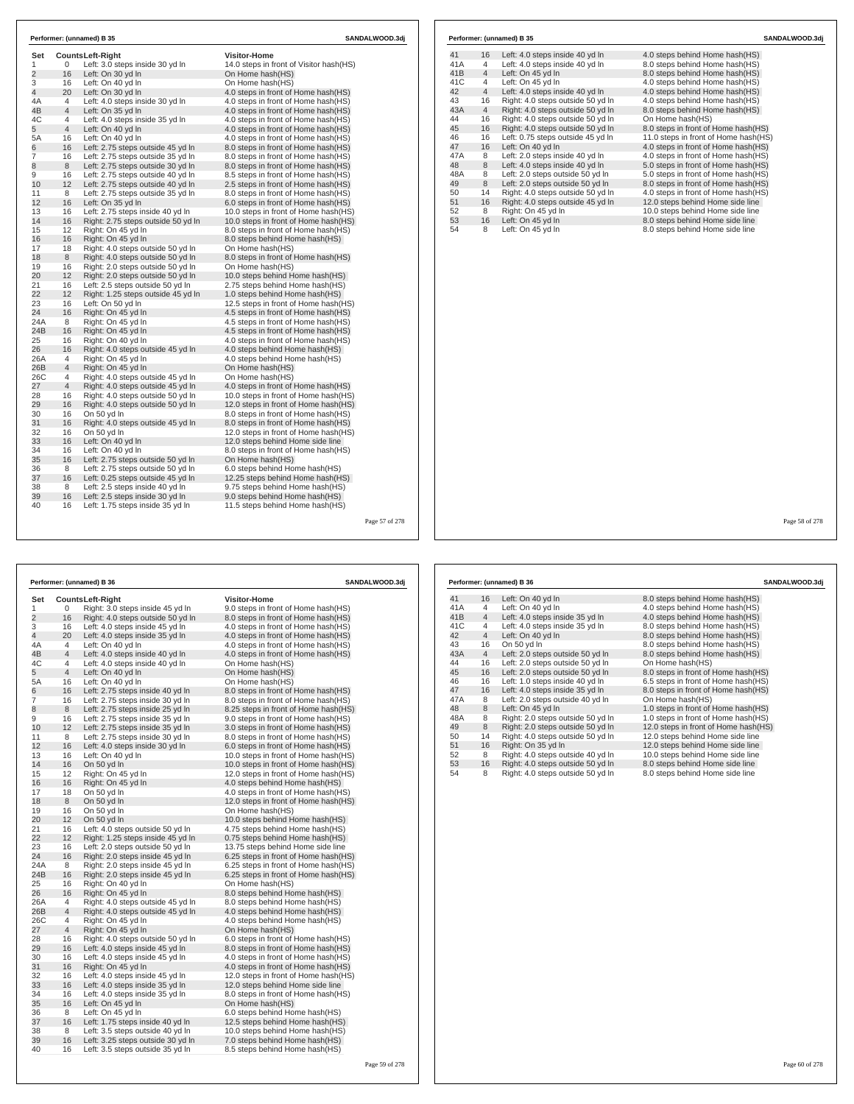| Set            |                |                                                            | <b>Visitor-Home</b>                     |  |
|----------------|----------------|------------------------------------------------------------|-----------------------------------------|--|
| 1              | 0              | <b>CountsLeft-Right</b><br>Left: 3.0 steps inside 30 yd In | 14.0 steps in front of Visitor hash(HS) |  |
| $\overline{2}$ | 16             | Left: On 30 yd In                                          | On Home hash(HS)                        |  |
| 3              | 16             | Left: On 40 yd In                                          | On Home hash(HS)                        |  |
| 4              | 20             | Left: On 30 yd In                                          | 4.0 steps in front of Home hash(HS)     |  |
| 4A             | 4              | Left: 4.0 steps inside 30 yd In                            | 4.0 steps in front of Home hash(HS)     |  |
| 4B             | 4              | Left: On 35 yd In                                          | 4.0 steps in front of Home hash(HS)     |  |
| 4C             | $\overline{4}$ | Left: 4.0 steps inside 35 yd In                            | 4.0 steps in front of Home hash(HS)     |  |
| 5              | $\overline{4}$ | Left: On 40 yd In                                          | 4.0 steps in front of Home hash(HS)     |  |
| 5A             | 16             | Left: On 40 yd In                                          | 4.0 steps in front of Home hash(HS)     |  |
| 6              | 16             | Left: 2.75 steps outside 45 yd In                          | 8.0 steps in front of Home hash(HS)     |  |
| 7              | 16             | Left: 2.75 steps outside 35 yd In                          | 8.0 steps in front of Home hash(HS)     |  |
| 8              | 8              | Left: 2.75 steps outside 30 yd In                          | 8.0 steps in front of Home hash(HS)     |  |
| 9              | 16             | Left: 2.75 steps outside 40 yd In                          | 8.5 steps in front of Home hash(HS)     |  |
| 10             | 12             | Left: 2.75 steps outside 40 yd In                          | 2.5 steps in front of Home hash(HS)     |  |
| 11             | 8              | Left: 2.75 steps outside 35 yd In                          | 8.0 steps in front of Home hash(HS)     |  |
| 12             | 16             | Left: On 35 yd In                                          | 6.0 steps in front of Home hash(HS)     |  |
| 13             | 16             | Left: 2.75 steps inside 40 vd In                           | 10.0 steps in front of Home hash (HS)   |  |
| 14             | 16             | Right: 2.75 steps outside 50 yd In                         | 10.0 steps in front of Home hash(HS)    |  |
| 15             | 12             | Right: On 45 vd In                                         | 8.0 steps in front of Home hash (HS)    |  |
| 16             | 16             | Right: On 45 yd In                                         | 8.0 steps behind Home hash(HS)          |  |
| 17             | 18             | Right: 4.0 steps outside 50 yd In                          | On Home hash(HS)                        |  |
| 18             | 8              | Right: 4.0 steps outside 50 yd In                          | 8.0 steps in front of Home hash(HS)     |  |
| 19             | 16             | Right: 2.0 steps outside 50 yd In                          | On Home hash(HS)                        |  |
| 20             | 12             | Right: 2.0 steps outside 50 yd In                          | 10.0 steps behind Home hash(HS)         |  |
| 21             | 16             | Left: 2.5 steps outside 50 yd In                           | 2.75 steps behind Home hash(HS)         |  |
| 22             | 12             | Right: 1.25 steps outside 45 yd In                         | 1.0 steps behind Home hash(HS)          |  |
| 23             | 16             | Left: On 50 yd In                                          | 12.5 steps in front of Home hash(HS)    |  |
| 24             | 16             | Right: On 45 vd In                                         | 4.5 steps in front of Home hash (HS)    |  |
| 24A            | 8              | Right: On 45 yd In                                         | 4.5 steps in front of Home hash(HS)     |  |
| 24B            | 16             | Right: On 45 vd In                                         | 4.5 steps in front of Home hash(HS)     |  |
| 25             | 16             | Right: On 40 yd In                                         | 4.0 steps in front of Home hash(HS)     |  |
| 26             | 16             | Right: 4.0 steps outside 45 yd In                          | 4.0 steps behind Home hash(HS)          |  |
| 26A            | 4              | Right: On 45 vd In                                         | 4.0 steps behind Home hash(HS)          |  |
| 26B            | 4              | Right: On 45 yd In                                         | On Home hash(HS)                        |  |
| 26C            | 4              | Right: 4.0 steps outside 45 yd In                          | On Home hash(HS)                        |  |
| 27             | 4              | Right: 4.0 steps outside 45 yd In                          | 4.0 steps in front of Home hash(HS)     |  |
| 28             | 16             | Right: 4.0 steps outside 50 yd In                          | 10.0 steps in front of Home hash(HS)    |  |
| 29             | 16             | Right: 4.0 steps outside 50 yd In                          | 12.0 steps in front of Home hash(HS)    |  |
| 30             | 16             | On 50 yd In                                                | 8.0 steps in front of Home hash(HS)     |  |
| 31             | 16             | Right: 4.0 steps outside 45 yd In                          | 8.0 steps in front of Home hash(HS)     |  |
| 32             | 16             | On 50 yd In                                                | 12.0 steps in front of Home hash(HS)    |  |
| 33             | 16             | Left: On 40 yd In                                          | 12.0 steps behind Home side line        |  |
| 34             | 16             | Left: On 40 yd In                                          | 8.0 steps in front of Home hash(HS)     |  |
| 35             | 16             | Left: 2.75 steps outside 50 yd In                          | On Home hash(HS)                        |  |
| 36             | 8              | Left: 2.75 steps outside 50 yd In                          | 6.0 steps behind Home hash(HS)          |  |
| 37             | 16             | Left: 0.25 steps outside 45 yd In                          | 12.25 steps behind Home hash(HS)        |  |
| 38             | 8              | Left: 2.5 steps inside 40 yd In                            | 9.75 steps behind Home hash(HS)         |  |
| 39             | 16             | Left: 2.5 steps inside 30 yd In                            | 9.0 steps behind Home hash(HS)          |  |
| 40             | 16             | Left: 1.75 steps inside 35 yd In                           | 11.5 steps behind Home hash(HS)         |  |

|                |                | Performer: (unnamed) B 36         | SANDALWOOD.3dj                        |
|----------------|----------------|-----------------------------------|---------------------------------------|
| Set            |                | Counts Left-Right                 | <b>Visitor-Home</b>                   |
| 1              | 0              | Right: 3.0 steps inside 45 yd In  | 9.0 steps in front of Home hash(HS)   |
| $\overline{2}$ | 16             | Right: 4.0 steps outside 50 yd In | 8.0 steps in front of Home hash(HS)   |
| 3              | 16             | Left: 4.0 steps inside 45 yd In   | 4.0 steps in front of Home hash(HS)   |
| 4              | 20             | Left: 4.0 steps inside 35 yd In   | 4.0 steps in front of Home hash(HS)   |
| 4A             | 4              | Left: On 40 yd In                 | 4.0 steps in front of Home hash(HS)   |
| 4B             | 4              | Left: 4.0 steps inside 40 yd In   | 4.0 steps in front of Home hash(HS)   |
| 4C             | 4              | Left: 4.0 steps inside 40 yd In   | On Home hash(HS)                      |
| 5              | $\overline{4}$ | Left: On 40 yd In                 | On Home hash(HS)                      |
| 5A             | 16             | Left: On 40 yd In                 | On Home hash(HS)                      |
| 6              | 16             | Left: 2.75 steps inside 40 yd In  | 8.0 steps in front of Home hash(HS)   |
| 7              | 16             | Left: 2.75 steps inside 30 yd In  | 8.0 steps in front of Home hash(HS)   |
| 8              | 8              | Left: 2.75 steps inside 25 yd In  | 8.25 steps in front of Home hash(HS)  |
| 9              | 16             | Left: 2.75 steps inside 35 yd In  | 9.0 steps in front of Home hash(HS)   |
| 10             | 12             | Left: 2.75 steps inside 35 yd In  | 3.0 steps in front of Home hash(HS)   |
| 11             | 8              | Left: 2.75 steps inside 30 yd In  | 8.0 steps in front of Home hash(HS)   |
| 12             | 16             | Left: 4.0 steps inside 30 yd In   | 6.0 steps in front of Home hash(HS)   |
| 13             | 16             | Left: On 40 yd In                 | 10.0 steps in front of Home hash(HS)  |
| 14             | 16             | On 50 yd In                       | 10.0 steps in front of Home hash(HS)  |
| 15             | 12             | Right: On 45 yd In                | 12.0 steps in front of Home hash (HS) |
| 16             | 16             | Right: On 45 yd In                | 4.0 steps behind Home hash(HS)        |
| 17             | 18             | On 50 yd In                       | 4.0 steps in front of Home hash(HS)   |
| 18             | 8              | On 50 yd In                       | 12.0 steps in front of Home hash(HS)  |
| 19             | 16             | On 50 yd In                       | On Home hash(HS)                      |
| 20             | 12             | On 50 yd In                       | 10.0 steps behind Home hash(HS)       |
| 21             | 16             | Left: 4.0 steps outside 50 yd In  | 4.75 steps behind Home hash(HS)       |
| 22             | 12             | Right: 1.25 steps inside 45 yd In | 0.75 steps behind Home hash(HS)       |
| 23             | 16             | Left: 2.0 steps outside 50 yd In  | 13.75 steps behind Home side line     |
| 24             | 16             | Right: 2.0 steps inside 45 yd In  | 6.25 steps in front of Home hash(HS)  |
| 24A            | 8              | Right: 2.0 steps inside 45 yd In  | 6.25 steps in front of Home hash(HS)  |
| 24B            | 16             | Right: 2.0 steps inside 45 yd In  | 6.25 steps in front of Home hash(HS)  |
| 25             | 16             | Right: On 40 yd In                | On Home hash(HS)                      |
| 26             | 16             | Right: On 45 yd In                | 8.0 steps behind Home hash(HS)        |
| 26A            | 4              | Right: 4.0 steps outside 45 yd In | 8.0 steps behind Home hash(HS)        |
| 26B            | 4              | Right: 4.0 steps outside 45 yd In | 4.0 steps behind Home hash(HS)        |
| 26C            | 4              | Right: On 45 yd In                | 4.0 steps behind Home hash(HS)        |
| 27             | $\overline{4}$ | Right: On 45 yd In                | On Home hash(HS)                      |
| 28             | 16             | Right: 4.0 steps outside 50 yd In | 6.0 steps in front of Home hash(HS)   |
| 29             | 16             | Left: 4.0 steps inside 45 yd In   | 8.0 steps in front of Home hash(HS)   |
| 30             | 16             | Left: 4.0 steps inside 45 yd In   | 4.0 steps in front of Home hash(HS)   |
| 31             | 16             | Right: On 45 yd In                | 4.0 steps in front of Home hash(HS)   |
| 32             | 16             | Left: 4.0 steps inside 45 yd In   | 12.0 steps in front of Home hash(HS)  |
| 33             | 16             | Left: 4.0 steps inside 35 yd In   | 12.0 steps behind Home side line      |
| 34             | 16             | Left: 4.0 steps inside 35 yd In   | 8.0 steps in front of Home hash(HS)   |
| 35             | 16             | Left: On 45 yd In                 | On Home hash(HS)                      |
| 36             | 8              | Left: On 45 yd In                 | 6.0 steps behind Home hash(HS)        |
| 37             | 16             | Left: 1.75 steps inside 40 yd In  | 12.5 steps behind Home hash(HS)       |
| 38             | 8              | Left: 3.5 steps outside 40 yd In  | 10.0 steps behind Home hash(HS)       |
| 39             | 16             | Left: 3.25 steps outside 30 yd In | 7.0 steps behind Home hash(HS)        |
| 40             | 16             | Left: 3.5 steps outside 35 yd In  | 8.5 steps behind Home hash(HS)        |

|     |                | Performer: (unnamed) B 35         | SANDALWOOD.3di                       |
|-----|----------------|-----------------------------------|--------------------------------------|
| 41  | 16             | Left: 4.0 steps inside 40 yd In   | 4.0 steps behind Home hash(HS)       |
| 41A | 4              | Left: 4.0 steps inside 40 yd In   | 8.0 steps behind Home hash(HS)       |
| 41B | $\overline{4}$ | Left: On 45 yd In                 | 8.0 steps behind Home hash(HS)       |
| 41C | 4              | Left: On 45 yd In                 | 4.0 steps behind Home hash(HS)       |
| 42  | $\overline{4}$ | Left: 4.0 steps inside 40 yd In   | 4.0 steps behind Home hash(HS)       |
| 43  | 16             | Right: 4.0 steps outside 50 yd In | 4.0 steps behind Home hash(HS)       |
| 43A | $\overline{4}$ | Right: 4.0 steps outside 50 yd In | 8.0 steps behind Home hash(HS)       |
| 44  | 16             | Right: 4.0 steps outside 50 yd In | On Home hash(HS)                     |
| 45  | 16             | Right: 4.0 steps outside 50 yd In | 8.0 steps in front of Home hash(HS)  |
| 46  | 16             | Left: 0.75 steps outside 45 yd In | 11.0 steps in front of Home hash(HS) |
| 47  | 16             | Left: On 40 yd In                 | 4.0 steps in front of Home hash(HS)  |
| 47A | 8              | Left: 2.0 steps inside 40 yd In   | 4.0 steps in front of Home hash(HS)  |
| 48  | 8              | Left: 4.0 steps inside 40 yd In   | 5.0 steps in front of Home hash (HS) |
| 48A | 8              | Left: 2.0 steps outside 50 yd In  | 5.0 steps in front of Home hash(HS)  |
| 49  | 8              | Left: 2.0 steps outside 50 yd In  | 8.0 steps in front of Home hash(HS)  |
| 50  | 14             | Right: 4.0 steps outside 50 yd In | 4.0 steps in front of Home hash(HS)  |
| 51  | 16             | Right: 4.0 steps outside 45 yd In | 12.0 steps behind Home side line     |
| 52  | 8              | Right: On 45 yd In                | 10.0 steps behind Home side line     |
| 53  | 16             | Left: On 45 yd In                 | 8.0 steps behind Home side line      |
| 54  | 8              | Left: On 45 yd In                 | 8.0 steps behind Home side line      |
|     |                |                                   |                                      |

|     |                | Performer: (unnamed) B 36         | SANDALWOOD.3dj                       |
|-----|----------------|-----------------------------------|--------------------------------------|
| 41  | 16             | Left: On 40 yd In                 | 8.0 steps behind Home hash(HS)       |
| 41A | 4              | Left: On 40 yd In                 | 4.0 steps behind Home hash(HS)       |
| 41B | $\overline{4}$ | Left: 4.0 steps inside 35 yd In   | 4.0 steps behind Home hash(HS)       |
| 41C | 4              | Left: 4.0 steps inside 35 yd In   | 8.0 steps behind Home hash(HS)       |
| 42  | $\overline{4}$ | Left: On 40 yd In                 | 8.0 steps behind Home hash(HS)       |
| 43  | 16             | On 50 yd In                       | 8.0 steps behind Home hash(HS)       |
| 43A | $\overline{4}$ | Left: 2.0 steps outside 50 yd In  | 8.0 steps behind Home hash(HS)       |
| 44  | 16             | Left: 2.0 steps outside 50 yd In  | On Home hash(HS)                     |
| 45  | 16             | Left: 2.0 steps outside 50 yd In  | 8.0 steps in front of Home hash(HS)  |
| 46  | 16             | Left: 1.0 steps inside 40 vd In   | 6.5 steps in front of Home hash(HS)  |
| 47  | 16             | Left: 4.0 steps inside 35 yd In   | 8.0 steps in front of Home hash (HS) |
| 47A | 8              | Left: 2.0 steps outside 40 yd In  | On Home hash(HS)                     |
| 48  | 8              | Left: On 45 yd In                 | 1.0 steps in front of Home hash (HS) |
| 48A | 8              | Right: 2.0 steps outside 50 yd In | 1.0 steps in front of Home hash(HS)  |
| 49  | 8              | Right: 2.0 steps outside 50 yd In | 12.0 steps in front of Home hash(HS) |
| 50  | 14             | Right: 4.0 steps outside 50 yd In | 12.0 steps behind Home side line     |
| 51  | 16             | Right: On 35 yd In                | 12.0 steps behind Home side line     |
| 52  | 8              | Right: 4.0 steps outside 40 yd In | 10.0 steps behind Home side line     |
| 53  | 16             | Right: 4.0 steps outside 50 yd In | 8.0 steps behind Home side line      |
| 54  | 8              | Right: 4.0 steps outside 50 yd In | 8.0 steps behind Home side line      |

Page 58 of 278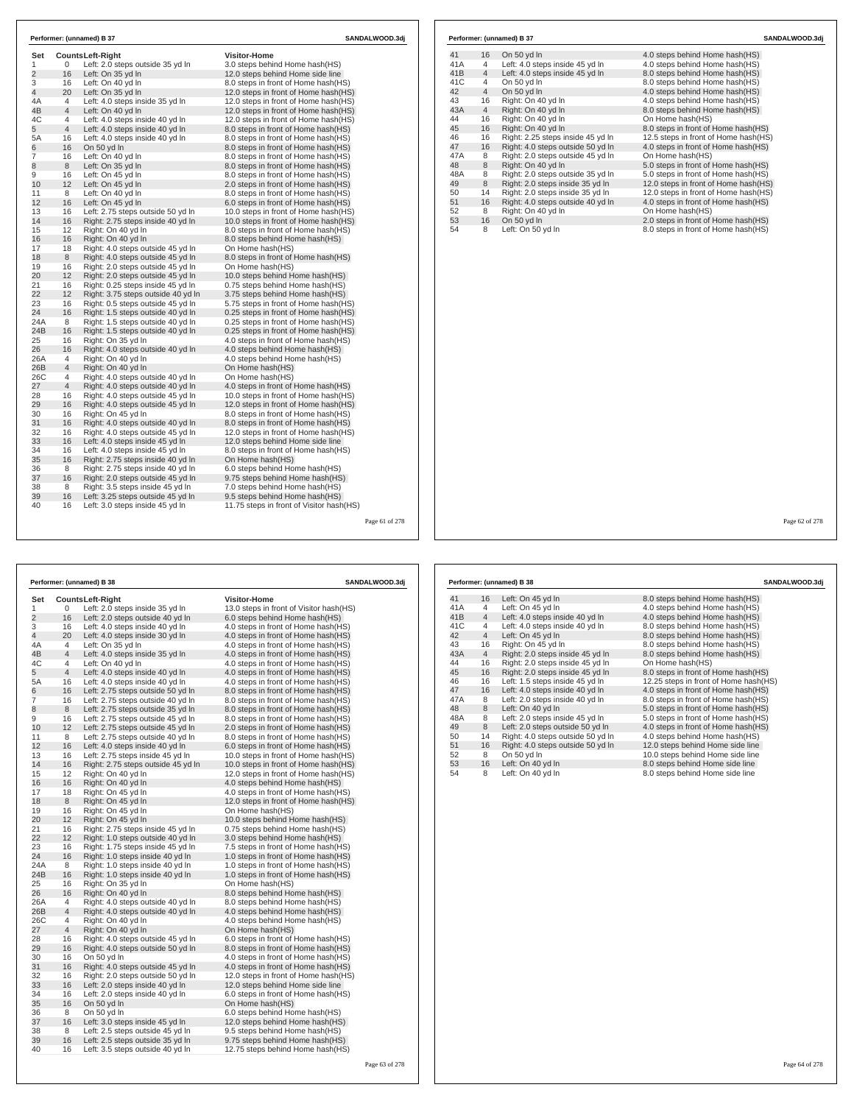| Set            |                | Counts Left-Right                  | <b>Visitor-Home</b>                      |  |
|----------------|----------------|------------------------------------|------------------------------------------|--|
| 1              | 0              | Left: 2.0 steps outside 35 yd In   | 3.0 steps behind Home hash(HS)           |  |
| $\overline{2}$ | 16             | Left: On 35 yd In                  | 12.0 steps behind Home side line         |  |
| 3              | 16             | Left: On 40 yd In                  | 8.0 steps in front of Home hash (HS)     |  |
| $\overline{4}$ | 20             | Left: On 35 yd In                  | 12.0 steps in front of Home hash(HS)     |  |
| 4A             | 4              | Left: 4.0 steps inside 35 yd In    | 12.0 steps in front of Home hash(HS)     |  |
| 4B             | $\overline{4}$ | Left: On 40 yd In                  | 12.0 steps in front of Home hash(HS)     |  |
| 4C             | 4              | Left: 4.0 steps inside 40 yd In    | 12.0 steps in front of Home hash(HS)     |  |
| 5              | $\overline{4}$ | Left: 4.0 steps inside 40 yd In    | 8.0 steps in front of Home hash(HS)      |  |
| 5A             | 16             | Left: 4.0 steps inside 40 yd In    | 8.0 steps in front of Home hash(HS)      |  |
| 6              | 16             | On 50 yd In                        | 8.0 steps in front of Home hash(HS)      |  |
| 7              | 16             | Left: On 40 yd In                  | 8.0 steps in front of Home hash (HS)     |  |
| 8              | 8              | Left: On 35 yd In                  | 8.0 steps in front of Home hash(HS)      |  |
| 9              | 16             | Left: On 45 yd In                  | 8.0 steps in front of Home hash (HS)     |  |
| 10             | 12             | Left: On 45 yd In                  | 2.0 steps in front of Home hash(HS)      |  |
| 11             | 8              | Left: On 40 yd In                  | 8.0 steps in front of Home hash (HS)     |  |
| 12             | 16             | Left: On 45 yd In                  | 6.0 steps in front of Home hash(HS)      |  |
| 13             | 16             | Left: 2.75 steps outside 50 yd In  | 10.0 steps in front of Home hash (HS)    |  |
| 14             | 16             | Right: 2.75 steps inside 40 yd In  | 10.0 steps in front of Home hash(HS)     |  |
| 15             | 12             | Right: On 40 vd In                 | 8.0 steps in front of Home hash (HS)     |  |
| 16             | 16             | Right: On 40 yd In                 | 8.0 steps behind Home hash(HS)           |  |
| 17             | 18             | Right: 4.0 steps outside 45 vd In  | On Home hash(HS)                         |  |
| 18             | 8              | Right: 4.0 steps outside 45 yd In  | 8.0 steps in front of Home hash(HS)      |  |
| 19             | 16             | Right: 2.0 steps outside 45 vd In  | On Home hash(HS)                         |  |
| 20             | 12             | Right: 2.0 steps outside 45 yd In  | 10.0 steps behind Home hash(HS)          |  |
| 21             | 16             | Right: 0.25 steps inside 45 yd In  | 0.75 steps behind Home hash(HS)          |  |
| 22             | 12             | Right: 3.75 steps outside 40 yd In | 3.75 steps behind Home hash (HS)         |  |
| 23             | 16             | Right: 0.5 steps outside 45 yd In  | 5.75 steps in front of Home hash(HS)     |  |
| 24             | 16             | Right: 1.5 steps outside 40 yd In  | 0.25 steps in front of Home hash (HS)    |  |
| 24A            | 8              | Right: 1.5 steps outside 40 yd In  | 0.25 steps in front of Home hash(HS)     |  |
| 24B            | 16             | Right: 1.5 steps outside 40 yd In  | 0.25 steps in front of Home hash (HS)    |  |
| 25             | 16             | Right: On 35 yd In                 | 4.0 steps in front of Home hash(HS)      |  |
| 26             | 16             | Right: 4.0 steps outside 40 yd In  | 4.0 steps behind Home hash(HS)           |  |
| 26A            | 4              | Right: On 40 vd In                 | 4.0 steps behind Home hash(HS)           |  |
| 26B            | 4              | Right: On 40 yd In                 | On Home hash(HS)                         |  |
| 26C            | 4              | Right: 4.0 steps outside 40 yd In  | On Home hash(HS)                         |  |
| 27             | 4              | Right: 4.0 steps outside 40 yd In  | 4.0 steps in front of Home hash(HS)      |  |
| 28             | 16             | Right: 4.0 steps outside 45 yd In  | 10.0 steps in front of Home hash(HS)     |  |
| 29             | 16             | Right: 4.0 steps outside 45 yd In  | 12.0 steps in front of Home hash(HS)     |  |
| 30             | 16             | Right: On 45 yd In                 | 8.0 steps in front of Home hash(HS)      |  |
| 31             | 16             | Right: 4.0 steps outside 40 yd In  | 8.0 steps in front of Home hash(HS)      |  |
| 32             | 16             | Right: 4.0 steps outside 45 yd In  | 12.0 steps in front of Home hash(HS)     |  |
| 33             | 16             | Left: 4.0 steps inside 45 yd In    | 12.0 steps behind Home side line         |  |
| 34             | 16             | Left: 4.0 steps inside 45 yd In    | 8.0 steps in front of Home hash(HS)      |  |
| 35             | 16             | Right: 2.75 steps inside 40 yd In  | On Home hash(HS)                         |  |
| 36             | 8              | Right: 2.75 steps inside 40 yd In  | 6.0 steps behind Home hash(HS)           |  |
| 37             | 16             | Right: 2.0 steps outside 45 yd In  | 9.75 steps behind Home hash(HS)          |  |
| 38             | 8              | Right: 3.5 steps inside 45 yd In   | 7.0 steps behind Home hash(HS)           |  |
| 39             | 16             | Left: 3.25 steps outside 45 yd In  | 9.5 steps behind Home hash (HS)          |  |
| 40             | 16             | Left: 3.0 steps inside 45 yd In    | 11.75 steps in front of Visitor hash(HS) |  |

| On 50 yd In<br>Left: 4.0 steps inside 45 yd In<br>Left: 4.0 steps inside 45 yd In<br>On 50 vd In<br>On 50 yd In<br>Right: On 40 yd In<br>Right: On 40 yd In<br>Right: On 40 yd In<br>Right: On 40 yd In<br>Right: 2.25 steps inside 45 yd In | 4.0 steps behind Home hash (HS)<br>4.0 steps behind Home hash(HS)<br>8.0 steps behind Home hash(HS)<br>8.0 steps behind Home hash(HS)<br>4.0 steps behind Home hash(HS)<br>4.0 steps behind Home hash(HS)<br>8.0 steps behind Home hash(HS)<br>On Home hash(HS)<br>8.0 steps in front of Home hash(HS)<br>12.5 steps in front of Home hash(HS) |
|----------------------------------------------------------------------------------------------------------------------------------------------------------------------------------------------------------------------------------------------|------------------------------------------------------------------------------------------------------------------------------------------------------------------------------------------------------------------------------------------------------------------------------------------------------------------------------------------------|
|                                                                                                                                                                                                                                              |                                                                                                                                                                                                                                                                                                                                                |
|                                                                                                                                                                                                                                              |                                                                                                                                                                                                                                                                                                                                                |
|                                                                                                                                                                                                                                              |                                                                                                                                                                                                                                                                                                                                                |
|                                                                                                                                                                                                                                              |                                                                                                                                                                                                                                                                                                                                                |
|                                                                                                                                                                                                                                              |                                                                                                                                                                                                                                                                                                                                                |
|                                                                                                                                                                                                                                              |                                                                                                                                                                                                                                                                                                                                                |
|                                                                                                                                                                                                                                              |                                                                                                                                                                                                                                                                                                                                                |
|                                                                                                                                                                                                                                              |                                                                                                                                                                                                                                                                                                                                                |
|                                                                                                                                                                                                                                              |                                                                                                                                                                                                                                                                                                                                                |
|                                                                                                                                                                                                                                              |                                                                                                                                                                                                                                                                                                                                                |
| Right: 4.0 steps outside 50 yd In                                                                                                                                                                                                            | 4.0 steps in front of Home hash(HS)                                                                                                                                                                                                                                                                                                            |
| Right: 2.0 steps outside 45 yd In                                                                                                                                                                                                            | On Home hash(HS)                                                                                                                                                                                                                                                                                                                               |
| Right: On 40 yd In                                                                                                                                                                                                                           | 5.0 steps in front of Home hash(HS)                                                                                                                                                                                                                                                                                                            |
| Right: 2.0 steps outside 35 yd In                                                                                                                                                                                                            | 5.0 steps in front of Home hash(HS)                                                                                                                                                                                                                                                                                                            |
| Right: 2.0 steps inside 35 yd In                                                                                                                                                                                                             | 12.0 steps in front of Home hash(HS)                                                                                                                                                                                                                                                                                                           |
| Right: 2.0 steps inside 35 yd In                                                                                                                                                                                                             | 12.0 steps in front of Home hash(HS)                                                                                                                                                                                                                                                                                                           |
|                                                                                                                                                                                                                                              | 4.0 steps in front of Home hash(HS)                                                                                                                                                                                                                                                                                                            |
|                                                                                                                                                                                                                                              | On Home hash(HS)                                                                                                                                                                                                                                                                                                                               |
| On 50 yd In                                                                                                                                                                                                                                  | 2.0 steps in front of Home hash(HS)                                                                                                                                                                                                                                                                                                            |
|                                                                                                                                                                                                                                              | 8.0 steps in front of Home hash(HS)                                                                                                                                                                                                                                                                                                            |
|                                                                                                                                                                                                                                              | Right: 4.0 steps outside 40 yd In<br>Right: On 40 yd In<br>Left: On 50 yd In                                                                                                                                                                                                                                                                   |

278

|                |                | Performer: (unnamed) B 38          | SANDALWOOD.3dj                           |
|----------------|----------------|------------------------------------|------------------------------------------|
| Set            |                | <b>CountsLeft-Right</b>            | <b>Visitor-Home</b>                      |
| 1              | 0              | Left: 2.0 steps inside 35 yd In    | 13.0 steps in front of Visitor hash (HS) |
| $\overline{2}$ | 16             | Left: 2.0 steps outside 40 yd In   | 6.0 steps behind Home hash(HS)           |
| 3              | 16             | Left: 4.0 steps inside 40 yd In    | 4.0 steps in front of Home hash(HS)      |
| $\overline{4}$ | 20             | Left: 4.0 steps inside 30 yd In    | 4.0 steps in front of Home hash(HS)      |
| 4A             | 4              | Left: On 35 yd In                  | 4.0 steps in front of Home hash(HS)      |
| 4B             | $\overline{4}$ | Left: 4.0 steps inside 35 yd In    | 4.0 steps in front of Home hash(HS)      |
| 4C             | 4              | Left: On 40 yd In                  | 4.0 steps in front of Home hash(HS)      |
| 5              | $\overline{4}$ | Left: 4.0 steps inside 40 yd In    | 4.0 steps in front of Home hash(HS)      |
| 5A             | 16             | Left: 4.0 steps inside 40 yd In    | 4.0 steps in front of Home hash (HS)     |
| 6              | 16             | Left: 2.75 steps outside 50 yd In  | 8.0 steps in front of Home hash(HS)      |
| 7              | 16             | Left: 2.75 steps outside 40 yd In  | 8.0 steps in front of Home hash(HS)      |
| 8              | 8              | Left: 2.75 steps outside 35 yd In  | 8.0 steps in front of Home hash (HS)     |
| 9              | 16             | Left: 2.75 steps outside 45 yd In  | 8.0 steps in front of Home hash (HS)     |
| 10             | 12             | Left: 2.75 steps outside 45 yd In  | 2.0 steps in front of Home hash(HS)      |
| 11             | 8              | Left: 2.75 steps outside 40 yd In  | 8.0 steps in front of Home hash(HS)      |
| 12             | 16             | Left: 4.0 steps inside 40 yd In    | 6.0 steps in front of Home hash(HS)      |
| 13             | 16             | Left: 2.75 steps inside 45 yd In   | 10.0 steps in front of Home hash(HS)     |
| 14             | 16             | Right: 2.75 steps outside 45 yd In | 10.0 steps in front of Home hash(HS)     |
| 15             | 12             | Right: On 40 yd In                 | 12.0 steps in front of Home hash(HS)     |
| 16             | 16             | Right: On 40 yd In                 | 4.0 steps behind Home hash(HS)           |
| 17             | 18             | Right: On 45 yd In                 | 4.0 steps in front of Home hash(HS)      |
| 18             | 8              | Right: On 45 yd In                 | 12.0 steps in front of Home hash(HS)     |
| 19             | 16             | Right: On 45 yd In                 | On Home hash(HS)                         |
| 20             | 12             | Right: On 45 yd In                 | 10.0 steps behind Home hash(HS)          |
| 21             | 16             | Right: 2.75 steps inside 45 yd In  | 0.75 steps behind Home hash(HS)          |
| 22             | 12             | Right: 1.0 steps outside 40 yd In  | 3.0 steps behind Home hash(HS)           |
| 23             | 16             | Right: 1.75 steps inside 45 yd In  | 7.5 steps in front of Home hash(HS)      |
| 24             | 16             | Right: 1.0 steps inside 40 yd In   | 1.0 steps in front of Home hash (HS)     |
| 24A            | 8              | Right: 1.0 steps inside 40 yd In   | 1.0 steps in front of Home hash(HS)      |
| 24B            | 16             | Right: 1.0 steps inside 40 yd In   | 1.0 steps in front of Home hash (HS)     |
| 25             | 16             | Right: On 35 yd In                 | On Home hash(HS)                         |
| 26             | 16             | Right: On 40 yd In                 | 8.0 steps behind Home hash(HS)           |
| 26A            | 4              | Right: 4.0 steps outside 40 yd In  | 8.0 steps behind Home hash(HS)           |
| 26B            | $\overline{4}$ | Right: 4.0 steps outside 40 yd In  | 4.0 steps behind Home hash(HS)           |
| 26C            | 4              | Right: On 40 yd In                 | 4.0 steps behind Home hash(HS)           |
| 27             | $\overline{4}$ | Right: On 40 yd In                 | On Home hash(HS)                         |
| 28             | 16             | Right: 4.0 steps outside 45 yd In  | 6.0 steps in front of Home hash(HS)      |
| 29             | 16             | Right: 4.0 steps outside 50 yd In  | 8.0 steps in front of Home hash(HS)      |
| 30             | 16             | On 50 yd In                        | 4.0 steps in front of Home hash(HS)      |
| 31             | 16             | Right: 4.0 steps outside 45 yd In  | 4.0 steps in front of Home hash (HS)     |
| 32             | 16             | Right: 2.0 steps outside 50 yd In  | 12.0 steps in front of Home hash (HS)    |
| 33             | 16             | Left: 2.0 steps inside 40 yd In    | 12.0 steps behind Home side line         |
| 34             | 16             | Left: 2.0 steps inside 40 yd In    | 6.0 steps in front of Home hash(HS)      |
| 35             | 16             | On 50 yd In                        | On Home hash(HS)                         |
| 36             | 8              | On 50 yd In                        | 6.0 steps behind Home hash(HS)           |
| 37             | 16             | Left: 3.0 steps inside 45 yd In    | 12.0 steps behind Home hash(HS)          |
| 38             | 8              | Left: 2.5 steps outside 45 yd In   | 9.5 steps behind Home hash(HS)           |
| 39             | 16             | Left: 2.5 steps outside 35 yd In   | 9.75 steps behind Home hash(HS)          |
| 40             | 16             | Left: 3.5 steps outside 40 yd In   | 12.75 steps behind Home hash(HS)         |
|                |                |                                    |                                          |

|     |                | Performer: (unnamed) B 38         | SANDALWOOD.3dj                         |
|-----|----------------|-----------------------------------|----------------------------------------|
| 41  | 16             | Left: On 45 yd In                 | 8.0 steps behind Home hash (HS)        |
| 41A | 4              | Left: On 45 yd In                 | 4.0 steps behind Home hash(HS)         |
| 41B | $\overline{4}$ | Left: 4.0 steps inside 40 yd In   | 4.0 steps behind Home hash(HS)         |
| 41C | 4              | Left: 4.0 steps inside 40 yd In   | 8.0 steps behind Home hash(HS)         |
| 42  | $\overline{4}$ | Left: On 45 yd In                 | 8.0 steps behind Home hash(HS)         |
| 43  | 16             | Right: On 45 yd In                | 8.0 steps behind Home hash(HS)         |
| 43A | $\overline{4}$ | Right: 2.0 steps inside 45 yd In  | 8.0 steps behind Home hash(HS)         |
| 44  | 16             | Right: 2.0 steps inside 45 yd In  | On Home hash(HS)                       |
| 45  | 16             | Right: 2.0 steps inside 45 yd In  | 8.0 steps in front of Home hash(HS)    |
| 46  | 16             | Left: 1.5 steps inside 45 yd In   | 12.25 steps in front of Home hash (HS) |
| 47  | 16             | Left: 4.0 steps inside 40 yd In   | 4.0 steps in front of Home hash(HS)    |
| 47A | 8              | Left: 2.0 steps inside 40 yd In   | 8.0 steps in front of Home hash(HS)    |
| 48  | 8              | Left: On 40 yd In                 | 5.0 steps in front of Home hash(HS)    |
| 48A | 8              | Left: 2.0 steps inside 45 yd In   | 5.0 steps in front of Home hash(HS)    |
| 49  | 8              | Left: 2.0 steps outside 50 yd In  | 4.0 steps in front of Home hash(HS)    |
| 50  | 14             | Right: 4.0 steps outside 50 yd In | 4.0 steps behind Home hash(HS)         |
| 51  | 16             | Right: 4.0 steps outside 50 yd In | 12.0 steps behind Home side line       |
| 52  | 8              | On 50 yd In                       | 10.0 steps behind Home side line       |
| 53  | 16             | Left: On 40 yd In                 | 8.0 steps behind Home side line        |
| 54  | 8              | Left: On 40 yd In                 | 8.0 steps behind Home side line        |

Page 62 of 278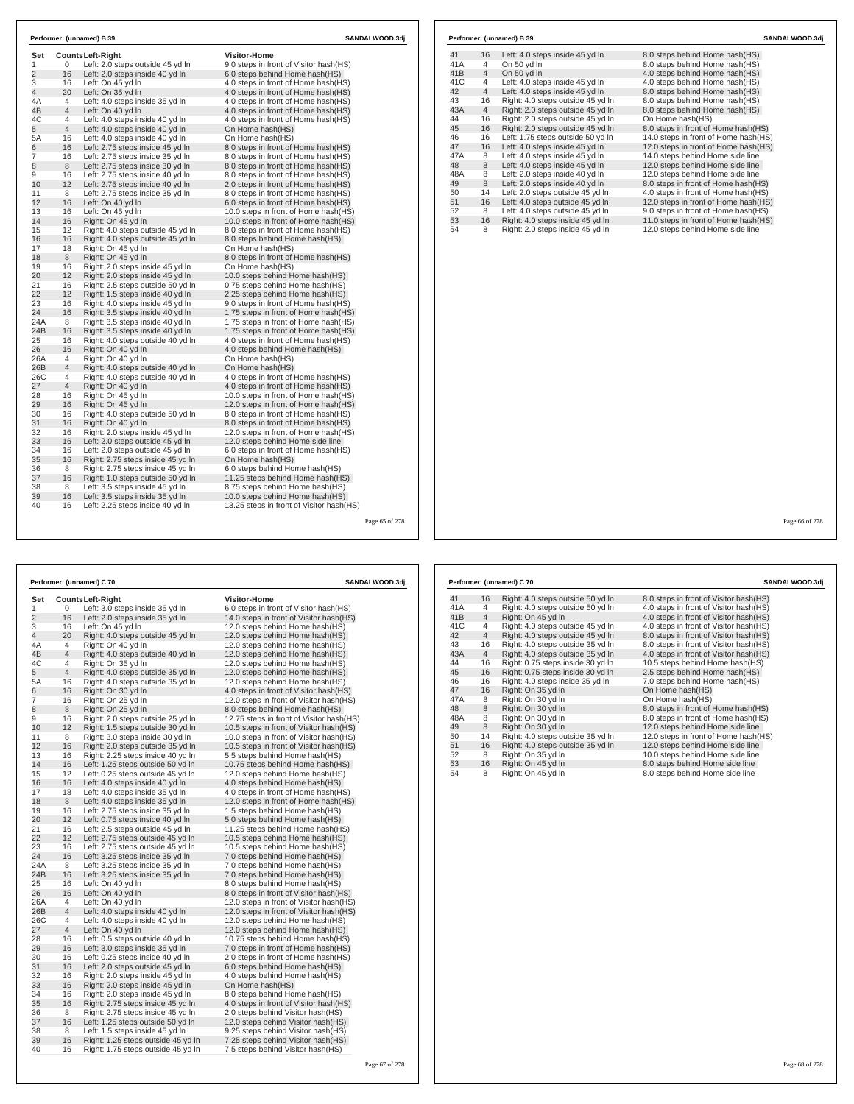| Set<br>1       | 0              | <b>CountsLeft-Right</b><br>Left: 2.0 steps outside 45 yd In | <b>Visitor-Home</b><br>9.0 steps in front of Visitor hash(HS) |  |
|----------------|----------------|-------------------------------------------------------------|---------------------------------------------------------------|--|
| $\overline{2}$ | 16             | Left: 2.0 steps inside 40 yd In                             | 6.0 steps behind Home hash(HS)                                |  |
| 3              | 16             | Left: On 45 yd In                                           | 4.0 steps in front of Home hash (HS)                          |  |
| $\overline{4}$ | 20             | Left: On 35 yd In                                           | 4.0 steps in front of Home hash (HS)                          |  |
| 4A             | 4              | Left: 4.0 steps inside 35 yd In                             | 4.0 steps in front of Home hash (HS)                          |  |
| 4B             | 4              | Left: On 40 yd In                                           | 4.0 steps in front of Home hash (HS)                          |  |
| 4C             | $\overline{4}$ | Left: 4.0 steps inside 40 yd In                             | 4.0 steps in front of Home hash (HS)                          |  |
| 5              | $\overline{4}$ | Left: 4.0 steps inside 40 yd In                             | On Home hash(HS)                                              |  |
| 5A             | 16             | Left: 4.0 steps inside 40 yd In                             | On Home hash(HS)                                              |  |
| 6              | 16             | Left: 2.75 steps inside 45 yd In                            | 8.0 steps in front of Home hash(HS)                           |  |
| $\overline{7}$ | 16             | Left: 2.75 steps inside 35 yd In                            | 8.0 steps in front of Home hash(HS)                           |  |
| 8              | 8              | Left: 2.75 steps inside 30 yd In                            | 8.0 steps in front of Home hash(HS)                           |  |
| 9              | 16             | Left: 2.75 steps inside 40 yd In                            | 8.0 steps in front of Home hash (HS)                          |  |
| 10             | 12             | Left: 2.75 steps inside 40 yd In                            | 2.0 steps in front of Home hash (HS)                          |  |
| 11             | 8              | Left: 2.75 steps inside 35 yd In                            | 8.0 steps in front of Home hash(HS)                           |  |
| 12             | 16             | Left: On 40 yd In                                           | 6.0 steps in front of Home hash(HS)                           |  |
| 13             | 16             | Left: On 45 yd In                                           | 10.0 steps in front of Home hash(HS)                          |  |
| 14             | 16             | Right: On 45 yd In                                          | 10.0 steps in front of Home hash(HS)                          |  |
| 15             | 12             | Right: 4.0 steps outside 45 yd In                           | 8.0 steps in front of Home hash(HS)                           |  |
| 16             | 16             | Right: 4.0 steps outside 45 yd In                           | 8.0 steps behind Home hash (HS)                               |  |
| 17             | 18             | Right: On 45 yd In                                          | On Home hash(HS)                                              |  |
| 18             | 8              | Right: On 45 yd In                                          | 8.0 steps in front of Home hash(HS)                           |  |
| 19             | 16             | Right: 2.0 steps inside 45 yd In                            | On Home hash(HS)                                              |  |
| 20             | 12             | Right: 2.0 steps inside 45 yd In                            | 10.0 steps behind Home hash(HS)                               |  |
| 21             | 16             | Right: 2.5 steps outside 50 yd In                           | 0.75 steps behind Home hash(HS)                               |  |
| 22             | 12             | Right: 1.5 steps inside 40 yd In                            | 2.25 steps behind Home hash (HS)                              |  |
| 23             | 16             | Right: 4.0 steps inside 45 yd In                            | 9.0 steps in front of Home hash (HS)                          |  |
| 24             | 16             | Right: 3.5 steps inside 40 yd In                            | 1.75 steps in front of Home hash(HS)                          |  |
| 24A            | 8              | Right: 3.5 steps inside 40 yd In                            | 1.75 steps in front of Home hash(HS)                          |  |
| 24B            | 16             | Right: 3.5 steps inside 40 yd In                            | 1.75 steps in front of Home hash(HS)                          |  |
| 25             | 16             | Right: 4.0 steps outside 40 yd In                           | 4.0 steps in front of Home hash (HS)                          |  |
| 26             | 16             | Right: On 40 yd In                                          | 4.0 steps behind Home hash(HS)                                |  |
| 26A            | 4              | Right: On 40 yd In                                          | On Home hash(HS)                                              |  |
| 26B            | $\overline{4}$ | Right: 4.0 steps outside 40 yd In                           | On Home hash(HS)                                              |  |
| 26C            | 4              | Right: 4.0 steps outside 40 yd In                           | 4.0 steps in front of Home hash (HS)                          |  |
| 27             | $\overline{4}$ | Right: On 40 yd In                                          | 4.0 steps in front of Home hash (HS)                          |  |
| 28             | 16             | Right: On 45 yd In                                          | 10.0 steps in front of Home hash(HS)                          |  |
| 29             | 16             | Right: On 45 yd In                                          | 12.0 steps in front of Home hash(HS)                          |  |
| 30             | 16             | Right: 4.0 steps outside 50 yd In                           | 8.0 steps in front of Home hash (HS)                          |  |
| 31             | 16             | Right: On 40 vd In                                          | 8.0 steps in front of Home hash (HS)                          |  |
| 32             | 16             | Right: 2.0 steps inside 45 yd In                            | 12.0 steps in front of Home hash(HS)                          |  |
| 33             | 16             | Left: 2.0 steps outside 45 yd In                            | 12.0 steps behind Home side line                              |  |
| 34             | 16             | Left: 2.0 steps outside 45 yd In                            | 6.0 steps in front of Home hash(HS)                           |  |
| 35             | 16             | Right: 2.75 steps inside 45 yd In                           | On Home hash(HS)                                              |  |
| 36             | 8              | Right: 2.75 steps inside 45 yd In                           | 6.0 steps behind Home hash(HS)                                |  |
| 37             | 16             | Right: 1.0 steps outside 50 yd In                           | 11.25 steps behind Home hash(HS)                              |  |
| 38             | 8              | Left: 3.5 steps inside 45 vd In                             | 8.75 steps behind Home hash(HS)                               |  |
| 39             | 16             | Left: 3.5 steps inside 35 yd In                             | 10.0 steps behind Home hash (HS)                              |  |
| 40             | 16             | Left: 2.25 steps inside 40 yd In                            | 13.25 steps in front of Visitor hash (HS)                     |  |

| 41<br>8.0 steps behind Home hash(HS)<br>16<br>Left: 4.0 steps inside 45 yd In<br>41A<br>On 50 yd In<br>8.0 steps behind Home hash(HS)<br>4<br>4.0 steps behind Home hash(HS)<br>41B<br>On 50 yd In<br>$\overline{4}$<br>41C<br>Left: 4.0 steps inside 45 yd In<br>4.0 steps behind Home hash(HS)<br>4<br>8.0 steps behind Home hash(HS)<br>42<br>Left: 4.0 steps inside 45 yd In<br>$\overline{4}$<br>43<br>Right: 4.0 steps outside 45 yd In<br>8.0 steps behind Home hash(HS)<br>16<br>Right: 2.0 steps outside 45 yd In<br>8.0 steps behind Home hash(HS)<br>$\overline{4}$<br>Right: 2.0 steps outside 45 yd In<br>44<br>On Home hash(HS)<br>16<br>45<br>Right: 2.0 steps outside 45 yd In<br>8.0 steps in front of Home hash(HS)<br>16<br>Left: 1.75 steps outside 50 yd In<br>46<br>14.0 steps in front of Home hash(HS)<br>16<br>47<br>Left: 4.0 steps inside 45 yd In<br>12.0 steps in front of Home hash(HS)<br>16<br>Left: 4.0 steps inside 45 yd In<br>14.0 steps behind Home side line<br>8<br>48<br>Left: 4.0 steps inside 45 yd In<br>12.0 steps behind Home side line<br>8<br>Left: 2.0 steps inside 40 yd In<br>48A<br>8<br>12.0 steps behind Home side line<br>8<br>Left: 2.0 steps inside 40 yd In<br>8.0 steps in front of Home hash(HS)<br>Left: 2.0 steps outside 45 yd In<br>4.0 steps in front of Home hash(HS)<br>50<br>14<br>Left: 4.0 steps outside 45 yd In<br>12.0 steps in front of Home hash(HS)<br>51<br>16<br>Left: 4.0 steps outside 45 yd In<br>9.0 steps in front of Home hash(HS)<br>52<br>8<br>Right: 4.0 steps inside 45 yd In<br>11.0 steps in front of Home hash(HS)<br>53<br>16 |     |   | Performer: (unnamed) B 39        |                                  |
|--------------------------------------------------------------------------------------------------------------------------------------------------------------------------------------------------------------------------------------------------------------------------------------------------------------------------------------------------------------------------------------------------------------------------------------------------------------------------------------------------------------------------------------------------------------------------------------------------------------------------------------------------------------------------------------------------------------------------------------------------------------------------------------------------------------------------------------------------------------------------------------------------------------------------------------------------------------------------------------------------------------------------------------------------------------------------------------------------------------------------------------------------------------------------------------------------------------------------------------------------------------------------------------------------------------------------------------------------------------------------------------------------------------------------------------------------------------------------------------------------------------------------------------------------------------------------------------------------------------------------|-----|---|----------------------------------|----------------------------------|
|                                                                                                                                                                                                                                                                                                                                                                                                                                                                                                                                                                                                                                                                                                                                                                                                                                                                                                                                                                                                                                                                                                                                                                                                                                                                                                                                                                                                                                                                                                                                                                                                                          |     |   |                                  |                                  |
|                                                                                                                                                                                                                                                                                                                                                                                                                                                                                                                                                                                                                                                                                                                                                                                                                                                                                                                                                                                                                                                                                                                                                                                                                                                                                                                                                                                                                                                                                                                                                                                                                          |     |   |                                  |                                  |
|                                                                                                                                                                                                                                                                                                                                                                                                                                                                                                                                                                                                                                                                                                                                                                                                                                                                                                                                                                                                                                                                                                                                                                                                                                                                                                                                                                                                                                                                                                                                                                                                                          |     |   |                                  |                                  |
|                                                                                                                                                                                                                                                                                                                                                                                                                                                                                                                                                                                                                                                                                                                                                                                                                                                                                                                                                                                                                                                                                                                                                                                                                                                                                                                                                                                                                                                                                                                                                                                                                          |     |   |                                  |                                  |
|                                                                                                                                                                                                                                                                                                                                                                                                                                                                                                                                                                                                                                                                                                                                                                                                                                                                                                                                                                                                                                                                                                                                                                                                                                                                                                                                                                                                                                                                                                                                                                                                                          |     |   |                                  |                                  |
|                                                                                                                                                                                                                                                                                                                                                                                                                                                                                                                                                                                                                                                                                                                                                                                                                                                                                                                                                                                                                                                                                                                                                                                                                                                                                                                                                                                                                                                                                                                                                                                                                          |     |   |                                  |                                  |
|                                                                                                                                                                                                                                                                                                                                                                                                                                                                                                                                                                                                                                                                                                                                                                                                                                                                                                                                                                                                                                                                                                                                                                                                                                                                                                                                                                                                                                                                                                                                                                                                                          | 43A |   |                                  |                                  |
|                                                                                                                                                                                                                                                                                                                                                                                                                                                                                                                                                                                                                                                                                                                                                                                                                                                                                                                                                                                                                                                                                                                                                                                                                                                                                                                                                                                                                                                                                                                                                                                                                          |     |   |                                  |                                  |
| 47A<br>49                                                                                                                                                                                                                                                                                                                                                                                                                                                                                                                                                                                                                                                                                                                                                                                                                                                                                                                                                                                                                                                                                                                                                                                                                                                                                                                                                                                                                                                                                                                                                                                                                |     |   |                                  |                                  |
|                                                                                                                                                                                                                                                                                                                                                                                                                                                                                                                                                                                                                                                                                                                                                                                                                                                                                                                                                                                                                                                                                                                                                                                                                                                                                                                                                                                                                                                                                                                                                                                                                          |     |   |                                  |                                  |
|                                                                                                                                                                                                                                                                                                                                                                                                                                                                                                                                                                                                                                                                                                                                                                                                                                                                                                                                                                                                                                                                                                                                                                                                                                                                                                                                                                                                                                                                                                                                                                                                                          |     |   |                                  |                                  |
|                                                                                                                                                                                                                                                                                                                                                                                                                                                                                                                                                                                                                                                                                                                                                                                                                                                                                                                                                                                                                                                                                                                                                                                                                                                                                                                                                                                                                                                                                                                                                                                                                          |     |   |                                  |                                  |
|                                                                                                                                                                                                                                                                                                                                                                                                                                                                                                                                                                                                                                                                                                                                                                                                                                                                                                                                                                                                                                                                                                                                                                                                                                                                                                                                                                                                                                                                                                                                                                                                                          |     |   |                                  |                                  |
|                                                                                                                                                                                                                                                                                                                                                                                                                                                                                                                                                                                                                                                                                                                                                                                                                                                                                                                                                                                                                                                                                                                                                                                                                                                                                                                                                                                                                                                                                                                                                                                                                          |     |   |                                  |                                  |
|                                                                                                                                                                                                                                                                                                                                                                                                                                                                                                                                                                                                                                                                                                                                                                                                                                                                                                                                                                                                                                                                                                                                                                                                                                                                                                                                                                                                                                                                                                                                                                                                                          |     |   |                                  |                                  |
|                                                                                                                                                                                                                                                                                                                                                                                                                                                                                                                                                                                                                                                                                                                                                                                                                                                                                                                                                                                                                                                                                                                                                                                                                                                                                                                                                                                                                                                                                                                                                                                                                          |     |   |                                  |                                  |
|                                                                                                                                                                                                                                                                                                                                                                                                                                                                                                                                                                                                                                                                                                                                                                                                                                                                                                                                                                                                                                                                                                                                                                                                                                                                                                                                                                                                                                                                                                                                                                                                                          |     |   |                                  |                                  |
|                                                                                                                                                                                                                                                                                                                                                                                                                                                                                                                                                                                                                                                                                                                                                                                                                                                                                                                                                                                                                                                                                                                                                                                                                                                                                                                                                                                                                                                                                                                                                                                                                          |     |   |                                  |                                  |
|                                                                                                                                                                                                                                                                                                                                                                                                                                                                                                                                                                                                                                                                                                                                                                                                                                                                                                                                                                                                                                                                                                                                                                                                                                                                                                                                                                                                                                                                                                                                                                                                                          |     |   |                                  |                                  |
|                                                                                                                                                                                                                                                                                                                                                                                                                                                                                                                                                                                                                                                                                                                                                                                                                                                                                                                                                                                                                                                                                                                                                                                                                                                                                                                                                                                                                                                                                                                                                                                                                          | 54  | 8 | Right: 2.0 steps inside 45 yd In | 12.0 steps behind Home side line |

|     |                | Performer: (unnamed) C 70          | <b>SANDALWOOD.3dj</b>                     |
|-----|----------------|------------------------------------|-------------------------------------------|
| Set |                | Counts Left-Right                  | <b>Visitor-Home</b>                       |
| 1   | 0              | Left: 3.0 steps inside 35 yd In    | 6.0 steps in front of Visitor hash(HS)    |
| 2   | 16             | Left: 2.0 steps inside 35 yd In    | 14.0 steps in front of Visitor hash(HS)   |
| 3   | 16             | Left: On 45 yd In                  | 12.0 steps behind Home hash(HS)           |
| 4   | 20             | Right: 4.0 steps outside 45 yd In  | 12.0 steps behind Home hash(HS)           |
| 4A  | 4              | Right: On 40 yd In                 | 12.0 steps behind Home hash(HS)           |
| 4B  | $\overline{4}$ | Right: 4.0 steps outside 40 yd In  | 12.0 steps behind Home hash(HS)           |
| 4C  | 4              | Right: On 35 yd In                 | 12.0 steps behind Home hash(HS)           |
| 5   | $\overline{4}$ | Right: 4.0 steps outside 35 yd In  | 12.0 steps behind Home hash(HS)           |
| 5A  | 16             | Right: 4.0 steps outside 35 yd In  | 12.0 steps behind Home hash(HS)           |
| 6   | 16             | Right: On 30 yd In                 | 4.0 steps in front of Visitor hash(HS)    |
| 7   | 16             | Right: On 25 yd In                 | 12.0 steps in front of Visitor hash(HS)   |
| 8   | 8              | Right: On 25 yd In                 | 8.0 steps behind Home hash(HS)            |
| 9   | 16             | Right: 2.0 steps outside 25 yd In  | 12.75 steps in front of Visitor hash (HS) |
| 10  | 12             | Right: 1.5 steps outside 30 yd In  | 10.5 steps in front of Visitor hash (HS)  |
| 11  | 8              | Right: 3.0 steps inside 30 yd In   | 10.0 steps in front of Visitor hash (HS)  |
| 12  | 16             | Right: 2.0 steps outside 35 yd In  | 10.5 steps in front of Visitor hash(HS)   |
| 13  | 16             | Right: 2.25 steps inside 40 yd In  | 5.5 steps behind Home hash(HS)            |
| 14  | 16             | Left: 1.25 steps outside 50 yd In  | 10.75 steps behind Home hash(HS)          |
| 15  | 12             | Left: 0.25 steps outside 45 yd In  | 12.0 steps behind Home hash(HS)           |
| 16  | 16             | Left: 4.0 steps inside 40 yd In    | 4.0 steps behind Home hash(HS)            |
| 17  | 18             | Left: 4.0 steps inside 35 yd In    | 4.0 steps in front of Home hash(HS)       |
| 18  | 8              | Left: 4.0 steps inside 35 yd In    | 12.0 steps in front of Home hash(HS)      |
| 19  | 16             | Left: 2.75 steps inside 35 yd In   | 1.5 steps behind Home hash(HS)            |
| 20  | 12             | Left: 0.75 steps inside 40 yd In   | 5.0 steps behind Home hash(HS)            |
| 21  | 16             | Left: 2.5 steps outside 45 yd In   | 11.25 steps behind Home hash(HS)          |
| 22  | 12             | Left: 2.75 steps outside 45 yd In  | 10.5 steps behind Home hash (HS)          |
| 23  | 16             | Left: 2.75 steps outside 45 yd In  | 10.5 steps behind Home hash(HS)           |
| 24  | 16             | Left: 3.25 steps inside 35 yd In   | 7.0 steps behind Home hash(HS)            |
| 24A | 8              | Left: 3.25 steps inside 35 yd In   | 7.0 steps behind Home hash(HS)            |
| 24B | 16             | Left: 3.25 steps inside 35 yd In   | 7.0 steps behind Home hash(HS)            |
| 25  | 16             | Left: On 40 yd In                  | 8.0 steps behind Home hash(HS)            |
| 26  | 16             | Left: On 40 yd In                  | 8.0 steps in front of Visitor hash(HS)    |
| 26A | 4              | Left: On 40 yd In                  | 12.0 steps in front of Visitor hash(HS)   |
| 26B | $\overline{4}$ | Left: 4.0 steps inside 40 yd In    | 12.0 steps in front of Visitor hash(HS)   |
| 26C | 4              | Left: 4.0 steps inside 40 yd In    | 12.0 steps behind Home hash(HS)           |
| 27  | $\overline{4}$ | Left: On 40 yd In                  | 12.0 steps behind Home hash(HS)           |
| 28  | 16             | Left: 0.5 steps outside 40 yd In   | 10.75 steps behind Home hash(HS)          |
| 29  | 16             | Left: 3.0 steps inside 35 yd In    | 7.0 steps in front of Home hash(HS)       |
| 30  | 16             | Left: 0.25 steps inside 40 yd In   | 2.0 steps in front of Home hash(HS)       |
| 31  | 16             | Left: 2.0 steps outside 45 yd In   | 6.0 steps behind Home hash(HS)            |
| 32  | 16             | Right: 2.0 steps inside 45 yd In   | 4.0 steps behind Home hash(HS)            |
| 33  | 16             | Right: 2.0 steps inside 45 yd In   | On Home hash(HS)                          |
| 34  | 16             | Right: 2.0 steps inside 45 yd In   | 8.0 steps behind Home hash(HS)            |
| 35  | 16             | Right: 2.75 steps inside 45 yd In  | 4.0 steps in front of Visitor hash(HS)    |
| 36  | 8              | Right: 2.75 steps inside 45 yd In  | 2.0 steps behind Visitor hash (HS)        |
| 37  | 16             | Left: 1.25 steps outside 50 yd In  | 12.0 steps behind Visitor hash(HS)        |
| 38  | 8              | Left: 1.5 steps inside 45 yd In    | 9.25 steps behind Visitor hash (HS)       |
| 39  | 16             | Right: 1.25 steps outside 45 yd In | 7.25 steps behind Visitor hash(HS)        |
| 40  | 16             | Right: 1.75 steps outside 45 yd In | 7.5 steps behind Visitor hash(HS)         |

|     |                | Performer: (unnamed) C 70         | SANDALWOOD.3dj                          |
|-----|----------------|-----------------------------------|-----------------------------------------|
| 41  | 16             | Right: 4.0 steps outside 50 yd In | 8.0 steps in front of Visitor hash (HS) |
| 41A | 4              | Right: 4.0 steps outside 50 yd In | 4.0 steps in front of Visitor hash (HS) |
| 41B | $\overline{4}$ | Right: On 45 yd In                | 4.0 steps in front of Visitor hash (HS) |
| 41C | 4              | Right: 4.0 steps outside 45 yd In | 4.0 steps in front of Visitor hash (HS) |
| 42  | $\overline{4}$ | Right: 4.0 steps outside 45 yd In | 8.0 steps in front of Visitor hash(HS)  |
| 43  | 16             | Right: 4.0 steps outside 35 yd In | 8.0 steps in front of Visitor hash(HS)  |
| 43A | $\overline{4}$ | Right: 4.0 steps outside 35 yd In | 4.0 steps in front of Visitor hash(HS)  |
| 44  | 16             | Right: 0.75 steps inside 30 yd In | 10.5 steps behind Home hash(HS)         |
| 45  | 16             | Right: 0.75 steps inside 30 yd In | 2.5 steps behind Home hash(HS)          |
| 46  | 16             | Right: 4.0 steps inside 35 yd In  | 7.0 steps behind Home hash(HS)          |
| 47  | 16             | Right: On 35 yd In                | On Home hash(HS)                        |
| 47A | 8              | Right: On 30 yd In                | On Home hash(HS)                        |
| 48  | 8              | Right: On 30 yd In                | 8.0 steps in front of Home hash(HS)     |
| 48A | 8              | Right: On 30 yd In                | 8.0 steps in front of Home hash (HS)    |
| 49  | 8              | Right: On 30 yd In                | 12.0 steps behind Home side line        |
| 50  | 14             | Right: 4.0 steps outside 35 yd In | 12.0 steps in front of Home hash(HS)    |
| 51  | 16             | Right: 4.0 steps outside 35 yd In | 12.0 steps behind Home side line        |
| 52  | 8              | Right: On 35 yd In                | 10.0 steps behind Home side line        |
| 53  | 16             | Right: On 45 yd In                | 8.0 steps behind Home side line         |
| 54  | 8              | Right: On 45 yd In                | 8.0 steps behind Home side line         |

Page 66 of 278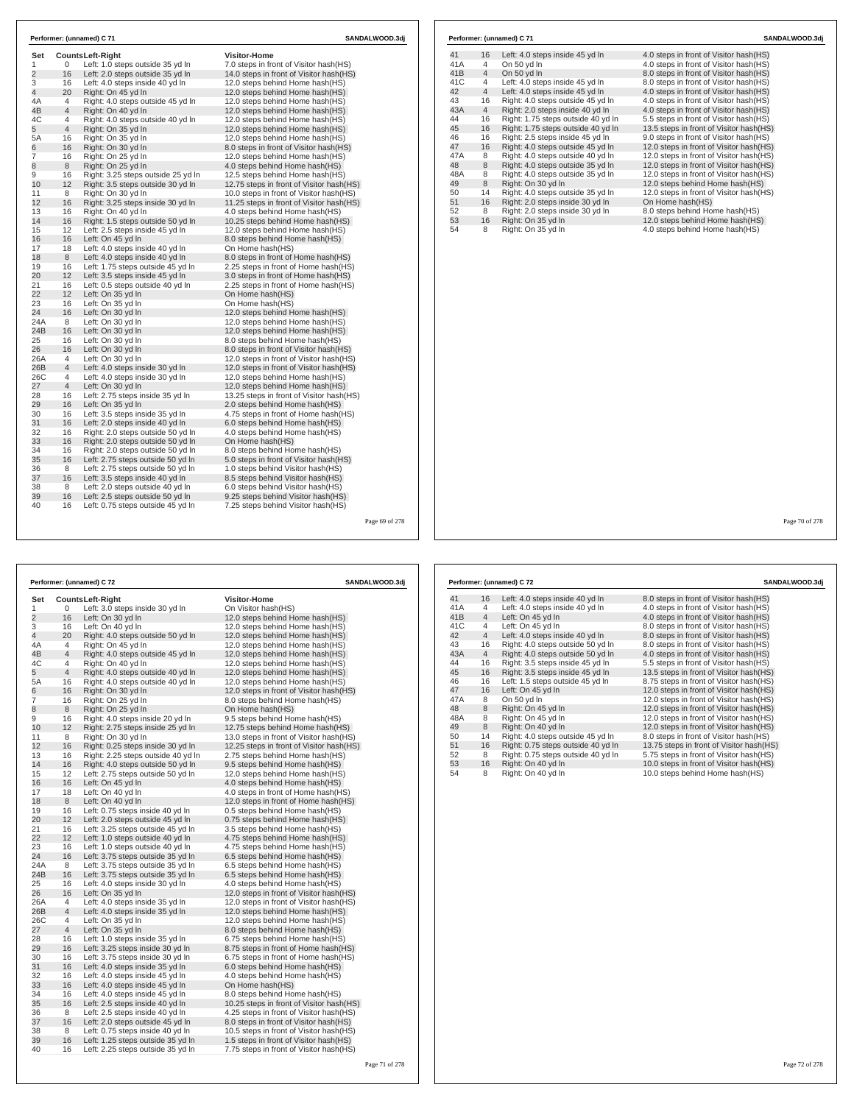| Set<br>1       | 0              | <b>CountsLeft-Right</b><br>Left: 1.0 steps outside 35 yd In | <b>Visitor-Home</b><br>7.0 steps in front of Visitor hash(HS) |
|----------------|----------------|-------------------------------------------------------------|---------------------------------------------------------------|
| $\overline{2}$ | 16             | Left: 2.0 steps outside 35 yd In                            | 14.0 steps in front of Visitor hash (HS)                      |
| 3              | 16             | Left: 4.0 steps inside 40 yd In                             | 12.0 steps behind Home hash(HS)                               |
| $\overline{4}$ | 20             | Right: On 45 yd In                                          | 12.0 steps behind Home hash(HS)                               |
| 4A             | 4              | Right: 4.0 steps outside 45 yd In                           | 12.0 steps behind Home hash(HS)                               |
| 4B             | $\overline{4}$ | Right: On 40 yd In                                          | 12.0 steps behind Home hash(HS)                               |
| 4C             | 4              | Right: 4.0 steps outside 40 yd In                           | 12.0 steps behind Home hash(HS)                               |
| 5              | $\overline{4}$ | Right: On 35 yd In                                          | 12.0 steps behind Home hash(HS)                               |
| 5A             | 16             | Right: On 35 yd In                                          | 12.0 steps behind Home hash(HS)                               |
| 6              | 16             | Right: On 30 yd In                                          | 8.0 steps in front of Visitor hash(HS)                        |
| 7              | 16             | Right: On 25 yd In                                          | 12.0 steps behind Home hash(HS)                               |
| 8              | 8              | Right: On 25 yd In                                          | 4.0 steps behind Home hash (HS)                               |
| 9              | 16             | Right: 3.25 steps outside 25 yd In                          | 12.5 steps behind Home hash(HS)                               |
| 10             | 12             | Right: 3.5 steps outside 30 yd In                           | 12.75 steps in front of Visitor hash (HS)                     |
| 11             | 8              | Right: On 30 yd In                                          | 10.0 steps in front of Visitor hash(HS)                       |
| 12             | 16             | Right: 3.25 steps inside 30 yd In                           | 11.25 steps in front of Visitor hash(HS)                      |
| 13             | 16             | Right: On 40 vd In                                          | 4.0 steps behind Home hash(HS)                                |
| 14             | 16             | Right: 1.5 steps outside 50 yd In                           | 10.25 steps behind Home hash(HS)                              |
| 15             | 12             | Left: 2.5 steps inside 45 vd In                             | 12.0 steps behind Home hash(HS)                               |
| 16             | 16             | Left: On 45 yd In                                           | 8.0 steps behind Home hash(HS)                                |
| 17             | 18             | Left: 4.0 steps inside 40 yd In                             | On Home hash(HS)                                              |
| 18             | 8              | Left: 4.0 steps inside 40 yd In                             | 8.0 steps in front of Home hash(HS)                           |
| 19             | 16             | Left: 1.75 steps outside 45 vd In                           | 2.25 steps in front of Home hash (HS)                         |
| 20             | 12             | Left: 3.5 steps inside 45 yd In                             | 3.0 steps in front of Home hash(HS)                           |
| 21             | 16             | Left: 0.5 steps outside 40 yd In                            | 2.25 steps in front of Home hash (HS)                         |
| 22             | 12             | Left: On 35 yd In                                           | On Home hash(HS)                                              |
| 23             | 16             | Left: On 35 yd In                                           | On Home hash(HS)                                              |
| 24             | 16             | Left: On 30 yd In                                           | 12.0 steps behind Home hash(HS)                               |
| 24A            | 8              | Left: On 30 yd In                                           | 12.0 steps behind Home hash(HS)                               |
| 24B            | 16             | Left: On 30 yd In                                           | 12.0 steps behind Home hash(HS)                               |
| 25             | 16             | Left: On 30 yd In                                           | 8.0 steps behind Home hash(HS)                                |
| 26             | 16             | Left: On 30 yd In                                           | 8.0 steps in front of Visitor hash(HS)                        |
| 26A            | 4              | Left: On 30 yd In                                           | 12.0 steps in front of Visitor hash (HS)                      |
| 26B            | $\overline{4}$ | Left: 4.0 steps inside 30 yd In                             | 12.0 steps in front of Visitor hash (HS)                      |
| 26C            | 4              | Left: 4.0 steps inside 30 yd In                             | 12.0 steps behind Home hash(HS)                               |
| 27             | 4              | Left: On 30 yd In                                           | 12.0 steps behind Home hash (HS)                              |
| 28             | 16             | Left: 2.75 steps inside 35 yd In                            | 13.25 steps in front of Visitor hash (HS)                     |
| 29             | 16             | Left: On 35 yd In                                           | 2.0 steps behind Home hash(HS)                                |
| 30             | 16             | Left: 3.5 steps inside 35 yd In                             | 4.75 steps in front of Home hash(HS)                          |
| 31             | 16             | Left: 2.0 steps inside 40 vd In                             | 6.0 steps behind Home hash (HS)                               |
| 32             | 16             | Right: 2.0 steps outside 50 yd In                           | 4.0 steps behind Home hash(HS)                                |
| 33             | 16             | Right: 2.0 steps outside 50 yd In                           | On Home hash(HS)                                              |
| 34             | 16             | Right: 2.0 steps outside 50 yd In                           | 8.0 steps behind Home hash(HS)                                |
| 35             | 16             | Left: 2.75 steps outside 50 yd In                           | 5.0 steps in front of Visitor hash(HS)                        |
| 36             | 8              | Left: 2.75 steps outside 50 yd In                           | 1.0 steps behind Visitor hash(HS)                             |
| 37             | 16             | Left: 3.5 steps inside 40 yd In                             | 8.5 steps behind Visitor hash (HS)                            |
| 38             | 8              | Left: 2.0 steps outside 40 vd In                            | 6.0 steps behind Visitor hash (HS)                            |
| 39             | 16             | Left: 2.5 steps outside 50 yd In                            | 9.25 steps behind Visitor hash(HS)                            |
| 40             | 16             | Left: 0.75 steps outside 45 yd In                           | 7.25 steps behind Visitor hash (HS)                           |

| On 50 yd In<br>41A<br>$\overline{4}$<br>4.0 steps in front of Visitor hash(HS)<br>41B<br>$\overline{4}$<br>On 50 yd In<br>8.0 steps in front of Visitor hash(HS)<br>41C<br>Left: 4.0 steps inside 45 yd In<br>8.0 steps in front of Visitor hash(HS)<br>4<br>42<br>$\overline{4}$<br>Left: 4.0 steps inside 45 yd In<br>4.0 steps in front of Visitor hash(HS)<br>43<br>16<br>Right: 4.0 steps outside 45 yd In<br>4.0 steps in front of Visitor hash(HS)<br>43A<br>$\overline{4}$<br>Right: 2.0 steps inside 40 yd In<br>4.0 steps in front of Visitor hash(HS)<br>Right: 1.75 steps outside 40 yd In<br>44<br>16<br>5.5 steps in front of Visitor hash(HS)<br>45<br>16<br>Right: 1.75 steps outside 40 yd In<br>46<br>Right: 2.5 steps inside 45 vd In<br>16<br>9.0 steps in front of Visitor hash(HS)<br>47<br>16<br>Right: 4.0 steps outside 45 yd In<br>12.0 steps in front of Visitor hash(HS)<br>Right: 4.0 steps outside 40 yd In<br>47A<br>8<br>12.0 steps in front of Visitor hash(HS)<br>8<br>48<br>Right: 4.0 steps outside 35 yd In<br>12.0 steps in front of Visitor hash(HS)<br>48A<br>8<br>Right: 4.0 steps outside 35 yd In<br>12.0 steps in front of Visitor hash(HS)<br>8<br>49<br>Right: On 30 yd In<br>12.0 steps behind Home hash(HS)<br>50<br>14<br>Right: 4.0 steps outside 35 yd In<br>12.0 steps in front of Visitor hash (HS)<br>51<br>Right: 2.0 steps inside 30 vd In<br>On Home hash(HS)<br>16<br>52<br>Right: 2.0 steps inside 30 yd In<br>8.0 steps behind Home hash(HS)<br>8<br>53<br>Right: On 35 yd In<br>12.0 steps behind Home hash(HS)<br>16<br>54<br>Right: On 35 yd In<br>8<br>4.0 steps behind Home hash(HS) | 41 | Left: 4.0 steps inside 45 yd In<br>16 | 4.0 steps in front of Visitor hash(HS)  |
|-------------------------------------------------------------------------------------------------------------------------------------------------------------------------------------------------------------------------------------------------------------------------------------------------------------------------------------------------------------------------------------------------------------------------------------------------------------------------------------------------------------------------------------------------------------------------------------------------------------------------------------------------------------------------------------------------------------------------------------------------------------------------------------------------------------------------------------------------------------------------------------------------------------------------------------------------------------------------------------------------------------------------------------------------------------------------------------------------------------------------------------------------------------------------------------------------------------------------------------------------------------------------------------------------------------------------------------------------------------------------------------------------------------------------------------------------------------------------------------------------------------------------------------------------------------------------------------------------------------------------------------------------------|----|---------------------------------------|-----------------------------------------|
|                                                                                                                                                                                                                                                                                                                                                                                                                                                                                                                                                                                                                                                                                                                                                                                                                                                                                                                                                                                                                                                                                                                                                                                                                                                                                                                                                                                                                                                                                                                                                                                                                                                       |    |                                       |                                         |
|                                                                                                                                                                                                                                                                                                                                                                                                                                                                                                                                                                                                                                                                                                                                                                                                                                                                                                                                                                                                                                                                                                                                                                                                                                                                                                                                                                                                                                                                                                                                                                                                                                                       |    |                                       |                                         |
|                                                                                                                                                                                                                                                                                                                                                                                                                                                                                                                                                                                                                                                                                                                                                                                                                                                                                                                                                                                                                                                                                                                                                                                                                                                                                                                                                                                                                                                                                                                                                                                                                                                       |    |                                       |                                         |
|                                                                                                                                                                                                                                                                                                                                                                                                                                                                                                                                                                                                                                                                                                                                                                                                                                                                                                                                                                                                                                                                                                                                                                                                                                                                                                                                                                                                                                                                                                                                                                                                                                                       |    |                                       |                                         |
|                                                                                                                                                                                                                                                                                                                                                                                                                                                                                                                                                                                                                                                                                                                                                                                                                                                                                                                                                                                                                                                                                                                                                                                                                                                                                                                                                                                                                                                                                                                                                                                                                                                       |    |                                       |                                         |
|                                                                                                                                                                                                                                                                                                                                                                                                                                                                                                                                                                                                                                                                                                                                                                                                                                                                                                                                                                                                                                                                                                                                                                                                                                                                                                                                                                                                                                                                                                                                                                                                                                                       |    |                                       |                                         |
|                                                                                                                                                                                                                                                                                                                                                                                                                                                                                                                                                                                                                                                                                                                                                                                                                                                                                                                                                                                                                                                                                                                                                                                                                                                                                                                                                                                                                                                                                                                                                                                                                                                       |    |                                       |                                         |
|                                                                                                                                                                                                                                                                                                                                                                                                                                                                                                                                                                                                                                                                                                                                                                                                                                                                                                                                                                                                                                                                                                                                                                                                                                                                                                                                                                                                                                                                                                                                                                                                                                                       |    |                                       | 13.5 steps in front of Visitor hash(HS) |
|                                                                                                                                                                                                                                                                                                                                                                                                                                                                                                                                                                                                                                                                                                                                                                                                                                                                                                                                                                                                                                                                                                                                                                                                                                                                                                                                                                                                                                                                                                                                                                                                                                                       |    |                                       |                                         |
|                                                                                                                                                                                                                                                                                                                                                                                                                                                                                                                                                                                                                                                                                                                                                                                                                                                                                                                                                                                                                                                                                                                                                                                                                                                                                                                                                                                                                                                                                                                                                                                                                                                       |    |                                       |                                         |
|                                                                                                                                                                                                                                                                                                                                                                                                                                                                                                                                                                                                                                                                                                                                                                                                                                                                                                                                                                                                                                                                                                                                                                                                                                                                                                                                                                                                                                                                                                                                                                                                                                                       |    |                                       |                                         |
|                                                                                                                                                                                                                                                                                                                                                                                                                                                                                                                                                                                                                                                                                                                                                                                                                                                                                                                                                                                                                                                                                                                                                                                                                                                                                                                                                                                                                                                                                                                                                                                                                                                       |    |                                       |                                         |
|                                                                                                                                                                                                                                                                                                                                                                                                                                                                                                                                                                                                                                                                                                                                                                                                                                                                                                                                                                                                                                                                                                                                                                                                                                                                                                                                                                                                                                                                                                                                                                                                                                                       |    |                                       |                                         |
|                                                                                                                                                                                                                                                                                                                                                                                                                                                                                                                                                                                                                                                                                                                                                                                                                                                                                                                                                                                                                                                                                                                                                                                                                                                                                                                                                                                                                                                                                                                                                                                                                                                       |    |                                       |                                         |
|                                                                                                                                                                                                                                                                                                                                                                                                                                                                                                                                                                                                                                                                                                                                                                                                                                                                                                                                                                                                                                                                                                                                                                                                                                                                                                                                                                                                                                                                                                                                                                                                                                                       |    |                                       |                                         |
|                                                                                                                                                                                                                                                                                                                                                                                                                                                                                                                                                                                                                                                                                                                                                                                                                                                                                                                                                                                                                                                                                                                                                                                                                                                                                                                                                                                                                                                                                                                                                                                                                                                       |    |                                       |                                         |
|                                                                                                                                                                                                                                                                                                                                                                                                                                                                                                                                                                                                                                                                                                                                                                                                                                                                                                                                                                                                                                                                                                                                                                                                                                                                                                                                                                                                                                                                                                                                                                                                                                                       |    |                                       |                                         |
|                                                                                                                                                                                                                                                                                                                                                                                                                                                                                                                                                                                                                                                                                                                                                                                                                                                                                                                                                                                                                                                                                                                                                                                                                                                                                                                                                                                                                                                                                                                                                                                                                                                       |    |                                       |                                         |
|                                                                                                                                                                                                                                                                                                                                                                                                                                                                                                                                                                                                                                                                                                                                                                                                                                                                                                                                                                                                                                                                                                                                                                                                                                                                                                                                                                                                                                                                                                                                                                                                                                                       |    |                                       |                                         |

age 69 of 278

|     |    | Performer: (unnamed) C 72          | <b>SANDALWOOD.3dj</b>                     |  |
|-----|----|------------------------------------|-------------------------------------------|--|
| Set |    | Counts Left-Right                  | <b>Visitor-Home</b>                       |  |
| 1   | 0  | Left: 3.0 steps inside 30 yd In    | On Visitor hash(HS)                       |  |
| 2   | 16 | Left: On 30 yd In                  | 12.0 steps behind Home hash(HS)           |  |
| 3   | 16 | Left: On 40 yd In                  | 12.0 steps behind Home hash(HS)           |  |
| 4   | 20 | Right: 4.0 steps outside 50 yd In  | 12.0 steps behind Home hash(HS)           |  |
| 4A  | 4  | Right: On 45 yd In                 | 12.0 steps behind Home hash(HS)           |  |
| 4B  | 4  | Right: 4.0 steps outside 45 yd In  | 12.0 steps behind Home hash(HS)           |  |
| 4C  | 4  | Right: On 40 yd In                 | 12.0 steps behind Home hash(HS)           |  |
| 5   | 4  | Right: 4.0 steps outside 40 yd In  | 12.0 steps behind Home hash(HS)           |  |
| 5A  | 16 | Right: 4.0 steps outside 40 yd In  | 12.0 steps behind Home hash(HS)           |  |
| 6   | 16 | Right: On 30 yd In                 | 12.0 steps in front of Visitor hash (HS)  |  |
| 7   | 16 | Right: On 25 yd In                 | 8.0 steps behind Home hash(HS)            |  |
| 8   | 8  | Right: On 25 yd In                 | On Home hash(HS)                          |  |
| 9   | 16 | Right: 4.0 steps inside 20 yd In   | 9.5 steps behind Home hash(HS)            |  |
| 10  | 12 | Right: 2.75 steps inside 25 yd In  | 12.75 steps behind Home hash (HS)         |  |
| 11  | 8  | Right: On 30 yd In                 | 13.0 steps in front of Visitor hash (HS)  |  |
| 12  | 16 | Right: 0.25 steps inside 30 yd In  | 12.25 steps in front of Visitor hash(HS)  |  |
| 13  | 16 | Right: 2.25 steps outside 40 yd In | 2.75 steps behind Home hash(HS)           |  |
| 14  | 16 | Right: 4.0 steps outside 50 yd In  | 9.5 steps behind Home hash(HS)            |  |
| 15  | 12 | Left: 2.75 steps outside 50 yd In  | 12.0 steps behind Home hash(HS)           |  |
| 16  | 16 | Left: On 45 yd In                  | 4.0 steps behind Home hash(HS)            |  |
| 17  | 18 | Left: On 40 yd In                  | 4.0 steps in front of Home hash (HS)      |  |
| 18  | 8  | Left: On 40 yd In                  | 12.0 steps in front of Home hash(HS)      |  |
| 19  | 16 | Left: 0.75 steps inside 40 yd In   | 0.5 steps behind Home hash(HS)            |  |
| 20  | 12 | Left: 2.0 steps outside 45 yd In   | 0.75 steps behind Home hash(HS)           |  |
| 21  | 16 | Left: 3.25 steps outside 45 yd In  | 3.5 steps behind Home hash(HS)            |  |
| 22  | 12 | Left: 1.0 steps outside 40 yd In   | 4.75 steps behind Home hash(HS)           |  |
| 23  | 16 | Left: 1.0 steps outside 40 yd In   | 4.75 steps behind Home hash (HS)          |  |
| 24  | 16 | Left: 3.75 steps outside 35 yd In  | 6.5 steps behind Home hash(HS)            |  |
| 24A | 8  | Left: 3.75 steps outside 35 yd In  | 6.5 steps behind Home hash(HS)            |  |
| 24B | 16 | Left: 3.75 steps outside 35 yd In  | 6.5 steps behind Home hash(HS)            |  |
| 25  | 16 | Left: 4.0 steps inside 30 yd In    | 4.0 steps behind Home hash(HS)            |  |
| 26  | 16 | Left: On 35 yd In                  | 12.0 steps in front of Visitor hash(HS)   |  |
| 26A | 4  | Left: 4.0 steps inside 35 yd In    | 12.0 steps in front of Visitor hash (HS)  |  |
| 26B | 4  | Left: 4.0 steps inside 35 yd In    | 12.0 steps behind Home hash(HS)           |  |
| 26C | 4  | Left: On 35 yd In                  | 12.0 steps behind Home hash(HS)           |  |
| 27  | 4  | Left: On 35 yd In                  | 8.0 steps behind Home hash(HS)            |  |
| 28  | 16 | Left: 1.0 steps inside 35 yd In    | 6.75 steps behind Home hash (HS)          |  |
| 29  | 16 | Left: 3.25 steps inside 30 yd In   | 8.75 steps in front of Home hash(HS)      |  |
| 30  | 16 | Left: 3.75 steps inside 30 yd In   | 6.75 steps in front of Home hash (HS)     |  |
| 31  | 16 | Left: 4.0 steps inside 35 yd In    | 6.0 steps behind Home hash(HS)            |  |
| 32  | 16 | Left: 4.0 steps inside 45 yd In    | 4.0 steps behind Home hash(HS)            |  |
| 33  | 16 | Left: 4.0 steps inside 45 yd In    | On Home hash(HS)                          |  |
| 34  | 16 | Left: 4.0 steps inside 45 yd In    | 8.0 steps behind Home hash(HS)            |  |
| 35  | 16 | Left: 2.5 steps inside 40 yd In    | 10.25 steps in front of Visitor hash (HS) |  |
| 36  | 8  | Left: 2.5 steps inside 40 yd In    | 4.25 steps in front of Visitor hash (HS)  |  |
| 37  | 16 | Left: 2.0 steps outside 45 yd In   | 8.0 steps in front of Visitor hash (HS)   |  |
| 38  | 8  | Left: 0.75 steps inside 40 yd In   | 10.5 steps in front of Visitor hash (HS)  |  |
| 39  | 16 | Left: 1.25 steps outside 35 yd In  | 1.5 steps in front of Visitor hash(HS)    |  |
| 40  | 16 | Left: 2.25 steps outside 35 yd In  | 7.75 steps in front of Visitor hash(HS)   |  |

|     |                | Performer: (unnamed) C 72          | SANDALWOOD.3dj                           |
|-----|----------------|------------------------------------|------------------------------------------|
|     |                |                                    |                                          |
| 41  | 16             | Left: 4.0 steps inside 40 yd In    | 8.0 steps in front of Visitor hash (HS)  |
| 41A | 4              | Left: 4.0 steps inside 40 yd In    | 4.0 steps in front of Visitor hash (HS)  |
| 41B | $\overline{4}$ | Left: On 45 vd In                  | 4.0 steps in front of Visitor hash(HS)   |
| 41C | 4              | Left: On 45 vd In                  | 8.0 steps in front of Visitor hash(HS)   |
| 42  | $\overline{4}$ | Left: 4.0 steps inside 40 yd In    | 8.0 steps in front of Visitor hash(HS)   |
| 43  | 16             | Right: 4.0 steps outside 50 yd In  | 8.0 steps in front of Visitor hash(HS)   |
| 43A | $\overline{4}$ | Right: 4.0 steps outside 50 yd In  | 4.0 steps in front of Visitor hash(HS)   |
| 44  | 16             | Right: 3.5 steps inside 45 yd In   | 5.5 steps in front of Visitor hash(HS)   |
| 45  | 16             | Right: 3.5 steps inside 45 yd In   | 13.5 steps in front of Visitor hash(HS)  |
| 46  | 16             | Left: 1.5 steps outside 45 yd In   | 8.75 steps in front of Visitor hash(HS)  |
| 47  | 16             | Left: On 45 yd In                  | 12.0 steps in front of Visitor hash(HS)  |
| 47A | 8              | On 50 vd In                        | 12.0 steps in front of Visitor hash (HS) |
| 48  | 8              | Right: On 45 yd In                 | 12.0 steps in front of Visitor hash(HS)  |
| 48A | 8              | Right: On 45 yd In                 | 12.0 steps in front of Visitor hash(HS)  |
| 49  | 8              | Right: On 40 vd In                 | 12.0 steps in front of Visitor hash(HS)  |
| 50  | 14             | Right: 4.0 steps outside 45 yd In  | 8.0 steps in front of Visitor hash(HS)   |
| 51  | 16             | Right: 0.75 steps outside 40 yd In | 13.75 steps in front of Visitor hash(HS) |
| 52  | 8              | Right: 0.75 steps outside 40 yd In | 5.75 steps in front of Visitor hash(HS)  |
| 53  | 16             | Right: On 40 yd In                 | 10.0 steps in front of Visitor hash(HS)  |
| 54  | 8              | Right: On 40 yd In                 | 10.0 steps behind Home hash(HS)          |

### Page 72 of 278

Page 70 of 278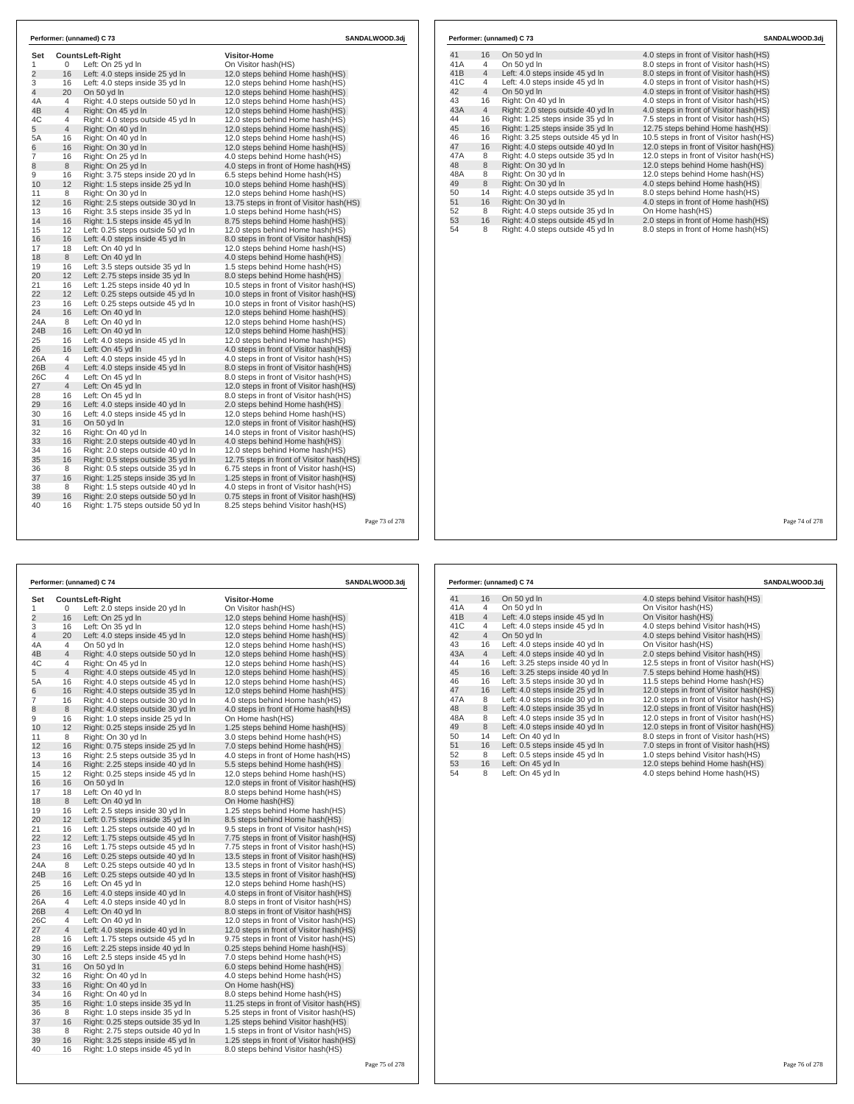| Set            |                 | <b>CountsLeft-Right</b>            | Visitor-Home                             |  |
|----------------|-----------------|------------------------------------|------------------------------------------|--|
| $\mathbf{1}$   | 0               | Left: On 25 yd In                  | On Visitor hash(HS)                      |  |
| $\overline{c}$ | 16              | Left: 4.0 steps inside 25 yd In    | 12.0 steps behind Home hash(HS)          |  |
| 3              | 16              | Left: 4.0 steps inside 35 yd In    | 12.0 steps behind Home hash(HS)          |  |
| 4              | 20              | On 50 yd In                        | 12.0 steps behind Home hash(HS)          |  |
| 4A             | $\overline{4}$  | Right: 4.0 steps outside 50 yd In  | 12.0 steps behind Home hash(HS)          |  |
| 4B             | $\overline{4}$  | Right: On 45 yd In                 | 12.0 steps behind Home hash(HS)          |  |
| 4C             | 4               | Right: 4.0 steps outside 45 yd In  | 12.0 steps behind Home hash(HS)          |  |
| 5              | $\overline{4}$  | Right: On 40 yd In                 | 12.0 steps behind Home hash(HS)          |  |
| 5A             | 16              | Right: On 40 yd In                 | 12.0 steps behind Home hash(HS)          |  |
| 6              | 16              | Right: On 30 yd In                 | 12.0 steps behind Home hash(HS)          |  |
| $\overline{7}$ | 16              | Right: On 25 yd In                 | 4.0 steps behind Home hash(HS)           |  |
| 8              | 8               | Right: On 25 vd In                 | 4.0 steps in front of Home hash (HS)     |  |
| 9              | 16              | Right: 3.75 steps inside 20 yd In  | 6.5 steps behind Home hash(HS)           |  |
| 10             | 12              | Right: 1.5 steps inside 25 yd In   | 10.0 steps behind Home hash(HS)          |  |
| 11             | 8               | Right: On 30 yd In                 | 12.0 steps behind Home hash(HS)          |  |
| 12             | 16              | Right: 2.5 steps outside 30 yd In  | 13.75 steps in front of Visitor hash(HS) |  |
| 13             | 16              | Right: 3.5 steps inside 35 yd In   | 1.0 steps behind Home hash(HS)           |  |
| 14             | 16              | Right: 1.5 steps inside 45 yd In   | 8.75 steps behind Home hash(HS)          |  |
| 15             | 12              | Left: 0.25 steps outside 50 yd In  | 12.0 steps behind Home hash(HS)          |  |
| 16             | 16              | Left: 4.0 steps inside 45 yd In    | 8.0 steps in front of Visitor hash(HS)   |  |
| 17             | 18              | Left: On 40 yd In                  | 12.0 steps behind Home hash(HS)          |  |
| 18             | 8               | Left: On 40 yd In                  | 4.0 steps behind Home hash(HS)           |  |
| 19             | 16              | Left: 3.5 steps outside 35 yd In   | 1.5 steps behind Home hash(HS)           |  |
| 20             | 12 <sup>2</sup> | Left: 2.75 steps inside 35 yd In   | 8.0 steps behind Home hash(HS)           |  |
| 21             | 16              | Left: 1.25 steps inside 40 yd In   | 10.5 steps in front of Visitor hash (HS) |  |
| 22             | 12              | Left: 0.25 steps outside 45 yd In  | 10.0 steps in front of Visitor hash (HS) |  |
| 23             | 16              | Left: 0.25 steps outside 45 yd In  | 10.0 steps in front of Visitor hash(HS)  |  |
| 24             | 16              | Left: On 40 vd In                  | 12.0 steps behind Home hash(HS)          |  |
| 24A            | 8               | Left: On 40 yd In                  | 12.0 steps behind Home hash(HS)          |  |
| 24B            | 16              | Left: On 40 yd In                  | 12.0 steps behind Home hash(HS)          |  |
| 25             | 16              | Left: 4.0 steps inside 45 yd In    | 12.0 steps behind Home hash(HS)          |  |
| 26             | 16              | Left: On 45 yd In                  | 4.0 steps in front of Visitor hash(HS)   |  |
| 26A            | $\overline{4}$  | Left: 4.0 steps inside 45 yd In    | 4.0 steps in front of Visitor hash(HS)   |  |
| 26B            | $\overline{4}$  | Left: 4.0 steps inside 45 yd In    | 8.0 steps in front of Visitor hash(HS)   |  |
| 26C            | 4               | Left: On 45 yd In                  | 8.0 steps in front of Visitor hash(HS)   |  |
| 27             | $\overline{4}$  | Left: On 45 yd In                  | 12.0 steps in front of Visitor hash(HS)  |  |
| 28             | 16              | Left: On 45 yd In                  | 8.0 steps in front of Visitor hash (HS)  |  |
| 29             | 16              | Left: 4.0 steps inside 40 yd In    | 2.0 steps behind Home hash(HS)           |  |
| 30             | 16              | Left: 4.0 steps inside 45 yd In    | 12.0 steps behind Home hash(HS)          |  |
| 31             | 16              | On 50 yd In                        | 12.0 steps in front of Visitor hash(HS)  |  |
| 32             | 16              | Right: On 40 yd In                 | 14.0 steps in front of Visitor hash(HS)  |  |
| 33             | 16              | Right: 2.0 steps outside 40 yd In  | 4.0 steps behind Home hash(HS)           |  |
| 34             | 16              | Right: 2.0 steps outside 40 yd In  | 12.0 steps behind Home hash(HS)          |  |
| 35             | 16              | Right: 0.5 steps outside 35 yd In  | 12.75 steps in front of Visitor hash(HS) |  |
| 36             | 8               | Right: 0.5 steps outside 35 yd In  | 6.75 steps in front of Visitor hash(HS)  |  |
| 37             | 16              | Right: 1.25 steps inside 35 yd In  | 1.25 steps in front of Visitor hash(HS)  |  |
| 38             | 8               | Right: 1.5 steps outside 40 yd In  | 4.0 steps in front of Visitor hash (HS)  |  |
| 39             | 16              | Right: 2.0 steps outside 50 yd In  | 0.75 steps in front of Visitor hash(HS)  |  |
| 40             | 16              | Right: 1.75 steps outside 50 yd In | 8.25 steps behind Visitor hash (HS)      |  |

|                |                | Performer: (unnamed) C 74          | SANDALWOOD.3dj                            |  |
|----------------|----------------|------------------------------------|-------------------------------------------|--|
| Set            |                | <b>CountsLeft-Right</b>            | Visitor-Home                              |  |
| 1              | 0              | Left: 2.0 steps inside 20 yd In    | On Visitor hash(HS)                       |  |
| $\overline{2}$ | 16             | Left: On 25 yd In                  | 12.0 steps behind Home hash(HS)           |  |
| 3              | 16             | Left: On 35 yd In                  | 12.0 steps behind Home hash(HS)           |  |
| 4              | 20             | Left: 4.0 steps inside 45 yd In    | 12.0 steps behind Home hash(HS)           |  |
| 4A             | 4              | On 50 yd In                        | 12.0 steps behind Home hash(HS)           |  |
| 4B             | 4              | Right: 4.0 steps outside 50 yd In  | 12.0 steps behind Home hash(HS)           |  |
| 4C             | 4              | Right: On 45 yd In                 | 12.0 steps behind Home hash(HS)           |  |
| 5              | $\overline{4}$ | Right: 4.0 steps outside 45 yd In  | 12.0 steps behind Home hash(HS)           |  |
| 5A             | 16             | Right: 4.0 steps outside 45 yd In  | 12.0 steps behind Home hash(HS)           |  |
| 6              | 16             | Right: 4.0 steps outside 35 yd In  | 12.0 steps behind Home hash(HS)           |  |
| 7              | 16             | Right: 4.0 steps outside 30 yd In  | 4.0 steps behind Home hash(HS)            |  |
| 8              | 8              | Right: 4.0 steps outside 30 yd In  | 4.0 steps in front of Home hash (HS)      |  |
| 9              | 16             | Right: 1.0 steps inside 25 yd In   | On Home hash(HS)                          |  |
| 10             | 12             | Right: 0.25 steps inside 25 yd In  | 1.25 steps behind Home hash(HS)           |  |
| 11             | 8              | Right: On 30 yd In                 | 3.0 steps behind Home hash(HS)            |  |
| 12             | 16             | Right: 0.75 steps inside 25 yd In  | 7.0 steps behind Home hash(HS)            |  |
| 13             | 16             | Right: 2.5 steps outside 35 yd In  | 4.0 steps in front of Home hash (HS)      |  |
| 14             | 16             | Right: 2.25 steps inside 40 yd In  | 5.5 steps behind Home hash(HS)            |  |
| 15             | 12             | Right: 0.25 steps inside 45 yd In  | 12.0 steps behind Home hash(HS)           |  |
| 16             | 16             | On 50 yd In                        | 12.0 steps in front of Visitor hash(HS)   |  |
| 17             | 18             | Left: On 40 yd In                  | 8.0 steps behind Home hash(HS)            |  |
| 18             | 8              | Left: On 40 yd In                  | On Home hash(HS)                          |  |
| 19             | 16             | Left: 2.5 steps inside 30 yd In    | 1.25 steps behind Home hash(HS)           |  |
| 20             | 12             | Left: 0.75 steps inside 35 yd In   | 8.5 steps behind Home hash(HS)            |  |
| 21             | 16             | Left: 1.25 steps outside 40 yd In  | 9.5 steps in front of Visitor hash(HS)    |  |
| 22             | 12             | Left: 1.75 steps outside 45 yd In  | 7.75 steps in front of Visitor hash(HS)   |  |
| 23             | 16             | Left: 1.75 steps outside 45 yd In  | 7.75 steps in front of Visitor hash(HS)   |  |
| 24             | 16             | Left: 0.25 steps outside 40 yd In  | 13.5 steps in front of Visitor hash(HS)   |  |
| 24A            | 8              | Left: 0.25 steps outside 40 yd In  | 13.5 steps in front of Visitor hash (HS)  |  |
| 24B            | 16             | Left: 0.25 steps outside 40 yd In  | 13.5 steps in front of Visitor hash (HS)  |  |
| 25             | 16             | Left: On 45 yd In                  | 12.0 steps behind Home hash(HS)           |  |
| 26             | 16             | Left: 4.0 steps inside 40 yd In    | 4.0 steps in front of Visitor hash (HS)   |  |
| 26A            | 4              | Left: 4.0 steps inside 40 yd In    | 8.0 steps in front of Visitor hash(HS)    |  |
| 26B            | 4              | Left: On 40 yd In                  | 8.0 steps in front of Visitor hash(HS)    |  |
| 26C            | 4              | Left: On 40 yd In                  | 12.0 steps in front of Visitor hash (HS)  |  |
| 27             | 4              | Left: 4.0 steps inside 40 yd In    | 12.0 steps in front of Visitor hash (HS)  |  |
| 28             | 16             | Left: 1.75 steps outside 45 yd In  | 9.75 steps in front of Visitor hash (HS)  |  |
| 29             | 16             | Left: 2.25 steps inside 40 yd In   | 0.25 steps behind Home hash(HS)           |  |
| 30             | 16             | Left: 2.5 steps inside 45 yd In    | 7.0 steps behind Home hash(HS)            |  |
| 31             | 16             | On 50 yd In                        | 6.0 steps behind Home hash(HS)            |  |
| 32             | 16             | Right: On 40 yd In                 | 4.0 steps behind Home hash(HS)            |  |
| 33             | 16             | Right: On 40 yd In                 | On Home hash(HS)                          |  |
| 34             | 16             | Right: On 40 yd In                 | 8.0 steps behind Home hash(HS)            |  |
| 35             | 16             | Right: 1.0 steps inside 35 yd In   | 11.25 steps in front of Visitor hash (HS) |  |
| 36             | 8              | Right: 1.0 steps inside 35 yd In   | 5.25 steps in front of Visitor hash(HS)   |  |
| 37             | 16             | Right: 0.25 steps outside 35 yd In | 1.25 steps behind Visitor hash(HS)        |  |
| 38             | 8              | Right: 2.75 steps outside 40 yd In | 1.5 steps in front of Visitor hash(HS)    |  |
| 39             | 16             | Right: 3.25 steps inside 45 yd In  | 1.25 steps in front of Visitor hash(HS)   |  |
| 40             | 16             | Right: 1.0 steps inside 45 yd In   | 8.0 steps behind Visitor hash (HS)        |  |

| 41   | 16             | On 50 yd In                        | 4.0 steps in front of Visitor hash (HS)  |
|------|----------------|------------------------------------|------------------------------------------|
| 41 A | 4              | On 50 yd In                        | 8.0 steps in front of Visitor hash(HS)   |
| 41B  | $\overline{4}$ | Left: 4.0 steps inside 45 vd In    | 8.0 steps in front of Visitor hash (HS)  |
| 41C  | 4              | Left: 4.0 steps inside 45 yd In    | 4.0 steps in front of Visitor hash (HS)  |
| 42   | $\overline{4}$ | On 50 vd In                        | 4.0 steps in front of Visitor hash (HS)  |
| 43   | 16             | Right: On 40 yd In                 | 4.0 steps in front of Visitor hash(HS)   |
| 43A  | $\overline{4}$ | Right: 2.0 steps outside 40 yd In  | 4.0 steps in front of Visitor hash (HS)  |
| 44   | 16             | Right: 1.25 steps inside 35 yd In  | 7.5 steps in front of Visitor hash(HS)   |
| 45   | 16             | Right: 1.25 steps inside 35 yd In  | 12.75 steps behind Home hash(HS)         |
| 46   | 16             | Right: 3.25 steps outside 45 yd In | 10.5 steps in front of Visitor hash (HS) |
| 47   | 16             | Right: 4.0 steps outside 40 yd In  | 12.0 steps in front of Visitor hash(HS)  |
| 47A  | 8              | Right: 4.0 steps outside 35 yd In  | 12.0 steps in front of Visitor hash(HS)  |
| 48   | 8              | Right: On 30 yd In                 | 12.0 steps behind Home hash(HS)          |
| 48A  | 8              | Right: On 30 vd In                 | 12.0 steps behind Home hash(HS)          |
| 49   | 8              | Right: On 30 yd In                 | 4.0 steps behind Home hash(HS)           |
| 50   | 14             | Right: 4.0 steps outside 35 yd In  | 8.0 steps behind Home hash(HS)           |
| 51   | 16             | Right: On 30 vd In                 | 4.0 steps in front of Home hash (HS)     |
| 52   | 8              | Right: 4.0 steps outside 35 yd In  | On Home hash(HS)                         |
| 53   | 16             | Right: 4.0 steps outside 45 yd In  | 2.0 steps in front of Home hash (HS)     |
| 54   | 8              | Right: 4.0 steps outside 45 yd In  | 8.0 steps in front of Home hash(HS)      |
|      |                |                                    |                                          |
|      |                |                                    |                                          |
|      |                |                                    |                                          |
|      |                |                                    |                                          |
|      |                |                                    |                                          |
|      |                |                                    |                                          |

**Performer: (unnamed) C 73 SANDALWOOD.3dj**

Page 73 of 278

| Performer: (unnamed) C 74 | SANDALWOOD.3dj |                                  |                                         |
|---------------------------|----------------|----------------------------------|-----------------------------------------|
| 41                        | 16             | On 50 yd In                      | 4.0 steps behind Visitor hash (HS)      |
| 41A                       | 4              | On 50 yd In                      | On Visitor hash(HS)                     |
| 41B                       | $\overline{4}$ | Left: 4.0 steps inside 45 yd In  | On Visitor hash(HS)                     |
| 41C                       | 4              | Left: 4.0 steps inside 45 yd In  | 4.0 steps behind Visitor hash(HS)       |
| 42                        | $\overline{4}$ | On 50 yd In                      | 4.0 steps behind Visitor hash(HS)       |
| 43                        | 16             | Left: 4.0 steps inside 40 yd In  | On Visitor hash(HS)                     |
| 43A                       | $\overline{4}$ | Left: 4.0 steps inside 40 yd In  | 2.0 steps behind Visitor hash(HS)       |
| 44                        | 16             | Left: 3.25 steps inside 40 vd In | 12.5 steps in front of Visitor hash(HS) |
| 45                        | 16             | Left: 3.25 steps inside 40 yd In | 7.5 steps behind Home hash(HS)          |
| 46                        | 16             | Left: 3.5 steps inside 30 yd In  | 11.5 steps behind Home hash(HS)         |
| 47                        | 16             | Left: 4.0 steps inside 25 yd In  | 12.0 steps in front of Visitor hash(HS) |
| 47A                       | 8              | Left: 4.0 steps inside 30 yd In  | 12.0 steps in front of Visitor hash(HS) |
| 48                        | 8              | Left: 4.0 steps inside 35 yd In  | 12.0 steps in front of Visitor hash(HS) |
| 48A                       | 8              | Left: 4.0 steps inside 35 yd In  | 12.0 steps in front of Visitor hash(HS) |
| 49                        | 8              | Left: 4.0 steps inside 40 yd In  | 12.0 steps in front of Visitor hash(HS) |
| 50                        | 14             | Left: On 40 yd In                | 8.0 steps in front of Visitor hash(HS)  |
| 51                        | 16             | Left: 0.5 steps inside 45 yd In  | 7.0 steps in front of Visitor hash(HS)  |
| 52                        | 8              | Left: 0.5 steps inside 45 yd In  | 1.0 steps behind Visitor hash (HS)      |
| 53                        | 16             | Left: On 45 yd In                | 12.0 steps behind Home hash(HS)         |
| 54                        | 8              | Left: On 45 yd In                | 4.0 steps behind Home hash(HS)          |

Page 74 of 278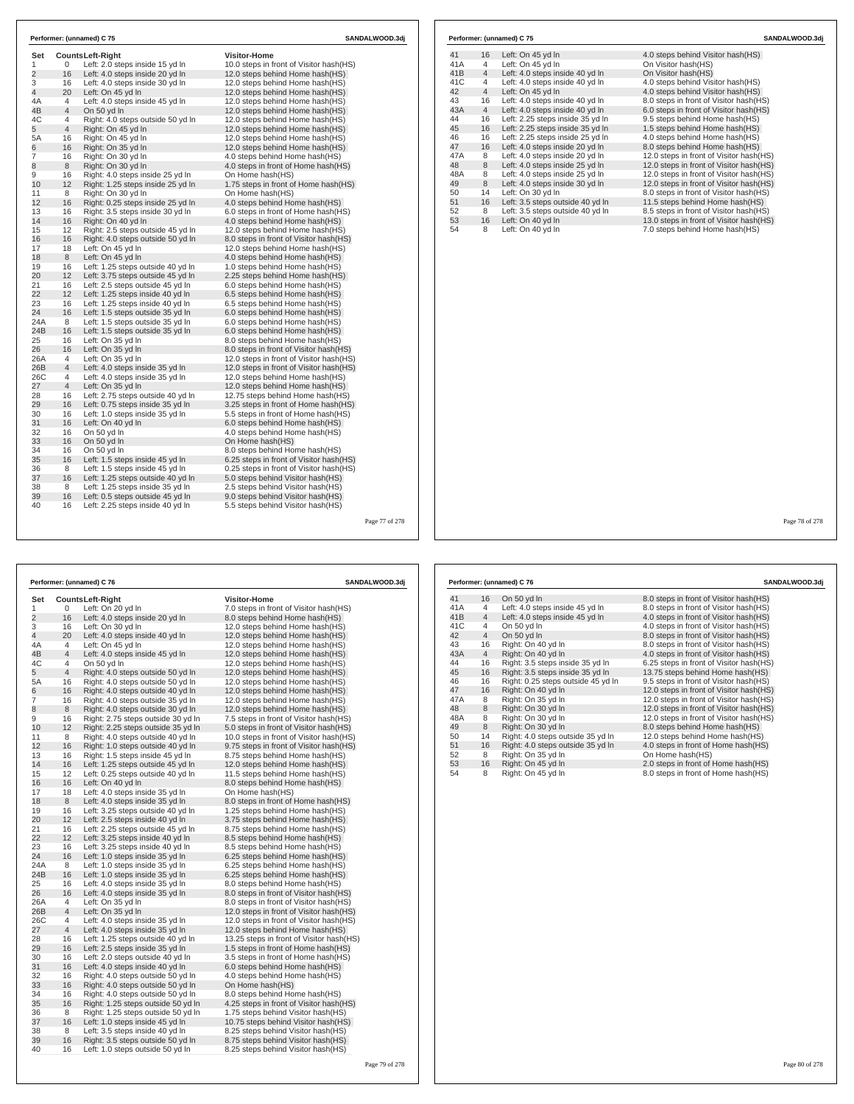| Set            |                     | <b>CountsLeft-Right</b>                                 | <b>Visitor-Home</b>                                                |  |
|----------------|---------------------|---------------------------------------------------------|--------------------------------------------------------------------|--|
| 1              | 0                   | Left: 2.0 steps inside 15 yd In                         | 10.0 steps in front of Visitor hash(HS)                            |  |
| $\overline{2}$ | 16                  | Left: 4.0 steps inside 20 yd In                         | 12.0 steps behind Home hash(HS)                                    |  |
| 3              | 16                  | Left: 4.0 steps inside 30 vd In                         | 12.0 steps behind Home hash (HS)                                   |  |
| 4              | 20                  | Left: On 45 yd In                                       | 12.0 steps behind Home hash (HS)                                   |  |
| 4A             | 4                   | Left: 4.0 steps inside 45 yd In                         | 12.0 steps behind Home hash(HS)                                    |  |
| 4B             | $\overline{4}$      | On 50 yd In                                             | 12.0 steps behind Home hash(HS)                                    |  |
| 4C<br>5        | 4<br>$\overline{4}$ | Right: 4.0 steps outside 50 yd In<br>Right: On 45 yd In | 12.0 steps behind Home hash(HS)<br>12.0 steps behind Home hash(HS) |  |
| 5A             | 16                  | Right: On 45 yd In                                      | 12.0 steps behind Home hash(HS)                                    |  |
| 6              | 16                  | Right: On 35 yd In                                      | 12.0 steps behind Home hash(HS)                                    |  |
| 7              | 16                  | Right: On 30 yd In                                      | 4.0 steps behind Home hash(HS)                                     |  |
| 8              | 8                   | Right: On 30 yd In                                      | 4.0 steps in front of Home hash(HS)                                |  |
| 9              | 16                  | Right: 4.0 steps inside 25 yd In                        | On Home hash(HS)                                                   |  |
| 10             | 12                  | Right: 1.25 steps inside 25 yd In                       | 1.75 steps in front of Home hash(HS)                               |  |
| 11             | 8                   | Right: On 30 yd In                                      | On Home hash(HS)                                                   |  |
| 12             | 16                  | Right: 0.25 steps inside 25 yd In                       | 4.0 steps behind Home hash(HS)                                     |  |
| 13             | 16                  | Right: 3.5 steps inside 30 yd In                        | 6.0 steps in front of Home hash (HS)                               |  |
| 14             | 16                  | Right: On 40 yd In                                      | 4.0 steps behind Home hash(HS)                                     |  |
| 15             | 12                  | Right: 2.5 steps outside 45 yd In                       | 12.0 steps behind Home hash(HS)                                    |  |
| 16             | 16                  | Right: 4.0 steps outside 50 yd In                       | 8.0 steps in front of Visitor hash(HS)                             |  |
| 17             | 18                  | Left: On 45 vd In                                       | 12.0 steps behind Home hash(HS)                                    |  |
| 18             | 8                   | Left: On 45 yd In                                       | 4.0 steps behind Home hash(HS)                                     |  |
| 19             | 16                  | Left: 1.25 steps outside 40 yd In                       | 1.0 steps behind Home hash(HS)                                     |  |
| 20             | 12                  | Left: 3.75 steps outside 45 yd In                       | 2.25 steps behind Home hash(HS)                                    |  |
| 21             | 16                  | Left: 2.5 steps outside 45 yd In                        | 6.0 steps behind Home hash(HS)                                     |  |
| 22             | 12                  | Left: 1.25 steps inside 40 yd In                        | 6.5 steps behind Home hash(HS)                                     |  |
| 23             | 16                  | Left: 1.25 steps inside 40 yd In                        | 6.5 steps behind Home hash(HS)                                     |  |
| 24             | 16                  | Left: 1.5 steps outside 35 yd In                        | 6.0 steps behind Home hash(HS)                                     |  |
| 24A            | 8                   | Left: 1.5 steps outside 35 yd In                        | 6.0 steps behind Home hash(HS)                                     |  |
| 24B            | 16                  | Left: 1.5 steps outside 35 yd In                        | 6.0 steps behind Home hash(HS)                                     |  |
| 25             | 16                  | Left: On 35 yd In                                       | 8.0 steps behind Home hash(HS)                                     |  |
| 26             | 16                  | Left: On 35 yd In                                       | 8.0 steps in front of Visitor hash(HS)                             |  |
| 26A            | $\overline{4}$      | Left: On 35 vd In                                       | 12.0 steps in front of Visitor hash(HS)                            |  |
| 26B            | $\overline{4}$      | Left: 4.0 steps inside 35 yd In                         | 12.0 steps in front of Visitor hash(HS)                            |  |
| 26C            | 4                   | Left: 4.0 steps inside 35 yd In                         | 12.0 steps behind Home hash(HS)                                    |  |
| 27             | $\overline{4}$      | Left: On 35 yd In                                       | 12.0 steps behind Home hash(HS)                                    |  |
| 28             | 16                  | Left: 2.75 steps outside 40 yd In                       | 12.75 steps behind Home hash(HS)                                   |  |
| 29             | 16                  | Left: 0.75 steps inside 35 yd In                        | 3.25 steps in front of Home hash(HS)                               |  |
| 30             | 16                  | Left: 1.0 steps inside 35 yd In                         | 5.5 steps in front of Home hash(HS)                                |  |
| 31             | 16                  | Left: On 40 yd In                                       | 6.0 steps behind Home hash(HS)                                     |  |
| 32             | 16                  | On 50 yd In                                             | 4.0 steps behind Home hash(HS)                                     |  |
| 33             | 16                  | On 50 yd In                                             | On Home hash(HS)                                                   |  |
| 34             | 16                  | On 50 yd In                                             | 8.0 steps behind Home hash(HS)                                     |  |
| 35             | 16                  | Left: 1.5 steps inside 45 yd In                         | 6.25 steps in front of Visitor hash(HS)                            |  |
| 36             | 8                   | Left: 1.5 steps inside 45 yd In                         | 0.25 steps in front of Visitor hash(HS)                            |  |
| 37             | 16                  | Left: 1.25 steps outside 40 yd In                       | 5.0 steps behind Visitor hash(HS)                                  |  |
| 38             | 8                   | Left: 1.25 steps inside 35 vd In                        | 2.5 steps behind Visitor hash (HS)                                 |  |
| 39             | 16                  | Left: 0.5 steps outside 45 yd In                        | 9.0 steps behind Visitor hash(HS)                                  |  |
| 40             | 16                  | Left: 2.25 steps inside 40 yd In                        | 5.5 steps behind Visitor hash(HS)                                  |  |

|     |                | Performer: (unnamed) C 75        | SANDALWOOD.3di                          |
|-----|----------------|----------------------------------|-----------------------------------------|
| 41  | 16             | Left: On 45 yd In                | 4.0 steps behind Visitor hash (HS)      |
| 41A | 4              | Left: On 45 yd In                | On Visitor hash(HS)                     |
| 41B | $\overline{4}$ | Left: 4.0 steps inside 40 yd In  | On Visitor hash(HS)                     |
| 41C | 4              | Left: 4.0 steps inside 40 yd In  | 4.0 steps behind Visitor hash(HS)       |
| 42  | $\overline{4}$ | Left: On 45 yd In                | 4.0 steps behind Visitor hash(HS)       |
| 43  | 16             | Left: 4.0 steps inside 40 yd In  | 8.0 steps in front of Visitor hash(HS)  |
| 43A | $\overline{4}$ | Left: 4.0 steps inside 40 yd In  | 6.0 steps in front of Visitor hash(HS)  |
| 44  | 16             | Left: 2.25 steps inside 35 vd In | 9.5 steps behind Home hash (HS)         |
| 45  | 16             | Left: 2.25 steps inside 35 yd In | 1.5 steps behind Home hash(HS)          |
| 46  | 16             | Left: 2.25 steps inside 25 yd In | 4.0 steps behind Home hash(HS)          |
| 47  | 16             | Left: 4.0 steps inside 20 yd In  | 8.0 steps behind Home hash(HS)          |
| 47A | 8              | Left: 4.0 steps inside 20 yd In  | 12.0 steps in front of Visitor hash(HS) |
| 48  | 8              | Left: 4.0 steps inside 25 yd In  | 12.0 steps in front of Visitor hash(HS) |
| 48A | 8              | Left: 4.0 steps inside 25 yd In  | 12.0 steps in front of Visitor hash(HS) |
| 49  | 8              | Left: 4.0 steps inside 30 yd In  | 12.0 steps in front of Visitor hash(HS) |
| 50  | 14             | Left: On 30 yd In                | 8.0 steps in front of Visitor hash(HS)  |
| 51  | 16             | Left: 3.5 steps outside 40 yd In | 11.5 steps behind Home hash(HS)         |
| 52  | 8              | Left: 3.5 steps outside 40 yd In | 8.5 steps in front of Visitor hash(HS)  |
| 53  | 16             | Left: On 40 yd In                | 13.0 steps in front of Visitor hash(HS) |
| 54  | 8              | Left: On 40 yd In                | 7.0 steps behind Home hash(HS)          |

Page 77 of 278

| Performer: (unnamed) C 76 |                |                                    | SANDALWOOD.3dj                            |  |
|---------------------------|----------------|------------------------------------|-------------------------------------------|--|
| Set                       |                | <b>CountsLeft-Right</b>            | <b>Visitor-Home</b>                       |  |
| 1                         | 0              | Left: On 20 yd In                  | 7.0 steps in front of Visitor hash(HS)    |  |
| $\overline{2}$            | 16             | Left: 4.0 steps inside 20 yd In    | 8.0 steps behind Home hash(HS)            |  |
| 3                         | 16             | Left: On 30 yd In                  | 12.0 steps behind Home hash(HS)           |  |
| 4                         | 20             | Left: 4.0 steps inside 40 yd In    | 12.0 steps behind Home hash(HS)           |  |
| 4A                        | $\overline{4}$ | Left: On 45 yd In                  | 12.0 steps behind Home hash(HS)           |  |
| 4B                        | $\overline{4}$ | Left: 4.0 steps inside 45 yd In    | 12.0 steps behind Home hash(HS)           |  |
| 4C                        | 4              | On 50 yd In                        | 12.0 steps behind Home hash(HS)           |  |
| 5                         | $\overline{4}$ | Right: 4.0 steps outside 50 yd In  | 12.0 steps behind Home hash(HS)           |  |
| 5А                        | 16             | Right: 4.0 steps outside 50 yd In  | 12.0 steps behind Home hash(HS)           |  |
| 6                         | 16             | Right: 4.0 steps outside 40 yd In  | 12.0 steps behind Home hash(HS)           |  |
| 7                         | 16             | Right: 4.0 steps outside 35 yd In  | 12.0 steps behind Home hash(HS)           |  |
| 8                         | 8              | Right: 4.0 steps outside 30 yd In  | 12.0 steps behind Home hash (HS)          |  |
| 9                         | 16             | Right: 2.75 steps outside 30 yd In | 7.5 steps in front of Visitor hash(HS)    |  |
| 10                        | 12             | Right: 2.25 steps outside 35 yd In | 5.0 steps in front of Visitor hash(HS)    |  |
| 11                        | 8              | Right: 4.0 steps outside 40 yd In  | 10.0 steps in front of Visitor hash (HS)  |  |
| 12                        | 16             | Right: 1.0 steps outside 40 yd In  | 9.75 steps in front of Visitor hash (HS)  |  |
| 13                        | 16             | Right: 1.5 steps inside 45 yd In   | 8.75 steps behind Home hash(HS)           |  |
| 14                        | 16             | Left: 1.25 steps outside 45 yd In  | 12.0 steps behind Home hash(HS)           |  |
| 15                        | 12             | Left: 0.25 steps outside 40 yd In  | 11.5 steps behind Home hash(HS)           |  |
| 16                        | 16             | Left: On 40 yd In                  | 8.0 steps behind Home hash(HS)            |  |
| 17                        | 18             | Left: 4.0 steps inside 35 yd In    | On Home hash(HS)                          |  |
| 18                        | 8              | Left: 4.0 steps inside 35 yd In    | 8.0 steps in front of Home hash(HS)       |  |
| 19                        | 16             | Left: 3.25 steps outside 40 yd In  | 1.25 steps behind Home hash(HS)           |  |
| 20                        | 12             | Left: 2.5 steps inside 40 yd In    | 3.75 steps behind Home hash(HS)           |  |
| 21                        | 16             | Left: 2.25 steps outside 45 yd In  | 8.75 steps behind Home hash(HS)           |  |
| 22                        | 12             | Left: 3.25 steps inside 40 yd In   | 8.5 steps behind Home hash (HS)           |  |
| 23                        | 16             | Left: 3.25 steps inside 40 yd In   | 8.5 steps behind Home hash(HS)            |  |
| 24                        | 16             | Left: 1.0 steps inside 35 yd In    | 6.25 steps behind Home hash(HS)           |  |
| 24A                       | 8              | Left: 1.0 steps inside 35 yd In    | 6.25 steps behind Home hash (HS)          |  |
| 24B                       | 16             | Left: 1.0 steps inside 35 yd In    | 6.25 steps behind Home hash (HS)          |  |
| 25                        | 16             | Left: 4.0 steps inside 35 yd In    | 8.0 steps behind Home hash(HS)            |  |
| 26                        | 16             | Left: 4.0 steps inside 35 yd In    | 8.0 steps in front of Visitor hash(HS)    |  |
| 26A                       | 4              | Left: On 35 yd In                  | 8.0 steps in front of Visitor hash(HS)    |  |
| 26B                       | 4              | Left: On 35 yd In                  | 12.0 steps in front of Visitor hash(HS)   |  |
| 26C                       | 4              | Left: 4.0 steps inside 35 yd In    | 12.0 steps in front of Visitor hash(HS)   |  |
| 27                        | $\overline{4}$ | Left: 4.0 steps inside 35 yd In    | 12.0 steps behind Home hash(HS)           |  |
| 28                        | 16             | Left: 1.25 steps outside 40 yd In  | 13.25 steps in front of Visitor hash (HS) |  |
| 29                        | 16             | Left: 2.5 steps inside 35 yd In    | 1.5 steps in front of Home hash(HS)       |  |
| 30                        | 16             | Left: 2.0 steps outside 40 yd In   | 3.5 steps in front of Home hash(HS)       |  |
| 31                        | 16             | Left: 4.0 steps inside 40 yd In    | 6.0 steps behind Home hash(HS)            |  |
| 32                        | 16             | Right: 4.0 steps outside 50 yd In  | 4.0 steps behind Home hash(HS)            |  |
| 33                        | 16             | Right: 4.0 steps outside 50 yd In  | On Home hash(HS)                          |  |
| 34                        | 16             | Right: 4.0 steps outside 50 yd In  | 8.0 steps behind Home hash(HS)            |  |
| 35                        | 16             | Right: 1.25 steps outside 50 yd In | 4.25 steps in front of Visitor hash (HS)  |  |
| 36                        | 8              | Right: 1.25 steps outside 50 yd In | 1.75 steps behind Visitor hash(HS)        |  |
| 37                        | 16             | Left: 1.0 steps inside 45 yd In    | 10.75 steps behind Visitor hash(HS)       |  |
| 38                        | 8              | Left: 3.5 steps inside 40 yd In    | 8.25 steps behind Visitor hash (HS)       |  |
| 39                        | 16             | Right: 3.5 steps outside 50 yd In  | 8.75 steps behind Visitor hash(HS)        |  |
| 40                        | 16             | Left: 1.0 steps outside 50 yd In   | 8.25 steps behind Visitor hash(HS)        |  |

| Performer: (unnamed) C 76 |                |                                    | SANDALWOOD.3di                           |  |
|---------------------------|----------------|------------------------------------|------------------------------------------|--|
| 41                        | 16             | On 50 yd In                        | 8.0 steps in front of Visitor hash (HS)  |  |
| 41A                       | 4              | Left: 4.0 steps inside 45 yd In    | 8.0 steps in front of Visitor hash(HS)   |  |
| 41B                       | $\overline{4}$ | Left: 4.0 steps inside 45 yd In    | 4.0 steps in front of Visitor hash(HS)   |  |
| 41C                       | 4              | On 50 yd In                        | 4.0 steps in front of Visitor hash (HS)  |  |
| 42                        | $\overline{4}$ | On 50 yd In                        | 8.0 steps in front of Visitor hash(HS)   |  |
| 43                        | 16             | Right: On 40 yd In                 | 8.0 steps in front of Visitor hash(HS)   |  |
| 43A                       | $\overline{4}$ | Right: On 40 vd In                 | 4.0 steps in front of Visitor hash(HS)   |  |
| 44                        | 16             | Right: 3.5 steps inside 35 yd In   | 6.25 steps in front of Visitor hash(HS)  |  |
| 45                        | 16             | Right: 3.5 steps inside 35 yd In   | 13.75 steps behind Home hash(HS)         |  |
| 46                        | 16             | Right: 0.25 steps outside 45 yd In | 9.5 steps in front of Visitor hash(HS)   |  |
| 47                        | 16             | Right: On 40 yd In                 | 12.0 steps in front of Visitor hash (HS) |  |
| 47A                       | 8              | Right: On 35 yd In                 | 12.0 steps in front of Visitor hash(HS)  |  |
| 48                        | 8              | Right: On 30 yd In                 | 12.0 steps in front of Visitor hash(HS)  |  |
| 48A                       | 8              | Right: On 30 vd In                 | 12.0 steps in front of Visitor hash(HS)  |  |
| 49                        | 8              | Right: On 30 vd In                 | 8.0 steps behind Home hash (HS)          |  |
| 50                        | 14             | Right: 4.0 steps outside 35 yd In  | 12.0 steps behind Home hash(HS)          |  |
| 51                        | 16             | Right: 4.0 steps outside 35 yd In  | 4.0 steps in front of Home hash(HS)      |  |
| 52                        | 8              | Right: On 35 yd In                 | On Home hash(HS)                         |  |
| 53                        | 16             | Right: On 45 yd In                 | 2.0 steps in front of Home hash(HS)      |  |
| 54                        | 8              | Right: On 45 yd In                 | 8.0 steps in front of Home hash(HS)      |  |

Page 78 of 278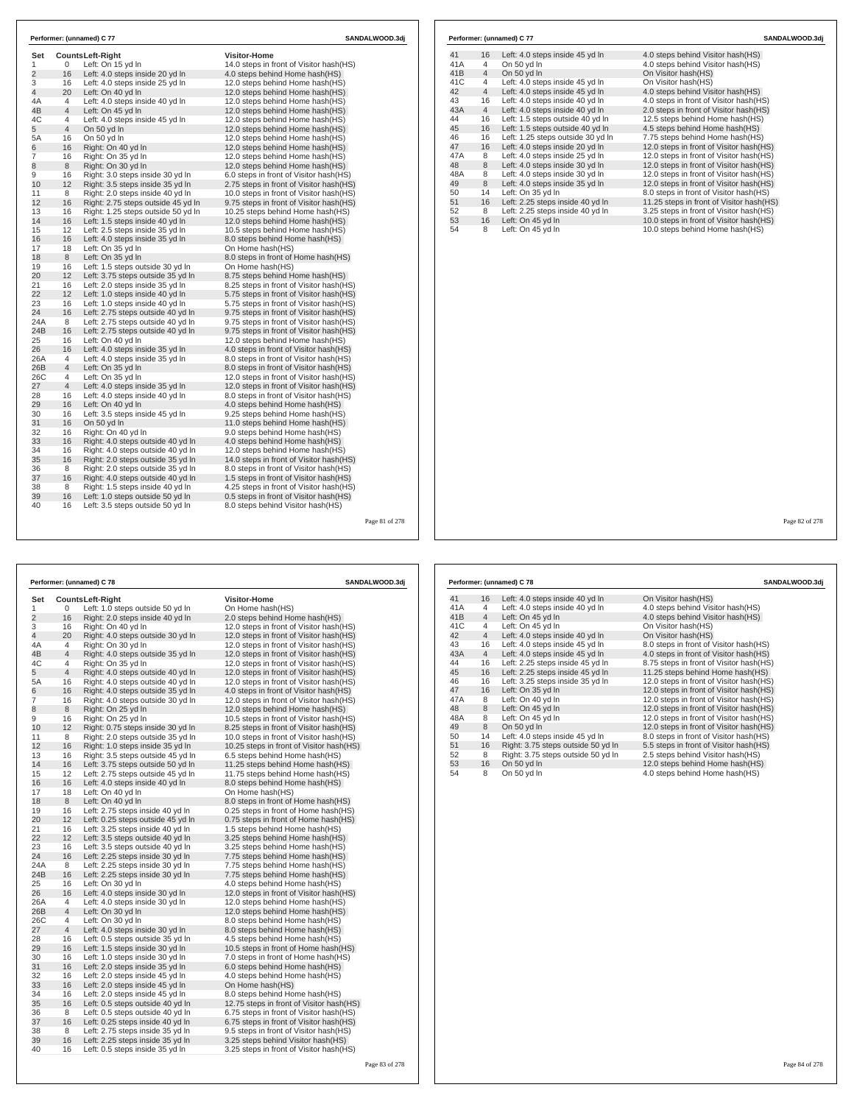| Set            |                       | Counts Left-Right                                                     | <b>Visitor-Home</b>                                                                |  |
|----------------|-----------------------|-----------------------------------------------------------------------|------------------------------------------------------------------------------------|--|
| 1              | 0                     | Left: On 15 yd In                                                     | 14.0 steps in front of Visitor hash(HS)                                            |  |
| $\overline{2}$ | 16                    | Left: 4.0 steps inside 20 yd In                                       | 4.0 steps behind Home hash(HS)                                                     |  |
| 3              | 16                    | Left: 4.0 steps inside 25 vd In                                       | 12.0 steps behind Home hash(HS)                                                    |  |
| $\overline{4}$ | 20                    | Left: On 40 yd In                                                     | 12.0 steps behind Home hash(HS)                                                    |  |
| 4A             | 4                     | Left: 4.0 steps inside 40 yd In                                       | 12.0 steps behind Home hash(HS)                                                    |  |
| 4B             | $\overline{4}$        | Left: On 45 yd In                                                     | 12.0 steps behind Home hash(HS)                                                    |  |
| 4C             | 4                     | Left: 4.0 steps inside 45 yd In                                       | 12.0 steps behind Home hash(HS)                                                    |  |
| 5              | $\overline{4}$        | On 50 yd In                                                           | 12.0 steps behind Home hash (HS)                                                   |  |
| 5A             | 16                    | On 50 yd In                                                           | 12.0 steps behind Home hash(HS)                                                    |  |
| 6              | 16                    | Right: On 40 vd In                                                    | 12.0 steps behind Home hash (HS)                                                   |  |
| $\overline{7}$ | 16                    | Right: On 35 yd In                                                    | 12.0 steps behind Home hash(HS)                                                    |  |
| 8              | 8                     | Right: On 30 yd In                                                    | 12.0 steps behind Home hash (HS)                                                   |  |
| 9              | 16                    | Right: 3.0 steps inside 30 yd In                                      | 6.0 steps in front of Visitor hash(HS)                                             |  |
| 10             | 12                    | Right: 3.5 steps inside 35 yd In                                      | 2.75 steps in front of Visitor hash(HS)                                            |  |
| 11             | 8                     | Right: 2.0 steps inside 40 yd In                                      | 10.0 steps in front of Visitor hash (HS)                                           |  |
| 12             | 16                    | Right: 2.75 steps outside 45 yd In                                    | 9.75 steps in front of Visitor hash(HS)                                            |  |
| 13             | 16                    | Right: 1.25 steps outside 50 yd In                                    | 10.25 steps behind Home hash(HS)                                                   |  |
| 14             | 16                    | Left: 1.5 steps inside 40 yd In                                       | 12.0 steps behind Home hash(HS)                                                    |  |
| 15             | 12                    | Left: 2.5 steps inside 35 vd In                                       | 10.5 steps behind Home hash(HS)                                                    |  |
| 16             | 16                    | Left: 4.0 steps inside 35 yd In                                       | 8.0 steps behind Home hash(HS)                                                     |  |
| 17<br>18       | 18<br>8               | Left: On 35 yd In<br>Left: On 35 yd In                                | On Home hash(HS)<br>8.0 steps in front of Home hash(HS)                            |  |
|                |                       |                                                                       |                                                                                    |  |
| 19<br>20       | 16<br>12 <sup>2</sup> | Left: 1.5 steps outside 30 yd In<br>Left: 3.75 steps outside 35 yd In | On Home hash(HS)<br>8.75 steps behind Home hash(HS)                                |  |
| 21             | 16                    | Left: 2.0 steps inside 35 yd In                                       |                                                                                    |  |
| 22             | 12                    | Left: 1.0 steps inside 40 vd In                                       | 8.25 steps in front of Visitor hash(HS)<br>5.75 steps in front of Visitor hash(HS) |  |
| 23             | 16                    | Left: 1.0 steps inside 40 yd In                                       | 5.75 steps in front of Visitor hash(HS)                                            |  |
| 24             | 16                    | Left: 2.75 steps outside 40 yd In                                     | 9.75 steps in front of Visitor hash(HS)                                            |  |
| 24A            | 8                     | Left: 2.75 steps outside 40 yd In                                     | 9.75 steps in front of Visitor hash(HS)                                            |  |
| 24B            | 16                    | Left: 2.75 steps outside 40 yd In                                     | 9.75 steps in front of Visitor hash(HS)                                            |  |
| 25             | 16                    | Left: On 40 yd In                                                     | 12.0 steps behind Home hash(HS)                                                    |  |
| 26             | 16                    | Left: 4.0 steps inside 35 yd In                                       | 4.0 steps in front of Visitor hash(HS)                                             |  |
| 26A            | 4                     | Left: 4.0 steps inside 35 yd In                                       | 8.0 steps in front of Visitor hash(HS)                                             |  |
| 26B            | $\overline{4}$        | Left: On 35 yd In                                                     | 8.0 steps in front of Visitor hash(HS)                                             |  |
| 26C            | 4                     | Left: On 35 vd In                                                     | 12.0 steps in front of Visitor hash (HS)                                           |  |
| 27             | $\overline{4}$        | Left: 4.0 steps inside 35 yd In                                       | 12.0 steps in front of Visitor hash(HS)                                            |  |
| 28             | 16                    | Left: 4.0 steps inside 40 yd In                                       | 8.0 steps in front of Visitor hash(HS)                                             |  |
| 29             | 16                    | Left: On 40 yd In                                                     | 4.0 steps behind Home hash(HS)                                                     |  |
| 30             | 16                    | Left: 3.5 steps inside 45 yd In                                       | 9.25 steps behind Home hash(HS)                                                    |  |
| 31             | 16                    | On 50 vd In                                                           | 11.0 steps behind Home hash (HS)                                                   |  |
| 32             | 16                    | Right: On 40 yd In                                                    | 9.0 steps behind Home hash(HS)                                                     |  |
| 33             | 16                    | Right: 4.0 steps outside 40 yd In                                     | 4.0 steps behind Home hash (HS)                                                    |  |
| 34             | 16                    | Right: 4.0 steps outside 40 yd In                                     | 12.0 steps behind Home hash(HS)                                                    |  |
| 35             | 16                    | Right: 2.0 steps outside 35 yd In                                     | 14.0 steps in front of Visitor hash (HS)                                           |  |
| 36             | 8                     | Right: 2.0 steps outside 35 yd In                                     | 8.0 steps in front of Visitor hash(HS)                                             |  |
| 37             | 16                    | Right: 4.0 steps outside 40 yd In                                     | 1.5 steps in front of Visitor hash(HS)                                             |  |
| 38             | 8                     | Right: 1.5 steps inside 40 yd In                                      | 4.25 steps in front of Visitor hash(HS)                                            |  |
| 39             | 16                    | Left: 1.0 steps outside 50 yd In                                      | 0.5 steps in front of Visitor hash(HS)                                             |  |
|                |                       |                                                                       |                                                                                    |  |

| Set<br><b>CountsLeft-Right</b><br>Visitor-Home<br>1<br>0<br>Left: 1.0 steps outside 50 yd In<br>On Home hash(HS)<br>$\overline{2}$<br>16<br>Right: 2.0 steps inside 40 yd In<br>2.0 steps behind Home hash(HS)<br>3<br>16<br>Right: On 40 yd In<br>12.0 steps in front of Visitor hash (HS)<br>4<br>20<br>Right: 4.0 steps outside 30 yd In<br>12.0 steps in front of Visitor hash(HS)<br>4A<br>4<br>Right: On 30 yd In<br>12.0 steps in front of Visitor hash (HS)<br>$\overline{4}$<br>4B<br>Right: 4.0 steps outside 35 yd In<br>12.0 steps in front of Visitor hash (HS)<br>4C<br>4<br>Right: On 35 yd In<br>12.0 steps in front of Visitor hash (HS)<br>5<br>$\overline{4}$<br>Right: 4.0 steps outside 40 yd In<br>12.0 steps in front of Visitor hash(HS)<br>5A<br>16<br>Right: 4.0 steps outside 40 yd In<br>12.0 steps in front of Visitor hash (HS)<br>16<br>6<br>Right: 4.0 steps outside 35 yd In<br>4.0 steps in front of Visitor hash(HS)<br>7<br>16<br>Right: 4.0 steps outside 30 yd In<br>12.0 steps in front of Visitor hash (HS)<br>8<br>8<br>Right: On 25 yd In<br>12.0 steps behind Home hash (HS)<br>9<br>16<br>Right: On 25 yd In<br>10.5 steps in front of Visitor hash (HS)<br>12<br>10<br>Right: 0.75 steps inside 30 yd In<br>8.25 steps in front of Visitor hash(HS)<br>11<br>8<br>Right: 2.0 steps outside 35 yd In<br>10.0 steps in front of Visitor hash (HS)<br>12<br>16<br>Right: 1.0 steps inside 35 yd In<br>10.25 steps in front of Visitor hash(HS)<br>13<br>16<br>Right: 3.5 steps outside 45 yd In<br>6.5 steps behind Home hash(HS)<br>16<br>14<br>Left: 3.75 steps outside 50 yd In<br>11.25 steps behind Home hash(HS)<br>15<br>12<br>Left: 2.75 steps outside 45 yd In<br>11.75 steps behind Home hash(HS)<br>16<br>16<br>Left: 4.0 steps inside 40 yd In<br>8.0 steps behind Home hash(HS)<br>17<br>18<br>Left: On 40 yd In<br>On Home hash(HS)<br>8<br>18<br>Left: On 40 yd In<br>8.0 steps in front of Home hash(HS)<br>16<br>19<br>Left: 2.75 steps inside 40 yd In<br>0.25 steps in front of Home hash(HS)<br>12<br>20<br>Left: 0.25 steps outside 45 yd In<br>0.75 steps in front of Home hash(HS)<br>21<br>16<br>Left: 3.25 steps inside 40 yd In<br>1.5 steps behind Home hash(HS)<br>22<br>12<br>Left: 3.5 steps outside 40 yd In<br>3.25 steps behind Home hash(HS)<br>23<br>16<br>Left: 3.5 steps outside 40 yd In<br>3.25 steps behind Home hash(HS)<br>16<br>24<br>Left: 2.25 steps inside 30 yd In<br>7.75 steps behind Home hash(HS)<br>8<br>24A<br>Left: 2.25 steps inside 30 yd In<br>7.75 steps behind Home hash(HS)<br>16<br>24B<br>Left: 2.25 steps inside 30 yd In<br>7.75 steps behind Home hash(HS)<br>16<br>25<br>Left: On 30 yd In<br>4.0 steps behind Home hash(HS)<br>16<br>26<br>Left: 4.0 steps inside 30 yd In<br>12.0 steps in front of Visitor hash(HS)<br>26A<br>4<br>Left: 4.0 steps inside 30 yd In<br>12.0 steps behind Home hash(HS)<br>$\overline{4}$<br>26B<br>Left: On 30 yd In<br>12.0 steps behind Home hash(HS)<br>26C<br>4<br>Left: On 30 yd In<br>8.0 steps behind Home hash(HS)<br>27<br>4<br>Left: 4.0 steps inside 30 yd In<br>8.0 steps behind Home hash(HS)<br>28<br>16<br>Left: 0.5 steps outside 35 yd In<br>4.5 steps behind Home hash(HS)<br>16<br>29<br>10.5 steps in front of Home hash(HS)<br>Left: 1.5 steps inside 30 yd In<br>16<br>30<br>Left: 1.0 steps inside 30 yd In<br>7.0 steps in front of Home hash(HS)<br>16<br>31<br>Left: 2.0 steps inside 35 yd In<br>6.0 steps behind Home hash(HS)<br>16<br>32<br>Left: 2.0 steps inside 45 yd In<br>4.0 steps behind Home hash(HS)<br>33<br>16<br>Left: 2.0 steps inside 45 yd In<br>On Home hash(HS)<br>34<br>16<br>Left: 2.0 steps inside 45 yd In<br>8.0 steps behind Home hash(HS)<br>35<br>16<br>Left: 0.5 steps outside 40 yd In<br>12.75 steps in front of Visitor hash (HS)<br>36<br>8<br>Left: 0.5 steps outside 40 yd In<br>6.75 steps in front of Visitor hash(HS)<br>37<br>16<br>Left: 0.25 steps inside 40 yd In<br>6.75 steps in front of Visitor hash(HS)<br>38<br>8<br>Left: 2.75 steps inside 35 yd In<br>9.5 steps in front of Visitor hash(HS)<br>39<br>16<br>3.25 steps behind Visitor hash(HS)<br>Left: 2.25 steps inside 35 yd In<br>16<br>40<br>Left: 0.5 steps inside 35 yd In<br>3.25 steps in front of Visitor hash(HS) |  | Performer: (unnamed) C 78 | SANDALWOOD.3dj |  |  |
|----------------------------------------------------------------------------------------------------------------------------------------------------------------------------------------------------------------------------------------------------------------------------------------------------------------------------------------------------------------------------------------------------------------------------------------------------------------------------------------------------------------------------------------------------------------------------------------------------------------------------------------------------------------------------------------------------------------------------------------------------------------------------------------------------------------------------------------------------------------------------------------------------------------------------------------------------------------------------------------------------------------------------------------------------------------------------------------------------------------------------------------------------------------------------------------------------------------------------------------------------------------------------------------------------------------------------------------------------------------------------------------------------------------------------------------------------------------------------------------------------------------------------------------------------------------------------------------------------------------------------------------------------------------------------------------------------------------------------------------------------------------------------------------------------------------------------------------------------------------------------------------------------------------------------------------------------------------------------------------------------------------------------------------------------------------------------------------------------------------------------------------------------------------------------------------------------------------------------------------------------------------------------------------------------------------------------------------------------------------------------------------------------------------------------------------------------------------------------------------------------------------------------------------------------------------------------------------------------------------------------------------------------------------------------------------------------------------------------------------------------------------------------------------------------------------------------------------------------------------------------------------------------------------------------------------------------------------------------------------------------------------------------------------------------------------------------------------------------------------------------------------------------------------------------------------------------------------------------------------------------------------------------------------------------------------------------------------------------------------------------------------------------------------------------------------------------------------------------------------------------------------------------------------------------------------------------------------------------------------------------------------------------------------------------------------------------------------------------------------------------------------------------------------------------------------------------------------------------------------------------------------------------------------------------------------------------------------------------------------------------------------------------------------------------------------------------------------------------------------------------------------------------------------------------------------------------------------------------------------------------------------------------------------------------------|--|---------------------------|----------------|--|--|
|                                                                                                                                                                                                                                                                                                                                                                                                                                                                                                                                                                                                                                                                                                                                                                                                                                                                                                                                                                                                                                                                                                                                                                                                                                                                                                                                                                                                                                                                                                                                                                                                                                                                                                                                                                                                                                                                                                                                                                                                                                                                                                                                                                                                                                                                                                                                                                                                                                                                                                                                                                                                                                                                                                                                                                                                                                                                                                                                                                                                                                                                                                                                                                                                                                                                                                                                                                                                                                                                                                                                                                                                                                                                                                                                                                                                                                                                                                                                                                                                                                                                                                                                                                                                                                                                                                          |  |                           |                |  |  |
|                                                                                                                                                                                                                                                                                                                                                                                                                                                                                                                                                                                                                                                                                                                                                                                                                                                                                                                                                                                                                                                                                                                                                                                                                                                                                                                                                                                                                                                                                                                                                                                                                                                                                                                                                                                                                                                                                                                                                                                                                                                                                                                                                                                                                                                                                                                                                                                                                                                                                                                                                                                                                                                                                                                                                                                                                                                                                                                                                                                                                                                                                                                                                                                                                                                                                                                                                                                                                                                                                                                                                                                                                                                                                                                                                                                                                                                                                                                                                                                                                                                                                                                                                                                                                                                                                                          |  |                           |                |  |  |
|                                                                                                                                                                                                                                                                                                                                                                                                                                                                                                                                                                                                                                                                                                                                                                                                                                                                                                                                                                                                                                                                                                                                                                                                                                                                                                                                                                                                                                                                                                                                                                                                                                                                                                                                                                                                                                                                                                                                                                                                                                                                                                                                                                                                                                                                                                                                                                                                                                                                                                                                                                                                                                                                                                                                                                                                                                                                                                                                                                                                                                                                                                                                                                                                                                                                                                                                                                                                                                                                                                                                                                                                                                                                                                                                                                                                                                                                                                                                                                                                                                                                                                                                                                                                                                                                                                          |  |                           |                |  |  |
|                                                                                                                                                                                                                                                                                                                                                                                                                                                                                                                                                                                                                                                                                                                                                                                                                                                                                                                                                                                                                                                                                                                                                                                                                                                                                                                                                                                                                                                                                                                                                                                                                                                                                                                                                                                                                                                                                                                                                                                                                                                                                                                                                                                                                                                                                                                                                                                                                                                                                                                                                                                                                                                                                                                                                                                                                                                                                                                                                                                                                                                                                                                                                                                                                                                                                                                                                                                                                                                                                                                                                                                                                                                                                                                                                                                                                                                                                                                                                                                                                                                                                                                                                                                                                                                                                                          |  |                           |                |  |  |
|                                                                                                                                                                                                                                                                                                                                                                                                                                                                                                                                                                                                                                                                                                                                                                                                                                                                                                                                                                                                                                                                                                                                                                                                                                                                                                                                                                                                                                                                                                                                                                                                                                                                                                                                                                                                                                                                                                                                                                                                                                                                                                                                                                                                                                                                                                                                                                                                                                                                                                                                                                                                                                                                                                                                                                                                                                                                                                                                                                                                                                                                                                                                                                                                                                                                                                                                                                                                                                                                                                                                                                                                                                                                                                                                                                                                                                                                                                                                                                                                                                                                                                                                                                                                                                                                                                          |  |                           |                |  |  |
|                                                                                                                                                                                                                                                                                                                                                                                                                                                                                                                                                                                                                                                                                                                                                                                                                                                                                                                                                                                                                                                                                                                                                                                                                                                                                                                                                                                                                                                                                                                                                                                                                                                                                                                                                                                                                                                                                                                                                                                                                                                                                                                                                                                                                                                                                                                                                                                                                                                                                                                                                                                                                                                                                                                                                                                                                                                                                                                                                                                                                                                                                                                                                                                                                                                                                                                                                                                                                                                                                                                                                                                                                                                                                                                                                                                                                                                                                                                                                                                                                                                                                                                                                                                                                                                                                                          |  |                           |                |  |  |
|                                                                                                                                                                                                                                                                                                                                                                                                                                                                                                                                                                                                                                                                                                                                                                                                                                                                                                                                                                                                                                                                                                                                                                                                                                                                                                                                                                                                                                                                                                                                                                                                                                                                                                                                                                                                                                                                                                                                                                                                                                                                                                                                                                                                                                                                                                                                                                                                                                                                                                                                                                                                                                                                                                                                                                                                                                                                                                                                                                                                                                                                                                                                                                                                                                                                                                                                                                                                                                                                                                                                                                                                                                                                                                                                                                                                                                                                                                                                                                                                                                                                                                                                                                                                                                                                                                          |  |                           |                |  |  |
|                                                                                                                                                                                                                                                                                                                                                                                                                                                                                                                                                                                                                                                                                                                                                                                                                                                                                                                                                                                                                                                                                                                                                                                                                                                                                                                                                                                                                                                                                                                                                                                                                                                                                                                                                                                                                                                                                                                                                                                                                                                                                                                                                                                                                                                                                                                                                                                                                                                                                                                                                                                                                                                                                                                                                                                                                                                                                                                                                                                                                                                                                                                                                                                                                                                                                                                                                                                                                                                                                                                                                                                                                                                                                                                                                                                                                                                                                                                                                                                                                                                                                                                                                                                                                                                                                                          |  |                           |                |  |  |
|                                                                                                                                                                                                                                                                                                                                                                                                                                                                                                                                                                                                                                                                                                                                                                                                                                                                                                                                                                                                                                                                                                                                                                                                                                                                                                                                                                                                                                                                                                                                                                                                                                                                                                                                                                                                                                                                                                                                                                                                                                                                                                                                                                                                                                                                                                                                                                                                                                                                                                                                                                                                                                                                                                                                                                                                                                                                                                                                                                                                                                                                                                                                                                                                                                                                                                                                                                                                                                                                                                                                                                                                                                                                                                                                                                                                                                                                                                                                                                                                                                                                                                                                                                                                                                                                                                          |  |                           |                |  |  |
|                                                                                                                                                                                                                                                                                                                                                                                                                                                                                                                                                                                                                                                                                                                                                                                                                                                                                                                                                                                                                                                                                                                                                                                                                                                                                                                                                                                                                                                                                                                                                                                                                                                                                                                                                                                                                                                                                                                                                                                                                                                                                                                                                                                                                                                                                                                                                                                                                                                                                                                                                                                                                                                                                                                                                                                                                                                                                                                                                                                                                                                                                                                                                                                                                                                                                                                                                                                                                                                                                                                                                                                                                                                                                                                                                                                                                                                                                                                                                                                                                                                                                                                                                                                                                                                                                                          |  |                           |                |  |  |
|                                                                                                                                                                                                                                                                                                                                                                                                                                                                                                                                                                                                                                                                                                                                                                                                                                                                                                                                                                                                                                                                                                                                                                                                                                                                                                                                                                                                                                                                                                                                                                                                                                                                                                                                                                                                                                                                                                                                                                                                                                                                                                                                                                                                                                                                                                                                                                                                                                                                                                                                                                                                                                                                                                                                                                                                                                                                                                                                                                                                                                                                                                                                                                                                                                                                                                                                                                                                                                                                                                                                                                                                                                                                                                                                                                                                                                                                                                                                                                                                                                                                                                                                                                                                                                                                                                          |  |                           |                |  |  |
|                                                                                                                                                                                                                                                                                                                                                                                                                                                                                                                                                                                                                                                                                                                                                                                                                                                                                                                                                                                                                                                                                                                                                                                                                                                                                                                                                                                                                                                                                                                                                                                                                                                                                                                                                                                                                                                                                                                                                                                                                                                                                                                                                                                                                                                                                                                                                                                                                                                                                                                                                                                                                                                                                                                                                                                                                                                                                                                                                                                                                                                                                                                                                                                                                                                                                                                                                                                                                                                                                                                                                                                                                                                                                                                                                                                                                                                                                                                                                                                                                                                                                                                                                                                                                                                                                                          |  |                           |                |  |  |
|                                                                                                                                                                                                                                                                                                                                                                                                                                                                                                                                                                                                                                                                                                                                                                                                                                                                                                                                                                                                                                                                                                                                                                                                                                                                                                                                                                                                                                                                                                                                                                                                                                                                                                                                                                                                                                                                                                                                                                                                                                                                                                                                                                                                                                                                                                                                                                                                                                                                                                                                                                                                                                                                                                                                                                                                                                                                                                                                                                                                                                                                                                                                                                                                                                                                                                                                                                                                                                                                                                                                                                                                                                                                                                                                                                                                                                                                                                                                                                                                                                                                                                                                                                                                                                                                                                          |  |                           |                |  |  |
|                                                                                                                                                                                                                                                                                                                                                                                                                                                                                                                                                                                                                                                                                                                                                                                                                                                                                                                                                                                                                                                                                                                                                                                                                                                                                                                                                                                                                                                                                                                                                                                                                                                                                                                                                                                                                                                                                                                                                                                                                                                                                                                                                                                                                                                                                                                                                                                                                                                                                                                                                                                                                                                                                                                                                                                                                                                                                                                                                                                                                                                                                                                                                                                                                                                                                                                                                                                                                                                                                                                                                                                                                                                                                                                                                                                                                                                                                                                                                                                                                                                                                                                                                                                                                                                                                                          |  |                           |                |  |  |
|                                                                                                                                                                                                                                                                                                                                                                                                                                                                                                                                                                                                                                                                                                                                                                                                                                                                                                                                                                                                                                                                                                                                                                                                                                                                                                                                                                                                                                                                                                                                                                                                                                                                                                                                                                                                                                                                                                                                                                                                                                                                                                                                                                                                                                                                                                                                                                                                                                                                                                                                                                                                                                                                                                                                                                                                                                                                                                                                                                                                                                                                                                                                                                                                                                                                                                                                                                                                                                                                                                                                                                                                                                                                                                                                                                                                                                                                                                                                                                                                                                                                                                                                                                                                                                                                                                          |  |                           |                |  |  |
|                                                                                                                                                                                                                                                                                                                                                                                                                                                                                                                                                                                                                                                                                                                                                                                                                                                                                                                                                                                                                                                                                                                                                                                                                                                                                                                                                                                                                                                                                                                                                                                                                                                                                                                                                                                                                                                                                                                                                                                                                                                                                                                                                                                                                                                                                                                                                                                                                                                                                                                                                                                                                                                                                                                                                                                                                                                                                                                                                                                                                                                                                                                                                                                                                                                                                                                                                                                                                                                                                                                                                                                                                                                                                                                                                                                                                                                                                                                                                                                                                                                                                                                                                                                                                                                                                                          |  |                           |                |  |  |
|                                                                                                                                                                                                                                                                                                                                                                                                                                                                                                                                                                                                                                                                                                                                                                                                                                                                                                                                                                                                                                                                                                                                                                                                                                                                                                                                                                                                                                                                                                                                                                                                                                                                                                                                                                                                                                                                                                                                                                                                                                                                                                                                                                                                                                                                                                                                                                                                                                                                                                                                                                                                                                                                                                                                                                                                                                                                                                                                                                                                                                                                                                                                                                                                                                                                                                                                                                                                                                                                                                                                                                                                                                                                                                                                                                                                                                                                                                                                                                                                                                                                                                                                                                                                                                                                                                          |  |                           |                |  |  |
|                                                                                                                                                                                                                                                                                                                                                                                                                                                                                                                                                                                                                                                                                                                                                                                                                                                                                                                                                                                                                                                                                                                                                                                                                                                                                                                                                                                                                                                                                                                                                                                                                                                                                                                                                                                                                                                                                                                                                                                                                                                                                                                                                                                                                                                                                                                                                                                                                                                                                                                                                                                                                                                                                                                                                                                                                                                                                                                                                                                                                                                                                                                                                                                                                                                                                                                                                                                                                                                                                                                                                                                                                                                                                                                                                                                                                                                                                                                                                                                                                                                                                                                                                                                                                                                                                                          |  |                           |                |  |  |
|                                                                                                                                                                                                                                                                                                                                                                                                                                                                                                                                                                                                                                                                                                                                                                                                                                                                                                                                                                                                                                                                                                                                                                                                                                                                                                                                                                                                                                                                                                                                                                                                                                                                                                                                                                                                                                                                                                                                                                                                                                                                                                                                                                                                                                                                                                                                                                                                                                                                                                                                                                                                                                                                                                                                                                                                                                                                                                                                                                                                                                                                                                                                                                                                                                                                                                                                                                                                                                                                                                                                                                                                                                                                                                                                                                                                                                                                                                                                                                                                                                                                                                                                                                                                                                                                                                          |  |                           |                |  |  |
|                                                                                                                                                                                                                                                                                                                                                                                                                                                                                                                                                                                                                                                                                                                                                                                                                                                                                                                                                                                                                                                                                                                                                                                                                                                                                                                                                                                                                                                                                                                                                                                                                                                                                                                                                                                                                                                                                                                                                                                                                                                                                                                                                                                                                                                                                                                                                                                                                                                                                                                                                                                                                                                                                                                                                                                                                                                                                                                                                                                                                                                                                                                                                                                                                                                                                                                                                                                                                                                                                                                                                                                                                                                                                                                                                                                                                                                                                                                                                                                                                                                                                                                                                                                                                                                                                                          |  |                           |                |  |  |
|                                                                                                                                                                                                                                                                                                                                                                                                                                                                                                                                                                                                                                                                                                                                                                                                                                                                                                                                                                                                                                                                                                                                                                                                                                                                                                                                                                                                                                                                                                                                                                                                                                                                                                                                                                                                                                                                                                                                                                                                                                                                                                                                                                                                                                                                                                                                                                                                                                                                                                                                                                                                                                                                                                                                                                                                                                                                                                                                                                                                                                                                                                                                                                                                                                                                                                                                                                                                                                                                                                                                                                                                                                                                                                                                                                                                                                                                                                                                                                                                                                                                                                                                                                                                                                                                                                          |  |                           |                |  |  |
|                                                                                                                                                                                                                                                                                                                                                                                                                                                                                                                                                                                                                                                                                                                                                                                                                                                                                                                                                                                                                                                                                                                                                                                                                                                                                                                                                                                                                                                                                                                                                                                                                                                                                                                                                                                                                                                                                                                                                                                                                                                                                                                                                                                                                                                                                                                                                                                                                                                                                                                                                                                                                                                                                                                                                                                                                                                                                                                                                                                                                                                                                                                                                                                                                                                                                                                                                                                                                                                                                                                                                                                                                                                                                                                                                                                                                                                                                                                                                                                                                                                                                                                                                                                                                                                                                                          |  |                           |                |  |  |
|                                                                                                                                                                                                                                                                                                                                                                                                                                                                                                                                                                                                                                                                                                                                                                                                                                                                                                                                                                                                                                                                                                                                                                                                                                                                                                                                                                                                                                                                                                                                                                                                                                                                                                                                                                                                                                                                                                                                                                                                                                                                                                                                                                                                                                                                                                                                                                                                                                                                                                                                                                                                                                                                                                                                                                                                                                                                                                                                                                                                                                                                                                                                                                                                                                                                                                                                                                                                                                                                                                                                                                                                                                                                                                                                                                                                                                                                                                                                                                                                                                                                                                                                                                                                                                                                                                          |  |                           |                |  |  |
|                                                                                                                                                                                                                                                                                                                                                                                                                                                                                                                                                                                                                                                                                                                                                                                                                                                                                                                                                                                                                                                                                                                                                                                                                                                                                                                                                                                                                                                                                                                                                                                                                                                                                                                                                                                                                                                                                                                                                                                                                                                                                                                                                                                                                                                                                                                                                                                                                                                                                                                                                                                                                                                                                                                                                                                                                                                                                                                                                                                                                                                                                                                                                                                                                                                                                                                                                                                                                                                                                                                                                                                                                                                                                                                                                                                                                                                                                                                                                                                                                                                                                                                                                                                                                                                                                                          |  |                           |                |  |  |
|                                                                                                                                                                                                                                                                                                                                                                                                                                                                                                                                                                                                                                                                                                                                                                                                                                                                                                                                                                                                                                                                                                                                                                                                                                                                                                                                                                                                                                                                                                                                                                                                                                                                                                                                                                                                                                                                                                                                                                                                                                                                                                                                                                                                                                                                                                                                                                                                                                                                                                                                                                                                                                                                                                                                                                                                                                                                                                                                                                                                                                                                                                                                                                                                                                                                                                                                                                                                                                                                                                                                                                                                                                                                                                                                                                                                                                                                                                                                                                                                                                                                                                                                                                                                                                                                                                          |  |                           |                |  |  |
|                                                                                                                                                                                                                                                                                                                                                                                                                                                                                                                                                                                                                                                                                                                                                                                                                                                                                                                                                                                                                                                                                                                                                                                                                                                                                                                                                                                                                                                                                                                                                                                                                                                                                                                                                                                                                                                                                                                                                                                                                                                                                                                                                                                                                                                                                                                                                                                                                                                                                                                                                                                                                                                                                                                                                                                                                                                                                                                                                                                                                                                                                                                                                                                                                                                                                                                                                                                                                                                                                                                                                                                                                                                                                                                                                                                                                                                                                                                                                                                                                                                                                                                                                                                                                                                                                                          |  |                           |                |  |  |
|                                                                                                                                                                                                                                                                                                                                                                                                                                                                                                                                                                                                                                                                                                                                                                                                                                                                                                                                                                                                                                                                                                                                                                                                                                                                                                                                                                                                                                                                                                                                                                                                                                                                                                                                                                                                                                                                                                                                                                                                                                                                                                                                                                                                                                                                                                                                                                                                                                                                                                                                                                                                                                                                                                                                                                                                                                                                                                                                                                                                                                                                                                                                                                                                                                                                                                                                                                                                                                                                                                                                                                                                                                                                                                                                                                                                                                                                                                                                                                                                                                                                                                                                                                                                                                                                                                          |  |                           |                |  |  |
|                                                                                                                                                                                                                                                                                                                                                                                                                                                                                                                                                                                                                                                                                                                                                                                                                                                                                                                                                                                                                                                                                                                                                                                                                                                                                                                                                                                                                                                                                                                                                                                                                                                                                                                                                                                                                                                                                                                                                                                                                                                                                                                                                                                                                                                                                                                                                                                                                                                                                                                                                                                                                                                                                                                                                                                                                                                                                                                                                                                                                                                                                                                                                                                                                                                                                                                                                                                                                                                                                                                                                                                                                                                                                                                                                                                                                                                                                                                                                                                                                                                                                                                                                                                                                                                                                                          |  |                           |                |  |  |
|                                                                                                                                                                                                                                                                                                                                                                                                                                                                                                                                                                                                                                                                                                                                                                                                                                                                                                                                                                                                                                                                                                                                                                                                                                                                                                                                                                                                                                                                                                                                                                                                                                                                                                                                                                                                                                                                                                                                                                                                                                                                                                                                                                                                                                                                                                                                                                                                                                                                                                                                                                                                                                                                                                                                                                                                                                                                                                                                                                                                                                                                                                                                                                                                                                                                                                                                                                                                                                                                                                                                                                                                                                                                                                                                                                                                                                                                                                                                                                                                                                                                                                                                                                                                                                                                                                          |  |                           |                |  |  |
|                                                                                                                                                                                                                                                                                                                                                                                                                                                                                                                                                                                                                                                                                                                                                                                                                                                                                                                                                                                                                                                                                                                                                                                                                                                                                                                                                                                                                                                                                                                                                                                                                                                                                                                                                                                                                                                                                                                                                                                                                                                                                                                                                                                                                                                                                                                                                                                                                                                                                                                                                                                                                                                                                                                                                                                                                                                                                                                                                                                                                                                                                                                                                                                                                                                                                                                                                                                                                                                                                                                                                                                                                                                                                                                                                                                                                                                                                                                                                                                                                                                                                                                                                                                                                                                                                                          |  |                           |                |  |  |
|                                                                                                                                                                                                                                                                                                                                                                                                                                                                                                                                                                                                                                                                                                                                                                                                                                                                                                                                                                                                                                                                                                                                                                                                                                                                                                                                                                                                                                                                                                                                                                                                                                                                                                                                                                                                                                                                                                                                                                                                                                                                                                                                                                                                                                                                                                                                                                                                                                                                                                                                                                                                                                                                                                                                                                                                                                                                                                                                                                                                                                                                                                                                                                                                                                                                                                                                                                                                                                                                                                                                                                                                                                                                                                                                                                                                                                                                                                                                                                                                                                                                                                                                                                                                                                                                                                          |  |                           |                |  |  |
|                                                                                                                                                                                                                                                                                                                                                                                                                                                                                                                                                                                                                                                                                                                                                                                                                                                                                                                                                                                                                                                                                                                                                                                                                                                                                                                                                                                                                                                                                                                                                                                                                                                                                                                                                                                                                                                                                                                                                                                                                                                                                                                                                                                                                                                                                                                                                                                                                                                                                                                                                                                                                                                                                                                                                                                                                                                                                                                                                                                                                                                                                                                                                                                                                                                                                                                                                                                                                                                                                                                                                                                                                                                                                                                                                                                                                                                                                                                                                                                                                                                                                                                                                                                                                                                                                                          |  |                           |                |  |  |
|                                                                                                                                                                                                                                                                                                                                                                                                                                                                                                                                                                                                                                                                                                                                                                                                                                                                                                                                                                                                                                                                                                                                                                                                                                                                                                                                                                                                                                                                                                                                                                                                                                                                                                                                                                                                                                                                                                                                                                                                                                                                                                                                                                                                                                                                                                                                                                                                                                                                                                                                                                                                                                                                                                                                                                                                                                                                                                                                                                                                                                                                                                                                                                                                                                                                                                                                                                                                                                                                                                                                                                                                                                                                                                                                                                                                                                                                                                                                                                                                                                                                                                                                                                                                                                                                                                          |  |                           |                |  |  |
|                                                                                                                                                                                                                                                                                                                                                                                                                                                                                                                                                                                                                                                                                                                                                                                                                                                                                                                                                                                                                                                                                                                                                                                                                                                                                                                                                                                                                                                                                                                                                                                                                                                                                                                                                                                                                                                                                                                                                                                                                                                                                                                                                                                                                                                                                                                                                                                                                                                                                                                                                                                                                                                                                                                                                                                                                                                                                                                                                                                                                                                                                                                                                                                                                                                                                                                                                                                                                                                                                                                                                                                                                                                                                                                                                                                                                                                                                                                                                                                                                                                                                                                                                                                                                                                                                                          |  |                           |                |  |  |
|                                                                                                                                                                                                                                                                                                                                                                                                                                                                                                                                                                                                                                                                                                                                                                                                                                                                                                                                                                                                                                                                                                                                                                                                                                                                                                                                                                                                                                                                                                                                                                                                                                                                                                                                                                                                                                                                                                                                                                                                                                                                                                                                                                                                                                                                                                                                                                                                                                                                                                                                                                                                                                                                                                                                                                                                                                                                                                                                                                                                                                                                                                                                                                                                                                                                                                                                                                                                                                                                                                                                                                                                                                                                                                                                                                                                                                                                                                                                                                                                                                                                                                                                                                                                                                                                                                          |  |                           |                |  |  |
|                                                                                                                                                                                                                                                                                                                                                                                                                                                                                                                                                                                                                                                                                                                                                                                                                                                                                                                                                                                                                                                                                                                                                                                                                                                                                                                                                                                                                                                                                                                                                                                                                                                                                                                                                                                                                                                                                                                                                                                                                                                                                                                                                                                                                                                                                                                                                                                                                                                                                                                                                                                                                                                                                                                                                                                                                                                                                                                                                                                                                                                                                                                                                                                                                                                                                                                                                                                                                                                                                                                                                                                                                                                                                                                                                                                                                                                                                                                                                                                                                                                                                                                                                                                                                                                                                                          |  |                           |                |  |  |
|                                                                                                                                                                                                                                                                                                                                                                                                                                                                                                                                                                                                                                                                                                                                                                                                                                                                                                                                                                                                                                                                                                                                                                                                                                                                                                                                                                                                                                                                                                                                                                                                                                                                                                                                                                                                                                                                                                                                                                                                                                                                                                                                                                                                                                                                                                                                                                                                                                                                                                                                                                                                                                                                                                                                                                                                                                                                                                                                                                                                                                                                                                                                                                                                                                                                                                                                                                                                                                                                                                                                                                                                                                                                                                                                                                                                                                                                                                                                                                                                                                                                                                                                                                                                                                                                                                          |  |                           |                |  |  |
|                                                                                                                                                                                                                                                                                                                                                                                                                                                                                                                                                                                                                                                                                                                                                                                                                                                                                                                                                                                                                                                                                                                                                                                                                                                                                                                                                                                                                                                                                                                                                                                                                                                                                                                                                                                                                                                                                                                                                                                                                                                                                                                                                                                                                                                                                                                                                                                                                                                                                                                                                                                                                                                                                                                                                                                                                                                                                                                                                                                                                                                                                                                                                                                                                                                                                                                                                                                                                                                                                                                                                                                                                                                                                                                                                                                                                                                                                                                                                                                                                                                                                                                                                                                                                                                                                                          |  |                           |                |  |  |
|                                                                                                                                                                                                                                                                                                                                                                                                                                                                                                                                                                                                                                                                                                                                                                                                                                                                                                                                                                                                                                                                                                                                                                                                                                                                                                                                                                                                                                                                                                                                                                                                                                                                                                                                                                                                                                                                                                                                                                                                                                                                                                                                                                                                                                                                                                                                                                                                                                                                                                                                                                                                                                                                                                                                                                                                                                                                                                                                                                                                                                                                                                                                                                                                                                                                                                                                                                                                                                                                                                                                                                                                                                                                                                                                                                                                                                                                                                                                                                                                                                                                                                                                                                                                                                                                                                          |  |                           |                |  |  |
|                                                                                                                                                                                                                                                                                                                                                                                                                                                                                                                                                                                                                                                                                                                                                                                                                                                                                                                                                                                                                                                                                                                                                                                                                                                                                                                                                                                                                                                                                                                                                                                                                                                                                                                                                                                                                                                                                                                                                                                                                                                                                                                                                                                                                                                                                                                                                                                                                                                                                                                                                                                                                                                                                                                                                                                                                                                                                                                                                                                                                                                                                                                                                                                                                                                                                                                                                                                                                                                                                                                                                                                                                                                                                                                                                                                                                                                                                                                                                                                                                                                                                                                                                                                                                                                                                                          |  |                           |                |  |  |
|                                                                                                                                                                                                                                                                                                                                                                                                                                                                                                                                                                                                                                                                                                                                                                                                                                                                                                                                                                                                                                                                                                                                                                                                                                                                                                                                                                                                                                                                                                                                                                                                                                                                                                                                                                                                                                                                                                                                                                                                                                                                                                                                                                                                                                                                                                                                                                                                                                                                                                                                                                                                                                                                                                                                                                                                                                                                                                                                                                                                                                                                                                                                                                                                                                                                                                                                                                                                                                                                                                                                                                                                                                                                                                                                                                                                                                                                                                                                                                                                                                                                                                                                                                                                                                                                                                          |  |                           |                |  |  |
|                                                                                                                                                                                                                                                                                                                                                                                                                                                                                                                                                                                                                                                                                                                                                                                                                                                                                                                                                                                                                                                                                                                                                                                                                                                                                                                                                                                                                                                                                                                                                                                                                                                                                                                                                                                                                                                                                                                                                                                                                                                                                                                                                                                                                                                                                                                                                                                                                                                                                                                                                                                                                                                                                                                                                                                                                                                                                                                                                                                                                                                                                                                                                                                                                                                                                                                                                                                                                                                                                                                                                                                                                                                                                                                                                                                                                                                                                                                                                                                                                                                                                                                                                                                                                                                                                                          |  |                           |                |  |  |
|                                                                                                                                                                                                                                                                                                                                                                                                                                                                                                                                                                                                                                                                                                                                                                                                                                                                                                                                                                                                                                                                                                                                                                                                                                                                                                                                                                                                                                                                                                                                                                                                                                                                                                                                                                                                                                                                                                                                                                                                                                                                                                                                                                                                                                                                                                                                                                                                                                                                                                                                                                                                                                                                                                                                                                                                                                                                                                                                                                                                                                                                                                                                                                                                                                                                                                                                                                                                                                                                                                                                                                                                                                                                                                                                                                                                                                                                                                                                                                                                                                                                                                                                                                                                                                                                                                          |  |                           |                |  |  |
|                                                                                                                                                                                                                                                                                                                                                                                                                                                                                                                                                                                                                                                                                                                                                                                                                                                                                                                                                                                                                                                                                                                                                                                                                                                                                                                                                                                                                                                                                                                                                                                                                                                                                                                                                                                                                                                                                                                                                                                                                                                                                                                                                                                                                                                                                                                                                                                                                                                                                                                                                                                                                                                                                                                                                                                                                                                                                                                                                                                                                                                                                                                                                                                                                                                                                                                                                                                                                                                                                                                                                                                                                                                                                                                                                                                                                                                                                                                                                                                                                                                                                                                                                                                                                                                                                                          |  |                           |                |  |  |
|                                                                                                                                                                                                                                                                                                                                                                                                                                                                                                                                                                                                                                                                                                                                                                                                                                                                                                                                                                                                                                                                                                                                                                                                                                                                                                                                                                                                                                                                                                                                                                                                                                                                                                                                                                                                                                                                                                                                                                                                                                                                                                                                                                                                                                                                                                                                                                                                                                                                                                                                                                                                                                                                                                                                                                                                                                                                                                                                                                                                                                                                                                                                                                                                                                                                                                                                                                                                                                                                                                                                                                                                                                                                                                                                                                                                                                                                                                                                                                                                                                                                                                                                                                                                                                                                                                          |  |                           |                |  |  |
|                                                                                                                                                                                                                                                                                                                                                                                                                                                                                                                                                                                                                                                                                                                                                                                                                                                                                                                                                                                                                                                                                                                                                                                                                                                                                                                                                                                                                                                                                                                                                                                                                                                                                                                                                                                                                                                                                                                                                                                                                                                                                                                                                                                                                                                                                                                                                                                                                                                                                                                                                                                                                                                                                                                                                                                                                                                                                                                                                                                                                                                                                                                                                                                                                                                                                                                                                                                                                                                                                                                                                                                                                                                                                                                                                                                                                                                                                                                                                                                                                                                                                                                                                                                                                                                                                                          |  |                           |                |  |  |
|                                                                                                                                                                                                                                                                                                                                                                                                                                                                                                                                                                                                                                                                                                                                                                                                                                                                                                                                                                                                                                                                                                                                                                                                                                                                                                                                                                                                                                                                                                                                                                                                                                                                                                                                                                                                                                                                                                                                                                                                                                                                                                                                                                                                                                                                                                                                                                                                                                                                                                                                                                                                                                                                                                                                                                                                                                                                                                                                                                                                                                                                                                                                                                                                                                                                                                                                                                                                                                                                                                                                                                                                                                                                                                                                                                                                                                                                                                                                                                                                                                                                                                                                                                                                                                                                                                          |  |                           |                |  |  |
|                                                                                                                                                                                                                                                                                                                                                                                                                                                                                                                                                                                                                                                                                                                                                                                                                                                                                                                                                                                                                                                                                                                                                                                                                                                                                                                                                                                                                                                                                                                                                                                                                                                                                                                                                                                                                                                                                                                                                                                                                                                                                                                                                                                                                                                                                                                                                                                                                                                                                                                                                                                                                                                                                                                                                                                                                                                                                                                                                                                                                                                                                                                                                                                                                                                                                                                                                                                                                                                                                                                                                                                                                                                                                                                                                                                                                                                                                                                                                                                                                                                                                                                                                                                                                                                                                                          |  |                           |                |  |  |
|                                                                                                                                                                                                                                                                                                                                                                                                                                                                                                                                                                                                                                                                                                                                                                                                                                                                                                                                                                                                                                                                                                                                                                                                                                                                                                                                                                                                                                                                                                                                                                                                                                                                                                                                                                                                                                                                                                                                                                                                                                                                                                                                                                                                                                                                                                                                                                                                                                                                                                                                                                                                                                                                                                                                                                                                                                                                                                                                                                                                                                                                                                                                                                                                                                                                                                                                                                                                                                                                                                                                                                                                                                                                                                                                                                                                                                                                                                                                                                                                                                                                                                                                                                                                                                                                                                          |  |                           |                |  |  |

Page 82 of 278 41 16 Left: 4.0 steps inside 40 yd ln On Visitor hash(HS) 41A 4 Left: 4.0 steps inside 40 yd ln 4.0 steps behind Visitor hash(HS) 41B 4 Left: On 45 yd ln 4.0 steps behind Visitor hash(HS) 41C 4 Left: On 45 yd In Christian Con Visitor hash (HS) 42 4 Left: 4.0 steps inside 40 yd ln On Visitor hash(HS) 43 16 Left: 4.0 steps inside 45 yd ln 8.0 steps in front of Visitor hash(HS) 43A 4 Left: 4.0 steps inside 45 yd ln 4.0 steps in front of Visitor hash (HS) 44 16 Left: 2.25 steps inside 45 yd ln 8.75 steps in front of Visitor hash(HS) 45 16 Left: 2.25 steps inside 45 yd ln 11.25 steps behind Home hash(HS) 46 16 Left: 3.25 steps inside 35 yd ln 12.0 steps in front of Visitor hash(HS) 47 16 Left: On 35 yd ln 12.0 steps in front of Visitor hash(HS) 47A 8 Left: On 40 yd In 12.0 steps in front of Visitor hash(HS) 48 8 Left: On 45 yd ln 12.0 steps in front of Visitor hash(HS) 48A 8 Left: On 45 yd ln 12.0 steps in front of Visitor hash(HS) 49 8 On 50 yd ln 12.0 steps in front of Visitor hash(HS) 50 14 Left: 4.0 steps inside 45 yd ln 8.0 steps in front of Visitor hash(HS) 51 16 Right: 3.75 steps outside 50 yd ln 5.5 steps in front of Visitor hash(HS) 52 8 Right: 3.75 steps outside 50 yd ln 2.5 steps behind Visitor hash(HS) 53 16 On 50 yd ln 12.0 steps behind Home hash(HS) 54 8 On 50 yd ln 4.0 steps behind Home hash(HS) **Performer: (unnamed) C 78 SANDALWOOD.3dj**

Page 84 of 278

|     |                | Performer: (unnamed) C 77         | SANDALWOOD.3dj                           |  |  |
|-----|----------------|-----------------------------------|------------------------------------------|--|--|
| 41  | 16             | Left: 4.0 steps inside 45 yd In   | 4.0 steps behind Visitor hash (HS)       |  |  |
| 41A | 4              | On 50 yd In                       | 4.0 steps behind Visitor hash (HS)       |  |  |
| 41B | $\overline{4}$ | On 50 vd In                       | On Visitor hash(HS)                      |  |  |
| 41C | 4              | Left: 4.0 steps inside 45 yd In   | On Visitor hash(HS)                      |  |  |
| 42  | $\overline{4}$ | Left: 4.0 steps inside 45 yd In   | 4.0 steps behind Visitor hash(HS)        |  |  |
| 43  | 16             | Left: 4.0 steps inside 40 yd In   | 4.0 steps in front of Visitor hash(HS)   |  |  |
| 43A | $\overline{4}$ | Left: 4.0 steps inside 40 yd In   | 2.0 steps in front of Visitor hash (HS)  |  |  |
| 44  | 16             | Left: 1.5 steps outside 40 yd In  | 12.5 steps behind Home hash(HS)          |  |  |
| 45  | 16             | Left: 1.5 steps outside 40 yd In  | 4.5 steps behind Home hash (HS)          |  |  |
| 46  | 16             | Left: 1.25 steps outside 30 vd In | 7.75 steps behind Home hash(HS)          |  |  |
| 47  | 16             | Left: 4.0 steps inside 20 yd In   | 12.0 steps in front of Visitor hash(HS)  |  |  |
| 47A | 8              | Left: 4.0 steps inside 25 yd In   | 12.0 steps in front of Visitor hash(HS)  |  |  |
| 48  | 8              | Left: 4.0 steps inside 30 yd In   | 12.0 steps in front of Visitor hash(HS)  |  |  |
| 48A | 8              | Left: 4.0 steps inside 30 yd In   | 12.0 steps in front of Visitor hash(HS)  |  |  |
| 49  | 8              | Left: 4.0 steps inside 35 yd In   | 12.0 steps in front of Visitor hash(HS)  |  |  |
| 50  | 14             | Left: On 35 vd In                 | 8.0 steps in front of Visitor hash (HS)  |  |  |
| 51  | 16             | Left: 2.25 steps inside 40 yd In  | 11.25 steps in front of Visitor hash(HS) |  |  |
| 52  | 8              | Left: 2.25 steps inside 40 yd In  | 3.25 steps in front of Visitor hash(HS)  |  |  |
| 53  | 16             | Left: On 45 yd In                 | 10.0 steps in front of Visitor hash(HS)  |  |  |
| 54  | 8              | Left: On 45 yd In                 | 10.0 steps behind Home hash(HS)          |  |  |

| 41  | 16             | Left: 4.0 steps inside 40 yd In    | On Visitor hash(HS)                   |
|-----|----------------|------------------------------------|---------------------------------------|
| 41A | 4              | Left: 4.0 steps inside 40 yd In    | 4.0 steps behind Visitor hash(HS)     |
| 41B | $\overline{4}$ | Left: On 45 yd In                  | 4.0 steps behind Visitor hash(HS)     |
| 41C | 4              | Left: On 45 yd In                  | On Visitor hash(HS)                   |
| 42  | $\overline{4}$ | Left: 4.0 steps inside 40 yd In    | On Visitor hash(HS)                   |
| 43  | 16             | Left: 4.0 steps inside 45 yd In    | 8.0 steps in front of Visitor hash(HS |
| 43A | $\overline{4}$ | Left: 4.0 steps inside 45 yd In    | 4.0 steps in front of Visitor hash(HS |
| 44  | 16             | Left: 2.25 steps inside 45 yd In   | 8.75 steps in front of Visitor hash(H |
| 45  | 16             | Left: 2.25 steps inside 45 yd In   | 11.25 steps behind Home hash(HS)      |
| 46  | 16             | Left: 3.25 steps inside 35 yd In   | 12.0 steps in front of Visitor hash(H |
| 47  | 16             | Left: On 35 yd In                  | 12.0 steps in front of Visitor hash(H |
| 47A | 8              | Left: On 40 yd In                  | 12.0 steps in front of Visitor hash(H |
| 48  | 8              | Left: On 45 yd In                  | 12.0 steps in front of Visitor hash(H |
| 48A | 8              | Left: On 45 vd In                  | 12.0 steps in front of Visitor hash(H |
| 49  | 8              | On 50 yd In                        | 12.0 steps in front of Visitor hash(H |
| 50  | 14             | Left: 4.0 steps inside 45 yd In    | 8.0 steps in front of Visitor hash(HS |
| 51  | 16             | Right: 3.75 steps outside 50 yd In | 5.5 steps in front of Visitor hash(HS |
| 52  | 8              | Right: 3.75 steps outside 50 yd In | 2.5 steps behind Visitor hash(HS)     |
| 53  | 16             | On 50 yd In                        | 12.0 steps behind Home hash(HS)       |
| 54  | 8              | On 50 yd In                        | 4.0 steps behind Home hash(HS)        |

### f 278

## Page 83 of 278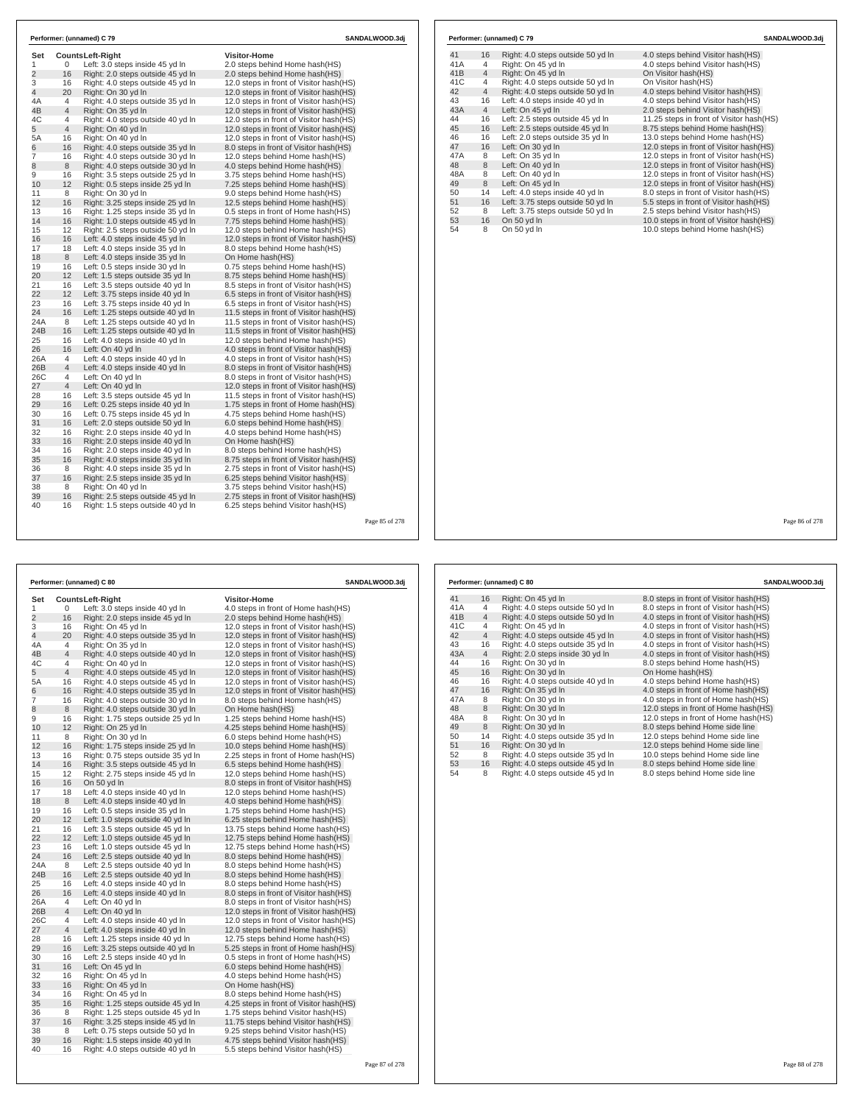| Set            |                |                                                      | <b>Visitor-Home</b>                      |  |
|----------------|----------------|------------------------------------------------------|------------------------------------------|--|
| $\mathbf{1}$   | 0              | Counts Left-Right<br>Left: 3.0 steps inside 45 yd In | 2.0 steps behind Home hash(HS)           |  |
| $\overline{2}$ | 16             | Right: 2.0 steps outside 45 yd In                    | 2.0 steps behind Home hash(HS)           |  |
| 3              | 16             | Right: 4.0 steps outside 45 yd In                    | 12.0 steps in front of Visitor hash(HS)  |  |
| 4              | 20             | Right: On 30 yd In                                   | 12.0 steps in front of Visitor hash(HS)  |  |
| 4A             | $\overline{4}$ | Right: 4.0 steps outside 35 yd In                    | 12.0 steps in front of Visitor hash (HS) |  |
| 4B             | $\overline{4}$ | Right: On 35 yd In                                   | 12.0 steps in front of Visitor hash(HS)  |  |
| 4C             | 4              | Right: 4.0 steps outside 40 yd In                    | 12.0 steps in front of Visitor hash(HS)  |  |
| 5              | $\overline{4}$ | Right: On 40 yd In                                   | 12.0 steps in front of Visitor hash(HS)  |  |
| 5A             | 16             | Right: On 40 yd In                                   | 12.0 steps in front of Visitor hash(HS)  |  |
| 6              | 16             | Right: 4.0 steps outside 35 yd In                    | 8.0 steps in front of Visitor hash(HS)   |  |
| 7              | 16             | Right: 4.0 steps outside 30 yd In                    | 12.0 steps behind Home hash(HS)          |  |
| 8              | 8              | Right: 4.0 steps outside 30 yd In                    | 4.0 steps behind Home hash (HS)          |  |
| 9              | 16             | Right: 3.5 steps outside 25 yd In                    | 3.75 steps behind Home hash(HS)          |  |
| 10             | 12             | Right: 0.5 steps inside 25 yd In                     | 7.25 steps behind Home hash(HS)          |  |
| 11             | 8              | Right: On 30 yd In                                   | 9.0 steps behind Home hash(HS)           |  |
| 12             | 16             | Right: 3.25 steps inside 25 yd In                    | 12.5 steps behind Home hash(HS)          |  |
| 13             | 16             | Right: 1.25 steps inside 35 yd In                    | 0.5 steps in front of Home hash (HS)     |  |
| 14             | 16             | Right: 1.0 steps outside 45 yd In                    | 7.75 steps behind Home hash(HS)          |  |
| 15             | 12             | Right: 2.5 steps outside 50 yd In                    | 12.0 steps behind Home hash(HS)          |  |
| 16             | 16             | Left: 4.0 steps inside 45 yd In                      | 12.0 steps in front of Visitor hash(HS)  |  |
| 17             | 18             | Left: 4.0 steps inside 35 yd In                      | 8.0 steps behind Home hash(HS)           |  |
| 18             | 8              | Left: 4.0 steps inside 35 yd In                      | On Home hash(HS)                         |  |
| 19             | 16             | Left: 0.5 steps inside 30 yd In                      | 0.75 steps behind Home hash(HS)          |  |
| 20             | 12             | Left: 1.5 steps outside 35 yd In                     | 8.75 steps behind Home hash(HS)          |  |
| 21             | 16             | Left: 3.5 steps outside 40 yd In                     | 8.5 steps in front of Visitor hash (HS)  |  |
| 22             | 12             | Left: 3.75 steps inside 40 yd In                     | 6.5 steps in front of Visitor hash (HS)  |  |
| 23             | 16             | Left: 3.75 steps inside 40 yd In                     | 6.5 steps in front of Visitor hash (HS)  |  |
| 24             | 16             | Left: 1.25 steps outside 40 yd In                    | 11.5 steps in front of Visitor hash (HS) |  |
| 24A            | 8              | Left: 1.25 steps outside 40 yd In                    | 11.5 steps in front of Visitor hash(HS)  |  |
| 24B            | 16             | Left: 1.25 steps outside 40 yd In                    | 11.5 steps in front of Visitor hash (HS) |  |
| 25             | 16             | Left: 4.0 steps inside 40 yd In                      | 12.0 steps behind Home hash(HS)          |  |
| 26             | 16             | Left: On 40 yd In                                    | 4.0 steps in front of Visitor hash(HS)   |  |
| 26A            | 4              | Left: 4.0 steps inside 40 yd In                      | 4.0 steps in front of Visitor hash (HS)  |  |
| 26B            | $\overline{4}$ | Left: 4.0 steps inside 40 yd In                      | 8.0 steps in front of Visitor hash(HS)   |  |
| 26C            | 4              | Left: On 40 yd In                                    | 8.0 steps in front of Visitor hash(HS)   |  |
| 27             | $\overline{4}$ | Left: On 40 yd In                                    | 12.0 steps in front of Visitor hash(HS)  |  |
| 28             | 16             | Left: 3.5 steps outside 45 yd In                     | 11.5 steps in front of Visitor hash (HS) |  |
| 29             | 16             | Left: 0.25 steps inside 40 yd In                     | 1.75 steps in front of Home hash(HS)     |  |
| 30             | 16             | Left: 0.75 steps inside 45 yd In                     | 4.75 steps behind Home hash (HS)         |  |
| 31             | 16             | Left: 2.0 steps outside 50 yd In                     | 6.0 steps behind Home hash (HS)          |  |
| 32             | 16             | Right: 2.0 steps inside 40 yd In                     | 4.0 steps behind Home hash(HS)           |  |
| 33             | 16             | Right: 2.0 steps inside 40 yd In                     | On Home hash(HS)                         |  |
| 34             | 16             | Right: 2.0 steps inside 40 yd In                     | 8.0 steps behind Home hash(HS)           |  |
| 35             | 16             | Right: 4.0 steps inside 35 yd In                     | 8.75 steps in front of Visitor hash (HS) |  |
| 36             | 8              | Right: 4.0 steps inside 35 yd In                     | 2.75 steps in front of Visitor hash(HS)  |  |
| 37             | 16             | Right: 2.5 steps inside 35 yd In                     | 6.25 steps behind Visitor hash (HS)      |  |
| 38             | 8              | Right: On 40 yd In                                   | 3.75 steps behind Visitor hash (HS)      |  |
| 39             | 16             | Right: 2.5 steps outside 45 yd In                    | 2.75 steps in front of Visitor hash(HS)  |  |
| 40             | 16             | Right: 1.5 steps outside 40 yd In                    | 6.25 steps behind Visitor hash(HS)       |  |

| 41<br>16<br>4<br>$\overline{4}$<br>$\overline{4}$<br>$\overline{4}$<br>16<br>$\overline{4}$<br>16<br>16<br>16 | Right: 4.0 steps outside 50 yd In<br>Right: On 45 yd In<br>Right: On 45 yd In<br>Right: 4.0 steps outside 50 yd In<br>Right: 4.0 steps outside 50 yd In<br>Left: 4.0 steps inside 40 yd In<br>Left: On 45 yd In<br>Left: 2.5 steps outside 45 vd In<br>Left: 2.5 steps outside 45 yd In | 4.0 steps behind Visitor hash (HS)<br>4.0 steps behind Visitor hash(HS)<br>On Visitor hash(HS)<br>On Visitor hash(HS)<br>4.0 steps behind Visitor hash(HS)<br>4.0 steps behind Visitor hash(HS)<br>2.0 steps behind Visitor hash(HS)<br>11.25 steps in front of Visitor hash (HS) |  |
|---------------------------------------------------------------------------------------------------------------|-----------------------------------------------------------------------------------------------------------------------------------------------------------------------------------------------------------------------------------------------------------------------------------------|-----------------------------------------------------------------------------------------------------------------------------------------------------------------------------------------------------------------------------------------------------------------------------------|--|
| 41A<br>41B<br>41C<br>42<br>43<br>43A<br>44<br>45<br>46                                                        |                                                                                                                                                                                                                                                                                         |                                                                                                                                                                                                                                                                                   |  |
|                                                                                                               |                                                                                                                                                                                                                                                                                         |                                                                                                                                                                                                                                                                                   |  |
|                                                                                                               |                                                                                                                                                                                                                                                                                         |                                                                                                                                                                                                                                                                                   |  |
|                                                                                                               |                                                                                                                                                                                                                                                                                         |                                                                                                                                                                                                                                                                                   |  |
|                                                                                                               |                                                                                                                                                                                                                                                                                         |                                                                                                                                                                                                                                                                                   |  |
|                                                                                                               |                                                                                                                                                                                                                                                                                         |                                                                                                                                                                                                                                                                                   |  |
|                                                                                                               |                                                                                                                                                                                                                                                                                         |                                                                                                                                                                                                                                                                                   |  |
|                                                                                                               |                                                                                                                                                                                                                                                                                         |                                                                                                                                                                                                                                                                                   |  |
|                                                                                                               |                                                                                                                                                                                                                                                                                         | 8.75 steps behind Home hash(HS)                                                                                                                                                                                                                                                   |  |
|                                                                                                               | Left: 2.0 steps outside 35 yd In                                                                                                                                                                                                                                                        | 13.0 steps behind Home hash(HS)                                                                                                                                                                                                                                                   |  |
| 47<br>16                                                                                                      | Left: On 30 yd In                                                                                                                                                                                                                                                                       | 12.0 steps in front of Visitor hash(HS)                                                                                                                                                                                                                                           |  |
| 47A<br>8                                                                                                      | Left: On 35 yd In                                                                                                                                                                                                                                                                       | 12.0 steps in front of Visitor hash(HS)                                                                                                                                                                                                                                           |  |
| 48<br>8                                                                                                       | Left: On 40 yd In                                                                                                                                                                                                                                                                       | 12.0 steps in front of Visitor hash(HS)                                                                                                                                                                                                                                           |  |
| 48A<br>8                                                                                                      | Left: On 40 yd In                                                                                                                                                                                                                                                                       | 12.0 steps in front of Visitor hash(HS)                                                                                                                                                                                                                                           |  |
| 49<br>8                                                                                                       | Left: On 45 yd In                                                                                                                                                                                                                                                                       | 12.0 steps in front of Visitor hash(HS)                                                                                                                                                                                                                                           |  |
| 50<br>14                                                                                                      | Left: 4.0 steps inside 40 yd In                                                                                                                                                                                                                                                         | 8.0 steps in front of Visitor hash(HS)                                                                                                                                                                                                                                            |  |
| 51<br>16                                                                                                      | Left: 3.75 steps outside 50 yd In                                                                                                                                                                                                                                                       | 5.5 steps in front of Visitor hash(HS)                                                                                                                                                                                                                                            |  |
| 52<br>8                                                                                                       | Left: 3.75 steps outside 50 yd In                                                                                                                                                                                                                                                       | 2.5 steps behind Visitor hash(HS)                                                                                                                                                                                                                                                 |  |
| 53<br>16                                                                                                      | On 50 yd In                                                                                                                                                                                                                                                                             | 10.0 steps in front of Visitor hash(HS)                                                                                                                                                                                                                                           |  |
| 54<br>8                                                                                                       | On 50 yd In                                                                                                                                                                                                                                                                             | 10.0 steps behind Home hash(HS)                                                                                                                                                                                                                                                   |  |

Page 86 of 278

|                |                | Performer: (unnamed) C 80          |                                          | SANDALWOOD.3dj |
|----------------|----------------|------------------------------------|------------------------------------------|----------------|
| Set            |                | <b>CountsLeft-Right</b>            | <b>Visitor-Home</b>                      |                |
| 1              | 0              | Left: 3.0 steps inside 40 yd In    | 4.0 steps in front of Home hash(HS)      |                |
| $\overline{2}$ | 16             | Right: 2.0 steps inside 45 yd In   | 2.0 steps behind Home hash(HS)           |                |
| 3              | 16             | Right: On 45 vd In                 | 12.0 steps in front of Visitor hash (HS) |                |
| $\overline{4}$ | 20             | Right: 4.0 steps outside 35 yd In  | 12.0 steps in front of Visitor hash(HS)  |                |
| 4A             | 4              | Right: On 35 yd In                 | 12.0 steps in front of Visitor hash (HS) |                |
| 4B             | 4              | Right: 4.0 steps outside 40 yd In  | 12.0 steps in front of Visitor hash (HS) |                |
| 4C             | 4              | Right: On 40 yd In                 | 12.0 steps in front of Visitor hash (HS) |                |
| 5              | $\overline{4}$ | Right: 4.0 steps outside 45 yd In  | 12.0 steps in front of Visitor hash(HS)  |                |
| 5A             | 16             | Right: 4.0 steps outside 45 yd In  | 12.0 steps in front of Visitor hash(HS)  |                |
| 6              | 16             | Right: 4.0 steps outside 35 yd In  | 12.0 steps in front of Visitor hash (HS) |                |
| 7              | 16             | Right: 4.0 steps outside 30 yd In  | 8.0 steps behind Home hash(HS)           |                |
| 8              | 8              | Right: 4.0 steps outside 30 yd In  | On Home hash(HS)                         |                |
| 9              | 16             | Right: 1.75 steps outside 25 yd In | 1.25 steps behind Home hash(HS)          |                |
| 10             | 12             | Right: On 25 yd In                 | 4.25 steps behind Home hash (HS)         |                |
| 11             | 8              | Right: On 30 yd In                 | 6.0 steps behind Home hash(HS)           |                |
| 12             | 16             | Right: 1.75 steps inside 25 yd In  | 10.0 steps behind Home hash(HS)          |                |
| 13             | 16             | Right: 0.75 steps outside 35 yd In | 2.25 steps in front of Home hash(HS)     |                |
| 14             | 16             | Right: 3.5 steps outside 45 yd In  | 6.5 steps behind Home hash(HS)           |                |
| 15             | 12             | Right: 2.75 steps inside 45 yd In  | 12.0 steps behind Home hash (HS)         |                |
| 16             | 16             | On 50 yd In                        | 8.0 steps in front of Visitor hash(HS)   |                |
| 17             | 18             | Left: 4.0 steps inside 40 yd In    | 12.0 steps behind Home hash(HS)          |                |
| 18             | 8              | Left: 4.0 steps inside 40 yd In    | 4.0 steps behind Home hash(HS)           |                |
| 19             | 16             | Left: 0.5 steps inside 35 yd In    | 1.75 steps behind Home hash(HS)          |                |
| 20             | 12             | Left: 1.0 steps outside 40 yd In   | 6.25 steps behind Home hash(HS)          |                |
| 21             | 16             | Left: 3.5 steps outside 45 yd In   | 13.75 steps behind Home hash(HS)         |                |
| 22             | 12             | Left: 1.0 steps outside 45 yd In   | 12.75 steps behind Home hash(HS)         |                |
| 23             | 16             | Left: 1.0 steps outside 45 yd In   | 12.75 steps behind Home hash(HS)         |                |
| 24             | 16             | Left: 2.5 steps outside 40 yd In   | 8.0 steps behind Home hash (HS)          |                |
| 24A            | 8              | Left: 2.5 steps outside 40 yd In   | 8.0 steps behind Home hash(HS)           |                |
| 24B            | 16             | Left: 2.5 steps outside 40 yd In   | 8.0 steps behind Home hash (HS)          |                |
| 25             | 16             | Left: 4.0 steps inside 40 yd In    | 8.0 steps behind Home hash(HS)           |                |
| 26             | 16             | Left: 4.0 steps inside 40 yd In    | 8.0 steps in front of Visitor hash(HS)   |                |
| 26A            | 4              | Left: On 40 yd In                  | 8.0 steps in front of Visitor hash(HS)   |                |
| 26B            | 4              | Left: On 40 yd In                  | 12.0 steps in front of Visitor hash (HS) |                |
| 26C            | 4              | Left: 4.0 steps inside 40 yd In    | 12.0 steps in front of Visitor hash (HS) |                |
| 27             | $\overline{4}$ | Left: 4.0 steps inside 40 yd In    | 12.0 steps behind Home hash(HS)          |                |
| 28             | 16             | Left: 1.25 steps inside 40 yd In   | 12.75 steps behind Home hash(HS)         |                |
| 29             | 16             | Left: 3.25 steps outside 40 yd In  | 5.25 steps in front of Home hash (HS)    |                |
| 30             | 16             | Left: 2.5 steps inside 40 yd In    | 0.5 steps in front of Home hash (HS)     |                |
| 31             | 16             | Left: On 45 yd In                  | 6.0 steps behind Home hash(HS)           |                |
| 32             | 16             | Right: On 45 yd In                 | 4.0 steps behind Home hash(HS)           |                |
| 33             | 16             | Right: On 45 yd In                 | On Home hash(HS)                         |                |
| 34             | 16             | Right: On 45 yd In                 | 8.0 steps behind Home hash(HS)           |                |
| 35             | 16             | Right: 1.25 steps outside 45 yd In | 4.25 steps in front of Visitor hash (HS) |                |
| 36             | 8              | Right: 1.25 steps outside 45 yd In | 1.75 steps behind Visitor hash(HS)       |                |
| 37             | 16             | Right: 3.25 steps inside 45 yd In  | 11.75 steps behind Visitor hash(HS)      |                |
| 38             | 8              | Left: 0.75 steps outside 50 yd In  | 9.25 steps behind Visitor hash (HS)      |                |
| 39<br>40       | 16             | Right: 1.5 steps inside 40 yd In   | 4.75 steps behind Visitor hash(HS)       |                |
|                | 16             | Right: 4.0 steps outside 40 yd In  | 5.5 steps behind Visitor hash (HS)       |                |

|                 |                | Performer: (unnamed) C 80         | SANDALWOOD.3dj                          |
|-----------------|----------------|-----------------------------------|-----------------------------------------|
| 41              | 16             | Right: On 45 yd In                | 8.0 steps in front of Visitor hash (HS) |
| 41A             | 4              | Right: 4.0 steps outside 50 yd In | 8.0 steps in front of Visitor hash(HS)  |
| 41 <sub>B</sub> | $\overline{4}$ | Right: 4.0 steps outside 50 yd In | 4.0 steps in front of Visitor hash(HS)  |
| 41C             | 4              | Right: On 45 yd In                | 4.0 steps in front of Visitor hash(HS)  |
| 42              | $\overline{4}$ | Right: 4.0 steps outside 45 yd In | 4.0 steps in front of Visitor hash(HS)  |
| 43              | 16             | Right: 4.0 steps outside 35 yd In | 4.0 steps in front of Visitor hash(HS)  |
| 43A             | $\overline{4}$ | Right: 2.0 steps inside 30 yd In  | 4.0 steps in front of Visitor hash(HS)  |
| 44              | 16             | Right: On 30 vd In                | 8.0 steps behind Home hash(HS)          |
| 45              | 16             | Right: On 30 yd In                | On Home hash(HS)                        |
| 46              | 16             | Right: 4.0 steps outside 40 yd In | 4.0 steps behind Home hash(HS)          |
| 47              | 16             | Right: On 35 yd In                | 4.0 steps in front of Home hash(HS)     |
| 47A             | 8              | Right: On 30 yd In                | 4.0 steps in front of Home hash(HS)     |
| 48              | 8              | Right: On 30 yd In                | 12.0 steps in front of Home hash(HS)    |
| 48A             | 8              | Right: On 30 yd In                | 12.0 steps in front of Home hash(HS)    |
| 49              | 8              | Right: On 30 yd In                | 8.0 steps behind Home side line         |
| 50              | 14             | Right: 4.0 steps outside 35 yd In | 12.0 steps behind Home side line        |
| 51              | 16             | Right: On 30 yd In                | 12.0 steps behind Home side line        |
| 52              | 8              | Right: 4.0 steps outside 35 yd In | 10.0 steps behind Home side line        |
| 53              | 16             | Right: 4.0 steps outside 45 yd In | 8.0 steps behind Home side line         |
| 54              | 8              | Right: 4.0 steps outside 45 yd In | 8.0 steps behind Home side line         |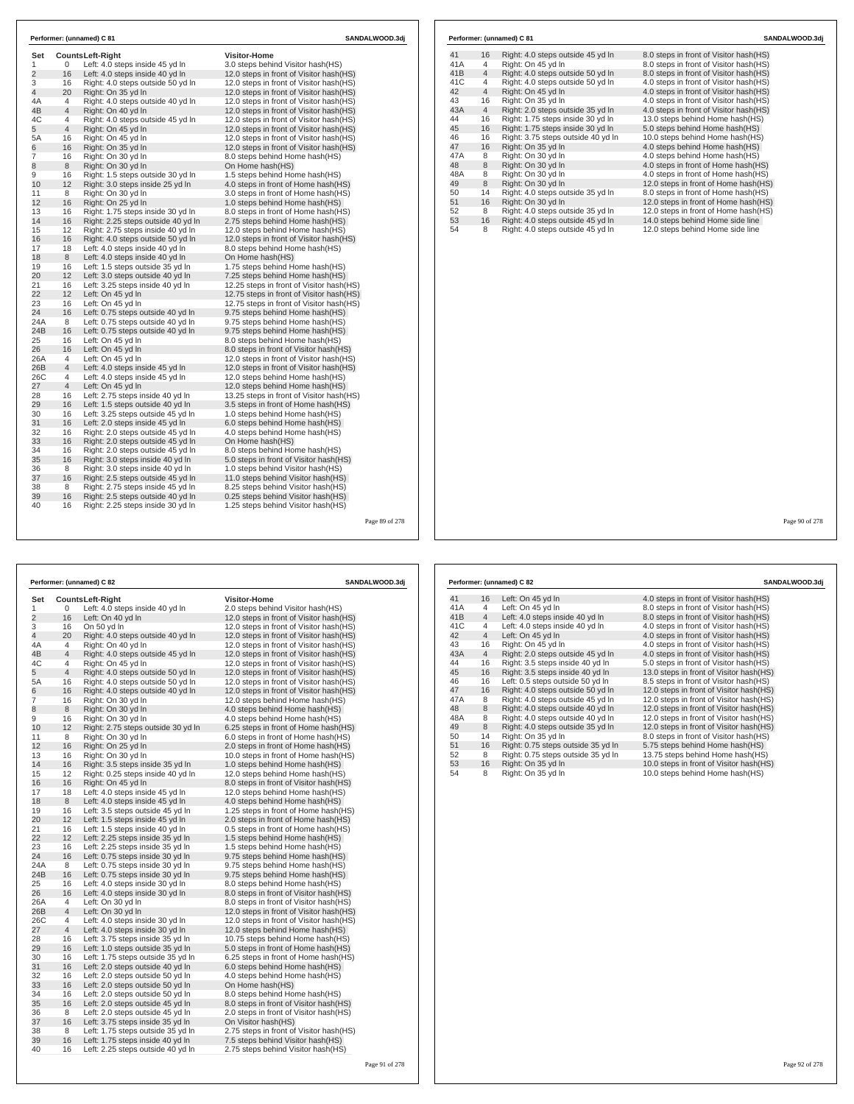| Set            |                | <b>CountsLeft-Right</b>            | <b>Visitor-Home</b>                       |
|----------------|----------------|------------------------------------|-------------------------------------------|
| 1              | 0              | Left: 4.0 steps inside 45 yd In    | 3.0 steps behind Visitor hash(HS)         |
| $\overline{2}$ | 16             | Left: 4.0 steps inside 40 yd In    | 12.0 steps in front of Visitor hash (HS)  |
| 3              | 16             | Right: 4.0 steps outside 50 yd In  | 12.0 steps in front of Visitor hash (HS)  |
| $\overline{4}$ | 20             | Right: On 35 yd In                 | 12.0 steps in front of Visitor hash(HS)   |
| 4A             | $\overline{4}$ | Right: 4.0 steps outside 40 yd In  | 12.0 steps in front of Visitor hash(HS)   |
| 4B             | $\overline{4}$ | Right: On 40 yd In                 | 12.0 steps in front of Visitor hash(HS)   |
| 4C             | 4              | Right: 4.0 steps outside 45 yd In  | 12.0 steps in front of Visitor hash (HS)  |
| 5              | $\overline{4}$ | Right: On 45 yd In                 | 12.0 steps in front of Visitor hash(HS)   |
| 5A             | 16             | Right: On 45 yd In                 | 12.0 steps in front of Visitor hash (HS)  |
| 6              | 16             | Right: On 35 yd In                 | 12.0 steps in front of Visitor hash(HS)   |
| $\overline{7}$ | 16             | Right: On 30 yd In                 | 8.0 steps behind Home hash(HS)            |
| 8              | 8              | Right: On 30 yd In                 | On Home hash(HS)                          |
| 9              | 16             | Right: 1.5 steps outside 30 yd In  | 1.5 steps behind Home hash(HS)            |
| 10             | 12             | Right: 3.0 steps inside 25 yd In   | 4.0 steps in front of Home hash(HS)       |
| 11             | 8              | Right: On 30 yd In                 | 3.0 steps in front of Home hash(HS)       |
| 12             | 16             | Right: On 25 yd In                 | 1.0 steps behind Home hash(HS)            |
| 13             | 16             | Right: 1.75 steps inside 30 yd In  | 8.0 steps in front of Home hash (HS)      |
| 14             | 16             | Right: 2.25 steps outside 40 yd In | 2.75 steps behind Home hash(HS)           |
| 15             | 12             | Right: 2.75 steps inside 40 yd In  | 12.0 steps behind Home hash(HS)           |
| 16             | 16             | Right: 4.0 steps outside 50 yd In  | 12.0 steps in front of Visitor hash (HS)  |
| 17             | 18             | Left: 4.0 steps inside 40 yd In    | 8.0 steps behind Home hash(HS)            |
| 18             | 8              | Left: 4.0 steps inside 40 yd In    | On Home hash(HS)                          |
| 19             | 16             | Left: 1.5 steps outside 35 yd In   | 1.75 steps behind Home hash(HS)           |
| 20             | 12             | Left: 3.0 steps outside 40 yd In   | 7.25 steps behind Home hash(HS)           |
| 21             | 16             | Left: 3.25 steps inside 40 yd In   | 12.25 steps in front of Visitor hash (HS) |
| 22             | 12             | Left: On 45 vd In                  | 12.75 steps in front of Visitor hash (HS) |
| 23             | 16             | Left: On 45 yd In                  | 12.75 steps in front of Visitor hash(HS)  |
| 24             | 16             | Left: 0.75 steps outside 40 yd In  | 9.75 steps behind Home hash(HS)           |
| 24A            | 8              | Left: 0.75 steps outside 40 yd In  | 9.75 steps behind Home hash (HS)          |
| 24B            | 16             | Left: 0.75 steps outside 40 yd In  | 9.75 steps behind Home hash (HS)          |
| 25             | 16             | Left: On 45 yd In                  | 8.0 steps behind Home hash(HS)            |
| 26             | 16             | Left: On 45 yd In                  | 8.0 steps in front of Visitor hash (HS)   |
| 26A            | $\overline{4}$ | Left: On 45 yd In                  | 12.0 steps in front of Visitor hash(HS)   |
| 26B            | $\overline{4}$ | Left: 4.0 steps inside 45 yd In    | 12.0 steps in front of Visitor hash (HS)  |
| 26C            | 4              | Left: 4.0 steps inside 45 yd In    | 12.0 steps behind Home hash(HS)           |
| 27             | $\overline{4}$ | Left: On 45 yd In                  | 12.0 steps behind Home hash(HS)           |
| 28             | 16             | Left: 2.75 steps inside 40 yd In   | 13.25 steps in front of Visitor hash (HS) |
| 29             | 16             | Left: 1.5 steps outside 40 yd In   | 3.5 steps in front of Home hash(HS)       |
| 30             | 16             | Left: 3.25 steps outside 45 yd In  | 1.0 steps behind Home hash(HS)            |
| 31             | 16             | Left: 2.0 steps inside 45 vd In    | 6.0 steps behind Home hash (HS)           |
| 32             | 16             | Right: 2.0 steps outside 45 yd In  | 4.0 steps behind Home hash(HS)            |
| 33             | 16             | Right: 2.0 steps outside 45 yd In  | On Home hash(HS)                          |
| 34             | 16             | Right: 2.0 steps outside 45 yd In  | 8.0 steps behind Home hash(HS)            |
| 35             | 16             | Right: 3.0 steps inside 40 yd In   | 5.0 steps in front of Visitor hash(HS)    |
| 36             | 8              | Right: 3.0 steps inside 40 yd In   | 1.0 steps behind Visitor hash(HS)         |
| 37             | 16             | Right: 2.5 steps outside 45 yd In  | 11.0 steps behind Visitor hash(HS)        |
| 38             | 8              | Right: 2.75 steps inside 45 yd In  | 8.25 steps behind Visitor hash (HS)       |
| 39             | 16             | Right: 2.5 steps outside 40 yd In  | 0.25 steps behind Visitor hash(HS)        |
| 40             | 16             | Right: 2.25 steps inside 30 yd In  | 1.25 steps behind Visitor hash (HS)       |

| 41  | 16             | Right: 4.0 steps outside 45 yd In  | 8.0 steps in front of Visitor hash(HS) |
|-----|----------------|------------------------------------|----------------------------------------|
| 41A | 4              | Right: On 45 vd In                 | 8.0 steps in front of Visitor hash(HS) |
| 41B | $\overline{4}$ | Right: 4.0 steps outside 50 yd In  | 8.0 steps in front of Visitor hash(HS) |
| 41C | 4              | Right: 4.0 steps outside 50 yd In  | 4.0 steps in front of Visitor hash(HS) |
| 42  | $\overline{4}$ | Right: On 45 vd In                 | 4.0 steps in front of Visitor hash(HS) |
| 43  | 16             | Right: On 35 yd In                 | 4.0 steps in front of Visitor hash(HS) |
| 43A | $\overline{4}$ | Right: 2.0 steps outside 35 yd In  | 4.0 steps in front of Visitor hash(HS) |
| 44  | 16             | Right: 1.75 steps inside 30 yd In  | 13.0 steps behind Home hash(HS)        |
| 45  | 16             | Right: 1.75 steps inside 30 yd In  | 5.0 steps behind Home hash(HS)         |
| 46  | 16             | Right: 3.75 steps outside 40 yd In | 10.0 steps behind Home hash(HS)        |
| 47  | 16             | Right: On 35 yd In                 | 4.0 steps behind Home hash (HS)        |
| 47A | 8              | Right: On 30 yd In                 | 4.0 steps behind Home hash(HS)         |
| 48  | 8              | Right: On 30 yd In                 | 4.0 steps in front of Home hash(HS)    |
| 48A | 8              | Right: On 30 vd In                 | 4.0 steps in front of Home hash(HS)    |
| 49  | 8              | Right: On 30 yd In                 | 12.0 steps in front of Home hash(HS)   |
| 50  | 14             | Right: 4.0 steps outside 35 yd In  | 8.0 steps in front of Home hash(HS)    |
| 51  | 16             | Right: On 30 yd In                 | 12.0 steps in front of Home hash(HS)   |
| 52  | 8              | Right: 4.0 steps outside 35 yd In  | 12.0 steps in front of Home hash(HS)   |
| 53  | 16             | Right: 4.0 steps outside 45 yd In  | 14.0 steps behind Home side line       |
|     | 8              | Right: 4.0 steps outside 45 yd In  | 12.0 steps behind Home side line       |

**Performer: (unnamed) C 81 SANDALWOOD.3dj**

Page 90 of 278

|                |                | Performer: (unnamed) C 82          |                                          | SANDALWOOD.3dj |
|----------------|----------------|------------------------------------|------------------------------------------|----------------|
| Set            |                | <b>CountsLeft-Right</b>            | <b>Visitor-Home</b>                      |                |
| 1              | 0              | Left: 4.0 steps inside 40 yd In    | 2.0 steps behind Visitor hash(HS)        |                |
| $\overline{2}$ | 16             | Left: On 40 yd In                  | 12.0 steps in front of Visitor hash (HS) |                |
| 3              | 16             | On 50 vd In                        | 12.0 steps in front of Visitor hash (HS) |                |
| $\overline{4}$ | 20             | Right: 4.0 steps outside 40 yd In  | 12.0 steps in front of Visitor hash(HS)  |                |
| 4A             | 4              | Right: On 40 yd In                 | 12.0 steps in front of Visitor hash (HS) |                |
| 4B             | $\overline{4}$ | Right: 4.0 steps outside 45 yd In  | 12.0 steps in front of Visitor hash (HS) |                |
| 4C             | 4              | Right: On 45 yd In                 | 12.0 steps in front of Visitor hash (HS) |                |
| 5              | $\overline{4}$ | Right: 4.0 steps outside 50 yd In  | 12.0 steps in front of Visitor hash(HS)  |                |
| 5A             | 16             | Right: 4.0 steps outside 50 yd In  | 12.0 steps in front of Visitor hash (HS) |                |
| 6              | 16             | Right: 4.0 steps outside 40 yd In  | 12.0 steps in front of Visitor hash (HS) |                |
| 7              | 16             | Right: On 30 yd In                 | 12.0 steps behind Home hash(HS)          |                |
| 8              | 8              | Right: On 30 vd In                 | 4.0 steps behind Home hash(HS)           |                |
| 9              | 16             | Right: On 30 yd In                 | 4.0 steps behind Home hash(HS)           |                |
| 10             | 12             | Right: 2.75 steps outside 30 yd In | 6.25 steps in front of Home hash (HS)    |                |
| 11             | 8              | Right: On 30 yd In                 | 6.0 steps in front of Home hash (HS)     |                |
| 12             | 16             | Right: On 25 yd In                 | 2.0 steps in front of Home hash(HS)      |                |
| 13             | 16             | Right: On 30 vd In                 | 10.0 steps in front of Home hash (HS)    |                |
| 14             | 16             | Right: 3.5 steps inside 35 yd In   | 1.0 steps behind Home hash(HS)           |                |
| 15             | 12             | Right: 0.25 steps inside 40 yd In  | 12.0 steps behind Home hash(HS)          |                |
| 16             | 16             | Right: On 45 yd In                 | 8.0 steps in front of Visitor hash(HS)   |                |
| 17             | 18             | Left: 4.0 steps inside 45 yd In    | 12.0 steps behind Home hash(HS)          |                |
| 18             | 8              | Left: 4.0 steps inside 45 yd In    | 4.0 steps behind Home hash(HS)           |                |
| 19             | 16             | Left: 3.5 steps outside 45 vd In   | 1.25 steps in front of Home hash (HS)    |                |
| 20             | 12             | Left: 1.5 steps inside 45 yd In    | 2.0 steps in front of Home hash(HS)      |                |
| 21             | 16             | Left: 1.5 steps inside 40 yd In    | 0.5 steps in front of Home hash (HS)     |                |
| 22             | 12             | Left: 2.25 steps inside 35 yd In   | 1.5 steps behind Home hash(HS)           |                |
| 23             | 16             | Left: 2.25 steps inside 35 yd In   | 1.5 steps behind Home hash(HS)           |                |
| 24             | 16             | Left: 0.75 steps inside 30 yd In   | 9.75 steps behind Home hash (HS)         |                |
| 24A            | 8              | Left: 0.75 steps inside 30 yd In   | 9.75 steps behind Home hash (HS)         |                |
| 24B            | 16             | Left: 0.75 steps inside 30 yd In   | 9.75 steps behind Home hash (HS)         |                |
| 25             | 16             | Left: 4.0 steps inside 30 yd In    | 8.0 steps behind Home hash(HS)           |                |
| 26             | 16             | Left: 4.0 steps inside 30 yd In    | 8.0 steps in front of Visitor hash(HS)   |                |
| 26A            | $\overline{4}$ | Left: On 30 vd In                  | 8.0 steps in front of Visitor hash(HS)   |                |
| 26B            | $\overline{4}$ | Left: On 30 yd In                  | 12.0 steps in front of Visitor hash (HS) |                |
| 26C            | $\overline{4}$ | Left: 4.0 steps inside 30 yd In    | 12.0 steps in front of Visitor hash (HS) |                |
| 27             | $\overline{4}$ | Left: 4.0 steps inside 30 yd In    | 12.0 steps behind Home hash(HS)          |                |
| 28             | 16             | Left: 3.75 steps inside 35 yd In   | 10.75 steps behind Home hash(HS)         |                |
| 29             | 16             | Left: 1.0 steps outside 35 yd In   | 5.0 steps in front of Home hash(HS)      |                |
| 30             | 16             | Left: 1.75 steps outside 35 yd In  | 6.25 steps in front of Home hash (HS)    |                |
| 31             | 16             | Left: 2.0 steps outside 40 yd In   | 6.0 steps behind Home hash(HS)           |                |
| 32             | 16             | Left: 2.0 steps outside 50 yd In   | 4.0 steps behind Home hash(HS)           |                |
| 33             | 16             | Left: 2.0 steps outside 50 yd In   | On Home hash(HS)                         |                |
| 34             | 16             | Left: 2.0 steps outside 50 yd In   | 8.0 steps behind Home hash(HS)           |                |
| 35             | 16             | Left: 2.0 steps outside 45 yd In   | 8.0 steps in front of Visitor hash(HS)   |                |
| 36             | 8              | Left: 2.0 steps outside 45 yd In   | 2.0 steps in front of Visitor hash(HS)   |                |
| 37             | 16             | Left: 3.75 steps inside 35 yd In   | On Visitor hash(HS)                      |                |
| 38             | 8              | Left: 1.75 steps outside 35 yd In  | 2.75 steps in front of Visitor hash (HS) |                |
| 39             | 16             | Left: 1.75 steps inside 40 yd In   | 7.5 steps behind Visitor hash(HS)        |                |
| 40             | 16             | Left: 2.25 steps outside 40 yd In  | 2.75 steps behind Visitor hash (HS)      |                |
|                |                |                                    |                                          | Page 91 of 278 |

Page 89 of 278

|     |                | Performer: (unnamed) C 82          | SANDALWOOD.3di                          |
|-----|----------------|------------------------------------|-----------------------------------------|
| 41  | 16             | Left: On 45 yd In                  | 4.0 steps in front of Visitor hash (HS) |
| 41A | 4              | Left: On 45 yd In                  | 8.0 steps in front of Visitor hash (HS) |
| 41B | $\overline{4}$ | Left: 4.0 steps inside 40 yd In    | 8.0 steps in front of Visitor hash(HS)  |
| 41C | 4              | Left: 4.0 steps inside 40 yd In    | 4.0 steps in front of Visitor hash(HS)  |
| 42  | $\overline{4}$ | Left: On 45 yd In                  | 4.0 steps in front of Visitor hash(HS)  |
| 43  | 16             | Right: On 45 yd In                 | 4.0 steps in front of Visitor hash (HS) |
| 43A | $\overline{4}$ | Right: 2.0 steps outside 45 yd In  | 4.0 steps in front of Visitor hash(HS)  |
| 44  | 16             | Right: 3.5 steps inside 40 vd In   | 5.0 steps in front of Visitor hash(HS)  |
| 45  | 16             | Right: 3.5 steps inside 40 yd In   | 13.0 steps in front of Visitor hash(HS) |
| 46  | 16             | Left: 0.5 steps outside 50 vd In   | 8.5 steps in front of Visitor hash (HS) |
| 47  | 16             | Right: 4.0 steps outside 50 yd In  | 12.0 steps in front of Visitor hash(HS) |
| 47A | 8              | Right: 4.0 steps outside 45 yd In  | 12.0 steps in front of Visitor hash(HS) |
| 48  | 8              | Right: 4.0 steps outside 40 yd In  | 12.0 steps in front of Visitor hash(HS) |
| 48A | 8              | Right: 4.0 steps outside 40 yd In  | 12.0 steps in front of Visitor hash(HS) |
| 49  | 8              | Right: 4.0 steps outside 35 yd In  | 12.0 steps in front of Visitor hash(HS) |
| 50  | 14             | Right: On 35 yd In                 | 8.0 steps in front of Visitor hash(HS)  |
| 51  | 16             | Right: 0.75 steps outside 35 yd In | 5.75 steps behind Home hash(HS)         |
| 52  | 8              | Right: 0.75 steps outside 35 yd In | 13.75 steps behind Home hash(HS)        |
| 53  | 16             | Right: On 35 yd In                 | 10.0 steps in front of Visitor hash(HS) |
| 54  | 8              | Right: On 35 yd In                 | 10.0 steps behind Home hash(HS)         |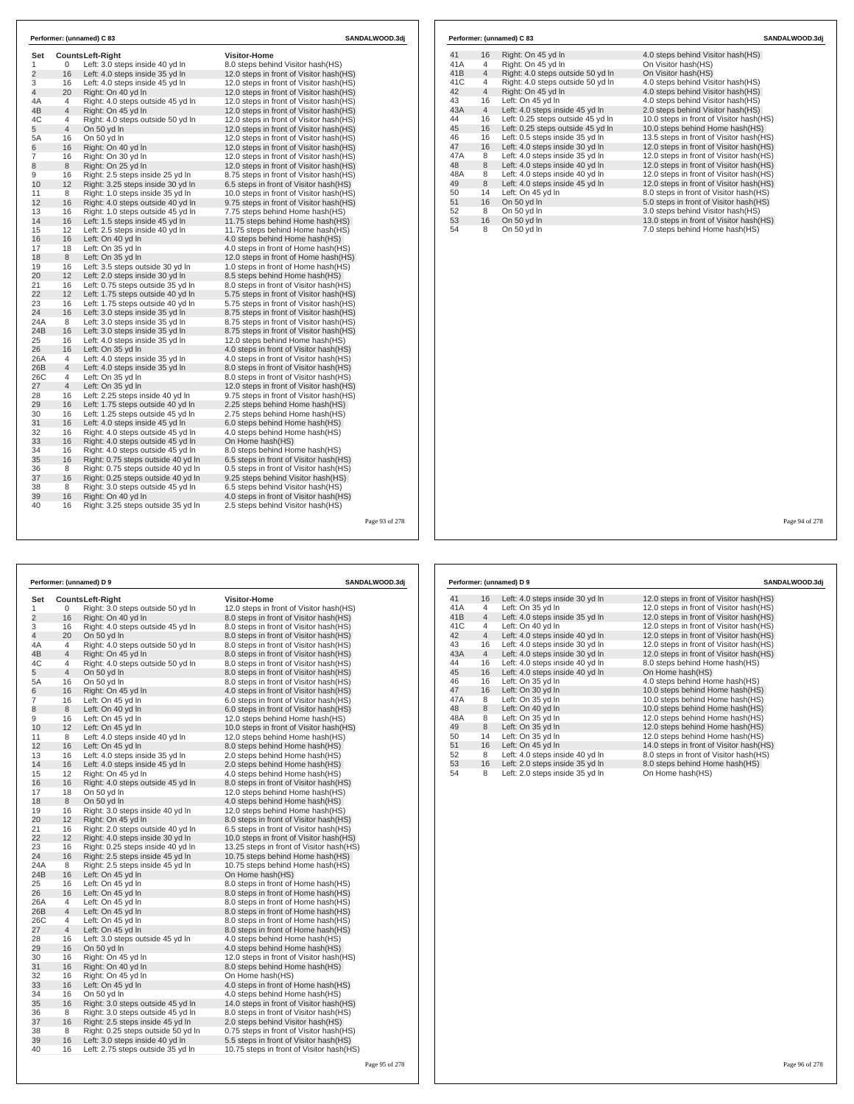| Set            |                | <b>CountsLeft-Right</b>            | <b>Visitor-Home</b>                      |  |
|----------------|----------------|------------------------------------|------------------------------------------|--|
| 1              | 0              | Left: 3.0 steps inside 40 yd In    | 8.0 steps behind Visitor hash(HS)        |  |
| $\overline{2}$ | 16             | Left: 4.0 steps inside 35 yd In    | 12.0 steps in front of Visitor hash (HS) |  |
| 3              | 16             | Left: 4.0 steps inside 45 vd In    | 12.0 steps in front of Visitor hash (HS) |  |
| 4              | 20             | Right: On 40 yd In                 | 12.0 steps in front of Visitor hash(HS)  |  |
| 4A             | 4              | Right: 4.0 steps outside 45 yd In  | 12.0 steps in front of Visitor hash (HS) |  |
| 4B             | $\overline{4}$ | Right: On 45 yd In                 | 12.0 steps in front of Visitor hash(HS)  |  |
| 4C             | 4              | Right: 4.0 steps outside 50 yd In  | 12.0 steps in front of Visitor hash (HS) |  |
| 5              | 4              | On 50 yd In                        | 12.0 steps in front of Visitor hash(HS)  |  |
| 5A             | 16             | On 50 yd In                        | 12.0 steps in front of Visitor hash (HS) |  |
| 6              | 16             | Right: On 40 vd In                 | 12.0 steps in front of Visitor hash(HS)  |  |
| 7              | 16             | Right: On 30 yd In                 | 12.0 steps in front of Visitor hash (HS) |  |
| 8              | 8              | Right: On 25 vd In                 | 12.0 steps in front of Visitor hash (HS) |  |
| 9              | 16             | Right: 2.5 steps inside 25 yd In   | 8.75 steps in front of Visitor hash(HS)  |  |
| 10             | 12             | Right: 3.25 steps inside 30 yd In  | 6.5 steps in front of Visitor hash(HS)   |  |
| 11             | 8              | Right: 1.0 steps inside 35 yd In   | 10.0 steps in front of Visitor hash (HS) |  |
| 12             | 16             | Right: 4.0 steps outside 40 yd In  | 9.75 steps in front of Visitor hash(HS)  |  |
| 13             | 16             | Right: 1.0 steps outside 45 vd In  | 7.75 steps behind Home hash(HS)          |  |
| 14             | 16             | Left: 1.5 steps inside 45 yd In    | 11.75 steps behind Home hash(HS)         |  |
| 15             | 12             | Left: 2.5 steps inside 40 yd In    | 11.75 steps behind Home hash (HS)        |  |
| 16             | 16             | Left: On 40 yd In                  | 4.0 steps behind Home hash(HS)           |  |
| 17             | 18             | Left: On 35 yd In                  | 4.0 steps in front of Home hash(HS)      |  |
| 18             | 8              | Left: On 35 yd In                  | 12.0 steps in front of Home hash(HS)     |  |
| 19             | 16             | Left: 3.5 steps outside 30 yd In   | 1.0 steps in front of Home hash (HS)     |  |
| 20             | 12             | Left: 2.0 steps inside 30 yd In    | 8.5 steps behind Home hash(HS)           |  |
| 21             | 16             | Left: 0.75 steps outside 35 yd In  | 8.0 steps in front of Visitor hash(HS)   |  |
| 22             | 12             | Left: 1.75 steps outside 40 yd In  | 5.75 steps in front of Visitor hash(HS)  |  |
| 23             | 16             | Left: 1.75 steps outside 40 yd In  | 5.75 steps in front of Visitor hash(HS)  |  |
| 24             | 16             | Left: 3.0 steps inside 35 yd In    | 8.75 steps in front of Visitor hash(HS)  |  |
| 24A            | 8              | Left: 3.0 steps inside 35 yd In    | 8.75 steps in front of Visitor hash(HS)  |  |
| 24B            | 16             | Left: 3.0 steps inside 35 yd In    | 8.75 steps in front of Visitor hash(HS)  |  |
| 25             | 16             | Left: 4.0 steps inside 35 yd In    | 12.0 steps behind Home hash(HS)          |  |
| 26             | 16             | Left: On 35 yd In                  | 4.0 steps in front of Visitor hash(HS)   |  |
| 26A            | 4              | Left: 4.0 steps inside 35 yd In    | 4.0 steps in front of Visitor hash(HS)   |  |
| 26B            | $\overline{4}$ | Left: 4.0 steps inside 35 yd In    | 8.0 steps in front of Visitor hash(HS)   |  |
| 26C            | 4              | Left: On 35 yd In                  | 8.0 steps in front of Visitor hash(HS)   |  |
| 27             | 4              | Left: On 35 yd In                  | 12.0 steps in front of Visitor hash (HS) |  |
| 28             | 16             | Left: 2.25 steps inside 40 yd In   | 9.75 steps in front of Visitor hash(HS)  |  |
| 29             | 16             | Left: 1.75 steps outside 40 yd In  | 2.25 steps behind Home hash(HS)          |  |
| 30             | 16             | Left: 1.25 steps outside 45 yd In  | 2.75 steps behind Home hash(HS)          |  |
| 31             | 16             | Left: 4.0 steps inside 45 yd In    | 6.0 steps behind Home hash(HS)           |  |
| 32             | 16             | Right: 4.0 steps outside 45 yd In  | 4.0 steps behind Home hash(HS)           |  |
| 33             | 16             | Right: 4.0 steps outside 45 yd In  | On Home hash(HS)                         |  |
| 34             | 16             | Right: 4.0 steps outside 45 yd In  | 8.0 steps behind Home hash(HS)           |  |
| 35             | 16             | Right: 0.75 steps outside 40 yd In | 6.5 steps in front of Visitor hash(HS)   |  |
| 36             | 8              | Right: 0.75 steps outside 40 yd In | 0.5 steps in front of Visitor hash(HS)   |  |
| 37             | 16             | Right: 0.25 steps outside 40 yd In | 9.25 steps behind Visitor hash(HS)       |  |
| 38             | 8              | Right: 3.0 steps outside 45 yd In  | 6.5 steps behind Visitor hash(HS)        |  |
| 39             | 16             | Right: On 40 yd In                 | 4.0 steps in front of Visitor hash (HS)  |  |
| 40             | 16             | Right: 3.25 steps outside 35 yd In | 2.5 steps behind Visitor hash(HS)        |  |

|     |                | Performer: (unnamed) C 83         | SANDALWOOD.3dj                          |
|-----|----------------|-----------------------------------|-----------------------------------------|
| 41  | 16             | Right: On 45 yd In                | 4.0 steps behind Visitor hash (HS)      |
| 41A | 4              | Right: On 45 yd In                | On Visitor hash(HS)                     |
| 41B | $\overline{4}$ | Right: 4.0 steps outside 50 yd In | On Visitor hash(HS)                     |
| 41C | 4              | Right: 4.0 steps outside 50 yd In | 4.0 steps behind Visitor hash(HS)       |
| 42  | $\overline{4}$ | Right: On 45 yd In                | 4.0 steps behind Visitor hash(HS)       |
| 43  | 16             | Left: On 45 yd In                 | 4.0 steps behind Visitor hash(HS)       |
| 43A | $\overline{4}$ | Left: 4.0 steps inside 45 yd In   | 2.0 steps behind Visitor hash(HS)       |
| 44  | 16             | Left: 0.25 steps outside 45 vd In | 10.0 steps in front of Visitor hash(HS) |
| 45  | 16             | Left: 0.25 steps outside 45 yd In | 10.0 steps behind Home hash(HS)         |
| 46  | 16             | Left: 0.5 steps inside 35 yd In   | 13.5 steps in front of Visitor hash(HS) |
| 47  | 16             | Left: 4.0 steps inside 30 yd In   | 12.0 steps in front of Visitor hash(HS) |
| 47A | 8              | Left: 4.0 steps inside 35 yd In   | 12.0 steps in front of Visitor hash(HS) |
| 48  | 8              | Left: 4.0 steps inside 40 yd In   | 12.0 steps in front of Visitor hash(HS) |
| 48A | 8              | Left: 4.0 steps inside 40 yd In   | 12.0 steps in front of Visitor hash(HS) |
| 49  | 8              | Left: 4.0 steps inside 45 yd In   | 12.0 steps in front of Visitor hash(HS) |
| 50  | 14             | Left: On 45 yd In                 | 8.0 steps in front of Visitor hash(HS)  |
| 51  | 16             | On 50 yd In                       | 5.0 steps in front of Visitor hash(HS)  |
| 52  | 8              | On 50 yd In                       | 3.0 steps behind Visitor hash(HS)       |
| 53  | 16             | On 50 yd In                       | 13.0 steps in front of Visitor hash(HS) |
| 54  | 8              | On 50 yd In                       | 7.0 steps behind Home hash(HS)          |

 $\mathbf{I}$ 

| Performer: (unnamed) D 9 |                |                                    | SANDALWOOD.3dj                            |
|--------------------------|----------------|------------------------------------|-------------------------------------------|
| Set                      |                | <b>CountsLeft-Right</b>            | Visitor-Home                              |
| 1                        | 0              | Right: 3.0 steps outside 50 yd In  | 12.0 steps in front of Visitor hash (HS)  |
| $\overline{2}$           | 16             | Right: On 40 yd In                 | 8.0 steps in front of Visitor hash(HS)    |
| 3                        | 16             | Right: 4.0 steps outside 45 yd In  | 8.0 steps in front of Visitor hash(HS)    |
| 4                        | 20             | On 50 yd In                        | 8.0 steps in front of Visitor hash(HS)    |
| 4A                       | 4              | Right: 4.0 steps outside 50 yd In  | 8.0 steps in front of Visitor hash (HS)   |
| 4B                       | $\overline{4}$ | Right: On 45 yd In                 | 8.0 steps in front of Visitor hash(HS)    |
| 4C                       | 4              | Right: 4.0 steps outside 50 yd In  | 8.0 steps in front of Visitor hash(HS)    |
| 5                        | $\overline{4}$ | On 50 yd In                        | 8.0 steps in front of Visitor hash(HS)    |
| 5A                       | 16             | On 50 yd In                        | 8.0 steps in front of Visitor hash(HS)    |
| 6                        | 16             | Right: On 45 yd In                 | 4.0 steps in front of Visitor hash (HS)   |
| 7                        | 16             | Left: On 45 yd In                  | 6.0 steps in front of Visitor hash (HS)   |
| 8                        | 8              | Left: On 40 yd In                  | 6.0 steps in front of Visitor hash (HS)   |
| 9                        | 16             | Left: On 45 yd In                  | 12.0 steps behind Home hash(HS)           |
| 10                       | 12             | Left: On 45 yd In                  | 10.0 steps in front of Visitor hash (HS)  |
| 11                       | 8              | Left: 4.0 steps inside 40 yd In    | 12.0 steps behind Home hash(HS)           |
| 12                       | 16             | Left: On 45 yd In                  | 8.0 steps behind Home hash(HS)            |
| 13                       | 16             | Left: 4.0 steps inside 35 yd In    | 2.0 steps behind Home hash(HS)            |
| 14                       | 16             | Left: 4.0 steps inside 45 yd In    | 2.0 steps behind Home hash(HS)            |
| 15                       | 12             | Right: On 45 yd In                 | 4.0 steps behind Home hash(HS)            |
| 16                       | 16             | Right: 4.0 steps outside 45 yd In  | 8.0 steps in front of Visitor hash(HS)    |
| 17                       | 18             | On 50 yd In                        | 12.0 steps behind Home hash(HS)           |
| 18                       | 8              | On 50 yd In                        | 4.0 steps behind Home hash(HS)            |
| 19                       | 16             | Right: 3.0 steps inside 40 yd In   | 12.0 steps behind Home hash(HS)           |
| 20                       | 12             | Right: On 45 yd In                 | 8.0 steps in front of Visitor hash(HS)    |
| 21                       | 16             | Right: 2.0 steps outside 40 yd In  | 6.5 steps in front of Visitor hash (HS)   |
| 22                       | 12             | Right: 4.0 steps inside 30 yd In   | 10.0 steps in front of Visitor hash(HS)   |
| 23                       | 16             | Right: 0.25 steps inside 40 yd In  | 13.25 steps in front of Visitor hash (HS) |
| 24                       | 16             | Right: 2.5 steps inside 45 yd In   | 10.75 steps behind Home hash(HS)          |
| 24A                      | 8              | Right: 2.5 steps inside 45 yd In   | 10.75 steps behind Home hash(HS)          |
| 24B                      | 16             | Left: On 45 yd In                  | On Home hash(HS)                          |
| 25                       | 16             | Left: On 45 yd In                  | 8.0 steps in front of Home hash(HS)       |
| 26                       | 16             | Left: On 45 yd In                  | 8.0 steps in front of Home hash (HS)      |
| 26A                      | 4              | Left: On 45 yd In                  | 8.0 steps in front of Home hash(HS)       |
| 26B                      | 4              | Left: On 45 yd In                  | 8.0 steps in front of Home hash(HS)       |
| 26C                      | 4              | Left: On 45 yd In                  | 8.0 steps in front of Home hash(HS)       |
| 27                       | $\overline{4}$ | Left: On 45 yd In                  | 8.0 steps in front of Home hash(HS)       |
| 28                       | 16             | Left: 3.0 steps outside 45 yd In   | 4.0 steps behind Home hash(HS)            |
| 29                       | 16             | On 50 yd In                        | 4.0 steps behind Home hash(HS)            |
| 30                       | 16             | Right: On 45 yd In                 | 12.0 steps in front of Visitor hash(HS)   |
| 31                       | 16             | Right: On 40 yd In                 | 8.0 steps behind Home hash (HS)           |
| 32                       | 16             | Right: On 45 yd In                 | On Home hash(HS)                          |
| 33                       | 16             | Left: On 45 yd In                  | 4.0 steps in front of Home hash(HS)       |
| 34                       | 16             | On 50 yd In                        | 4.0 steps behind Home hash(HS)            |
| 35                       | 16             | Right: 3.0 steps outside 45 yd In  | 14.0 steps in front of Visitor hash (HS)  |
| 36                       | 8              | Right: 3.0 steps outside 45 yd In  | 8.0 steps in front of Visitor hash(HS)    |
| 37                       | 16             | Right: 2.5 steps inside 45 yd In   | 2.0 steps behind Visitor hash (HS)        |
| 38                       | 8              | Right: 0.25 steps outside 50 yd In | 0.75 steps in front of Visitor hash (HS)  |
| 39                       | 16             | Left: 3.0 steps inside 40 yd In    | 5.5 steps in front of Visitor hash(HS)    |
| 40                       | 16             | Left: 2.75 steps outside 35 yd In  | 10.75 steps in front of Visitor hash (HS) |

| Performer: (unnamed) D 9 |                |                                 | SANDALWOOD.3dj                           |
|--------------------------|----------------|---------------------------------|------------------------------------------|
| 41                       | 16             | Left: 4.0 steps inside 30 yd In | 12.0 steps in front of Visitor hash (HS) |
| 41A                      | 4              | Left: On 35 yd In               | 12.0 steps in front of Visitor hash(HS)  |
| 41B                      | $\overline{4}$ | Left: 4.0 steps inside 35 yd In | 12.0 steps in front of Visitor hash(HS)  |
| 41C                      | 4              | Left: On 40 yd In               | 12.0 steps in front of Visitor hash(HS)  |
| 42                       | $\overline{4}$ | Left: 4.0 steps inside 40 yd In | 12.0 steps in front of Visitor hash(HS)  |
| 43                       | 16             | Left: 4.0 steps inside 30 yd In | 12.0 steps in front of Visitor hash(HS)  |
| 43A                      | $\overline{4}$ | Left: 4.0 steps inside 30 yd In | 12.0 steps in front of Visitor hash(HS)  |
| 44                       | 16             | Left: 4.0 steps inside 40 vd In | 8.0 steps behind Home hash(HS)           |
| 45                       | 16             | Left: 4.0 steps inside 40 yd In | On Home hash(HS)                         |
| 46                       | 16             | Left: On 35 yd In               | 4.0 steps behind Home hash(HS)           |
| 47                       | 16             | Left: On 30 yd In               | 10.0 steps behind Home hash(HS)          |
| 47A                      | 8              | Left: On 35 vd In               | 10.0 steps behind Home hash(HS)          |
| 48                       | 8              | Left: On 40 yd In               | 10.0 steps behind Home hash(HS)          |
| 48A                      | 8              | Left: On 35 yd In               | 12.0 steps behind Home hash(HS)          |
| 49                       | 8              | Left: On 35 yd In               | 12.0 steps behind Home hash(HS)          |
| 50                       | 14             | Left: On 35 yd In               | 12.0 steps behind Home hash(HS)          |
| 51                       | 16             | Left: On 45 yd In               | 14.0 steps in front of Visitor hash(HS)  |
| 52                       | 8              | Left: 4.0 steps inside 40 yd In | 8.0 steps in front of Visitor hash(HS)   |
| 53                       | 16             | Left: 2.0 steps inside 35 yd In | 8.0 steps behind Home hash(HS)           |
| 54                       | 8              | Left: 2.0 steps inside 35 yd In | On Home hash(HS)                         |

Page 94 of 278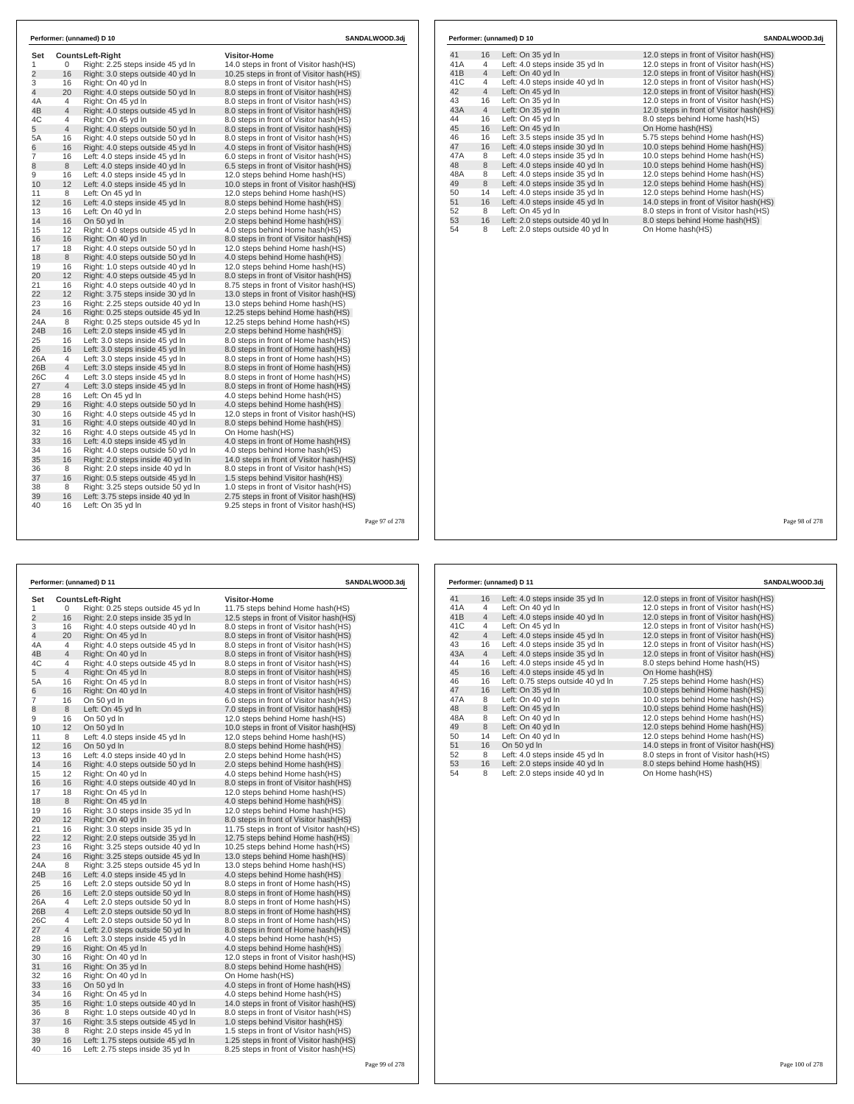|                |                | Performer: (unnamed) D 10                                                |                                                                       | SANDALWOOD.3dj |     |                | Performer: (unnamed) D 10        |                                          | SANDALWOOD.3dj |
|----------------|----------------|--------------------------------------------------------------------------|-----------------------------------------------------------------------|----------------|-----|----------------|----------------------------------|------------------------------------------|----------------|
| Set            |                | <b>CountsLeft-Right</b>                                                  | <b>Visitor-Home</b>                                                   |                | 41  | 16             | Left: On 35 yd In                | 12.0 steps in front of Visitor hash(HS)  |                |
| 1              | $\mathbf 0$    | Right: 2.25 steps inside 45 yd In                                        | 14.0 steps in front of Visitor hash(HS)                               |                | 41A | $\overline{4}$ | Left: 4.0 steps inside 35 yd In  | 12.0 steps in front of Visitor hash(HS)  |                |
| $\overline{c}$ | 16             | Right: 3.0 steps outside 40 yd In                                        | 10.25 steps in front of Visitor hash(HS)                              |                | 41B | $\overline{4}$ | Left: On 40 yd In                | 12.0 steps in front of Visitor hash(HS)  |                |
| 3              | 16             | Right: On 40 yd In                                                       | 8.0 steps in front of Visitor hash(HS)                                |                | 41C | $\overline{4}$ | Left: 4.0 steps inside 40 yd In  | 12.0 steps in front of Visitor hash(HS)  |                |
| $\overline{4}$ | 20             | Right: 4.0 steps outside 50 yd In                                        | 8.0 steps in front of Visitor hash(HS)                                |                | 42  | $\overline{4}$ | Left: On 45 yd In                | 12.0 steps in front of Visitor hash (HS) |                |
| 4A             | $\overline{4}$ | Right: On 45 yd In                                                       | 8.0 steps in front of Visitor hash(HS)                                |                | 43  | 16             | Left: On 35 yd In                | 12.0 steps in front of Visitor hash(HS)  |                |
| 4B             | $\overline{4}$ | Right: 4.0 steps outside 45 yd In                                        | 8.0 steps in front of Visitor hash(HS)                                |                | 43A | $\overline{4}$ | Left: On 35 yd In                | 12.0 steps in front of Visitor hash(HS)  |                |
| 4C             | $\overline{4}$ | Right: On 45 yd In                                                       | 8.0 steps in front of Visitor hash(HS)                                |                | 44  | 16             | Left: On 45 yd In                | 8.0 steps behind Home hash(HS)           |                |
| 5              | $\overline{4}$ | Right: 4.0 steps outside 50 yd In                                        | 8.0 steps in front of Visitor hash(HS)                                |                | 45  | 16             | Left: On 45 yd In                | On Home hash(HS)                         |                |
| 5A             | 16             | Right: 4.0 steps outside 50 yd In                                        | 8.0 steps in front of Visitor hash(HS)                                |                | 46  | 16             | Left: 3.5 steps inside 35 yd In  | 5.75 steps behind Home hash(HS)          |                |
| 6              | 16             | Right: 4.0 steps outside 45 yd In                                        | 4.0 steps in front of Visitor hash(HS)                                |                | 47  | 16             | Left: 4.0 steps inside 30 yd In  | 10.0 steps behind Home hash(HS)          |                |
| $\overline{7}$ | 16             | Left: 4.0 steps inside 45 yd In                                          | 6.0 steps in front of Visitor hash(HS)                                |                | 47A | 8              | Left: 4.0 steps inside 35 yd In  | 10.0 steps behind Home hash(HS)          |                |
| 8              | 8              | Left: 4.0 steps inside 40 yd In                                          | 6.5 steps in front of Visitor hash(HS)                                |                | 48  | 8              | Left: 4.0 steps inside 40 yd In  | 10.0 steps behind Home hash(HS)          |                |
| 9              | 16             | Left: 4.0 steps inside 45 yd In                                          | 12.0 steps behind Home hash (HS)                                      |                | 48A | 8              | Left: 4.0 steps inside 35 yd In  | 12.0 steps behind Home hash(HS)          |                |
| 10             | 12             | Left: 4.0 steps inside 45 yd In                                          | 10.0 steps in front of Visitor hash(HS)                               |                | 49  | 8              | Left: 4.0 steps inside 35 yd In  | 12.0 steps behind Home hash(HS)          |                |
| 11             | 8              | Left: On 45 yd In                                                        | 12.0 steps behind Home hash(HS)                                       |                | 50  | 14             | Left: 4.0 steps inside 35 yd In  | 12.0 steps behind Home hash(HS)          |                |
| 12             | 16             | Left: 4.0 steps inside 45 yd In                                          | 8.0 steps behind Home hash(HS)                                        |                | 51  | 16             | Left: 4.0 steps inside 45 yd In  | 14.0 steps in front of Visitor hash(HS)  |                |
| 13             | 16             | Left: On 40 yd In                                                        | 2.0 steps behind Home hash(HS)                                        |                | 52  | 8              | Left: On 45 yd In                | 8.0 steps in front of Visitor hash(HS)   |                |
| 14             | 16             | On 50 yd In                                                              | 2.0 steps behind Home hash(HS)                                        |                | 53  | 16             | Left: 2.0 steps outside 40 yd In | 8.0 steps behind Home hash(HS)           |                |
| 15             | 12             | Right: 4.0 steps outside 45 yd In                                        | 4.0 steps behind Home hash(HS)                                        |                | 54  | 8              | Left: 2.0 steps outside 40 yd In | On Home hash(HS)                         |                |
| 16             | 16             | Right: On 40 yd In                                                       | 8.0 steps in front of Visitor hash(HS)                                |                |     |                |                                  |                                          |                |
| 17             | 18             | Right: 4.0 steps outside 50 yd In                                        | 12.0 steps behind Home hash(HS)                                       |                |     |                |                                  |                                          |                |
| 18             | 8              | Right: 4.0 steps outside 50 yd In                                        | 4.0 steps behind Home hash(HS)                                        |                |     |                |                                  |                                          |                |
| 19             | 16             | Right: 1.0 steps outside 40 yd In                                        | 12.0 steps behind Home hash(HS)                                       |                |     |                |                                  |                                          |                |
| 20             | 12             | Right: 4.0 steps outside 45 yd In                                        | 8.0 steps in front of Visitor hash(HS)                                |                |     |                |                                  |                                          |                |
| 21             | 16             | Right: 4.0 steps outside 40 yd In                                        | 8.75 steps in front of Visitor hash(HS)                               |                |     |                |                                  |                                          |                |
| 22             | 12             | Right: 3.75 steps inside 30 yd In                                        | 13.0 steps in front of Visitor hash(HS)                               |                |     |                |                                  |                                          |                |
| 23             | 16             | Right: 2.25 steps outside 40 yd In                                       | 13.0 steps behind Home hash(HS)                                       |                |     |                |                                  |                                          |                |
| 24             | 16             | Right: 0.25 steps outside 45 yd In<br>Right: 0.25 steps outside 45 yd In | 12.25 steps behind Home hash (HS)<br>12.25 steps behind Home hash(HS) |                |     |                |                                  |                                          |                |
| 24A<br>24B     | 8<br>16        | Left: 2.0 steps inside 45 yd In                                          | 2.0 steps behind Home hash(HS)                                        |                |     |                |                                  |                                          |                |
| 25             | 16             | Left: 3.0 steps inside 45 yd In                                          | 8.0 steps in front of Home hash(HS)                                   |                |     |                |                                  |                                          |                |
| 26             | 16             | Left: 3.0 steps inside 45 yd In                                          | 8.0 steps in front of Home hash(HS)                                   |                |     |                |                                  |                                          |                |
| 26A            | $\overline{4}$ | Left: 3.0 steps inside 45 yd In                                          | 8.0 steps in front of Home hash(HS)                                   |                |     |                |                                  |                                          |                |
| 26B            | $\overline{4}$ | Left: 3.0 steps inside 45 yd In                                          | 8.0 steps in front of Home hash(HS)                                   |                |     |                |                                  |                                          |                |
| 26C            | $\overline{4}$ | Left: 3.0 steps inside 45 yd In                                          | 8.0 steps in front of Home hash(HS)                                   |                |     |                |                                  |                                          |                |
| 27             | $\overline{4}$ | Left: 3.0 steps inside 45 yd In                                          | 8.0 steps in front of Home hash(HS)                                   |                |     |                |                                  |                                          |                |
| 28             | 16             | Left: On 45 yd In                                                        | 4.0 steps behind Home hash(HS)                                        |                |     |                |                                  |                                          |                |
| 29             | 16             | Right: 4.0 steps outside 50 yd In                                        | 4.0 steps behind Home hash(HS)                                        |                |     |                |                                  |                                          |                |
| 30             | 16             | Right: 4.0 steps outside 45 yd In                                        | 12.0 steps in front of Visitor hash (HS)                              |                |     |                |                                  |                                          |                |
| 31             | 16             | Right: 4.0 steps outside 40 yd In                                        | 8.0 steps behind Home hash(HS)                                        |                |     |                |                                  |                                          |                |
| 32             | 16             | Right: 4.0 steps outside 45 yd In                                        | On Home hash(HS)                                                      |                |     |                |                                  |                                          |                |
| 33             | 16             | Left: 4.0 steps inside 45 yd In                                          | 4.0 steps in front of Home hash(HS)                                   |                |     |                |                                  |                                          |                |
| 34             | 16             | Right: 4.0 steps outside 50 yd In                                        | 4.0 steps behind Home hash (HS)                                       |                |     |                |                                  |                                          |                |
| 35             | 16             | Right: 2.0 steps inside 40 yd In                                         | 14.0 steps in front of Visitor hash(HS)                               |                |     |                |                                  |                                          |                |
| 36             | 8              | Right: 2.0 steps inside 40 yd In                                         | 8.0 steps in front of Visitor hash(HS)                                |                |     |                |                                  |                                          |                |
| 37             | 16             | Right: 0.5 steps outside 45 yd In                                        | 1.5 steps behind Visitor hash(HS)                                     |                |     |                |                                  |                                          |                |
| 38             | 8              | Right: 3.25 steps outside 50 yd In                                       | 1.0 steps in front of Visitor hash(HS)                                |                |     |                |                                  |                                          |                |
| 39             | 16             | Left: 3.75 steps inside 40 yd In                                         | 2.75 steps in front of Visitor hash(HS)                               |                |     |                |                                  |                                          |                |
| 40             | 16             | Left: On 35 yd In                                                        | 9.25 steps in front of Visitor hash(HS)                               |                |     |                |                                  |                                          |                |
|                |                |                                                                          |                                                                       |                |     |                |                                  |                                          |                |
|                |                |                                                                          |                                                                       | Page 97 of 278 |     |                |                                  |                                          | Page 98 of 278 |

| 41  | 16             | Left: On 35 yd In                | 12.0 steps in front of Visitor hash(HS) |
|-----|----------------|----------------------------------|-----------------------------------------|
| 41A | $\overline{4}$ | Left: 4.0 steps inside 35 yd In  | 12.0 steps in front of Visitor hash(HS) |
| 41B | $\overline{4}$ | Left: On 40 yd In                | 12.0 steps in front of Visitor hash(HS) |
| 41C | 4              | Left: 4.0 steps inside 40 yd In  | 12.0 steps in front of Visitor hash(HS) |
| 42  | $\overline{4}$ | Left: On 45 yd In                | 12.0 steps in front of Visitor hash(HS) |
| 43  | 16             | Left: On 35 yd In                | 12.0 steps in front of Visitor hash(HS) |
| 43A | $\overline{4}$ | Left: On 35 yd In                | 12.0 steps in front of Visitor hash(HS) |
| 44  | 16             | Left: On 45 yd In                | 8.0 steps behind Home hash(HS)          |
| 45  | 16             | Left: On 45 yd In                | On Home hash(HS)                        |
| 46  | 16             | Left: 3.5 steps inside 35 yd In  | 5.75 steps behind Home hash(HS)         |
| 47  | 16             | Left: 4.0 steps inside 30 yd In  | 10.0 steps behind Home hash(HS)         |
| 47A | 8              | Left: 4.0 steps inside 35 yd In  | 10.0 steps behind Home hash(HS)         |
| 48  | 8              | Left: 4.0 steps inside 40 yd In  | 10.0 steps behind Home hash(HS)         |
| 48A | 8              | Left: 4.0 steps inside 35 yd In  | 12.0 steps behind Home hash(HS)         |
| 49  | $\,8\,$        | Left: 4.0 steps inside 35 yd In  | 12.0 steps behind Home hash (HS)        |
| 50  | 14             | Left: 4.0 steps inside 35 yd In  | 12.0 steps behind Home hash(HS)         |
| 51  | 16             | Left: 4.0 steps inside 45 yd In  | 14.0 steps in front of Visitor hash(HS) |
| 52  | 8              | Left: On 45 yd In                | 8.0 steps in front of Visitor hash(HS)  |
| 53  | 16             | Left: 2.0 steps outside 40 yd In | 8.0 steps behind Home hash(HS)          |
| 54  | 8              | Left: 2.0 steps outside 40 yd In | On Home hash(HS)                        |
|     |                |                                  |                                         |
|     |                |                                  |                                         |
|     |                |                                  |                                         |
|     |                |                                  |                                         |
|     |                |                                  |                                         |
|     |                |                                  |                                         |
|     |                |                                  |                                         |
|     |                |                                  |                                         |
|     |                |                                  |                                         |
|     |                |                                  |                                         |
|     |                |                                  |                                         |
|     |                |                                  |                                         |
|     |                |                                  |                                         |
|     |                |                                  |                                         |
|     |                |                                  |                                         |

| Performer: (unnamed) D 11 |                |                                                                       | SANDALWOOD.3dj                                                                     |  |  |
|---------------------------|----------------|-----------------------------------------------------------------------|------------------------------------------------------------------------------------|--|--|
| Set                       |                | <b>CountsLeft-Right</b>                                               | <b>Visitor-Home</b>                                                                |  |  |
| 1                         | 0              | Right: 0.25 steps outside 45 yd In                                    | 11.75 steps behind Home hash(HS)                                                   |  |  |
| $\overline{2}$            | 16             | Right: 2.0 steps inside 35 yd In                                      | 12.5 steps in front of Visitor hash (HS)                                           |  |  |
| 3                         | 16             | Right: 4.0 steps outside 40 yd In                                     | 8.0 steps in front of Visitor hash(HS)                                             |  |  |
| 4                         | 20             | Right: On 45 yd In                                                    | 8.0 steps in front of Visitor hash(HS)                                             |  |  |
| 4A                        | 4              | Right: 4.0 steps outside 45 yd In                                     | 8.0 steps in front of Visitor hash(HS)                                             |  |  |
| 4B                        | 4              | Right: On 40 yd In                                                    | 8.0 steps in front of Visitor hash(HS)                                             |  |  |
| 4C                        | 4              | Right: 4.0 steps outside 45 yd In                                     | 8.0 steps in front of Visitor hash(HS)                                             |  |  |
| 5                         | 4              | Right: On 45 yd In                                                    | 8.0 steps in front of Visitor hash(HS)                                             |  |  |
| 5A                        | 16             | Right: On 45 yd In                                                    | 8.0 steps in front of Visitor hash(HS)                                             |  |  |
| 6                         | 16             | Right: On 40 yd In                                                    | 4.0 steps in front of Visitor hash(HS)                                             |  |  |
| 7                         | 16             | On 50 yd In                                                           | 6.0 steps in front of Visitor hash(HS)                                             |  |  |
| 8                         | 8              | Left: On 45 yd In                                                     | 7.0 steps in front of Visitor hash(HS)                                             |  |  |
| 9                         | 16             | On 50 yd In                                                           | 12.0 steps behind Home hash(HS)                                                    |  |  |
| 10                        | 12             | On 50 yd In                                                           | 10.0 steps in front of Visitor hash(HS)                                            |  |  |
| 11                        | 8              | Left: 4.0 steps inside 45 yd In                                       | 12.0 steps behind Home hash(HS)                                                    |  |  |
| 12                        | 16             | On 50 yd In                                                           | 8.0 steps behind Home hash(HS)                                                     |  |  |
| 13                        | 16             | Left: 4.0 steps inside 40 yd In                                       | 2.0 steps behind Home hash(HS)                                                     |  |  |
| 14                        | 16             | Right: 4.0 steps outside 50 yd In                                     | 2.0 steps behind Home hash(HS)                                                     |  |  |
| 15                        | 12             | Right: On 40 yd In                                                    | 4.0 steps behind Home hash (HS)                                                    |  |  |
| 16                        | 16             | Right: 4.0 steps outside 40 yd In                                     | 8.0 steps in front of Visitor hash(HS)                                             |  |  |
| 17                        | 18             | Right: On 45 yd In                                                    | 12.0 steps behind Home hash(HS)                                                    |  |  |
| 18                        | 8              | Right: On 45 yd In                                                    | 4.0 steps behind Home hash(HS)                                                     |  |  |
| 19                        | 16             | Right: 3.0 steps inside 35 yd In                                      | 12.0 steps behind Home hash(HS)                                                    |  |  |
| 20                        | 12             | Right: On 40 yd In                                                    | 8.0 steps in front of Visitor hash(HS)                                             |  |  |
| 21                        | 16             | Right: 3.0 steps inside 35 yd In                                      | 11.75 steps in front of Visitor hash (HS)                                          |  |  |
| 22                        | 12             | Right: 2.0 steps outside 35 yd In                                     | 12.75 steps behind Home hash (HS)                                                  |  |  |
| 23                        | 16             | Right: 3.25 steps outside 40 yd In                                    | 10.25 steps behind Home hash(HS)                                                   |  |  |
| 24                        | 16             | Right: 3.25 steps outside 45 yd In                                    | 13.0 steps behind Home hash (HS)                                                   |  |  |
| 24A                       | 8              | Right: 3.25 steps outside 45 yd In                                    | 13.0 steps behind Home hash(HS)                                                    |  |  |
| 24B                       | 16             | Left: 4.0 steps inside 45 yd In                                       | 4.0 steps behind Home hash(HS)                                                     |  |  |
| 25                        | 16             | Left: 2.0 steps outside 50 yd In                                      | 8.0 steps in front of Home hash(HS)                                                |  |  |
| 26                        | 16             | Left: 2.0 steps outside 50 yd In                                      | 8.0 steps in front of Home hash(HS)                                                |  |  |
| 26A                       | $\overline{4}$ | Left: 2.0 steps outside 50 yd In                                      | 8.0 steps in front of Home hash(HS)                                                |  |  |
| 26B                       | 4              | Left: 2.0 steps outside 50 yd In                                      | 8.0 steps in front of Home hash(HS)                                                |  |  |
| 26C                       | 4              | Left: 2.0 steps outside 50 yd In                                      | 8.0 steps in front of Home hash (HS)                                               |  |  |
| 27                        | $\overline{4}$ | Left: 2.0 steps outside 50 yd In                                      | 8.0 steps in front of Home hash(HS)                                                |  |  |
| 28                        | 16             | Left: 3.0 steps inside 45 yd In                                       | 4.0 steps behind Home hash(HS)                                                     |  |  |
| 29                        | 16             | Right: On 45 yd In                                                    | 4.0 steps behind Home hash(HS)                                                     |  |  |
| 30                        | 16             | Right: On 40 yd In                                                    | 12.0 steps in front of Visitor hash(HS)                                            |  |  |
| 31                        | 16             | Right: On 35 yd In                                                    | 8.0 steps behind Home hash(HS)                                                     |  |  |
| 32                        | 16             | Right: On 40 yd In                                                    | On Home hash(HS)                                                                   |  |  |
| 33                        | 16             | On 50 yd In                                                           | 4.0 steps in front of Home hash(HS)                                                |  |  |
| 34                        | 16             | Right: On 45 yd In                                                    | 4.0 steps behind Home hash(HS)                                                     |  |  |
| 35                        | 16             | Right: 1.0 steps outside 40 yd In                                     | 14.0 steps in front of Visitor hash(HS)                                            |  |  |
| 36                        | 8              | Right: 1.0 steps outside 40 yd In                                     | 8.0 steps in front of Visitor hash(HS)                                             |  |  |
| 37                        | 16             | Right: 3.5 steps outside 45 yd In                                     | 1.0 steps behind Visitor hash (HS)                                                 |  |  |
| 38<br>39                  | 8<br>16        | Right: 2.0 steps inside 45 yd In                                      | 1.5 steps in front of Visitor hash(HS)                                             |  |  |
| 40                        | 16             | Left: 1.75 steps outside 45 yd In<br>Left: 2.75 steps inside 35 yd In | 1.25 steps in front of Visitor hash(HS)<br>8.25 steps in front of Visitor hash(HS) |  |  |
|                           |                |                                                                       |                                                                                    |  |  |

| Performer: (unnamed) D 11 |                |                                   | SANDALWOOD.3dj                           |
|---------------------------|----------------|-----------------------------------|------------------------------------------|
| 41                        | 16             | Left: 4.0 steps inside 35 yd In   | 12.0 steps in front of Visitor hash (HS) |
| 41A                       | 4              | Left: On 40 yd In                 | 12.0 steps in front of Visitor hash(HS)  |
| 41B                       | $\overline{4}$ | Left: 4.0 steps inside 40 yd In   | 12.0 steps in front of Visitor hash(HS)  |
| 41C                       | 4              | Left: On 45 yd In                 | 12.0 steps in front of Visitor hash(HS)  |
| 42                        | $\overline{4}$ | Left: 4.0 steps inside 45 yd In   | 12.0 steps in front of Visitor hash(HS)  |
| 43                        | 16             | Left: 4.0 steps inside 35 yd In   | 12.0 steps in front of Visitor hash(HS)  |
| 43A                       | $\overline{4}$ | Left: 4.0 steps inside 35 yd In   | 12.0 steps in front of Visitor hash (HS) |
| 44                        | 16             | Left: 4.0 steps inside 45 vd In   | 8.0 steps behind Home hash(HS)           |
| 45                        | 16             | Left: 4.0 steps inside 45 yd In   | On Home hash(HS)                         |
| 46                        | 16             | Left: 0.75 steps outside 40 yd In | 7.25 steps behind Home hash(HS)          |
| 47                        | 16             | Left: On 35 yd In                 | 10.0 steps behind Home hash(HS)          |
| 47A                       | 8              | Left: On 40 vd In                 | 10.0 steps behind Home hash(HS)          |
| 48                        | 8              | Left: On 45 yd In                 | 10.0 steps behind Home hash(HS)          |
| 48A                       | 8              | Left: On 40 yd In                 | 12.0 steps behind Home hash(HS)          |
| 49                        | 8              | Left: On 40 yd In                 | 12.0 steps behind Home hash(HS)          |
| 50                        | 14             | Left: On 40 yd In                 | 12.0 steps behind Home hash(HS)          |
| 51                        | 16             | On 50 yd In                       | 14.0 steps in front of Visitor hash(HS)  |
| 52                        | 8              | Left: 4.0 steps inside 45 yd In   | 8.0 steps in front of Visitor hash(HS)   |
| 53                        | 16             | Left: 2.0 steps inside 40 yd In   | 8.0 steps behind Home hash(HS)           |
| 54                        | 8              | Left: 2.0 steps inside 40 yd In   | On Home hash(HS)                         |

Page 98 of 278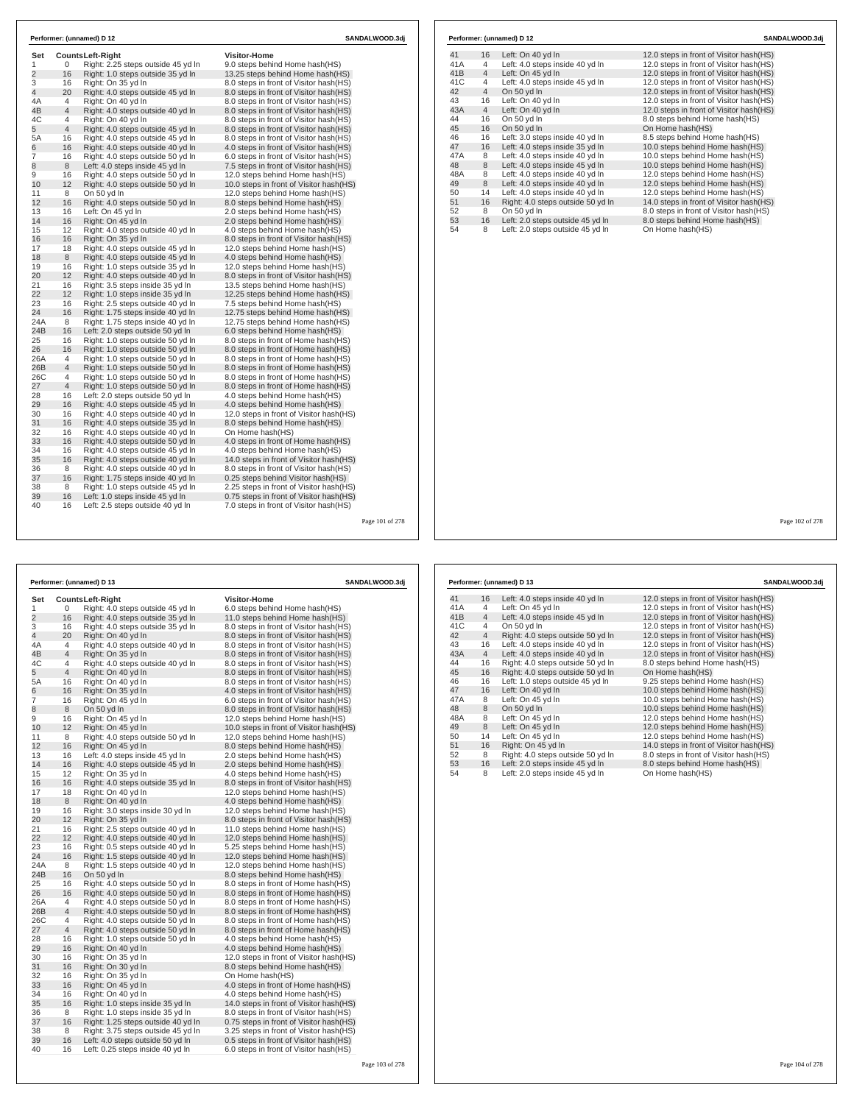| Set            |                | <b>CountsLeft-Right</b>            | <b>Visitor-Home</b>                      |  |
|----------------|----------------|------------------------------------|------------------------------------------|--|
| 1              | 0              | Right: 2.25 steps outside 45 yd In | 9.0 steps behind Home hash(HS)           |  |
| $\overline{2}$ | 16             | Right: 1.0 steps outside 35 yd In  | 13.25 steps behind Home hash(HS)         |  |
| 3              | 16             | Right: On 35 vd In                 | 8.0 steps in front of Visitor hash (HS)  |  |
| $\overline{4}$ | 20             | Right: 4.0 steps outside 45 yd In  | 8.0 steps in front of Visitor hash(HS)   |  |
| 4A             | $\overline{4}$ | Right: On 40 vd In                 | 8.0 steps in front of Visitor hash (HS)  |  |
| 4B             | $\overline{4}$ | Right: 4.0 steps outside 40 yd In  | 8.0 steps in front of Visitor hash(HS)   |  |
| 4C             | 4              | Right: On 40 yd In                 | 8.0 steps in front of Visitor hash(HS)   |  |
| 5              | $\overline{4}$ | Right: 4.0 steps outside 45 yd In  | 8.0 steps in front of Visitor hash(HS)   |  |
| 5A             | 16             | Right: 4.0 steps outside 45 yd In  | 8.0 steps in front of Visitor hash(HS)   |  |
| 6              | 16             | Right: 4.0 steps outside 40 yd In  | 4.0 steps in front of Visitor hash (HS)  |  |
| $\overline{7}$ | 16             | Right: 4.0 steps outside 50 yd In  | 6.0 steps in front of Visitor hash(HS)   |  |
| 8              | 8              | Left: 4.0 steps inside 45 yd In    | 7.5 steps in front of Visitor hash (HS)  |  |
| 9              | 16             | Right: 4.0 steps outside 50 yd In  | 12.0 steps behind Home hash(HS)          |  |
| 10             | 12             | Right: 4.0 steps outside 50 yd In  | 10.0 steps in front of Visitor hash (HS) |  |
| 11             | 8              | On 50 yd In                        | 12.0 steps behind Home hash(HS)          |  |
| 12             | 16             | Right: 4.0 steps outside 50 yd In  | 8.0 steps behind Home hash(HS)           |  |
| 13             | 16             | Left: On 45 vd In                  | 2.0 steps behind Home hash(HS)           |  |
| 14             | 16             | Right: On 45 yd In                 | 2.0 steps behind Home hash(HS)           |  |
| 15             | 12             | Right: 4.0 steps outside 40 yd In  | 4.0 steps behind Home hash(HS)           |  |
| 16             | 16             | Right: On 35 yd In                 | 8.0 steps in front of Visitor hash(HS)   |  |
| 17             | 18             | Right: 4.0 steps outside 45 yd In  | 12.0 steps behind Home hash(HS)          |  |
| 18             | 8              | Right: 4.0 steps outside 45 yd In  | 4.0 steps behind Home hash(HS)           |  |
| 19             | 16             | Right: 1.0 steps outside 35 yd In  | 12.0 steps behind Home hash(HS)          |  |
| 20             | 12             | Right: 4.0 steps outside 40 yd In  | 8.0 steps in front of Visitor hash(HS)   |  |
| 21             | 16             | Right: 3.5 steps inside 35 yd In   | 13.5 steps behind Home hash(HS)          |  |
| 22             | 12             | Right: 1.0 steps inside 35 yd In   | 12.25 steps behind Home hash (HS)        |  |
| 23             | 16             | Right: 2.5 steps outside 40 yd In  | 7.5 steps behind Home hash(HS)           |  |
| 24             | 16             | Right: 1.75 steps inside 40 yd In  | 12.75 steps behind Home hash(HS)         |  |
| 24A            | 8              | Right: 1.75 steps inside 40 yd In  | 12.75 steps behind Home hash(HS)         |  |
| 24B            | 16             | Left: 2.0 steps outside 50 yd In   | 6.0 steps behind Home hash(HS)           |  |
| 25             | 16             | Right: 1.0 steps outside 50 yd In  | 8.0 steps in front of Home hash(HS)      |  |
| 26             | 16             | Right: 1.0 steps outside 50 yd In  | 8.0 steps in front of Home hash(HS)      |  |
| 26A            | 4              | Right: 1.0 steps outside 50 yd In  | 8.0 steps in front of Home hash (HS)     |  |
| 26B            | $\overline{4}$ | Right: 1.0 steps outside 50 yd In  | 8.0 steps in front of Home hash(HS)      |  |
| 26C            | 4              | Right: 1.0 steps outside 50 yd In  | 8.0 steps in front of Home hash(HS)      |  |
| 27             | 4              | Right: 1.0 steps outside 50 yd In  | 8.0 steps in front of Home hash(HS)      |  |
| 28             | 16             | Left: 2.0 steps outside 50 yd In   | 4.0 steps behind Home hash(HS)           |  |
| 29             | 16             | Right: 4.0 steps outside 45 yd In  | 4.0 steps behind Home hash(HS)           |  |
| 30             | 16             | Right: 4.0 steps outside 40 yd In  | 12.0 steps in front of Visitor hash (HS) |  |
| 31             | 16             | Right: 4.0 steps outside 35 yd In  | 8.0 steps behind Home hash(HS)           |  |
| 32             | 16             | Right: 4.0 steps outside 40 yd In  | On Home hash(HS)                         |  |
| 33             | 16             | Right: 4.0 steps outside 50 yd In  | 4.0 steps in front of Home hash(HS)      |  |
| 34             | 16             | Right: 4.0 steps outside 45 yd In  | 4.0 steps behind Home hash(HS)           |  |
| 35             | 16             | Right: 4.0 steps outside 40 yd In  | 14.0 steps in front of Visitor hash(HS)  |  |
| 36             | 8              | Right: 4.0 steps outside 40 yd In  | 8.0 steps in front of Visitor hash(HS)   |  |
| 37             | 16             | Right: 1.75 steps inside 40 yd In  | 0.25 steps behind Visitor hash(HS)       |  |
| 38             | 8              | Right: 1.0 steps outside 45 vd In  | 2.25 steps in front of Visitor hash (HS) |  |
| 39             | 16             | Left: 1.0 steps inside 45 yd In    | 0.75 steps in front of Visitor hash(HS)  |  |
| 40             | 16             | Left: 2.5 steps outside 40 yd In   | 7.0 steps in front of Visitor hash(HS)   |  |

|     |                | Performer: (unnamed) D 12         | SANDALWOOD.3di                           |
|-----|----------------|-----------------------------------|------------------------------------------|
| 41  | 16             | Left: On 40 yd In                 | 12.0 steps in front of Visitor hash (HS) |
| 41A | 4              | Left: 4.0 steps inside 40 yd In   | 12.0 steps in front of Visitor hash(HS)  |
| 41B | $\overline{4}$ | Left: On 45 yd In                 | 12.0 steps in front of Visitor hash(HS)  |
| 41C | 4              | Left: 4.0 steps inside 45 yd In   | 12.0 steps in front of Visitor hash(HS)  |
| 42  | $\overline{4}$ | On 50 yd In                       | 12.0 steps in front of Visitor hash(HS)  |
| 43  | 16             | Left: On 40 yd In                 | 12.0 steps in front of Visitor hash(HS)  |
| 43A | $\overline{4}$ | Left: On 40 yd In                 | 12.0 steps in front of Visitor hash(HS)  |
| 44  | 16             | On 50 vd In                       | 8.0 steps behind Home hash (HS)          |
| 45  | 16             | On 50 yd In                       | On Home hash(HS)                         |
| 46  | 16             | Left: 3.0 steps inside 40 yd In   | 8.5 steps behind Home hash(HS)           |
| 47  | 16             | Left: 4.0 steps inside 35 yd In   | 10.0 steps behind Home hash(HS)          |
| 47A | 8              | Left: 4.0 steps inside 40 yd In   | 10.0 steps behind Home hash(HS)          |
| 48  | 8              | Left: 4.0 steps inside 45 yd In   | 10.0 steps behind Home hash(HS)          |
| 48A | 8              | Left: 4.0 steps inside 40 yd In   | 12.0 steps behind Home hash(HS)          |
| 49  | 8              | Left: 4.0 steps inside 40 yd In   | 12.0 steps behind Home hash(HS)          |
| 50  | 14             | Left: 4.0 steps inside 40 yd In   | 12.0 steps behind Home hash(HS)          |
| 51  | 16             | Right: 4.0 steps outside 50 yd In | 14.0 steps in front of Visitor hash(HS)  |
| 52  | 8              | On 50 yd In                       | 8.0 steps in front of Visitor hash(HS)   |
| 53  | 16             | Left: 2.0 steps outside 45 yd In  | 8.0 steps behind Home hash(HS)           |
| 54  | 8              | Left: 2.0 steps outside 45 yd In  | On Home hash(HS)                         |

|                |                | Performer: (unnamed) D 13          | SANDALWOOD.3dj                           |
|----------------|----------------|------------------------------------|------------------------------------------|
| Set            |                | <b>CountsLeft-Right</b>            | <b>Visitor-Home</b>                      |
| 1              | 0              | Right: 4.0 steps outside 45 yd In  | 6.0 steps behind Home hash(HS)           |
| $\overline{2}$ | 16             | Right: 4.0 steps outside 35 yd In  | 11.0 steps behind Home hash(HS)          |
| 3              | 16             | Right: 4.0 steps outside 35 yd In  | 8.0 steps in front of Visitor hash(HS)   |
| $\overline{4}$ | 20             | Right: On 40 yd In                 | 8.0 steps in front of Visitor hash(HS)   |
| 4A             | 4              | Right: 4.0 steps outside 40 yd In  | 8.0 steps in front of Visitor hash (HS)  |
| 4B             | $\overline{4}$ | Right: On 35 yd In                 | 8.0 steps in front of Visitor hash(HS)   |
| 4C             | $\overline{4}$ | Right: 4.0 steps outside 40 yd In  | 8.0 steps in front of Visitor hash(HS)   |
| 5              | $\overline{4}$ | Right: On 40 yd In                 | 8.0 steps in front of Visitor hash(HS)   |
| 5A             | 16             | Right: On 40 yd In                 | 8.0 steps in front of Visitor hash(HS)   |
| 6              | 16             | Right: On 35 yd In                 | 4.0 steps in front of Visitor hash (HS)  |
| 7              | 16             | Right: On 45 yd In                 | 6.0 steps in front of Visitor hash (HS)  |
| 8              | 8              | On 50 yd In                        | 8.0 steps in front of Visitor hash(HS)   |
| 9              | 16             | Right: On 45 yd In                 | 12.0 steps behind Home hash(HS)          |
| 10             | 12             | Right: On 45 vd In                 | 10.0 steps in front of Visitor hash(HS)  |
| 11             | 8              | Right: 4.0 steps outside 50 yd In  | 12.0 steps behind Home hash(HS)          |
| 12             | 16             | Right: On 45 yd In                 | 8.0 steps behind Home hash(HS)           |
| 13             | 16             | Left: 4.0 steps inside 45 yd In    | 2.0 steps behind Home hash(HS)           |
| 14             | 16             | Right: 4.0 steps outside 45 yd In  | 2.0 steps behind Home hash(HS)           |
| 15             | 12             | Right: On 35 yd In                 | 4.0 steps behind Home hash (HS)          |
| 16             | 16             | Right: 4.0 steps outside 35 yd In  | 8.0 steps in front of Visitor hash(HS)   |
| 17             | 18             | Right: On 40 yd In                 | 12.0 steps behind Home hash(HS)          |
| 18             | 8              | Right: On 40 yd In                 | 4.0 steps behind Home hash(HS)           |
| 19             | 16             | Right: 3.0 steps inside 30 yd In   | 12.0 steps behind Home hash(HS)          |
| 20             | 12             | Right: On 35 yd In                 | 8.0 steps in front of Visitor hash(HS)   |
| 21             | 16             | Right: 2.5 steps outside 40 yd In  | 11.0 steps behind Home hash(HS)          |
| 22             | 12             | Right: 4.0 steps outside 40 yd In  | 12.0 steps behind Home hash (HS)         |
| 23             | 16             | Right: 0.5 steps outside 40 yd In  | 5.25 steps behind Home hash(HS)          |
| 24             | 16             | Right: 1.5 steps outside 40 yd In  | 12.0 steps behind Home hash (HS)         |
| 24A            | 8              | Right: 1.5 steps outside 40 yd In  | 12.0 steps behind Home hash(HS)          |
| 24B            | 16             | On 50 vd In                        | 8.0 steps behind Home hash(HS)           |
| 25             | 16             | Right: 4.0 steps outside 50 yd In  | 8.0 steps in front of Home hash(HS)      |
| 26             | 16             | Right: 4.0 steps outside 50 yd In  | 8.0 steps in front of Home hash(HS)      |
| 26A            | $\overline{4}$ | Right: 4.0 steps outside 50 yd In  | 8.0 steps in front of Home hash(HS)      |
| 26B            | $\overline{4}$ | Right: 4.0 steps outside 50 yd In  | 8.0 steps in front of Home hash(HS)      |
| 26C            | 4              | Right: 4.0 steps outside 50 yd In  | 8.0 steps in front of Home hash(HS)      |
| 27             | $\overline{4}$ | Right: 4.0 steps outside 50 yd In  | 8.0 steps in front of Home hash(HS)      |
| 28             | 16             | Right: 1.0 steps outside 50 yd In  | 4.0 steps behind Home hash(HS)           |
| 29             | 16             | Right: On 40 yd In                 | 4.0 steps behind Home hash(HS)           |
| 30             | 16             | Right: On 35 yd In                 | 12.0 steps in front of Visitor hash (HS) |
| 31             | 16             | Right: On 30 vd In                 | 8.0 steps behind Home hash(HS)           |
| 32             | 16             | Right: On 35 yd In                 | On Home hash(HS)                         |
| 33             | 16             | Right: On 45 yd In                 | 4.0 steps in front of Home hash(HS)      |
| 34             | 16             | Right: On 40 yd In                 | 4.0 steps behind Home hash(HS)           |
| 35             | 16             | Right: 1.0 steps inside 35 yd In   | 14.0 steps in front of Visitor hash (HS) |
| 36             | 8              | Right: 1.0 steps inside 35 yd In   | 8.0 steps in front of Visitor hash(HS)   |
| 37             | 16             | Right: 1.25 steps outside 40 yd In | 0.75 steps in front of Visitor hash(HS)  |
| 38             | 8              | Right: 3.75 steps outside 45 yd In | 3.25 steps in front of Visitor hash (HS) |
| 39             | 16             | Left: 4.0 steps outside 50 yd In   | 0.5 steps in front of Visitor hash(HS)   |
| 40             | 16             | Left: 0.25 steps inside 40 yd In   | 6.0 steps in front of Visitor hash(HS)   |

| Performer: (unnamed) D 13 |                |                                   | SANDALWOOD.3dj                           |
|---------------------------|----------------|-----------------------------------|------------------------------------------|
| 41                        | 16             | Left: 4.0 steps inside 40 yd In   | 12.0 steps in front of Visitor hash (HS) |
| 41A                       | $\overline{4}$ | Left: On 45 yd In                 | 12.0 steps in front of Visitor hash(HS)  |
| 41B                       | $\overline{4}$ | Left: 4.0 steps inside 45 yd In   | 12.0 steps in front of Visitor hash(HS)  |
| 41C                       | $\overline{4}$ | On 50 yd In                       | 12.0 steps in front of Visitor hash(HS)  |
| 42                        | $\overline{4}$ | Right: 4.0 steps outside 50 yd In | 12.0 steps in front of Visitor hash(HS)  |
| 43                        | 16             | Left: 4.0 steps inside 40 yd In   | 12.0 steps in front of Visitor hash(HS)  |
| 43A                       | $\overline{4}$ | Left: 4.0 steps inside 40 yd In   | 12.0 steps in front of Visitor hash(HS)  |
| 44                        | 16             | Right: 4.0 steps outside 50 yd In | 8.0 steps behind Home hash(HS)           |
| 45                        | 16             | Right: 4.0 steps outside 50 yd In | On Home hash(HS)                         |
| 46                        | 16             | Left: 1.0 steps outside 45 yd In  | 9.25 steps behind Home hash(HS)          |
| 47                        | 16             | Left: On 40 yd In                 | 10.0 steps behind Home hash(HS)          |
| 47A                       | 8              | Left: On 45 yd In                 | 10.0 steps behind Home hash(HS)          |
| 48                        | 8              | On 50 yd In                       | 10.0 steps behind Home hash(HS)          |
| 48A                       | 8              | Left: On 45 yd In                 | 12.0 steps behind Home hash(HS)          |
| 49                        | 8              | Left: On 45 yd In                 | 12.0 steps behind Home hash(HS)          |
| 50                        | 14             | Left: On 45 yd In                 | 12.0 steps behind Home hash(HS)          |
| 51                        | 16             | Right: On 45 yd In                | 14.0 steps in front of Visitor hash(HS)  |
| 52                        | 8              | Right: 4.0 steps outside 50 yd In | 8.0 steps in front of Visitor hash(HS)   |
| 53                        | 16             | Left: 2.0 steps inside 45 yd In   | 8.0 steps behind Home hash(HS)           |
| 54                        | 8              | Left: 2.0 steps inside 45 yd In   | On Home hash(HS)                         |

Page 102 of 278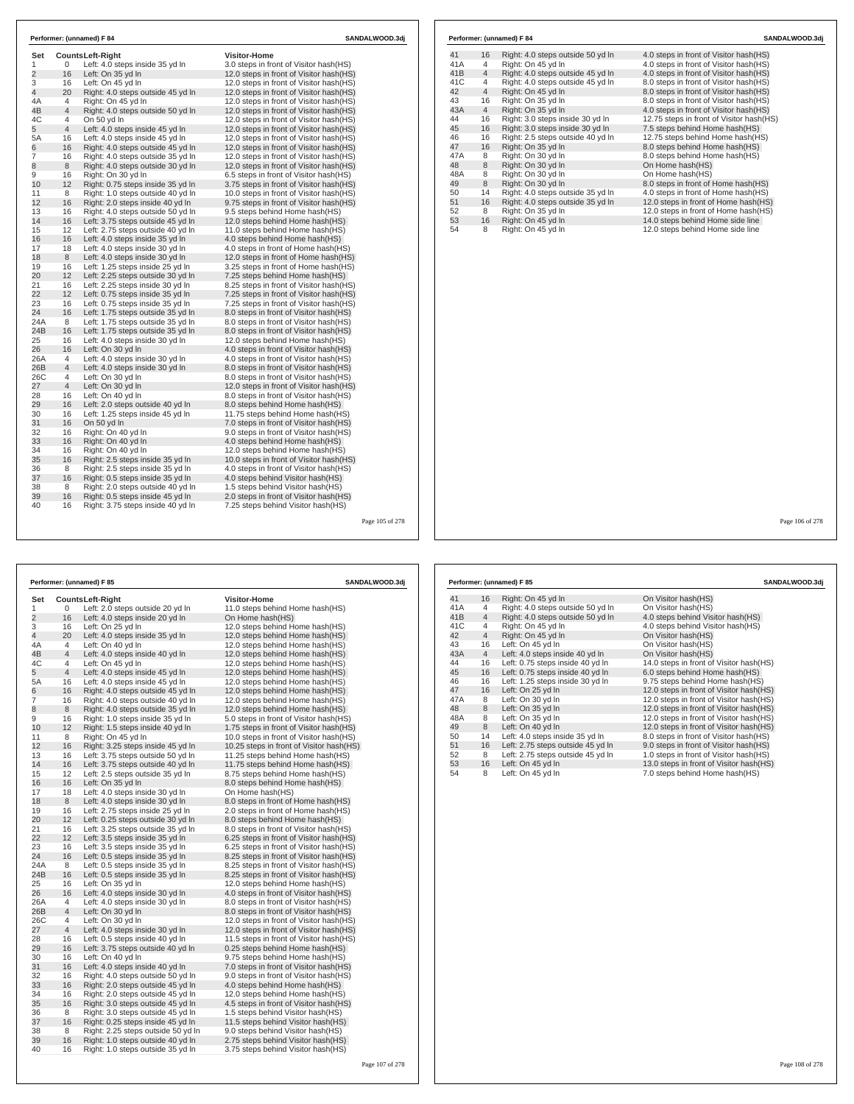| Set            |                | <b>CountsLeft-Right</b>                | <b>Visitor-Home</b>                                                                |  |
|----------------|----------------|----------------------------------------|------------------------------------------------------------------------------------|--|
| 1              | 0              | Left: 4.0 steps inside 35 yd In        | 3.0 steps in front of Visitor hash(HS)                                             |  |
| $\overline{2}$ | 16             | Left: On 35 yd In                      | 12.0 steps in front of Visitor hash(HS)                                            |  |
| 3              | 16             | Left: On 45 vd In                      | 12.0 steps in front of Visitor hash(HS)                                            |  |
| 4              | 20             | Right: 4.0 steps outside 45 yd In      | 12.0 steps in front of Visitor hash(HS)                                            |  |
| 4A             | 4              | Right: On 45 yd In                     | 12.0 steps in front of Visitor hash(HS)                                            |  |
| 4B             | 4              | Right: 4.0 steps outside 50 yd In      | 12.0 steps in front of Visitor hash(HS)                                            |  |
| 4C             | 4              | On 50 yd In                            | 12.0 steps in front of Visitor hash(HS)                                            |  |
| 5              | $\overline{4}$ | Left: 4.0 steps inside 45 yd In        | 12.0 steps in front of Visitor hash(HS)                                            |  |
| 5A             | 16             | Left: 4.0 steps inside 45 yd In        | 12.0 steps in front of Visitor hash(HS)                                            |  |
| 6              | 16             | Right: 4.0 steps outside 45 yd In      | 12.0 steps in front of Visitor hash(HS)                                            |  |
| 7              | 16             | Right: 4.0 steps outside 35 yd In      | 12.0 steps in front of Visitor hash (HS)                                           |  |
| 8              | 8              | Right: 4.0 steps outside 30 yd In      | 12.0 steps in front of Visitor hash(HS)                                            |  |
| 9              | 16             | Right: On 30 yd In                     | 6.5 steps in front of Visitor hash (HS)                                            |  |
| 10             | 12             | Right: 0.75 steps inside 35 yd In      | 3.75 steps in front of Visitor hash (HS)                                           |  |
| 11             | 8              | Right: 1.0 steps outside 40 yd In      | 10.0 steps in front of Visitor hash(HS)                                            |  |
| 12             | 16             | Right: 2.0 steps inside 40 yd In       | 9.75 steps in front of Visitor hash (HS)                                           |  |
| 13             | 16             | Right: 4.0 steps outside 50 yd In      | 9.5 steps behind Home hash(HS)                                                     |  |
| 14             | 16             | Left: 3.75 steps outside 45 yd In      | 12.0 steps behind Home hash(HS)                                                    |  |
| 15             | 12             | Left: 2.75 steps outside 40 yd In      | 11.0 steps behind Home hash(HS)                                                    |  |
| 16             | 16             | Left: 4.0 steps inside 35 yd In        | 4.0 steps behind Home hash(HS)                                                     |  |
| 17             | 18             | Left: 4.0 steps inside 30 vd In        | 4.0 steps in front of Home hash(HS)                                                |  |
| 18             | 8              | Left: 4.0 steps inside 30 yd In        | 12.0 steps in front of Home hash(HS)                                               |  |
| 19             | 16             | Left: 1.25 steps inside 25 yd In       | 3.25 steps in front of Home hash(HS)                                               |  |
| 20             | 12             | Left: 2.25 steps outside 30 yd In      | 7.25 steps behind Home hash(HS)                                                    |  |
| 21             | 16             | Left: 2.25 steps inside 30 yd In       | 8.25 steps in front of Visitor hash(HS)                                            |  |
| 22             | 12             | Left: 0.75 steps inside 35 yd In       | 7.25 steps in front of Visitor hash(HS)                                            |  |
| 23             | 16             | Left: 0.75 steps inside 35 yd In       | 7.25 steps in front of Visitor hash(HS)                                            |  |
| 24             | 16             | Left: 1.75 steps outside 35 yd In      | 8.0 steps in front of Visitor hash (HS)                                            |  |
| 24A            | 8              | Left: 1.75 steps outside 35 yd In      | 8.0 steps in front of Visitor hash(HS)                                             |  |
| 24B            | 16             | Left: 1.75 steps outside 35 yd In      | 8.0 steps in front of Visitor hash(HS)                                             |  |
| 25             | 16<br>16       | Left: 4.0 steps inside 30 yd In        | 12.0 steps behind Home hash(HS)                                                    |  |
| 26             |                | Left: On 30 yd In                      | 4.0 steps in front of Visitor hash (HS)                                            |  |
| 26A            | 4              | Left: 4.0 steps inside 30 yd In        | 4.0 steps in front of Visitor hash (HS)                                            |  |
| 26B<br>26C     | 4              | Left: 4.0 steps inside 30 yd In        | 8.0 steps in front of Visitor hash (HS)                                            |  |
| 27             | 4<br>4         | Left: On 30 yd In<br>Left: On 30 yd In | 8.0 steps in front of Visitor hash(HS)                                             |  |
| 28             | 16             | Left: On 40 vd In                      | 12.0 steps in front of Visitor hash(HS)<br>8.0 steps in front of Visitor hash (HS) |  |
| 29             | 16             | Left: 2.0 steps outside 40 yd In       | 8.0 steps behind Home hash(HS)                                                     |  |
| 30             | 16             | Left: 1.25 steps inside 45 yd In       | 11.75 steps behind Home hash(HS)                                                   |  |
| 31             | 16             | On 50 yd In                            | 7.0 steps in front of Visitor hash(HS)                                             |  |
| 32             | 16             | Right: On 40 yd In                     | 9.0 steps in front of Visitor hash(HS)                                             |  |
| 33             | 16             | Right: On 40 vd In                     | 4.0 steps behind Home hash(HS)                                                     |  |
| 34             | 16             | Right: On 40 yd In                     | 12.0 steps behind Home hash(HS)                                                    |  |
| 35             | 16             | Right: 2.5 steps inside 35 yd In       | 10.0 steps in front of Visitor hash(HS)                                            |  |
| 36             | 8              | Right: 2.5 steps inside 35 yd In       | 4.0 steps in front of Visitor hash(HS)                                             |  |
| 37             | 16             | Right: 0.5 steps inside 35 yd In       | 4.0 steps behind Visitor hash(HS)                                                  |  |
| 38             | 8              | Right: 2.0 steps outside 40 vd In      | 1.5 steps behind Visitor hash(HS)                                                  |  |
| 39             | 16             | Right: 0.5 steps inside 45 yd In       | 2.0 steps in front of Visitor hash(HS)                                             |  |
| 40             | 16             | Right: 3.75 steps inside 40 yd In      | 7.25 steps behind Visitor hash (HS)                                                |  |

| Performer: (unnamed) F 85 |                |                                    | SANDALWOOD.3dj                            |
|---------------------------|----------------|------------------------------------|-------------------------------------------|
| Set                       |                | <b>CountsLeft-Right</b>            | Visitor-Home                              |
| 1                         | 0              | Left: 2.0 steps outside 20 yd In   | 11.0 steps behind Home hash(HS)           |
| $\overline{2}$            | 16             | Left: 4.0 steps inside 20 yd In    | On Home hash(HS)                          |
| 3                         | 16             | Left: On 25 yd In                  | 12.0 steps behind Home hash(HS)           |
| 4                         | 20             | Left: 4.0 steps inside 35 yd In    | 12.0 steps behind Home hash(HS)           |
| 4A                        | $\overline{4}$ | Left: On 40 yd In                  | 12.0 steps behind Home hash(HS)           |
| 4B                        | $\overline{4}$ | Left: 4.0 steps inside 40 yd In    | 12.0 steps behind Home hash(HS)           |
| 4C                        | 4              | Left: On 45 yd In                  | 12.0 steps behind Home hash(HS)           |
| 5                         | $\overline{4}$ | Left: 4.0 steps inside 45 yd In    | 12.0 steps behind Home hash(HS)           |
| 5A                        | 16             | Left: 4.0 steps inside 45 yd In    | 12.0 steps behind Home hash(HS)           |
| 6                         | 16             | Right: 4.0 steps outside 45 yd In  | 12.0 steps behind Home hash (HS)          |
| 7                         | 16             | Right: 4.0 steps outside 40 yd In  | 12.0 steps behind Home hash(HS)           |
| 8                         | 8              | Right: 4.0 steps outside 35 yd In  | 12.0 steps behind Home hash(HS)           |
| 9                         | 16             | Right: 1.0 steps inside 35 yd In   | 5.0 steps in front of Visitor hash(HS)    |
| 10                        | 12             | Right: 1.5 steps inside 40 yd In   | 1.75 steps in front of Visitor hash(HS)   |
| 11                        | 8              | Right: On 45 yd In                 | 10.0 steps in front of Visitor hash(HS)   |
| 12                        | 16             | Right: 3.25 steps inside 45 yd In  | 10.25 steps in front of Visitor hash (HS) |
| 13                        | 16             | Left: 3.75 steps outside 50 yd In  | 11.25 steps behind Home hash(HS)          |
| 14                        | 16             | Left: 3.75 steps outside 40 yd In  | 11.75 steps behind Home hash(HS)          |
| 15                        | 12             | Left: 2.5 steps outside 35 yd In   | 8.75 steps behind Home hash(HS)           |
| 16                        | 16             | Left: On 35 yd In                  | 8.0 steps behind Home hash(HS)            |
| 17                        | 18             | Left: 4.0 steps inside 30 yd In    | On Home hash(HS)                          |
| 18                        | 8              | Left: 4.0 steps inside 30 yd In    | 8.0 steps in front of Home hash(HS)       |
| 19                        | 16             | Left: 2.75 steps inside 25 yd In   | 2.0 steps in front of Home hash(HS)       |
| 20                        | 12             | Left: 0.25 steps outside 30 yd In  | 8.0 steps behind Home hash(HS)            |
| 21                        | 16             | Left: 3.25 steps outside 35 yd In  | 8.0 steps in front of Visitor hash(HS)    |
| 22                        | 12             | Left: 3.5 steps inside 35 yd In    | 6.25 steps in front of Visitor hash(HS)   |
| 23                        | 16             | Left: 3.5 steps inside 35 yd In    | 6.25 steps in front of Visitor hash(HS)   |
| 24                        | 16             | Left: 0.5 steps inside 35 yd In    | 8.25 steps in front of Visitor hash(HS)   |
| 24A                       | 8              | Left: 0.5 steps inside 35 yd In    | 8.25 steps in front of Visitor hash(HS)   |
| 24B                       | 16             | Left: 0.5 steps inside 35 yd In    | 8.25 steps in front of Visitor hash(HS)   |
| 25                        | 16             | Left: On 35 yd In                  | 12.0 steps behind Home hash(HS)           |
| 26                        | 16             | Left: 4.0 steps inside 30 yd In    | 4.0 steps in front of Visitor hash (HS)   |
| 26A                       | 4              | Left: 4.0 steps inside 30 yd In    | 8.0 steps in front of Visitor hash(HS)    |
| 26B                       | 4              | Left: On 30 yd In                  | 8.0 steps in front of Visitor hash(HS)    |
| 26C                       | 4              | Left: On 30 yd In                  | 12.0 steps in front of Visitor hash (HS)  |
| 27                        | $\overline{4}$ | Left: 4.0 steps inside 30 yd In    | 12.0 steps in front of Visitor hash(HS)   |
| 28                        | 16             | Left: 0.5 steps inside 40 yd In    | 11.5 steps in front of Visitor hash (HS)  |
| 29                        | 16             | Left: 3.75 steps outside 40 yd In  | 0.25 steps behind Home hash(HS)           |
| 30                        | 16             | Left: On 40 yd In                  | 9.75 steps behind Home hash(HS)           |
| 31                        | 16             | Left: 4.0 steps inside 40 yd In    | 7.0 steps in front of Visitor hash(HS)    |
| 32                        | 16             | Right: 4.0 steps outside 50 yd In  | 9.0 steps in front of Visitor hash (HS)   |
| 33                        | 16             | Right: 2.0 steps outside 45 yd In  | 4.0 steps behind Home hash(HS)            |
| 34                        | 16             | Right: 2.0 steps outside 45 yd In  | 12.0 steps behind Home hash(HS)           |
| 35                        | 16             | Right: 3.0 steps outside 45 yd In  | 4.5 steps in front of Visitor hash (HS)   |
| 36                        | 8              | Right: 3.0 steps outside 45 yd In  | 1.5 steps behind Visitor hash (HS)        |
| 37                        | 16             | Right: 0.25 steps inside 45 yd In  | 11.5 steps behind Visitor hash(HS)        |
| 38                        | 8              | Right: 2.25 steps outside 50 yd In | 9.0 steps behind Visitor hash(HS)         |
| 39                        | 16             | Right: 1.0 steps outside 40 yd In  | 2.75 steps behind Visitor hash(HS)        |
| 40                        | 16             | Right: 1.0 steps outside 35 yd In  | 3.75 steps behind Visitor hash(HS)        |

### 41 16 Right: 4.0 steps outside 50 yd ln 4.0 steps in front of Visitor hash(HS)<br>41A 4 Right: On 45 yd ln 4.0 steps in front of Visitor hash(HS) 41 16 Right: 4.0 steps outside 50 yd ln<br>41A 4 Right: On 45 yd ln<br>41B 4 Right: 4.0 steps outside 45 yd ln 41B 4 Right: 4.0 steps outside 45 yd ln 4.0 steps in front of Visitor hash(HS)<br>42 4 Right: 4.0 steps in front of Visitor hash(HS)<br>42 4 Right: On 45 yd ln 8.0 steps in front of Visitor hash(HS)<br>43 16 Right: On 35 yd ln 8.0 41C 4 Right: 4.0 steps outside 45 yd ln 8.0 steps in front of Visitor hash(HS) 42 4 Right: On 45 yd ln 8.0 steps in front of Visitor hash(HS) 43 16 Right: On 35 yd ln 8.0 steps in front of Visitor hash(HS) 43A 4 Right: On 35 yd In 4.0 steps in front of Visitor hash(HS)<br>44 f6 Right: 3.0 steps inside 30 yd In 12.75 steps in front of Visitor hash(HS)<br>46 f6 Right: 2.5 steps outside 40 yd In 7.5 steps behind Home hash(HS)<br>46 f6 R 44 16 Right: 3.0 steps inside 30 yd ln 12.75 steps in front of Visitor hash(HS) 45 16 Right: 3.0 steps inside 30 yd ln 7.5 steps behind Home hash(HS) 46 16 Right: 2.5 steps outside 40 yd ln 12.75 steps behind Home hash(HS) 47 16 Right: On 35 yd ln 8.0 steps behind Home hash(HS)<br>47 47 8 Right: On 30 yd ln 8.0 steps behind Home hash(HS) 47A 8 Right: On 30 yd In 8.0 steps behind Home hash(HS)<br>488 8 Right: On 30 yd In 19.0 On Home hash(HS)<br>48A 8 Right: On 30 yd In 19.0 On Home hash(HS) 4 8 Right: On 30 yd ln<br>
48 Right: On 30 yd ln<br>
48 Right: On 30 yd ln<br>
48 Right: On 30 yd ln 47A 8 Right: On 30 yd ln<br>48 8 Right: On 30 yd ln<br>48A 8 Right: On 30 yd ln<br>49 8 Right: On 30 yd ln 49 8 Right: On 30 yd ln 8.0 steps in front of Home hash(HS)<br>50 14 Right: 4.0 steps outside 35 yd ln 4.0 steps in front of Home hash(HS) 50 14 Right: 4.0 steps outside 35 yd ln<br>51 16 Right: 4.0 steps outside 35 yd ln<br>52 8 Right: 00 35 yd ln<br>54 16 Right: 00 45 yd ln<br>54 8 Right: 00 45 yd ln 51 16 Right: 4.0 steps outside 35 yd In 12.0 steps in front of Home hash(HS)<br>52 8 Right: On 35 yd In 12.0 steps in front of Home hash(HS)<br>53 16 Right: On 45 yd In 14.0 steps behind Home side line<br>54 8 Right: On 45 yd In 12 **Performer: (unnamed) F 84 SANDALWOOD.3dj**

Page 106 of 278

| Performer: (unnamed) F 85 | SANDALWOOD.3dj |                                   |                                         |
|---------------------------|----------------|-----------------------------------|-----------------------------------------|
| 41                        | 16             | Right: On 45 yd In                | On Visitor hash(HS)                     |
| 41A                       | 4              | Right: 4.0 steps outside 50 yd In | On Visitor hash(HS)                     |
| 41B                       | $\overline{4}$ | Right: 4.0 steps outside 50 yd In | 4.0 steps behind Visitor hash(HS)       |
| 41C                       | 4              | Right: On 45 yd In                | 4.0 steps behind Visitor hash (HS)      |
| 42                        | $\overline{4}$ | Right: On 45 yd In                | On Visitor hash(HS)                     |
| 43                        | 16             | Left: On 45 yd In                 | On Visitor hash(HS)                     |
| 43A                       | $\overline{4}$ | Left: 4.0 steps inside 40 yd In   | On Visitor hash(HS)                     |
| 44                        | 16             | Left: 0.75 steps inside 40 yd In  | 14.0 steps in front of Visitor hash(HS) |
| 45                        | 16             | Left: 0.75 steps inside 40 yd In  | 6.0 steps behind Home hash(HS)          |
| 46                        | 16             | Left: 1.25 steps inside 30 yd In  | 9.75 steps behind Home hash(HS)         |
| 47                        | 16             | Left: On 25 yd In                 | 12.0 steps in front of Visitor hash(HS) |
| 47A                       | 8              | Left: On 30 yd In                 | 12.0 steps in front of Visitor hash(HS) |
| 48                        | 8              | Left: On 35 yd In                 | 12.0 steps in front of Visitor hash(HS) |
| 48A                       | 8              | Left: On 35 yd In                 | 12.0 steps in front of Visitor hash(HS) |
| 49                        | 8              | Left: On 40 yd In                 | 12.0 steps in front of Visitor hash(HS) |
| 50                        | 14             | Left: 4.0 steps inside 35 yd In   | 8.0 steps in front of Visitor hash(HS)  |
| 51                        | 16             | Left: 2.75 steps outside 45 yd In | 9.0 steps in front of Visitor hash(HS)  |
| 52                        | 8              | Left: 2.75 steps outside 45 yd In | 1.0 steps in front of Visitor hash(HS)  |
| 53                        | 16             | Left: On 45 yd In                 | 13.0 steps in front of Visitor hash(HS) |
| 54                        | 8              | Left: On 45 yd In                 | 7.0 steps behind Home hash(HS)          |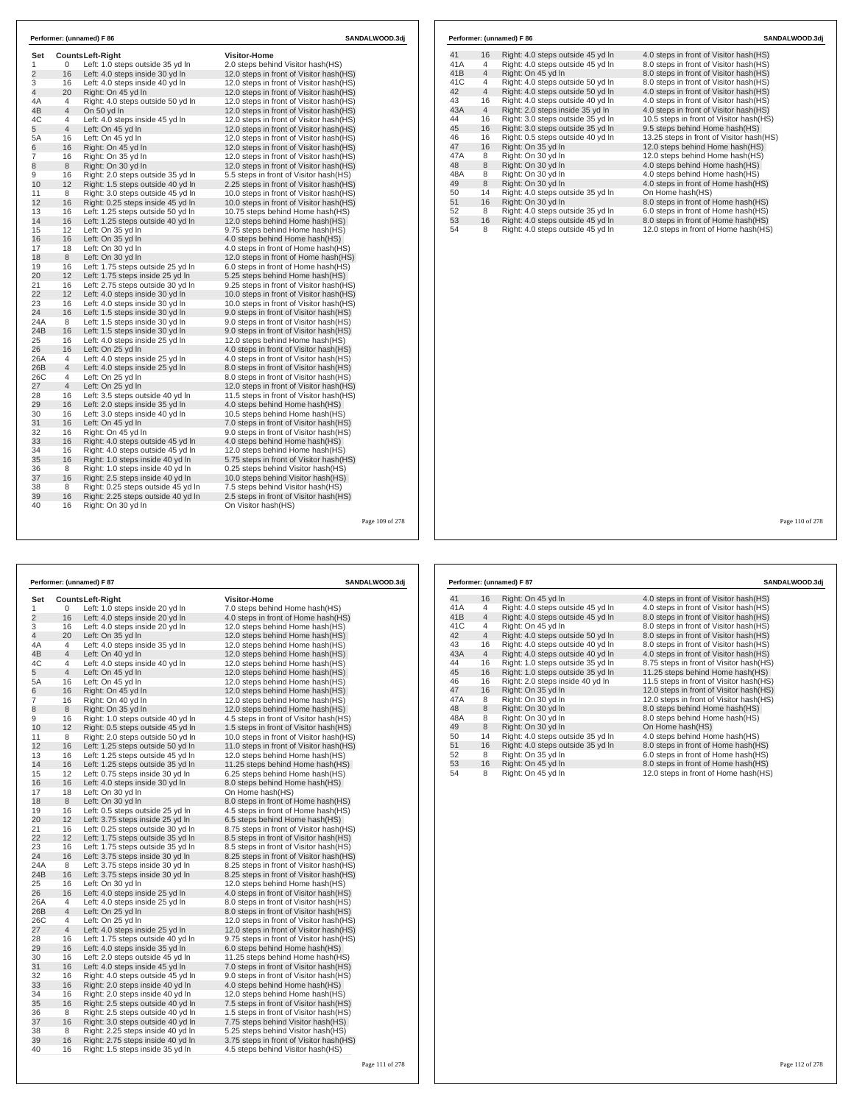| Set            |                | <b>CountsLeft-Right</b>            | <b>Visitor-Home</b>                      |  |
|----------------|----------------|------------------------------------|------------------------------------------|--|
| 1              | 0              | Left: 1.0 steps outside 35 yd In   | 2.0 steps behind Visitor hash(HS)        |  |
| 2              | 16             | Left: 4.0 steps inside 30 yd In    | 12.0 steps in front of Visitor hash (HS) |  |
| 3              | 16             | Left: 4.0 steps inside 40 yd In    | 12.0 steps in front of Visitor hash(HS)  |  |
| $\overline{4}$ | 20             | Right: On 45 yd In                 | 12.0 steps in front of Visitor hash(HS)  |  |
| 4A             | 4              | Right: 4.0 steps outside 50 yd In  | 12.0 steps in front of Visitor hash (HS) |  |
| 4B             | $\overline{4}$ | On 50 yd In                        | 12.0 steps in front of Visitor hash(HS)  |  |
| 4C             | 4              | Left: 4.0 steps inside 45 yd In    | 12.0 steps in front of Visitor hash(HS)  |  |
| 5              | $\overline{4}$ | Left: On 45 yd In                  | 12.0 steps in front of Visitor hash(HS)  |  |
| 5A             | 16             | Left: On 45 yd In                  | 12.0 steps in front of Visitor hash (HS) |  |
| 6              | 16             | Right: On 45 yd In                 | 12.0 steps in front of Visitor hash (HS) |  |
| $\overline{7}$ | 16             | Right: On 35 yd In                 | 12.0 steps in front of Visitor hash(HS)  |  |
| 8              | 8              | Right: On 30 vd In                 | 12.0 steps in front of Visitor hash(HS)  |  |
| 9              | 16             | Right: 2.0 steps outside 35 yd In  | 5.5 steps in front of Visitor hash(HS)   |  |
| 10             | 12             | Right: 1.5 steps outside 40 yd In  | 2.25 steps in front of Visitor hash (HS) |  |
| 11             | 8              | Right: 3.0 steps outside 45 yd In  | 10.0 steps in front of Visitor hash(HS)  |  |
| 12             | 16             | Right: 0.25 steps inside 45 yd In  | 10.0 steps in front of Visitor hash (HS) |  |
| 13             | 16             | Left: 1.25 steps outside 50 yd In  | 10.75 steps behind Home hash(HS)         |  |
| 14             | 16             | Left: 1.25 steps outside 40 yd In  | 12.0 steps behind Home hash(HS)          |  |
| 15             | 12             | Left: On 35 yd In                  | 9.75 steps behind Home hash(HS)          |  |
| 16             | 16             | Left: On 35 yd In                  | 4.0 steps behind Home hash(HS)           |  |
| 17             | 18             | Left: On 30 vd In                  | 4.0 steps in front of Home hash (HS)     |  |
| 18             | 8              | Left: On 30 yd In                  | 12.0 steps in front of Home hash(HS)     |  |
| 19             | 16             | Left: 1.75 steps outside 25 yd In  | 6.0 steps in front of Home hash(HS)      |  |
| 20             | 12             | Left: 1.75 steps inside 25 yd In   | 5.25 steps behind Home hash(HS)          |  |
| 21             | 16             | Left: 2.75 steps outside 30 yd In  | 9.25 steps in front of Visitor hash (HS) |  |
| 22             | 12             | Left: 4.0 steps inside 30 yd In    | 10.0 steps in front of Visitor hash (HS) |  |
| 23             | 16             | Left: 4.0 steps inside 30 yd In    | 10.0 steps in front of Visitor hash (HS) |  |
| 24             | 16             | Left: 1.5 steps inside 30 yd In    | 9.0 steps in front of Visitor hash (HS)  |  |
| 24A            | 8              | Left: 1.5 steps inside 30 yd In    | 9.0 steps in front of Visitor hash(HS)   |  |
| 24B            | 16             | Left: 1.5 steps inside 30 yd In    | 9.0 steps in front of Visitor hash(HS)   |  |
| 25             | 16             | Left: 4.0 steps inside 25 yd In    | 12.0 steps behind Home hash(HS)          |  |
| 26             | 16             | Left: On 25 yd In                  | 4.0 steps in front of Visitor hash(HS)   |  |
| 26A            | 4              | Left: 4.0 steps inside 25 yd In    | 4.0 steps in front of Visitor hash(HS)   |  |
| 26B            | $\overline{4}$ | Left: 4.0 steps inside 25 yd In    | 8.0 steps in front of Visitor hash(HS)   |  |
| 26C            | 4              | Left: On 25 yd In                  | 8.0 steps in front of Visitor hash(HS)   |  |
| 27             | 4              | Left: On 25 yd In                  | 12.0 steps in front of Visitor hash (HS) |  |
| 28             | 16             | Left: 3.5 steps outside 40 yd In   | 11.5 steps in front of Visitor hash (HS) |  |
| 29             | 16             | Left: 2.0 steps inside 35 yd In    | 4.0 steps behind Home hash(HS)           |  |
| 30             | 16             | Left: 3.0 steps inside 40 yd In    | 10.5 steps behind Home hash(HS)          |  |
| 31             | 16             | Left: On 45 vd In                  | 7.0 steps in front of Visitor hash(HS)   |  |
| 32             | 16             | Right: On 45 yd In                 | 9.0 steps in front of Visitor hash(HS)   |  |
| 33             | 16             | Right: 4.0 steps outside 45 yd In  | 4.0 steps behind Home hash(HS)           |  |
| 34             | 16             | Right: 4.0 steps outside 45 yd In  | 12.0 steps behind Home hash(HS)          |  |
| 35             | 16             | Right: 1.0 steps inside 40 yd In   | 5.75 steps in front of Visitor hash (HS) |  |
| 36             | 8              | Right: 1.0 steps inside 40 yd In   | 0.25 steps behind Visitor hash(HS)       |  |
| 37             | 16             | Right: 2.5 steps inside 40 yd In   | 10.0 steps behind Visitor hash (HS)      |  |
| 38             | 8              | Right: 0.25 steps outside 45 vd In | 7.5 steps behind Visitor hash(HS)        |  |
| 39             | 16             | Right: 2.25 steps outside 40 yd In | 2.5 steps in front of Visitor hash(HS)   |  |
| 40             | 16             | Right: On 30 yd In                 | On Visitor hash(HS)                      |  |

|     |                | Performer: (unnamed) F 86         | SANDALWOOD.3dj                           |
|-----|----------------|-----------------------------------|------------------------------------------|
| 41  | 16             | Right: 4.0 steps outside 45 yd In | 4.0 steps in front of Visitor hash (HS)  |
| 41A | 4              | Right: 4.0 steps outside 45 yd In | 8.0 steps in front of Visitor hash(HS)   |
| 41B | $\overline{4}$ | Right: On 45 yd In                | 8.0 steps in front of Visitor hash(HS)   |
| 41C | 4              | Right: 4.0 steps outside 50 yd In | 8.0 steps in front of Visitor hash(HS)   |
| 42  | $\overline{4}$ | Right: 4.0 steps outside 50 yd In | 4.0 steps in front of Visitor hash(HS)   |
| 43  | 16             | Right: 4.0 steps outside 40 yd In | 4.0 steps in front of Visitor hash (HS)  |
| 43A | $\overline{4}$ | Right: 2.0 steps inside 35 yd In  | 4.0 steps in front of Visitor hash(HS)   |
| 44  | 16             | Right: 3.0 steps outside 35 vd In | 10.5 steps in front of Visitor hash(HS)  |
| 45  | 16             | Right: 3.0 steps outside 35 yd In | 9.5 steps behind Home hash(HS)           |
| 46  | 16             | Right: 0.5 steps outside 40 yd In | 13.25 steps in front of Visitor hash(HS) |
| 47  | 16             | Right: On 35 yd In                | 12.0 steps behind Home hash(HS)          |
| 47A | 8              | Right: On 30 yd In                | 12.0 steps behind Home hash(HS)          |
| 48  | 8              | Right: On 30 yd In                | 4.0 steps behind Home hash(HS)           |
| 48A | 8              | Right: On 30 yd In                | 4.0 steps behind Home hash(HS)           |
| 49  | 8              | Right: On 30 yd In                | 4.0 steps in front of Home hash(HS)      |
| 50  | 14             | Right: 4.0 steps outside 35 yd In | On Home hash(HS)                         |
| 51  | 16             | Right: On 30 yd In                | 8.0 steps in front of Home hash(HS)      |
| 52  | 8              | Right: 4.0 steps outside 35 yd In | 6.0 steps in front of Home hash(HS)      |
| 53  | 16             | Right: 4.0 steps outside 45 yd In | 8.0 steps in front of Home hash(HS)      |
| 54  | 8              | Right: 4.0 steps outside 45 yd In | 12.0 steps in front of Home hash(HS)     |
|     |                |                                   |                                          |

| Performer: (unnamed) F 87<br>SANDALWOOD.3dj |                |                                   |                                          |  |
|---------------------------------------------|----------------|-----------------------------------|------------------------------------------|--|
| Set                                         |                | Counts Left-Right                 | <b>Visitor-Home</b>                      |  |
| 1                                           | 0              | Left: 1.0 steps inside 20 yd In   | 7.0 steps behind Home hash(HS)           |  |
| $\overline{2}$                              | 16             | Left: 4.0 steps inside 20 yd In   | 4.0 steps in front of Home hash(HS)      |  |
| 3                                           | 16             | Left: 4.0 steps inside 20 yd In   | 12.0 steps behind Home hash(HS)          |  |
| 4                                           | 20             | Left: On 35 yd In                 | 12.0 steps behind Home hash(HS)          |  |
| 4A                                          | 4              | Left: 4.0 steps inside 35 yd In   | 12.0 steps behind Home hash(HS)          |  |
| 4B                                          | 4              | Left: On 40 yd In                 | 12.0 steps behind Home hash(HS)          |  |
| 4C                                          | 4              | Left: 4.0 steps inside 40 yd In   | 12.0 steps behind Home hash(HS)          |  |
| 5                                           | $\overline{4}$ | Left: On 45 yd In                 | 12.0 steps behind Home hash(HS)          |  |
| 5A                                          | 16             | Left: On 45 yd In                 | 12.0 steps behind Home hash(HS)          |  |
| 6                                           | 16             | Right: On 45 yd In                | 12.0 steps behind Home hash(HS)          |  |
| 7                                           | 16             | Right: On 40 yd In                | 12.0 steps behind Home hash(HS)          |  |
| 8                                           | 8              | Right: On 35 yd In                | 12.0 steps behind Home hash(HS)          |  |
| 9                                           | 16             | Right: 1.0 steps outside 40 yd In | 4.5 steps in front of Visitor hash (HS)  |  |
| 10                                          | 12             | Right: 0.5 steps outside 45 yd In | 1.5 steps in front of Visitor hash (HS)  |  |
| 11                                          | 8              | Right: 2.0 steps outside 50 yd In | 10.0 steps in front of Visitor hash(HS)  |  |
| 12                                          | 16             | Left: 1.25 steps outside 50 yd In | 11.0 steps in front of Visitor hash(HS)  |  |
| 13                                          | 16             | Left: 1.25 steps outside 45 yd In | 12.0 steps behind Home hash(HS)          |  |
| 14                                          | 16             | Left: 1.25 steps outside 35 yd In | 11.25 steps behind Home hash(HS)         |  |
| 15                                          | 12             | Left: 0.75 steps inside 30 yd In  | 6.25 steps behind Home hash(HS)          |  |
| 16                                          | 16             | Left: 4.0 steps inside 30 yd In   | 8.0 steps behind Home hash(HS)           |  |
| 17                                          | 18             | Left: On 30 yd In                 | On Home hash(HS)                         |  |
| 18                                          | 8              | Left: On 30 yd In                 | 8.0 steps in front of Home hash(HS)      |  |
| 19                                          | 16             | Left: 0.5 steps outside 25 yd In  | 4.5 steps in front of Home hash (HS)     |  |
| 20                                          | 12             | Left: 3.75 steps inside 25 yd In  | 6.5 steps behind Home hash(HS)           |  |
| 21                                          | 16             | Left: 0.25 steps outside 30 yd In | 8.75 steps in front of Visitor hash(HS)  |  |
| 22                                          | 12             | Left: 1.75 steps outside 35 yd In | 8.5 steps in front of Visitor hash(HS)   |  |
| 23                                          | 16             | Left: 1.75 steps outside 35 yd In | 8.5 steps in front of Visitor hash(HS)   |  |
| 24                                          | 16             | Left: 3.75 steps inside 30 yd In  | 8.25 steps in front of Visitor hash (HS) |  |
| 24A                                         | 8              | Left: 3.75 steps inside 30 yd In  | 8.25 steps in front of Visitor hash(HS)  |  |
| 24B                                         | 16             | Left: 3.75 steps inside 30 yd In  | 8.25 steps in front of Visitor hash (HS) |  |
| 25                                          | 16             | Left: On 30 yd In                 | 12.0 steps behind Home hash(HS)          |  |
| 26                                          | 16             | Left: 4.0 steps inside 25 yd In   | 4.0 steps in front of Visitor hash(HS)   |  |
| 26A                                         | 4              | Left: 4.0 steps inside 25 yd In   | 8.0 steps in front of Visitor hash(HS)   |  |
| 26B                                         | $\overline{4}$ | Left: On 25 yd In                 | 8.0 steps in front of Visitor hash(HS)   |  |
| 26C                                         | 4              | Left: On 25 yd In                 | 12.0 steps in front of Visitor hash (HS) |  |
| 27                                          | 4              | Left: 4.0 steps inside 25 yd In   | 12.0 steps in front of Visitor hash(HS)  |  |
| 28                                          | 16             | Left: 1.75 steps outside 40 yd In | 9.75 steps in front of Visitor hash(HS)  |  |
| 29                                          | 16             | Left: 4.0 steps inside 35 yd In   | 6.0 steps behind Home hash(HS)           |  |
| 30                                          | 16             | Left: 2.0 steps outside 45 yd In  | 11.25 steps behind Home hash(HS)         |  |
| 31                                          | 16             | Left: 4.0 steps inside 45 yd In   | 7.0 steps in front of Visitor hash(HS)   |  |
| 32                                          | 16             | Right: 4.0 steps outside 45 yd In | 9.0 steps in front of Visitor hash(HS)   |  |
| 33                                          | 16             | Right: 2.0 steps inside 40 yd In  | 4.0 steps behind Home hash (HS)          |  |
| 34                                          | 16             | Right: 2.0 steps inside 40 yd In  | 12.0 steps behind Home hash(HS)          |  |
| 35                                          | 16             | Right: 2.5 steps outside 40 yd In | 7.5 steps in front of Visitor hash(HS)   |  |
| 36                                          | 8              | Right: 2.5 steps outside 40 yd In | 1.5 steps in front of Visitor hash(HS)   |  |
| 37                                          | 16             | Right: 3.0 steps outside 40 yd In | 7.75 steps behind Visitor hash(HS)       |  |
| 38                                          | 8              | Right: 2.25 steps inside 40 yd In | 5.25 steps behind Visitor hash(HS)       |  |
| 39                                          | 16             | Right: 2.75 steps inside 40 yd In | 3.75 steps in front of Visitor hash(HS)  |  |
| 40                                          | 16             | Right: 1.5 steps inside 35 yd In  | 4.5 steps behind Visitor hash(HS)        |  |

|     |                | Performer: (unnamed) F 87         | SANDALWOOD.3dj                           |
|-----|----------------|-----------------------------------|------------------------------------------|
| 41  | 16             | Right: On 45 yd In                | 4.0 steps in front of Visitor hash (HS)  |
| 41A | 4              | Right: 4.0 steps outside 45 yd In | 4.0 steps in front of Visitor hash (HS)  |
| 41B | $\overline{4}$ | Right: 4.0 steps outside 45 yd In | 8.0 steps in front of Visitor hash(HS)   |
| 41C | 4              | Right: On 45 yd In                | 8.0 steps in front of Visitor hash(HS)   |
| 42  | $\overline{4}$ | Right: 4.0 steps outside 50 yd In | 8.0 steps in front of Visitor hash(HS)   |
| 43  | 16             | Right: 4.0 steps outside 40 yd In | 8.0 steps in front of Visitor hash(HS)   |
| 43A | $\overline{4}$ | Right: 4.0 steps outside 40 yd In | 4.0 steps in front of Visitor hash(HS)   |
| 44  | 16             | Right: 1.0 steps outside 35 yd In | 8.75 steps in front of Visitor hash(HS)  |
| 45  | 16             | Right: 1.0 steps outside 35 yd In | 11.25 steps behind Home hash(HS)         |
| 46  | 16             | Right: 2.0 steps inside 40 vd In  | 11.5 steps in front of Visitor hash (HS) |
| 47  | 16             | Right: On 35 yd In                | 12.0 steps in front of Visitor hash(HS)  |
| 47A | 8              | Right: On 30 vd In                | 12.0 steps in front of Visitor hash(HS)  |
| 48  | 8              | Right: On 30 yd In                | 8.0 steps behind Home hash (HS)          |
| 48A | 8              | Right: On 30 yd In                | 8.0 steps behind Home hash(HS)           |
| 49  | 8              | Right: On 30 vd In                | On Home hash(HS)                         |
| 50  | 14             | Right: 4.0 steps outside 35 yd In | 4.0 steps behind Home hash(HS)           |
| 51  | 16             | Right: 4.0 steps outside 35 yd In | 8.0 steps in front of Home hash(HS)      |
| 52  | 8              | Right: On 35 yd In                | 6.0 steps in front of Home hash(HS)      |
| 53  | 16             | Right: On 45 yd In                | 8.0 steps in front of Home hash(HS)      |
| 54  | 8              | Right: On 45 yd In                | 12.0 steps in front of Home hash(HS)     |

Page 110 of 278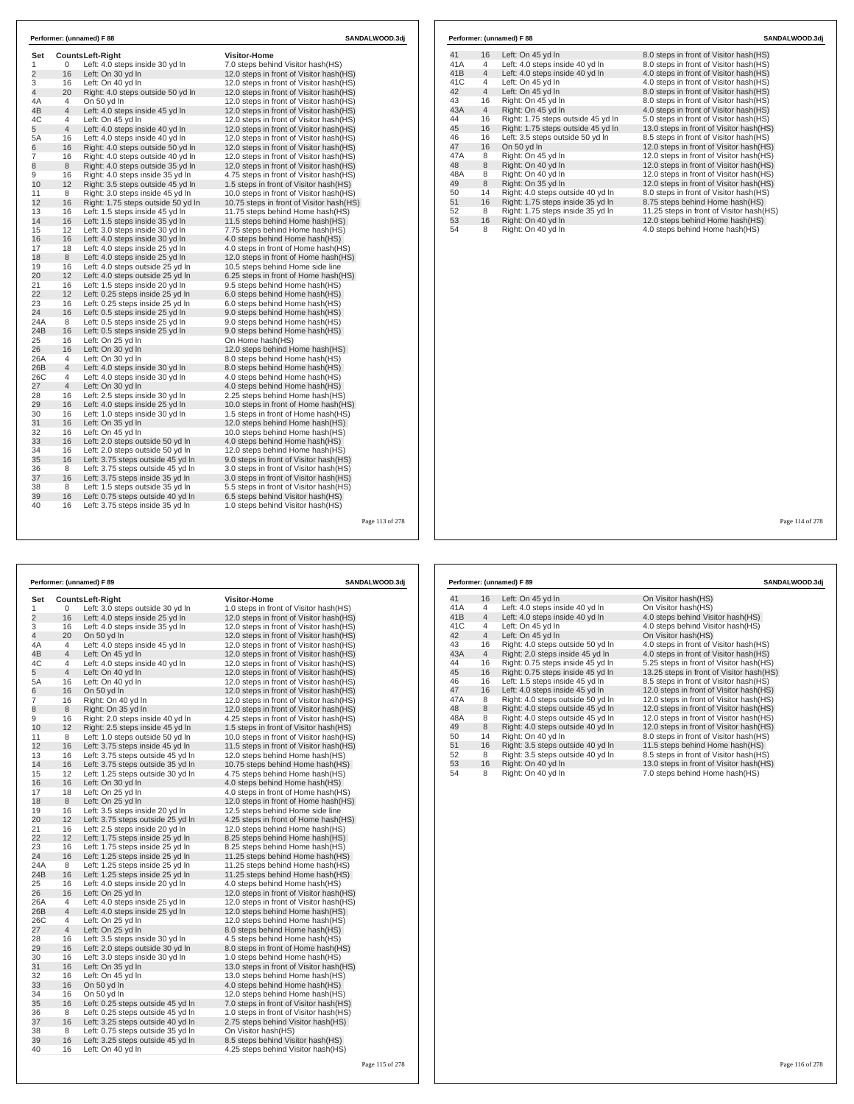| Set            |          | <b>CountsLeft-Right</b>                                            | <b>Visitor-Home</b>                                              |
|----------------|----------|--------------------------------------------------------------------|------------------------------------------------------------------|
| 1              | 0        | Left: 4.0 steps inside 30 yd In                                    | 7.0 steps behind Visitor hash(HS)                                |
| $\overline{2}$ | 16       | Left: On 30 yd In                                                  | 12.0 steps in front of Visitor hash(HS)                          |
| 3              | 16       | Left: On 40 yd In                                                  | 12.0 steps in front of Visitor hash (HS)                         |
| 4              | 20       | Right: 4.0 steps outside 50 yd In                                  | 12.0 steps in front of Visitor hash (HS)                         |
| 4A             | 4        | On 50 yd In                                                        | 12.0 steps in front of Visitor hash(HS)                          |
| 4B             | 4        | Left: 4.0 steps inside 45 yd In                                    | 12.0 steps in front of Visitor hash(HS)                          |
| 4C             | 4        | Left: On 45 yd In                                                  | 12.0 steps in front of Visitor hash (HS)                         |
| 5              | 4        | Left: 4.0 steps inside 40 yd In                                    | 12.0 steps in front of Visitor hash(HS)                          |
| 5A             | 16       | Left: 4.0 steps inside 40 yd In                                    | 12.0 steps in front of Visitor hash (HS)                         |
| 6              | 16       | Right: 4.0 steps outside 50 yd In                                  | 12.0 steps in front of Visitor hash (HS)                         |
| 7              | 16       | Right: 4.0 steps outside 40 yd In                                  | 12.0 steps in front of Visitor hash (HS)                         |
| 8              | 8        | Right: 4.0 steps outside 35 vd In                                  | 12.0 steps in front of Visitor hash(HS)                          |
| 9              | 16       | Right: 4.0 steps inside 35 yd In                                   | 4.75 steps in front of Visitor hash(HS)                          |
| 10             | 12       | Right: 3.5 steps outside 45 yd In                                  | 1.5 steps in front of Visitor hash(HS)                           |
| 11             | 8        | Right: 3.0 steps inside 45 yd In                                   | 10.0 steps in front of Visitor hash (HS)                         |
| 12             | 16       | Right: 1.75 steps outside 50 yd In                                 | 10.75 steps in front of Visitor hash (HS)                        |
| 13             | 16       | Left: 1.5 steps inside 45 yd In                                    | 11.75 steps behind Home hash(HS)                                 |
| 14             | 16       | Left: 1.5 steps inside 35 yd In                                    | 11.5 steps behind Home hash(HS)                                  |
| 15             | 12       | Left: 3.0 steps inside 30 yd In                                    | 7.75 steps behind Home hash(HS)                                  |
| 16             | 16       | Left: 4.0 steps inside 30 yd In                                    | 4.0 steps behind Home hash(HS)                                   |
| 17             | 18<br>8  | Left: 4.0 steps inside 25 vd In                                    | 4.0 steps in front of Home hash(HS)                              |
| 18             |          | Left: 4.0 steps inside 25 yd In                                    | 12.0 steps in front of Home hash(HS)                             |
| 19             | 16       | Left: 4.0 steps outside 25 yd In                                   | 10.5 steps behind Home side line                                 |
| 20             | 12<br>16 | Left: 4.0 steps outside 25 yd In                                   | 6.25 steps in front of Home hash(HS)                             |
| 21             | 12       | Left: 1.5 steps inside 20 yd In                                    | 9.5 steps behind Home hash(HS)<br>6.0 steps behind Home hash(HS) |
| 22<br>23       | 16       | Left: 0.25 steps inside 25 yd In                                   |                                                                  |
| 24             | 16       | Left: 0.25 steps inside 25 yd In                                   | 6.0 steps behind Home hash(HS)                                   |
| 24A            | 8        | Left: 0.5 steps inside 25 yd In<br>Left: 0.5 steps inside 25 yd In | 9.0 steps behind Home hash(HS)<br>9.0 steps behind Home hash(HS) |
| 24B            | 16       | Left: 0.5 steps inside 25 yd In                                    | 9.0 steps behind Home hash(HS)                                   |
| 25             | 16       | Left: On 25 yd In                                                  |                                                                  |
| 26             | 16       | Left: On 30 yd In                                                  | On Home hash(HS)<br>12.0 steps behind Home hash(HS)              |
| 26A            | 4        | Left: On 30 yd In                                                  | 8.0 steps behind Home hash(HS)                                   |
| 26B            | 4        | Left: 4.0 steps inside 30 yd In                                    | 8.0 steps behind Home hash(HS)                                   |
| 26C            | 4        | Left: 4.0 steps inside 30 yd In                                    | 4.0 steps behind Home hash(HS)                                   |
| 27             | 4        | Left: On 30 yd In                                                  | 4.0 steps behind Home hash(HS)                                   |
| 28             | 16       | Left: 2.5 steps inside 30 vd In                                    | 2.25 steps behind Home hash(HS)                                  |
| 29             | 16       | Left: 4.0 steps inside 25 yd In                                    | 10.0 steps in front of Home hash(HS)                             |
| 30             | 16       | Left: 1.0 steps inside 30 yd In                                    | 1.5 steps in front of Home hash(HS)                              |
| 31             | 16       | Left: On 35 yd In                                                  | 12.0 steps behind Home hash(HS)                                  |
| 32             | 16       | Left: On 45 yd In                                                  | 10.0 steps behind Home hash(HS)                                  |
| 33             | 16       | Left: 2.0 steps outside 50 yd In                                   | 4.0 steps behind Home hash(HS)                                   |
| 34             | 16       | Left: 2.0 steps outside 50 yd In                                   | 12.0 steps behind Home hash(HS)                                  |
| 35             | 16       | Left: 3.75 steps outside 45 yd In                                  | 9.0 steps in front of Visitor hash (HS)                          |
| 36             | 8        | Left: 3.75 steps outside 45 yd In                                  | 3.0 steps in front of Visitor hash(HS)                           |
| 37             | 16       | Left: 3.75 steps inside 35 yd In                                   | 3.0 steps in front of Visitor hash(HS)                           |
| 38             | 8        | Left: 1.5 steps outside 35 vd In                                   | 5.5 steps in front of Visitor hash(HS)                           |
| 39             | 16       | Left: 0.75 steps outside 40 yd In                                  | 6.5 steps behind Visitor hash (HS)                               |
| 40             | 16       | Left: 3.75 steps inside 35 yd In                                   | 1.0 steps behind Visitor hash (HS)                               |

| <b>Visitor-Home</b><br>Set<br>Counts Left-Right<br>1<br>0<br>Left: 3.0 steps outside 30 yd In<br>1.0 steps in front of Visitor hash(HS)<br>$\overline{2}$<br>16<br>Left: 4.0 steps inside 25 yd In<br>12.0 steps in front of Visitor hash(HS)<br>16<br>3<br>Left: 4.0 steps inside 35 yd In<br>12.0 steps in front of Visitor hash (HS)<br>20<br>$\overline{4}$<br>On 50 yd In<br>12.0 steps in front of Visitor hash (HS)<br>4<br>4A<br>Left: 4.0 steps inside 45 yd In<br>12.0 steps in front of Visitor hash (HS)<br>$\overline{4}$<br>4B<br>Left: On 45 yd In<br>12.0 steps in front of Visitor hash(HS)<br>4<br>4C<br>Left: 4.0 steps inside 40 yd In<br>12.0 steps in front of Visitor hash(HS)<br>$\overline{4}$<br>5<br>Left: On 40 yd In<br>12.0 steps in front of Visitor hash(HS)<br>5A<br>16<br>Left: On 40 yd In<br>12.0 steps in front of Visitor hash(HS)<br>16<br>6<br>On 50 yd In<br>12.0 steps in front of Visitor hash (HS)<br>7<br>16<br>Right: On 40 yd In<br>12.0 steps in front of Visitor hash(HS)<br>8<br>8<br>Right: On 35 yd In<br>12.0 steps in front of Visitor hash (HS)<br>9<br>16<br>Right: 2.0 steps inside 40 yd In<br>4.25 steps in front of Visitor hash(HS)<br>12<br>10<br>Right: 2.5 steps inside 45 yd In<br>1.5 steps in front of Visitor hash(HS)<br>8<br>11<br>Left: 1.0 steps outside 50 yd In<br>10.0 steps in front of Visitor hash (HS)<br>12<br>16<br>Left: 3.75 steps inside 45 yd In<br>11.5 steps in front of Visitor hash(HS)<br>13<br>16<br>Left: 3.75 steps outside 45 yd In<br>12.0 steps behind Home hash(HS)<br>14<br>16<br>Left: 3.75 steps outside 35 yd In<br>10.75 steps behind Home hash(HS)<br>12<br>15<br>Left: 1.25 steps outside 30 yd In<br>4.75 steps behind Home hash(HS)<br>16<br>16<br>Left: On 30 yd In<br>4.0 steps behind Home hash(HS)<br>17<br>18<br>Left: On 25 yd In<br>4.0 steps in front of Home hash(HS)<br>8<br>18<br>Left: On 25 yd In<br>12.0 steps in front of Home hash(HS)<br>19<br>16<br>Left: 3.5 steps inside 20 yd In<br>12.5 steps behind Home side line<br>12<br>20<br>Left: 3.75 steps outside 25 yd In<br>4.25 steps in front of Home hash(HS)<br>16<br>21<br>Left: 2.5 steps inside 20 yd In<br>12.0 steps behind Home hash(HS)<br>12<br>22<br>Left: 1.75 steps inside 25 yd In<br>8.25 steps behind Home hash (HS)<br>23<br>16<br>Left: 1.75 steps inside 25 yd In<br>8.25 steps behind Home hash (HS)<br>24<br>16<br>Left: 1.25 steps inside 25 yd In<br>11.25 steps behind Home hash(HS)<br>8<br>24A<br>Left: 1.25 steps inside 25 yd In<br>11.25 steps behind Home hash(HS)<br>16<br>24B<br>Left: 1.25 steps inside 25 yd In<br>11.25 steps behind Home hash(HS)<br>16<br>25<br>Left: 4.0 steps inside 20 yd In<br>4.0 steps behind Home hash(HS)<br>16<br>26<br>Left: On 25 yd In<br>12.0 steps in front of Visitor hash (HS)<br>26A<br>4<br>12.0 steps in front of Visitor hash (HS)<br>Left: 4.0 steps inside 25 yd In<br>26B<br>$\overline{4}$<br>Left: 4.0 steps inside 25 yd In<br>12.0 steps behind Home hash(HS)<br>26C<br>4<br>Left: On 25 yd In<br>12.0 steps behind Home hash(HS)<br>27<br>$\overline{4}$<br>Left: On 25 yd In<br>8.0 steps behind Home hash(HS)<br>28<br>16<br>Left: 3.5 steps inside 30 yd In<br>4.5 steps behind Home hash (HS)<br>16<br>29<br>Left: 2.0 steps outside 30 yd In<br>8.0 steps in front of Home hash(HS)<br>16<br>30<br>Left: 3.0 steps inside 30 yd In<br>1.0 steps behind Home hash(HS)<br>16<br>31<br>Left: On 35 yd In<br>13.0 steps in front of Visitor hash (HS)<br>32<br>16<br>Left: On 45 yd In<br>13.0 steps behind Home hash(HS)<br>16<br>33<br>On 50 yd In<br>4.0 steps behind Home hash (HS)<br>16<br>34<br>On 50 yd In<br>12.0 steps behind Home hash(HS)<br>16<br>35<br>Left: 0.25 steps outside 45 yd In<br>7.0 steps in front of Visitor hash(HS)<br>8<br>36<br>Left: 0.25 steps outside 45 yd In<br>1.0 steps in front of Visitor hash(HS)<br>16<br>37<br>Left: 3.25 steps outside 40 yd In<br>2.75 steps behind Visitor hash(HS)<br>8<br>38<br>Left: 0.75 steps outside 35 yd In<br>On Visitor hash(HS)<br>39<br>16<br>Left: 3.25 steps outside 45 yd In<br>8.5 steps behind Visitor hash (HS)<br>16<br>40<br>Left: On 40 yd In<br>4.25 steps behind Visitor hash(HS) | Performer: (unnamed) F 89 |  |  | SANDALWOOD.3dj |  |  |
|----------------------------------------------------------------------------------------------------------------------------------------------------------------------------------------------------------------------------------------------------------------------------------------------------------------------------------------------------------------------------------------------------------------------------------------------------------------------------------------------------------------------------------------------------------------------------------------------------------------------------------------------------------------------------------------------------------------------------------------------------------------------------------------------------------------------------------------------------------------------------------------------------------------------------------------------------------------------------------------------------------------------------------------------------------------------------------------------------------------------------------------------------------------------------------------------------------------------------------------------------------------------------------------------------------------------------------------------------------------------------------------------------------------------------------------------------------------------------------------------------------------------------------------------------------------------------------------------------------------------------------------------------------------------------------------------------------------------------------------------------------------------------------------------------------------------------------------------------------------------------------------------------------------------------------------------------------------------------------------------------------------------------------------------------------------------------------------------------------------------------------------------------------------------------------------------------------------------------------------------------------------------------------------------------------------------------------------------------------------------------------------------------------------------------------------------------------------------------------------------------------------------------------------------------------------------------------------------------------------------------------------------------------------------------------------------------------------------------------------------------------------------------------------------------------------------------------------------------------------------------------------------------------------------------------------------------------------------------------------------------------------------------------------------------------------------------------------------------------------------------------------------------------------------------------------------------------------------------------------------------------------------------------------------------------------------------------------------------------------------------------------------------------------------------------------------------------------------------------------------------------------------------------------------------------------------------------------------------------------------------------------------------------------------------------------------------------------------------------------------------------------------------------------------------------------------------------------------------------------------------------------------------------------------------------------------------------------------------------------------------------------------------------------------------------------------------------------------------------------------------------------------------------------------------------------------------------------------------------------|---------------------------|--|--|----------------|--|--|
|                                                                                                                                                                                                                                                                                                                                                                                                                                                                                                                                                                                                                                                                                                                                                                                                                                                                                                                                                                                                                                                                                                                                                                                                                                                                                                                                                                                                                                                                                                                                                                                                                                                                                                                                                                                                                                                                                                                                                                                                                                                                                                                                                                                                                                                                                                                                                                                                                                                                                                                                                                                                                                                                                                                                                                                                                                                                                                                                                                                                                                                                                                                                                                                                                                                                                                                                                                                                                                                                                                                                                                                                                                                                                                                                                                                                                                                                                                                                                                                                                                                                                                                                                                                                                                        |                           |  |  |                |  |  |
|                                                                                                                                                                                                                                                                                                                                                                                                                                                                                                                                                                                                                                                                                                                                                                                                                                                                                                                                                                                                                                                                                                                                                                                                                                                                                                                                                                                                                                                                                                                                                                                                                                                                                                                                                                                                                                                                                                                                                                                                                                                                                                                                                                                                                                                                                                                                                                                                                                                                                                                                                                                                                                                                                                                                                                                                                                                                                                                                                                                                                                                                                                                                                                                                                                                                                                                                                                                                                                                                                                                                                                                                                                                                                                                                                                                                                                                                                                                                                                                                                                                                                                                                                                                                                                        |                           |  |  |                |  |  |
|                                                                                                                                                                                                                                                                                                                                                                                                                                                                                                                                                                                                                                                                                                                                                                                                                                                                                                                                                                                                                                                                                                                                                                                                                                                                                                                                                                                                                                                                                                                                                                                                                                                                                                                                                                                                                                                                                                                                                                                                                                                                                                                                                                                                                                                                                                                                                                                                                                                                                                                                                                                                                                                                                                                                                                                                                                                                                                                                                                                                                                                                                                                                                                                                                                                                                                                                                                                                                                                                                                                                                                                                                                                                                                                                                                                                                                                                                                                                                                                                                                                                                                                                                                                                                                        |                           |  |  |                |  |  |
|                                                                                                                                                                                                                                                                                                                                                                                                                                                                                                                                                                                                                                                                                                                                                                                                                                                                                                                                                                                                                                                                                                                                                                                                                                                                                                                                                                                                                                                                                                                                                                                                                                                                                                                                                                                                                                                                                                                                                                                                                                                                                                                                                                                                                                                                                                                                                                                                                                                                                                                                                                                                                                                                                                                                                                                                                                                                                                                                                                                                                                                                                                                                                                                                                                                                                                                                                                                                                                                                                                                                                                                                                                                                                                                                                                                                                                                                                                                                                                                                                                                                                                                                                                                                                                        |                           |  |  |                |  |  |
|                                                                                                                                                                                                                                                                                                                                                                                                                                                                                                                                                                                                                                                                                                                                                                                                                                                                                                                                                                                                                                                                                                                                                                                                                                                                                                                                                                                                                                                                                                                                                                                                                                                                                                                                                                                                                                                                                                                                                                                                                                                                                                                                                                                                                                                                                                                                                                                                                                                                                                                                                                                                                                                                                                                                                                                                                                                                                                                                                                                                                                                                                                                                                                                                                                                                                                                                                                                                                                                                                                                                                                                                                                                                                                                                                                                                                                                                                                                                                                                                                                                                                                                                                                                                                                        |                           |  |  |                |  |  |
|                                                                                                                                                                                                                                                                                                                                                                                                                                                                                                                                                                                                                                                                                                                                                                                                                                                                                                                                                                                                                                                                                                                                                                                                                                                                                                                                                                                                                                                                                                                                                                                                                                                                                                                                                                                                                                                                                                                                                                                                                                                                                                                                                                                                                                                                                                                                                                                                                                                                                                                                                                                                                                                                                                                                                                                                                                                                                                                                                                                                                                                                                                                                                                                                                                                                                                                                                                                                                                                                                                                                                                                                                                                                                                                                                                                                                                                                                                                                                                                                                                                                                                                                                                                                                                        |                           |  |  |                |  |  |
|                                                                                                                                                                                                                                                                                                                                                                                                                                                                                                                                                                                                                                                                                                                                                                                                                                                                                                                                                                                                                                                                                                                                                                                                                                                                                                                                                                                                                                                                                                                                                                                                                                                                                                                                                                                                                                                                                                                                                                                                                                                                                                                                                                                                                                                                                                                                                                                                                                                                                                                                                                                                                                                                                                                                                                                                                                                                                                                                                                                                                                                                                                                                                                                                                                                                                                                                                                                                                                                                                                                                                                                                                                                                                                                                                                                                                                                                                                                                                                                                                                                                                                                                                                                                                                        |                           |  |  |                |  |  |
|                                                                                                                                                                                                                                                                                                                                                                                                                                                                                                                                                                                                                                                                                                                                                                                                                                                                                                                                                                                                                                                                                                                                                                                                                                                                                                                                                                                                                                                                                                                                                                                                                                                                                                                                                                                                                                                                                                                                                                                                                                                                                                                                                                                                                                                                                                                                                                                                                                                                                                                                                                                                                                                                                                                                                                                                                                                                                                                                                                                                                                                                                                                                                                                                                                                                                                                                                                                                                                                                                                                                                                                                                                                                                                                                                                                                                                                                                                                                                                                                                                                                                                                                                                                                                                        |                           |  |  |                |  |  |
|                                                                                                                                                                                                                                                                                                                                                                                                                                                                                                                                                                                                                                                                                                                                                                                                                                                                                                                                                                                                                                                                                                                                                                                                                                                                                                                                                                                                                                                                                                                                                                                                                                                                                                                                                                                                                                                                                                                                                                                                                                                                                                                                                                                                                                                                                                                                                                                                                                                                                                                                                                                                                                                                                                                                                                                                                                                                                                                                                                                                                                                                                                                                                                                                                                                                                                                                                                                                                                                                                                                                                                                                                                                                                                                                                                                                                                                                                                                                                                                                                                                                                                                                                                                                                                        |                           |  |  |                |  |  |
|                                                                                                                                                                                                                                                                                                                                                                                                                                                                                                                                                                                                                                                                                                                                                                                                                                                                                                                                                                                                                                                                                                                                                                                                                                                                                                                                                                                                                                                                                                                                                                                                                                                                                                                                                                                                                                                                                                                                                                                                                                                                                                                                                                                                                                                                                                                                                                                                                                                                                                                                                                                                                                                                                                                                                                                                                                                                                                                                                                                                                                                                                                                                                                                                                                                                                                                                                                                                                                                                                                                                                                                                                                                                                                                                                                                                                                                                                                                                                                                                                                                                                                                                                                                                                                        |                           |  |  |                |  |  |
|                                                                                                                                                                                                                                                                                                                                                                                                                                                                                                                                                                                                                                                                                                                                                                                                                                                                                                                                                                                                                                                                                                                                                                                                                                                                                                                                                                                                                                                                                                                                                                                                                                                                                                                                                                                                                                                                                                                                                                                                                                                                                                                                                                                                                                                                                                                                                                                                                                                                                                                                                                                                                                                                                                                                                                                                                                                                                                                                                                                                                                                                                                                                                                                                                                                                                                                                                                                                                                                                                                                                                                                                                                                                                                                                                                                                                                                                                                                                                                                                                                                                                                                                                                                                                                        |                           |  |  |                |  |  |
|                                                                                                                                                                                                                                                                                                                                                                                                                                                                                                                                                                                                                                                                                                                                                                                                                                                                                                                                                                                                                                                                                                                                                                                                                                                                                                                                                                                                                                                                                                                                                                                                                                                                                                                                                                                                                                                                                                                                                                                                                                                                                                                                                                                                                                                                                                                                                                                                                                                                                                                                                                                                                                                                                                                                                                                                                                                                                                                                                                                                                                                                                                                                                                                                                                                                                                                                                                                                                                                                                                                                                                                                                                                                                                                                                                                                                                                                                                                                                                                                                                                                                                                                                                                                                                        |                           |  |  |                |  |  |
|                                                                                                                                                                                                                                                                                                                                                                                                                                                                                                                                                                                                                                                                                                                                                                                                                                                                                                                                                                                                                                                                                                                                                                                                                                                                                                                                                                                                                                                                                                                                                                                                                                                                                                                                                                                                                                                                                                                                                                                                                                                                                                                                                                                                                                                                                                                                                                                                                                                                                                                                                                                                                                                                                                                                                                                                                                                                                                                                                                                                                                                                                                                                                                                                                                                                                                                                                                                                                                                                                                                                                                                                                                                                                                                                                                                                                                                                                                                                                                                                                                                                                                                                                                                                                                        |                           |  |  |                |  |  |
|                                                                                                                                                                                                                                                                                                                                                                                                                                                                                                                                                                                                                                                                                                                                                                                                                                                                                                                                                                                                                                                                                                                                                                                                                                                                                                                                                                                                                                                                                                                                                                                                                                                                                                                                                                                                                                                                                                                                                                                                                                                                                                                                                                                                                                                                                                                                                                                                                                                                                                                                                                                                                                                                                                                                                                                                                                                                                                                                                                                                                                                                                                                                                                                                                                                                                                                                                                                                                                                                                                                                                                                                                                                                                                                                                                                                                                                                                                                                                                                                                                                                                                                                                                                                                                        |                           |  |  |                |  |  |
|                                                                                                                                                                                                                                                                                                                                                                                                                                                                                                                                                                                                                                                                                                                                                                                                                                                                                                                                                                                                                                                                                                                                                                                                                                                                                                                                                                                                                                                                                                                                                                                                                                                                                                                                                                                                                                                                                                                                                                                                                                                                                                                                                                                                                                                                                                                                                                                                                                                                                                                                                                                                                                                                                                                                                                                                                                                                                                                                                                                                                                                                                                                                                                                                                                                                                                                                                                                                                                                                                                                                                                                                                                                                                                                                                                                                                                                                                                                                                                                                                                                                                                                                                                                                                                        |                           |  |  |                |  |  |
|                                                                                                                                                                                                                                                                                                                                                                                                                                                                                                                                                                                                                                                                                                                                                                                                                                                                                                                                                                                                                                                                                                                                                                                                                                                                                                                                                                                                                                                                                                                                                                                                                                                                                                                                                                                                                                                                                                                                                                                                                                                                                                                                                                                                                                                                                                                                                                                                                                                                                                                                                                                                                                                                                                                                                                                                                                                                                                                                                                                                                                                                                                                                                                                                                                                                                                                                                                                                                                                                                                                                                                                                                                                                                                                                                                                                                                                                                                                                                                                                                                                                                                                                                                                                                                        |                           |  |  |                |  |  |
|                                                                                                                                                                                                                                                                                                                                                                                                                                                                                                                                                                                                                                                                                                                                                                                                                                                                                                                                                                                                                                                                                                                                                                                                                                                                                                                                                                                                                                                                                                                                                                                                                                                                                                                                                                                                                                                                                                                                                                                                                                                                                                                                                                                                                                                                                                                                                                                                                                                                                                                                                                                                                                                                                                                                                                                                                                                                                                                                                                                                                                                                                                                                                                                                                                                                                                                                                                                                                                                                                                                                                                                                                                                                                                                                                                                                                                                                                                                                                                                                                                                                                                                                                                                                                                        |                           |  |  |                |  |  |
|                                                                                                                                                                                                                                                                                                                                                                                                                                                                                                                                                                                                                                                                                                                                                                                                                                                                                                                                                                                                                                                                                                                                                                                                                                                                                                                                                                                                                                                                                                                                                                                                                                                                                                                                                                                                                                                                                                                                                                                                                                                                                                                                                                                                                                                                                                                                                                                                                                                                                                                                                                                                                                                                                                                                                                                                                                                                                                                                                                                                                                                                                                                                                                                                                                                                                                                                                                                                                                                                                                                                                                                                                                                                                                                                                                                                                                                                                                                                                                                                                                                                                                                                                                                                                                        |                           |  |  |                |  |  |
|                                                                                                                                                                                                                                                                                                                                                                                                                                                                                                                                                                                                                                                                                                                                                                                                                                                                                                                                                                                                                                                                                                                                                                                                                                                                                                                                                                                                                                                                                                                                                                                                                                                                                                                                                                                                                                                                                                                                                                                                                                                                                                                                                                                                                                                                                                                                                                                                                                                                                                                                                                                                                                                                                                                                                                                                                                                                                                                                                                                                                                                                                                                                                                                                                                                                                                                                                                                                                                                                                                                                                                                                                                                                                                                                                                                                                                                                                                                                                                                                                                                                                                                                                                                                                                        |                           |  |  |                |  |  |
|                                                                                                                                                                                                                                                                                                                                                                                                                                                                                                                                                                                                                                                                                                                                                                                                                                                                                                                                                                                                                                                                                                                                                                                                                                                                                                                                                                                                                                                                                                                                                                                                                                                                                                                                                                                                                                                                                                                                                                                                                                                                                                                                                                                                                                                                                                                                                                                                                                                                                                                                                                                                                                                                                                                                                                                                                                                                                                                                                                                                                                                                                                                                                                                                                                                                                                                                                                                                                                                                                                                                                                                                                                                                                                                                                                                                                                                                                                                                                                                                                                                                                                                                                                                                                                        |                           |  |  |                |  |  |
|                                                                                                                                                                                                                                                                                                                                                                                                                                                                                                                                                                                                                                                                                                                                                                                                                                                                                                                                                                                                                                                                                                                                                                                                                                                                                                                                                                                                                                                                                                                                                                                                                                                                                                                                                                                                                                                                                                                                                                                                                                                                                                                                                                                                                                                                                                                                                                                                                                                                                                                                                                                                                                                                                                                                                                                                                                                                                                                                                                                                                                                                                                                                                                                                                                                                                                                                                                                                                                                                                                                                                                                                                                                                                                                                                                                                                                                                                                                                                                                                                                                                                                                                                                                                                                        |                           |  |  |                |  |  |
|                                                                                                                                                                                                                                                                                                                                                                                                                                                                                                                                                                                                                                                                                                                                                                                                                                                                                                                                                                                                                                                                                                                                                                                                                                                                                                                                                                                                                                                                                                                                                                                                                                                                                                                                                                                                                                                                                                                                                                                                                                                                                                                                                                                                                                                                                                                                                                                                                                                                                                                                                                                                                                                                                                                                                                                                                                                                                                                                                                                                                                                                                                                                                                                                                                                                                                                                                                                                                                                                                                                                                                                                                                                                                                                                                                                                                                                                                                                                                                                                                                                                                                                                                                                                                                        |                           |  |  |                |  |  |
|                                                                                                                                                                                                                                                                                                                                                                                                                                                                                                                                                                                                                                                                                                                                                                                                                                                                                                                                                                                                                                                                                                                                                                                                                                                                                                                                                                                                                                                                                                                                                                                                                                                                                                                                                                                                                                                                                                                                                                                                                                                                                                                                                                                                                                                                                                                                                                                                                                                                                                                                                                                                                                                                                                                                                                                                                                                                                                                                                                                                                                                                                                                                                                                                                                                                                                                                                                                                                                                                                                                                                                                                                                                                                                                                                                                                                                                                                                                                                                                                                                                                                                                                                                                                                                        |                           |  |  |                |  |  |
|                                                                                                                                                                                                                                                                                                                                                                                                                                                                                                                                                                                                                                                                                                                                                                                                                                                                                                                                                                                                                                                                                                                                                                                                                                                                                                                                                                                                                                                                                                                                                                                                                                                                                                                                                                                                                                                                                                                                                                                                                                                                                                                                                                                                                                                                                                                                                                                                                                                                                                                                                                                                                                                                                                                                                                                                                                                                                                                                                                                                                                                                                                                                                                                                                                                                                                                                                                                                                                                                                                                                                                                                                                                                                                                                                                                                                                                                                                                                                                                                                                                                                                                                                                                                                                        |                           |  |  |                |  |  |
|                                                                                                                                                                                                                                                                                                                                                                                                                                                                                                                                                                                                                                                                                                                                                                                                                                                                                                                                                                                                                                                                                                                                                                                                                                                                                                                                                                                                                                                                                                                                                                                                                                                                                                                                                                                                                                                                                                                                                                                                                                                                                                                                                                                                                                                                                                                                                                                                                                                                                                                                                                                                                                                                                                                                                                                                                                                                                                                                                                                                                                                                                                                                                                                                                                                                                                                                                                                                                                                                                                                                                                                                                                                                                                                                                                                                                                                                                                                                                                                                                                                                                                                                                                                                                                        |                           |  |  |                |  |  |
|                                                                                                                                                                                                                                                                                                                                                                                                                                                                                                                                                                                                                                                                                                                                                                                                                                                                                                                                                                                                                                                                                                                                                                                                                                                                                                                                                                                                                                                                                                                                                                                                                                                                                                                                                                                                                                                                                                                                                                                                                                                                                                                                                                                                                                                                                                                                                                                                                                                                                                                                                                                                                                                                                                                                                                                                                                                                                                                                                                                                                                                                                                                                                                                                                                                                                                                                                                                                                                                                                                                                                                                                                                                                                                                                                                                                                                                                                                                                                                                                                                                                                                                                                                                                                                        |                           |  |  |                |  |  |
|                                                                                                                                                                                                                                                                                                                                                                                                                                                                                                                                                                                                                                                                                                                                                                                                                                                                                                                                                                                                                                                                                                                                                                                                                                                                                                                                                                                                                                                                                                                                                                                                                                                                                                                                                                                                                                                                                                                                                                                                                                                                                                                                                                                                                                                                                                                                                                                                                                                                                                                                                                                                                                                                                                                                                                                                                                                                                                                                                                                                                                                                                                                                                                                                                                                                                                                                                                                                                                                                                                                                                                                                                                                                                                                                                                                                                                                                                                                                                                                                                                                                                                                                                                                                                                        |                           |  |  |                |  |  |
|                                                                                                                                                                                                                                                                                                                                                                                                                                                                                                                                                                                                                                                                                                                                                                                                                                                                                                                                                                                                                                                                                                                                                                                                                                                                                                                                                                                                                                                                                                                                                                                                                                                                                                                                                                                                                                                                                                                                                                                                                                                                                                                                                                                                                                                                                                                                                                                                                                                                                                                                                                                                                                                                                                                                                                                                                                                                                                                                                                                                                                                                                                                                                                                                                                                                                                                                                                                                                                                                                                                                                                                                                                                                                                                                                                                                                                                                                                                                                                                                                                                                                                                                                                                                                                        |                           |  |  |                |  |  |
|                                                                                                                                                                                                                                                                                                                                                                                                                                                                                                                                                                                                                                                                                                                                                                                                                                                                                                                                                                                                                                                                                                                                                                                                                                                                                                                                                                                                                                                                                                                                                                                                                                                                                                                                                                                                                                                                                                                                                                                                                                                                                                                                                                                                                                                                                                                                                                                                                                                                                                                                                                                                                                                                                                                                                                                                                                                                                                                                                                                                                                                                                                                                                                                                                                                                                                                                                                                                                                                                                                                                                                                                                                                                                                                                                                                                                                                                                                                                                                                                                                                                                                                                                                                                                                        |                           |  |  |                |  |  |
|                                                                                                                                                                                                                                                                                                                                                                                                                                                                                                                                                                                                                                                                                                                                                                                                                                                                                                                                                                                                                                                                                                                                                                                                                                                                                                                                                                                                                                                                                                                                                                                                                                                                                                                                                                                                                                                                                                                                                                                                                                                                                                                                                                                                                                                                                                                                                                                                                                                                                                                                                                                                                                                                                                                                                                                                                                                                                                                                                                                                                                                                                                                                                                                                                                                                                                                                                                                                                                                                                                                                                                                                                                                                                                                                                                                                                                                                                                                                                                                                                                                                                                                                                                                                                                        |                           |  |  |                |  |  |
|                                                                                                                                                                                                                                                                                                                                                                                                                                                                                                                                                                                                                                                                                                                                                                                                                                                                                                                                                                                                                                                                                                                                                                                                                                                                                                                                                                                                                                                                                                                                                                                                                                                                                                                                                                                                                                                                                                                                                                                                                                                                                                                                                                                                                                                                                                                                                                                                                                                                                                                                                                                                                                                                                                                                                                                                                                                                                                                                                                                                                                                                                                                                                                                                                                                                                                                                                                                                                                                                                                                                                                                                                                                                                                                                                                                                                                                                                                                                                                                                                                                                                                                                                                                                                                        |                           |  |  |                |  |  |
|                                                                                                                                                                                                                                                                                                                                                                                                                                                                                                                                                                                                                                                                                                                                                                                                                                                                                                                                                                                                                                                                                                                                                                                                                                                                                                                                                                                                                                                                                                                                                                                                                                                                                                                                                                                                                                                                                                                                                                                                                                                                                                                                                                                                                                                                                                                                                                                                                                                                                                                                                                                                                                                                                                                                                                                                                                                                                                                                                                                                                                                                                                                                                                                                                                                                                                                                                                                                                                                                                                                                                                                                                                                                                                                                                                                                                                                                                                                                                                                                                                                                                                                                                                                                                                        |                           |  |  |                |  |  |
|                                                                                                                                                                                                                                                                                                                                                                                                                                                                                                                                                                                                                                                                                                                                                                                                                                                                                                                                                                                                                                                                                                                                                                                                                                                                                                                                                                                                                                                                                                                                                                                                                                                                                                                                                                                                                                                                                                                                                                                                                                                                                                                                                                                                                                                                                                                                                                                                                                                                                                                                                                                                                                                                                                                                                                                                                                                                                                                                                                                                                                                                                                                                                                                                                                                                                                                                                                                                                                                                                                                                                                                                                                                                                                                                                                                                                                                                                                                                                                                                                                                                                                                                                                                                                                        |                           |  |  |                |  |  |
|                                                                                                                                                                                                                                                                                                                                                                                                                                                                                                                                                                                                                                                                                                                                                                                                                                                                                                                                                                                                                                                                                                                                                                                                                                                                                                                                                                                                                                                                                                                                                                                                                                                                                                                                                                                                                                                                                                                                                                                                                                                                                                                                                                                                                                                                                                                                                                                                                                                                                                                                                                                                                                                                                                                                                                                                                                                                                                                                                                                                                                                                                                                                                                                                                                                                                                                                                                                                                                                                                                                                                                                                                                                                                                                                                                                                                                                                                                                                                                                                                                                                                                                                                                                                                                        |                           |  |  |                |  |  |
|                                                                                                                                                                                                                                                                                                                                                                                                                                                                                                                                                                                                                                                                                                                                                                                                                                                                                                                                                                                                                                                                                                                                                                                                                                                                                                                                                                                                                                                                                                                                                                                                                                                                                                                                                                                                                                                                                                                                                                                                                                                                                                                                                                                                                                                                                                                                                                                                                                                                                                                                                                                                                                                                                                                                                                                                                                                                                                                                                                                                                                                                                                                                                                                                                                                                                                                                                                                                                                                                                                                                                                                                                                                                                                                                                                                                                                                                                                                                                                                                                                                                                                                                                                                                                                        |                           |  |  |                |  |  |
|                                                                                                                                                                                                                                                                                                                                                                                                                                                                                                                                                                                                                                                                                                                                                                                                                                                                                                                                                                                                                                                                                                                                                                                                                                                                                                                                                                                                                                                                                                                                                                                                                                                                                                                                                                                                                                                                                                                                                                                                                                                                                                                                                                                                                                                                                                                                                                                                                                                                                                                                                                                                                                                                                                                                                                                                                                                                                                                                                                                                                                                                                                                                                                                                                                                                                                                                                                                                                                                                                                                                                                                                                                                                                                                                                                                                                                                                                                                                                                                                                                                                                                                                                                                                                                        |                           |  |  |                |  |  |
|                                                                                                                                                                                                                                                                                                                                                                                                                                                                                                                                                                                                                                                                                                                                                                                                                                                                                                                                                                                                                                                                                                                                                                                                                                                                                                                                                                                                                                                                                                                                                                                                                                                                                                                                                                                                                                                                                                                                                                                                                                                                                                                                                                                                                                                                                                                                                                                                                                                                                                                                                                                                                                                                                                                                                                                                                                                                                                                                                                                                                                                                                                                                                                                                                                                                                                                                                                                                                                                                                                                                                                                                                                                                                                                                                                                                                                                                                                                                                                                                                                                                                                                                                                                                                                        |                           |  |  |                |  |  |
|                                                                                                                                                                                                                                                                                                                                                                                                                                                                                                                                                                                                                                                                                                                                                                                                                                                                                                                                                                                                                                                                                                                                                                                                                                                                                                                                                                                                                                                                                                                                                                                                                                                                                                                                                                                                                                                                                                                                                                                                                                                                                                                                                                                                                                                                                                                                                                                                                                                                                                                                                                                                                                                                                                                                                                                                                                                                                                                                                                                                                                                                                                                                                                                                                                                                                                                                                                                                                                                                                                                                                                                                                                                                                                                                                                                                                                                                                                                                                                                                                                                                                                                                                                                                                                        |                           |  |  |                |  |  |
|                                                                                                                                                                                                                                                                                                                                                                                                                                                                                                                                                                                                                                                                                                                                                                                                                                                                                                                                                                                                                                                                                                                                                                                                                                                                                                                                                                                                                                                                                                                                                                                                                                                                                                                                                                                                                                                                                                                                                                                                                                                                                                                                                                                                                                                                                                                                                                                                                                                                                                                                                                                                                                                                                                                                                                                                                                                                                                                                                                                                                                                                                                                                                                                                                                                                                                                                                                                                                                                                                                                                                                                                                                                                                                                                                                                                                                                                                                                                                                                                                                                                                                                                                                                                                                        |                           |  |  |                |  |  |
|                                                                                                                                                                                                                                                                                                                                                                                                                                                                                                                                                                                                                                                                                                                                                                                                                                                                                                                                                                                                                                                                                                                                                                                                                                                                                                                                                                                                                                                                                                                                                                                                                                                                                                                                                                                                                                                                                                                                                                                                                                                                                                                                                                                                                                                                                                                                                                                                                                                                                                                                                                                                                                                                                                                                                                                                                                                                                                                                                                                                                                                                                                                                                                                                                                                                                                                                                                                                                                                                                                                                                                                                                                                                                                                                                                                                                                                                                                                                                                                                                                                                                                                                                                                                                                        |                           |  |  |                |  |  |
|                                                                                                                                                                                                                                                                                                                                                                                                                                                                                                                                                                                                                                                                                                                                                                                                                                                                                                                                                                                                                                                                                                                                                                                                                                                                                                                                                                                                                                                                                                                                                                                                                                                                                                                                                                                                                                                                                                                                                                                                                                                                                                                                                                                                                                                                                                                                                                                                                                                                                                                                                                                                                                                                                                                                                                                                                                                                                                                                                                                                                                                                                                                                                                                                                                                                                                                                                                                                                                                                                                                                                                                                                                                                                                                                                                                                                                                                                                                                                                                                                                                                                                                                                                                                                                        |                           |  |  |                |  |  |
|                                                                                                                                                                                                                                                                                                                                                                                                                                                                                                                                                                                                                                                                                                                                                                                                                                                                                                                                                                                                                                                                                                                                                                                                                                                                                                                                                                                                                                                                                                                                                                                                                                                                                                                                                                                                                                                                                                                                                                                                                                                                                                                                                                                                                                                                                                                                                                                                                                                                                                                                                                                                                                                                                                                                                                                                                                                                                                                                                                                                                                                                                                                                                                                                                                                                                                                                                                                                                                                                                                                                                                                                                                                                                                                                                                                                                                                                                                                                                                                                                                                                                                                                                                                                                                        |                           |  |  |                |  |  |
|                                                                                                                                                                                                                                                                                                                                                                                                                                                                                                                                                                                                                                                                                                                                                                                                                                                                                                                                                                                                                                                                                                                                                                                                                                                                                                                                                                                                                                                                                                                                                                                                                                                                                                                                                                                                                                                                                                                                                                                                                                                                                                                                                                                                                                                                                                                                                                                                                                                                                                                                                                                                                                                                                                                                                                                                                                                                                                                                                                                                                                                                                                                                                                                                                                                                                                                                                                                                                                                                                                                                                                                                                                                                                                                                                                                                                                                                                                                                                                                                                                                                                                                                                                                                                                        |                           |  |  |                |  |  |
|                                                                                                                                                                                                                                                                                                                                                                                                                                                                                                                                                                                                                                                                                                                                                                                                                                                                                                                                                                                                                                                                                                                                                                                                                                                                                                                                                                                                                                                                                                                                                                                                                                                                                                                                                                                                                                                                                                                                                                                                                                                                                                                                                                                                                                                                                                                                                                                                                                                                                                                                                                                                                                                                                                                                                                                                                                                                                                                                                                                                                                                                                                                                                                                                                                                                                                                                                                                                                                                                                                                                                                                                                                                                                                                                                                                                                                                                                                                                                                                                                                                                                                                                                                                                                                        |                           |  |  |                |  |  |
|                                                                                                                                                                                                                                                                                                                                                                                                                                                                                                                                                                                                                                                                                                                                                                                                                                                                                                                                                                                                                                                                                                                                                                                                                                                                                                                                                                                                                                                                                                                                                                                                                                                                                                                                                                                                                                                                                                                                                                                                                                                                                                                                                                                                                                                                                                                                                                                                                                                                                                                                                                                                                                                                                                                                                                                                                                                                                                                                                                                                                                                                                                                                                                                                                                                                                                                                                                                                                                                                                                                                                                                                                                                                                                                                                                                                                                                                                                                                                                                                                                                                                                                                                                                                                                        |                           |  |  |                |  |  |
|                                                                                                                                                                                                                                                                                                                                                                                                                                                                                                                                                                                                                                                                                                                                                                                                                                                                                                                                                                                                                                                                                                                                                                                                                                                                                                                                                                                                                                                                                                                                                                                                                                                                                                                                                                                                                                                                                                                                                                                                                                                                                                                                                                                                                                                                                                                                                                                                                                                                                                                                                                                                                                                                                                                                                                                                                                                                                                                                                                                                                                                                                                                                                                                                                                                                                                                                                                                                                                                                                                                                                                                                                                                                                                                                                                                                                                                                                                                                                                                                                                                                                                                                                                                                                                        |                           |  |  |                |  |  |
|                                                                                                                                                                                                                                                                                                                                                                                                                                                                                                                                                                                                                                                                                                                                                                                                                                                                                                                                                                                                                                                                                                                                                                                                                                                                                                                                                                                                                                                                                                                                                                                                                                                                                                                                                                                                                                                                                                                                                                                                                                                                                                                                                                                                                                                                                                                                                                                                                                                                                                                                                                                                                                                                                                                                                                                                                                                                                                                                                                                                                                                                                                                                                                                                                                                                                                                                                                                                                                                                                                                                                                                                                                                                                                                                                                                                                                                                                                                                                                                                                                                                                                                                                                                                                                        |                           |  |  |                |  |  |
|                                                                                                                                                                                                                                                                                                                                                                                                                                                                                                                                                                                                                                                                                                                                                                                                                                                                                                                                                                                                                                                                                                                                                                                                                                                                                                                                                                                                                                                                                                                                                                                                                                                                                                                                                                                                                                                                                                                                                                                                                                                                                                                                                                                                                                                                                                                                                                                                                                                                                                                                                                                                                                                                                                                                                                                                                                                                                                                                                                                                                                                                                                                                                                                                                                                                                                                                                                                                                                                                                                                                                                                                                                                                                                                                                                                                                                                                                                                                                                                                                                                                                                                                                                                                                                        |                           |  |  |                |  |  |
|                                                                                                                                                                                                                                                                                                                                                                                                                                                                                                                                                                                                                                                                                                                                                                                                                                                                                                                                                                                                                                                                                                                                                                                                                                                                                                                                                                                                                                                                                                                                                                                                                                                                                                                                                                                                                                                                                                                                                                                                                                                                                                                                                                                                                                                                                                                                                                                                                                                                                                                                                                                                                                                                                                                                                                                                                                                                                                                                                                                                                                                                                                                                                                                                                                                                                                                                                                                                                                                                                                                                                                                                                                                                                                                                                                                                                                                                                                                                                                                                                                                                                                                                                                                                                                        |                           |  |  |                |  |  |
|                                                                                                                                                                                                                                                                                                                                                                                                                                                                                                                                                                                                                                                                                                                                                                                                                                                                                                                                                                                                                                                                                                                                                                                                                                                                                                                                                                                                                                                                                                                                                                                                                                                                                                                                                                                                                                                                                                                                                                                                                                                                                                                                                                                                                                                                                                                                                                                                                                                                                                                                                                                                                                                                                                                                                                                                                                                                                                                                                                                                                                                                                                                                                                                                                                                                                                                                                                                                                                                                                                                                                                                                                                                                                                                                                                                                                                                                                                                                                                                                                                                                                                                                                                                                                                        |                           |  |  |                |  |  |

Page 115 of 278

|     |                | Performer: (unnamed) F 88          | SANDALWOOD.3dj                            |
|-----|----------------|------------------------------------|-------------------------------------------|
| 41  | 16             | Left: On 45 yd In                  | 8.0 steps in front of Visitor hash (HS)   |
| 41A | 4              | Left: 4.0 steps inside 40 yd In    | 8.0 steps in front of Visitor hash(HS)    |
| 41B | $\overline{4}$ | Left: 4.0 steps inside 40 yd In    | 4.0 steps in front of Visitor hash(HS)    |
| 41C | 4              | Left: On 45 yd In                  | 4.0 steps in front of Visitor hash(HS)    |
| 42  | $\overline{4}$ | Left: On 45 yd In                  | 8.0 steps in front of Visitor hash(HS)    |
| 43  | 16             | Right: On 45 yd In                 | 8.0 steps in front of Visitor hash(HS)    |
| 43A | $\overline{4}$ | Right: On 45 yd In                 | 4.0 steps in front of Visitor hash(HS)    |
| 44  | 16             | Right: 1.75 steps outside 45 yd In | 5.0 steps in front of Visitor hash(HS)    |
| 45  | 16             | Right: 1.75 steps outside 45 yd In | 13.0 steps in front of Visitor hash(HS)   |
| 46  | 16             | Left: 3.5 steps outside 50 yd In   | 8.5 steps in front of Visitor hash(HS)    |
| 47  | 16             | On 50 yd In                        | 12.0 steps in front of Visitor hash (HS)  |
| 47A | 8              | Right: On 45 yd In                 | 12.0 steps in front of Visitor hash(HS)   |
| 48  | 8              | Right: On 40 yd In                 | 12.0 steps in front of Visitor hash (HS)  |
| 48A | 8              | Right: On 40 yd In                 | 12.0 steps in front of Visitor hash(HS)   |
| 49  | 8              | Right: On 35 yd In                 | 12.0 steps in front of Visitor hash(HS)   |
| 50  | 14             | Right: 4.0 steps outside 40 yd In  | 8.0 steps in front of Visitor hash(HS)    |
| 51  | 16             | Right: 1.75 steps inside 35 yd In  | 8.75 steps behind Home hash(HS)           |
| 52  | 8              | Right: 1.75 steps inside 35 yd In  | 11.25 steps in front of Visitor hash (HS) |
| 53  | 16             | Right: On 40 yd In                 | 12.0 steps behind Home hash(HS)           |
| 54  | 8              | Right: On 40 yd In                 | 4.0 steps behind Home hash(HS)            |

Page 114 of 278

|     |                | Performer: (unnamed) F 89         | SANDALWOOD.3dj                           |  |
|-----|----------------|-----------------------------------|------------------------------------------|--|
| 41  | 16             | Left: On 45 yd In                 | On Visitor hash(HS)                      |  |
| 41A | 4              | Left: 4.0 steps inside 40 yd In   | On Visitor hash(HS)                      |  |
| 41B | $\overline{4}$ | Left: 4.0 steps inside 40 yd In   | 4.0 steps behind Visitor hash(HS)        |  |
| 41C | 4              | Left: On 45 yd In                 | 4.0 steps behind Visitor hash (HS)       |  |
| 42  | $\overline{4}$ | Left: On 45 yd In                 | On Visitor hash(HS)                      |  |
| 43  | 16             | Right: 4.0 steps outside 50 yd In | 4.0 steps in front of Visitor hash(HS)   |  |
| 43A | $\overline{4}$ | Right: 2.0 steps inside 45 yd In  | 4.0 steps in front of Visitor hash(HS)   |  |
| 44  | 16             | Right: 0.75 steps inside 45 yd In | 5.25 steps in front of Visitor hash(HS)  |  |
| 45  | 16             | Right: 0.75 steps inside 45 yd In | 13.25 steps in front of Visitor hash(HS) |  |
| 46  | 16             | Left: 1.5 steps inside 45 vd In   | 8.5 steps in front of Visitor hash(HS)   |  |
| 47  | 16             | Left: 4.0 steps inside 45 yd In   | 12.0 steps in front of Visitor hash (HS) |  |
| 47A | 8              | Right: 4.0 steps outside 50 yd In | 12.0 steps in front of Visitor hash(HS)  |  |
| 48  | 8              | Right: 4.0 steps outside 45 yd In | 12.0 steps in front of Visitor hash (HS) |  |
| 48A | 8              | Right: 4.0 steps outside 45 yd In | 12.0 steps in front of Visitor hash(HS)  |  |
| 49  | 8              | Right: 4.0 steps outside 40 yd In | 12.0 steps in front of Visitor hash(HS)  |  |
| 50  | 14             | Right: On 40 yd In                | 8.0 steps in front of Visitor hash(HS)   |  |
| 51  | 16             | Right: 3.5 steps outside 40 yd In | 11.5 steps behind Home hash(HS)          |  |
| 52  | 8              | Right: 3.5 steps outside 40 yd In | 8.5 steps in front of Visitor hash(HS)   |  |
| 53  | 16             | Right: On 40 yd In                | 13.0 steps in front of Visitor hash(HS)  |  |
| 54  | 8              | Right: On 40 yd In                | 7.0 steps behind Home hash(HS)           |  |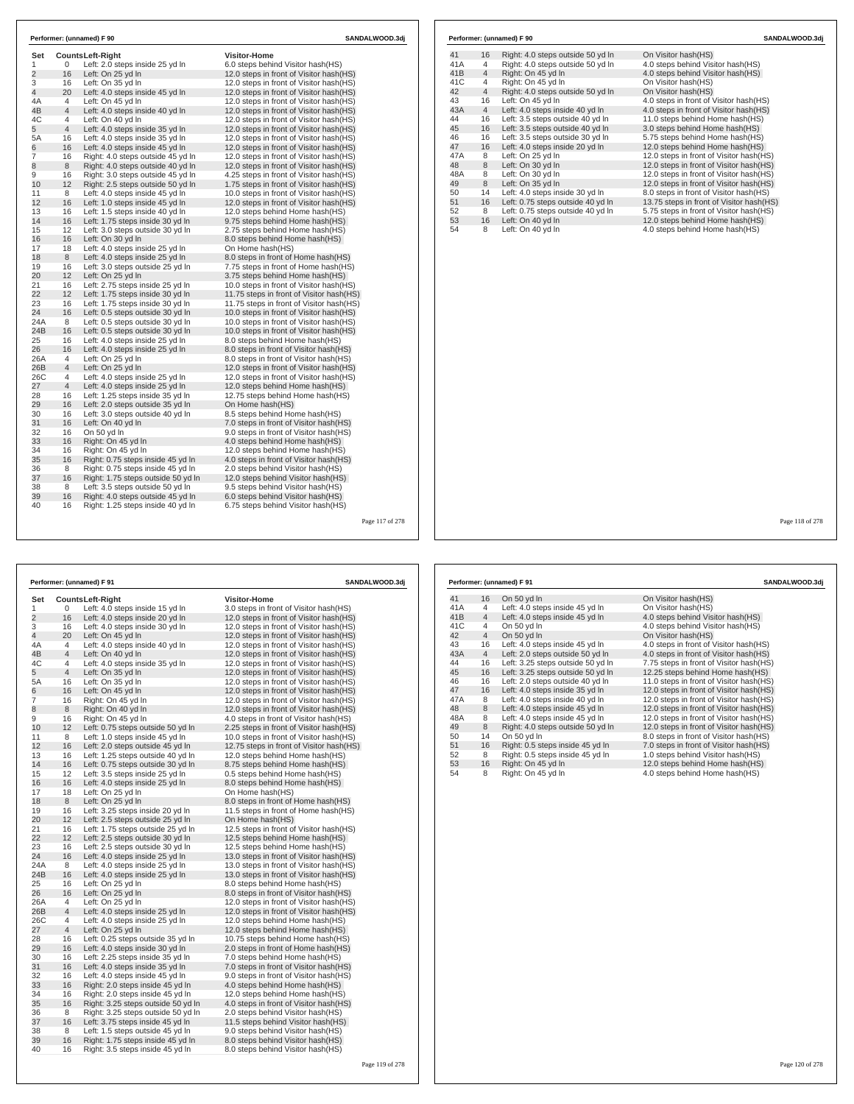| Set            |                | Counts Left-Right                                                      | <b>Visitor-Home</b>                                                      |  |
|----------------|----------------|------------------------------------------------------------------------|--------------------------------------------------------------------------|--|
| 1              | 0              | Left: 2.0 steps inside 25 yd In                                        | 6.0 steps behind Visitor hash(HS)                                        |  |
| $\overline{2}$ | 16             | Left: On 25 yd In                                                      | 12.0 steps in front of Visitor hash (HS)                                 |  |
| 3              | 16             | Left: On 35 yd In                                                      | 12.0 steps in front of Visitor hash (HS)                                 |  |
| $\overline{4}$ | 20             | Left: 4.0 steps inside 45 yd In                                        | 12.0 steps in front of Visitor hash (HS)                                 |  |
| 4A             | 4              | Left: On 45 yd In                                                      | 12.0 steps in front of Visitor hash (HS)                                 |  |
| 4B             | 4              | Left: 4.0 steps inside 40 yd In                                        | 12.0 steps in front of Visitor hash (HS)                                 |  |
| 4C             | 4              | Left: On 40 yd In                                                      | 12.0 steps in front of Visitor hash (HS)                                 |  |
| 5              | $\overline{4}$ | Left: 4.0 steps inside 35 yd In                                        | 12.0 steps in front of Visitor hash (HS)                                 |  |
| 5A             | 16             | Left: 4.0 steps inside 35 yd In                                        | 12.0 steps in front of Visitor hash(HS)                                  |  |
| 6              | 16             | Left: 4.0 steps inside 45 yd In                                        | 12.0 steps in front of Visitor hash (HS)                                 |  |
| $\overline{7}$ | 16             | Right: 4.0 steps outside 45 yd In                                      | 12.0 steps in front of Visitor hash (HS)                                 |  |
| 8              | 8              | Right: 4.0 steps outside 40 yd In                                      | 12.0 steps in front of Visitor hash (HS)                                 |  |
| 9              | 16             | Right: 3.0 steps outside 45 yd In                                      | 4.25 steps in front of Visitor hash(HS)                                  |  |
| 10             | 12             | Right: 2.5 steps outside 50 yd In                                      | 1.75 steps in front of Visitor hash (HS)                                 |  |
| 11             | 8              | Left: 4.0 steps inside 45 yd In                                        | 10.0 steps in front of Visitor hash(HS)                                  |  |
| 12             | 16             | Left: 1.0 steps inside 45 yd In                                        | 12.0 steps in front of Visitor hash (HS)                                 |  |
| 13             | 16             | Left: 1.5 steps inside 40 yd In                                        | 12.0 steps behind Home hash(HS)                                          |  |
| 14             | 16             | Left: 1.75 steps inside 30 yd In                                       | 9.75 steps behind Home hash(HS)                                          |  |
| 15             | 12             | Left: 3.0 steps outside 30 yd In                                       | 2.75 steps behind Home hash(HS)                                          |  |
| 16             | 16             | Left: On 30 yd In                                                      | 8.0 steps behind Home hash(HS)                                           |  |
| 17             | 18             | Left: 4.0 steps inside 25 vd In                                        | On Home hash(HS)                                                         |  |
| 18             | 8              | Left: 4.0 steps inside 25 yd In                                        | 8.0 steps in front of Home hash(HS)                                      |  |
| 19             | 16             | Left: 3.0 steps outside 25 yd In                                       | 7.75 steps in front of Home hash(HS)                                     |  |
| 20             | 12             | Left: On 25 yd In                                                      | 3.75 steps behind Home hash(HS)                                          |  |
| 21             | 16             | Left: 2.75 steps inside 25 yd In                                       | 10.0 steps in front of Visitor hash(HS)                                  |  |
| 22             | 12             | Left: 1.75 steps inside 30 yd In                                       | 11.75 steps in front of Visitor hash(HS)                                 |  |
| 23             | 16             | Left: 1.75 steps inside 30 yd In                                       | 11.75 steps in front of Visitor hash(HS)                                 |  |
| 24             | 16             | Left: 0.5 steps outside 30 yd In                                       | 10.0 steps in front of Visitor hash (HS)                                 |  |
| 24A            | 8              | Left: 0.5 steps outside 30 yd In                                       | 10.0 steps in front of Visitor hash(HS)                                  |  |
| 24B            | 16             | Left: 0.5 steps outside 30 yd In                                       | 10.0 steps in front of Visitor hash(HS)                                  |  |
| 25             | 16             | Left: 4.0 steps inside 25 yd In                                        | 8.0 steps behind Home hash(HS)                                           |  |
| 26             | 16             | Left: 4.0 steps inside 25 yd In                                        | 8.0 steps in front of Visitor hash(HS)                                   |  |
| 26A            | 4              | Left: On 25 yd In                                                      | 8.0 steps in front of Visitor hash(HS)                                   |  |
| 26B            | 4              | Left: On 25 yd In                                                      | 12.0 steps in front of Visitor hash(HS)                                  |  |
| 26C            | 4              | Left: 4.0 steps inside 25 yd In                                        | 12.0 steps in front of Visitor hash (HS)                                 |  |
| 27             | $\overline{4}$ | Left: 4.0 steps inside 25 yd In                                        | 12.0 steps behind Home hash(HS)                                          |  |
| 28             | 16             | Left: 1.25 steps inside 35 yd In                                       | 12.75 steps behind Home hash(HS)                                         |  |
| 29             | 16             | Left: 2.0 steps outside 35 yd In                                       | On Home hash(HS)                                                         |  |
| 30             | 16             | Left: 3.0 steps outside 40 yd In                                       | 8.5 steps behind Home hash(HS)                                           |  |
| 31             | 16             | Left: On 40 vd In                                                      | 7.0 steps in front of Visitor hash(HS)                                   |  |
| 32             | 16             | On 50 yd In                                                            | 9.0 steps in front of Visitor hash(HS)                                   |  |
| 33<br>34       | 16<br>16       | Right: On 45 vd In                                                     | 4.0 steps behind Home hash (HS)                                          |  |
|                |                | Right: On 45 yd In                                                     | 12.0 steps behind Home hash(HS)                                          |  |
| 35             | 16             | Right: 0.75 steps inside 45 yd In                                      | 4.0 steps in front of Visitor hash(HS)                                   |  |
| 36             | 8              | Right: 0.75 steps inside 45 yd In                                      | 2.0 steps behind Visitor hash(HS)                                        |  |
| 37             | 16             | Right: 1.75 steps outside 50 yd In<br>Left: 3.5 steps outside 50 vd In | 12.0 steps behind Visitor hash(HS)<br>9.5 steps behind Visitor hash (HS) |  |
| 38             | 8<br>16        |                                                                        |                                                                          |  |
| 39<br>40       | 16             | Right: 4.0 steps outside 45 yd In<br>Right: 1.25 steps inside 40 yd In | 6.0 steps behind Visitor hash(HS)<br>6.75 steps behind Visitor hash(HS)  |  |

|                |                     | Performer: (unnamed) F 91                                           | SANDALWOOD.3dj                                                           |  |
|----------------|---------------------|---------------------------------------------------------------------|--------------------------------------------------------------------------|--|
| Set            |                     | <b>CountsLeft-Right</b>                                             | <b>Visitor-Home</b>                                                      |  |
| 1              | 0                   | Left: 4.0 steps inside 15 yd In                                     | 3.0 steps in front of Visitor hash (HS)                                  |  |
| 2              | 16                  | Left: 4.0 steps inside 20 yd In                                     | 12.0 steps in front of Visitor hash(HS)                                  |  |
| 3              | 16                  | Left: 4.0 steps inside 30 yd In                                     | 12.0 steps in front of Visitor hash (HS)                                 |  |
| 4              | 20                  | Left: On 45 yd In                                                   | 12.0 steps in front of Visitor hash (HS)                                 |  |
| 4Α             | 4                   | Left: 4.0 steps inside 40 yd In                                     | 12.0 steps in front of Visitor hash (HS)                                 |  |
| 4B             | $\overline{4}$      | Left: On 40 yd In                                                   | 12.0 steps in front of Visitor hash (HS)                                 |  |
| 4C             | 4                   | Left: 4.0 steps inside 35 yd In                                     | 12.0 steps in front of Visitor hash (HS)                                 |  |
| 5              | 4                   | Left: On 35 yd In                                                   | 12.0 steps in front of Visitor hash(HS)                                  |  |
| 5A             | 16                  | Left: On 35 yd In                                                   | 12.0 steps in front of Visitor hash(HS)                                  |  |
| 6              | 16                  | Left: On 45 yd In                                                   | 12.0 steps in front of Visitor hash (HS)                                 |  |
| $\overline{7}$ | 16                  | Right: On 45 yd In                                                  | 12.0 steps in front of Visitor hash(HS)                                  |  |
| 8              | 8                   | Right: On 40 yd In                                                  | 12.0 steps in front of Visitor hash (HS)                                 |  |
| 9              | 16                  | Right: On 45 yd In                                                  | 4.0 steps in front of Visitor hash(HS)                                   |  |
| 10             | 12 <sup>2</sup>     | Left: 0.75 steps outside 50 yd In                                   | 2.25 steps in front of Visitor hash (HS)                                 |  |
| 11             | 8                   | Left: 1.0 steps inside 45 yd In                                     | 10.0 steps in front of Visitor hash(HS)                                  |  |
| 12             | 16                  | Left: 2.0 steps outside 45 yd In                                    | 12.75 steps in front of Visitor hash (HS)                                |  |
| 13             | 16                  | Left: 1.25 steps outside 40 yd In                                   | 12.0 steps behind Home hash(HS)                                          |  |
| 14             | 16                  | Left: 0.75 steps outside 30 yd In                                   | 8.75 steps behind Home hash(HS)                                          |  |
| 15             | 12                  | Left: 3.5 steps inside 25 vd In                                     | 0.5 steps behind Home hash (HS)                                          |  |
| 16             | 16                  | Left: 4.0 steps inside 25 yd In                                     | 8.0 steps behind Home hash(HS)                                           |  |
| 17             | 18                  | Left: On 25 yd In                                                   | On Home hash(HS)                                                         |  |
| 18             | 8                   | Left: On 25 yd In                                                   | 8.0 steps in front of Home hash(HS)                                      |  |
| 19             | 16                  | Left: 3.25 steps inside 20 yd In                                    | 11.5 steps in front of Home hash(HS)                                     |  |
| 20             | 12                  | Left: 2.5 steps outside 25 yd In                                    | On Home hash(HS)                                                         |  |
| 21             | 16                  | Left: 1.75 steps outside 25 yd In                                   | 12.5 steps in front of Visitor hash(HS)                                  |  |
| 22             | 12                  | Left: 2.5 steps outside 30 yd In                                    | 12.5 steps behind Home hash(HS)                                          |  |
| 23             | 16                  | Left: 2.5 steps outside 30 yd In                                    | 12.5 steps behind Home hash(HS)                                          |  |
| 24             | 16                  | Left: 4.0 steps inside 25 yd In                                     | 13.0 steps in front of Visitor hash (HS)                                 |  |
| 24A            | 8                   | Left: 4.0 steps inside 25 yd In                                     | 13.0 steps in front of Visitor hash(HS)                                  |  |
| 24B            | 16                  | Left: 4.0 steps inside 25 yd In                                     | 13.0 steps in front of Visitor hash (HS)                                 |  |
| 25             | 16                  | Left: On 25 yd In                                                   | 8.0 steps behind Home hash(HS)                                           |  |
| 26             | 16                  | Left: On 25 yd In                                                   | 8.0 steps in front of Visitor hash (HS)                                  |  |
| 26A            | 4                   | Left: On 25 yd In                                                   | 12.0 steps in front of Visitor hash(HS)                                  |  |
| 26B            | 4                   | Left: 4.0 steps inside 25 yd In                                     | 12.0 steps in front of Visitor hash (HS)                                 |  |
| 26C            | 4<br>$\overline{4}$ | Left: 4.0 steps inside 25 yd In                                     | 12.0 steps behind Home hash(HS)                                          |  |
| 27             | 16                  | Left: On 25 yd In                                                   | 12.0 steps behind Home hash(HS)<br>10.75 steps behind Home hash(HS)      |  |
| 28<br>29       | 16                  | Left: 0.25 steps outside 35 yd In                                   |                                                                          |  |
| 30             | 16                  | Left: 4.0 steps inside 30 yd In<br>Left: 2.25 steps inside 35 yd In | 2.0 steps in front of Home hash(HS)                                      |  |
| 31             | 16                  | Left: 4.0 steps inside 35 yd In                                     | 7.0 steps behind Home hash(HS)<br>7.0 steps in front of Visitor hash(HS) |  |
| 32             | 16                  | Left: 4.0 steps inside 45 yd In                                     | 9.0 steps in front of Visitor hash(HS)                                   |  |
| 33             | 16                  | Right: 2.0 steps inside 45 yd In                                    | 4.0 steps behind Home hash (HS)                                          |  |
| 34             | 16                  | Right: 2.0 steps inside 45 yd In                                    | 12.0 steps behind Home hash(HS)                                          |  |
| 35             | 16                  | Right: 3.25 steps outside 50 yd In                                  | 4.0 steps in front of Visitor hash (HS)                                  |  |
| 36             | 8                   | Right: 3.25 steps outside 50 yd In                                  | 2.0 steps behind Visitor hash (HS)                                       |  |
| 37             | 16                  | Left: 3.75 steps inside 45 yd In                                    | 11.5 steps behind Visitor hash(HS)                                       |  |
| 38             | 8                   | Left: 1.5 steps outside 45 yd In                                    | 9.0 steps behind Visitor hash (HS)                                       |  |
| 39             | 16                  | Right: 1.75 steps inside 45 yd In                                   | 8.0 steps behind Visitor hash (HS)                                       |  |
| 40             | 16                  | Right: 3.5 steps inside 45 yd In                                    | 8.0 steps behind Visitor hash (HS)                                       |  |
|                |                     |                                                                     |                                                                          |  |

### **Performer: (unnamed) F 90 SANDALWOOD.3dj**

| 41  | 16             | Right: 4.0 steps outside 50 yd In | On Visitor hash(HS)                      |
|-----|----------------|-----------------------------------|------------------------------------------|
| 41A | 4              | Right: 4.0 steps outside 50 yd In | 4.0 steps behind Visitor hash(HS)        |
| 41B | 4              | Right: On 45 vd In                | 4.0 steps behind Visitor hash(HS)        |
| 41C | 4              | Right: On 45 yd In                | On Visitor hash(HS)                      |
| 42  | $\overline{4}$ | Right: 4.0 steps outside 50 yd In | On Visitor hash(HS)                      |
| 43  | 16             | Left: On 45 yd In                 | 4.0 steps in front of Visitor hash(HS)   |
| 43A | $\overline{4}$ | Left: 4.0 steps inside 40 yd In   | 4.0 steps in front of Visitor hash(HS)   |
| 44  | 16             | Left: 3.5 steps outside 40 vd In  | 11.0 steps behind Home hash(HS)          |
| 45  | 16             | Left: 3.5 steps outside 40 yd In  | 3.0 steps behind Home hash (HS)          |
| 46  | 16             | Left: 3.5 steps outside 30 yd In  | 5.75 steps behind Home hash(HS)          |
| 47  | 16             | Left: 4.0 steps inside 20 yd In   | 12.0 steps behind Home hash(HS)          |
| 47A | 8              | Left: On 25 vd In                 | 12.0 steps in front of Visitor hash(HS)  |
| 48  | 8              | Left: On 30 yd In                 | 12.0 steps in front of Visitor hash(HS)  |
| 48A | 8              | Left: On 30 vd In                 | 12.0 steps in front of Visitor hash(HS)  |
| 49  | 8              | Left: On 35 yd In                 | 12.0 steps in front of Visitor hash(HS)  |
| 50  | 14             | Left: 4.0 steps inside 30 yd In   | 8.0 steps in front of Visitor hash (HS)  |
| 51  | 16             | Left: 0.75 steps outside 40 yd In | 13.75 steps in front of Visitor hash(HS) |
| 52  | 8              | Left: 0.75 steps outside 40 yd In | 5.75 steps in front of Visitor hash (HS) |
| 53  | 16             | Left: On 40 yd In                 | 12.0 steps behind Home hash(HS)          |
| 54  | 8              | Left: On 40 yd In                 | 4.0 steps behind Home hash(HS)           |

Page 117 of 278

|     |                | Performer: (unnamed) F 91         | SANDALWOOD.3dj                           |
|-----|----------------|-----------------------------------|------------------------------------------|
| 41  | 16             | On 50 yd In                       | On Visitor hash(HS)                      |
| 41A | 4              | Left: 4.0 steps inside 45 yd In   | On Visitor hash(HS)                      |
| 41B | $\overline{4}$ | Left: 4.0 steps inside 45 yd In   | 4.0 steps behind Visitor hash(HS)        |
| 41C | 4              | On 50 vd In                       | 4.0 steps behind Visitor hash(HS)        |
| 42  | $\overline{4}$ | On 50 yd In                       | On Visitor hash(HS)                      |
| 43  | 16             | Left: 4.0 steps inside 45 yd In   | 4.0 steps in front of Visitor hash(HS)   |
| 43A | $\overline{4}$ | Left: 2.0 steps outside 50 yd In  | 4.0 steps in front of Visitor hash(HS)   |
| 44  | 16             | Left: 3.25 steps outside 50 yd In | 7.75 steps in front of Visitor hash(HS)  |
| 45  | 16             | Left: 3.25 steps outside 50 yd In | 12.25 steps behind Home hash(HS)         |
| 46  | 16             | Left: 2.0 steps outside 40 yd In  | 11.0 steps in front of Visitor hash(HS)  |
| 47  | 16             | Left: 4.0 steps inside 35 yd In   | 12.0 steps in front of Visitor hash(HS)  |
| 47A | 8              | Left: 4.0 steps inside 40 yd In   | 12.0 steps in front of Visitor hash(HS)  |
| 48  | 8              | Left: 4.0 steps inside 45 yd In   | 12.0 steps in front of Visitor hash (HS) |
| 48A | 8              | Left: 4.0 steps inside 45 yd In   | 12.0 steps in front of Visitor hash(HS)  |
| 49  | 8              | Right: 4.0 steps outside 50 yd In | 12.0 steps in front of Visitor hash(HS)  |
| 50  | 14             | On 50 yd In                       | 8.0 steps in front of Visitor hash(HS)   |
| 51  | 16             | Right: 0.5 steps inside 45 yd In  | 7.0 steps in front of Visitor hash(HS)   |
| 52  | 8              | Right: 0.5 steps inside 45 yd In  | 1.0 steps behind Visitor hash(HS)        |
| 53  | 16             | Right: On 45 yd In                | 12.0 steps behind Home hash(HS)          |
| 54  | 8              | Right: On 45 yd In                | 4.0 steps behind Home hash(HS)           |

Page 118 of 278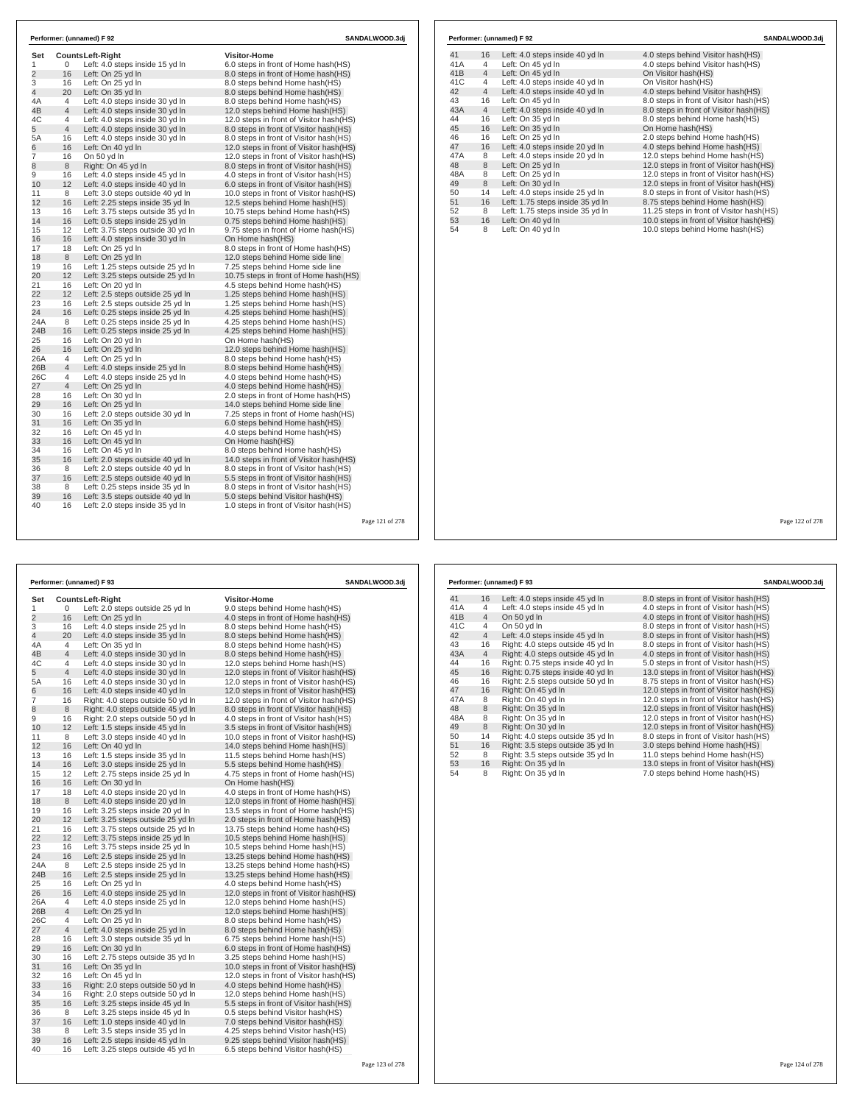| Set            |                       | <b>CountsLeft-Right</b>                                                | <b>Visitor-Home</b>                                                     |  |  |  |
|----------------|-----------------------|------------------------------------------------------------------------|-------------------------------------------------------------------------|--|--|--|
| 1              | 0                     | Left: 4.0 steps inside 15 yd In                                        | 6.0 steps in front of Home hash(HS)                                     |  |  |  |
| $\overline{2}$ | 16                    | Left: On 25 yd In                                                      | 8.0 steps in front of Home hash(HS)                                     |  |  |  |
| 3              | 16                    | Left: On 25 yd In                                                      | 8.0 steps behind Home hash(HS)                                          |  |  |  |
| $\overline{4}$ | 20                    | Left: On 35 yd In                                                      | 8.0 steps behind Home hash(HS)                                          |  |  |  |
| 4A             | $\overline{4}$        | Left: 4.0 steps inside 30 yd In                                        | 8.0 steps behind Home hash(HS)                                          |  |  |  |
| 4B             | $\overline{4}$        | Left: 4.0 steps inside 30 yd In                                        | 12.0 steps behind Home hash(HS)                                         |  |  |  |
| 4C             | 4                     | Left: 4.0 steps inside 30 yd In                                        | 12.0 steps in front of Visitor hash (HS)                                |  |  |  |
| 5              | $\overline{4}$        | Left: 4.0 steps inside 30 yd In                                        | 8.0 steps in front of Visitor hash(HS)                                  |  |  |  |
| 5A             | 16                    | Left: 4.0 steps inside 30 yd In                                        | 8.0 steps in front of Visitor hash(HS)                                  |  |  |  |
| 6              | 16                    | Left: On 40 vd In                                                      | 12.0 steps in front of Visitor hash(HS)                                 |  |  |  |
| 7              | 16                    | On 50 yd In                                                            | 12.0 steps in front of Visitor hash (HS)                                |  |  |  |
| 8<br>9         | 8<br>16               | Right: On 45 yd In                                                     | 8.0 steps in front of Visitor hash(HS)                                  |  |  |  |
|                |                       | Left: 4.0 steps inside 45 yd In                                        | 4.0 steps in front of Visitor hash(HS)                                  |  |  |  |
| 10             | 12                    | Left: 4.0 steps inside 40 yd In                                        | 6.0 steps in front of Visitor hash(HS)                                  |  |  |  |
| 11<br>12       | 8                     | Left: 3.0 steps outside 40 yd In                                       | 10.0 steps in front of Visitor hash(HS)                                 |  |  |  |
|                | 16                    | Left: 2.25 steps inside 35 yd In                                       | 12.5 steps behind Home hash(HS)                                         |  |  |  |
| 13<br>14       | 16                    | Left: 3.75 steps outside 35 vd In                                      | 10.75 steps behind Home hash (HS)                                       |  |  |  |
|                | 16<br>12              | Left: 0.5 steps inside 25 yd In                                        | 0.75 steps behind Home hash(HS)                                         |  |  |  |
| 15             |                       | Left: 3.75 steps outside 30 vd In                                      | 9.75 steps in front of Home hash(HS)                                    |  |  |  |
| 16<br>17       | 16<br>18              | Left: 4.0 steps inside 30 yd In                                        | On Home hash(HS)                                                        |  |  |  |
| 18             | 8                     | Left: On 25 yd In                                                      | 8.0 steps in front of Home hash(HS)                                     |  |  |  |
|                |                       | Left: On 25 yd In                                                      | 12.0 steps behind Home side line                                        |  |  |  |
| 19<br>20       | 16<br>12 <sup>2</sup> | Left: 1.25 steps outside 25 yd In<br>Left: 3.25 steps outside 25 yd In | 7.25 steps behind Home side line                                        |  |  |  |
| 21             | 16                    | Left: On 20 yd In                                                      | 10.75 steps in front of Home hash(HS)<br>4.5 steps behind Home hash(HS) |  |  |  |
| 22             | 12 <sup>2</sup>       | Left: 2.5 steps outside 25 yd In                                       | 1.25 steps behind Home hash(HS)                                         |  |  |  |
| 23             | 16                    | Left: 2.5 steps outside 25 yd In                                       |                                                                         |  |  |  |
| 24             | 16                    | Left: 0.25 steps inside 25 yd In                                       | 1.25 steps behind Home hash(HS)<br>4.25 steps behind Home hash(HS)      |  |  |  |
| 24A            | 8                     | Left: 0.25 steps inside 25 yd In                                       | 4.25 steps behind Home hash(HS)                                         |  |  |  |
| 24B            | 16                    | Left: 0.25 steps inside 25 yd In                                       | 4.25 steps behind Home hash(HS)                                         |  |  |  |
| 25             | 16                    | Left: On 20 yd In                                                      | On Home hash(HS)                                                        |  |  |  |
| 26             | 16                    | Left: On 25 yd In                                                      | 12.0 steps behind Home hash(HS)                                         |  |  |  |
| 26A            | $\overline{4}$        | Left: On 25 vd In                                                      | 8.0 steps behind Home hash(HS)                                          |  |  |  |
| 26B            | $\overline{4}$        | Left: 4.0 steps inside 25 yd In                                        | 8.0 steps behind Home hash(HS)                                          |  |  |  |
| 26C            | 4                     | Left: 4.0 steps inside 25 yd In                                        | 4.0 steps behind Home hash(HS)                                          |  |  |  |
| 27             | $\overline{4}$        | Left: On 25 yd In                                                      | 4.0 steps behind Home hash(HS)                                          |  |  |  |
| 28             | 16                    | Left: On 30 yd In                                                      | 2.0 steps in front of Home hash(HS)                                     |  |  |  |
| 29             | 16                    | Left: On 25 yd In                                                      | 14.0 steps behind Home side line                                        |  |  |  |
| 30             | 16                    | Left: 2.0 steps outside 30 yd In                                       | 7.25 steps in front of Home hash(HS)                                    |  |  |  |
| 31             | 16                    | Left: On 35 yd In                                                      | 6.0 steps behind Home hash(HS)                                          |  |  |  |
| 32             | 16                    | Left: On 45 yd In                                                      | 4.0 steps behind Home hash(HS)                                          |  |  |  |
| 33             | 16                    | Left: On 45 vd In                                                      | On Home hash(HS)                                                        |  |  |  |
| 34             | 16                    | Left: On 45 yd In                                                      | 8.0 steps behind Home hash(HS)                                          |  |  |  |
| 35             | 16                    | Left: 2.0 steps outside 40 yd In                                       | 14.0 steps in front of Visitor hash(HS)                                 |  |  |  |
| 36             | 8                     | Left: 2.0 steps outside 40 yd In                                       | 8.0 steps in front of Visitor hash(HS)                                  |  |  |  |
| 37             | 16                    | Left: 2.5 steps outside 40 yd In                                       | 5.5 steps in front of Visitor hash(HS)                                  |  |  |  |
| 38             | 8                     | Left: 0.25 steps inside 35 yd In                                       | 8.0 steps in front of Visitor hash(HS)                                  |  |  |  |
| 39             | 16                    | Left: 3.5 steps outside 40 yd In                                       | 5.0 steps behind Visitor hash(HS)                                       |  |  |  |
|                | 16                    | Left: 2.0 steps inside 35 yd In                                        | 1.0 steps in front of Visitor hash(HS)                                  |  |  |  |

|     |                | Performer: (unnamed) F 92        | SANDALWOOD.3di                           |  |
|-----|----------------|----------------------------------|------------------------------------------|--|
| 41  | 16             | Left: 4.0 steps inside 40 yd In  | 4.0 steps behind Visitor hash (HS)       |  |
| 41A | 4              | Left: On 45 yd In                | 4.0 steps behind Visitor hash(HS)        |  |
| 41B | $\overline{4}$ | Left: On 45 yd In                | On Visitor hash(HS)                      |  |
| 41C | 4              | Left: 4.0 steps inside 40 yd In  | On Visitor hash(HS)                      |  |
| 42  | $\overline{4}$ | Left: 4.0 steps inside 40 yd In  | 4.0 steps behind Visitor hash(HS)        |  |
| 43  | 16             | Left: On 45 yd In                | 8.0 steps in front of Visitor hash(HS)   |  |
| 43A | $\overline{4}$ | Left: 4.0 steps inside 40 yd In  | 8.0 steps in front of Visitor hash(HS)   |  |
| 44  | 16             | Left: On 35 yd In                | 8.0 steps behind Home hash(HS)           |  |
| 45  | 16             | Left: On 35 yd In                | On Home hash(HS)                         |  |
| 46  | 16             | Left: On 25 vd In                | 2.0 steps behind Home hash(HS)           |  |
| 47  | 16             | Left: 4.0 steps inside 20 yd In  | 4.0 steps behind Home hash(HS)           |  |
| 47A | 8              | Left: 4.0 steps inside 20 yd In  | 12.0 steps behind Home hash(HS)          |  |
| 48  | 8              | Left: On 25 yd In                | 12.0 steps in front of Visitor hash(HS)  |  |
| 48A | 8              | Left: On 25 yd In                | 12.0 steps in front of Visitor hash(HS)  |  |
| 49  | 8              | Left: On 30 yd In                | 12.0 steps in front of Visitor hash(HS)  |  |
| 50  | 14             | Left: 4.0 steps inside 25 yd In  | 8.0 steps in front of Visitor hash(HS)   |  |
| 51  | 16             | Left: 1.75 steps inside 35 yd In | 8.75 steps behind Home hash(HS)          |  |
| 52  | 8              | Left: 1.75 steps inside 35 yd In | 11.25 steps in front of Visitor hash(HS) |  |
| 53  | 16             | Left: On 40 yd In                | 10.0 steps in front of Visitor hash(HS)  |  |
| 54  | 8              | Left: On 40 yd In                | 10.0 steps behind Home hash(HS)          |  |

Page 121 of 278

|                |                | Performer: (unnamed) F 93         | SANDALWOOD.3dj                           |  |  |
|----------------|----------------|-----------------------------------|------------------------------------------|--|--|
| Set            |                | <b>CountsLeft-Right</b>           | Visitor-Home                             |  |  |
| 1              | 0              | Left: 2.0 steps outside 25 yd In  | 9.0 steps behind Home hash(HS)           |  |  |
| $\overline{2}$ | 16             | Left: On 25 yd In                 | 4.0 steps in front of Home hash(HS)      |  |  |
| 3              | 16             | Left: 4.0 steps inside 25 yd In   | 8.0 steps behind Home hash(HS)           |  |  |
| 4              | 20             | Left: 4.0 steps inside 35 yd In   | 8.0 steps behind Home hash(HS)           |  |  |
| 4A             | 4              | Left: On 35 yd In                 | 8.0 steps behind Home hash(HS)           |  |  |
| 4B             | $\overline{4}$ | Left: 4.0 steps inside 30 yd In   | 8.0 steps behind Home hash(HS)           |  |  |
| 4C             | 4              | Left: 4.0 steps inside 30 yd In   | 12.0 steps behind Home hash(HS)          |  |  |
| 5              | 4              | Left: 4.0 steps inside 30 yd In   | 12.0 steps in front of Visitor hash(HS)  |  |  |
| 5A             | 16             | Left: 4.0 steps inside 30 yd In   | 12.0 steps in front of Visitor hash (HS) |  |  |
| 6              | 16             | Left: 4.0 steps inside 40 yd In   | 12.0 steps in front of Visitor hash(HS)  |  |  |
| 7              | 16             | Right: 4.0 steps outside 50 yd In | 12.0 steps in front of Visitor hash (HS) |  |  |
| 8              | 8              | Right: 4.0 steps outside 45 yd In | 8.0 steps in front of Visitor hash(HS)   |  |  |
| 9              | 16             | Right: 2.0 steps outside 50 yd In | 4.0 steps in front of Visitor hash (HS)  |  |  |
| 10             | 12             | Left: 1.5 steps inside 45 yd In   | 3.5 steps in front of Visitor hash(HS)   |  |  |
| 11             | 8              | Left: 3.0 steps inside 40 yd In   | 10.0 steps in front of Visitor hash(HS)  |  |  |
| 12             | 16             | Left: On 40 yd In                 | 14.0 steps behind Home hash(HS)          |  |  |
| 13             | 16             | Left: 1.5 steps inside 35 yd In   | 11.5 steps behind Home hash(HS)          |  |  |
| 14             | 16             | Left: 3.0 steps inside 25 yd In   | 5.5 steps behind Home hash(HS)           |  |  |
| 15             | 12             | Left: 2.75 steps inside 25 yd In  | 4.75 steps in front of Home hash(HS)     |  |  |
| 16             | 16             | Left: On 30 yd In                 | On Home hash(HS)                         |  |  |
| 17             | 18             | Left: 4.0 steps inside 20 yd In   | 4.0 steps in front of Home hash (HS)     |  |  |
| 18             | 8              | Left: 4.0 steps inside 20 yd In   | 12.0 steps in front of Home hash(HS)     |  |  |
| 19             | 16             | Left: 3.25 steps inside 20 yd In  | 13.5 steps in front of Home hash(HS)     |  |  |
| 20             | 12             | Left: 3.25 steps outside 25 yd In | 2.0 steps in front of Home hash(HS)      |  |  |
| 21             | 16             | Left: 3.75 steps outside 25 yd In | 13.75 steps behind Home hash(HS)         |  |  |
| 22             | 12             | Left: 3.75 steps inside 25 yd In  | 10.5 steps behind Home hash(HS)          |  |  |
| 23             | 16             | Left: 3.75 steps inside 25 yd In  | 10.5 steps behind Home hash(HS)          |  |  |
| 24             | 16             | Left: 2.5 steps inside 25 yd In   | 13.25 steps behind Home hash(HS)         |  |  |
| 24A            | 8              | Left: 2.5 steps inside 25 yd In   | 13.25 steps behind Home hash(HS)         |  |  |
| 24B            | 16             | Left: 2.5 steps inside 25 yd In   | 13.25 steps behind Home hash(HS)         |  |  |
| 25             | 16             | Left: On 25 yd In                 | 4.0 steps behind Home hash(HS)           |  |  |
| 26             | 16             | Left: 4.0 steps inside 25 yd In   | 12.0 steps in front of Visitor hash(HS)  |  |  |
| 26A            | $\overline{4}$ | Left: 4.0 steps inside 25 yd In   | 12.0 steps behind Home hash(HS)          |  |  |
| 26B            | $\overline{4}$ | Left: On 25 yd In                 | 12.0 steps behind Home hash(HS)          |  |  |
| 26C            | $\overline{4}$ | Left: On 25 yd In                 | 8.0 steps behind Home hash(HS)           |  |  |
| 27             | $\overline{4}$ | Left: 4.0 steps inside 25 yd In   | 8.0 steps behind Home hash(HS)           |  |  |
| 28             | 16             | Left: 3.0 steps outside 35 yd In  | 6.75 steps behind Home hash(HS)          |  |  |
| 29             | 16             | Left: On 30 yd In                 | 6.0 steps in front of Home hash(HS)      |  |  |
| 30             | 16             | Left: 2.75 steps outside 35 yd In | 3.25 steps behind Home hash(HS)          |  |  |
| 31             | 16             | Left: On 35 yd In                 | 10.0 steps in front of Visitor hash (HS) |  |  |
| 32             | 16             | Left: On 45 yd In                 | 12.0 steps in front of Visitor hash (HS) |  |  |
| 33             | 16             | Right: 2.0 steps outside 50 yd In | 4.0 steps behind Home hash (HS)          |  |  |
| 34             | 16             | Right: 2.0 steps outside 50 yd In | 12.0 steps behind Home hash(HS)          |  |  |
| 35             | 16             | Left: 3.25 steps inside 45 yd In  | 5.5 steps in front of Visitor hash (HS)  |  |  |
| 36             | 8              | Left: 3.25 steps inside 45 yd In  | 0.5 steps behind Visitor hash (HS)       |  |  |
| 37             | 16             | Left: 1.0 steps inside 40 yd In   | 7.0 steps behind Visitor hash(HS)        |  |  |
| 38             | 8              | Left: 3.5 steps inside 35 yd In   | 4.25 steps behind Visitor hash(HS)       |  |  |
| 39             | 16             | Left: 2.5 steps inside 45 yd In   | 9.25 steps behind Visitor hash (HS)      |  |  |
| 40             | 16             | Left: 3.25 steps outside 45 yd In | 6.5 steps behind Visitor hash(HS)        |  |  |

|     |                | Performer: (unnamed) F 93         | SANDALWOOD.3dj                           |  |
|-----|----------------|-----------------------------------|------------------------------------------|--|
| 41  | 16             | Left: 4.0 steps inside 45 yd In   | 8.0 steps in front of Visitor hash(HS)   |  |
| 41A | 4              | Left: 4.0 steps inside 45 yd In   | 4.0 steps in front of Visitor hash (HS)  |  |
| 41B | $\overline{4}$ | On 50 yd In                       | 4.0 steps in front of Visitor hash(HS)   |  |
| 41C | 4              | On 50 yd In                       | 8.0 steps in front of Visitor hash(HS)   |  |
| 42  | $\overline{4}$ | Left: 4.0 steps inside 45 yd In   | 8.0 steps in front of Visitor hash(HS)   |  |
| 43  | 16             | Right: 4.0 steps outside 45 yd In | 8.0 steps in front of Visitor hash(HS)   |  |
| 43A | $\overline{4}$ | Right: 4.0 steps outside 45 yd In | 4.0 steps in front of Visitor hash(HS)   |  |
| 44  | 16             | Right: 0.75 steps inside 40 yd In | 5.0 steps in front of Visitor hash(HS)   |  |
| 45  | 16             | Right: 0.75 steps inside 40 yd In | 13.0 steps in front of Visitor hash(HS)  |  |
| 46  | 16             | Right: 2.5 steps outside 50 yd In | 8.75 steps in front of Visitor hash (HS) |  |
| 47  | 16             | Right: On 45 yd In                | 12.0 steps in front of Visitor hash(HS)  |  |
| 47A | 8              | Right: On 40 vd In                | 12.0 steps in front of Visitor hash(HS)  |  |
| 48  | 8              | Right: On 35 yd In                | 12.0 steps in front of Visitor hash(HS)  |  |
| 48A | 8              | Right: On 35 yd In                | 12.0 steps in front of Visitor hash(HS)  |  |
| 49  | 8              | Right: On 30 vd In                | 12.0 steps in front of Visitor hash(HS)  |  |
| 50  | 14             | Right: 4.0 steps outside 35 yd In | 8.0 steps in front of Visitor hash(HS)   |  |
| 51  | 16             | Right: 3.5 steps outside 35 yd In | 3.0 steps behind Home hash(HS)           |  |
| 52  | 8              | Right: 3.5 steps outside 35 yd In | 11.0 steps behind Home hash(HS)          |  |
| 53  | 16             | Right: On 35 yd In                | 13.0 steps in front of Visitor hash(HS)  |  |
| 54  | 8              | Right: On 35 yd In                | 7.0 steps behind Home hash(HS)           |  |

Page 122 of 278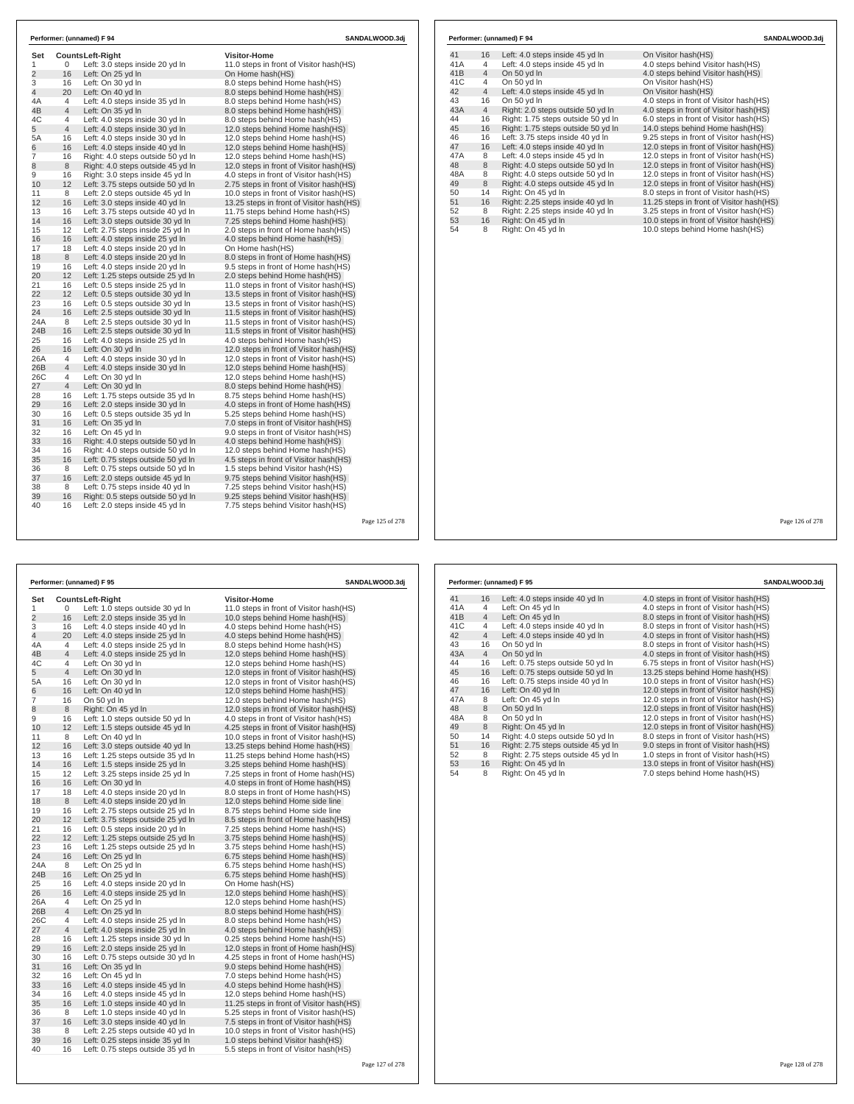| Set            |                | <b>CountsLeft-Right</b>                                               | <b>Visitor-Home</b>                                                       |
|----------------|----------------|-----------------------------------------------------------------------|---------------------------------------------------------------------------|
| $\mathbf{1}$   | 0              | Left: 3.0 steps inside 20 yd In                                       | 11.0 steps in front of Visitor hash(HS)                                   |
| $\overline{2}$ | 16             | Left: On 25 yd In                                                     | On Home hash(HS)                                                          |
| 3              | 16             | Left: On 30 yd In                                                     | 8.0 steps behind Home hash(HS)                                            |
| $\overline{4}$ | 20             | Left: On 40 yd In                                                     | 8.0 steps behind Home hash(HS)                                            |
| 4A             | $\overline{4}$ | Left: 4.0 steps inside 35 yd In                                       | 8.0 steps behind Home hash(HS)                                            |
| 4B             | $\overline{4}$ | Left: On 35 yd In                                                     | 8.0 steps behind Home hash(HS)                                            |
| 4C             | $\overline{4}$ | Left: 4.0 steps inside 30 yd In                                       | 8.0 steps behind Home hash(HS)                                            |
| 5              | 4              | Left: 4.0 steps inside 30 yd In                                       | 12.0 steps behind Home hash(HS)                                           |
| 5A             | 16             | Left: 4.0 steps inside 30 yd In                                       | 12.0 steps behind Home hash(HS)                                           |
| 6              | 16             | Left: 4.0 steps inside 40 yd In                                       | 12.0 steps behind Home hash(HS)                                           |
| 7              | 16             | Right: 4.0 steps outside 50 yd In                                     | 12.0 steps behind Home hash(HS)                                           |
| 8              | 8              | Right: 4.0 steps outside 45 yd In                                     | 12.0 steps in front of Visitor hash (HS)                                  |
| 9              | 16             | Right: 3.0 steps inside 45 yd In                                      | 4.0 steps in front of Visitor hash(HS)                                    |
| 10             | 12             | Left: 3.75 steps outside 50 yd In                                     | 2.75 steps in front of Visitor hash(HS)                                   |
| 11             | 8              | Left: 2.0 steps outside 45 yd In                                      | 10.0 steps in front of Visitor hash (HS)                                  |
| 12             | 16             | Left: 3.0 steps inside 40 yd In                                       | 13.25 steps in front of Visitor hash(HS)                                  |
| 13             | 16             | Left: 3.75 steps outside 40 yd In                                     | 11.75 steps behind Home hash(HS)                                          |
| 14             | 16             | Left: 3.0 steps outside 30 yd In                                      | 7.25 steps behind Home hash(HS)                                           |
| 15             | 12             | Left: 2.75 steps inside 25 yd In                                      | 2.0 steps in front of Home hash(HS)                                       |
| 16             | 16             | Left: 4.0 steps inside 25 yd In                                       | 4.0 steps behind Home hash(HS)                                            |
| 17             | 18             | Left: 4.0 steps inside 20 yd In                                       | On Home hash(HS)                                                          |
| 18             | 8              | Left: 4.0 steps inside 20 yd In                                       | 8.0 steps in front of Home hash(HS)                                       |
| 19             | 16             | Left: 4.0 steps inside 20 yd In                                       | 9.5 steps in front of Home hash(HS)                                       |
| 20             | 12             | Left: 1.25 steps outside 25 yd In                                     | 2.0 steps behind Home hash(HS)                                            |
| 21             | 16             | Left: 0.5 steps inside 25 yd In                                       | 11.0 steps in front of Visitor hash(HS)                                   |
| 22             | 12             | Left: 0.5 steps outside 30 vd In                                      | 13.5 steps in front of Visitor hash (HS)                                  |
| 23             | 16             | Left: 0.5 steps outside 30 yd In                                      | 13.5 steps in front of Visitor hash (HS)                                  |
| 24             | 16             | Left: 2.5 steps outside 30 yd In                                      | 11.5 steps in front of Visitor hash (HS)                                  |
| 24A            | 8              | Left: 2.5 steps outside 30 yd In                                      | 11.5 steps in front of Visitor hash (HS)                                  |
| 24B            | 16             | Left: 2.5 steps outside 30 yd In                                      | 11.5 steps in front of Visitor hash (HS)                                  |
| 25             | 16             | Left: 4.0 steps inside 25 yd In                                       | 4.0 steps behind Home hash(HS)                                            |
| 26             | 16             | Left: On 30 yd In                                                     | 12.0 steps in front of Visitor hash(HS)                                   |
| 26A            | 4              | Left: 4.0 steps inside 30 vd In                                       | 12.0 steps in front of Visitor hash (HS)                                  |
| 26B            | 4              | Left: 4.0 steps inside 30 yd In                                       | 12.0 steps behind Home hash(HS)                                           |
| 26C            | 4              | Left: On 30 vd In                                                     | 12.0 steps behind Home hash (HS)                                          |
| 27             | $\overline{4}$ | Left: On 30 yd In                                                     | 8.0 steps behind Home hash(HS)                                            |
| 28             | 16             | Left: 1.75 steps outside 35 yd In                                     | 8.75 steps behind Home hash(HS)                                           |
| 29             | 16             | Left: 2.0 steps inside 30 yd In                                       | 4.0 steps in front of Home hash(HS)                                       |
| 30<br>31       | 16<br>16       | Left: 0.5 steps outside 35 yd In                                      | 5.25 steps behind Home hash(HS)                                           |
|                |                | Left: On 35 yd In                                                     | 7.0 steps in front of Visitor hash(HS)                                    |
| 32<br>33       | 16<br>16       | Left: On 45 yd In                                                     | 9.0 steps in front of Visitor hash(HS)                                    |
| 34             | 16             | Right: 4.0 steps outside 50 yd In                                     | 4.0 steps behind Home hash(HS)                                            |
|                | 16             | Right: 4.0 steps outside 50 yd In                                     | 12.0 steps behind Home hash(HS)                                           |
| 35             |                | Left: 0.75 steps outside 50 yd In                                     | 4.5 steps in front of Visitor hash(HS)                                    |
| 36<br>37       | 8<br>16        | Left: 0.75 steps outside 50 yd In<br>Left: 2.0 steps outside 45 yd In | 1.5 steps behind Visitor hash(HS)                                         |
|                |                |                                                                       | 9.75 steps behind Visitor hash(HS)                                        |
| 38<br>39       | 8<br>16        | Left: 0.75 steps inside 40 yd In                                      | 7.25 steps behind Visitor hash(HS)                                        |
| 40             | 16             | Right: 0.5 steps outside 50 yd In<br>Left: 2.0 steps inside 45 yd In  | 9.25 steps behind Visitor hash (HS)<br>7.75 steps behind Visitor hash(HS) |

|                |                   | Performer: (unnamed) F 95         | SANDALWOOD.3dj                           |
|----------------|-------------------|-----------------------------------|------------------------------------------|
| Set            | Counts Left-Right |                                   | <b>Visitor-Home</b>                      |
| 1              | 0                 | Left: 1.0 steps outside 30 yd In  | 11.0 steps in front of Visitor hash(HS)  |
| $\overline{2}$ | 16                | Left: 2.0 steps inside 35 yd In   | 10.0 steps behind Home hash(HS)          |
| 3              | 16                | Left: 4.0 steps inside 40 yd In   | 4.0 steps behind Home hash(HS)           |
| 4              | 20                | Left: 4.0 steps inside 25 yd In   | 4.0 steps behind Home hash(HS)           |
| 4A             | 4                 | Left: 4.0 steps inside 25 yd In   | 8.0 steps behind Home hash(HS)           |
| 4B             | 4                 | Left: 4.0 steps inside 25 yd In   | 12.0 steps behind Home hash(HS)          |
| 4C             | 4                 | Left: On 30 yd In                 | 12.0 steps behind Home hash(HS)          |
| 5              | $\overline{4}$    | Left: On 30 yd In                 | 12.0 steps in front of Visitor hash(HS)  |
| 5A             | 16                | Left: On 30 yd In                 | 12.0 steps in front of Visitor hash(HS)  |
| 6              | 16                | Left: On 40 yd In                 | 12.0 steps behind Home hash(HS)          |
| $\overline{7}$ | 16                | On 50 yd In                       | 12.0 steps behind Home hash(HS)          |
| 8              | 8                 | Right: On 45 yd In                | 12.0 steps in front of Visitor hash(HS)  |
| 9              | 16                | Left: 1.0 steps outside 50 yd In  | 4.0 steps in front of Visitor hash(HS)   |
| 10             | 12                | Left: 1.5 steps outside 45 yd In  | 4.25 steps in front of Visitor hash(HS)  |
| 11             | 8                 | Left: On 40 yd In                 | 10.0 steps in front of Visitor hash (HS) |
| 12             | 16                | Left: 3.0 steps outside 40 yd In  | 13.25 steps behind Home hash(HS)         |
| 13             | 16                | Left: 1.25 steps outside 35 yd In | 11.25 steps behind Home hash (HS)        |
| 14             | 16                | Left: 1.5 steps inside 25 yd In   | 3.25 steps behind Home hash (HS)         |
| 15             | 12                | Left: 3.25 steps inside 25 yd In  | 7.25 steps in front of Home hash(HS)     |
| 16             | 16                | Left: On 30 yd In                 | 4.0 steps in front of Home hash(HS)      |
| 17             | 18                | Left: 4.0 steps inside 20 yd In   | 8.0 steps in front of Home hash (HS)     |
| 18             | 8                 | Left: 4.0 steps inside 20 yd In   | 12.0 steps behind Home side line         |
| 19             | 16                | Left: 2.75 steps outside 25 yd In | 8.75 steps behind Home side line         |
| 20             | 12                | Left: 3.75 steps outside 25 yd In | 8.5 steps in front of Home hash(HS)      |
| 21             | 16                | Left: 0.5 steps inside 20 yd In   | 7.25 steps behind Home hash(HS)          |
| 22             | 12                | Left: 1.25 steps outside 25 yd In | 3.75 steps behind Home hash(HS)          |
| 23             | 16                | Left: 1.25 steps outside 25 yd In | 3.75 steps behind Home hash(HS)          |
| 24             | 16                | Left: On 25 yd In                 | 6.75 steps behind Home hash(HS)          |
| 24A            | 8                 | Left: On 25 yd In                 | 6.75 steps behind Home hash(HS)          |
| 24B            | 16                | Left: On 25 yd In                 | 6.75 steps behind Home hash(HS)          |
| 25             | 16                | Left: 4.0 steps inside 20 yd In   | On Home hash(HS)                         |
| 26             | 16                | Left: 4.0 steps inside 25 yd In   | 12.0 steps behind Home hash(HS)          |
| 26A            | 4                 | Left: On 25 yd In                 | 12.0 steps behind Home hash(HS)          |
| 26B            | 4                 | Left: On 25 yd In                 | 8.0 steps behind Home hash(HS)           |
| 26C            | 4                 | Left: 4.0 steps inside 25 yd In   | 8.0 steps behind Home hash(HS)           |
| 27             | $\overline{4}$    | Left: 4.0 steps inside 25 yd In   | 4.0 steps behind Home hash(HS)           |
| 28             | 16                | Left: 1.25 steps inside 30 yd In  | 0.25 steps behind Home hash(HS)          |
| 29             | 16                | Left: 2.0 steps inside 25 yd In   | 12.0 steps in front of Home hash(HS)     |
| 30             | 16                | Left: 0.75 steps outside 30 yd In | 4.25 steps in front of Home hash(HS)     |
| 31             | 16                | Left: On 35 yd In                 | 9.0 steps behind Home hash(HS)           |
| 32             | 16                | Left: On 45 yd In                 | 7.0 steps behind Home hash(HS)           |
| 33             | 16                | Left: 4.0 steps inside 45 yd In   | 4.0 steps behind Home hash(HS)           |
| 34             | 16                | Left: 4.0 steps inside 45 yd In   | 12.0 steps behind Home hash(HS)          |
| 35<br>36       | 16                | Left: 1.0 steps inside 40 yd In   | 11.25 steps in front of Visitor hash(HS) |
| 37             | 8                 | Left: 1.0 steps inside 40 yd In   | 5.25 steps in front of Visitor hash(HS)  |
|                | 16                | Left: 3.0 steps inside 40 yd In   | 7.5 steps in front of Visitor hash(HS)   |
| 38             | 8                 | Left: 2.25 steps outside 40 yd In | 10.0 steps in front of Visitor hash(HS)  |

39 16 Left: 0.25 steps inside 35 yd ln 1.0 steps behind Visitor hash(HS) 40 16 Left: 0.75 steps outside 35 yd ln 5.5 steps in front of Visitor hash(HS)

41 16 Left: 4.0 steps inside 45 yd ln On Visitor hash(HS)<br>41A 4 Left: 4.0 steps inside 45 yd ln 4.0 steps behind Visitor hash(HS) 41A 4 Left: 4.0 steps inside 45 yd ln<br>41B 4 On 50 yd ln 41B 4 On 50 yd ln 4.0 steps behind Visitor hash(HS)<br>41C 4 On 50 yd ln 50 on Visitor hash(HS) 41C 4 On 50 yd ln On Visitor hash(HS) 42 4 Left: 4.0 steps inside 45 yd ln On Visitor hash(HS) 43 16 On 50 yd ln 4.0 steps in front of Visitor hash(HS)<br>43 4 Right: 2.0 steps outside 50 yd ln 4.0 steps in front of Visitor hash(HS) 43A 4 Right: 2.0 steps outside 50 yd ln 4.0 steps in front of Visitor hash (HS)<br>44 16 Right: 1.75 steps outside 50 yd ln 6.0 steps in front of Visitor hash (HS) 44 16 Right: 1.75 steps outside 50 yd ln 6.0 steps in front of Visitor hash(HS) 45 16 Right: 1.75 steps outside 50 yd in 14.0 steps behind Home hash(HS)<br>46 16 Left: 3.75 steps inside 40 yd ln 9.25 steps in front of Visitor hash(HS) 46 16 Left: 3.75 steps inside 40 yd ln 9.25 steps in front of Visitor hash(HS) 47 16 Left: 4.0 steps inside 40 yd ln 12.0 steps in front of Visitor hash(HS) 47A 8 Left: 4.0 steps inside 45 yd In 12.0 steps in front of Visitor hash (HS)<br>48 8 Right: 4.0 steps outside 50 yd In 12.0 steps in front of Visitor hash (HS)<br>48A 8 Right: 4.0 steps outside 50 yd In 12.0 steps in front of 48 8 Right: 4.0 steps outside 50 yd ln 12.0 steps in front of Visitor hash(HS) 48A 8 Right: 4.0 steps outside 50 yd ln 12.0 steps in front of Visitor hash(HS) 49 8 Right: 4.0 steps outside 45 yd in 12.0 steps in front of Visitor hash(HS)<br>50 14 Right: On 45 yd ln 8.0 steps in front of Visitor hash(HS)  $50$  14 Right: On 45 yd ln<br> $51$  16 Right: 2.25 steps inside 40 yd ln 51 16 Right: 2.25 steps inside 40 yd ln 11.25 steps in front of Visitor hash(HS)<br>52 8 Right: 2.25 steps inside 40 yd ln 3.25 steps in front of Visitor hash(HS)<br>54 16 Right: On 45 yd ln 10.0 steps in front of Visitor hash(H 52 8 Right: 2.25 steps inside 40 yd ln 3.25 steps in front of Visitor hash(HS)<br>53 16 Right: On 45 yd ln 10.0 steps in front of Visitor hash(HS)<br>54 8 Right: On 45 yd ln

**Performer: (unnamed) F 94 SANDALWOOD.3dj**

|     |                | Performer: (unnamed) F 95          | SANDALWOOD.3dj                           |
|-----|----------------|------------------------------------|------------------------------------------|
| 41  | 16             | Left: 4.0 steps inside 40 yd In    | 4.0 steps in front of Visitor hash (HS)  |
| 41A | 4              | Left: On 45 yd In                  | 4.0 steps in front of Visitor hash (HS)  |
| 41B | $\overline{4}$ | Left: On 45 yd In                  | 8.0 steps in front of Visitor hash(HS)   |
| 41C | 4              | Left: 4.0 steps inside 40 yd In    | 8.0 steps in front of Visitor hash(HS)   |
| 42  | $\overline{4}$ | Left: 4.0 steps inside 40 yd In    | 4.0 steps in front of Visitor hash(HS)   |
| 43  | 16             | On 50 yd In                        | 8.0 steps in front of Visitor hash(HS)   |
| 43A | $\overline{4}$ | On 50 yd In                        | 4.0 steps in front of Visitor hash (HS)  |
| 44  | 16             | Left: 0.75 steps outside 50 yd In  | 6.75 steps in front of Visitor hash(HS)  |
| 45  | 16             | Left: 0.75 steps outside 50 yd In  | 13.25 steps behind Home hash(HS)         |
| 46  | 16             | Left: 0.75 steps inside 40 yd In   | 10.0 steps in front of Visitor hash(HS)  |
| 47  | 16             | Left: On 40 yd In                  | 12.0 steps in front of Visitor hash (HS) |
| 47A | 8              | Left: On 45 yd In                  | 12.0 steps in front of Visitor hash(HS)  |
| 48  | 8              | On 50 yd In                        | 12.0 steps in front of Visitor hash(HS)  |
| 48A | 8              | On 50 yd In                        | 12.0 steps in front of Visitor hash(HS)  |
| 49  | 8              | Right: On 45 yd In                 | 12.0 steps in front of Visitor hash(HS)  |
| 50  | 14             | Right: 4.0 steps outside 50 yd In  | 8.0 steps in front of Visitor hash (HS)  |
| 51  | 16             | Right: 2.75 steps outside 45 yd In | 9.0 steps in front of Visitor hash(HS)   |
| 52  | 8              | Right: 2.75 steps outside 45 yd In | 1.0 steps in front of Visitor hash(HS)   |
| 53  | 16             | Right: On 45 yd In                 | 13.0 steps in front of Visitor hash(HS)  |
| 54  | 8              | Right: On 45 yd In                 | 7.0 steps behind Home hash (HS)          |

Page 126 of 278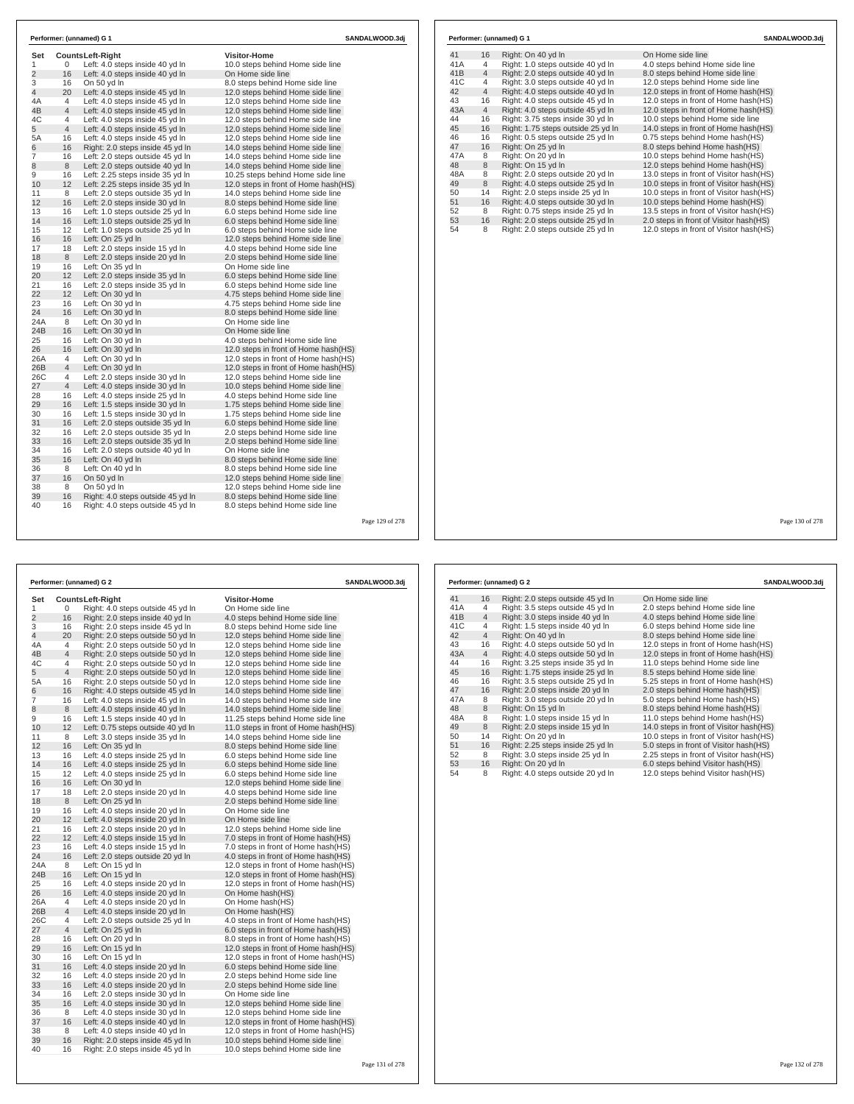| Set                 | <b>CountsLeft-Right</b> |                                   | <b>Visitor-Home</b>                   |
|---------------------|-------------------------|-----------------------------------|---------------------------------------|
| 1                   | 0                       | Left: 4.0 steps inside 40 yd In   | 10.0 steps behind Home side line      |
| $\overline{2}$      | 16                      | Left: 4.0 steps inside 40 yd In   | On Home side line                     |
|                     | 16                      | On 50 yd In                       | 8.0 steps behind Home side line       |
| 3<br>$\overline{4}$ | 20                      | Left: 4.0 steps inside 45 yd In   | 12.0 steps behind Home side line      |
| 4A                  | 4                       | Left: 4.0 steps inside 45 yd In   | 12.0 steps behind Home side line      |
| 4B                  | $\overline{4}$          | Left: 4.0 steps inside 45 yd In   | 12.0 steps behind Home side line      |
| 4C                  | 4                       | Left: 4.0 steps inside 45 yd In   | 12.0 steps behind Home side line      |
| 5                   | $\overline{4}$          | Left: 4.0 steps inside 45 yd In   | 12.0 steps behind Home side line      |
| 5A                  | 16                      | Left: 4.0 steps inside 45 yd In   | 12.0 steps behind Home side line      |
|                     | 16                      | Right: 2.0 steps inside 45 yd In  | 14.0 steps behind Home side line      |
| 6<br>7              | 16                      | Left: 2.0 steps outside 45 yd In  | 14.0 steps behind Home side line      |
| 8                   | 8                       | Left: 2.0 steps outside 40 yd In  | 14.0 steps behind Home side line      |
| 9                   | 16                      | Left: 2.25 steps inside 35 yd In  | 10.25 steps behind Home side line     |
| 10                  | 12                      | Left: 2.25 steps inside 35 yd In  | 12.0 steps in front of Home hash(HS)  |
| 11                  | 8                       | Left: 2.0 steps outside 35 yd In  | 14.0 steps behind Home side line      |
| 12                  | 16                      | Left: 2.0 steps inside 30 yd In   | 8.0 steps behind Home side line       |
| 13                  | 16                      | Left: 1.0 steps outside 25 yd In  | 6.0 steps behind Home side line       |
| 14                  | 16                      | Left: 1.0 steps outside 25 yd In  | 6.0 steps behind Home side line       |
| 15                  | 12                      | Left: 1.0 steps outside 25 yd In  | 6.0 steps behind Home side line       |
| 16                  | 16                      | Left: On 25 yd In                 | 12.0 steps behind Home side line      |
| 17                  | 18                      | Left: 2.0 steps inside 15 yd In   | 4.0 steps behind Home side line       |
| 18                  | 8                       | Left: 2.0 steps inside 20 yd In   | 2.0 steps behind Home side line       |
| 19                  | 16                      | Left: On 35 yd In                 | On Home side line                     |
| 20                  | 12                      | Left: 2.0 steps inside 35 yd In   | 6.0 steps behind Home side line       |
| 21                  | 16                      | Left: 2.0 steps inside 35 yd In   | 6.0 steps behind Home side line       |
| 22                  | 12                      | Left: On 30 yd In                 | 4.75 steps behind Home side line      |
| 23                  | 16                      | Left: On 30 yd In                 | 4.75 steps behind Home side line      |
| 24                  | 16                      | Left: On 30 yd In                 | 8.0 steps behind Home side line       |
| 24A                 | 8                       | Left: On 30 yd In                 | On Home side line                     |
| 24 <sub>B</sub>     | 16                      | Left: On 30 yd In                 | On Home side line                     |
| 25                  | 16                      | Left: On 30 yd In                 | 4.0 steps behind Home side line       |
| 26                  | 16                      | Left: On 30 yd In                 | 12.0 steps in front of Home hash(HS)  |
| 26A                 | $\overline{4}$          | Left: On 30 vd In                 | 12.0 steps in front of Home hash (HS) |
| 26B                 | 4                       | Left: On 30 yd In                 | 12.0 steps in front of Home hash(HS)  |
| 26C                 | 4                       | Left: 2.0 steps inside 30 yd In   | 12.0 steps behind Home side line      |
| 27                  | $\overline{4}$          | Left: 4.0 steps inside 30 yd In   | 10.0 steps behind Home side line      |
| 28                  | 16                      | Left: 4.0 steps inside 25 yd In   | 4.0 steps behind Home side line       |
| 29                  | 16                      | Left: 1.5 steps inside 30 yd In   | 1.75 steps behind Home side line      |
| 30                  | 16                      | Left: 1.5 steps inside 30 yd In   | 1.75 steps behind Home side line      |
| 31                  | 16                      | Left: 2.0 steps outside 35 yd In  | 6.0 steps behind Home side line       |
| 32                  | 16                      | Left: 2.0 steps outside 35 yd In  | 2.0 steps behind Home side line       |
| 33                  | 16                      | Left: 2.0 steps outside 35 yd In  | 2.0 steps behind Home side line       |
| 34                  | 16                      | Left: 2.0 steps outside 40 yd In  | On Home side line                     |
| 35                  | 16                      | Left: On 40 yd In                 | 8.0 steps behind Home side line       |
| 36                  | 8                       | Left: On 40 yd In                 | 8.0 steps behind Home side line       |
| 37                  | 16                      | On 50 yd In                       | 12.0 steps behind Home side line      |
| 38                  | 8                       | On 50 yd In                       | 12.0 steps behind Home side line      |
| 39                  | 16                      | Right: 4.0 steps outside 45 yd In | 8.0 steps behind Home side line       |
| 40                  | 16                      | Right: 4.0 steps outside 45 yd In | 8.0 steps behind Home side line       |

| 41              | 16             | Right: On 40 yd In                 | On Home side line                       |
|-----------------|----------------|------------------------------------|-----------------------------------------|
| 41A             | 4              | Right: 1.0 steps outside 40 yd In  | 4.0 steps behind Home side line         |
| 41 <sub>B</sub> | $\overline{4}$ | Right: 2.0 steps outside 40 yd In  | 8.0 steps behind Home side line         |
| 41C             | 4              | Right: 3.0 steps outside 40 yd In  | 12.0 steps behind Home side line        |
| 42              | $\overline{4}$ | Right: 4.0 steps outside 40 yd In  | 12.0 steps in front of Home hash(HS)    |
| 43              | 16             | Right: 4.0 steps outside 45 yd In  | 12.0 steps in front of Home hash(HS)    |
| 43A             | $\overline{4}$ | Right: 4.0 steps outside 45 yd In  | 12.0 steps in front of Home hash(HS)    |
| 44              | 16             | Right: 3.75 steps inside 30 yd In  | 10.0 steps behind Home side line        |
| 45              | 16             | Right: 1.75 steps outside 25 yd In | 14.0 steps in front of Home hash(HS)    |
| 46              | 16             | Right: 0.5 steps outside 25 yd In  | 0.75 steps behind Home hash(HS)         |
| 47              | 16             | Right: On 25 yd In                 | 8.0 steps behind Home hash(HS)          |
| 47A             | 8              | Right: On 20 yd In                 | 10.0 steps behind Home hash(HS)         |
| 48              | 8              | Right: On 15 yd In                 | 12.0 steps behind Home hash(HS)         |
| 48A             | 8              | Right: 2.0 steps outside 20 yd In  | 13.0 steps in front of Visitor hash(HS) |
| 49              | 8              | Right: 4.0 steps outside 25 yd In  | 10.0 steps in front of Visitor hash(HS) |
| 50              | 14             | Right: 2.0 steps inside 25 yd In   | 10.0 steps in front of Visitor hash(HS) |
| 51              | 16             | Right: 4.0 steps outside 30 yd In  | 10.0 steps behind Home hash(HS)         |
| 52              | 8              | Right: 0.75 steps inside 25 yd In  | 13.5 steps in front of Visitor hash(HS) |
| 53              | 16             | Right: 2.0 steps outside 25 yd In  | 2.0 steps in front of Visitor hash(HS)  |
| 54              | 8              | Right: 2.0 steps outside 25 yd In  | 12.0 steps in front of Visitor hash(HS) |
|                 |                |                                    |                                         |

Page 129 of 278

| Performer: (unnamed) G 2 | SANDALWOOD.3dj |                                   |                                       |
|--------------------------|----------------|-----------------------------------|---------------------------------------|
| Set                      |                | <b>CountsLeft-Right</b>           | <b>Visitor-Home</b>                   |
| 1                        | 0              | Right: 4.0 steps outside 45 yd In | On Home side line                     |
| $\overline{2}$           | 16             | Right: 2.0 steps inside 40 yd In  | 4.0 steps behind Home side line       |
| 3                        | 16             | Right: 2.0 steps inside 45 yd In  | 8.0 steps behind Home side line       |
| 4                        | 20             | Right: 2.0 steps outside 50 yd In | 12.0 steps behind Home side line      |
| 4A                       | 4              | Right: 2.0 steps outside 50 yd In | 12.0 steps behind Home side line      |
| 4B                       | $\overline{4}$ | Right: 2.0 steps outside 50 yd In | 12.0 steps behind Home side line      |
| 4C                       | 4              | Right: 2.0 steps outside 50 yd In | 12.0 steps behind Home side line      |
| 5                        | $\overline{4}$ | Right: 2.0 steps outside 50 yd In | 12.0 steps behind Home side line      |
| 5A                       | 16             | Right: 2.0 steps outside 50 yd In | 12.0 steps behind Home side line      |
| 6                        | 16             | Right: 4.0 steps outside 45 yd In | 14.0 steps behind Home side line      |
| 7                        | 16             | Left: 4.0 steps inside 45 yd In   | 14.0 steps behind Home side line      |
| 8                        | $\,8\,$        | Left: 4.0 steps inside 40 yd In   | 14.0 steps behind Home side line      |
| 9                        | 16             | Left: 1.5 steps inside 40 yd In   | 11.25 steps behind Home side line     |
| 10                       | 12             | Left: 0.75 steps outside 40 yd In | 11.0 steps in front of Home hash(HS)  |
| 11                       | 8              | Left: 3.0 steps inside 35 yd In   | 14.0 steps behind Home side line      |
| 12                       | 16             | Left: On 35 yd In                 | 8.0 steps behind Home side line       |
| 13                       | 16             | Left: 4.0 steps inside 25 yd In   | 6.0 steps behind Home side line       |
| 14                       | 16             | Left: 4.0 steps inside 25 yd In   | 6.0 steps behind Home side line       |
| 15                       | 12             | Left: 4.0 steps inside 25 yd In   | 6.0 steps behind Home side line       |
| 16                       | 16             | Left: On 30 yd In                 | 12.0 steps behind Home side line      |
| 17                       | 18             | Left: 2.0 steps inside 20 yd In   | 4.0 steps behind Home side line       |
| 18                       | 8              | Left: On 25 yd In                 | 2.0 steps behind Home side line       |
| 19                       | 16             | Left: 4.0 steps inside 20 yd In   | On Home side line                     |
| 20                       | 12             | Left: 4.0 steps inside 20 yd In   | On Home side line                     |
| 21                       | 16             | Left: 2.0 steps inside 20 yd In   | 12.0 steps behind Home side line      |
| 22                       | 12             | Left: 4.0 steps inside 15 yd In   | 7.0 steps in front of Home hash(HS)   |
| 23                       | 16             | Left: 4.0 steps inside 15 yd In   | 7.0 steps in front of Home hash(HS)   |
| 24                       | 16             | Left: 2.0 steps outside 20 yd In  | 4.0 steps in front of Home hash(HS)   |
| 24A                      | 8              | Left: On 15 yd In                 | 12.0 steps in front of Home hash(HS)  |
| 24B                      | 16             | Left: On 15 yd In                 | 12.0 steps in front of Home hash(HS)  |
| 25                       | 16             | Left: 4.0 steps inside 20 yd In   | 12.0 steps in front of Home hash(HS)  |
| 26                       | 16             | Left: 4.0 steps inside 20 yd In   | On Home hash(HS)                      |
| 26A                      | 4              | Left: 4.0 steps inside 20 yd In   | On Home hash(HS)                      |
| 26B                      | $\overline{4}$ | Left: 4.0 steps inside 20 yd In   | On Home hash(HS)                      |
| 26C                      | 4              | Left: 2.0 steps outside 25 yd In  | 4.0 steps in front of Home hash(HS)   |
| 27                       | $\overline{4}$ | Left: On 25 yd In                 | 6.0 steps in front of Home hash(HS)   |
| 28                       | 16             | Left: On 20 yd In                 | 8.0 steps in front of Home hash(HS)   |
| 29                       | 16             | Left: On 15 yd In                 | 12.0 steps in front of Home hash(HS)  |
| 30                       | 16             | Left: On 15 yd In                 | 12.0 steps in front of Home hash (HS) |
| 31                       | 16             | Left: 4.0 steps inside 20 yd In   | 6.0 steps behind Home side line       |
| 32                       | 16             | Left: 4.0 steps inside 20 yd In   | 2.0 steps behind Home side line       |
| 33                       | 16             | Left: 4.0 steps inside 20 yd In   | 2.0 steps behind Home side line       |
| 34                       | 16             | Left: 2.0 steps inside 30 yd In   | On Home side line                     |
| 35                       | 16             | Left: 4.0 steps inside 30 yd In   | 12.0 steps behind Home side line      |
| 36                       | 8              | Left: 4.0 steps inside 30 yd In   | 12.0 steps behind Home side line      |
| 37                       | 16             | Left: 4.0 steps inside 40 yd In   | 12.0 steps in front of Home hash(HS)  |
| 38                       | 8              | Left: 4.0 steps inside 40 yd In   | 12.0 steps in front of Home hash(HS)  |
| 39                       | 16             | Right: 2.0 steps inside 45 yd In  | 10.0 steps behind Home side line      |
| 40                       | 16             | Right: 2.0 steps inside 45 yd In  | 10.0 steps behind Home side line      |
|                          |                |                                   |                                       |

|     |                | Performer: (unnamed) G 2          | SANDALWOOD.3di                          |
|-----|----------------|-----------------------------------|-----------------------------------------|
| 41  | 16             | Right: 2.0 steps outside 45 yd In | On Home side line                       |
| 41A | 4              | Right: 3.5 steps outside 45 yd In | 2.0 steps behind Home side line         |
| 41B | $\overline{4}$ | Right: 3.0 steps inside 40 yd In  | 4.0 steps behind Home side line         |
| 41C | 4              | Right: 1.5 steps inside 40 yd In  | 6.0 steps behind Home side line         |
| 42  | $\overline{4}$ | Right: On 40 yd In                | 8.0 steps behind Home side line         |
| 43  | 16             | Right: 4.0 steps outside 50 yd In | 12.0 steps in front of Home hash(HS)    |
| 43A | $\overline{4}$ | Right: 4.0 steps outside 50 yd In | 12.0 steps in front of Home hash(HS)    |
| 44  | 16             | Right: 3.25 steps inside 35 yd In | 11.0 steps behind Home side line        |
| 45  | 16             | Right: 1.75 steps inside 25 yd In | 8.5 steps behind Home side line         |
| 46  | 16             | Right: 3.5 steps outside 25 yd In | 5.25 steps in front of Home hash(HS)    |
| 47  | 16             | Right: 2.0 steps inside 20 yd In  | 2.0 steps behind Home hash(HS)          |
| 47A | 8              | Right: 3.0 steps outside 20 yd In | 5.0 steps behind Home hash(HS)          |
| 48  | 8              | Right: On 15 yd In                | 8.0 steps behind Home hash(HS)          |
| 48A | 8              | Right: 1.0 steps inside 15 yd In  | 11.0 steps behind Home hash(HS)         |
| 49  | 8              | Right: 2.0 steps inside 15 yd In  | 14.0 steps in front of Visitor hash(HS) |
| 50  | 14             | Right: On 20 yd In                | 10.0 steps in front of Visitor hash(HS) |
| 51  | 16             | Right: 2.25 steps inside 25 yd In | 5.0 steps in front of Visitor hash(HS)  |
| 52  | 8              | Right: 3.0 steps inside 25 yd In  | 2.25 steps in front of Visitor hash(HS) |
| 53  | 16             | Right: On 20 yd In                | 6.0 steps behind Visitor hash(HS)       |
| 54  | 8              | Right: 4.0 steps outside 20 yd In | 12.0 steps behind Visitor hash(HS)      |
|     |                |                                   |                                         |

Page 130 of 278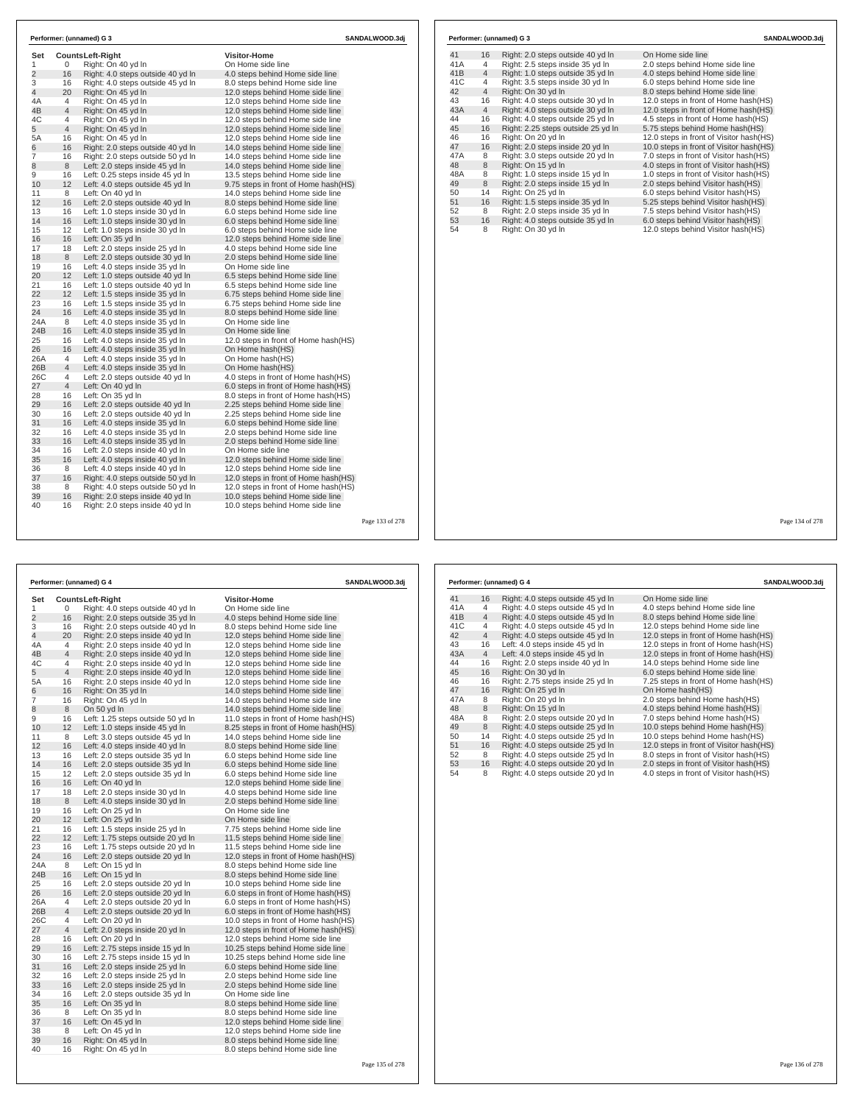| Set            |                     | <b>CountsLeft-Right</b>                                              | <b>Visitor-Home</b>                                                          |  |  |
|----------------|---------------------|----------------------------------------------------------------------|------------------------------------------------------------------------------|--|--|
| 1              | 0                   | Right: On 40 yd In                                                   | On Home side line                                                            |  |  |
| $\overline{2}$ | 16                  | Right: 4.0 steps outside 40 yd In                                    | 4.0 steps behind Home side line                                              |  |  |
| 3              | 16                  | Right: 4.0 steps outside 45 yd In                                    | 8.0 steps behind Home side line                                              |  |  |
| $\overline{4}$ | 20                  | Right: On 45 yd In                                                   | 12.0 steps behind Home side line                                             |  |  |
| 4A             | 4                   | Right: On 45 yd In                                                   | 12.0 steps behind Home side line                                             |  |  |
| 4B             | $\overline{4}$      | Right: On 45 yd In                                                   | 12.0 steps behind Home side line                                             |  |  |
| 4C             | 4                   | Right: On 45 yd In                                                   | 12.0 steps behind Home side line                                             |  |  |
| 5              | $\overline{4}$      | Right: On 45 yd In                                                   | 12.0 steps behind Home side line                                             |  |  |
| 5A             | 16                  | Right: On 45 yd In                                                   | 12.0 steps behind Home side line                                             |  |  |
| 6              | 16                  | Right: 2.0 steps outside 40 yd In                                    | 14.0 steps behind Home side line                                             |  |  |
| $\overline{7}$ | 16                  | Right: 2.0 steps outside 50 yd In                                    | 14.0 steps behind Home side line                                             |  |  |
| 8              | 8                   | Left: 2.0 steps inside 45 yd In                                      | 14.0 steps behind Home side line                                             |  |  |
| 9              | 16                  | Left: 0.25 steps inside 45 yd In                                     | 13.5 steps behind Home side line                                             |  |  |
| 10             | 12                  | Left: 4.0 steps outside 45 yd In                                     | 9.75 steps in front of Home hash (HS)                                        |  |  |
| 11             | 8                   | Left: On 40 yd In                                                    | 14.0 steps behind Home side line                                             |  |  |
| 12             | 16                  | Left: 2.0 steps outside 40 yd In                                     | 8.0 steps behind Home side line                                              |  |  |
| 13             | 16                  | Left: 1.0 steps inside 30 yd In                                      | 6.0 steps behind Home side line                                              |  |  |
| 14             | 16                  | Left: 1.0 steps inside 30 yd In                                      | 6.0 steps behind Home side line                                              |  |  |
| 15             | 12                  | Left: 1.0 steps inside 30 yd In                                      | 6.0 steps behind Home side line                                              |  |  |
| 16             | 16                  | Left: On 35 yd In                                                    | 12.0 steps behind Home side line                                             |  |  |
| 17             | 18                  | Left: 2.0 steps inside 25 vd In                                      | 4.0 steps behind Home side line                                              |  |  |
| 18             | 8                   | Left: 2.0 steps outside 30 yd In                                     | 2.0 steps behind Home side line                                              |  |  |
| 19             | 16                  | Left: 4.0 steps inside 35 yd In                                      | On Home side line                                                            |  |  |
| 20             | 12                  | Left: 1.0 steps outside 40 yd In                                     | 6.5 steps behind Home side line                                              |  |  |
| 21             | 16                  | Left: 1.0 steps outside 40 yd In                                     | 6.5 steps behind Home side line                                              |  |  |
| 22             | 12                  | Left: 1.5 steps inside 35 yd In                                      | 6.75 steps behind Home side line                                             |  |  |
| 23             | 16                  | Left: 1.5 steps inside 35 yd In                                      | 6.75 steps behind Home side line                                             |  |  |
| 24<br>24A      | 16<br>8             | Left: 4.0 steps inside 35 yd In                                      | 8.0 steps behind Home side line<br>On Home side line                         |  |  |
| 24B            | 16                  | Left: 4.0 steps inside 35 yd In                                      | On Home side line                                                            |  |  |
| 25             | 16                  | Left: 4.0 steps inside 35 yd In                                      |                                                                              |  |  |
| 26             | 16                  | Left: 4.0 steps inside 35 yd In                                      | 12.0 steps in front of Home hash(HS)                                         |  |  |
|                |                     | Left: 4.0 steps inside 35 yd In                                      | On Home hash(HS)                                                             |  |  |
| 26A<br>26B     | 4<br>$\overline{4}$ | Left: 4.0 steps inside 35 yd In                                      | On Home hash(HS)<br>On Home hash(HS)                                         |  |  |
| 26C            | 4                   | Left: 4.0 steps inside 35 yd In                                      |                                                                              |  |  |
| 27             | $\overline{4}$      | Left: 2.0 steps outside 40 yd In<br>Left: On 40 yd In                | 4.0 steps in front of Home hash (HS)<br>6.0 steps in front of Home hash(HS)  |  |  |
| 28             | 16                  | Left: On 35 yd In                                                    | 8.0 steps in front of Home hash (HS)                                         |  |  |
| 29             | 16                  | Left: 2.0 steps outside 40 yd In                                     |                                                                              |  |  |
| 30             | 16                  | Left: 2.0 steps outside 40 yd In                                     | 2.25 steps behind Home side line<br>2.25 steps behind Home side line         |  |  |
| 31             | 16                  | Left: 4.0 steps inside 35 yd In                                      | 6.0 steps behind Home side line                                              |  |  |
| 32             | 16                  | Left: 4.0 steps inside 35 yd In                                      | 2.0 steps behind Home side line                                              |  |  |
| 33             | 16                  | Left: 4.0 steps inside 35 yd In                                      | 2.0 steps behind Home side line                                              |  |  |
| 34             | 16                  |                                                                      | On Home side line                                                            |  |  |
| 35             | 16                  | Left: 2.0 steps inside 40 yd In<br>Left: 4.0 steps inside 40 yd In   | 12.0 steps behind Home side line                                             |  |  |
| 36             | 8                   | Left: 4.0 steps inside 40 yd In                                      | 12.0 steps behind Home side line                                             |  |  |
| 37             | 16                  | Right: 4.0 steps outside 50 yd In                                    |                                                                              |  |  |
| 38             | 8                   | Right: 4.0 steps outside 50 vd In                                    | 12.0 steps in front of Home hash(HS)<br>12.0 steps in front of Home hash(HS) |  |  |
| 39             | 16                  |                                                                      |                                                                              |  |  |
| 40             | 16                  | Right: 2.0 steps inside 40 yd In<br>Right: 2.0 steps inside 40 yd In | 10.0 steps behind Home side line<br>10.0 steps behind Home side line         |  |  |

|     |                | Performer: (unnamed) G 3           | SANDALWOOD.3di                          |
|-----|----------------|------------------------------------|-----------------------------------------|
| 41  | 16             | Right: 2.0 steps outside 40 yd In  | On Home side line                       |
| 41A | 4              | Right: 2.5 steps inside 35 yd In   | 2.0 steps behind Home side line         |
| 41B | $\overline{4}$ | Right: 1.0 steps outside 35 yd In  | 4.0 steps behind Home side line         |
| 41C | $\overline{4}$ | Right: 3.5 steps inside 30 yd In   | 6.0 steps behind Home side line         |
| 42  | $\overline{4}$ | Right: On 30 yd In                 | 8.0 steps behind Home side line         |
| 43  | 16             | Right: 4.0 steps outside 30 yd In  | 12.0 steps in front of Home hash(HS)    |
| 43A | $\overline{4}$ | Right: 4.0 steps outside 30 yd In  | 12.0 steps in front of Home hash(HS)    |
| 44  | 16             | Right: 4.0 steps outside 25 yd In  | 4.5 steps in front of Home hash(HS)     |
| 45  | 16             | Right: 2.25 steps outside 25 yd In | 5.75 steps behind Home hash(HS)         |
| 46  | 16             | Right: On 20 yd In                 | 12.0 steps in front of Visitor hash(HS) |
| 47  | 16             | Right: 2.0 steps inside 20 yd In   | 10.0 steps in front of Visitor hash(HS) |
| 47A | 8              | Right: 3.0 steps outside 20 yd In  | 7.0 steps in front of Visitor hash(HS)  |
| 48  | 8              | Right: On 15 yd In                 | 4.0 steps in front of Visitor hash(HS)  |
| 48A | 8              | Right: 1.0 steps inside 15 yd In   | 1.0 steps in front of Visitor hash(HS)  |
| 49  | 8              | Right: 2.0 steps inside 15 yd In   | 2.0 steps behind Visitor hash(HS)       |
| 50  | 14             | Right: On 25 yd In                 | 6.0 steps behind Visitor hash (HS)      |
| 51  | 16             | Right: 1.5 steps inside 35 yd In   | 5.25 steps behind Visitor hash(HS)      |
| 52  | 8              | Right: 2.0 steps inside 35 yd In   | 7.5 steps behind Visitor hash(HS)       |
| 53  | 16             | Right: 4.0 steps outside 35 yd In  | 6.0 steps behind Visitor hash(HS)       |
| 54  | 8              | Right: On 30 yd In                 | 12.0 steps behind Visitor hash(HS)      |
|     |                |                                    |                                         |

78

| Performer: (unnamed) G 4 |                | SANDALWOOD.3dj                    |                                       |  |
|--------------------------|----------------|-----------------------------------|---------------------------------------|--|
| Set                      |                | <b>CountsLeft-Right</b>           | <b>Visitor-Home</b>                   |  |
| 1                        | 0              | Right: 4.0 steps outside 40 yd In | On Home side line                     |  |
| $\overline{2}$           | 16             | Right: 2.0 steps outside 35 yd In | 4.0 steps behind Home side line       |  |
| 3                        | 16             | Right: 2.0 steps outside 40 yd In | 8.0 steps behind Home side line       |  |
| $\overline{4}$           | 20             | Right: 2.0 steps inside 40 yd In  | 12.0 steps behind Home side line      |  |
| 4A                       | 4              | Right: 2.0 steps inside 40 yd In  | 12.0 steps behind Home side line      |  |
| 4B                       | $\overline{4}$ | Right: 2.0 steps inside 40 yd In  | 12.0 steps behind Home side line      |  |
| 4C                       | 4              | Right: 2.0 steps inside 40 yd In  | 12.0 steps behind Home side line      |  |
| 5                        | $\overline{4}$ | Right: 2.0 steps inside 40 yd In  | 12.0 steps behind Home side line      |  |
| 5A                       | 16             | Right: 2.0 steps inside 40 yd In  | 12.0 steps behind Home side line      |  |
| 6                        | 16             | Right: On 35 vd In                | 14.0 steps behind Home side line      |  |
| $\overline{7}$           | 16             | Right: On 45 yd In                | 14.0 steps behind Home side line      |  |
| 8                        | 8              | On 50 yd In                       | 14.0 steps behind Home side line      |  |
| 9                        | 16             | Left: 1.25 steps outside 50 yd In | 11.0 steps in front of Home hash (HS) |  |
| 10                       | 12             | Left: 1.0 steps inside 45 yd In   | 8.25 steps in front of Home hash(HS)  |  |
| 11                       | 8              | Left: 3.0 steps outside 45 yd In  | 14.0 steps behind Home side line      |  |
| 12                       | 16             | Left: 4.0 steps inside 40 yd In   | 8.0 steps behind Home side line       |  |
| 13                       | 16             | Left: 2.0 steps outside 35 yd In  | 6.0 steps behind Home side line       |  |
| 14                       | 16             | Left: 2.0 steps outside 35 yd In  | 6.0 steps behind Home side line       |  |
| 15                       | 12             | Left: 2.0 steps outside 35 yd In  | 6.0 steps behind Home side line       |  |
| 16                       | 16             | Left: On 40 yd In                 | 12.0 steps behind Home side line      |  |
| 17                       | 18             | Left: 2.0 steps inside 30 yd In   | 4.0 steps behind Home side line       |  |
| 18                       | 8              | Left: 4.0 steps inside 30 yd In   | 2.0 steps behind Home side line       |  |
| 19                       | 16             | Left: On 25 yd In                 | On Home side line                     |  |
| 20                       | 12             | Left: On 25 yd In                 | On Home side line                     |  |
| 21                       | 16             | Left: 1.5 steps inside 25 yd In   | 7.75 steps behind Home side line      |  |
| 22                       | 12             | Left: 1.75 steps outside 20 yd In | 11.5 steps behind Home side line      |  |
| 23                       | 16             | Left: 1.75 steps outside 20 yd In | 11.5 steps behind Home side line      |  |
| 24                       | 16             | Left: 2.0 steps outside 20 yd In  | 12.0 steps in front of Home hash(HS)  |  |
| 24A                      | 8              | Left: On 15 yd In                 | 8.0 steps behind Home side line       |  |
| 24B                      | 16             | Left: On 15 yd In                 | 8.0 steps behind Home side line       |  |
| 25                       | 16             | Left: 2.0 steps outside 20 yd In  | 10.0 steps behind Home side line      |  |
| 26                       | 16             | Left: 2.0 steps outside 20 yd In  | 6.0 steps in front of Home hash(HS)   |  |
| 26A                      | 4              | Left: 2.0 steps outside 20 yd In  | 6.0 steps in front of Home hash(HS)   |  |
| 26B                      | $\overline{4}$ | Left: 2.0 steps outside 20 yd In  | 6.0 steps in front of Home hash(HS)   |  |
| 26C                      | 4              | Left: On 20 yd In                 | 10.0 steps in front of Home hash(HS)  |  |
| 27                       | $\overline{4}$ | Left: 2.0 steps inside 20 yd In   | 12.0 steps in front of Home hash(HS)  |  |
| 28                       | 16             | Left: On 20 yd In                 | 12.0 steps behind Home side line      |  |
| 29                       | 16             | Left: 2.75 steps inside 15 yd In  | 10.25 steps behind Home side line     |  |
| 30                       | 16             | Left: 2.75 steps inside 15 yd In  | 10.25 steps behind Home side line     |  |
| 31                       | 16             | Left: 2.0 steps inside 25 yd In   | 6.0 steps behind Home side line       |  |
| 32                       | 16             | Left: 2.0 steps inside 25 yd In   | 2.0 steps behind Home side line       |  |
| 33                       | 16             | Left: 2.0 steps inside 25 yd In   | 2.0 steps behind Home side line       |  |
| 34                       | 16             | Left: 2.0 steps outside 35 yd In  | On Home side line                     |  |
| 35                       | 16             | Left: On 35 yd In                 | 8.0 steps behind Home side line       |  |
| 36                       | 8              | Left: On 35 yd In                 | 8.0 steps behind Home side line       |  |
| 37                       | 16             | Left: On 45 yd In                 | 12.0 steps behind Home side line      |  |
| 38                       | 8              | Left: On 45 vd In                 | 12.0 steps behind Home side line      |  |
| 39                       | 16             | Right: On 45 yd In                | 8.0 steps behind Home side line       |  |
| 40                       | 16             | Right: On 45 yd In                | 8.0 steps behind Home side line       |  |

|                 |                | Performer: (unnamed) G 4          | SANDALWOOD.3di                          |
|-----------------|----------------|-----------------------------------|-----------------------------------------|
| 41              | 16             | Right: 4.0 steps outside 45 yd In | On Home side line                       |
| 41A             | 4              | Right: 4.0 steps outside 45 yd In | 4.0 steps behind Home side line         |
| 41B             | $\overline{4}$ | Right: 4.0 steps outside 45 yd In | 8.0 steps behind Home side line         |
| 41 <sub>C</sub> | 4              | Right: 4.0 steps outside 45 yd In | 12.0 steps behind Home side line        |
| 42              | $\overline{4}$ | Right: 4.0 steps outside 45 yd In | 12.0 steps in front of Home hash(HS)    |
| 43              | 16             | Left: 4.0 steps inside 45 yd In   | 12.0 steps in front of Home hash(HS)    |
| 43A             | $\overline{4}$ | Left: 4.0 steps inside 45 yd In   | 12.0 steps in front of Home hash(HS)    |
| 44              | 16             | Right: 2.0 steps inside 40 vd In  | 14.0 steps behind Home side line        |
| 45              | 16             | Right: On 30 yd In                | 6.0 steps behind Home side line         |
| 46              | 16             | Right: 2.75 steps inside 25 yd In | 7.25 steps in front of Home hash(HS)    |
| 47              | 16             | Right: On 25 yd In                | On Home hash(HS)                        |
| 47A             | 8              | Right: On 20 yd In                | 2.0 steps behind Home hash(HS)          |
| 48              | 8              | Right: On 15 yd In                | 4.0 steps behind Home hash(HS)          |
| 48A             | 8              | Right: 2.0 steps outside 20 yd In | 7.0 steps behind Home hash(HS)          |
| 49              | 8              | Right: 4.0 steps outside 25 yd In | 10.0 steps behind Home hash(HS)         |
| 50              | 14             | Right: 4.0 steps outside 25 yd In | 10.0 steps behind Home hash(HS)         |
| 51              | 16             | Right: 4.0 steps outside 25 yd In | 12.0 steps in front of Visitor hash(HS) |
| 52              | 8              | Right: 4.0 steps outside 25 yd In | 8.0 steps in front of Visitor hash(HS)  |
| 53              | 16             | Right: 4.0 steps outside 20 yd In | 2.0 steps in front of Visitor hash(HS)  |
| 54              | 8              | Right: 4.0 steps outside 20 yd In | 4.0 steps in front of Visitor hash(HS)  |

Page 134 of 278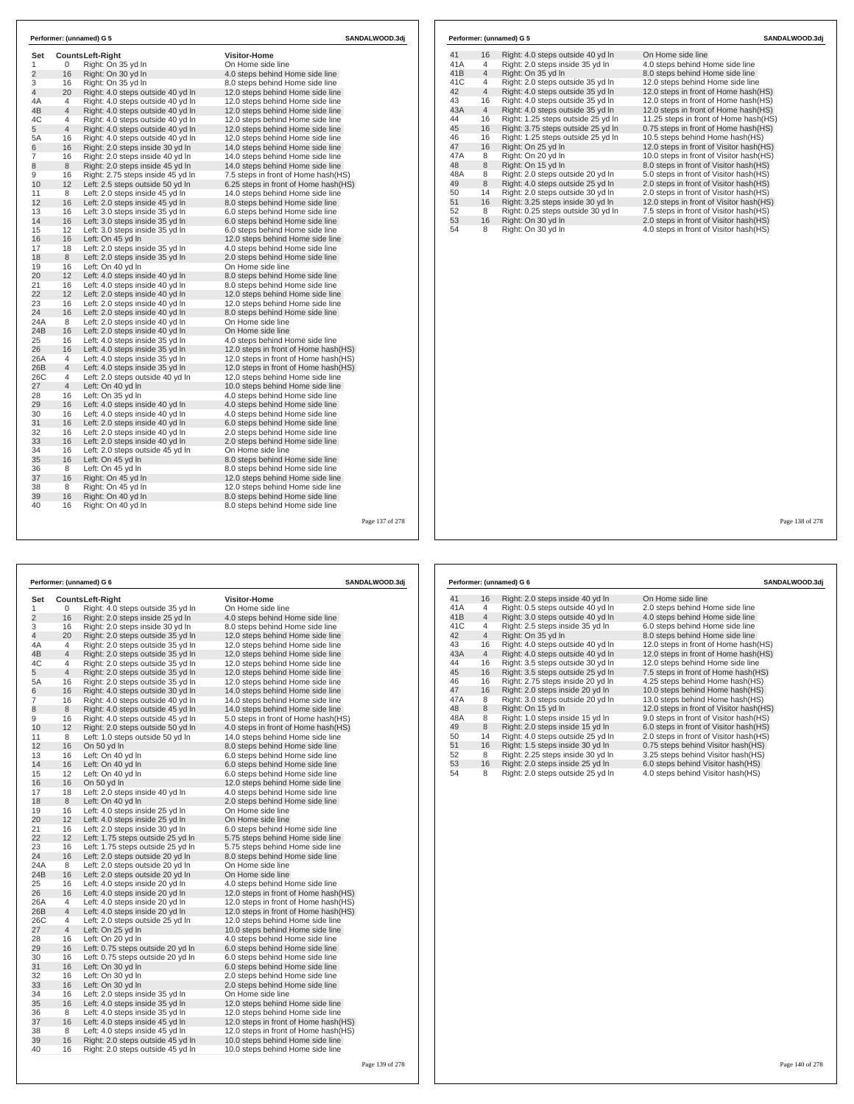| Set                            |                | <b>CountsLeft-Right</b>                                                | <b>Visitor-Home</b>                                                  |  |  |  |
|--------------------------------|----------------|------------------------------------------------------------------------|----------------------------------------------------------------------|--|--|--|
| $\mathbf{1}$<br>$\overline{2}$ | 0<br>16        | Right: On 35 yd In                                                     | On Home side line                                                    |  |  |  |
|                                |                | Right: On 30 yd In                                                     | 4.0 steps behind Home side line                                      |  |  |  |
| 3<br>$\overline{4}$            | 16<br>20       | Right: On 35 yd In                                                     | 8.0 steps behind Home side line                                      |  |  |  |
|                                |                | Right: 4.0 steps outside 40 yd In                                      | 12.0 steps behind Home side line                                     |  |  |  |
| 4A<br>4B                       | 4<br>4         | Right: 4.0 steps outside 40 yd In<br>Right: 4.0 steps outside 40 yd In | 12.0 steps behind Home side line<br>12.0 steps behind Home side line |  |  |  |
| 4C                             | $\overline{4}$ |                                                                        |                                                                      |  |  |  |
| 5                              | $\overline{4}$ | Right: 4.0 steps outside 40 yd In<br>Right: 4.0 steps outside 40 yd In | 12.0 steps behind Home side line<br>12.0 steps behind Home side line |  |  |  |
| 5A                             | 16             | Right: 4.0 steps outside 40 yd In                                      | 12.0 steps behind Home side line                                     |  |  |  |
| 6                              | 16             | Right: 2.0 steps inside 30 yd In                                       | 14.0 steps behind Home side line                                     |  |  |  |
| $\overline{7}$                 | 16             | Right: 2.0 steps inside 40 yd In                                       | 14.0 steps behind Home side line                                     |  |  |  |
| 8                              | 8              | Right: 2.0 steps inside 45 yd In                                       | 14.0 steps behind Home side line                                     |  |  |  |
| 9                              | 16             | Right: 2.75 steps inside 45 yd In                                      | 7.5 steps in front of Home hash(HS)                                  |  |  |  |
| 10                             | 12             | Left: 2.5 steps outside 50 yd In                                       | 6.25 steps in front of Home hash(HS)                                 |  |  |  |
| 11                             | 8              | Left: 2.0 steps inside 45 yd In                                        | 14.0 steps behind Home side line                                     |  |  |  |
| 12                             | 16             | Left: 2.0 steps inside 45 yd In                                        | 8.0 steps behind Home side line                                      |  |  |  |
| 13                             | 16             | Left: 3.0 steps inside 35 yd In                                        | 6.0 steps behind Home side line                                      |  |  |  |
| 14                             | 16             | Left: 3.0 steps inside 35 yd In                                        | 6.0 steps behind Home side line                                      |  |  |  |
| 15                             | 12             | Left: 3.0 steps inside 35 yd In                                        | 6.0 steps behind Home side line                                      |  |  |  |
| 16                             | 16             | Left: On 45 yd In                                                      | 12.0 steps behind Home side line                                     |  |  |  |
| 17                             | 18             | Left: 2.0 steps inside 35 yd In                                        | 4.0 steps behind Home side line                                      |  |  |  |
| 18                             | 8              | Left: 2.0 steps inside 35 yd In                                        | 2.0 steps behind Home side line                                      |  |  |  |
| 19                             | 16             | Left: On 40 yd In                                                      | On Home side line                                                    |  |  |  |
| 20                             | 12             | Left: 4.0 steps inside 40 yd In                                        | 8.0 steps behind Home side line                                      |  |  |  |
| 21                             | 16             | Left: 4.0 steps inside 40 yd In                                        | 8.0 steps behind Home side line                                      |  |  |  |
| 22                             | 12             | Left: 2.0 steps inside 40 yd In                                        | 12.0 steps behind Home side line                                     |  |  |  |
| 23                             | 16             | Left: 2.0 steps inside 40 yd In                                        | 12.0 steps behind Home side line                                     |  |  |  |
| 24                             | 16             | Left: 2.0 steps inside 40 yd In                                        | 8.0 steps behind Home side line                                      |  |  |  |
| 24A                            | 8              | Left: 2.0 steps inside 40 yd In                                        | On Home side line                                                    |  |  |  |
| 24 <sub>B</sub>                | 16             | Left: 2.0 steps inside 40 yd In                                        | On Home side line                                                    |  |  |  |
| 25                             | 16             | Left: 4.0 steps inside 35 yd In                                        | 4.0 steps behind Home side line                                      |  |  |  |
| 26                             | 16             | Left: 4.0 steps inside 35 yd In                                        | 12.0 steps in front of Home hash(HS)                                 |  |  |  |
| 26A                            | 4              | Left: 4.0 steps inside 35 yd In                                        | 12.0 steps in front of Home hash(HS)                                 |  |  |  |
| 26B                            | $\overline{4}$ | Left: 4.0 steps inside 35 yd In                                        | 12.0 steps in front of Home hash(HS)                                 |  |  |  |
| 26C                            | 4              | Left: 2.0 steps outside 40 yd In                                       | 12.0 steps behind Home side line                                     |  |  |  |
| 27                             | $\overline{4}$ | Left: On 40 yd In                                                      | 10.0 steps behind Home side line                                     |  |  |  |
| 28                             | 16             | Left: On 35 yd In                                                      | 4.0 steps behind Home side line                                      |  |  |  |
| 29                             | 16             | Left: 4.0 steps inside 40 yd In                                        | 4.0 steps behind Home side line                                      |  |  |  |
| 30                             | 16             | Left: 4.0 steps inside 40 yd In                                        | 4.0 steps behind Home side line                                      |  |  |  |
| 31                             | 16             | Left: 2.0 steps inside 40 yd In                                        | 6.0 steps behind Home side line                                      |  |  |  |
| 32                             | 16             | Left: 2.0 steps inside 40 yd In                                        | 2.0 steps behind Home side line                                      |  |  |  |
| 33                             | 16             | Left: 2.0 steps inside 40 yd In                                        | 2.0 steps behind Home side line                                      |  |  |  |
| 34                             | 16             | Left: 2.0 steps outside 45 yd In                                       | On Home side line                                                    |  |  |  |
| 35                             | 16             | Left: On 45 yd In                                                      | 8.0 steps behind Home side line                                      |  |  |  |
| 36                             | 8              | Left: On 45 yd In                                                      | 8.0 steps behind Home side line                                      |  |  |  |
| 37                             | 16             | Right: On 45 yd In                                                     | 12.0 steps behind Home side line                                     |  |  |  |
| 38                             | 8              | Right: On 45 vd In                                                     | 12.0 steps behind Home side line                                     |  |  |  |
| 39                             | 16             | Right: On 40 yd In                                                     | 8.0 steps behind Home side line                                      |  |  |  |
| 40                             | 16             | Right: On 40 yd In                                                     | 8.0 steps behind Home side line                                      |  |  |  |

|     |                | Performer: (unnamed) G 6          | <b>SANDALWOOD.3dj</b>                |
|-----|----------------|-----------------------------------|--------------------------------------|
| Set |                | <b>CountsLeft-Right</b>           | <b>Visitor-Home</b>                  |
| 1   | 0              | Right: 4.0 steps outside 35 yd In | On Home side line                    |
| 2   | 16             | Right: 2.0 steps inside 25 yd In  | 4.0 steps behind Home side line      |
| 3   | 16             | Right: 2.0 steps inside 30 yd In  | 8.0 steps behind Home side line      |
| 4   | 20             | Right: 2.0 steps outside 35 yd In | 12.0 steps behind Home side line     |
| 4A  | 4              | Right: 2.0 steps outside 35 yd In | 12.0 steps behind Home side line     |
| 4B  | $\overline{4}$ | Right: 2.0 steps outside 35 yd In | 12.0 steps behind Home side line     |
| 4C  | 4              | Right: 2.0 steps outside 35 yd In | 12.0 steps behind Home side line     |
| 5   | $\overline{4}$ | Right: 2.0 steps outside 35 yd In | 12.0 steps behind Home side line     |
| 5A  | 16             | Right: 2.0 steps outside 35 yd In | 12.0 steps behind Home side line     |
| 6   | 16             | Right: 4.0 steps outside 30 yd In | 14.0 steps behind Home side line     |
| 7   | 16             | Right: 4.0 steps outside 40 yd In | 14.0 steps behind Home side line     |
| 8   | 8              | Right: 4.0 steps outside 45 yd In | 14.0 steps behind Home side line     |
| 9   | 16             | Right: 4.0 steps outside 45 yd In | 5.0 steps in front of Home hash (HS) |
| 10  | 12             | Right: 2.0 steps outside 50 yd In | 4.0 steps in front of Home hash(HS)  |
| 11  | 8              | Left: 1.0 steps outside 50 yd In  | 14.0 steps behind Home side line     |
| 12  | 16             | On 50 yd In                       | 8.0 steps behind Home side line      |
| 13  | 16             | Left: On 40 yd In                 | 6.0 steps behind Home side line      |
| 14  | 16             | Left: On 40 yd In                 | 6.0 steps behind Home side line      |
| 15  | 12             | Left: On 40 yd In                 | 6.0 steps behind Home side line      |
| 16  | 16             | On 50 yd In                       | 12.0 steps behind Home side line     |
| 17  | 18             | Left: 2.0 steps inside 40 yd In   | 4.0 steps behind Home side line      |
| 18  | 8              | Left: On 40 yd In                 | 2.0 steps behind Home side line      |
| 19  | 16             | Left: 4.0 steps inside 25 yd In   | On Home side line                    |
| 20  | 12             | Left: 4.0 steps inside 25 yd In   | On Home side line                    |
| 21  | 16             | Left: 2.0 steps inside 30 yd In   | 6.0 steps behind Home side line      |
| 22  | 12             | Left: 1.75 steps outside 25 yd In | 5.75 steps behind Home side line     |
| 23  | 16             | Left: 1.75 steps outside 25 yd In | 5.75 steps behind Home side line     |
| 24  | 16             | Left: 2.0 steps outside 20 yd In  | 8.0 steps behind Home side line      |
| 24A | 8              | Left: 2.0 steps outside 20 yd In  | On Home side line                    |
| 24B | 16             | Left: 2.0 steps outside 20 yd In  | On Home side line                    |
| 25  | 16             | Left: 4.0 steps inside 20 yd In   | 4.0 steps behind Home side line      |
| 26  | 16             | Left: 4.0 steps inside 20 yd In   | 12.0 steps in front of Home hash(HS) |
| 26A | 4              | Left: 4.0 steps inside 20 yd In   | 12.0 steps in front of Home hash(HS) |
| 26B | $\overline{4}$ | Left: 4.0 steps inside 20 yd In   | 12.0 steps in front of Home hash(HS) |
| 26C | 4              | Left: 2.0 steps outside 25 yd In  | 12.0 steps behind Home side line     |
| 27  | $\overline{4}$ | Left: On 25 yd In                 | 10.0 steps behind Home side line     |
| 28  | 16             | Left: On 20 yd In                 | 4.0 steps behind Home side line      |
| 29  | 16             | Left: 0.75 steps outside 20 yd In | 6.0 steps behind Home side line      |
| 30  | 16             | Left: 0.75 steps outside 20 yd In | 6.0 steps behind Home side line      |
| 31  | 16             | Left: On 30 yd In                 | 6.0 steps behind Home side line      |
| 32  | 16             | Left: On 30 yd In                 | 2.0 steps behind Home side line      |
| 33  | 16             | Left: On 30 yd In                 | 2.0 steps behind Home side line      |
| 34  | 16             | Left: 2.0 steps inside 35 yd In   | On Home side line                    |
| 35  | 16             | Left: 4.0 steps inside 35 yd In   | 12.0 steps behind Home side line     |
| 36  | 8              | Left: 4.0 steps inside 35 yd In   | 12.0 steps behind Home side line     |
| 37  | 16             | Left: 4.0 steps inside 45 yd In   | 12.0 steps in front of Home hash(HS) |
| 38  | 8              | Left: 4.0 steps inside 45 yd In   | 12.0 steps in front of Home hash(HS) |
| 39  | 16             | Right: 2.0 steps outside 45 yd In | 10.0 steps behind Home side line     |
| 40  | 16             | Right: 2.0 steps outside 45 yd In | 10.0 steps behind Home side line     |

|     |                | Performer: (unnamed) G 5           | SANDALWOOD.3dj                          |
|-----|----------------|------------------------------------|-----------------------------------------|
| 41  | 16             | Right: 4.0 steps outside 40 yd In  | On Home side line                       |
| 41A | 4              | Right: 2.0 steps inside 35 yd In   | 4.0 steps behind Home side line         |
| 41B | $\overline{4}$ | Right: On 35 yd In                 | 8.0 steps behind Home side line         |
| 41C | 4              | Right: 2.0 steps outside 35 yd In  | 12.0 steps behind Home side line        |
| 42  | $\overline{4}$ | Right: 4.0 steps outside 35 yd In  | 12.0 steps in front of Home hash(HS)    |
| 43  | 16             | Right: 4.0 steps outside 35 yd In  | 12.0 steps in front of Home hash(HS)    |
| 43A | $\overline{4}$ | Right: 4.0 steps outside 35 yd In  | 12.0 steps in front of Home hash(HS)    |
| 44  | 16             | Right: 1.25 steps outside 25 yd In | 11.25 steps in front of Home hash (HS)  |
| 45  | 16             | Right: 3.75 steps outside 25 yd In | 0.75 steps in front of Home hash(HS)    |
| 46  | 16             | Right: 1.25 steps outside 25 yd In | 10.5 steps behind Home hash(HS)         |
| 47  | 16             | Right: On 25 yd In                 | 12.0 steps in front of Visitor hash(HS) |
| 47A | 8              | Right: On 20 vd In                 | 10.0 steps in front of Visitor hash(HS) |
| 48  | 8              | Right: On 15 yd In                 | 8.0 steps in front of Visitor hash(HS)  |
| 48A | 8              | Right: 2.0 steps outside 20 yd In  | 5.0 steps in front of Visitor hash(HS)  |
| 49  | 8              | Right: 4.0 steps outside 25 yd In  | 2.0 steps in front of Visitor hash(HS)  |
| 50  | 14             | Right: 2.0 steps outside 30 yd In  | 2.0 steps in front of Visitor hash (HS) |
| 51  | 16             | Right: 3.25 steps inside 30 yd In  | 12.0 steps in front of Visitor hash(HS) |
| 52  | 8              | Right: 0.25 steps outside 30 yd In | 7.5 steps in front of Visitor hash(HS)  |
| 53  | 16             | Right: On 30 yd In                 | 2.0 steps in front of Visitor hash(HS)  |
| 54  | 8              | Right: On 30 yd In                 | 4.0 steps in front of Visitor hash(HS)  |

Page 138 of 278

|     |                | Performer: (unnamed) G 6          | SANDALWOOD.3dj                          |
|-----|----------------|-----------------------------------|-----------------------------------------|
| 41  | 16             | Right: 2.0 steps inside 40 yd In  | On Home side line                       |
| 41A | 4              | Right: 0.5 steps outside 40 yd In | 2.0 steps behind Home side line         |
| 41B | $\overline{4}$ | Right: 3.0 steps outside 40 yd In | 4.0 steps behind Home side line         |
| 41C | 4              | Right: 2.5 steps inside 35 yd In  | 6.0 steps behind Home side line         |
| 42  | $\overline{4}$ | Right: On 35 yd In                | 8.0 steps behind Home side line         |
| 43  | 16             | Right: 4.0 steps outside 40 yd In | 12.0 steps in front of Home hash(HS)    |
| 43A | $\overline{4}$ | Right: 4.0 steps outside 40 yd In | 12.0 steps in front of Home hash(HS)    |
| 44  | 16             | Right: 3.5 steps outside 30 yd In | 12.0 steps behind Home side line        |
| 45  | 16             | Right: 3.5 steps outside 25 yd In | 7.5 steps in front of Home hash(HS)     |
| 46  | 16             | Right: 2.75 steps inside 20 yd In | 4.25 steps behind Home hash(HS)         |
| 47  | 16             | Right: 2.0 steps inside 20 yd In  | 10.0 steps behind Home hash(HS)         |
| 47A | 8              | Right: 3.0 steps outside 20 yd In | 13.0 steps behind Home hash (HS)        |
| 48  | 8              | Right: On 15 yd In                | 12.0 steps in front of Visitor hash(HS) |
| 48A | 8              | Right: 1.0 steps inside 15 yd In  | 9.0 steps in front of Visitor hash(HS)  |
| 49  | 8              | Right: 2.0 steps inside 15 yd In  | 6.0 steps in front of Visitor hash(HS)  |
| 50  | 14             | Right: 4.0 steps outside 25 yd In | 2.0 steps in front of Visitor hash(HS)  |
| 51  | 16             | Right: 1.5 steps inside 30 yd In  | 0.75 steps behind Visitor hash(HS)      |
| 52  | 8              | Right: 2.25 steps inside 30 yd In | 3.25 steps behind Visitor hash(HS)      |
| 53  | 16             | Right: 2.0 steps inside 25 yd In  | 6.0 steps behind Visitor hash(HS)       |
| 54  | 8              | Right: 2.0 steps outside 25 yd In | 4.0 steps behind Visitor hash(HS)       |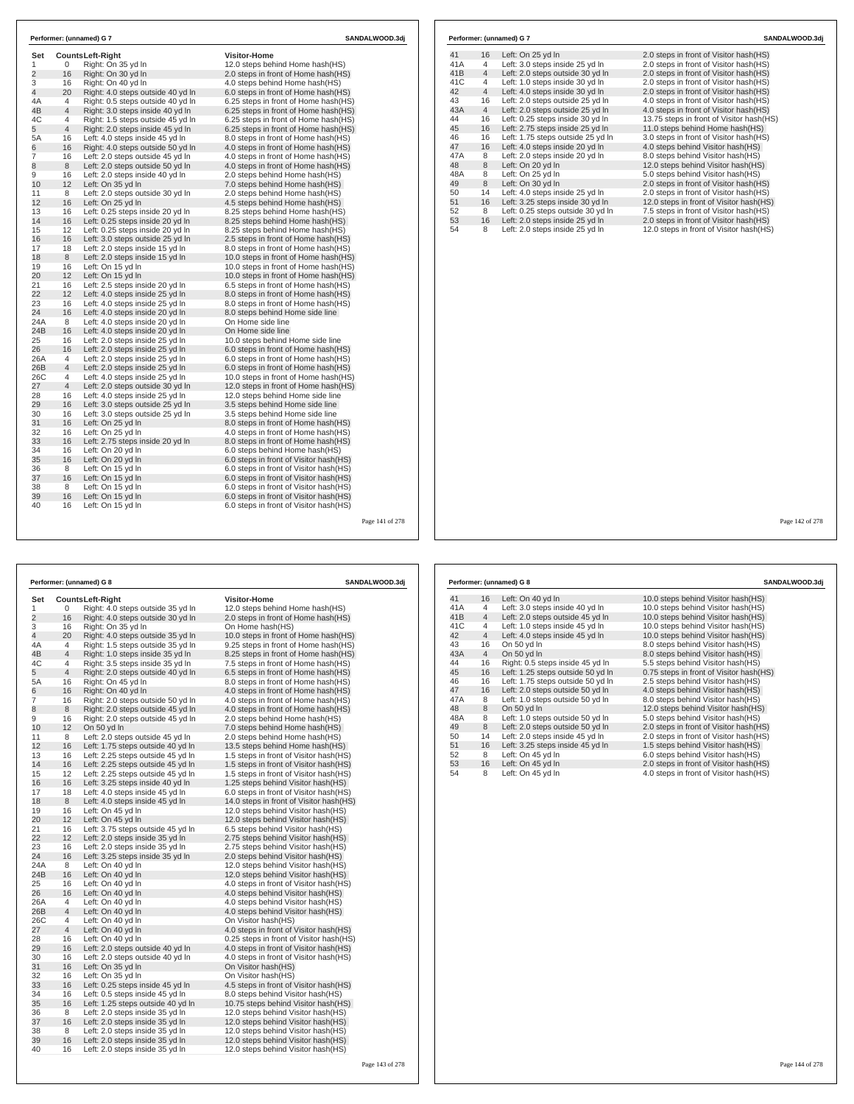| Set<br>1       | 0              | <b>CountsLeft-Right</b><br>Right: On 35 yd In | <b>Visitor-Home</b><br>12.0 steps behind Home hash(HS) |
|----------------|----------------|-----------------------------------------------|--------------------------------------------------------|
| 2              | 16             | Right: On 30 yd In                            | 2.0 steps in front of Home hash(HS)                    |
| 3              | 16             | Right: On 40 vd In                            | 4.0 steps behind Home hash(HS)                         |
| 4              | 20             | Right: 4.0 steps outside 40 yd In             | 6.0 steps in front of Home hash(HS)                    |
| 4A             | 4              | Right: 0.5 steps outside 40 yd In             | 6.25 steps in front of Home hash(HS)                   |
| 4B             | $\overline{4}$ | Right: 3.0 steps inside 40 yd In              | 6.25 steps in front of Home hash(HS)                   |
| 4C             | 4              | Right: 1.5 steps outside 45 yd In             | 6.25 steps in front of Home hash(HS)                   |
| 5              | $\overline{4}$ | Right: 2.0 steps inside 45 yd In              | 6.25 steps in front of Home hash(HS)                   |
| 5A             | 16             | Left: 4.0 steps inside 45 yd In               | 8.0 steps in front of Home hash(HS)                    |
| 6              | 16             | Right: 4.0 steps outside 50 yd In             | 4.0 steps in front of Home hash(HS)                    |
| $\overline{7}$ | 16             | Left: 2.0 steps outside 45 yd In              | 4.0 steps in front of Home hash(HS)                    |
| 8              | 8              | Left: 2.0 steps outside 50 yd In              | 4.0 steps in front of Home hash(HS)                    |
| 9              | 16             | Left: 2.0 steps inside 40 yd In               | 2.0 steps behind Home hash(HS)                         |
| 10             | 12             | Left: On 35 yd In                             | 7.0 steps behind Home hash(HS)                         |
| 11             | 8              | Left: 2.0 steps outside 30 yd In              | 2.0 steps behind Home hash(HS)                         |
| 12             | 16             | Left: On 25 yd In                             | 4.5 steps behind Home hash(HS)                         |
| 13             | 16             | Left: 0.25 steps inside 20 vd In              | 8.25 steps behind Home hash(HS)                        |
| 14             | 16             | Left: 0.25 steps inside 20 yd In              | 8.25 steps behind Home hash(HS)                        |
| 15             | 12             | Left: 0.25 steps inside 20 yd In              | 8.25 steps behind Home hash(HS)                        |
| 16             | 16             | Left: 3.0 steps outside 25 yd In              | 2.5 steps in front of Home hash(HS)                    |
| 17             | 18             | Left: 2.0 steps inside 15 yd In               | 8.0 steps in front of Home hash(HS)                    |
| 18             | 8              | Left: 2.0 steps inside 15 yd In               | 10.0 steps in front of Home hash(HS)                   |
| 19             | 16             | Left: On 15 yd In                             | 10.0 steps in front of Home hash(HS)                   |
| 20             | 12             | Left: On 15 yd In                             | 10.0 steps in front of Home hash(HS)                   |
| 21             | 16             | Left: 2.5 steps inside 20 yd In               | 6.5 steps in front of Home hash(HS)                    |
| 22             | 12             | Left: 4.0 steps inside 25 yd In               | 8.0 steps in front of Home hash(HS)                    |
| 23             | 16             | Left: 4.0 steps inside 25 yd In               | 8.0 steps in front of Home hash(HS)                    |
| 24             | 16             | Left: 4.0 steps inside 20 yd In               | 8.0 steps behind Home side line                        |
| 24A            | 8              | Left: 4.0 steps inside 20 yd In               | On Home side line                                      |
| 24B            | 16             | Left: 4.0 steps inside 20 yd In               | On Home side line                                      |
| 25             | 16             | Left: 2.0 steps inside 25 yd In               | 10.0 steps behind Home side line                       |
| 26             | 16             | Left: 2.0 steps inside 25 yd In               | 6.0 steps in front of Home hash(HS)                    |
| 26A            | 4              | Left: 2.0 steps inside 25 vd In               | 6.0 steps in front of Home hash (HS)                   |
| 26B            | $\overline{4}$ | Left: 2.0 steps inside 25 yd In               | 6.0 steps in front of Home hash(HS)                    |
| 26C            | 4              | Left: 4.0 steps inside 25 yd In               | 10.0 steps in front of Home hash(HS)                   |
| 27             | $\overline{4}$ | Left: 2.0 steps outside 30 yd In              | 12.0 steps in front of Home hash(HS)                   |
| 28             | 16             | Left: 4.0 steps inside 25 yd In               | 12.0 steps behind Home side line                       |
| 29             | 16             | Left: 3.0 steps outside 25 yd In              | 3.5 steps behind Home side line                        |
| 30             | 16             | Left: 3.0 steps outside 25 yd In              | 3.5 steps behind Home side line                        |
| 31             | 16             | Left: On 25 vd In                             | 8.0 steps in front of Home hash (HS)                   |
| 32             | 16             | Left: On 25 yd In                             | 4.0 steps in front of Home hash(HS)                    |
| 33             | 16             | Left: 2.75 steps inside 20 yd In              | 8.0 steps in front of Home hash(HS)                    |
| 34             | 16             | Left: On 20 yd In                             | 6.0 steps behind Home hash(HS)                         |
| 35             | 16             | Left: On 20 yd In                             | 6.0 steps in front of Visitor hash(HS)                 |
| 36             | 8              | Left: On 15 yd In                             | 6.0 steps in front of Visitor hash(HS)                 |
| 37             | 16             | Left: On 15 yd In                             | 6.0 steps in front of Visitor hash(HS)                 |
| 38             | 8              | Left: On 15 vd In                             | 6.0 steps in front of Visitor hash (HS)                |
| 39             | 16             | Left: On 15 yd In                             | 6.0 steps in front of Visitor hash(HS)                 |
|                | 16             | Left: On 15 yd In                             | 6.0 steps in front of Visitor hash(HS)                 |

|     |                | Performer: (unnamed) G 7          | SANDALWOOD.3dj                           |
|-----|----------------|-----------------------------------|------------------------------------------|
| 41  | 16             | Left: On 25 yd In                 | 2.0 steps in front of Visitor hash (HS)  |
| 41A | 4              | Left: 3.0 steps inside 25 yd In   | 2.0 steps in front of Visitor hash(HS)   |
| 41B | $\overline{4}$ | Left: 2.0 steps outside 30 yd In  | 2.0 steps in front of Visitor hash(HS)   |
| 41C | 4              | Left: 1.0 steps inside 30 yd In   | 2.0 steps in front of Visitor hash(HS)   |
| 42  | $\overline{4}$ | Left: 4.0 steps inside 30 yd In   | 2.0 steps in front of Visitor hash(HS)   |
| 43  | 16             | Left: 2.0 steps outside 25 yd In  | 4.0 steps in front of Visitor hash(HS)   |
| 43A | $\overline{4}$ | Left: 2.0 steps outside 25 yd In  | 4.0 steps in front of Visitor hash(HS)   |
| 44  | 16             | Left: 0.25 steps inside 30 yd In  | 13.75 steps in front of Visitor hash(HS) |
| 45  | 16             | Left: 2.75 steps inside 25 yd In  | 11.0 steps behind Home hash(HS)          |
| 46  | 16             | Left: 1.75 steps outside 25 vd In | 3.0 steps in front of Visitor hash(HS)   |
| 47  | 16             | Left: 4.0 steps inside 20 yd In   | 4.0 steps behind Visitor hash(HS)        |
| 47A | 8              | Left: 2.0 steps inside 20 yd In   | 8.0 steps behind Visitor hash(HS)        |
| 48  | 8              | Left: On 20 yd In                 | 12.0 steps behind Visitor hash(HS)       |
| 48A | 8              | Left: On 25 yd In                 | 5.0 steps behind Visitor hash(HS)        |
| 49  | 8              | Left: On 30 yd In                 | 2.0 steps in front of Visitor hash(HS)   |
| 50  | 14             | Left: 4.0 steps inside 25 yd In   | 2.0 steps in front of Visitor hash(HS)   |
| 51  | 16             | Left: 3.25 steps inside 30 yd In  | 12.0 steps in front of Visitor hash(HS)  |
| 52  | 8              | Left: 0.25 steps outside 30 yd In | 7.5 steps in front of Visitor hash(HS)   |
| 53  | 16             | Left: 2.0 steps inside 25 yd In   | 2.0 steps in front of Visitor hash(HS)   |
| 54  | 8              | Left: 2.0 steps inside 25 yd In   | 12.0 steps in front of Visitor hash(HS)  |

Page 141 of 278

|                |    | Performer: (unnamed) G 8          | SANDALWOOD.3dj                           |  |
|----------------|----|-----------------------------------|------------------------------------------|--|
| Set            |    | <b>CountsLeft-Right</b>           | <b>Visitor-Home</b>                      |  |
| 1              | 0  | Right: 4.0 steps outside 35 yd In | 12.0 steps behind Home hash(HS)          |  |
| $\overline{2}$ | 16 | Right: 4.0 steps outside 30 yd In | 2.0 steps in front of Home hash(HS)      |  |
| 3              | 16 | Right: On 35 yd In                | On Home hash(HS)                         |  |
| 4              | 20 | Right: 4.0 steps outside 35 yd In | 10.0 steps in front of Home hash(HS)     |  |
| 4Α             | 4  | Right: 1.5 steps outside 35 yd In | 9.25 steps in front of Home hash(HS)     |  |
| 4B             | 4  | Right: 1.0 steps inside 35 yd In  | 8.25 steps in front of Home hash (HS)    |  |
| 4C             | 4  | Right: 3.5 steps inside 35 yd In  | 7.5 steps in front of Home hash (HS)     |  |
| 5              | 4  | Right: 2.0 steps outside 40 yd In | 6.5 steps in front of Home hash(HS)      |  |
| 5A             | 16 | Right: On 45 yd In                | 8.0 steps in front of Home hash(HS)      |  |
| 6              | 16 | Right: On 40 yd In                | 4.0 steps in front of Home hash(HS)      |  |
| 7              | 16 | Right: 2.0 steps outside 50 yd In | 4.0 steps in front of Home hash (HS)     |  |
| 8              | 8  | Right: 2.0 steps outside 45 yd In | 4.0 steps in front of Home hash(HS)      |  |
| 9              | 16 | Right: 2.0 steps outside 45 yd In | 2.0 steps behind Home hash(HS)           |  |
| 10             | 12 | On 50 yd In                       | 7.0 steps behind Home hash(HS)           |  |
| 11             | 8  | Left: 2.0 steps outside 45 yd In  | 2.0 steps behind Home hash(HS)           |  |
| 12             | 16 | Left: 1.75 steps outside 40 yd In | 13.5 steps behind Home hash (HS)         |  |
| 13             | 16 | Left: 2.25 steps outside 45 yd In | 1.5 steps in front of Visitor hash(HS)   |  |
| 14             | 16 | Left: 2.25 steps outside 45 yd In | 1.5 steps in front of Visitor hash(HS)   |  |
| 15             | 12 | Left: 2.25 steps outside 45 yd In | 1.5 steps in front of Visitor hash (HS)  |  |
| 16             | 16 | Left: 3.25 steps inside 40 yd In  | 1.25 steps behind Visitor hash(HS)       |  |
| 17             | 18 | Left: 4.0 steps inside 45 yd In   | 6.0 steps in front of Visitor hash (HS)  |  |
| 18             | 8  | Left: 4.0 steps inside 45 yd In   | 14.0 steps in front of Visitor hash (HS) |  |
| 19             | 16 | Left: On 45 yd In                 | 12.0 steps behind Visitor hash (HS)      |  |
| 20             | 12 | Left: On 45 yd In                 | 12.0 steps behind Visitor hash(HS)       |  |
| 21             | 16 | Left: 3.75 steps outside 45 yd In | 6.5 steps behind Visitor hash (HS)       |  |
| 22             | 12 | Left: 2.0 steps inside 35 yd In   | 2.75 steps behind Visitor hash (HS)      |  |
| 23             | 16 | Left: 2.0 steps inside 35 yd In   | 2.75 steps behind Visitor hash (HS)      |  |
| 24             | 16 | Left: 3.25 steps inside 35 yd In  | 2.0 steps behind Visitor hash (HS)       |  |
| 24A            | 8  | Left: On 40 yd In                 | 12.0 steps behind Visitor hash(HS)       |  |
| 24B            | 16 | Left: On 40 yd In                 | 12.0 steps behind Visitor hash(HS)       |  |
| 25             | 16 | Left: On 40 yd In                 | 4.0 steps in front of Visitor hash(HS)   |  |
| 26             | 16 | Left: On 40 yd In                 | 4.0 steps behind Visitor hash (HS)       |  |
| 26A            | 4  | Left: On 40 yd In                 | 4.0 steps behind Visitor hash (HS)       |  |
| 26B            | 4  | Left: On 40 yd In                 | 4.0 steps behind Visitor hash(HS)        |  |
| 26C            | 4  | Left: On 40 yd In                 | On Visitor hash(HS)                      |  |
| 27             | 4  | Left: On 40 yd In                 | 4.0 steps in front of Visitor hash(HS)   |  |
| 28             | 16 | Left: On 40 yd In                 | 0.25 steps in front of Visitor hash (HS) |  |
| 29             | 16 | Left: 2.0 steps outside 40 yd In  | 4.0 steps in front of Visitor hash(HS)   |  |
| 30             | 16 | Left: 2.0 steps outside 40 yd In  | 4.0 steps in front of Visitor hash(HS)   |  |
| 31             | 16 | Left: On 35 yd In                 | On Visitor hash(HS)                      |  |
| 32             | 16 | Left: On 35 yd In                 | On Visitor hash(HS)                      |  |
| 33             | 16 | Left: 0.25 steps inside 45 yd In  | 4.5 steps in front of Visitor hash (HS)  |  |
| 34             | 16 | Left: 0.5 steps inside 45 yd In   | 8.0 steps behind Visitor hash (HS)       |  |
| 35             | 16 | Left: 1.25 steps outside 40 yd In | 10.75 steps behind Visitor hash(HS)      |  |
| 36             | 8  | Left: 2.0 steps inside 35 yd In   | 12.0 steps behind Visitor hash(HS)       |  |
| 37             | 16 | Left: 2.0 steps inside 35 yd In   | 12.0 steps behind Visitor hash (HS)      |  |
| 38             | 8  | Left: 2.0 steps inside 35 yd In   | 12.0 steps behind Visitor hash (HS)      |  |
| 39             | 16 | Left: 2.0 steps inside 35 yd In   | 12.0 steps behind Visitor hash(HS)       |  |
| 40             | 16 | Left: 2.0 steps inside 35 yd In   | 12.0 steps behind Visitor hash(HS)       |  |

|     |                | Performer: (unnamed) G 8          | SANDALWOOD.3dj                          |
|-----|----------------|-----------------------------------|-----------------------------------------|
| 41  | 16             | Left: On 40 yd In                 | 10.0 steps behind Visitor hash (HS)     |
| 41A | 4              | Left: 3.0 steps inside 40 yd In   | 10.0 steps behind Visitor hash(HS)      |
| 41B | $\overline{4}$ | Left: 2.0 steps outside 45 yd In  | 10.0 steps behind Visitor hash(HS)      |
| 41C | 4              | Left: 1.0 steps inside 45 yd In   | 10.0 steps behind Visitor hash(HS)      |
| 42  | $\overline{4}$ | Left: 4.0 steps inside 45 yd In   | 10.0 steps behind Visitor hash(HS)      |
| 43  | 16             | On 50 yd In                       | 8.0 steps behind Visitor hash (HS)      |
| 43A | $\overline{4}$ | On 50 yd In                       | 8.0 steps behind Visitor hash(HS)       |
| 44  | 16             | Right: 0.5 steps inside 45 vd In  | 5.5 steps behind Visitor hash(HS)       |
| 45  | 16             | Left: 1.25 steps outside 50 yd In | 0.75 steps in front of Visitor hash(HS) |
| 46  | 16             | Left: 1.75 steps outside 50 yd In | 2.5 steps behind Visitor hash(HS)       |
| 47  | 16             | Left: 2.0 steps outside 50 yd In  | 4.0 steps behind Visitor hash(HS)       |
| 47A | 8              | Left: 1.0 steps outside 50 yd In  | 8.0 steps behind Visitor hash (HS)      |
| 48  | 8              | On 50 yd In                       | 12.0 steps behind Visitor hash (HS)     |
| 48A | 8              | Left: 1.0 steps outside 50 yd In  | 5.0 steps behind Visitor hash (HS)      |
| 49  | 8              | Left: 2.0 steps outside 50 yd In  | 2.0 steps in front of Visitor hash(HS)  |
| 50  | 14             | Left: 2.0 steps inside 45 yd In   | 2.0 steps in front of Visitor hash(HS)  |
| 51  | 16             | Left: 3.25 steps inside 45 yd In  | 1.5 steps behind Visitor hash (HS)      |
| 52  | 8              | Left: On 45 yd In                 | 6.0 steps behind Visitor hash(HS)       |
| 53  | 16             | Left: On 45 yd In                 | 2.0 steps in front of Visitor hash(HS)  |
| 54  | 8              | Left: On 45 yd In                 | 4.0 steps in front of Visitor hash (HS) |

Page 142 of 278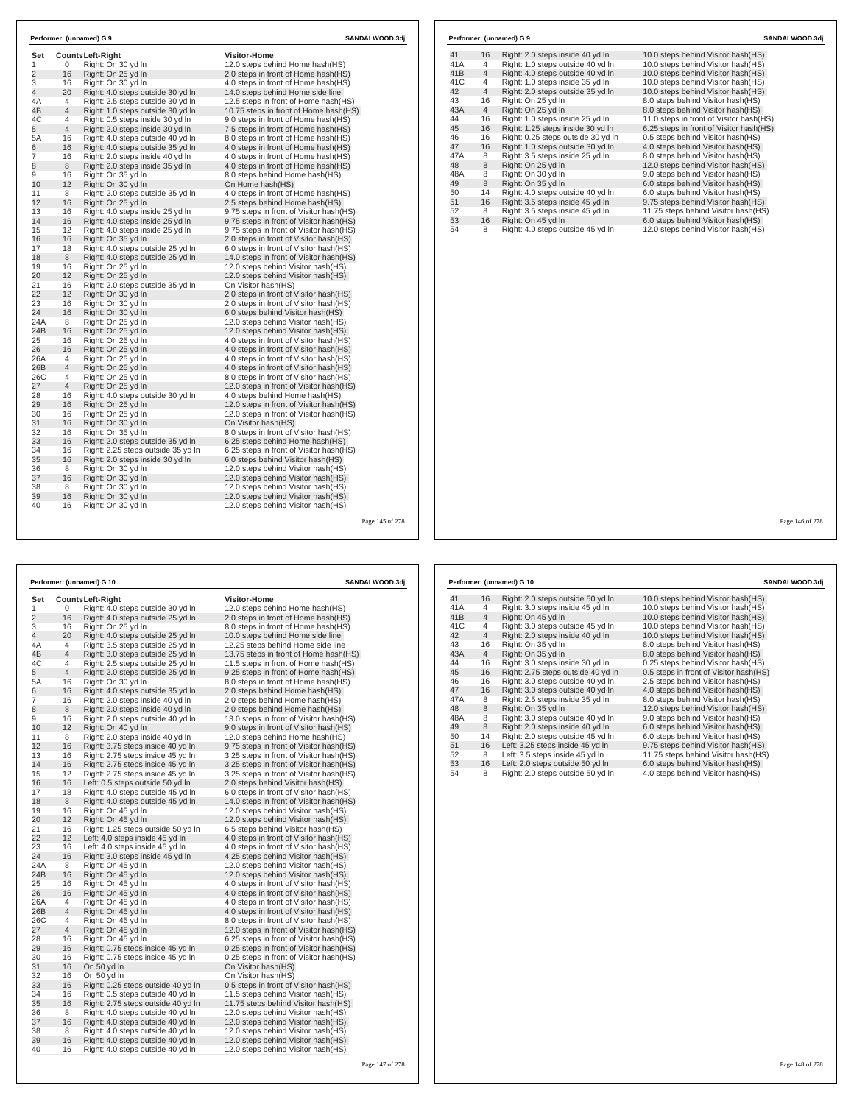|                |                | Performer: (unnamed) G 9           | SANDALWOOD.3dj                           |  |  |
|----------------|----------------|------------------------------------|------------------------------------------|--|--|
| Set            |                | Counts Left-Right                  | <b>Visitor-Home</b>                      |  |  |
| 1              | 0              | Right: On 30 yd In                 | 12.0 steps behind Home hash(HS)          |  |  |
| $\overline{2}$ | 16             | Right: On 25 yd In                 | 2.0 steps in front of Home hash (HS)     |  |  |
| 3              | 16             | Right: On 30 yd In                 | 4.0 steps in front of Home hash (HS)     |  |  |
| $\overline{4}$ | 20             | Right: 4.0 steps outside 30 yd In  | 14.0 steps behind Home side line         |  |  |
| 4A             | 4              | Right: 2.5 steps outside 30 yd In  | 12.5 steps in front of Home hash(HS)     |  |  |
| 4B             | $\overline{4}$ | Right: 1.0 steps outside 30 yd In  | 10.75 steps in front of Home hash(HS)    |  |  |
| 4C             | 4              | Right: 0.5 steps inside 30 yd In   | 9.0 steps in front of Home hash(HS)      |  |  |
| 5              | 4              | Right: 2.0 steps inside 30 yd In   | 7.5 steps in front of Home hash(HS)      |  |  |
| 5A             | 16             | Right: 4.0 steps outside 40 yd In  | 8.0 steps in front of Home hash (HS)     |  |  |
| 6              | 16             | Right: 4.0 steps outside 35 yd In  | 4.0 steps in front of Home hash(HS)      |  |  |
| $\overline{7}$ | 16             | Right: 2.0 steps inside 40 yd In   | 4.0 steps in front of Home hash (HS)     |  |  |
| 8              | 8              | Right: 2.0 steps inside 35 yd In   | 4.0 steps in front of Home hash(HS)      |  |  |
| 9              | 16             | Right: On 35 yd In                 | 8.0 steps behind Home hash(HS)           |  |  |
| 10             | 12             | Right: On 30 yd In                 | On Home hash(HS)                         |  |  |
| 11             | 8              | Right: 2.0 steps outside 35 yd In  | 4.0 steps in front of Home hash (HS)     |  |  |
| 12             | 16             | Right: On 25 yd In                 | 2.5 steps behind Home hash(HS)           |  |  |
| 13             | 16             | Right: 4.0 steps inside 25 yd In   | 9.75 steps in front of Visitor hash (HS) |  |  |
| 14             | 16             | Right: 4.0 steps inside 25 yd In   | 9.75 steps in front of Visitor hash(HS)  |  |  |
| 15             | 12             | Right: 4.0 steps inside 25 yd In   | 9.75 steps in front of Visitor hash (HS) |  |  |
| 16             | 16             | Right: On 35 yd In                 | 2.0 steps in front of Visitor hash(HS)   |  |  |
| 17             | 18             | Right: 4.0 steps outside 25 yd In  | 6.0 steps in front of Visitor hash(HS)   |  |  |
| 18             | 8              | Right: 4.0 steps outside 25 yd In  | 14.0 steps in front of Visitor hash(HS)  |  |  |
| 19             | 16             | Right: On 25 yd In                 | 12.0 steps behind Visitor hash (HS)      |  |  |
| 20             | 12             | Right: On 25 yd In                 | 12.0 steps behind Visitor hash(HS)       |  |  |
| 21             | 16             | Right: 2.0 steps outside 35 yd In  | On Visitor hash(HS)                      |  |  |
| 22             | 12             | Right: On 30 yd In                 | 2.0 steps in front of Visitor hash (HS)  |  |  |
| 23             | 16             | Right: On 30 yd In                 | 2.0 steps in front of Visitor hash(HS)   |  |  |
| 24             | 16             | Right: On 30 yd In                 | 6.0 steps behind Visitor hash (HS)       |  |  |
| 24A            | 8              | Right: On 25 yd In                 | 12.0 steps behind Visitor hash (HS)      |  |  |
| 24B            | 16             | Right: On 25 yd In                 | 12.0 steps behind Visitor hash(HS)       |  |  |
| 25             | 16             | Right: On 25 yd In                 | 4.0 steps in front of Visitor hash(HS)   |  |  |
| 26             | 16             | Right: On 25 yd In                 | 4.0 steps in front of Visitor hash (HS)  |  |  |
| 26A            | 4              | Right: On 25 yd In                 | 4.0 steps in front of Visitor hash (HS)  |  |  |
| 26B            | 4              | Right: On 25 yd In                 | 4.0 steps in front of Visitor hash(HS)   |  |  |
| 26C            | 4              | Right: On 25 yd In                 | 8.0 steps in front of Visitor hash(HS)   |  |  |
| 27             | $\overline{4}$ | Right: On 25 yd In                 | 12.0 steps in front of Visitor hash(HS)  |  |  |
| 28             | 16             | Right: 4.0 steps outside 30 yd In  | 4.0 steps behind Home hash(HS)           |  |  |
| 29             | 16             | Right: On 25 yd In                 | 12.0 steps in front of Visitor hash(HS)  |  |  |
| 30             | 16             | Right: On 25 yd In                 | 12.0 steps in front of Visitor hash (HS) |  |  |
| 31             | 16             | Right: On 30 yd In                 | On Visitor hash(HS)                      |  |  |
| 32             | 16             | Right: On 35 yd In                 | 8.0 steps in front of Visitor hash(HS)   |  |  |
| 33             | 16             | Right: 2.0 steps outside 35 yd In  | 6.25 steps behind Home hash (HS)         |  |  |
| 34             | 16             | Right: 2.25 steps outside 35 yd In | 6.25 steps in front of Visitor hash (HS) |  |  |
| 35             | 16             | Right: 2.0 steps inside 30 yd In   | 6.0 steps behind Visitor hash (HS)       |  |  |
| 36             | 8              | Right: On 30 yd In                 | 12.0 steps behind Visitor hash (HS)      |  |  |
| 37             | 16             | Right: On 30 yd In                 | 12.0 steps behind Visitor hash(HS)       |  |  |
| 38             | 8              | Right: On 30 yd In                 | 12.0 steps behind Visitor hash (HS)      |  |  |
| 39             | 16             | Right: On 30 yd In                 | 12.0 steps behind Visitor hash(HS)       |  |  |
| 40             | 16             | Right: On 30 yd In                 | 12.0 steps behind Visitor hash (HS)      |  |  |

|     |                | Performer: (unnamed) G 9           | SANDALWOOD.3dj                          |  |  |
|-----|----------------|------------------------------------|-----------------------------------------|--|--|
| 41  | 16             | Right: 2.0 steps inside 40 yd In   | 10.0 steps behind Visitor hash (HS)     |  |  |
| 41A | 4              | Right: 1.0 steps outside 40 yd In  | 10.0 steps behind Visitor hash(HS)      |  |  |
| 41B | $\overline{4}$ | Right: 4.0 steps outside 40 yd In  | 10.0 steps behind Visitor hash(HS)      |  |  |
| 41C | 4              | Right: 1.0 steps inside 35 yd In   | 10.0 steps behind Visitor hash(HS)      |  |  |
| 42  | $\overline{4}$ | Right: 2.0 steps outside 35 yd In  | 10.0 steps behind Visitor hash(HS)      |  |  |
| 43  | 16             | Right: On 25 yd In                 | 8.0 steps behind Visitor hash(HS)       |  |  |
| 43A | $\overline{4}$ | Right: On 25 yd In                 | 8.0 steps behind Visitor hash(HS)       |  |  |
| 44  | 16             | Right: 1.0 steps inside 25 yd In   | 11.0 steps in front of Visitor hash(HS) |  |  |
| 45  | 16             | Right: 1.25 steps inside 30 yd In  | 6.25 steps in front of Visitor hash(HS) |  |  |
| 46  | 16             | Right: 0.25 steps outside 30 yd In | 0.5 steps behind Visitor hash(HS)       |  |  |
| 47  | 16             | Right: 1.0 steps outside 30 yd In  | 4.0 steps behind Visitor hash(HS)       |  |  |
| 47A | 8              | Right: 3.5 steps inside 25 vd In   | 8.0 steps behind Visitor hash (HS)      |  |  |
| 48  | 8              | Right: On 25 yd In                 | 12.0 steps behind Visitor hash(HS)      |  |  |
| 48A | 8              | Right: On 30 yd In                 | 9.0 steps behind Visitor hash(HS)       |  |  |
| 49  | 8              | Right: On 35 yd In                 | 6.0 steps behind Visitor hash(HS)       |  |  |
| 50  | 14             | Right: 4.0 steps outside 40 yd In  | 6.0 steps behind Visitor hash(HS)       |  |  |
| 51  | 16             | Right: 3.5 steps inside 45 yd In   | 9.75 steps behind Visitor hash(HS)      |  |  |
| 52  | 8              | Right: 3.5 steps inside 45 yd In   | 11.75 steps behind Visitor hash(HS)     |  |  |
| 53  | 16             | Right: On 45 yd In                 | 6.0 steps behind Visitor hash(HS)       |  |  |
| 54  | 8              | Right: 4.0 steps outside 45 yd In  | 12.0 steps behind Visitor hash(HS)      |  |  |

Page 145 of 278

|                |                | Performer: (unnamed) G 10          | SANDALWOOD.3dj                           |  |  |  |
|----------------|----------------|------------------------------------|------------------------------------------|--|--|--|
| Set            |                | <b>CountsLeft-Right</b>            | <b>Visitor-Home</b>                      |  |  |  |
| 1              | 0              | Right: 4.0 steps outside 30 yd In  | 12.0 steps behind Home hash(HS)          |  |  |  |
| $\overline{2}$ | 16             | Right: 4.0 steps outside 25 yd In  | 2.0 steps in front of Home hash(HS)      |  |  |  |
| 3              | 16             | Right: On 25 yd In                 | 8.0 steps in front of Home hash (HS)     |  |  |  |
| 4              | 20             | Right: 4.0 steps outside 25 yd In  | 10.0 steps behind Home side line         |  |  |  |
| 4A             | 4              | Right: 3.5 steps outside 25 yd In  | 12.25 steps behind Home side line        |  |  |  |
| 4B             | $\overline{4}$ | Right: 3.0 steps outside 25 yd In  | 13.75 steps in front of Home hash(HS)    |  |  |  |
| 4C             | 4              | Right: 2.5 steps outside 25 yd In  | 11.5 steps in front of Home hash(HS)     |  |  |  |
| 5              | $\overline{4}$ | Right: 2.0 steps outside 25 yd In  | 9.25 steps in front of Home hash(HS)     |  |  |  |
| 5A             | 16             | Right: On 30 yd In                 | 8.0 steps in front of Home hash (HS)     |  |  |  |
| 6              | 16             | Right: 4.0 steps outside 35 yd In  | 2.0 steps behind Home hash(HS)           |  |  |  |
| 7              | 16             | Right: 2.0 steps inside 40 yd In   | 2.0 steps behind Home hash(HS)           |  |  |  |
| 8              | 8              | Right: 2.0 steps inside 40 yd In   | 2.0 steps behind Home hash(HS)           |  |  |  |
| 9              | 16             | Right: 2.0 steps outside 40 yd In  | 13.0 steps in front of Visitor hash (HS) |  |  |  |
| 10             | 12             | Right: On 40 yd In                 | 9.0 steps in front of Visitor hash(HS)   |  |  |  |
| 11             | 8              | Right: 2.0 steps inside 40 yd In   | 12.0 steps behind Home hash(HS)          |  |  |  |
| 12             | 16             | Right: 3.75 steps inside 40 yd In  | 9.75 steps in front of Visitor hash (HS) |  |  |  |
| 13             | 16             | Right: 2.75 steps inside 45 yd In  | 3.25 steps in front of Visitor hash(HS)  |  |  |  |
| 14             | 16             | Right: 2.75 steps inside 45 yd In  | 3.25 steps in front of Visitor hash(HS)  |  |  |  |
| 15             | 12             | Right: 2.75 steps inside 45 yd In  | 3.25 steps in front of Visitor hash(HS)  |  |  |  |
| 16             | 16             | Left: 0.5 steps outside 50 yd In   | 2.0 steps behind Visitor hash (HS)       |  |  |  |
| 17             | 18             | Right: 4.0 steps outside 45 yd In  | 6.0 steps in front of Visitor hash(HS)   |  |  |  |
| 18             | 8              | Right: 4.0 steps outside 45 yd In  | 14.0 steps in front of Visitor hash(HS)  |  |  |  |
| 19             | 16             | Right: On 45 yd In                 | 12.0 steps behind Visitor hash (HS)      |  |  |  |
| 20             | 12             | Right: On 45 yd In                 | 12.0 steps behind Visitor hash(HS)       |  |  |  |
| 21             | 16             | Right: 1.25 steps outside 50 yd In | 6.5 steps behind Visitor hash(HS)        |  |  |  |
| 22             | 12             | Left: 4.0 steps inside 45 yd In    | 4.0 steps in front of Visitor hash (HS)  |  |  |  |
| 23             | 16             | Left: 4.0 steps inside 45 yd In    | 4.0 steps in front of Visitor hash (HS)  |  |  |  |
| 24             | 16             | Right: 3.0 steps inside 45 yd In   | 4.25 steps behind Visitor hash (HS)      |  |  |  |
| 24A            | 8              | Right: On 45 yd In                 | 12.0 steps behind Visitor hash (HS)      |  |  |  |
| 24B            | 16             | Right: On 45 yd In                 | 12.0 steps behind Visitor hash (HS)      |  |  |  |
| 25             | 16             | Right: On 45 yd In                 | 4.0 steps in front of Visitor hash(HS)   |  |  |  |
| 26             | 16             | Right: On 45 yd In                 | 4.0 steps in front of Visitor hash(HS)   |  |  |  |
| 26A            | 4              | Right: On 45 yd In                 | 4.0 steps in front of Visitor hash(HS)   |  |  |  |
| 26B            | $\overline{4}$ | Right: On 45 yd In                 | 4.0 steps in front of Visitor hash (HS)  |  |  |  |
| 26C            | 4              | Right: On 45 yd In                 | 8.0 steps in front of Visitor hash (HS)  |  |  |  |
| 27             | $\overline{4}$ | Right: On 45 yd In                 | 12.0 steps in front of Visitor hash (HS) |  |  |  |
| 28             | 16             | Right: On 45 yd In                 | 6.25 steps in front of Visitor hash (HS) |  |  |  |
| 29             | 16             | Right: 0.75 steps inside 45 yd In  | 0.25 steps in front of Visitor hash(HS)  |  |  |  |
| 30             | 16             | Right: 0.75 steps inside 45 yd In  | 0.25 steps in front of Visitor hash(HS)  |  |  |  |
| 31             | 16             | On 50 yd In                        | On Visitor hash(HS)                      |  |  |  |
| 32             | 16             | On 50 yd In                        | On Visitor hash(HS)                      |  |  |  |
| 33             | 16             | Right: 0.25 steps outside 40 yd In | 0.5 steps in front of Visitor hash (HS)  |  |  |  |
| 34             | 16             | Right: 0.5 steps outside 40 yd In  | 11.5 steps behind Visitor hash (HS)      |  |  |  |
| 35             | 16             | Right: 2.75 steps outside 40 yd In | 11.75 steps behind Visitor hash(HS)      |  |  |  |
| 36             | 8              | Right: 4.0 steps outside 40 yd In  | 12.0 steps behind Visitor hash(HS)       |  |  |  |
| 37             | 16             | Right: 4.0 steps outside 40 yd In  | 12.0 steps behind Visitor hash(HS)       |  |  |  |
| 38             | 8<br>16        | Right: 4.0 steps outside 40 yd In  | 12.0 steps behind Visitor hash (HS)      |  |  |  |
| 39             |                | Right: 4.0 steps outside 40 yd In  | 12.0 steps behind Visitor hash(HS)       |  |  |  |
| 40             | 16             | Right: 4.0 steps outside 40 yd In  | 12.0 steps behind Visitor hash (HS)      |  |  |  |

|     |                | Performer: (unnamed) G 10          | SANDALWOOD.3dj                         |
|-----|----------------|------------------------------------|----------------------------------------|
| 41  | 16             | Right: 2.0 steps outside 50 yd In  | 10.0 steps behind Visitor hash (HS)    |
| 41A | 4              | Right: 3.0 steps inside 45 yd In   | 10.0 steps behind Visitor hash(HS)     |
| 41B | $\overline{4}$ | Right: On 45 vd In                 | 10.0 steps behind Visitor hash (HS)    |
| 41C | 4              | Right: 3.0 steps outside 45 yd In  | 10.0 steps behind Visitor hash (HS)    |
| 42  | $\overline{4}$ | Right: 2.0 steps inside 40 yd In   | 10.0 steps behind Visitor hash(HS)     |
| 43  | 16             | Right: On 35 yd In                 | 8.0 steps behind Visitor hash(HS)      |
| 43A | $\overline{4}$ | Right: On 35 yd In                 | 8.0 steps behind Visitor hash(HS)      |
| 44  | 16             | Right: 3.0 steps inside 30 yd In   | 0.25 steps behind Visitor hash(HS)     |
| 45  | 16             | Right: 2.75 steps outside 40 yd In | 0.5 steps in front of Visitor hash(HS) |
| 46  | 16             | Right: 3.0 steps outside 40 yd In  | 2.5 steps behind Visitor hash(HS)      |
| 47  | 16             | Right: 3.0 steps outside 40 yd In  | 4.0 steps behind Visitor hash(HS)      |
| 47A | 8              | Right: 2.5 steps inside 35 yd In   | 8.0 steps behind Visitor hash(HS)      |
| 48  | 8              | Right: On 35 yd In                 | 12.0 steps behind Visitor hash(HS)     |
| 48A | 8              | Right: 3.0 steps outside 40 yd In  | 9.0 steps behind Visitor hash(HS)      |
| 49  | 8              | Right: 2.0 steps inside 40 yd In   | 6.0 steps behind Visitor hash(HS)      |
| 50  | 14             | Right: 2.0 steps outside 45 yd In  | 6.0 steps behind Visitor hash(HS)      |
| 51  | 16             | Left: 3.25 steps inside 45 yd In   | 9.75 steps behind Visitor hash(HS)     |
| 52  | 8              | Left: 3.5 steps inside 45 yd In    | 11.75 steps behind Visitor hash(HS)    |
| 53  | 16             | Left: 2.0 steps outside 50 yd In   | 6.0 steps behind Visitor hash(HS)      |
| 54  | 8              | Right: 2.0 steps outside 50 yd In  | 4.0 steps behind Visitor hash(HS)      |

Page 146 of 278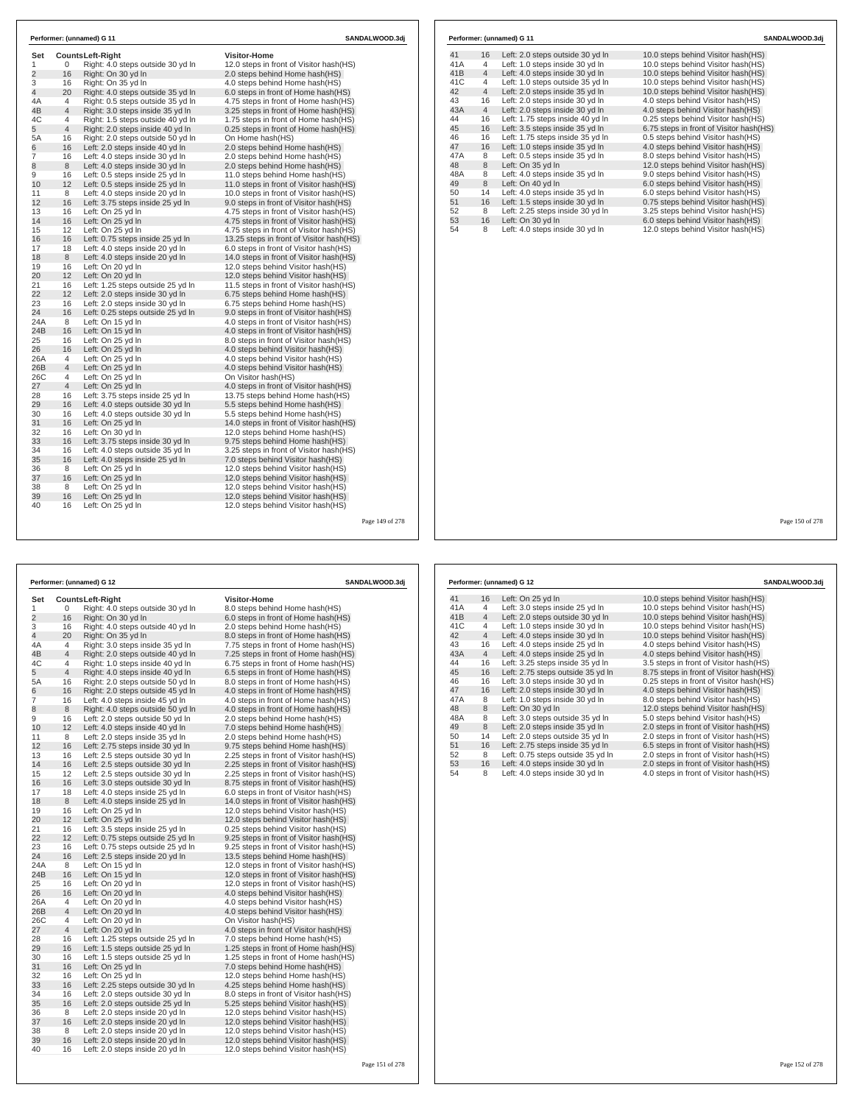| Set            |                | Counts Left-Right                 | <b>Visitor-Home</b>                       |
|----------------|----------------|-----------------------------------|-------------------------------------------|
| 1              | 0              | Right: 4.0 steps outside 30 yd In | 12.0 steps in front of Visitor hash(HS)   |
| $\overline{2}$ | 16             | Right: On 30 yd In                | 2.0 steps behind Home hash(HS)            |
| 3              | 16             | Right: On 35 vd In                | 4.0 steps behind Home hash(HS)            |
| 4              | 20             | Right: 4.0 steps outside 35 yd In | 6.0 steps in front of Home hash(HS)       |
| 4Α             | 4              | Right: 0.5 steps outside 35 yd In | 4.75 steps in front of Home hash(HS)      |
| 4B             | 4              | Right: 3.0 steps inside 35 yd In  | 3.25 steps in front of Home hash(HS)      |
| 4C             | 4              | Right: 1.5 steps outside 40 yd In | 1.75 steps in front of Home hash(HS)      |
| 5              | $\overline{4}$ | Right: 2.0 steps inside 40 yd In  | 0.25 steps in front of Home hash(HS)      |
| 5A             | 16             | Right: 2.0 steps outside 50 yd In | On Home hash(HS)                          |
| 6              | 16             | Left: 2.0 steps inside 40 yd In   | 2.0 steps behind Home hash(HS)            |
| 7              | 16             | Left: 4.0 steps inside 30 yd In   | 2.0 steps behind Home hash(HS)            |
| 8              | 8              | Left: 4.0 steps inside 30 yd In   | 2.0 steps behind Home hash(HS)            |
| 9              | 16             | Left: 0.5 steps inside 25 yd In   | 11.0 steps behind Home hash(HS)           |
| 10             | 12             | Left: 0.5 steps inside 25 yd In   | 11.0 steps in front of Visitor hash (HS)  |
| 11             | 8              | Left: 4.0 steps inside 20 yd In   | 10.0 steps in front of Visitor hash(HS)   |
| 12             | 16             | Left: 3.75 steps inside 25 yd In  | 9.0 steps in front of Visitor hash(HS)    |
| 13             | 16             | Left: On 25 yd In                 | 4.75 steps in front of Visitor hash(HS)   |
| 14             | 16             | Left: On 25 yd In                 | 4.75 steps in front of Visitor hash(HS)   |
| 15             | 12             | Left: On 25 yd In                 | 4.75 steps in front of Visitor hash(HS)   |
| 16             | 16             | Left: 0.75 steps inside 25 yd In  | 13.25 steps in front of Visitor hash (HS) |
| 17             | 18             | Left: 4.0 steps inside 20 yd In   | 6.0 steps in front of Visitor hash(HS)    |
| 18             | 8              | Left: 4.0 steps inside 20 yd In   | 14.0 steps in front of Visitor hash(HS)   |
| 19             | 16             | Left: On 20 yd In                 | 12.0 steps behind Visitor hash (HS)       |
| 20             | 12             | Left: On 20 yd In                 | 12.0 steps behind Visitor hash(HS)        |
| 21             | 16             | Left: 1.25 steps outside 25 yd In | 11.5 steps in front of Visitor hash (HS)  |
| 22             | 12             | Left: 2.0 steps inside 30 yd In   | 6.75 steps behind Home hash(HS)           |
| 23             | 16             | Left: 2.0 steps inside 30 yd In   | 6.75 steps behind Home hash(HS)           |
| 24             | 16             | Left: 0.25 steps outside 25 yd In | 9.0 steps in front of Visitor hash(HS)    |
| 24A            | 8              | Left: On 15 yd In                 | 4.0 steps in front of Visitor hash(HS)    |
| 24B            | 16             | Left: On 15 yd In                 | 4.0 steps in front of Visitor hash(HS)    |
| 25             | 16             | Left: On 25 yd In                 | 8.0 steps in front of Visitor hash(HS)    |
| 26             | 16             | Left: On 25 yd In                 | 4.0 steps behind Visitor hash(HS)         |
| 26A            | 4              | Left: On 25 yd In                 | 4.0 steps behind Visitor hash(HS)         |
| 26B            | 4              | Left: On 25 yd In                 | 4.0 steps behind Visitor hash (HS)        |
| 26C            | 4              | Left: On 25 vd In                 | On Visitor hash(HS)                       |
| 27             | $\overline{4}$ | Left: On 25 yd In                 | 4.0 steps in front of Visitor hash(HS)    |
| 28             | 16             | Left: 3.75 steps inside 25 yd In  | 13.75 steps behind Home hash(HS)          |
| 29             | 16             | Left: 4.0 steps outside 30 yd In  | 5.5 steps behind Home hash(HS)            |
| 30             | 16             | Left: 4.0 steps outside 30 yd In  | 5.5 steps behind Home hash(HS)            |
| 31             | 16             | Left: On 25 yd In                 | 14.0 steps in front of Visitor hash (HS)  |
| 32             | 16             | Left: On 30 yd In                 | 12.0 steps behind Home hash(HS)           |
| 33             | 16             | Left: 3.75 steps inside 30 yd In  | 9.75 steps behind Home hash(HS)           |
| 34             | 16             | Left: 4.0 steps outside 35 yd In  | 3.25 steps in front of Visitor hash(HS)   |
| 35             | 16             | Left: 4.0 steps inside 25 yd In   | 7.0 steps behind Visitor hash(HS)         |
| 36             | 8              | Left: On 25 yd In                 | 12.0 steps behind Visitor hash(HS)        |
| 37             | 16             | Left: On 25 yd In                 | 12.0 steps behind Visitor hash (HS)       |
| 38             | 8              | Left: On 25 yd In                 | 12.0 steps behind Visitor hash (HS)       |
| 39             | 16             | Left: On 25 yd In                 | 12.0 steps behind Visitor hash(HS)        |
| 40             | 16             | Left: On 25 yd In                 | 12.0 steps behind Visitor hash(HS)        |

| 41  | 16             | Left: 2.0 steps outside 30 yd In | 10.0 steps behind Visitor hash (HS)     |
|-----|----------------|----------------------------------|-----------------------------------------|
| 41A | 4              | Left: 1.0 steps inside 30 yd In  | 10.0 steps behind Visitor hash(HS)      |
| 41B | $\overline{4}$ | Left: 4.0 steps inside 30 yd In  | 10.0 steps behind Visitor hash(HS)      |
| 41C | $\overline{4}$ | Left: 1.0 steps outside 35 yd In | 10.0 steps behind Visitor hash(HS)      |
| 42  | $\overline{4}$ | Left: 2.0 steps inside 35 yd In  | 10.0 steps behind Visitor hash(HS)      |
| 43  | 16             | Left: 2.0 steps inside 30 yd In  | 4.0 steps behind Visitor hash(HS)       |
| 43A | $\overline{4}$ | Left: 2.0 steps inside 30 yd In  | 4.0 steps behind Visitor hash(HS)       |
| 44  | 16             | Left: 1.75 steps inside 40 yd In | 0.25 steps behind Visitor hash(HS)      |
| 45  | 16             | Left: 3.5 steps inside 35 yd In  | 6.75 steps in front of Visitor hash(HS) |
| 46  | 16             | Left: 1.75 steps inside 35 yd In | 0.5 steps behind Visitor hash(HS)       |
| 47  | 16             | Left: 1.0 steps inside 35 yd In  | 4.0 steps behind Visitor hash(HS)       |
| 47A | 8              | Left: 0.5 steps inside 35 yd In  | 8.0 steps behind Visitor hash(HS)       |
| 48  | 8              | Left: On 35 yd In                | 12.0 steps behind Visitor hash(HS)      |
| 48A | 8              | Left: 4.0 steps inside 35 yd In  | 9.0 steps behind Visitor hash(HS)       |
| 49  | 8              | Left: On 40 yd In                | 6.0 steps behind Visitor hash(HS)       |
| 50  | 14             | Left: 4.0 steps inside 35 yd In  | 6.0 steps behind Visitor hash(HS)       |
| 51  | 16             | Left: 1.5 steps inside 30 yd In  | 0.75 steps behind Visitor hash(HS)      |
| 52  | 8              | Left: 2.25 steps inside 30 yd In | 3.25 steps behind Visitor hash (HS)     |
| 53  | 16             | Left: On 30 yd In                | 6.0 steps behind Visitor hash(HS)       |
| 54  | 8              | Left: 4.0 steps inside 30 yd In  | 12.0 steps behind Visitor hash(HS)      |

Page 149 of 278

|                |                | Performer: (unnamed) G 12                                          | SANDALWOOD.3dj                                                             |
|----------------|----------------|--------------------------------------------------------------------|----------------------------------------------------------------------------|
| Set            |                | Counts Left-Right                                                  | <b>Visitor-Home</b>                                                        |
| 1              | 0              | Right: 4.0 steps outside 30 yd In                                  | 8.0 steps behind Home hash(HS)                                             |
| $\overline{2}$ | 16             | Right: On 30 yd In                                                 | 6.0 steps in front of Home hash (HS)                                       |
| 3              | 16             | Right: 4.0 steps outside 40 yd In                                  | 2.0 steps behind Home hash(HS)                                             |
| 4              | 20             | Right: On 35 yd In                                                 | 8.0 steps in front of Home hash(HS)                                        |
| 4A             | 4              | Right: 3.0 steps inside 35 yd In                                   | 7.75 steps in front of Home hash(HS)                                       |
| 4B             | $\overline{4}$ | Right: 2.0 steps outside 40 yd In                                  | 7.25 steps in front of Home hash(HS)                                       |
| 4C             | 4              | Right: 1.0 steps inside 40 yd In                                   | 6.75 steps in front of Home hash (HS)                                      |
| 5              | 4              | Right: 4.0 steps inside 40 yd In                                   | 6.5 steps in front of Home hash(HS)                                        |
| 5A             | 16             | Right: 2.0 steps outside 50 yd In                                  | 8.0 steps in front of Home hash (HS)                                       |
| 6              | 16             | Right: 2.0 steps outside 45 yd In                                  | 4.0 steps in front of Home hash(HS)                                        |
| 7              | 16             | Left: 4.0 steps inside 45 yd In                                    | 4.0 steps in front of Home hash (HS)                                       |
| 8              | 8              | Right: 4.0 steps outside 50 yd In                                  | 4.0 steps in front of Home hash(HS)                                        |
| 9              | 16             | Left: 2.0 steps outside 50 yd In                                   | 2.0 steps behind Home hash(HS)                                             |
| 10             | 12             | Left: 4.0 steps inside 40 yd In                                    | 7.0 steps behind Home hash(HS)                                             |
| 11             | 8              | Left: 2.0 steps inside 35 yd In                                    | 2.0 steps behind Home hash(HS)                                             |
| 12             | 16             | Left: 2.75 steps inside 30 yd In                                   | 9.75 steps behind Home hash(HS)                                            |
| 13             | 16             | Left: 2.5 steps outside 30 yd In                                   | 2.25 steps in front of Visitor hash (HS)                                   |
| 14             | 16             | Left: 2.5 steps outside 30 yd In                                   | 2.25 steps in front of Visitor hash (HS)                                   |
| 15             | 12             | Left: 2.5 steps outside 30 yd In                                   | 2.25 steps in front of Visitor hash (HS)                                   |
| 16             | 16             | Left: 3.0 steps outside 30 yd In                                   | 8.75 steps in front of Visitor hash(HS)                                    |
| 17             | 18             | Left: 4.0 steps inside 25 yd In                                    | 6.0 steps in front of Visitor hash (HS)                                    |
| 18             | 8              | Left: 4.0 steps inside 25 yd In                                    | 14.0 steps in front of Visitor hash(HS)                                    |
| 19             | 16             | Left: On 25 yd In                                                  | 12.0 steps behind Visitor hash (HS)                                        |
| 20             | 12             | Left: On 25 yd In                                                  | 12.0 steps behind Visitor hash(HS)                                         |
| 21             | 16             | Left: 3.5 steps inside 25 yd In                                    | 0.25 steps behind Visitor hash (HS)                                        |
| 22             | 12             | Left: 0.75 steps outside 25 yd In                                  | 9.25 steps in front of Visitor hash (HS)                                   |
| 23             | 16             | Left: 0.75 steps outside 25 yd In                                  | 9.25 steps in front of Visitor hash (HS)                                   |
| 24             | 16             | Left: 2.5 steps inside 20 yd In                                    | 13.5 steps behind Home hash(HS)                                            |
| 24A            | 8              | Left: On 15 yd In                                                  | 12.0 steps in front of Visitor hash (HS)                                   |
| 24B            | 16             | Left: On 15 yd In                                                  | 12.0 steps in front of Visitor hash (HS)                                   |
| 25             | 16             | Left: On 20 yd In                                                  | 12.0 steps in front of Visitor hash (HS)                                   |
| 26             | 16             | Left: On 20 yd In                                                  | 4.0 steps behind Visitor hash (HS)                                         |
| 26A            | 4              | Left: On 20 yd In                                                  | 4.0 steps behind Visitor hash (HS)                                         |
| 26B            | $\overline{4}$ | Left: On 20 yd In                                                  | 4.0 steps behind Visitor hash(HS)                                          |
| 26C            | 4              | Left: On 20 yd In                                                  | On Visitor hash(HS)                                                        |
| 27             | 4              | Left: On 20 yd In                                                  | 4.0 steps in front of Visitor hash(HS)                                     |
| 28             | 16             | Left: 1.25 steps outside 25 yd In                                  | 7.0 steps behind Home hash(HS)                                             |
| 29             | 16             | Left: 1.5 steps outside 25 yd In                                   | 1.25 steps in front of Home hash(HS)                                       |
| 30             | 16             | Left: 1.5 steps outside 25 yd In                                   | 1.25 steps in front of Home hash (HS)                                      |
| 31             | 16             | Left: On 25 yd In                                                  | 7.0 steps behind Home hash(HS)                                             |
| 32             | 16             | Left: On 25 yd In                                                  | 12.0 steps behind Home hash(HS)                                            |
| 33<br>34       | 16<br>16       | Left: 2.25 steps outside 30 yd In                                  | 4.25 steps behind Home hash(HS)                                            |
|                |                | Left: 2.0 steps outside 30 yd In                                   | 8.0 steps in front of Visitor hash (HS)                                    |
| 35<br>36       | 16<br>8        | Left: 2.0 steps outside 25 yd In                                   | 5.25 steps behind Visitor hash (HS)                                        |
| 37             | 16             | Left: 2.0 steps inside 20 yd In                                    | 12.0 steps behind Visitor hash (HS)<br>12.0 steps behind Visitor hash (HS) |
| 38             | 8              | Left: 2.0 steps inside 20 yd In<br>Left: 2.0 steps inside 20 yd In | 12.0 steps behind Visitor hash (HS)                                        |
| 39             | 16             |                                                                    |                                                                            |
| 40             | 16             | Left: 2.0 steps inside 20 yd In                                    | 12.0 steps behind Visitor hash(HS)<br>12.0 steps behind Visitor hash (HS)  |
|                |                | Left: 2.0 steps inside 20 yd In                                    |                                                                            |

|                 |                | Performer: (unnamed) G 12         | SANDALWOOD.3dj                          |
|-----------------|----------------|-----------------------------------|-----------------------------------------|
| 41              | 16             | Left: On 25 yd In                 | 10.0 steps behind Visitor hash (HS)     |
| 41A             | 4              | Left: 3.0 steps inside 25 yd In   | 10.0 steps behind Visitor hash(HS)      |
| 41 <sub>B</sub> | $\overline{4}$ | Left: 2.0 steps outside 30 yd In  | 10.0 steps behind Visitor hash (HS)     |
| 41C             | 4              | Left: 1.0 steps inside 30 yd In   | 10.0 steps behind Visitor hash (HS)     |
| 42              | $\overline{4}$ | Left: 4.0 steps inside 30 yd In   | 10.0 steps behind Visitor hash(HS)      |
| 43              | 16             | Left: 4.0 steps inside 25 yd In   | 4.0 steps behind Visitor hash (HS)      |
| 43A             | $\overline{4}$ | Left: 4.0 steps inside 25 yd In   | 4.0 steps behind Visitor hash(HS)       |
| 44              | 16             | Left: 3.25 steps inside 35 vd In  | 3.5 steps in front of Visitor hash(HS)  |
| 45              | 16             | Left: 2.75 steps outside 35 yd In | 8.75 steps in front of Visitor hash(HS) |
| 46              | 16             | Left: 3.0 steps inside 30 vd In   | 0.25 steps in front of Visitor hash(HS) |
| 47              | 16             | Left: 2.0 steps inside 30 yd In   | 4.0 steps behind Visitor hash(HS)       |
| 47A             | 8              | Left: 1.0 steps inside 30 yd In   | 8.0 steps behind Visitor hash(HS)       |
| 48              | 8              | Left: On 30 yd In                 | 12.0 steps behind Visitor hash (HS)     |
| 48A             | 8              | Left: 3.0 steps outside 35 yd In  | 5.0 steps behind Visitor hash(HS)       |
| 49              | 8              | Left: 2.0 steps inside 35 yd In   | 2.0 steps in front of Visitor hash(HS)  |
| 50              | 14             | Left: 2.0 steps outside 35 yd In  | 2.0 steps in front of Visitor hash(HS)  |
| 51              | 16             | Left: 2.75 steps inside 35 yd In  | 6.5 steps in front of Visitor hash(HS)  |
| 52              | 8              | Left: 0.75 steps outside 35 yd In | 2.0 steps in front of Visitor hash(HS)  |
| 53              | 16             | Left: 4.0 steps inside 30 yd In   | 2.0 steps in front of Visitor hash(HS)  |
| 54              | 8              | Left: 4.0 steps inside 30 yd In   | 4.0 steps in front of Visitor hash(HS)  |

Page 150 of 278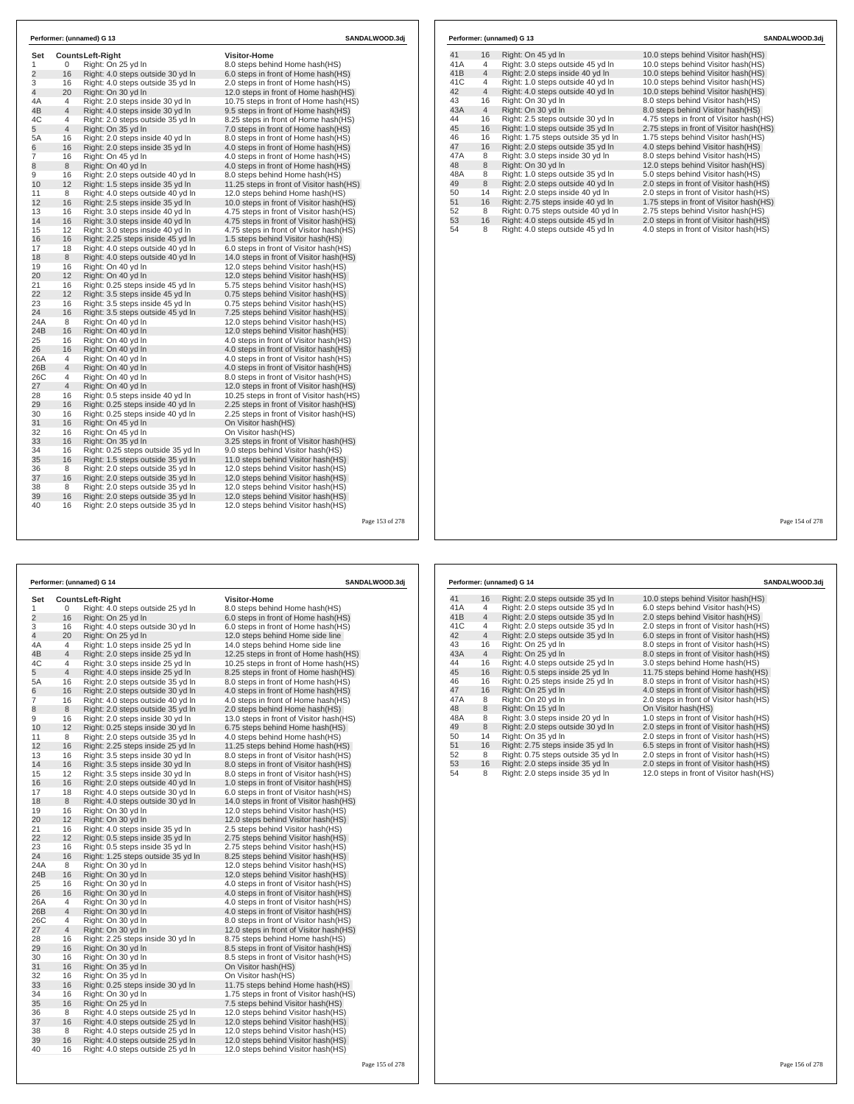|                |                | Performer: (unnamed) G 13          |                                          | SANDALWOOD.3di  |     |                | Performer: (unnamed) G 13          | SANDALWOOD.3di                          |
|----------------|----------------|------------------------------------|------------------------------------------|-----------------|-----|----------------|------------------------------------|-----------------------------------------|
| Set            |                | <b>CountsLeft-Right</b>            | <b>Visitor-Home</b>                      |                 | 41  | 16             | Right: On 45 yd In                 | 10.0 steps behind Visitor hash (HS)     |
| $\overline{2}$ | $\mathbf{0}$   | Right: On 25 yd In                 | 8.0 steps behind Home hash(HS)           |                 | 41A | $\overline{4}$ | Right: 3.0 steps outside 45 yd In  | 10.0 steps behind Visitor hash(HS)      |
|                | 16             | Right: 4.0 steps outside 30 yd In  | 6.0 steps in front of Home hash(HS)      |                 | 41B | $\overline{4}$ | Right: 2.0 steps inside 40 yd In   | 10.0 steps behind Visitor hash (HS)     |
|                | 16             | Right: 4.0 steps outside 35 yd In  | 2.0 steps in front of Home hash (HS)     |                 | 41C | $\overline{4}$ | Right: 1.0 steps outside 40 yd In  | 10.0 steps behind Visitor hash(HS)      |
|                | 20             | Right: On 30 yd In                 | 12.0 steps in front of Home hash(HS)     |                 | 42  | $\overline{4}$ | Right: 4.0 steps outside 40 yd In  | 10.0 steps behind Visitor hash (HS)     |
|                | $\overline{4}$ | Right: 2.0 steps inside 30 yd In   | 10.75 steps in front of Home hash(HS)    |                 | 43  | 16             | Right: On 30 yd In                 | 8.0 steps behind Visitor hash(HS)       |
|                | $\overline{4}$ | Right: 4.0 steps inside 30 yd In   | 9.5 steps in front of Home hash(HS)      |                 | 43A | $\overline{4}$ | Right: On 30 yd In                 | 8.0 steps behind Visitor hash(HS)       |
|                | $\overline{4}$ | Right: 2.0 steps outside 35 yd In  | 8.25 steps in front of Home hash(HS)     |                 | 44  | 16             | Right: 2.5 steps outside 30 yd In  | 4.75 steps in front of Visitor hash(HS) |
|                | 4              | Right: On 35 yd In                 | 7.0 steps in front of Home hash(HS)      |                 | 45  | 16             | Right: 1.0 steps outside 35 yd In  | 2.75 steps in front of Visitor hash(HS) |
|                | 16             | Right: 2.0 steps inside 40 yd In   | 8.0 steps in front of Home hash(HS)      |                 | 46  | 16             | Right: 1.75 steps outside 35 yd In | 1.75 steps behind Visitor hash(HS)      |
|                | 16             | Right: 2.0 steps inside 35 yd In   | 4.0 steps in front of Home hash(HS)      |                 | 47  | 16             | Right: 2.0 steps outside 35 yd In  | 4.0 steps behind Visitor hash(HS)       |
|                | 16             | Right: On 45 yd In                 | 4.0 steps in front of Home hash(HS)      |                 | 47A | 8              | Right: 3.0 steps inside 30 yd In   | 8.0 steps behind Visitor hash(HS)       |
|                | 8              | Right: On 40 yd In                 | 4.0 steps in front of Home hash(HS)      |                 | 48  | 8              | Right: On 30 yd In                 | 12.0 steps behind Visitor hash(HS)      |
|                | 16             | Right: 2.0 steps outside 40 yd In  | 8.0 steps behind Home hash(HS)           |                 | 48A | 8              | Right: 1.0 steps outside 35 yd In  | 5.0 steps behind Visitor hash(HS)       |
|                | 12             | Right: 1.5 steps inside 35 yd In   | 11.25 steps in front of Visitor hash(HS) |                 | 49  | 8              | Right: 2.0 steps outside 40 vd In  | 2.0 steps in front of Visitor hash (HS) |
|                | 8              | Right: 4.0 steps outside 40 yd In  | 12.0 steps behind Home hash(HS)          |                 | 50  | 14             | Right: 2.0 steps inside 40 yd In   | 2.0 steps in front of Visitor hash(HS)  |
|                | 16             | Right: 2.5 steps inside 35 yd In   | 10.0 steps in front of Visitor hash(HS)  |                 | 51  | 16             | Right: 2.75 steps inside 40 yd In  | 1.75 steps in front of Visitor hash(HS) |
|                | 16             | Right: 3.0 steps inside 40 vd In   | 4.75 steps in front of Visitor hash (HS) |                 | 52  | 8              | Right: 0.75 steps outside 40 yd In | 2.75 steps behind Visitor hash(HS)      |
|                | 16             | Right: 3.0 steps inside 40 yd In   | 4.75 steps in front of Visitor hash(HS)  |                 | 53  | 16             | Right: 4.0 steps outside 45 yd In  | 2.0 steps in front of Visitor hash(HS)  |
|                | 12             | Right: 3.0 steps inside 40 yd In   | 4.75 steps in front of Visitor hash (HS) |                 | 54  | 8              | Right: 4.0 steps outside 45 yd In  | 4.0 steps in front of Visitor hash(HS)  |
|                | 16             | Right: 2.25 steps inside 45 yd In  | 1.5 steps behind Visitor hash(HS)        |                 |     |                |                                    |                                         |
|                | 18             | Right: 4.0 steps outside 40 vd ln  | 6.0 steps in front of Visitor hash(HS)   |                 |     |                |                                    |                                         |
|                | 8              | Right: 4.0 steps outside 40 yd In  | 14.0 steps in front of Visitor hash(HS)  |                 |     |                |                                    |                                         |
|                | 16             | Right: On 40 yd In                 | 12.0 steps behind Visitor hash(HS)       |                 |     |                |                                    |                                         |
|                | 12             | Right: On 40 yd In                 | 12.0 steps behind Visitor hash(HS)       |                 |     |                |                                    |                                         |
|                | 16             | Right: 0.25 steps inside 45 yd In  | 5.75 steps behind Visitor hash (HS)      |                 |     |                |                                    |                                         |
|                | 12             | Right: 3.5 steps inside 45 yd In   | 0.75 steps behind Visitor hash(HS)       |                 |     |                |                                    |                                         |
|                | 16             | Right: 3.5 steps inside 45 yd In   | 0.75 steps behind Visitor hash(HS)       |                 |     |                |                                    |                                         |
|                | 16             | Right: 3.5 steps outside 45 yd In  | 7.25 steps behind Visitor hash(HS)       |                 |     |                |                                    |                                         |
|                | 8              | Right: On 40 yd In                 | 12.0 steps behind Visitor hash(HS)       |                 |     |                |                                    |                                         |
|                | 16             | Right: On 40 yd In                 | 12.0 steps behind Visitor hash(HS)       |                 |     |                |                                    |                                         |
|                | 16             | Right: On 40 yd In                 | 4.0 steps in front of Visitor hash(HS)   |                 |     |                |                                    |                                         |
|                | 16             | Right: On 40 yd In                 | 4.0 steps in front of Visitor hash(HS)   |                 |     |                |                                    |                                         |
| 26A<br>26B     | $\overline{4}$ | Right: On 40 yd In                 | 4.0 steps in front of Visitor hash(HS)   |                 |     |                |                                    |                                         |
|                | $\overline{4}$ | Right: On 40 yd In                 | 4.0 steps in front of Visitor hash(HS)   |                 |     |                |                                    |                                         |
| 26C            | $\overline{4}$ | Right: On 40 vd In                 | 8.0 steps in front of Visitor hash(HS)   |                 |     |                |                                    |                                         |
|                | $\overline{4}$ | Right: On 40 yd In                 | 12.0 steps in front of Visitor hash(HS)  |                 |     |                |                                    |                                         |
|                | 16             | Right: 0.5 steps inside 40 yd In   | 10.25 steps in front of Visitor hash(HS) |                 |     |                |                                    |                                         |
|                | 16             | Right: 0.25 steps inside 40 yd In  | 2.25 steps in front of Visitor hash(HS)  |                 |     |                |                                    |                                         |
|                | 16             | Right: 0.25 steps inside 40 yd In  | 2.25 steps in front of Visitor hash(HS)  |                 |     |                |                                    |                                         |
|                | 16             | Right: On 45 yd In                 | On Visitor hash(HS)                      |                 |     |                |                                    |                                         |
|                | 16             | Right: On 45 yd In                 | On Visitor hash(HS)                      |                 |     |                |                                    |                                         |
|                | 16             | Right: On 35 yd In                 | 3.25 steps in front of Visitor hash(HS)  |                 |     |                |                                    |                                         |
|                | 16             | Right: 0.25 steps outside 35 yd In | 9.0 steps behind Visitor hash(HS)        |                 |     |                |                                    |                                         |
|                | 16             | Right: 1.5 steps outside 35 yd In  | 11.0 steps behind Visitor hash(HS)       |                 |     |                |                                    |                                         |
|                | 8              | Right: 2.0 steps outside 35 yd In  | 12.0 steps behind Visitor hash(HS)       |                 |     |                |                                    |                                         |
|                | 16             | Right: 2.0 steps outside 35 yd In  | 12.0 steps behind Visitor hash(HS)       |                 |     |                |                                    |                                         |
|                | 8              | Right: 2.0 steps outside 35 yd In  | 12.0 steps behind Visitor hash(HS)       |                 |     |                |                                    |                                         |
|                | 16             | Right: 2.0 steps outside 35 yd In  | 12.0 steps behind Visitor hash(HS)       |                 |     |                |                                    |                                         |
|                | 16             | Right: 2.0 steps outside 35 yd In  | 12.0 steps behind Visitor hash(HS)       |                 |     |                |                                    |                                         |
|                |                |                                    |                                          | Page 153 of 278 |     |                |                                    | Page 154 of 278                         |
|                |                |                                    |                                          |                 |     |                |                                    |                                         |

|                | Performer: (unnamed) G 14<br>SANDALWOOD.3dj |                                    |                                          |  |  |  |  |  |
|----------------|---------------------------------------------|------------------------------------|------------------------------------------|--|--|--|--|--|
| Set            |                                             | <b>CountsLeft-Right</b>            | <b>Visitor-Home</b>                      |  |  |  |  |  |
| 1              | 0                                           | Right: 4.0 steps outside 25 yd In  | 8.0 steps behind Home hash(HS)           |  |  |  |  |  |
| $\overline{2}$ | 16                                          | Right: On 25 yd In                 | 6.0 steps in front of Home hash(HS)      |  |  |  |  |  |
| 3              | 16                                          | Right: 4.0 steps outside 30 yd In  | 6.0 steps in front of Home hash(HS)      |  |  |  |  |  |
| 4              | 20                                          | Right: On 25 yd In                 | 12.0 steps behind Home side line         |  |  |  |  |  |
| 4Α             | 4                                           | Right: 1.0 steps inside 25 yd In   | 14.0 steps behind Home side line         |  |  |  |  |  |
| 4B             | 4                                           | Right: 2.0 steps inside 25 yd In   | 12.25 steps in front of Home hash(HS)    |  |  |  |  |  |
| 4C             | 4                                           | Right: 3.0 steps inside 25 yd In   | 10.25 steps in front of Home hash (HS)   |  |  |  |  |  |
| 5              | 4                                           | Right: 4.0 steps inside 25 yd In   | 8.25 steps in front of Home hash(HS)     |  |  |  |  |  |
| 5А             | 16                                          | Right: 2.0 steps outside 35 yd In  | 8.0 steps in front of Home hash(HS)      |  |  |  |  |  |
| 6              | 16                                          | Right: 2.0 steps outside 30 yd In  | 4.0 steps in front of Home hash (HS)     |  |  |  |  |  |
| 7              | 16                                          | Right: 4.0 steps outside 40 yd In  | 4.0 steps in front of Home hash (HS)     |  |  |  |  |  |
| 8              | 8                                           | Right: 2.0 steps outside 35 yd In  | 2.0 steps behind Home hash(HS)           |  |  |  |  |  |
| 9              | 16                                          | Right: 2.0 steps inside 30 yd In   | 13.0 steps in front of Visitor hash (HS) |  |  |  |  |  |
| 10             | 12                                          | Right: 0.25 steps inside 30 yd In  | 6.75 steps behind Home hash(HS)          |  |  |  |  |  |
| 11             | 8                                           | Right: 2.0 steps outside 35 yd In  | 4.0 steps behind Home hash(HS)           |  |  |  |  |  |
| 12             | 16                                          | Right: 2.25 steps inside 25 yd In  | 11.25 steps behind Home hash(HS)         |  |  |  |  |  |
| 13             | 16                                          | Right: 3.5 steps inside 30 yd In   | 8.0 steps in front of Visitor hash(HS)   |  |  |  |  |  |
| 14             | 16                                          | Right: 3.5 steps inside 30 yd In   | 8.0 steps in front of Visitor hash(HS)   |  |  |  |  |  |
| 15             | 12                                          | Right: 3.5 steps inside 30 yd In   | 8.0 steps in front of Visitor hash (HS)  |  |  |  |  |  |
| 16             | 16                                          | Right: 2.0 steps outside 40 yd In  | 1.0 steps in front of Visitor hash(HS)   |  |  |  |  |  |
| 17             | 18                                          | Right: 4.0 steps outside 30 yd In  | 6.0 steps in front of Visitor hash (HS)  |  |  |  |  |  |
| 18             | 8                                           | Right: 4.0 steps outside 30 yd In  | 14.0 steps in front of Visitor hash(HS)  |  |  |  |  |  |
| 19             | 16                                          | Right: On 30 yd In                 | 12.0 steps behind Visitor hash(HS)       |  |  |  |  |  |
| 20             | 12                                          | Right: On 30 yd In                 | 12.0 steps behind Visitor hash(HS)       |  |  |  |  |  |
| 21             | 16                                          | Right: 4.0 steps inside 35 yd In   | 2.5 steps behind Visitor hash(HS)        |  |  |  |  |  |
| 22             | 12                                          | Right: 0.5 steps inside 35 yd In   | 2.75 steps behind Visitor hash(HS)       |  |  |  |  |  |
| 23             | 16                                          | Right: 0.5 steps inside 35 yd In   | 2.75 steps behind Visitor hash (HS)      |  |  |  |  |  |
| 24             | 16                                          | Right: 1.25 steps outside 35 yd In | 8.25 steps behind Visitor hash (HS)      |  |  |  |  |  |
| 24A            | 8                                           | Right: On 30 yd In                 | 12.0 steps behind Visitor hash (HS)      |  |  |  |  |  |
| 24B            | 16                                          | Right: On 30 yd In                 | 12.0 steps behind Visitor hash(HS)       |  |  |  |  |  |
| 25             | 16                                          | Right: On 30 yd In                 | 4.0 steps in front of Visitor hash (HS)  |  |  |  |  |  |
| 26             | 16                                          | Right: On 30 yd In                 | 4.0 steps in front of Visitor hash(HS)   |  |  |  |  |  |
| 26A            | 4                                           | Right: On 30 yd In                 | 4.0 steps in front of Visitor hash(HS)   |  |  |  |  |  |
| 26B            | 4                                           | Right: On 30 yd In                 | 4.0 steps in front of Visitor hash (HS)  |  |  |  |  |  |
| 26C            | 4                                           | Right: On 30 yd In                 | 8.0 steps in front of Visitor hash (HS)  |  |  |  |  |  |
| 27             | 4                                           | Right: On 30 yd In                 | 12.0 steps in front of Visitor hash(HS)  |  |  |  |  |  |
| 28             | 16                                          | Right: 2.25 steps inside 30 yd In  | 8.75 steps behind Home hash(HS)          |  |  |  |  |  |
| 29             | 16                                          | Right: On 30 yd In                 | 8.5 steps in front of Visitor hash(HS)   |  |  |  |  |  |
| 30             | 16                                          | Right: On 30 yd In                 | 8.5 steps in front of Visitor hash(HS)   |  |  |  |  |  |
| 31             | 16                                          | Right: On 35 yd In                 | On Visitor hash(HS)                      |  |  |  |  |  |
| 32             | 16                                          | Right: On 35 yd In                 | On Visitor hash(HS)                      |  |  |  |  |  |
| 33             | 16                                          | Right: 0.25 steps inside 30 yd In  | 11.75 steps behind Home hash(HS)         |  |  |  |  |  |
| 34             | 16                                          | Right: On 30 yd In                 | 1.75 steps in front of Visitor hash(HS)  |  |  |  |  |  |
| 35             | 16                                          | Right: On 25 yd In                 | 7.5 steps behind Visitor hash(HS)        |  |  |  |  |  |
| 36             | 8                                           | Right: 4.0 steps outside 25 yd In  | 12.0 steps behind Visitor hash(HS)       |  |  |  |  |  |
| 37             | 16                                          | Right: 4.0 steps outside 25 yd In  | 12.0 steps behind Visitor hash(HS)       |  |  |  |  |  |
| 38             | 8                                           | Right: 4.0 steps outside 25 yd In  | 12.0 steps behind Visitor hash (HS)      |  |  |  |  |  |
| 39             | 16                                          | Right: 4.0 steps outside 25 yd In  | 12.0 steps behind Visitor hash(HS)       |  |  |  |  |  |
| 40             | 16                                          | Right: 4.0 steps outside 25 yd In  | 12.0 steps behind Visitor hash(HS)       |  |  |  |  |  |

|     |                | Performer: (unnamed) G 14          | SANDALWOOD.3dj                           |
|-----|----------------|------------------------------------|------------------------------------------|
| 41  | 16             | Right: 2.0 steps outside 35 yd In  | 10.0 steps behind Visitor hash (HS)      |
| 41A | 4              | Right: 2.0 steps outside 35 yd In  | 6.0 steps behind Visitor hash (HS)       |
| 41B | $\overline{4}$ | Right: 2.0 steps outside 35 yd In  | 2.0 steps behind Visitor hash(HS)        |
| 41C | 4              | Right: 2.0 steps outside 35 yd In  | 2.0 steps in front of Visitor hash(HS)   |
| 42  | $\overline{4}$ | Right: 2.0 steps outside 35 yd In  | 6.0 steps in front of Visitor hash(HS)   |
| 43  | 16             | Right: On 25 yd In                 | 8.0 steps in front of Visitor hash(HS)   |
| 43A | $\overline{4}$ | Right: On 25 yd In                 | 8.0 steps in front of Visitor hash(HS)   |
| 44  | 16             | Right: 4.0 steps outside 25 vd In  | 3.0 steps behind Home hash (HS)          |
| 45  | 16             | Right: 0.5 steps inside 25 yd In   | 11.75 steps behind Home hash(HS)         |
| 46  | 16             | Right: 0.25 steps inside 25 yd In  | 8.0 steps in front of Visitor hash(HS)   |
| 47  | 16             | Right: On 25 yd In                 | 4.0 steps in front of Visitor hash(HS)   |
| 47A | 8              | Right: On 20 yd In                 | 2.0 steps in front of Visitor hash(HS)   |
| 48  | 8              | Right: On 15 yd In                 | On Visitor hash(HS)                      |
| 48A | 8              | Right: 3.0 steps inside 20 yd In   | 1.0 steps in front of Visitor hash(HS)   |
| 49  | 8              | Right: 2.0 steps outside 30 yd In  | 2.0 steps in front of Visitor hash(HS)   |
| 50  | 14             | Right: On 35 yd In                 | 2.0 steps in front of Visitor hash(HS)   |
| 51  | 16             | Right: 2.75 steps inside 35 yd In  | 6.5 steps in front of Visitor hash(HS)   |
| 52  | 8              | Right: 0.75 steps outside 35 yd In | 2.0 steps in front of Visitor hash(HS)   |
| 53  | 16             | Right: 2.0 steps inside 35 yd In   | 2.0 steps in front of Visitor hash(HS)   |
| 54  | 8              | Right: 2.0 steps inside 35 yd In   | 12.0 steps in front of Visitor hash (HS) |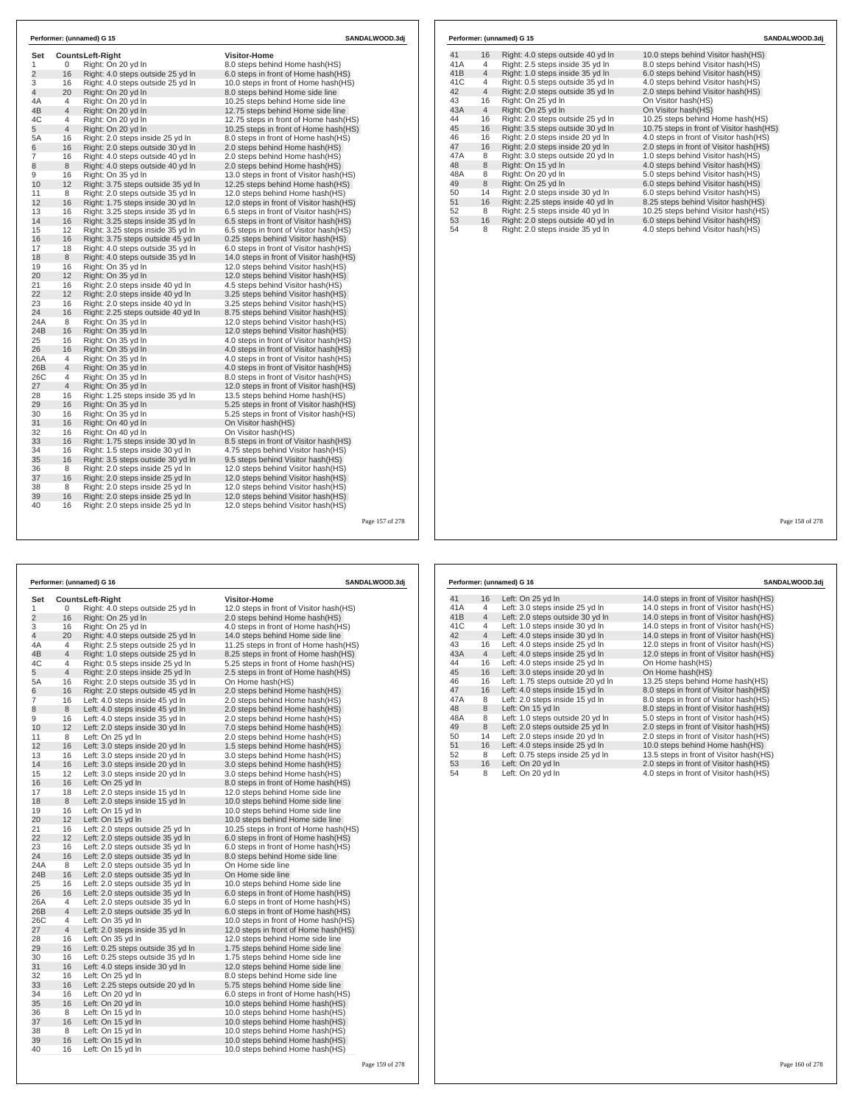|                |                | Performer: (unnamed) G 15          |                                         | SANDALWOOD.3dj |     |                | Performer: (unnamed) G 15         |                                         |
|----------------|----------------|------------------------------------|-----------------------------------------|----------------|-----|----------------|-----------------------------------|-----------------------------------------|
| Set            |                | <b>CountsLeft-Right</b>            | Visitor-Home                            |                | 41  | 16             | Right: 4.0 steps outside 40 yd In | 10.0 steps behind Visitor hash(HS)      |
| 1              | 0              | Right: On 20 yd In                 | 8.0 steps behind Home hash(HS)          |                | 41A | $\overline{4}$ | Right: 2.5 steps inside 35 yd In  | 8.0 steps behind Visitor hash(HS)       |
| $\overline{2}$ | 16             | Right: 4.0 steps outside 25 yd In  | 6.0 steps in front of Home hash(HS)     |                | 41B | $\overline{4}$ | Right: 1.0 steps inside 35 yd In  | 6.0 steps behind Visitor hash(HS)       |
| 3              | 16             | Right: 4.0 steps outside 25 yd In  | 10.0 steps in front of Home hash(HS)    |                | 41C | $\overline{4}$ | Right: 0.5 steps outside 35 yd In | 4.0 steps behind Visitor hash(HS)       |
| $\overline{4}$ | 20             | Right: On 20 yd In                 | 8.0 steps behind Home side line         |                | 42  | $\overline{4}$ | Right: 2.0 steps outside 35 yd In | 2.0 steps behind Visitor hash(HS)       |
| 4A             | $\overline{4}$ | Right: On 20 yd In                 | 10.25 steps behind Home side line       |                | 43  | 16             | Right: On 25 yd In                | On Visitor hash(HS)                     |
| 4B             | $\overline{4}$ | Right: On 20 yd In                 | 12.75 steps behind Home side line       |                | 43A | $\overline{4}$ | Right: On 25 yd In                | On Visitor hash(HS)                     |
| 4C             | $\overline{4}$ | Right: On 20 yd In                 | 12.75 steps in front of Home hash(HS)   |                | 44  | 16             | Right: 2.0 steps outside 25 yd In | 10.25 steps behind Home hash(HS)        |
| 5              | $\overline{4}$ | Right: On 20 yd In                 | 10.25 steps in front of Home hash(HS)   |                | 45  | 16             | Right: 3.5 steps outside 30 yd In | 10.75 steps in front of Visitor hash(F  |
| 5A             | 16             | Right: 2.0 steps inside 25 yd In   | 8.0 steps in front of Home hash(HS)     |                | 46  | 16             | Right: 2.0 steps inside 20 yd In  | 4.0 steps in front of Visitor hash (HS) |
| 6              | 16             | Right: 2.0 steps outside 30 yd In  | 2.0 steps behind Home hash(HS)          |                | 47  | 16             | Right: 2.0 steps inside 20 yd In  | 2.0 steps in front of Visitor hash(HS)  |
| $\overline{7}$ | 16             | Right: 4.0 steps outside 40 yd In  | 2.0 steps behind Home hash(HS)          |                | 47A | 8              | Right: 3.0 steps outside 20 yd In | 1.0 steps behind Visitor hash(HS)       |
| 8              | 8              | Right: 4.0 steps outside 40 yd In  | 2.0 steps behind Home hash(HS)          |                | 48  | 8              | Right: On 15 yd In                | 4.0 steps behind Visitor hash(HS)       |
| 9              | 16             | Right: On 35 yd In                 | 13.0 steps in front of Visitor hash(HS) |                | 48A | 8              | Right: On 20 yd In                | 5.0 steps behind Visitor hash(HS)       |
| 10             | 12             | Right: 3.75 steps outside 35 yd In | 12.25 steps behind Home hash(HS)        |                | 49  | 8              | Right: On 25 yd In                | 6.0 steps behind Visitor hash(HS)       |
| 11             | 8              | Right: 2.0 steps outside 35 yd In  | 12.0 steps behind Home hash(HS)         |                | 50  | 14             | Right: 2.0 steps inside 30 yd In  | 6.0 steps behind Visitor hash(HS)       |
| 12             | 16             | Right: 1.75 steps inside 30 yd In  | 12.0 steps in front of Visitor hash(HS) |                | 51  | 16             | Right: 2.25 steps inside 40 yd In | 8.25 steps behind Visitor hash(HS)      |
| 13             | 16             | Right: 3.25 steps inside 35 yd In  | 6.5 steps in front of Visitor hash(HS)  |                | 52  | 8              | Right: 2.5 steps inside 40 yd In  | 10.25 steps behind Visitor hash (HS)    |
| 14             | 16             | Right: 3.25 steps inside 35 yd In  | 6.5 steps in front of Visitor hash(HS)  |                | 53  | 16             | Right: 2.0 steps outside 40 yd In | 6.0 steps behind Visitor hash(HS)       |
| 15             | 12             | Right: 3.25 steps inside 35 yd In  | 6.5 steps in front of Visitor hash(HS)  |                | 54  | 8              | Right: 2.0 steps inside 35 yd In  | 4.0 steps behind Visitor hash(HS)       |
| 16             | 16             | Right: 3.75 steps outside 45 yd In | 0.25 steps behind Visitor hash(HS)      |                |     |                |                                   |                                         |
| 17             | 18             | Right: 4.0 steps outside 35 yd In  | 6.0 steps in front of Visitor hash(HS)  |                |     |                |                                   |                                         |
| 18             | 8              | Right: 4.0 steps outside 35 yd In  | 14.0 steps in front of Visitor hash(HS) |                |     |                |                                   |                                         |
| 19             | 16             | Right: On 35 yd In                 | 12.0 steps behind Visitor hash (HS)     |                |     |                |                                   |                                         |
| 20             | 12             | Right: On 35 yd In                 | 12.0 steps behind Visitor hash(HS)      |                |     |                |                                   |                                         |
| 21             | 16             | Right: 2.0 steps inside 40 yd In   | 4.5 steps behind Visitor hash(HS)       |                |     |                |                                   |                                         |
| 22             | 12             | Right: 2.0 steps inside 40 yd In   | 3.25 steps behind Visitor hash(HS)      |                |     |                |                                   |                                         |
| 23             | 16             | Right: 2.0 steps inside 40 yd In   | 3.25 steps behind Visitor hash(HS)      |                |     |                |                                   |                                         |
| 24             | 16             | Right: 2.25 steps outside 40 yd In | 8.75 steps behind Visitor hash(HS)      |                |     |                |                                   |                                         |
| 24A            | 8              | Right: On 35 yd In                 | 12.0 steps behind Visitor hash(HS)      |                |     |                |                                   |                                         |
| 24B            | 16             | Right: On 35 yd In                 | 12.0 steps behind Visitor hash(HS)      |                |     |                |                                   |                                         |
| 25             | 16             | Right: On 35 yd In                 | 4.0 steps in front of Visitor hash(HS)  |                |     |                |                                   |                                         |
| 26             | 16             | Right: On 35 yd In                 | 4.0 steps in front of Visitor hash(HS)  |                |     |                |                                   |                                         |
| 26A            | $\overline{4}$ | Right: On 35 yd In                 | 4.0 steps in front of Visitor hash(HS)  |                |     |                |                                   |                                         |
| 26B            | $\overline{4}$ | Right: On 35 yd In                 | 4.0 steps in front of Visitor hash(HS)  |                |     |                |                                   |                                         |
| 26C            | $\overline{4}$ | Right: On 35 yd In                 | 8.0 steps in front of Visitor hash(HS)  |                |     |                |                                   |                                         |
| 27             | $\overline{4}$ | Right: On 35 yd In                 | 12.0 steps in front of Visitor hash(HS) |                |     |                |                                   |                                         |
| 28             | 16             | Right: 1.25 steps inside 35 yd In  | 13.5 steps behind Home hash (HS)        |                |     |                |                                   |                                         |
| 29             | 16             | Right: On 35 yd In                 | 5.25 steps in front of Visitor hash(HS) |                |     |                |                                   |                                         |
| 30             | 16             | Right: On 35 yd In                 | 5.25 steps in front of Visitor hash(HS) |                |     |                |                                   |                                         |
| 31             | 16             | Right: On 40 yd In                 | On Visitor hash(HS)                     |                |     |                |                                   |                                         |
| 32             | 16             | Right: On 40 yd In                 | On Visitor hash(HS)                     |                |     |                |                                   |                                         |
| 33             | 16             | Right: 1.75 steps inside 30 yd In  | 8.5 steps in front of Visitor hash(HS)  |                |     |                |                                   |                                         |
| 34             | 16             | Right: 1.5 steps inside 30 yd In   | 4.75 steps behind Visitor hash(HS)      |                |     |                |                                   |                                         |
| 35             | 16             | Right: 3.5 steps outside 30 yd In  | 9.5 steps behind Visitor hash(HS)       |                |     |                |                                   |                                         |
| 36             | 8              | Right: 2.0 steps inside 25 yd In   | 12.0 steps behind Visitor hash(HS)      |                |     |                |                                   |                                         |
| 37             | 16             | Right: 2.0 steps inside 25 yd In   | 12.0 steps behind Visitor hash(HS)      |                |     |                |                                   |                                         |
| 38             | 8              | Right: 2.0 steps inside 25 vd In   | 12.0 steps behind Visitor hash(HS)      |                |     |                |                                   |                                         |
| 39             | 16             | Right: 2.0 steps inside 25 yd In   | 12.0 steps behind Visitor hash(HS)      |                |     |                |                                   |                                         |
| 40             | 16             | Right: 2.0 steps inside 25 yd In   | 12.0 steps behind Visitor hash(HS)      |                |     |                |                                   |                                         |
|                |                |                                    |                                         |                |     |                |                                   |                                         |

**Set CountsLeft-Right Visitor-Home**<br>1 0 Right: 4.0 steps outside 25 yd In 12.0 steps in 1 1 0 Right: 4.0 steps outside 25 yd ln 12.0 steps in front of Visitor hash(HS)<br>2 16 Right: On 25 yd ln 2.0 steps behind Home hash(HS) 2 16 Right: On 25 yd ln 2.0 steps behind Home hash(HS) 3 16 Right: On 25 yd ln 4.0 steps in front of Home hash(HS) 4 20 Right: 4.0 steps outside 25 yd ln 14.0 steps behind Home side line<br>4 Right: 2.5 steps outside 25 yd ln 11.25 steps in front of Home hash 4A 4 Right: 2.5 steps outside 25 yd ln 11.25 steps in front of Home hash(HS)<br>4B 4 Right: 1.0 steps outside 25 yd ln 8.25 steps in front of Home hash(HS)<br>4C 4 Right: 0.5 steps inside 25 yd ln 5.25 steps in front of Home has 4B 4 Right: 1.0 steps outside 25 yd ln 8.25 steps in front of Home hash(HS) 4C 4 Right: 0.5 steps inside 25 yd ln 5.25 steps in front of Home hash(HS) 5 4 Right: 2.0 steps inside 25 yd ln 2.5 steps in front of Home hash(HS)<br>5A 16 Right: 2.0 steps outside 35 yd ln 2.5 steps in front of Home hash(HS) 5A 16 Right: 2.0 steps outside 35 yd ln<br>6 16 Right: 2.0 steps outside 45 yd ln 2.0 steps behind Home hash(HS) 7 16 Left: 4.0 steps inside 45 yd ln 2.0 steps behind Home hash(HS) 8 8 Left: 4.0 steps inside 45 yd ln 2.0 steps behind Home hash(HS) 9 16 Left: 4.0 steps inside 35 yd ln 2.0 steps behind Home hash(HS) 10 12 Left: 2.0 steps inside 30 yd ln 7.0 steps behind Home hash(HS) 11 8 Left: On 25 yd ln 2.0 steps behind Home hash(HS)<br>12 16 Left: 3.0 steps inside 20 yd ln 1.5 steps behind Home hash(HS)<br>13 16 Left: 3.0 steps inside 20 yd ln 3.0 steps behind Home hash(HS) 12 16 Left: 3.0 steps inside 20 yd ln 1.5 steps behind Home hash(HS) 13 16 Left: 3.0 steps inside 20 yd ln 3.0 steps behind Home hash(HS) 14 16 Left: 3.0 steps inside 20 yd ln 3.0 steps behind Home hash(HS)<br>15 12 Left: 3.0 steps inside 20 yd ln 3.0 steps behind Home hash(HS) 15 12 Left: 3.0 steps inside 20 yd In 3.0 steps behind Home hash (HS)<br>16 16 Left: On 25 yd In 3.0 steps in 8.0 steps in front of Home hash (Home hash (HS)<br>17 18 Left: 2.0 steps inside 15 yd In 12.0 steps behind Home side l 16 16 Left: On 25 yd ln 8.0 steps in front of Home hash(HS) 17 18 Left: 2.0 steps inside 15 yd ln 12.0 steps behind Home side line 18 8 Left: 2.0 steps inside 15 yd ln 10.0 steps behind Home side line<br>19 16 Left: On 15 yd ln 10.0 steps behind Home side line 19 16 Left: On 15 yd ln 10.0 steps behind Home side line<br>
20 12 Left: On 15 yd ln 10.0 steps behind Home side line 20 12 Left: On 15 yd In 10.0 steps behind Home side line<br>21 16 Left: 2.0 steps outside 25 yd In 10.25 steps in front of Home hash/H<br>22 12 Left: 2.0 steps outside 35 yd In 6.0 steps in front of Home hash/H 16 Left: 2.0 steps outside 25 yd ln 10.25 steps in front of Home hash(HS)<br>12 Left: 2.0 steps outside 35 yd ln 6.0 steps in front of Home hash(HS) 22 12 Left: 2.0 steps outside 35 yd ln 6.0 steps in front of Home hash(HS) 23 16 Left: 2.0 steps outside 35 yd ln 6.0 steps in front of Home hash(HS) 24 16 Left: 2.0 steps outside 35 yd ln 8.0 steps behind Home side line<br>24A 8 Left: 2.0 steps outside 35 yd ln On Home side line 24A 8 Left: 2.0 steps outside 35 yd ln On Home side line<br>24B 16 Left: 2.0 steps outside 35 yd ln On Home side line 24B 16 Left: 2.0 steps outside 35 yd ln<br>25 16 Left: 2.0 steps outside 35 yd ln 25 16 Left: 2.0 steps outside 35 yd ln 10.0 steps behind Home side line<br>
26 16 Left: 2.0 steps outside 35 yd ln 6.0 steps in front of Home hash(H 26 16 Left: 2.0 steps outside 35 yd ln 6.0 steps in front of Home hash(HS)<br>26A 4 Left: 2.0 steps outside 35 yd ln 6.0 steps in front of Home hash(HS) 26A 4 Left: 2.0 steps outside 35 yd ln 6.0 steps in front of Home hash(HS)<br>26B 4 Left: 2.0 steps outside 35 yd ln 6.0 steps in front of Home hash(HS)<br>26C 4 Left: On 35 yd ln 26B 4 Left: 2.0 steps outside 35 yd ln 6.0 steps in front of Home hash(HS) 26C 4 Left: On 35 yd ln 10.0 steps in front of Home hash(HS) 27 4 Left: 2.0 steps inside 35 yd ln 2.0 steps in front of Home hash(HS)<br>28 16 Left: On 35 yd ln 12.0 steps behind Home side line 28 16 Left: On 35 yd ln 12.0 steps behind Home side line<br>29 16 Left: 0.25 steps outside 35 yd ln 1.75 steps behind Home side line 1.75 steps behind Home side line 30 16 Left: 0.25 steps outside 35 yd ln 1.75 steps behind Home side line 30 16 Left: 0.25 steps outside 35 yd ln 1.75 steps behind Home side line<br>1916 - Left: 4.0 steps inside 30 yd ln 12.0 steps behind Home side line<br>1920 - 16 Left: On 25 yd ln 32 16 Left: On 25 yd ln 8.0 steps behind Home side line 33 16 Left: 2.25 steps outside 20 yd ln 5.75 steps behind Home side line 16 Left: On 20 yd ln 6.0 steps in front of Home hash(HS)<br>16 Left: On 20 yd ln 10.0 steps behind Home hash(HS) 35 16 Left: On 20 yd ln 10.0 steps behind Home hash(HS)<br>36 8 Left: On 15 yd ln 10.0 steps behind Home hash(HS) 36 8 Left: On 15 yd in 10.0 steps behind Home hash(HS)<br>37 16 Left: On 15 yd In 10.0 steps behind Home hash(HS) 17 Left: On 15 yd ln 10.0 steps behind Home hash(HS)<br>
Left: On 15 yd ln 10.0 steps behind Home hash(HS) 38 8 Left: On 15 yd ln 10.0 steps behind Home hash(HS)<br>38 8 Left: On 15 yd ln 10.0 steps behind Home hash(HS)<br>40 16 Left: On 15 yd ln 10.0 steps behind Home hash(HS)

**Performer:** (unnamed) G 16 **SANDALWOOD.3dj** 

39 16 Left: On 15 yd ln 10.0 steps behind Home hash(HS) 40 16 Left: On 15 yd ln 10.0 steps behind Home hash(HS)

41 16 Left: On 25 yd In 14.0 steps in front of Visitor hash(HS)<br>41A 4 Left: 3.0 steps inside 25 yd In 14.0 steps in front of Visitor hash(HS) 41A 4 Left: 3.0 steps inside 25 yd ln 14.0 steps in front of Visitor hash(HS)<br>41B 4 Left: 2.0 steps outside 30 yd ln 14.0 steps in front of Visitor hash(HS) 41B 4 Left: 2.0 steps outside 30 yd ln 14.0 steps in front of Visitor hash(HS)<br>41C 4 Left: 1.0 steps inside 30 yd ln 14.0 steps in front of Visitor hash(HS) 41C 4 Left: 1.0 steps inside 30 yd ln 14.0 steps in front of Visitor hash(HS)<br>42 4 Left: 4.0 steps inside 30 yd ln 14.0 steps in front of Visitor hash(HS) 42 4 Left: 4.0 steps inside 30 yd ln 14.0 steps in front of Visitor hash(HS)<br>43 16 Left: 4.0 steps inside 25 yd ln 12.0 steps in front of Visitor hash(HS) 43 16 Left: 4.0 steps inside 25 yd ln 12.0 steps in front of Visitor hash(HS)<br>43A 4 Left: 4.0 steps inside 25 yd ln 12.0 steps in front of Visitor hash(HS) 4 Left: 4.0 steps inside 25 yd ln 12.0 steps in front of Visitor hash(HS)<br>16 Left: 4.0 steps inside 25 yd ln 0n Home hash(HS) 44 16 Left: 4.0 steps inside 25 yd ln<br>45 16 Left: 3.0 steps inside 20 yd ln<br>46 16 Left: 1.75 steps outside 20 yd Left: 3.0 steps inside 20 yd ln<br>Left: 1.75 steps outside 20 yd ln 45 16 Left: 3.0 steps inside 20 yd ln 13.25 steps behind Home hash(HS)<br>46 16 Left: 1.75 steps outside 20 yd ln 13.25 steps behind Home hash(HS)<br>47 16 Left: 4.0 steps inside 15 yd ln 13.25 steps in front of Visitor hash(HS) 47 16 Left: 4.0 steps inside 15 yd ln 8.0 steps in front of Visitor hash(HS)<br>47A 8 Left: 2.0 steps inside 15 yd ln 8.0 steps in front of Visitor hash(HS) 47A 8 Left: 2.0 steps inside 15 yd ln 8.0 steps in front of Visitor hash(HS)<br>48 8 Left: 0.0 15 yd ln 8.0 steps in front of Visitor hash(HS)<br>48A 8 Left: 1.0 steps outside 20 yd ln 5.0 steps in front of Visitor hash(HS) 48 8 Left: On 15 yd ln 8.0 steps in front of Visitor hash(HS) 48A 8 Left: 1.0 steps outside 20 yd ln 5.0 steps in front of Visitor hash(HS) 49 8 Left: 2.0 steps outside 25 yd ln<br>
49 8 Left: 2.0 steps outside 25 yd ln<br>
50 14 Left: 2.0 steps inside 20 yd ln 
2.0 steps in front of Visitor hash(HS) 50 14 Left: 2.0 steps inside 20 yd ln 2.0 steps in front of Visitor hash(HS)<br>51 16 Left: 4.0 steps inside 25 yd ln 10.0 steps behind Home hash(HS) 51 16 Left: 4.0 steps inside 25 yd ln 10.0 steps behind Home hash(HS) 52 8 Left: 0.75 steps inside 25 yd ln 13.5 steps in front of Visitor hash(HS) 53 16 Left: On 20 yd ln 2.0 steps in front of Visitor hash(HS) 54 September 2.5 September 2.6 September 2.6 September 2.6 September 2.6 September 2.6 September 2.6 September 2.6 September 2.6 September 2.6 September 2.6 September 2.6 September 2.6 September 2.6 September 2.6 September **Performer: (unnamed) G 16 SANDALWOOD.3dj**

16.15 steps behind heme hash(HS)<br>10.75 steps in front of Visitor hash(HS)

**Performer: (unnamed) G 15 SANDALWOOD.3dj**

Page 158 of 278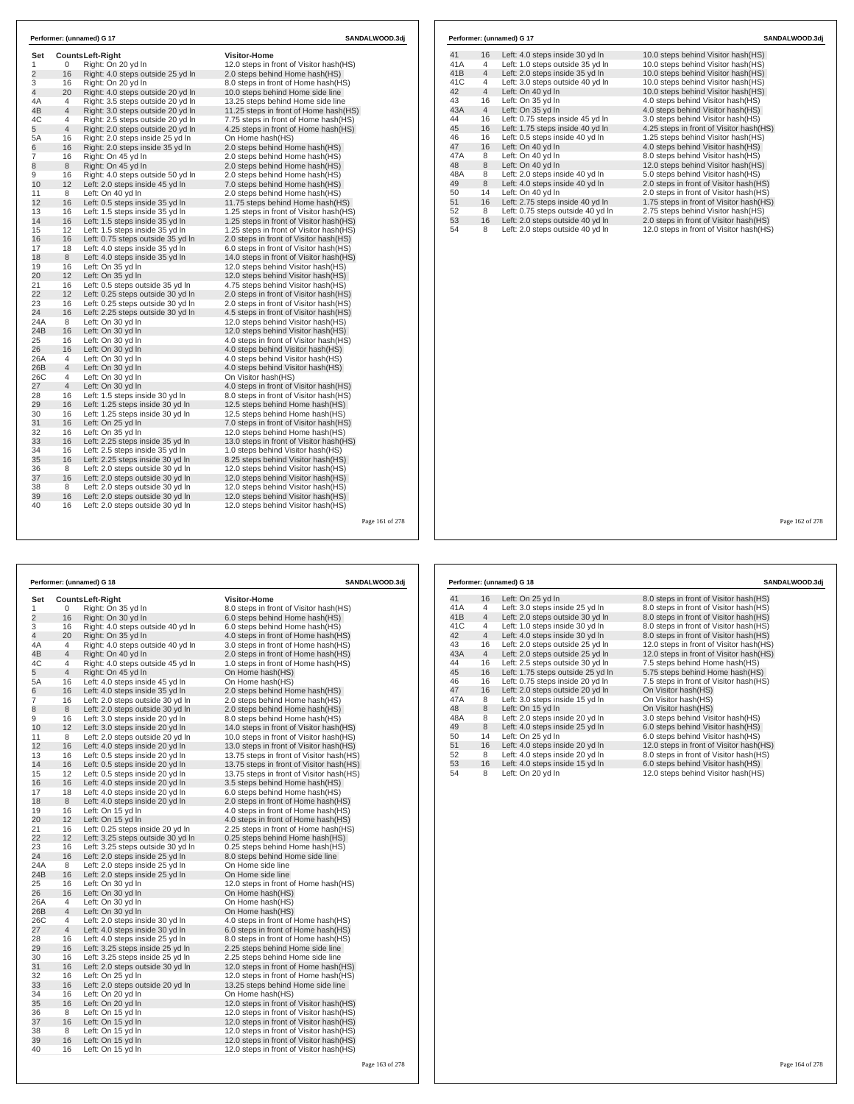| Set            |                 | <b>CountsLeft-Right</b>           | <b>Visitor-Home</b>                      |  |
|----------------|-----------------|-----------------------------------|------------------------------------------|--|
| 1              | 0               | Right: On 20 yd In                | 12.0 steps in front of Visitor hash(HS)  |  |
| $\overline{c}$ | 16              | Right: 4.0 steps outside 25 yd In | 2.0 steps behind Home hash(HS)           |  |
| 3              | 16              | Right: On 20 vd In                | 8.0 steps in front of Home hash(HS)      |  |
| 4              | 20              | Right: 4.0 steps outside 20 yd In | 10.0 steps behind Home side line         |  |
| 4A             | $\overline{4}$  | Right: 3.5 steps outside 20 vd In | 13.25 steps behind Home side line        |  |
| 4B             | $\overline{4}$  | Right: 3.0 steps outside 20 yd In | 11.25 steps in front of Home hash (HS)   |  |
| 4C             | 4               | Right: 2.5 steps outside 20 yd In | 7.75 steps in front of Home hash(HS)     |  |
| 5              | $\overline{4}$  | Right: 2.0 steps outside 20 yd In | 4.25 steps in front of Home hash (HS)    |  |
| 5A             | 16              | Right: 2.0 steps inside 25 yd In  | On Home hash(HS)                         |  |
| 6              | 16              | Right: 2.0 steps inside 35 yd In  | 2.0 steps behind Home hash(HS)           |  |
| 7              | 16              | Right: On 45 yd In                | 2.0 steps behind Home hash(HS)           |  |
| 8              | 8               | Right: On 45 vd In                | 2.0 steps behind Home hash (HS)          |  |
| 9              | 16              | Right: 4.0 steps outside 50 yd In | 2.0 steps behind Home hash(HS)           |  |
| 10             | 12              | Left: 2.0 steps inside 45 vd In   | 7.0 steps behind Home hash (HS)          |  |
| 11             | 8               | Left: On 40 yd In                 | 2.0 steps behind Home hash(HS)           |  |
| 12             | 16              | Left: 0.5 steps inside 35 yd In   | 11.75 steps behind Home hash(HS)         |  |
| 13             | 16              | Left: 1.5 steps inside 35 yd In   | 1.25 steps in front of Visitor hash(HS)  |  |
| 14             | 16              | Left: 1.5 steps inside 35 yd In   | 1.25 steps in front of Visitor hash(HS)  |  |
| 15             | 12              | Left: 1.5 steps inside 35 vd In   | 1.25 steps in front of Visitor hash (HS) |  |
| 16             | 16              | Left: 0.75 steps outside 35 yd In | 2.0 steps in front of Visitor hash(HS)   |  |
| 17             | 18              | Left: 4.0 steps inside 35 vd In   | 6.0 steps in front of Visitor hash(HS)   |  |
| 18             | 8               | Left: 4.0 steps inside 35 yd In   | 14.0 steps in front of Visitor hash(HS)  |  |
| 19             | 16              | Left: On 35 yd In                 | 12.0 steps behind Visitor hash (HS)      |  |
| 20             | 12              | Left: On 35 yd In                 | 12.0 steps behind Visitor hash (HS)      |  |
| 21             | 16              | Left: 0.5 steps outside 35 yd In  | 4.75 steps behind Visitor hash(HS)       |  |
| 22             | 12 <sup>2</sup> | Left: 0.25 steps outside 30 vd In | 2.0 steps in front of Visitor hash (HS)  |  |
| 23             | 16              | Left: 0.25 steps outside 30 yd In | 2.0 steps in front of Visitor hash(HS)   |  |
| 24             | 16              | Left: 2.25 steps outside 30 yd In | 4.5 steps in front of Visitor hash (HS)  |  |
| 24A            | 8               | Left: On 30 yd In                 | 12.0 steps behind Visitor hash(HS)       |  |
| 24B            | 16              | Left: On 30 vd In                 | 12.0 steps behind Visitor hash (HS)      |  |
| 25             | 16              | Left: On 30 yd In                 | 4.0 steps in front of Visitor hash(HS)   |  |
| 26             | 16              | Left: On 30 yd In                 | 4.0 steps behind Visitor hash (HS)       |  |
| 26A            | 4               | Left: On 30 vd In                 | 4.0 steps behind Visitor hash (HS)       |  |
| 26B            | $\overline{4}$  | Left: On 30 yd In                 | 4.0 steps behind Visitor hash(HS)        |  |
| 26C            | 4               | Left: On 30 vd In                 | On Visitor hash(HS)                      |  |
| 27             | $\overline{4}$  | Left: On 30 yd In                 | 4.0 steps in front of Visitor hash(HS)   |  |
| 28             | 16              | Left: 1.5 steps inside 30 yd In   | 8.0 steps in front of Visitor hash(HS)   |  |
| 29             | 16              | Left: 1.25 steps inside 30 yd In  | 12.5 steps behind Home hash(HS)          |  |
| 30             | 16              | Left: 1.25 steps inside 30 yd In  | 12.5 steps behind Home hash(HS)          |  |
| 31             | 16              | Left: On 25 vd In                 | 7.0 steps in front of Visitor hash(HS)   |  |
| 32             | 16              | Left: On 35 yd In                 | 12.0 steps behind Home hash(HS)          |  |
| 33             | 16              | Left: 2.25 steps inside 35 yd In  | 13.0 steps in front of Visitor hash (HS) |  |
| 34             | 16              | Left: 2.5 steps inside 35 yd In   | 1.0 steps behind Visitor hash (HS)       |  |
| 35             | 16              | Left: 2.25 steps inside 30 yd In  | 8.25 steps behind Visitor hash (HS)      |  |
| 36             | 8               | Left: 2.0 steps outside 30 yd In  | 12.0 steps behind Visitor hash (HS)      |  |
| 37             | 16              | Left: 2.0 steps outside 30 yd In  | 12.0 steps behind Visitor hash (HS)      |  |
| 38             | 8               | Left: 2.0 steps outside 30 yd In  | 12.0 steps behind Visitor hash (HS)      |  |
| 39             | 16              | Left: 2.0 steps outside 30 yd In  | 12.0 steps behind Visitor hash (HS)      |  |
| 40             | 16              | Left: 2.0 steps outside 30 yd In  | 12.0 steps behind Visitor hash (HS)      |  |

|                |                | Performer: (unnamed) G 18                                            | SANDALWOOD.3dj                                                     |  |
|----------------|----------------|----------------------------------------------------------------------|--------------------------------------------------------------------|--|
| Set            |                | Counts Left-Right                                                    | Visitor-Home                                                       |  |
| 1              | 0              | Right: On 35 yd In                                                   | 8.0 steps in front of Visitor hash(HS)                             |  |
| $\overline{2}$ | 16             | Right: On 30 yd In                                                   | 6.0 steps behind Home hash(HS)                                     |  |
| 3              | 16             | Right: 4.0 steps outside 40 yd In                                    | 6.0 steps behind Home hash(HS)                                     |  |
| $\overline{4}$ | 20             | Right: On 35 yd In                                                   | 4.0 steps in front of Home hash(HS)                                |  |
| 4A             | 4              | Right: 4.0 steps outside 40 yd In                                    | 3.0 steps in front of Home hash(HS)                                |  |
| 4B             | $\overline{4}$ | Right: On 40 yd In                                                   | 2.0 steps in front of Home hash(HS)                                |  |
| 4C             | 4              | Right: 4.0 steps outside 45 yd In                                    | 1.0 steps in front of Home hash(HS)                                |  |
| 5              | $\overline{4}$ | Right: On 45 yd In                                                   | On Home hash(HS)                                                   |  |
| 5A             | 16             | Left: 4.0 steps inside 45 yd In                                      | On Home hash(HS)                                                   |  |
| 6              | 16             | Left: 4.0 steps inside 35 yd In                                      | 2.0 steps behind Home hash (HS)                                    |  |
| $\overline{7}$ | 16             | Left: 2.0 steps outside 30 yd In                                     | 2.0 steps behind Home hash(HS)                                     |  |
| 8              | 8              | Left: 2.0 steps outside 30 yd In                                     | 2.0 steps behind Home hash(HS)                                     |  |
| 9              | 16             | Left: 3.0 steps inside 20 yd In                                      | 8.0 steps behind Home hash(HS)                                     |  |
| 10             | 12             | Left: 3.0 steps inside 20 yd In                                      | 14.0 steps in front of Visitor hash(HS)                            |  |
| 11             | 8              | Left: 2.0 steps outside 20 yd In                                     | 10.0 steps in front of Visitor hash(HS)                            |  |
| 12             | 16             | Left: 4.0 steps inside 20 yd In                                      | 13.0 steps in front of Visitor hash (HS)                           |  |
| 13             | 16             | Left: 0.5 steps inside 20 yd In                                      | 13.75 steps in front of Visitor hash (HS)                          |  |
| 14             | 16             | Left: 0.5 steps inside 20 yd In                                      | 13.75 steps in front of Visitor hash(HS)                           |  |
| 15             | 12             | Left: 0.5 steps inside 20 yd In                                      | 13.75 steps in front of Visitor hash (HS)                          |  |
| 16             | 16             | Left: 4.0 steps inside 20 yd In                                      | 3.5 steps behind Home hash(HS)                                     |  |
| 17             | 18             | Left: 4.0 steps inside 20 yd In                                      | 6.0 steps behind Home hash(HS)                                     |  |
| 18             | 8              | Left: 4.0 steps inside 20 yd In                                      | 2.0 steps in front of Home hash(HS)                                |  |
| 19             | 16             | Left: On 15 yd In                                                    | 4.0 steps in front of Home hash(HS)                                |  |
| 20             | 12             | Left: On 15 yd In                                                    | 4.0 steps in front of Home hash (HS)                               |  |
| 21             | 16             | Left: 0.25 steps inside 20 yd In                                     | 2.25 steps in front of Home hash(HS)                               |  |
| 22<br>23       | 12<br>16       | Left: 3.25 steps outside 30 yd In                                    | 0.25 steps behind Home hash (HS)                                   |  |
| 24             | 16             | Left: 3.25 steps outside 30 yd In<br>Left: 2.0 steps inside 25 yd In | 0.25 steps behind Home hash(HS)<br>8.0 steps behind Home side line |  |
| 24A            | 8              | Left: 2.0 steps inside 25 yd In                                      | On Home side line                                                  |  |
| 24B            | 16             | Left: 2.0 steps inside 25 yd In                                      | On Home side line                                                  |  |
| 25             | 16             | Left: On 30 yd In                                                    | 12.0 steps in front of Home hash (HS)                              |  |
| 26             | 16             | Left: On 30 yd In                                                    | On Home hash(HS)                                                   |  |
| 26A            | 4              | Left: On 30 yd In                                                    | On Home hash(HS)                                                   |  |
| 26B            | $\overline{4}$ | Left: On 30 yd In                                                    | On Home hash(HS)                                                   |  |
| 26C            | 4              | Left: 2.0 steps inside 30 yd In                                      | 4.0 steps in front of Home hash(HS)                                |  |
| 27             | $\overline{4}$ | Left: 4.0 steps inside 30 yd In                                      | 6.0 steps in front of Home hash(HS)                                |  |
| 28             | 16             | Left: 4.0 steps inside 25 yd In                                      | 8.0 steps in front of Home hash(HS)                                |  |
| 29             | 16             | Left: 3.25 steps inside 25 yd In                                     | 2.25 steps behind Home side line                                   |  |
| 30             | 16             | Left: 3.25 steps inside 25 yd In                                     | 2.25 steps behind Home side line                                   |  |
| 31             | 16             | Left: 2.0 steps outside 30 yd In                                     | 12.0 steps in front of Home hash(HS)                               |  |
| 32             | 16             | Left: On 25 yd In                                                    | 12.0 steps in front of Home hash (HS)                              |  |
| 33             | 16             | Left: 2.0 steps outside 20 yd In                                     | 13.25 steps behind Home side line                                  |  |
| 34             | 16             | Left: On 20 yd In                                                    | On Home hash(HS)                                                   |  |
| 35             | 16             | Left: On 20 yd In                                                    | 12.0 steps in front of Visitor hash(HS)                            |  |
| 36             | 8              | Left: On 15 yd In                                                    | 12.0 steps in front of Visitor hash (HS)                           |  |
| 37             | 16             | Left: On 15 yd In                                                    | 12.0 steps in front of Visitor hash(HS)                            |  |
| 38             | 8              | Left: On 15 yd In                                                    | 12.0 steps in front of Visitor hash (HS)                           |  |
| 39             | 16             | Left: On 15 yd In                                                    | 12.0 steps in front of Visitor hash (HS)                           |  |
| 40             | 16             | Left: On 15 yd In                                                    | 12.0 steps in front of Visitor hash(HS)                            |  |

|     |                | Performer: (unnamed) G 17         | SANDALWOOD.3dj                          |  |
|-----|----------------|-----------------------------------|-----------------------------------------|--|
| 41  | 16             | Left: 4.0 steps inside 30 yd In   | 10.0 steps behind Visitor hash (HS)     |  |
| 41A | 4              | Left: 1.0 steps outside 35 yd In  | 10.0 steps behind Visitor hash (HS)     |  |
| 41B | $\overline{4}$ | Left: 2.0 steps inside 35 yd In   | 10.0 steps behind Visitor hash(HS)      |  |
| 41C | 4              | Left: 3.0 steps outside 40 yd In  | 10.0 steps behind Visitor hash (HS)     |  |
| 42  | $\overline{4}$ | Left: On 40 yd In                 | 10.0 steps behind Visitor hash(HS)      |  |
| 43  | 16             | Left: On 35 yd In                 | 4.0 steps behind Visitor hash(HS)       |  |
| 43A | $\overline{4}$ | Left: On 35 yd In                 | 4.0 steps behind Visitor hash(HS)       |  |
| 44  | 16             | Left: 0.75 steps inside 45 yd In  | 3.0 steps behind Visitor hash(HS)       |  |
| 45  | 16             | Left: 1.75 steps inside 40 yd In  | 4.25 steps in front of Visitor hash(HS) |  |
| 46  | 16             | Left: 0.5 steps inside 40 yd In   | 1.25 steps behind Visitor hash(HS)      |  |
| 47  | 16             | Left: On 40 yd In                 | 4.0 steps behind Visitor hash (HS)      |  |
| 47A | 8              | Left: On 40 vd In                 | 8.0 steps behind Visitor hash(HS)       |  |
| 48  | 8              | Left: On 40 yd In                 | 12.0 steps behind Visitor hash(HS)      |  |
| 48A | 8              | Left: 2.0 steps inside 40 yd In   | 5.0 steps behind Visitor hash (HS)      |  |
| 49  | 8              | Left: 4.0 steps inside 40 yd In   | 2.0 steps in front of Visitor hash(HS)  |  |
| 50  | 14             | Left: On 40 yd In                 | 2.0 steps in front of Visitor hash(HS)  |  |
| 51  | 16             | Left: 2.75 steps inside 40 yd In  | 1.75 steps in front of Visitor hash(HS) |  |
| 52  | 8              | Left: 0.75 steps outside 40 yd In | 2.75 steps behind Visitor hash (HS)     |  |
| 53  | 16             | Left: 2.0 steps outside 40 yd In  | 2.0 steps in front of Visitor hash(HS)  |  |
| 54  | 8              | Left: 2.0 steps outside 40 yd In  | 12.0 steps in front of Visitor hash(HS) |  |

|  | Page 162 of 278 |  |
|--|-----------------|--|
|--|-----------------|--|

|     |                | Performer: (unnamed) G 18         | SANDALWOOD.3dj                          |
|-----|----------------|-----------------------------------|-----------------------------------------|
| 41  | 16             | Left: On 25 yd In                 | 8.0 steps in front of Visitor hash (HS) |
| 41A | 4              | Left: 3.0 steps inside 25 yd In   | 8.0 steps in front of Visitor hash(HS)  |
| 41B | $\overline{4}$ | Left: 2.0 steps outside 30 yd In  | 8.0 steps in front of Visitor hash(HS)  |
| 41C | 4              | Left: 1.0 steps inside 30 yd In   | 8.0 steps in front of Visitor hash(HS)  |
| 42  | $\overline{4}$ | Left: 4.0 steps inside 30 yd In   | 8.0 steps in front of Visitor hash(HS)  |
| 43  | 16             | Left: 2.0 steps outside 25 yd In  | 12.0 steps in front of Visitor hash(HS) |
| 43A | $\overline{4}$ | Left: 2.0 steps outside 25 yd In  | 12.0 steps in front of Visitor hash(HS) |
| 44  | 16             | Left: 2.5 steps outside 30 yd In  | 7.5 steps behind Home hash(HS)          |
| 45  | 16             | Left: 1.75 steps outside 25 yd In | 5.75 steps behind Home hash(HS)         |
| 46  | 16             | Left: 0.75 steps inside 20 yd In  | 7.5 steps in front of Visitor hash(HS)  |
| 47  | 16             | Left: 2.0 steps outside 20 yd In  | On Visitor hash(HS)                     |
| 47A | 8              | Left: 3.0 steps inside 15 yd In   | On Visitor hash(HS)                     |
| 48  | 8              | Left: On 15 yd In                 | On Visitor hash(HS)                     |
| 48A | 8              | Left: 2.0 steps inside 20 yd In   | 3.0 steps behind Visitor hash(HS)       |
| 49  | 8              | Left: 4.0 steps inside 25 yd In   | 6.0 steps behind Visitor hash (HS)      |
| 50  | 14             | Left: On 25 yd In                 | 6.0 steps behind Visitor hash(HS)       |
| 51  | 16             | Left: 4.0 steps inside 20 yd In   | 12.0 steps in front of Visitor hash(HS) |
| 52  | 8              | Left: 4.0 steps inside 20 yd In   | 8.0 steps in front of Visitor hash(HS)  |
| 53  | 16             | Left: 4.0 steps inside 15 yd In   | 6.0 steps behind Visitor hash(HS)       |
| 54  | 8              | Left: On 20 yd In                 | 12.0 steps behind Visitor hash(HS)      |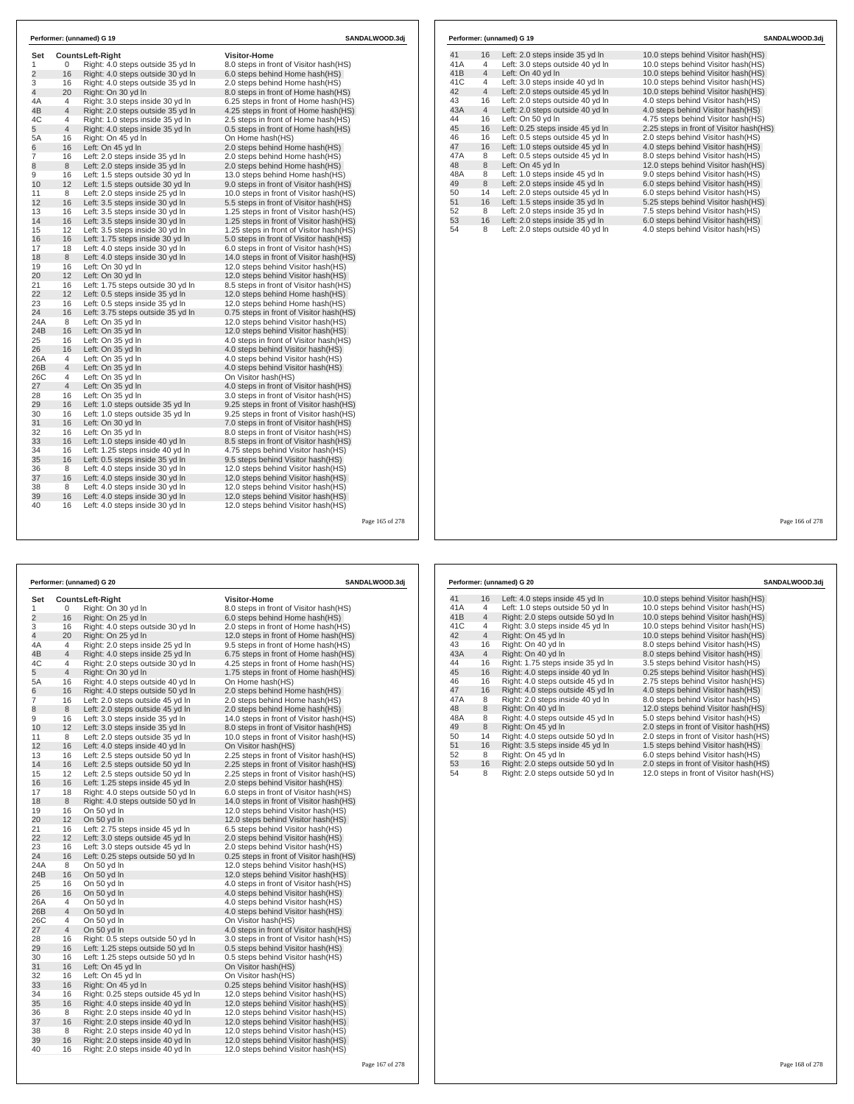| Set<br>1       | 0              | <b>CountsLeft-Right</b><br>Right: 4.0 steps outside 35 yd In | <b>Visitor-Home</b><br>8.0 steps in front of Visitor hash(HS) |  |
|----------------|----------------|--------------------------------------------------------------|---------------------------------------------------------------|--|
| $\overline{2}$ | 16             | Right: 4.0 steps outside 30 yd In                            | 6.0 steps behind Home hash (HS)                               |  |
| 3              | 16             | Right: 4.0 steps outside 35 yd In                            | 2.0 steps behind Home hash(HS)                                |  |
| 4              | 20             | Right: On 30 yd In                                           | 8.0 steps in front of Home hash (HS)                          |  |
| 4A             | 4              | Right: 3.0 steps inside 30 yd In                             | 6.25 steps in front of Home hash(HS)                          |  |
| 4B             | $\overline{4}$ | Right: 2.0 steps outside 35 yd In                            | 4.25 steps in front of Home hash(HS)                          |  |
| 4C             | 4              | Right: 1.0 steps inside 35 vd In                             | 2.5 steps in front of Home hash (HS)                          |  |
| 5              | $\overline{4}$ | Right: 4.0 steps inside 35 yd In                             | 0.5 steps in front of Home hash(HS)                           |  |
| 5A             | 16             | Right: On 45 yd In                                           | On Home hash(HS)                                              |  |
| 6              | 16             | Left: On 45 vd In                                            | 2.0 steps behind Home hash (HS)                               |  |
| 7              | 16             | Left: 2.0 steps inside 35 yd In                              | 2.0 steps behind Home hash(HS)                                |  |
| 8              | 8              | Left: 2.0 steps inside 35 yd In                              | 2.0 steps behind Home hash(HS)                                |  |
| 9              | 16             | Left: 1.5 steps outside 30 yd In                             | 13.0 steps behind Home hash(HS)                               |  |
| 10             | 12             | Left: 1.5 steps outside 30 yd In                             | 9.0 steps in front of Visitor hash (HS)                       |  |
| 11             | 8              | Left: 2.0 steps inside 25 yd In                              | 10.0 steps in front of Visitor hash(HS)                       |  |
| 12             | 16             | Left: 3.5 steps inside 30 yd In                              | 5.5 steps in front of Visitor hash (HS)                       |  |
| 13             | 16             | Left: 3.5 steps inside 30 yd In                              | 1.25 steps in front of Visitor hash (HS)                      |  |
| 14             | 16             | Left: 3.5 steps inside 30 yd In                              | 1.25 steps in front of Visitor hash(HS)                       |  |
| 15             | 12             | Left: 3.5 steps inside 30 yd In                              | 1.25 steps in front of Visitor hash (HS)                      |  |
| 16             | 16             | Left: 1.75 steps inside 30 yd In                             | 5.0 steps in front of Visitor hash(HS)                        |  |
| 17             | 18             | Left: 4.0 steps inside 30 yd In                              | 6.0 steps in front of Visitor hash(HS)                        |  |
| 18             | 8              | Left: 4.0 steps inside 30 yd In                              | 14.0 steps in front of Visitor hash(HS)                       |  |
| 19             | 16             | Left: On 30 yd In                                            | 12.0 steps behind Visitor hash (HS)                           |  |
| 20             | 12             | Left: On 30 yd In                                            | 12.0 steps behind Visitor hash(HS)                            |  |
| 21             | 16             | Left: 1.75 steps outside 30 yd In                            | 8.5 steps in front of Visitor hash(HS)                        |  |
| 22             | 12             | Left: 0.5 steps inside 35 yd In                              | 12.0 steps behind Home hash(HS)                               |  |
| 23             | 16             | Left: 0.5 steps inside 35 yd In                              | 12.0 steps behind Home hash(HS)                               |  |
| 24             | 16             | Left: 3.75 steps outside 35 yd In                            | 0.75 steps in front of Visitor hash (HS)                      |  |
| 24A            | 8              | Left: On 35 yd In                                            | 12.0 steps behind Visitor hash(HS)                            |  |
| 24B            | 16             | Left: On 35 yd In                                            | 12.0 steps behind Visitor hash (HS)                           |  |
| 25             | 16             | Left: On 35 yd In                                            | 4.0 steps in front of Visitor hash(HS)                        |  |
| 26             | 16             | Left: On 35 yd In                                            | 4.0 steps behind Visitor hash(HS)                             |  |
| 26A            | 4              | Left: On 35 vd In                                            | 4.0 steps behind Visitor hash (HS)                            |  |
| 26B            | $\overline{4}$ | Left: On 35 yd In                                            | 4.0 steps behind Visitor hash (HS)                            |  |
| 26C            | $\overline{4}$ | Left: On 35 yd In                                            | On Visitor hash(HS)                                           |  |
| 27             | $\overline{4}$ | Left: On 35 yd In                                            | 4.0 steps in front of Visitor hash(HS)                        |  |
| 28             | 16             | Left: On 35 yd In                                            | 3.0 steps in front of Visitor hash(HS)                        |  |
| 29             | 16             | Left: 1.0 steps outside 35 yd In                             | 9.25 steps in front of Visitor hash(HS)                       |  |
| 30             | 16             | Left: 1.0 steps outside 35 yd In                             | 9.25 steps in front of Visitor hash (HS)                      |  |
| 31             | 16             | Left: On 30 yd In                                            | 7.0 steps in front of Visitor hash(HS)                        |  |
| 32             | 16             | Left: On 35 yd In                                            | 8.0 steps in front of Visitor hash (HS)                       |  |
| 33             | 16             | Left: 1.0 steps inside 40 yd In                              | 8.5 steps in front of Visitor hash (HS)                       |  |
| 34             | 16             | Left: 1.25 steps inside 40 yd In                             | 4.75 steps behind Visitor hash(HS)                            |  |
| 35             | 16             | Left: 0.5 steps inside 35 yd In                              | 9.5 steps behind Visitor hash (HS)                            |  |
| 36             | 8              | Left: 4.0 steps inside 30 yd In                              | 12.0 steps behind Visitor hash(HS)                            |  |
| 37             | 16             | Left: 4.0 steps inside 30 yd In                              | 12.0 steps behind Visitor hash(HS)                            |  |
| 38             | 8              | Left: 4.0 steps inside 30 vd In                              | 12.0 steps behind Visitor hash(HS)                            |  |
| 39             | 16             | Left: 4.0 steps inside 30 yd In                              | 12.0 steps behind Visitor hash(HS)                            |  |
| 40             | 16             | Left: 4.0 steps inside 30 yd In                              | 12.0 steps behind Visitor hash (HS)                           |  |

|     |                | Performer: (unnamed) G 19        | SANDALWOOD.3dj                          |
|-----|----------------|----------------------------------|-----------------------------------------|
| 41  | 16             | Left: 2.0 steps inside 35 yd In  | 10.0 steps behind Visitor hash (HS)     |
| 41A | 4              | Left: 3.0 steps outside 40 yd In | 10.0 steps behind Visitor hash (HS)     |
| 41B | $\overline{4}$ | Left: On 40 yd In                | 10.0 steps behind Visitor hash(HS)      |
| 41C | 4              | Left: 3.0 steps inside 40 yd In  | 10.0 steps behind Visitor hash(HS)      |
| 42  | $\overline{4}$ | Left: 2.0 steps outside 45 yd In | 10.0 steps behind Visitor hash(HS)      |
| 43  | 16             | Left: 2.0 steps outside 40 yd In | 4.0 steps behind Visitor hash (HS)      |
| 43A | $\overline{4}$ | Left: 2.0 steps outside 40 yd In | 4.0 steps behind Visitor hash(HS)       |
| 44  | 16             | Left: On 50 vd In                | 4.75 steps behind Visitor hash(HS)      |
| 45  | 16             | Left: 0.25 steps inside 45 yd In | 2.25 steps in front of Visitor hash(HS) |
| 46  | 16             | Left: 0.5 steps outside 45 yd In | 2.0 steps behind Visitor hash(HS)       |
| 47  | 16             | Left: 1.0 steps outside 45 yd In | 4.0 steps behind Visitor hash(HS)       |
| 47A | 8              | Left: 0.5 steps outside 45 yd In | 8.0 steps behind Visitor hash(HS)       |
| 48  | 8              | Left: On 45 yd In                | 12.0 steps behind Visitor hash(HS)      |
| 48A | 8              | Left: 1.0 steps inside 45 yd In  | 9.0 steps behind Visitor hash(HS)       |
| 49  | 8              | Left: 2.0 steps inside 45 yd In  | 6.0 steps behind Visitor hash(HS)       |
| 50  | 14             | Left: 2.0 steps outside 45 yd In | 6.0 steps behind Visitor hash(HS)       |
| 51  | 16             | Left: 1.5 steps inside 35 yd In  | 5.25 steps behind Visitor hash(HS)      |
| 52  | 8              | Left: 2.0 steps inside 35 yd In  | 7.5 steps behind Visitor hash(HS)       |
| 53  | 16             | Left: 2.0 steps inside 35 yd In  | 6.0 steps behind Visitor hash(HS)       |
| 54  | 8              | Left: 2.0 steps outside 40 yd In | 4.0 steps behind Visitor hash(HS)       |

Page 165 of 278

|                |                | Performer: (unnamed) G 20                        | SANDALWOOD.3dj                                                                 |  |
|----------------|----------------|--------------------------------------------------|--------------------------------------------------------------------------------|--|
| Set            |                | Counts Left-Right                                | Visitor-Home                                                                   |  |
| 1              | 0              | Right: On 30 yd In                               | 8.0 steps in front of Visitor hash(HS)                                         |  |
| $\overline{2}$ | 16             | Right: On 25 yd In                               | 6.0 steps behind Home hash(HS)                                                 |  |
| 3              | 16             | Right: 4.0 steps outside 30 yd In                | 2.0 steps in front of Home hash(HS)                                            |  |
| 4              | 20             | Right: On 25 yd In                               | 12.0 steps in front of Home hash(HS)                                           |  |
| 4A             | 4              | Right: 2.0 steps inside 25 yd In                 | 9.5 steps in front of Home hash(HS)                                            |  |
| 4B             | $\overline{4}$ | Right: 4.0 steps inside 25 yd In                 | 6.75 steps in front of Home hash(HS)                                           |  |
| 4C             | 4              | Right: 2.0 steps outside 30 yd In                | 4.25 steps in front of Home hash(HS)                                           |  |
| 5              | 4              | Right: On 30 yd In                               | 1.75 steps in front of Home hash(HS)                                           |  |
| 5A             | 16             | Right: 4.0 steps outside 40 yd In                | On Home hash(HS)                                                               |  |
| 6              | 16             | Right: 4.0 steps outside 50 yd In                | 2.0 steps behind Home hash(HS)                                                 |  |
| 7              | 16             | Left: 2.0 steps outside 45 yd In                 | 2.0 steps behind Home hash(HS)                                                 |  |
| 8              | 8              | Left: 2.0 steps outside 45 yd In                 | 2.0 steps behind Home hash(HS)                                                 |  |
| 9              | 16             | Left: 3.0 steps inside 35 yd In                  | 14.0 steps in front of Visitor hash (HS)                                       |  |
| 10             | 12             | Left: 3.0 steps inside 35 yd In                  | 8.0 steps in front of Visitor hash(HS)                                         |  |
| 11             | 8              | Left: 2.0 steps outside 35 yd In                 | 10.0 steps in front of Visitor hash (HS)                                       |  |
| 12             | 16             | Left: 4.0 steps inside 40 yd In                  | On Visitor hash(HS)                                                            |  |
| 13             | 16             | Left: 2.5 steps outside 50 yd In                 | 2.25 steps in front of Visitor hash(HS)                                        |  |
| 14             | 16             | Left: 2.5 steps outside 50 yd In                 | 2.25 steps in front of Visitor hash(HS)                                        |  |
| 15             | 12<br>16       | Left: 2.5 steps outside 50 yd In                 | 2.25 steps in front of Visitor hash(HS)                                        |  |
| 16<br>17       |                | Left: 1.25 steps inside 45 yd In                 | 2.0 steps behind Visitor hash(HS)                                              |  |
| 18             | 18<br>8        | Right: 4.0 steps outside 50 yd In                | 6.0 steps in front of Visitor hash(HS)                                         |  |
| 19             | 16             | Right: 4.0 steps outside 50 yd In<br>On 50 yd In | 14.0 steps in front of Visitor hash(HS)<br>12.0 steps behind Visitor hash (HS) |  |
| 20             | 12             | On 50 yd In                                      | 12.0 steps behind Visitor hash(HS)                                             |  |
| 21             | 16             | Left: 2.75 steps inside 45 yd In                 | 6.5 steps behind Visitor hash(HS)                                              |  |
| 22             | 12             | Left: 3.0 steps outside 45 yd In                 | 2.0 steps behind Visitor hash(HS)                                              |  |
| 23             | 16             | Left: 3.0 steps outside 45 yd In                 | 2.0 steps behind Visitor hash(HS)                                              |  |
| 24             | 16             | Left: 0.25 steps outside 50 yd In                | 0.25 steps in front of Visitor hash(HS)                                        |  |
| 24A            | 8              | On 50 yd In                                      | 12.0 steps behind Visitor hash (HS)                                            |  |
| 24B            | 16             | On 50 yd In                                      | 12.0 steps behind Visitor hash(HS)                                             |  |
| 25             | 16             | On 50 yd In                                      | 4.0 steps in front of Visitor hash(HS)                                         |  |
| 26             | 16             | On 50 yd In                                      | 4.0 steps behind Visitor hash(HS)                                              |  |
| 26A            | 4              | On 50 yd In                                      | 4.0 steps behind Visitor hash(HS)                                              |  |
| 26B            | $\overline{4}$ | On 50 yd In                                      | 4.0 steps behind Visitor hash(HS)                                              |  |
| 26C            | 4              | On 50 yd In                                      | On Visitor hash(HS)                                                            |  |
| 27             | $\overline{4}$ | On 50 yd In                                      | 4.0 steps in front of Visitor hash(HS)                                         |  |
| 28             | 16             | Right: 0.5 steps outside 50 yd In                | 3.0 steps in front of Visitor hash(HS)                                         |  |
| 29             | 16             | Left: 1.25 steps outside 50 yd In                | 0.5 steps behind Visitor hash(HS)                                              |  |
| 30             | 16             | Left: 1.25 steps outside 50 yd In                | 0.5 steps behind Visitor hash(HS)                                              |  |
| 31             | 16             | Left: On 45 yd In                                | On Visitor hash(HS)                                                            |  |
| 32             | 16             | Left: On 45 yd In                                | On Visitor hash(HS)                                                            |  |
| 33             | 16             | Right: On 45 vd In                               | 0.25 steps behind Visitor hash(HS)                                             |  |
| 34             | 16             | Right: 0.25 steps outside 45 yd In               | 12.0 steps behind Visitor hash (HS)                                            |  |
| 35             | 16             | Right: 4.0 steps inside 40 yd In                 | 12.0 steps behind Visitor hash(HS)                                             |  |
| 36             | 8              | Right: 2.0 steps inside 40 yd In                 | 12.0 steps behind Visitor hash (HS)                                            |  |
| 37             | 16             | Right: 2.0 steps inside 40 yd In                 | 12.0 steps behind Visitor hash(HS)                                             |  |
| 38             | 8              | Right: 2.0 steps inside 40 yd In                 | 12.0 steps behind Visitor hash (HS)                                            |  |
| 39             | 16             | Right: 2.0 steps inside 40 yd In                 | 12.0 steps behind Visitor hash(HS)                                             |  |
| 40             | 16             | Right: 2.0 steps inside 40 yd In                 | 12.0 steps behind Visitor hash (HS)                                            |  |

|     |                | Performer: (unnamed) G 20         | SANDALWOOD.3di                          |
|-----|----------------|-----------------------------------|-----------------------------------------|
| 41  | 16             | Left: 4.0 steps inside 45 yd In   | 10.0 steps behind Visitor hash (HS)     |
| 41A | 4              | Left: 1.0 steps outside 50 yd In  | 10.0 steps behind Visitor hash (HS)     |
| 41B | $\overline{4}$ | Right: 2.0 steps outside 50 yd In | 10.0 steps behind Visitor hash(HS)      |
| 41C | 4              | Right: 3.0 steps inside 45 yd In  | 10.0 steps behind Visitor hash(HS)      |
| 42  | $\overline{4}$ | Right: On 45 yd In                | 10.0 steps behind Visitor hash(HS)      |
| 43  | 16             | Right: On 40 yd In                | 8.0 steps behind Visitor hash(HS)       |
| 43A | $\overline{4}$ | Right: On 40 yd In                | 8.0 steps behind Visitor hash (HS)      |
| 44  | 16             | Right: 1.75 steps inside 35 yd In | 3.5 steps behind Visitor hash(HS)       |
| 45  | 16             | Right: 4.0 steps inside 40 yd In  | 0.25 steps behind Visitor hash(HS)      |
| 46  | 16             | Right: 4.0 steps outside 45 yd In | 2.75 steps behind Visitor hash(HS)      |
| 47  | 16             | Right: 4.0 steps outside 45 yd In | 4.0 steps behind Visitor hash(HS)       |
| 47A | 8              | Right: 2.0 steps inside 40 yd In  | 8.0 steps behind Visitor hash(HS)       |
| 48  | 8              | Right: On 40 yd In                | 12.0 steps behind Visitor hash(HS)      |
| 48A | 8              | Right: 4.0 steps outside 45 yd In | 5.0 steps behind Visitor hash (HS)      |
| 49  | 8              | Right: On 45 yd In                | 2.0 steps in front of Visitor hash(HS)  |
| 50  | 14             | Right: 4.0 steps outside 50 yd In | 2.0 steps in front of Visitor hash(HS)  |
| 51  | 16             | Right: 3.5 steps inside 45 yd In  | 1.5 steps behind Visitor hash(HS)       |
| 52  | 8              | Right: On 45 yd In                | 6.0 steps behind Visitor hash(HS)       |
| 53  | 16             | Right: 2.0 steps outside 50 yd In | 2.0 steps in front of Visitor hash(HS)  |
| 54  | 8              | Right: 2.0 steps outside 50 yd In | 12.0 steps in front of Visitor hash(HS) |

Page 166 of 278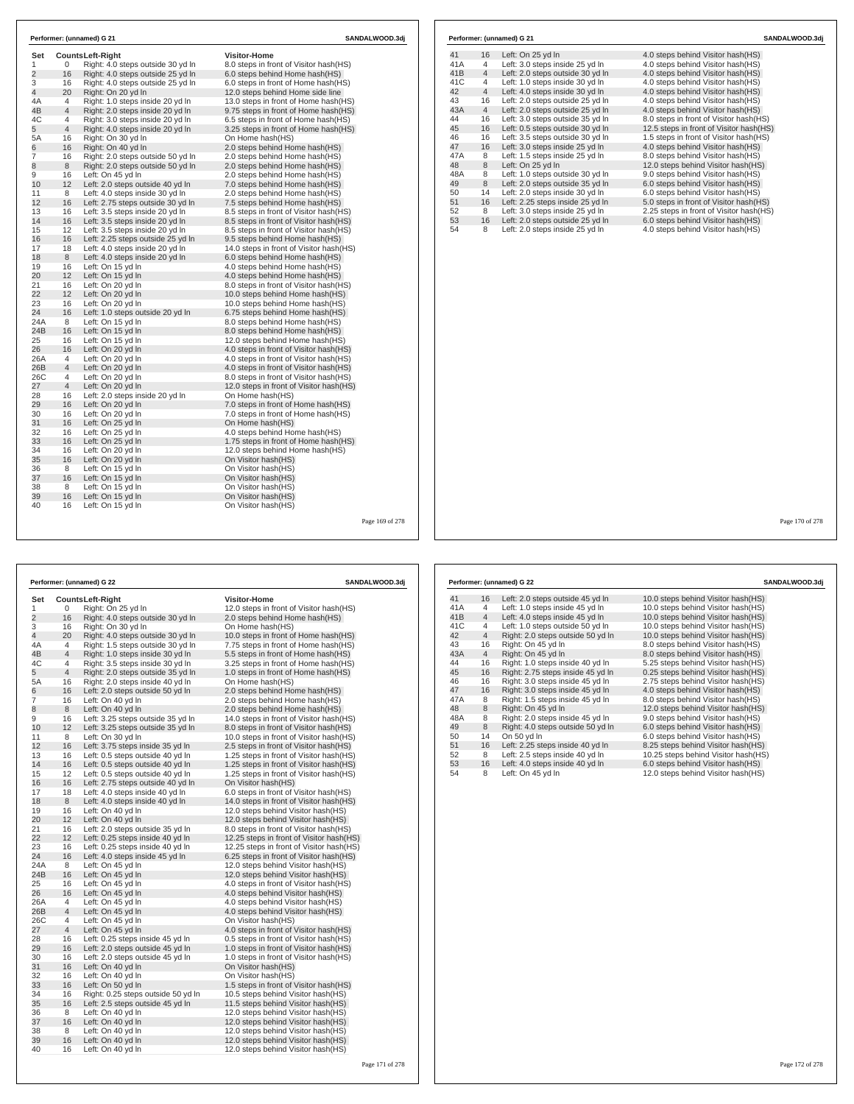| Set            |                     | Counts Left-Right                                     | <b>Visitor-Home</b>                                                              |  |
|----------------|---------------------|-------------------------------------------------------|----------------------------------------------------------------------------------|--|
| 1              | 0                   | Right: 4.0 steps outside 30 yd In                     | 8.0 steps in front of Visitor hash(HS)                                           |  |
| $\overline{2}$ | 16                  | Right: 4.0 steps outside 25 yd In                     | 6.0 steps behind Home hash(HS)                                                   |  |
| 3              | 16                  | Right: 4.0 steps outside 25 yd In                     | 6.0 steps in front of Home hash (HS)                                             |  |
| 4              | 20                  | Right: On 20 yd In                                    | 12.0 steps behind Home side line                                                 |  |
| 4A             | $\overline{4}$      | Right: 1.0 steps inside 20 yd In                      | 13.0 steps in front of Home hash(HS)                                             |  |
| 4B             | $\overline{4}$      | Right: 2.0 steps inside 20 yd In                      | 9.75 steps in front of Home hash(HS)                                             |  |
| 4C             | 4<br>$\overline{4}$ | Right: 3.0 steps inside 20 yd In                      | 6.5 steps in front of Home hash(HS)                                              |  |
| 5              |                     | Right: 4.0 steps inside 20 yd In                      | 3.25 steps in front of Home hash(HS)                                             |  |
| 5A             | 16                  | Right: On 30 yd In                                    | On Home hash(HS)                                                                 |  |
| 6              | 16                  | Right: On 40 vd In                                    | 2.0 steps behind Home hash(HS)                                                   |  |
| 7              | 16                  | Right: 2.0 steps outside 50 yd In                     | 2.0 steps behind Home hash(HS)                                                   |  |
| 8              | 8                   | Right: 2.0 steps outside 50 yd In                     | 2.0 steps behind Home hash(HS)                                                   |  |
| 9              | 16                  | Left: On 45 yd In                                     | 2.0 steps behind Home hash(HS)                                                   |  |
| 10<br>11       | 12<br>8             | Left: 2.0 steps outside 40 yd In                      | 7.0 steps behind Home hash(HS)                                                   |  |
| 12             |                     | Left: 4.0 steps inside 30 yd In                       | 2.0 steps behind Home hash(HS)                                                   |  |
|                | 16                  | Left: 2.75 steps outside 30 yd In                     | 7.5 steps behind Home hash(HS)                                                   |  |
| 13<br>14       | 16<br>16            | Left: 3.5 steps inside 20 yd In                       | 8.5 steps in front of Visitor hash(HS)                                           |  |
|                |                     | Left: 3.5 steps inside 20 yd In                       | 8.5 steps in front of Visitor hash(HS)                                           |  |
| 15             | 12                  | Left: 3.5 steps inside 20 yd In                       | 8.5 steps in front of Visitor hash(HS)                                           |  |
| 16<br>17       | 16                  | Left: 2.25 steps outside 25 yd In                     | 9.5 steps behind Home hash(HS)                                                   |  |
|                | 18                  | Left: 4.0 steps inside 20 yd In                       | 14.0 steps in front of Visitor hash (HS)                                         |  |
| 18<br>19       | 8                   | Left: 4.0 steps inside 20 yd In                       | 6.0 steps behind Home hash(HS)                                                   |  |
| 20             | 16<br>12            | Left: On 15 yd In<br>Left: On 15 yd In                | 4.0 steps behind Home hash(HS)<br>4.0 steps behind Home hash(HS)                 |  |
| 21             | 16                  |                                                       |                                                                                  |  |
| 22             | 12                  | Left: On 20 yd In<br>Left: On 20 vd In                | 8.0 steps in front of Visitor hash(HS)<br>10.0 steps behind Home hash (HS)       |  |
| 23             | 16                  |                                                       |                                                                                  |  |
| 24             | 16                  | Left: On 20 yd In                                     | 10.0 steps behind Home hash(HS)                                                  |  |
| 24A            | 8                   | Left: 1.0 steps outside 20 yd In<br>Left: On 15 yd In | 6.75 steps behind Home hash(HS)<br>8.0 steps behind Home hash(HS)                |  |
| 24B            | 16                  | Left: On 15 yd In                                     | 8.0 steps behind Home hash(HS)                                                   |  |
| 25             | 16                  | Left: On 15 yd In                                     | 12.0 steps behind Home hash(HS)                                                  |  |
| 26             | 16                  | Left: On 20 yd In                                     | 4.0 steps in front of Visitor hash(HS)                                           |  |
|                | 4                   | Left: On 20 yd In                                     |                                                                                  |  |
| 26A<br>26B     | $\overline{4}$      | Left: On 20 yd In                                     | 4.0 steps in front of Visitor hash(HS)<br>4.0 steps in front of Visitor hash(HS) |  |
| 26C            | 4                   | Left: On 20 yd In                                     | 8.0 steps in front of Visitor hash(HS)                                           |  |
| 27             | $\overline{4}$      | Left: On 20 yd In                                     | 12.0 steps in front of Visitor hash(HS)                                          |  |
| 28             | 16                  | Left: 2.0 steps inside 20 yd In                       | On Home hash(HS)                                                                 |  |
| 29             | 16                  | Left: On 20 yd In                                     | 7.0 steps in front of Home hash(HS)                                              |  |
| 30             | 16                  | Left: On 20 yd In                                     | 7.0 steps in front of Home hash(HS)                                              |  |
| 31             | 16                  | Left: On 25 yd In                                     | On Home hash(HS)                                                                 |  |
| 32             | 16                  | Left: On 25 yd In                                     | 4.0 steps behind Home hash(HS)                                                   |  |
| 33             | 16                  | Left: On 25 yd In                                     | 1.75 steps in front of Home hash(HS)                                             |  |
| 34             | 16                  |                                                       | 12.0 steps behind Home hash(HS)                                                  |  |
| 35             | 16                  | Left: On 20 yd In<br>Left: On 20 yd In                | On Visitor hash(HS)                                                              |  |
| 36             | 8                   | Left: On 15 yd In                                     | On Visitor hash(HS)                                                              |  |
| 37             | 16                  | Left: On 15 yd In                                     | On Visitor hash(HS)                                                              |  |
|                |                     |                                                       |                                                                                  |  |
| 38<br>39       | 8<br>16             | Left: On 15 yd In<br>Left: On 15 yd In                | On Visitor hash(HS)<br>On Visitor hash(HS)                                       |  |
| 40             | 16                  | Left: On 15 yd In                                     | On Visitor hash(HS)                                                              |  |

| 41  | 16             | Left: On 25 yd In                | 4.0 steps behind Visitor hash (HS)      |
|-----|----------------|----------------------------------|-----------------------------------------|
| 41A | 4              | Left: 3.0 steps inside 25 yd In  | 4.0 steps behind Visitor hash(HS)       |
| 41B | $\overline{4}$ | Left: 2.0 steps outside 30 yd In | 4.0 steps behind Visitor hash(HS)       |
| 41C | 4              | Left: 1.0 steps inside 30 yd In  | 4.0 steps behind Visitor hash(HS)       |
| 42  | $\overline{4}$ | Left: 4.0 steps inside 30 yd In  | 4.0 steps behind Visitor hash(HS)       |
| 43  | 16             | Left: 2.0 steps outside 25 yd In | 4.0 steps behind Visitor hash(HS)       |
| 43A | $\overline{4}$ | Left: 2.0 steps outside 25 yd In | 4.0 steps behind Visitor hash(HS)       |
| 44  | 16             | Left: 3.0 steps outside 35 yd In | 8.0 steps in front of Visitor hash(HS)  |
| 45  | 16             | Left: 0.5 steps outside 30 yd In | 12.5 steps in front of Visitor hash(HS) |
| 46  | 16             | Left: 3.5 steps outside 30 yd In | 1.5 steps in front of Visitor hash(HS)  |
| 47  | 16             | Left: 3.0 steps inside 25 yd In  | 4.0 steps behind Visitor hash(HS)       |
| 47A | 8              | Left: 1.5 steps inside 25 yd In  | 8.0 steps behind Visitor hash(HS)       |
| 48  | 8              | Left: On 25 yd In                | 12.0 steps behind Visitor hash(HS)      |
| 48A | 8              | Left: 1.0 steps outside 30 yd In | 9.0 steps behind Visitor hash(HS)       |
| 49  | 8              | Left: 2.0 steps outside 35 yd In | 6.0 steps behind Visitor hash(HS)       |
| 50  | 14             | Left: 2.0 steps inside 30 yd In  | 6.0 steps behind Visitor hash(HS)       |
| 51  | 16             | Left: 2.25 steps inside 25 yd In | 5.0 steps in front of Visitor hash(HS)  |
| 52  | 8              | Left: 3.0 steps inside 25 yd In  | 2.25 steps in front of Visitor hash(HS) |
| 53  | 16             | Left: 2.0 steps outside 25 yd In | 6.0 steps behind Visitor hash(HS)       |
| 54  | 8              | Left: 2.0 steps inside 25 yd In  | 4.0 steps behind Visitor hash(HS)       |

Page 169 of 278

|                         |                | Performer: (unnamed) G 22          | SANDALWOOD.3dj                            |  |  |
|-------------------------|----------------|------------------------------------|-------------------------------------------|--|--|
| Set                     |                | <b>CountsLeft-Right</b>            | <b>Visitor-Home</b>                       |  |  |
| 1                       | 0              | Right: On 25 yd In                 | 12.0 steps in front of Visitor hash (HS)  |  |  |
| $\overline{\mathbf{c}}$ | 16             | Right: 4.0 steps outside 30 yd In  | 2.0 steps behind Home hash(HS)            |  |  |
| 3                       | 16             | Right: On 30 vd In                 | On Home hash(HS)                          |  |  |
| 4                       | 20             | Right: 4.0 steps outside 30 yd In  | 10.0 steps in front of Home hash(HS)      |  |  |
| 4A                      | 4              | Right: 1.5 steps outside 30 yd In  | 7.75 steps in front of Home hash(HS)      |  |  |
| 4B                      | $\overline{4}$ | Right: 1.0 steps inside 30 yd In   | 5.5 steps in front of Home hash(HS)       |  |  |
| 4C                      | $\overline{4}$ | Right: 3.5 steps inside 30 yd In   | 3.25 steps in front of Home hash(HS)      |  |  |
| 5                       | $\overline{4}$ | Right: 2.0 steps outside 35 yd In  | 1.0 steps in front of Home hash(HS)       |  |  |
| 5A                      | 16             | Right: 2.0 steps inside 40 yd In   | On Home hash(HS)                          |  |  |
| 6                       | 16             | Left: 2.0 steps outside 50 yd In   | 2.0 steps behind Home hash (HS)           |  |  |
| $\overline{7}$          | 16             | Left: On 40 yd In                  | 2.0 steps behind Home hash(HS)            |  |  |
| 8                       | 8              | Left: On 40 yd In                  | 2.0 steps behind Home hash(HS)            |  |  |
| 9                       | 16             | Left: 3.25 steps outside 35 yd In  | 14.0 steps in front of Visitor hash(HS)   |  |  |
| 10                      | 12             | Left: 3.25 steps outside 35 yd In  | 8.0 steps in front of Visitor hash(HS)    |  |  |
| 11                      | 8              | Left: On 30 yd In                  | 10.0 steps in front of Visitor hash(HS)   |  |  |
| 12                      | 16             | Left: 3.75 steps inside 35 yd In   | 2.5 steps in front of Visitor hash(HS)    |  |  |
| 13                      | 16             | Left: 0.5 steps outside 40 yd In   | 1.25 steps in front of Visitor hash(HS)   |  |  |
| 14                      | 16             | Left: 0.5 steps outside 40 yd In   | 1.25 steps in front of Visitor hash(HS)   |  |  |
| 15                      | 12             | Left: 0.5 steps outside 40 yd In   | 1.25 steps in front of Visitor hash (HS)  |  |  |
| 16                      | 16             | Left: 2.75 steps outside 40 yd In  | On Visitor hash(HS)                       |  |  |
| 17                      | 18             | Left: 4.0 steps inside 40 yd In    | 6.0 steps in front of Visitor hash(HS)    |  |  |
| 18                      | 8              | Left: 4.0 steps inside 40 yd In    | 14.0 steps in front of Visitor hash(HS)   |  |  |
| 19                      | 16             | Left: On 40 yd In                  | 12.0 steps behind Visitor hash(HS)        |  |  |
| 20                      | 12             | Left: On 40 yd In                  | 12.0 steps behind Visitor hash(HS)        |  |  |
| 21                      | 16             | Left: 2.0 steps outside 35 yd In   | 8.0 steps in front of Visitor hash(HS)    |  |  |
| 22                      | 12             | Left: 0.25 steps inside 40 yd In   | 12.25 steps in front of Visitor hash (HS) |  |  |
| 23                      | 16             | Left: 0.25 steps inside 40 yd In   | 12.25 steps in front of Visitor hash (HS) |  |  |
| 24                      | 16             | Left: 4.0 steps inside 45 yd In    | 6.25 steps in front of Visitor hash(HS)   |  |  |
| 24A                     | 8              | Left: On 45 yd In                  | 12.0 steps behind Visitor hash (HS)       |  |  |
| 24B                     | 16             | Left: On 45 yd In                  | 12.0 steps behind Visitor hash (HS)       |  |  |
| 25                      | 16             | Left: On 45 yd In                  | 4.0 steps in front of Visitor hash(HS)    |  |  |
| 26                      | 16             | Left: On 45 yd In                  | 4.0 steps behind Visitor hash(HS)         |  |  |
| 26A                     | 4              | Left: On 45 yd In                  | 4.0 steps behind Visitor hash(HS)         |  |  |
| 26B                     | $\overline{4}$ | Left: On 45 yd In                  | 4.0 steps behind Visitor hash(HS)         |  |  |
| 26C                     | 4              | Left: On 45 yd In                  | On Visitor hash(HS)                       |  |  |
| 27                      | $\overline{4}$ | Left: On 45 yd In                  | 4.0 steps in front of Visitor hash(HS)    |  |  |
| 28                      | 16             | Left: 0.25 steps inside 45 yd In   | 0.5 steps in front of Visitor hash(HS)    |  |  |
| 29                      | 16             | Left: 2.0 steps outside 45 yd In   | 1.0 steps in front of Visitor hash(HS)    |  |  |
| 30                      | 16             | Left: 2.0 steps outside 45 yd In   | 1.0 steps in front of Visitor hash(HS)    |  |  |
| 31                      | 16             | Left: On 40 yd In                  | On Visitor hash(HS)                       |  |  |
| 32                      | 16             | Left: On 40 yd In                  | On Visitor hash(HS)                       |  |  |
| 33                      | 16             | Left: On 50 yd In                  | 1.5 steps in front of Visitor hash(HS)    |  |  |
| 34                      | 16             | Right: 0.25 steps outside 50 yd In | 10.5 steps behind Visitor hash(HS)        |  |  |
| 35                      | 16             | Left: 2.5 steps outside 45 yd In   | 11.5 steps behind Visitor hash (HS)       |  |  |
| 36                      | 8              | Left: On 40 yd In                  | 12.0 steps behind Visitor hash (HS)       |  |  |
| 37                      | 16             | Left: On 40 yd In                  | 12.0 steps behind Visitor hash (HS)       |  |  |
| 38                      | 8              | Left: On 40 yd In                  | 12.0 steps behind Visitor hash (HS)       |  |  |
| 39                      | 16             | Left: On 40 yd In                  | 12.0 steps behind Visitor hash(HS)        |  |  |
| 40                      | 16             | Left: On 40 yd In                  | 12.0 steps behind Visitor hash(HS)        |  |  |
|                         |                |                                    |                                           |  |  |

41 16 Left: 2.0 steps outside 45 yd ln 10.0 steps behind Visitor hash(HS) 41A 4 Left: 1.0 steps inside 45 yd ln 10.0 steps behind Visitor hash(HS) 41B 4 Left: 4.0 steps inside 45 yd In 10.0 steps behind Visitor hash(HS)<br>41C 4 Left: 1.0 steps outside 50 yd In 10.0 steps behind Visitor hash(HS)<br>42 4 Right: 2.0 steps outside 50 yd In 10.0 steps behind Visitor hash(HS)<br>4 43A 4 Right: On 45 yd ln 8.0 steps behind Visitor hash(HS) 44 16 Right: 1.0 steps inside 40 yd ln 5.25 steps behind Visitor hash(HS) 45 16 Right: 2.75 steps inside 45 yd ln 0.25 steps behind Visitor hash(HS) 46 16 Right: 3.0 steps inside 45 yd ln 2.75 steps behind Visitor hash(HS) 47 16 Right: 3.0 steps inside 45 yd ln 4.0 steps behind Visitor hash(HS) 47A 8 Right: 1.5 steps inside 45 yd ln 8.0 steps behind Visitor hash(HS) 48 8 Right: On 45 yd ln 12.0 steps behind Visitor hash(HS) 48A 8 Right: 2.0 steps inside 45 yd ln 9.0 steps behind Visitor hash(HS) 49 8 Right: 4.0 steps outside 50 yd ln 6.0 steps behind Visitor hash(HS) Fight: 4.0 steps outside 50 yd ln 6.0 steps behind Visitor hash(HS)<br>
50 14 On 50 yd ln 6.0 steps behind Visitor hash(HS)<br>
51 16 Left: 2.5 steps inside 40 yd ln 8.25 steps behind Visitor hash(HS)<br>
52 8 Left: 2.5 steps insid 51 16 Left: 2.25 steps inside 40 yd In 8.25 steps behind Visitor hash(HS)<br>52 8 Left: 2.5 steps inside 40 yd In 10.25 steps behind Visitor hash(HS)<br>53 16 Left: 4.0 steps inside 40 yd In 6.0 steps behind Visitor hash(HS)<br>54 **Performer: (unnamed) G 22 SANDALWOOD.3dj**

Page 170 of 278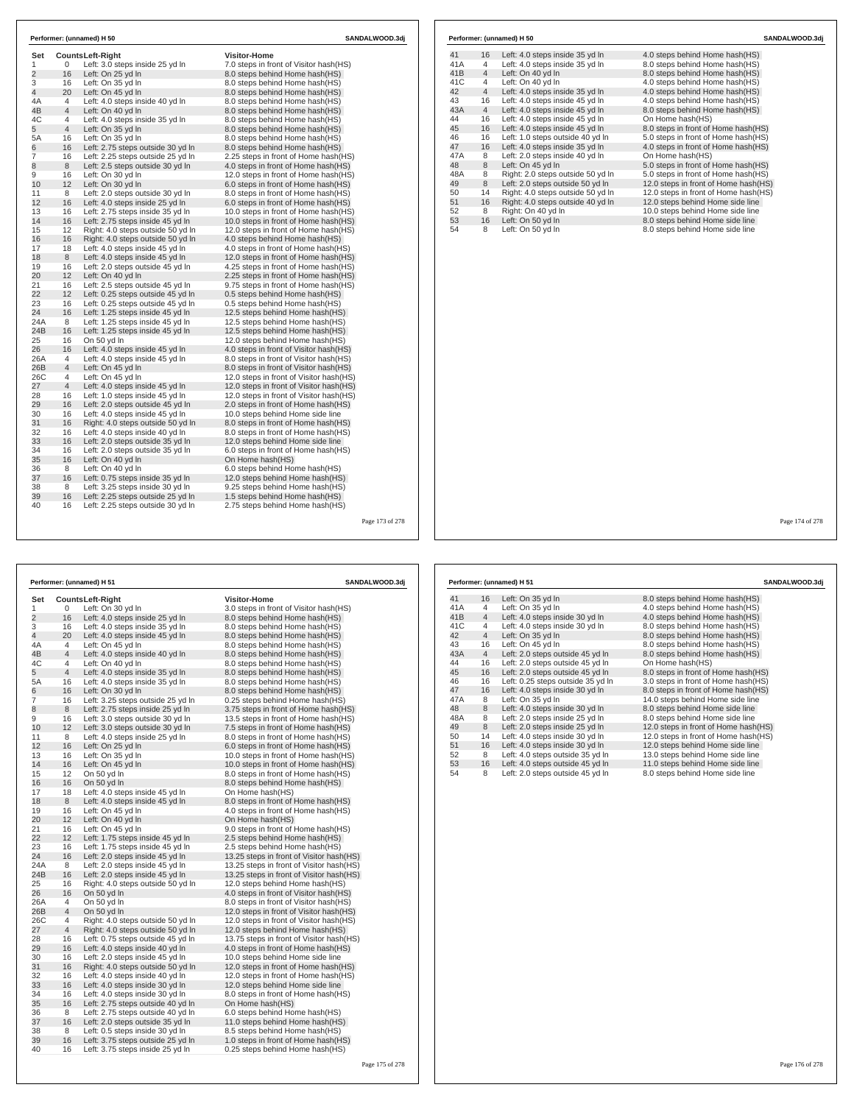| Set<br>1       | 0              | <b>CountsLeft-Right</b><br>Left: 3.0 steps inside 25 yd In | <b>Visitor-Home</b><br>7.0 steps in front of Visitor hash(HS) |  |
|----------------|----------------|------------------------------------------------------------|---------------------------------------------------------------|--|
| $\overline{2}$ | 16             | Left: On 25 yd In                                          | 8.0 steps behind Home hash(HS)                                |  |
| 3              | 16             | Left: On 35 yd In                                          | 8.0 steps behind Home hash(HS)                                |  |
| $\overline{4}$ | 20             | Left: On 45 yd In                                          | 8.0 steps behind Home hash(HS)                                |  |
| 4A             | 4              | Left: 4.0 steps inside 40 yd In                            | 8.0 steps behind Home hash(HS)                                |  |
| 4B             | 4              | Left: On 40 yd In                                          | 8.0 steps behind Home hash(HS)                                |  |
| 4C             | 4              | Left: 4.0 steps inside 35 yd In                            | 8.0 steps behind Home hash(HS)                                |  |
| 5              | $\overline{4}$ | Left: On 35 yd In                                          | 8.0 steps behind Home hash(HS)                                |  |
| 5A             | 16             | Left: On 35 yd In                                          | 8.0 steps behind Home hash(HS)                                |  |
| 6              | 16             | Left: 2.75 steps outside 30 yd In                          | 8.0 steps behind Home hash(HS)                                |  |
| $\overline{7}$ | 16             | Left: 2.25 steps outside 25 yd In                          | 2.25 steps in front of Home hash(HS)                          |  |
| 8              | 8              | Left: 2.5 steps outside 30 yd In                           | 4.0 steps in front of Home hash (HS)                          |  |
| 9              | 16             | Left: On 30 yd In                                          | 12.0 steps in front of Home hash(HS)                          |  |
| 10             | 12             | Left: On 30 yd In                                          | 6.0 steps in front of Home hash(HS)                           |  |
| 11             | 8              | Left: 2.0 steps outside 30 yd In                           | 8.0 steps in front of Home hash (HS)                          |  |
| 12             | 16             | Left: 4.0 steps inside 25 yd In                            | 6.0 steps in front of Home hash(HS)                           |  |
| 13             | 16             | Left: 2.75 steps inside 35 yd In                           | 10.0 steps in front of Home hash(HS)                          |  |
| 14             | 16             | Left: 2.75 steps inside 45 yd In                           | 10.0 steps in front of Home hash(HS)                          |  |
| 15             | 12             | Right: 4.0 steps outside 50 yd In                          | 12.0 steps in front of Home hash(HS)                          |  |
| 16             | 16             | Right: 4.0 steps outside 50 yd In                          | 4.0 steps behind Home hash(HS)                                |  |
| 17             | 18             | Left: 4.0 steps inside 45 yd In                            | 4.0 steps in front of Home hash(HS)                           |  |
| 18             | 8              | Left: 4.0 steps inside 45 yd In                            | 12.0 steps in front of Home hash(HS)                          |  |
| 19             | 16             | Left: 2.0 steps outside 45 yd In                           | 4.25 steps in front of Home hash(HS)                          |  |
| 20             | 12             | Left: On 40 yd In                                          | 2.25 steps in front of Home hash(HS)                          |  |
| 21             | 16             | Left: 2.5 steps outside 45 yd In                           | 9.75 steps in front of Home hash(HS)                          |  |
| 22             | 12             | Left: 0.25 steps outside 45 yd In                          | 0.5 steps behind Home hash(HS)                                |  |
| 23             | 16             | Left: 0.25 steps outside 45 yd In                          | 0.5 steps behind Home hash(HS)                                |  |
| 24             | 16             | Left: 1.25 steps inside 45 yd In                           | 12.5 steps behind Home hash(HS)                               |  |
| 24A            | 8              | Left: 1.25 steps inside 45 yd In                           | 12.5 steps behind Home hash(HS)                               |  |
| 24B            | 16             | Left: 1.25 steps inside 45 yd In                           | 12.5 steps behind Home hash(HS)                               |  |
| 25             | 16             | On 50 yd In                                                | 12.0 steps behind Home hash(HS)                               |  |
| 26             | 16             | Left: 4.0 steps inside 45 yd In                            | 4.0 steps in front of Visitor hash(HS)                        |  |
| 26A            | 4              | Left: 4.0 steps inside 45 yd In                            | 8.0 steps in front of Visitor hash(HS)                        |  |
| 26B            | 4              | Left: On 45 yd In                                          | 8.0 steps in front of Visitor hash (HS)                       |  |
| 26C            | 4              | Left: On 45 yd In                                          | 12.0 steps in front of Visitor hash(HS)                       |  |
| 27             | $\overline{4}$ | Left: 4.0 steps inside 45 yd In                            | 12.0 steps in front of Visitor hash(HS)                       |  |
| 28             | 16             | Left: 1.0 steps inside 45 yd In                            | 12.0 steps in front of Visitor hash(HS)                       |  |
| 29             | 16             | Left: 2.0 steps outside 45 yd In                           | 2.0 steps in front of Home hash(HS)                           |  |
| 30             | 16             | Left: 4.0 steps inside 45 yd In                            | 10.0 steps behind Home side line                              |  |
| 31             | 16             | Right: 4.0 steps outside 50 vd In                          | 8.0 steps in front of Home hash (HS)                          |  |
| 32             | 16             | Left: 4.0 steps inside 40 yd In                            | 8.0 steps in front of Home hash(HS)                           |  |
| 33             | 16             | Left: 2.0 steps outside 35 yd In                           | 12.0 steps behind Home side line                              |  |
| 34             | 16             | Left: 2.0 steps outside 35 yd In                           | 6.0 steps in front of Home hash(HS)                           |  |
| 35             | 16             | Left: On 40 yd In                                          | On Home hash(HS)                                              |  |
| 36             | 8              | Left: On 40 yd In                                          | 6.0 steps behind Home hash(HS)                                |  |
| 37             | 16             | Left: 0.75 steps inside 35 yd In                           | 12.0 steps behind Home hash(HS)                               |  |
| 38             | 8              | Left: 3.25 steps inside 30 yd In                           | 9.25 steps behind Home hash(HS)                               |  |
| 39             | 16             | Left: 2.25 steps outside 25 yd In                          | 1.5 steps behind Home hash(HS)                                |  |
|                |                |                                                            |                                                               |  |

| 41  | 16             | Left: 4.0 steps inside 35 yd In   | 4.0 steps behind Home hash (HS)      |
|-----|----------------|-----------------------------------|--------------------------------------|
| 41A | 4              | Left: 4.0 steps inside 35 yd In   | 8.0 steps behind Home hash(HS)       |
| 41B | $\overline{4}$ | Left: On 40 vd In                 | 8.0 steps behind Home hash(HS)       |
| 41C | 4              | Left: On 40 yd In                 | 4.0 steps behind Home hash(HS)       |
| 42  | $\overline{4}$ | Left: 4.0 steps inside 35 yd In   | 4.0 steps behind Home hash(HS)       |
| 43  | 16             | Left: 4.0 steps inside 45 yd In   | 4.0 steps behind Home hash(HS)       |
| 43A | $\overline{4}$ | Left: 4.0 steps inside 45 yd In   | 8.0 steps behind Home hash(HS)       |
| 44  | 16             | Left: 4.0 steps inside 45 vd In   | On Home hash(HS)                     |
| 45  | 16             | Left: 4.0 steps inside 45 yd In   | 8.0 steps in front of Home hash(HS)  |
| 46  | 16             | Left: 1.0 steps outside 40 yd In  | 5.0 steps in front of Home hash(HS)  |
| 47  | 16             | Left: 4.0 steps inside 35 yd In   | 4.0 steps in front of Home hash(HS)  |
| 47A | 8              | Left: 2.0 steps inside 40 yd In   | On Home hash(HS)                     |
| 48  | 8              | Left: On 45 yd In                 | 5.0 steps in front of Home hash(HS)  |
| 48A | 8              | Right: 2.0 steps outside 50 yd In | 5.0 steps in front of Home hash(HS)  |
| 49  | 8              | Left: 2.0 steps outside 50 yd In  | 12.0 steps in front of Home hash(HS) |
| 50  | 14             | Right: 4.0 steps outside 50 yd In | 12.0 steps in front of Home hash(HS) |
| 51  | 16             | Right: 4.0 steps outside 40 yd In | 12.0 steps behind Home side line     |
| 52  | 8              | Right: On 40 yd In                | 10.0 steps behind Home side line     |
| 53  | 16             | Left: On 50 yd In                 | 8.0 steps behind Home side line      |
| 54  | 8              | Left: On 50 yd In                 | 8.0 steps behind Home side line      |

Page 173 of 278

 $\Gamma$ 

|                |                | Performer: (unnamed) H 51         | SANDALWOOD.3dj                            |  |
|----------------|----------------|-----------------------------------|-------------------------------------------|--|
| Set            |                | Counts Left-Right                 | <b>Visitor-Home</b>                       |  |
| 1              | 0              | Left: On 30 yd In                 | 3.0 steps in front of Visitor hash(HS)    |  |
| $\overline{2}$ | 16             | Left: 4.0 steps inside 25 yd In   | 8.0 steps behind Home hash(HS)            |  |
| 3              | 16             | Left: 4.0 steps inside 35 yd In   | 8.0 steps behind Home hash(HS)            |  |
| $\overline{4}$ | 20             | Left: 4.0 steps inside 45 yd In   | 8.0 steps behind Home hash(HS)            |  |
| 4A             | 4              | Left: On 45 yd In                 | 8.0 steps behind Home hash(HS)            |  |
| 4B             | $\overline{4}$ | Left: 4.0 steps inside 40 yd In   | 8.0 steps behind Home hash(HS)            |  |
| 4C             | 4              | Left: On 40 yd In                 | 8.0 steps behind Home hash(HS)            |  |
| 5              | $\overline{4}$ | Left: 4.0 steps inside 35 yd In   | 8.0 steps behind Home hash(HS)            |  |
| 5A             | 16             | Left: 4.0 steps inside 35 yd In   | 8.0 steps behind Home hash(HS)            |  |
| 6              | 16             | Left: On 30 yd In                 | 8.0 steps behind Home hash(HS)            |  |
| $\overline{7}$ | 16             | Left: 3.25 steps outside 25 yd In | 0.25 steps behind Home hash (HS)          |  |
| 8              | 8              | Left: 2.75 steps inside 25 yd In  | 3.75 steps in front of Home hash(HS)      |  |
| 9              | 16             | Left: 3.0 steps outside 30 yd In  | 13.5 steps in front of Home hash(HS)      |  |
| 10             | 12             | Left: 3.0 steps outside 30 yd In  | 7.5 steps in front of Home hash(HS)       |  |
| 11             | 8              | Left: 4.0 steps inside 25 yd In   | 8.0 steps in front of Home hash(HS)       |  |
| 12             | 16             | Left: On 25 yd In                 | 6.0 steps in front of Home hash(HS)       |  |
| 13             | 16             | Left: On 35 vd In                 | 10.0 steps in front of Home hash (HS)     |  |
| 14             | 16             | Left: On 45 yd In                 | 10.0 steps in front of Home hash(HS)      |  |
| 15             | 12             | On 50 yd In                       | 8.0 steps in front of Home hash(HS)       |  |
| 16             | 16             | On 50 yd In                       | 8.0 steps behind Home hash(HS)            |  |
| 17             | 18             | Left: 4.0 steps inside 45 yd In   | On Home hash(HS)                          |  |
| 18             | 8              | Left: 4.0 steps inside 45 yd In   | 8.0 steps in front of Home hash(HS)       |  |
| 19             | 16             | Left: On 45 yd In                 | 4.0 steps in front of Home hash(HS)       |  |
| 20             | 12             | Left: On 40 yd In                 | On Home hash(HS)                          |  |
| 21             | 16             | Left: On 45 yd In                 | 9.0 steps in front of Home hash(HS)       |  |
| 22             | 12             | Left: 1.75 steps inside 45 yd In  | 2.5 steps behind Home hash(HS)            |  |
| 23             | 16             | Left: 1.75 steps inside 45 yd In  | 2.5 steps behind Home hash(HS)            |  |
| 24             | 16             | Left: 2.0 steps inside 45 yd In   | 13.25 steps in front of Visitor hash(HS)  |  |
| 24A            | 8              | Left: 2.0 steps inside 45 yd In   | 13.25 steps in front of Visitor hash (HS) |  |
| 24B            | 16             | Left: 2.0 steps inside 45 yd In   | 13.25 steps in front of Visitor hash (HS) |  |
| 25             | 16             | Right: 4.0 steps outside 50 yd In | 12.0 steps behind Home hash(HS)           |  |
| 26             | 16             | On 50 yd In                       | 4.0 steps in front of Visitor hash(HS)    |  |
| 26A            | 4              | On 50 yd In                       | 8.0 steps in front of Visitor hash (HS)   |  |
| 26B            | $\overline{4}$ | On 50 yd In                       | 12.0 steps in front of Visitor hash(HS)   |  |
| 26C            | 4              | Right: 4.0 steps outside 50 yd In | 12.0 steps in front of Visitor hash (HS)  |  |
| 27             | 4              | Right: 4.0 steps outside 50 yd In | 12.0 steps behind Home hash(HS)           |  |
| 28             | 16             | Left: 0.75 steps outside 45 yd In | 13.75 steps in front of Visitor hash (HS) |  |
| 29             | 16             | Left: 4.0 steps inside 40 yd In   | 4.0 steps in front of Home hash(HS)       |  |
| 30             | 16             | Left: 2.0 steps inside 45 yd In   | 10.0 steps behind Home side line          |  |
| 31             | 16             | Right: 4.0 steps outside 50 yd In | 12.0 steps in front of Home hash(HS)      |  |
| 32             | 16             | Left: 4.0 steps inside 40 yd In   | 12.0 steps in front of Home hash(HS)      |  |
| 33             | 16             | Left: 4.0 steps inside 30 yd In   | 12.0 steps behind Home side line          |  |
| 34             | 16             | Left: 4.0 steps inside 30 yd In   | 8.0 steps in front of Home hash(HS)       |  |
| 35             | 16             | Left: 2.75 steps outside 40 yd In | On Home hash(HS)                          |  |
| 36             | 8              | Left: 2.75 steps outside 40 yd In | 6.0 steps behind Home hash(HS)            |  |
| 37             | 16             | Left: 2.0 steps outside 35 yd In  | 11.0 steps behind Home hash(HS)           |  |
| 38             | 8              | Left: 0.5 steps inside 30 yd In   | 8.5 steps behind Home hash(HS)            |  |
| 39             | 16             | Left: 3.75 steps outside 25 yd In | 1.0 steps in front of Home hash(HS)       |  |
| 40             | 16             | Left: 3.75 steps inside 25 yd In  | 0.25 steps behind Home hash(HS)           |  |

| 41  | 16             | Left: On 35 yd In                 | 8.0 steps behind Home hash(HS)       |
|-----|----------------|-----------------------------------|--------------------------------------|
| 41A | 4              | Left: On 35 yd In                 | 4.0 steps behind Home hash(HS)       |
| 41B | $\overline{4}$ | Left: 4.0 steps inside 30 yd In   | 4.0 steps behind Home hash(HS)       |
| 41C | 4              | Left: 4.0 steps inside 30 yd In   | 8.0 steps behind Home hash(HS)       |
| 42  | $\overline{4}$ | Left: On 35 yd In                 | 8.0 steps behind Home hash(HS)       |
| 43  | 16             | Left: On 45 yd In                 | 8.0 steps behind Home hash(HS)       |
| 43A | $\overline{4}$ | Left: 2.0 steps outside 45 yd In  | 8.0 steps behind Home hash(HS)       |
| 44  | 16             | Left: 2.0 steps outside 45 vd In  | On Home hash(HS)                     |
| 45  | 16             | Left: 2.0 steps outside 45 yd In  | 8.0 steps in front of Home hash(HS)  |
| 46  | 16             | Left: 0.25 steps outside 35 vd In | 3.0 steps in front of Home hash(HS)  |
| 47  | 16             | Left: 4.0 steps inside 30 yd In   | 8.0 steps in front of Home hash(HS)  |
| 47A | 8              | Left: On 35 vd In                 | 14.0 steps behind Home side line     |
| 48  | 8              | Left: 4.0 steps inside 30 yd In   | 8.0 steps behind Home side line      |
| 48A | 8              | Left: 2.0 steps inside 25 yd In   | 8.0 steps behind Home side line      |
| 49  | 8              | Left: 2.0 steps inside 25 vd In   | 12.0 steps in front of Home hash(HS) |
| 50  | 14             | Left: 4.0 steps inside 30 yd In   | 12.0 steps in front of Home hash(HS) |
| 51  | 16             | Left: 4.0 steps inside 30 yd In   | 12.0 steps behind Home side line     |
| 52  | 8              | Left: 4.0 steps outside 35 yd In  | 13.0 steps behind Home side line     |
| 53  | 16             | Left: 4.0 steps outside 45 yd In  | 11.0 steps behind Home side line     |
| 54  | 8              | Left: 2.0 steps outside 45 yd In  | 8.0 steps behind Home side line      |
|     |                |                                   |                                      |
|     |                |                                   |                                      |

**Performer: (unnamed) H 51 SANDALWOOD.3dj**

Page 174 of 278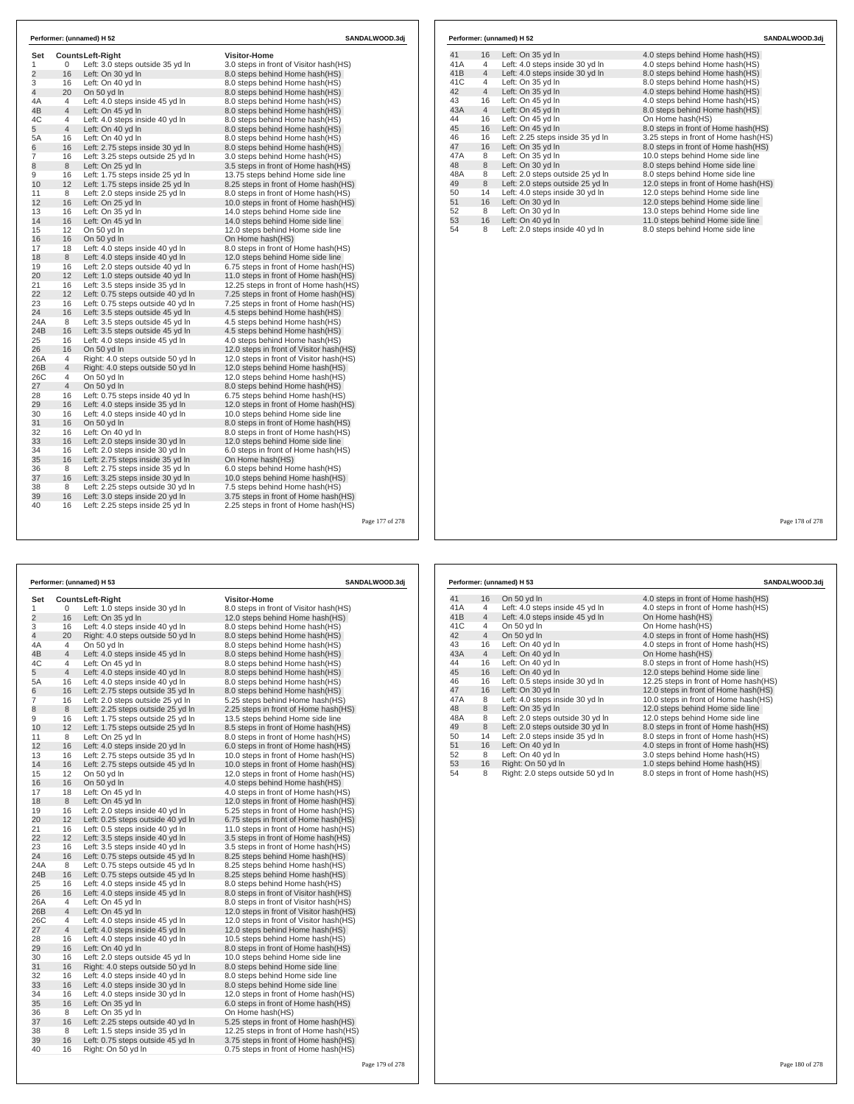| Set            |                | Counts Left-Right                                     | <b>Visitor-Home</b>                                                       |  |
|----------------|----------------|-------------------------------------------------------|---------------------------------------------------------------------------|--|
| 1              | 0              | Left: 3.0 steps outside 35 yd In                      | 3.0 steps in front of Visitor hash(HS)                                    |  |
| $\overline{2}$ | 16             | Left: On 30 yd In                                     | 8.0 steps behind Home hash(HS)                                            |  |
| 3              | 16             | Left: On 40 yd In                                     | 8.0 steps behind Home hash(HS)                                            |  |
| 4              | 20             | On 50 yd In                                           | 8.0 steps behind Home hash (HS)                                           |  |
| 4A             | 4              | Left: 4.0 steps inside 45 yd In                       | 8.0 steps behind Home hash(HS)                                            |  |
| 4B             | $\overline{4}$ | Left: On 45 yd In                                     | 8.0 steps behind Home hash(HS)                                            |  |
| 4C             | 4              | Left: 4.0 steps inside 40 yd In                       | 8.0 steps behind Home hash(HS)                                            |  |
| 5              | $\overline{4}$ | Left: On 40 yd In                                     | 8.0 steps behind Home hash(HS)                                            |  |
| 5А             | 16             | Left: On 40 yd In                                     | 8.0 steps behind Home hash(HS)                                            |  |
| 6<br>7         | 16<br>16       | Left: 2.75 steps inside 30 yd In                      | 8.0 steps behind Home hash (HS)                                           |  |
|                | 8              | Left: 3.25 steps outside 25 yd In                     | 3.0 steps behind Home hash(HS)                                            |  |
| 8<br>9         | 16             | Left: On 25 yd In<br>Left: 1.75 steps inside 25 yd In | 3.5 steps in front of Home hash (HS)<br>13.75 steps behind Home side line |  |
| 10             | 12             | Left: 1.75 steps inside 25 yd In                      | 8.25 steps in front of Home hash (HS)                                     |  |
| 11             | 8              | Left: 2.0 steps inside 25 yd In                       | 8.0 steps in front of Home hash(HS)                                       |  |
| 12             | 16             | Left: On 25 yd In                                     | 10.0 steps in front of Home hash(HS)                                      |  |
| 13             | 16             | Left: On 35 yd In                                     | 14.0 steps behind Home side line                                          |  |
| 14             | 16             | Left: On 45 yd In                                     | 14.0 steps behind Home side line                                          |  |
| 15             | 12             | On 50 yd In                                           | 12.0 steps behind Home side line                                          |  |
| 16             | 16             | On 50 yd In                                           | On Home hash(HS)                                                          |  |
| 17             | 18             | Left: 4.0 steps inside 40 yd In                       | 8.0 steps in front of Home hash(HS)                                       |  |
| 18             | 8              | Left: 4.0 steps inside 40 yd In                       | 12.0 steps behind Home side line                                          |  |
| 19             | 16             | Left: 2.0 steps outside 40 yd In                      | 6.75 steps in front of Home hash(HS)                                      |  |
| 20             | 12             | Left: 1.0 steps outside 40 yd In                      | 11.0 steps in front of Home hash(HS)                                      |  |
| 21             | 16             | Left: 3.5 steps inside 35 yd In                       | 12.25 steps in front of Home hash(HS)                                     |  |
| 22             | 12             | Left: 0.75 steps outside 40 yd In                     | 7.25 steps in front of Home hash(HS)                                      |  |
| 23             | 16             | Left: 0.75 steps outside 40 yd In                     | 7.25 steps in front of Home hash(HS)                                      |  |
| 24             | 16             | Left: 3.5 steps outside 45 yd In                      | 4.5 steps behind Home hash (HS)                                           |  |
| 24A            | 8              | Left: 3.5 steps outside 45 yd In                      | 4.5 steps behind Home hash(HS)                                            |  |
| 24B            | 16             | Left: 3.5 steps outside 45 yd In                      | 4.5 steps behind Home hash (HS)                                           |  |
| 25             | 16             | Left: 4.0 steps inside 45 yd In                       | 4.0 steps behind Home hash(HS)                                            |  |
| 26             | 16             | On 50 yd In                                           | 12.0 steps in front of Visitor hash(HS)                                   |  |
| 26A            | 4              | Right: 4.0 steps outside 50 yd In                     | 12.0 steps in front of Visitor hash(HS)                                   |  |
| 26B            | $\overline{4}$ | Right: 4.0 steps outside 50 yd In                     | 12.0 steps behind Home hash(HS)                                           |  |
| 26C            | 4              | On 50 yd In                                           | 12.0 steps behind Home hash(HS)                                           |  |
| 27             | $\overline{4}$ | On 50 yd In                                           | 8.0 steps behind Home hash(HS)                                            |  |
| 28             | 16             | Left: 0.75 steps inside 40 yd In                      | 6.75 steps behind Home hash(HS)                                           |  |
| 29             | 16             | Left: 4.0 steps inside 35 yd In                       | 12.0 steps in front of Home hash(HS)                                      |  |
| 30             | 16             | Left: 4.0 steps inside 40 yd In                       | 10.0 steps behind Home side line                                          |  |
| 31             | 16             | On 50 yd In                                           | 8.0 steps in front of Home hash(HS)                                       |  |
| 32             | 16             | Left: On 40 yd In                                     | 8.0 steps in front of Home hash(HS)                                       |  |
| 33             | 16             | Left: 2.0 steps inside 30 yd In                       | 12.0 steps behind Home side line                                          |  |
| 34             | 16             | Left: 2.0 steps inside 30 yd In                       | 6.0 steps in front of Home hash (HS)                                      |  |
| 35             | 16             | Left: 2.75 steps inside 35 yd In                      | On Home hash(HS)                                                          |  |
| 36             | 8              | Left: 2.75 steps inside 35 yd In                      | 6.0 steps behind Home hash(HS)                                            |  |
| 37             | 16             | Left: 3.25 steps inside 30 yd In                      | 10.0 steps behind Home hash(HS)                                           |  |
| 38             | 8              | Left: 2.25 steps outside 30 vd In                     | 7.5 steps behind Home hash (HS)                                           |  |
| 39             | 16             | Left: 3.0 steps inside 20 yd In                       | 3.75 steps in front of Home hash(HS)                                      |  |
| 40             | 16             | Left: 2.25 steps inside 25 yd In                      | 2.25 steps in front of Home hash(HS)                                      |  |

|      |                | Performer: (unnamed) H 52        | SANDALWOOD.3di                       |  |
|------|----------------|----------------------------------|--------------------------------------|--|
| 41   | 16             | Left: On 35 yd In                | 4.0 steps behind Home hash (HS)      |  |
| 41A  | 4              | Left: 4.0 steps inside 30 yd In  | 4.0 steps behind Home hash(HS)       |  |
| 41B  | $\overline{4}$ | Left: 4.0 steps inside 30 yd In  | 8.0 steps behind Home hash(HS)       |  |
| 41C  | 4              | Left: On 35 yd In                | 8.0 steps behind Home hash(HS)       |  |
| 42   | $\overline{4}$ | Left: On 35 yd In                | 4.0 steps behind Home hash(HS)       |  |
| 43   | 16             | Left: On 45 yd In                | 4.0 steps behind Home hash(HS)       |  |
| 43A  | $\overline{4}$ | Left: On 45 yd In                | 8.0 steps behind Home hash(HS)       |  |
| 44   | 16             | Left: On 45 vd In                | On Home hash(HS)                     |  |
| 45   | 16             | Left: On 45 yd In                | 8.0 steps in front of Home hash(HS)  |  |
| 46   | 16             | Left: 2.25 steps inside 35 yd In | 3.25 steps in front of Home hash(HS) |  |
| 47   | 16             | Left: On 35 yd In                | 8.0 steps in front of Home hash(HS)  |  |
| 47 A | 8              | Left: On 35 vd In                | 10.0 steps behind Home side line     |  |
| 48   | 8              | Left: On 30 yd In                | 8.0 steps behind Home side line      |  |
| 48A  | 8              | Left: 2.0 steps outside 25 yd In | 8.0 steps behind Home side line      |  |
| 49   | 8              | Left: 2.0 steps outside 25 yd In | 12.0 steps in front of Home hash(HS) |  |
| 50   | 14             | Left: 4.0 steps inside 30 yd In  | 12.0 steps behind Home side line     |  |
| 51   | 16             | Left: On 30 yd In                | 12.0 steps behind Home side line     |  |
| 52   | 8              | Left: On 30 yd In                | 13.0 steps behind Home side line     |  |
| 53   | 16             | Left: On 40 yd In                | 11.0 steps behind Home side line     |  |
| 54   | 8              | Left: 2.0 steps inside 40 yd In  | 8.0 steps behind Home side line      |  |

Page 177 of 278

 $\Gamma$ 

| Performer: (unnamed) H 53<br>SANDALWOOD.3dj |                |                                   |                                          |  |  |
|---------------------------------------------|----------------|-----------------------------------|------------------------------------------|--|--|
| Set                                         |                | <b>CountsLeft-Right</b>           | <b>Visitor-Home</b>                      |  |  |
| 1                                           | 0              | Left: 1.0 steps inside 30 yd In   | 8.0 steps in front of Visitor hash(HS)   |  |  |
| 2                                           | 16             | Left: On 35 yd In                 | 12.0 steps behind Home hash(HS)          |  |  |
| 3                                           | 16             | Left: 4.0 steps inside 40 yd In   | 8.0 steps behind Home hash(HS)           |  |  |
| 4                                           | 20             | Right: 4.0 steps outside 50 yd In | 8.0 steps behind Home hash(HS)           |  |  |
| 4A                                          | 4              | On 50 yd In                       | 8.0 steps behind Home hash(HS)           |  |  |
| 4B                                          | 4              | Left: 4.0 steps inside 45 yd In   | 8.0 steps behind Home hash(HS)           |  |  |
| 4C                                          | 4              | Left: On 45 yd In                 | 8.0 steps behind Home hash(HS)           |  |  |
| 5                                           | 4              | Left: 4.0 steps inside 40 yd In   | 8.0 steps behind Home hash(HS)           |  |  |
| 5A                                          | 16             | Left: 4.0 steps inside 40 yd In   | 8.0 steps behind Home hash(HS)           |  |  |
| 6                                           | 16             | Left: 2.75 steps outside 35 yd In | 8.0 steps behind Home hash(HS)           |  |  |
| 7                                           | 16             | Left: 2.0 steps outside 25 yd In  | 5.25 steps behind Home hash(HS)          |  |  |
| 8                                           | 8              | Left: 2.25 steps outside 25 yd In | 2.25 steps in front of Home hash (HS)    |  |  |
| 9                                           | 16             | Left: 1.75 steps outside 25 yd In | 13.5 steps behind Home side line         |  |  |
| 10                                          | 12             | Left: 1.75 steps outside 25 yd In | 8.5 steps in front of Home hash (HS)     |  |  |
| 11                                          | 8              | Left: On 25 yd In                 | 8.0 steps in front of Home hash(HS)      |  |  |
| 12                                          | 16             | Left: 4.0 steps inside 20 yd In   | 6.0 steps in front of Home hash(HS)      |  |  |
| 13                                          | 16             | Left: 2.75 steps outside 35 yd In | 10.0 steps in front of Home hash(HS)     |  |  |
| 14                                          | 16             | Left: 2.75 steps outside 45 yd In | 10.0 steps in front of Home hash(HS)     |  |  |
| 15                                          | 12             | On 50 yd In                       | 12.0 steps in front of Home hash (HS)    |  |  |
| 16                                          | 16             | On 50 yd In                       | 4.0 steps behind Home hash(HS)           |  |  |
| 17                                          | 18             | Left: On 45 yd In                 | 4.0 steps in front of Home hash(HS)      |  |  |
| 18                                          | 8              | Left: On 45 yd In                 | 12.0 steps in front of Home hash(HS)     |  |  |
| 19                                          | 16             | Left: 2.0 steps inside 40 yd In   | 5.25 steps in front of Home hash(HS)     |  |  |
| 20                                          | 12             | Left: 0.25 steps outside 40 yd In | 6.75 steps in front of Home hash(HS)     |  |  |
| 21                                          | 16             | Left: 0.5 steps inside 40 yd In   | 11.0 steps in front of Home hash(HS)     |  |  |
| 22                                          | 12             | Left: 3.5 steps inside 40 yd In   | 3.5 steps in front of Home hash (HS)     |  |  |
| 23                                          | 16             | Left: 3.5 steps inside 40 yd In   | 3.5 steps in front of Home hash (HS)     |  |  |
| 24                                          | 16             | Left: 0.75 steps outside 45 yd In | 8.25 steps behind Home hash (HS)         |  |  |
| 24A                                         | 8              | Left: 0.75 steps outside 45 yd In | 8.25 steps behind Home hash(HS)          |  |  |
| 24B                                         | 16             | Left: 0.75 steps outside 45 yd In | 8.25 steps behind Home hash(HS)          |  |  |
| 25                                          | 16             | Left: 4.0 steps inside 45 yd In   | 8.0 steps behind Home hash(HS)           |  |  |
| 26                                          | 16             | Left: 4.0 steps inside 45 yd In   | 8.0 steps in front of Visitor hash(HS)   |  |  |
| 26A                                         | $\overline{4}$ | Left: On 45 yd In                 | 8.0 steps in front of Visitor hash(HS)   |  |  |
| 26B                                         | 4              | Left: On 45 yd In                 | 12.0 steps in front of Visitor hash(HS)  |  |  |
| 26C                                         | 4              | Left: 4.0 steps inside 45 yd In   | 12.0 steps in front of Visitor hash (HS) |  |  |
| 27                                          | 4              | Left: 4.0 steps inside 45 yd In   | 12.0 steps behind Home hash(HS)          |  |  |
| 28                                          | 16             | Left: 4.0 steps inside 40 yd In   | 10.5 steps behind Home hash(HS)          |  |  |
| 29                                          | 16             | Left: On 40 yd In                 | 8.0 steps in front of Home hash(HS)      |  |  |
| 30                                          | 16             | Left: 2.0 steps outside 45 yd In  | 10.0 steps behind Home side line         |  |  |
| 31                                          | 16             | Right: 4.0 steps outside 50 yd In | 8.0 steps behind Home side line          |  |  |
| 32                                          | 16             | Left: 4.0 steps inside 40 yd In   | 8.0 steps behind Home side line          |  |  |
| 33                                          | 16             | Left: 4.0 steps inside 30 yd In   | 8.0 steps behind Home side line          |  |  |
| 34                                          | 16             | Left: 4.0 steps inside 30 yd In   | 12.0 steps in front of Home hash(HS)     |  |  |
| 35                                          | 16             | Left: On 35 yd In                 | 6.0 steps in front of Home hash(HS)      |  |  |
| 36                                          | 8              | Left: On 35 yd In                 | On Home hash(HS)                         |  |  |
| 37                                          | 16             | Left: 2.25 steps outside 40 yd In | 5.25 steps in front of Home hash(HS)     |  |  |
| 38                                          | 8              | Left: 1.5 steps inside 35 yd In   | 12.25 steps in front of Home hash(HS)    |  |  |
| 39                                          | 16             | Left: 0.75 steps outside 45 yd In | 3.75 steps in front of Home hash(HS)     |  |  |
| 40                                          | 16             | Right: On 50 yd In                | 0.75 steps in front of Home hash(HS)     |  |  |
|                                             |                |                                   |                                          |  |  |

Page 179 of 278

Page 178 of 278

|     |                | Performer: (unnamed) H 53         | SANDALWOOD.3dj                        |
|-----|----------------|-----------------------------------|---------------------------------------|
| 41  | 16             | On 50 yd In                       | 4.0 steps in front of Home hash (HS)  |
| 41A | 4              | Left: 4.0 steps inside 45 yd In   | 4.0 steps in front of Home hash(HS)   |
| 41B | $\overline{4}$ | Left: 4.0 steps inside 45 yd In   | On Home hash(HS)                      |
| 41C | 4              | On 50 yd In                       | On Home hash(HS)                      |
| 42  | $\overline{4}$ | On 50 yd In                       | 4.0 steps in front of Home hash(HS)   |
| 43  | 16             | Left: On 40 yd In                 | 4.0 steps in front of Home hash(HS)   |
| 43A | $\overline{4}$ | Left: On 40 yd In                 | On Home hash(HS)                      |
| 44  | 16             | Left: On 40 vd In                 | 8.0 steps in front of Home hash(HS)   |
| 45  | 16             | Left: On 40 yd In                 | 12.0 steps behind Home side line      |
| 46  | 16             | Left: 0.5 steps inside 30 yd In   | 12.25 steps in front of Home hash(HS) |
| 47  | 16             | Left: On 30 yd In                 | 12.0 steps in front of Home hash(HS)  |
| 47A | 8              | Left: 4.0 steps inside 30 yd In   | 10.0 steps in front of Home hash(HS)  |
| 48  | 8              | Left: On 35 yd In                 | 12.0 steps behind Home side line      |
| 48A | 8              | Left: 2.0 steps outside 30 yd In  | 12.0 steps behind Home side line      |
| 49  | 8              | Left: 2.0 steps outside 30 yd In  | 8.0 steps in front of Home hash (HS)  |
| 50  | 14             | Left: 2.0 steps inside 35 yd In   | 8.0 steps in front of Home hash(HS)   |
| 51  | 16             | Left: On 40 yd In                 | 4.0 steps in front of Home hash(HS)   |
| 52  | 8              | Left: On 40 yd In                 | 3.0 steps behind Home hash(HS)        |
| 53  | 16             | Right: On 50 yd In                | 1.0 steps behind Home hash(HS)        |
| 54  | 8              | Right: 2.0 steps outside 50 yd In | 8.0 steps in front of Home hash(HS)   |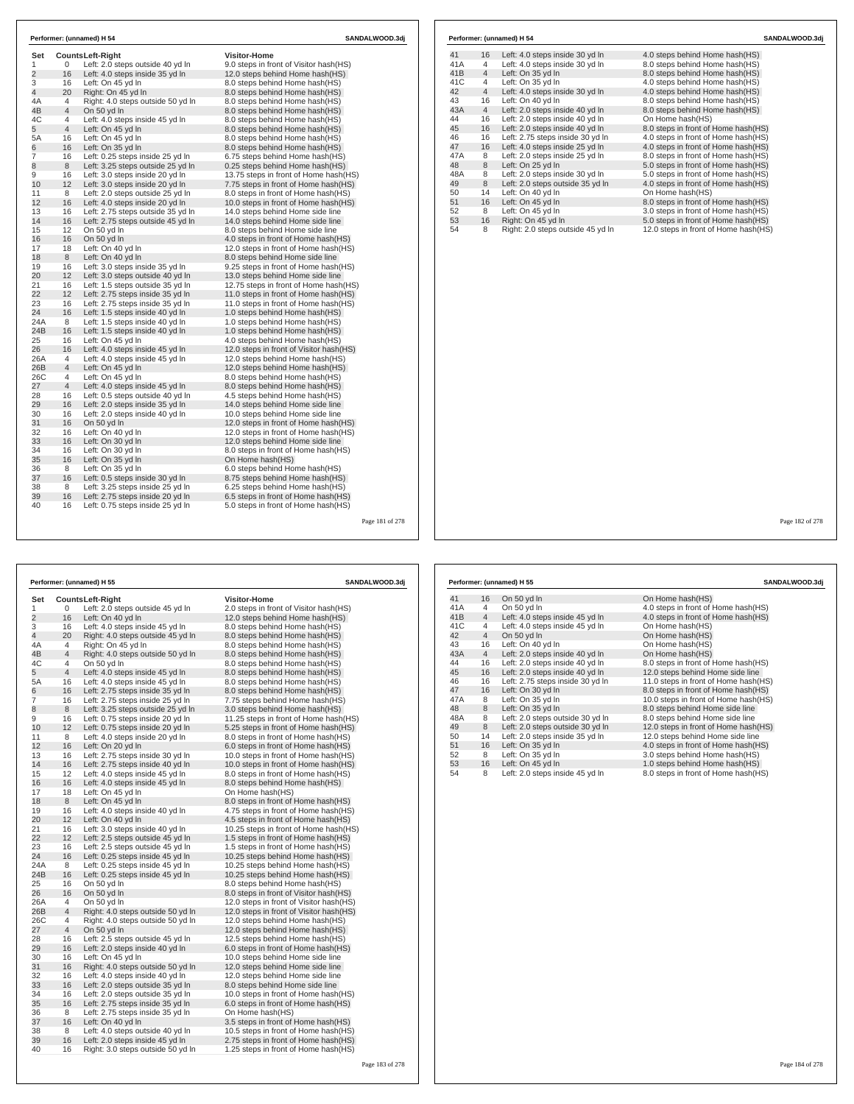| Set            |                     | <b>CountsLeft-Right</b>                                              | <b>Visitor-Home</b>                                              |
|----------------|---------------------|----------------------------------------------------------------------|------------------------------------------------------------------|
| 1              | 0                   | Left: 2.0 steps outside 40 yd In                                     | 9.0 steps in front of Visitor hash(HS)                           |
| $\overline{c}$ | 16                  | Left: 4.0 steps inside 35 yd In                                      | 12.0 steps behind Home hash(HS)                                  |
| 3              | 16                  | Left: On 45 yd In                                                    | 8.0 steps behind Home hash(HS)                                   |
| $\overline{4}$ | 20                  | Right: On 45 yd In                                                   | 8.0 steps behind Home hash(HS)                                   |
| 4A             | 4<br>$\overline{4}$ | Right: 4.0 steps outside 50 yd In                                    | 8.0 steps behind Home hash(HS)                                   |
| 4B<br>4C       | $\overline{4}$      | On 50 yd In<br>Left: 4.0 steps inside 45 yd In                       | 8.0 steps behind Home hash(HS)<br>8.0 steps behind Home hash(HS) |
| 5              | $\overline{4}$      | Left: On 45 yd In                                                    | 8.0 steps behind Home hash(HS)                                   |
| 5A             | 16                  | Left: On 45 yd In                                                    | 8.0 steps behind Home hash(HS)                                   |
| 6              | 16                  | Left: On 35 vd In                                                    | 8.0 steps behind Home hash (HS)                                  |
| 7              | 16                  | Left: 0.25 steps inside 25 yd In                                     | 6.75 steps behind Home hash(HS)                                  |
| 8              | 8                   | Left: 3.25 steps outside 25 yd In                                    | 0.25 steps behind Home hash(HS)                                  |
| 9              | 16                  | Left: 3.0 steps inside 20 yd In                                      | 13.75 steps in front of Home hash(HS)                            |
| 10             | 12 <sup>2</sup>     | Left: 3.0 steps inside 20 yd In                                      | 7.75 steps in front of Home hash(HS)                             |
| 11             | 8                   | Left: 2.0 steps outside 25 yd In                                     | 8.0 steps in front of Home hash(HS)                              |
| 12             | 16                  | Left: 4.0 steps inside 20 yd In                                      | 10.0 steps in front of Home hash(HS)                             |
| 13             | 16                  | Left: 2.75 steps outside 35 yd In                                    | 14.0 steps behind Home side line                                 |
| 14             | 16                  | Left: 2.75 steps outside 45 yd In                                    | 14.0 steps behind Home side line                                 |
| 15             | 12                  | On 50 vd In                                                          | 8.0 steps behind Home side line                                  |
| 16             | 16                  | On 50 yd In                                                          | 4.0 steps in front of Home hash(HS)                              |
| 17             | 18                  | Left: On 40 yd In                                                    | 12.0 steps in front of Home hash (HS)                            |
| 18             | 8                   | Left: On 40 yd In                                                    | 8.0 steps behind Home side line                                  |
| 19             | 16                  | Left: 3.0 steps inside 35 yd In                                      | 9.25 steps in front of Home hash(HS)                             |
| 20             | 12 <sup>2</sup>     | Left: 3.0 steps outside 40 yd In                                     | 13.0 steps behind Home side line                                 |
| 21             | 16                  | Left: 1.5 steps outside 35 yd In                                     | 12.75 steps in front of Home hash(HS)                            |
| 22             | 12                  | Left: 2.75 steps inside 35 yd In                                     | 11.0 steps in front of Home hash(HS)                             |
| 23             | 16                  | Left: 2.75 steps inside 35 yd In                                     | 11.0 steps in front of Home hash(HS)                             |
| 24             | 16                  | Left: 1.5 steps inside 40 yd In                                      | 1.0 steps behind Home hash(HS)                                   |
| 24A            | 8                   | Left: 1.5 steps inside 40 yd In                                      | 1.0 steps behind Home hash(HS)                                   |
| 24B            | 16                  | Left: 1.5 steps inside 40 yd In                                      | 1.0 steps behind Home hash (HS)                                  |
| 25             | 16                  | Left: On 45 yd In                                                    | 4.0 steps behind Home hash(HS)                                   |
| 26             | 16                  | Left: 4.0 steps inside 45 yd In                                      | 12.0 steps in front of Visitor hash(HS)                          |
| 26A            | 4                   | Left: 4.0 steps inside 45 yd In                                      | 12.0 steps behind Home hash (HS)                                 |
| 26B            | $\overline{4}$      | Left: On 45 yd In                                                    | 12.0 steps behind Home hash(HS)                                  |
| 26C            | $\overline{4}$      | Left: On 45 yd In                                                    | 8.0 steps behind Home hash(HS)                                   |
| 27             | $\overline{4}$      | Left: 4.0 steps inside 45 yd In                                      | 8.0 steps behind Home hash(HS)                                   |
| 28             | 16                  | Left: 0.5 steps outside 40 yd In                                     | 4.5 steps behind Home hash(HS)                                   |
| 29             | 16                  | Left: 2.0 steps inside 35 yd In                                      | 14.0 steps behind Home side line                                 |
| 30             | 16                  | Left: 2.0 steps inside 40 yd In                                      | 10.0 steps behind Home side line                                 |
| 31             | 16                  | On 50 yd In                                                          | 12.0 steps in front of Home hash(HS)                             |
| 32             | 16                  | Left: On 40 yd In                                                    | 12.0 steps in front of Home hash(HS)                             |
| 33             | 16                  | Left: On 30 yd In                                                    | 12.0 steps behind Home side line                                 |
| 34             | 16                  | Left: On 30 yd In                                                    | 8.0 steps in front of Home hash(HS)                              |
| 35             | 16                  | Left: On 35 yd In                                                    | On Home hash(HS)                                                 |
| 36             | 8                   | Left: On 35 yd In                                                    | 6.0 steps behind Home hash(HS)                                   |
| 37<br>38       | 16<br>8             | Left: 0.5 steps inside 30 yd In                                      | 8.75 steps behind Home hash(HS)                                  |
| 39             | 16                  | Left: 3.25 steps inside 25 yd In                                     | 6.25 steps behind Home hash(HS)                                  |
| 40             | 16                  | Left: 2.75 steps inside 20 yd In<br>Left: 0.75 steps inside 25 yd In | 6.5 steps in front of Home hash(HS)                              |
|                |                     |                                                                      | 5.0 steps in front of Home hash(HS)                              |

|     |                | Performer: (unnamed) H 54         | SANDALWOOD.3dj                       |
|-----|----------------|-----------------------------------|--------------------------------------|
| 41  | 16             | Left: 4.0 steps inside 30 yd In   | 4.0 steps behind Home hash (HS)      |
| 41A | 4              | Left: 4.0 steps inside 30 yd In   | 8.0 steps behind Home hash(HS)       |
| 41B | $\overline{4}$ | Left: On 35 yd In                 | 8.0 steps behind Home hash(HS)       |
| 41C | 4              | Left: On 35 yd In                 | 4.0 steps behind Home hash(HS)       |
| 42  | $\overline{4}$ | Left: 4.0 steps inside 30 yd In   | 4.0 steps behind Home hash(HS)       |
| 43  | 16             | Left: On 40 yd In                 | 8.0 steps behind Home hash(HS)       |
| 43A | $\overline{4}$ | Left: 2.0 steps inside 40 yd In   | 8.0 steps behind Home hash(HS)       |
| 44  | 16             | Left: 2.0 steps inside 40 yd In   | On Home hash(HS)                     |
| 45  | 16             | Left: 2.0 steps inside 40 yd In   | 8.0 steps in front of Home hash(HS)  |
| 46  | 16             | Left: 2.75 steps inside 30 yd In  | 4.0 steps in front of Home hash(HS)  |
| 47  | 16             | Left: 4.0 steps inside 25 yd In   | 4.0 steps in front of Home hash(HS)  |
| 47A | 8              | Left: 2.0 steps inside 25 yd In   | 8.0 steps in front of Home hash(HS)  |
| 48  | 8              | Left: On 25 yd In                 | 5.0 steps in front of Home hash(HS)  |
| 48A | 8              | Left: 2.0 steps inside 30 yd In   | 5.0 steps in front of Home hash(HS)  |
| 49  | 8              | Left: 2.0 steps outside 35 yd In  | 4.0 steps in front of Home hash(HS)  |
| 50  | 14             | Left: On 40 yd In                 | On Home hash(HS)                     |
| 51  | 16             | Left: On 45 yd In                 | 8.0 steps in front of Home hash(HS)  |
| 52  | 8              | Left: On 45 yd In                 | 3.0 steps in front of Home hash(HS)  |
| 53  | 16             | Right: On 45 vd In                | 5.0 steps in front of Home hash(HS)  |
| 54  | 8              | Right: 2.0 steps outside 45 yd In | 12.0 steps in front of Home hash(HS) |

Page 181 of 278

|                |                | Performer: (unnamed) H 55         | <b>SANDALWOOD.3dj</b>                    |  |
|----------------|----------------|-----------------------------------|------------------------------------------|--|
| Set            |                | <b>CountsLeft-Right</b>           | <b>Visitor-Home</b>                      |  |
| 1              | 0              | Left: 2.0 steps outside 45 yd In  | 2.0 steps in front of Visitor hash(HS)   |  |
| $\overline{c}$ | 16             | Left: On 40 yd In                 | 12.0 steps behind Home hash(HS)          |  |
| 3              | 16             | Left: 4.0 steps inside 45 yd In   | 8.0 steps behind Home hash(HS)           |  |
| 4              | 20             | Right: 4.0 steps outside 45 yd In | 8.0 steps behind Home hash(HS)           |  |
| 4A             | 4              | Right: On 45 yd In                | 8.0 steps behind Home hash(HS)           |  |
| 4B             | $\overline{4}$ | Right: 4.0 steps outside 50 yd In | 8.0 steps behind Home hash(HS)           |  |
| 4C             | 4              | On 50 yd In                       | 8.0 steps behind Home hash(HS)           |  |
| 5              | $\overline{4}$ | Left: 4.0 steps inside 45 yd In   | 8.0 steps behind Home hash(HS)           |  |
| 5А             | 16             | Left: 4.0 steps inside 45 yd In   | 8.0 steps behind Home hash(HS)           |  |
| 6              | 16             | Left: 2.75 steps inside 35 yd In  | 8.0 steps behind Home hash(HS)           |  |
| 7              | 16             | Left: 2.75 steps inside 25 yd In  | 7.75 steps behind Home hash(HS)          |  |
| 8              | 8              | Left: 3.25 steps outside 25 yd In | 3.0 steps behind Home hash(HS)           |  |
| 9              | 16             | Left: 0.75 steps inside 20 yd In  | 11.25 steps in front of Home hash (HS)   |  |
| 10             | 12             | Left: 0.75 steps inside 20 yd In  | 5.25 steps in front of Home hash(HS)     |  |
| 11             | 8              | Left: 4.0 steps inside 20 yd In   | 8.0 steps in front of Home hash(HS)      |  |
| 12             | 16             | Left: On 20 yd In                 | 6.0 steps in front of Home hash(HS)      |  |
| 13             | 16             | Left: 2.75 steps inside 30 yd In  | 10.0 steps in front of Home hash (HS)    |  |
| 14             | 16             | Left: 2.75 steps inside 40 yd In  | 10.0 steps in front of Home hash(HS)     |  |
| 15             | 12             | Left: 4.0 steps inside 45 yd In   | 8.0 steps in front of Home hash(HS)      |  |
| 16             | 16             | Left: 4.0 steps inside 45 yd In   | 8.0 steps behind Home hash(HS)           |  |
| 17             | 18             | Left: On 45 yd In                 | On Home hash(HS)                         |  |
| 18             | 8              | Left: On 45 yd In                 | 8.0 steps in front of Home hash(HS)      |  |
| 19             | 16             | Left: 4.0 steps inside 40 yd In   | 4.75 steps in front of Home hash(HS)     |  |
| 20             | 12             | Left: On 40 yd In                 | 4.5 steps in front of Home hash(HS)      |  |
| 21             | 16             | Left: 3.0 steps inside 40 yd In   | 10.25 steps in front of Home hash (HS)   |  |
| 22             | 12             | Left: 2.5 steps outside 45 yd In  | 1.5 steps in front of Home hash (HS)     |  |
| 23             | 16             | Left: 2.5 steps outside 45 yd In  | 1.5 steps in front of Home hash (HS)     |  |
| 24             | 16             | Left: 0.25 steps inside 45 yd In  | 10.25 steps behind Home hash(HS)         |  |
| 24A            | 8              | Left: 0.25 steps inside 45 yd In  | 10.25 steps behind Home hash(HS)         |  |
| 24B            | 16             | Left: 0.25 steps inside 45 yd In  | 10.25 steps behind Home hash(HS)         |  |
| 25             | 16             | On 50 yd In                       | 8.0 steps behind Home hash(HS)           |  |
| 26             | 16             | On 50 yd In                       | 8.0 steps in front of Visitor hash(HS)   |  |
| 26A            | 4              | On 50 yd In                       | 12.0 steps in front of Visitor hash (HS) |  |
| 26B            | $\overline{4}$ | Right: 4.0 steps outside 50 yd In | 12.0 steps in front of Visitor hash(HS)  |  |
| 26C            | 4              | Right: 4.0 steps outside 50 yd In | 12.0 steps behind Home hash(HS)          |  |
| 27             | $\overline{4}$ | On 50 yd In                       | 12.0 steps behind Home hash(HS)          |  |
| 28             | 16             | Left: 2.5 steps outside 45 yd In  | 12.5 steps behind Home hash(HS)          |  |
| 29             | 16             | Left: 2.0 steps inside 40 yd In   | 6.0 steps in front of Home hash(HS)      |  |
| 30             | 16             | Left: On 45 yd In                 | 10.0 steps behind Home side line         |  |
| 31             | 16             | Right: 4.0 steps outside 50 yd In | 12.0 steps behind Home side line         |  |
| 32             | 16             | Left: 4.0 steps inside 40 yd In   | 12.0 steps behind Home side line         |  |
| 33             | 16             | Left: 2.0 steps outside 35 yd In  | 8.0 steps behind Home side line          |  |
| 34             | 16             | Left: 2.0 steps outside 35 yd In  | 10.0 steps in front of Home hash(HS)     |  |
| 35             | 16             | Left: 2.75 steps inside 35 yd In  | 6.0 steps in front of Home hash(HS)      |  |
| 36             | 8              | Left: 2.75 steps inside 35 yd In  | On Home hash(HS)                         |  |
| 37             | 16             | Left: On 40 yd In                 | 3.5 steps in front of Home hash(HS)      |  |
| 38             | 8              | Left: 4.0 steps outside 40 yd In  | 10.5 steps in front of Home hash(HS)     |  |
| 39             | 16             | Left: 2.0 steps inside 45 yd In   | 2.75 steps in front of Home hash(HS)     |  |
| 40             | 16             | Right: 3.0 steps outside 50 yd In | 1.25 steps in front of Home hash (HS)    |  |
|                |                |                                   |                                          |  |

|     |                | Performer: (unnamed) H 55        | SANDALWOOD.3dj                       |
|-----|----------------|----------------------------------|--------------------------------------|
| 41  | 16             | On 50 yd In                      | On Home hash(HS)                     |
| 41A | 4              | On 50 yd In                      | 4.0 steps in front of Home hash (HS) |
| 41B | $\overline{4}$ | Left: 4.0 steps inside 45 yd In  | 4.0 steps in front of Home hash(HS)  |
| 41C | 4              | Left: 4.0 steps inside 45 yd In  | On Home hash(HS)                     |
| 42  | $\overline{4}$ | On 50 yd In                      | On Home hash(HS)                     |
| 43  | 16             | Left: On 40 yd In                | On Home hash(HS)                     |
| 43A | $\overline{4}$ | Left: 2.0 steps inside 40 yd In  | On Home hash(HS)                     |
| 44  | 16             | Left: 2.0 steps inside 40 yd In  | 8.0 steps in front of Home hash(HS)  |
| 45  | 16             | Left: 2.0 steps inside 40 yd In  | 12.0 steps behind Home side line     |
| 46  | 16             | Left: 2.75 steps inside 30 yd In | 11.0 steps in front of Home hash(HS) |
| 47  | 16             | Left: On 30 yd In                | 8.0 steps in front of Home hash (HS) |
| 47A | 8              | Left: On 35 vd In                | 10.0 steps in front of Home hash(HS) |
| 48  | 8              | Left: On 35 yd In                | 8.0 steps behind Home side line      |
| 48A | 8              | Left: 2.0 steps outside 30 yd In | 8.0 steps behind Home side line      |
| 49  | 8              | Left: 2.0 steps outside 30 yd In | 12.0 steps in front of Home hash(HS) |
| 50  | 14             | Left: 2.0 steps inside 35 yd In  | 12.0 steps behind Home side line     |
| 51  | 16             | Left: On 35 yd In                | 4.0 steps in front of Home hash (HS) |
| 52  | 8              | Left: On 35 yd In                | 3.0 steps behind Home hash(HS)       |
| 53  | 16             | Left: On 45 yd In                | 1.0 steps behind Home hash(HS)       |
| 54  | 8              | Left: 2.0 steps inside 45 yd In  | 8.0 steps in front of Home hash(HS)  |

Page 182 of 278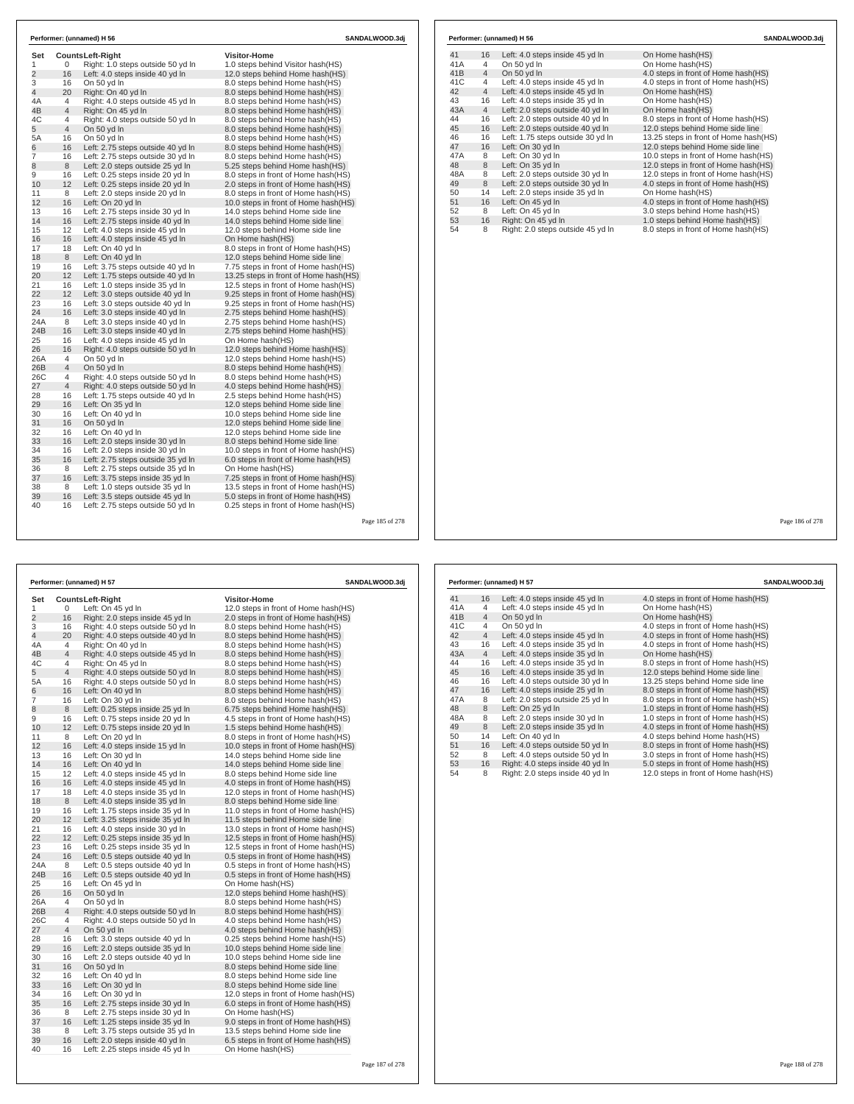|                 |    |                                                              | <b>Visitor-Home</b>                   |  |
|-----------------|----|--------------------------------------------------------------|---------------------------------------|--|
| Set<br>1        | 0  | <b>CountsLeft-Right</b><br>Right: 1.0 steps outside 50 yd In | 1.0 steps behind Visitor hash(HS)     |  |
| $\overline{c}$  | 16 | Left: 4.0 steps inside 40 yd In                              | 12.0 steps behind Home hash(HS)       |  |
| 3               | 16 | On 50 yd In                                                  | 8.0 steps behind Home hash (HS)       |  |
| $\overline{4}$  | 20 | Right: On 40 yd In                                           | 8.0 steps behind Home hash (HS)       |  |
| 4A              | 4  | Right: 4.0 steps outside 45 yd In                            | 8.0 steps behind Home hash (HS)       |  |
| 4B              | 4  | Right: On 45 yd In                                           | 8.0 steps behind Home hash(HS)        |  |
| 4C              | 4  | Right: 4.0 steps outside 50 yd In                            | 8.0 steps behind Home hash(HS)        |  |
| 5               | 4  | On 50 yd In                                                  | 8.0 steps behind Home hash (HS)       |  |
| 5A              | 16 | On 50 yd In                                                  | 8.0 steps behind Home hash(HS)        |  |
| 6               | 16 | Left: 2.75 steps outside 40 yd In                            | 8.0 steps behind Home hash (HS)       |  |
| $\overline{7}$  | 16 | Left: 2.75 steps outside 30 yd In                            | 8.0 steps behind Home hash(HS)        |  |
| 8               | 8  | Left: 2.0 steps outside 25 vd In                             | 5.25 steps behind Home hash(HS)       |  |
| 9               | 16 | Left: 0.25 steps inside 20 yd In                             | 8.0 steps in front of Home hash(HS)   |  |
| 10              | 12 | Left: 0.25 steps inside 20 yd In                             | 2.0 steps in front of Home hash(HS)   |  |
| 11              | 8  | Left: 2.0 steps inside 20 yd In                              | 8.0 steps in front of Home hash(HS)   |  |
| 12 <sup>2</sup> | 16 | Left: On 20 yd In                                            | 10.0 steps in front of Home hash(HS)  |  |
| 13              | 16 | Left: 2.75 steps inside 30 yd In                             | 14.0 steps behind Home side line      |  |
| 14              | 16 | Left: 2.75 steps inside 40 yd In                             | 14.0 steps behind Home side line      |  |
| 15              | 12 | Left: 4.0 steps inside 45 yd In                              | 12.0 steps behind Home side line      |  |
| 16              | 16 | Left: 4.0 steps inside 45 yd In                              | On Home hash(HS)                      |  |
| 17              | 18 | Left: On 40 yd In                                            | 8.0 steps in front of Home hash(HS)   |  |
| 18              | 8  | Left: On 40 yd In                                            | 12.0 steps behind Home side line      |  |
| 19              | 16 | Left: 3.75 steps outside 40 yd In                            | 7.75 steps in front of Home hash(HS)  |  |
| 20              | 12 | Left: 1.75 steps outside 40 yd In                            | 13.25 steps in front of Home hash(HS) |  |
| 21              | 16 | Left: 1.0 steps inside 35 yd In                              | 12.5 steps in front of Home hash(HS)  |  |
| 22              | 12 | Left: 3.0 steps outside 40 yd In                             | 9.25 steps in front of Home hash (HS) |  |
| 23              | 16 | Left: 3.0 steps outside 40 yd In                             | 9.25 steps in front of Home hash (HS) |  |
| 24              | 16 | Left: 3.0 steps inside 40 yd In                              | 2.75 steps behind Home hash(HS)       |  |
| 24A             | 8  | Left: 3.0 steps inside 40 yd In                              | 2.75 steps behind Home hash(HS)       |  |
| 24B             | 16 | Left: 3.0 steps inside 40 yd In                              | 2.75 steps behind Home hash (HS)      |  |
| 25              | 16 | Left: 4.0 steps inside 45 yd In                              | On Home hash(HS)                      |  |
| 26              | 16 | Right: 4.0 steps outside 50 yd In                            | 12.0 steps behind Home hash(HS)       |  |
| 26A             | 4  | On 50 vd In                                                  | 12.0 steps behind Home hash(HS)       |  |
| 26B             | 4  | On 50 yd In                                                  | 8.0 steps behind Home hash(HS)        |  |
| 26C             | 4  | Right: 4.0 steps outside 50 yd In                            | 8.0 steps behind Home hash(HS)        |  |
| 27              | 4  | Right: 4.0 steps outside 50 yd In                            | 4.0 steps behind Home hash(HS)        |  |
| 28              | 16 | Left: 1.75 steps outside 40 yd In                            | 2.5 steps behind Home hash(HS)        |  |
| 29              | 16 | Left: On 35 yd In                                            | 12.0 steps behind Home side line      |  |
| 30              | 16 | Left: On 40 yd In                                            | 10.0 steps behind Home side line      |  |
| 31              | 16 | On 50 vd In                                                  | 12.0 steps behind Home side line      |  |
| 32              | 16 | Left: On 40 yd In                                            | 12.0 steps behind Home side line      |  |
| 33              | 16 | Left: 2.0 steps inside 30 yd In                              | 8.0 steps behind Home side line       |  |
| 34              | 16 | Left: 2.0 steps inside 30 yd In                              | 10.0 steps in front of Home hash(HS)  |  |
| 35              | 16 | Left: 2.75 steps outside 35 yd In                            | 6.0 steps in front of Home hash(HS)   |  |
| 36              | 8  | Left: 2.75 steps outside 35 yd In                            | On Home hash(HS)                      |  |
| 37              | 16 | Left: 3.75 steps inside 35 yd In                             | 7.25 steps in front of Home hash(HS)  |  |
| 38              | 8  | Left: 1.0 steps outside 35 yd In                             | 13.5 steps in front of Home hash(HS)  |  |
| 39              | 16 | Left: 3.5 steps outside 45 yd In                             | 5.0 steps in front of Home hash (HS)  |  |
| 40              | 16 | Left: 2.75 steps outside 50 yd In                            | 0.25 steps in front of Home hash(HS)  |  |

|                |                |                                                                      | Page 185 of 278                                                            |     |                |                   |
|----------------|----------------|----------------------------------------------------------------------|----------------------------------------------------------------------------|-----|----------------|-------------------|
|                |                |                                                                      |                                                                            |     |                |                   |
|                |                | Performer: (unnamed) H 57                                            | Performer: (unnamed) H 57                                                  |     |                |                   |
| Set            |                | Counts Left-Right                                                    | <b>Visitor-Home</b>                                                        | 41  | 16             | Left: 4.0 s       |
| 1              | 0              | Left: On 45 yd In                                                    | 12.0 steps in front of Home hash(HS)                                       | 41A | 4              | Left: 4.0 s       |
| $\overline{2}$ | 16             | Right: 2.0 steps inside 45 yd In                                     | 2.0 steps in front of Home hash(HS)                                        | 41B | 4              | On 50 yd          |
| 3              | 16             | Right: 4.0 steps outside 50 yd In                                    | 8.0 steps behind Home hash(HS)                                             | 41C | 4              | On 50 yd          |
| 4              | 20             | Right: 4.0 steps outside 40 yd In                                    | 8.0 steps behind Home hash(HS)                                             | 42  | $\overline{4}$ | Left: 4.0 s       |
| 4A             | 4              | Right: On 40 yd In                                                   | 8.0 steps behind Home hash (HS)                                            | 43  | 16             | Left: 4.0 s       |
| 4B             | 4              | Right: 4.0 steps outside 45 yd In                                    | 8.0 steps behind Home hash(HS)                                             | 43A | $\overline{4}$ | Left: 4.0 s       |
| 4C             | 4              | Right: On 45 yd In                                                   | 8.0 steps behind Home hash(HS)                                             | 44  | 16             | Left: 4.0 s       |
| 5              | $\overline{4}$ | Right: 4.0 steps outside 50 yd In                                    | 8.0 steps behind Home hash(HS)                                             | 45  | 16             | Left: 4.0 s       |
| 5A             | 16             | Right: 4.0 steps outside 50 yd In                                    | 8.0 steps behind Home hash(HS)                                             | 46  | 16             | Left: 4.0 s       |
| 6              | 16             | Left: On 40 yd In                                                    | 8.0 steps behind Home hash (HS)                                            | 47  | 16             | Left: 4.0 s       |
| $\overline{7}$ | 16             | Left: On 30 yd In                                                    | 8.0 steps behind Home hash(HS)                                             | 47A | 8              | Left: 2.0 s       |
| 8              | 8              | Left: 0.25 steps inside 25 yd In                                     | 6.75 steps behind Home hash(HS)                                            | 48  | 8              | Left: On 2        |
| 9              | 16             | Left: 0.75 steps inside 20 yd In                                     | 4.5 steps in front of Home hash(HS)                                        | 48A | 8              | Left: 2.0 s       |
| 10             | 12             | Left: 0.75 steps inside 20 yd In                                     | 1.5 steps behind Home hash (HS)                                            | 49  | 8              | Left: 2.0 s       |
| 11             | 8              | Left: On 20 yd In                                                    | 8.0 steps in front of Home hash(HS)                                        | 50  | 14             | ⊿ Left: On        |
| 12             | 16             | Left: 4.0 steps inside 15 yd In                                      | 10.0 steps in front of Home hash (HS)                                      | 51  | 16             | Left: 4.0 s       |
| 13             | 16             | Left: On 30 yd In                                                    | 14.0 steps behind Home side line                                           | 52  | 8              | Left: 4.0 s       |
| 14             | 16             | Left: On 40 yd In                                                    | 14.0 steps behind Home side line                                           | 53  | 16             | <b>Right: 4.0</b> |
| 15             | 12             | Left: 4.0 steps inside 45 yd In                                      | 8.0 steps behind Home side line                                            | 54  | 8              | <b>Right: 2.0</b> |
| 16             | 16             | Left: 4.0 steps inside 45 yd In                                      | 4.0 steps in front of Home hash (HS)                                       |     |                |                   |
| 17             | 18             | Left: 4.0 steps inside 35 yd In                                      | 12.0 steps in front of Home hash(HS)                                       |     |                |                   |
| 18             | 8              | Left: 4.0 steps inside 35 yd In                                      | 8.0 steps behind Home side line                                            |     |                |                   |
| 19             | 16             | Left: 1.75 steps inside 35 yd In                                     | 11.0 steps in front of Home hash (HS)                                      |     |                |                   |
| 20             | 12             | Left: 3.25 steps inside 35 yd In                                     | 11.5 steps behind Home side line                                           |     |                |                   |
| 21             | 16             | Left: 4.0 steps inside 30 yd In                                      | 13.0 steps in front of Home hash (HS)                                      |     |                |                   |
| 22             | 12             | Left: 0.25 steps inside 35 yd In                                     | 12.5 steps in front of Home hash(HS)                                       |     |                |                   |
| 23<br>24       | 16<br>16       | Left: 0.25 steps inside 35 yd In                                     | 12.5 steps in front of Home hash(HS)                                       |     |                |                   |
| 24A            | 8              | Left: 0.5 steps outside 40 yd In<br>Left: 0.5 steps outside 40 yd In | 0.5 steps in front of Home hash (HS)                                       |     |                |                   |
| 24B            | 16             | Left: 0.5 steps outside 40 yd In                                     | 0.5 steps in front of Home hash(HS)<br>0.5 steps in front of Home hash(HS) |     |                |                   |
| 25             | 16             | Left: On 45 yd In                                                    | On Home hash(HS)                                                           |     |                |                   |
| 26             | 16             | On 50 yd In                                                          | 12.0 steps behind Home hash(HS)                                            |     |                |                   |
| 26A            | $\overline{4}$ | On 50 yd In                                                          | 8.0 steps behind Home hash(HS)                                             |     |                |                   |
| 26B            | 4              | Right: 4.0 steps outside 50 yd In                                    | 8.0 steps behind Home hash(HS)                                             |     |                |                   |
| 26C            | 4              | Right: 4.0 steps outside 50 yd In                                    | 4.0 steps behind Home hash(HS)                                             |     |                |                   |
| 27             | 4              | On 50 yd In                                                          | 4.0 steps behind Home hash(HS)                                             |     |                |                   |
| 28             | 16             | Left: 3.0 steps outside 40 yd In                                     | 0.25 steps behind Home hash(HS)                                            |     |                |                   |
| 29             | 16             | Left: 2.0 steps outside 35 yd In                                     | 10.0 steps behind Home side line                                           |     |                |                   |
| 30             | 16             | Left: 2.0 steps outside 40 yd In                                     | 10.0 steps behind Home side line                                           |     |                |                   |
| 31             | 16             | On 50 yd In                                                          | 8.0 steps behind Home side line                                            |     |                |                   |
| 32             | 16             | Left: On 40 yd In                                                    | 8.0 steps behind Home side line                                            |     |                |                   |
| 33             | 16             | Left: On 30 yd In                                                    | 8.0 steps behind Home side line                                            |     |                |                   |
| 34             | 16             | Left: On 30 yd In                                                    | 12.0 steps in front of Home hash (HS)                                      |     |                |                   |
| 35             | 16             | Left: 2.75 steps inside 30 yd In                                     | 6.0 steps in front of Home hash(HS)                                        |     |                |                   |
| 36             | 8              | Left: 2.75 steps inside 30 yd In                                     | On Home hash(HS)                                                           |     |                |                   |
| 37             | 16             | Left: 1.25 steps inside 35 yd In                                     | 9.0 steps in front of Home hash (HS)                                       |     |                |                   |
| 38             | 8              | Left: 3.75 steps outside 35 yd In                                    | 13.5 steps behind Home side line                                           |     |                |                   |
| 39             | 16             | Left: 2.0 steps inside 40 yd In                                      | 6.5 steps in front of Home hash (HS)                                       |     |                |                   |
| 40             | 16             | Left: 2.25 steps inside 45 yd In                                     | On Home hash(HS)                                                           |     |                |                   |
|                |                |                                                                      |                                                                            |     |                |                   |

|     |                | Performer: (unnamed) H 56         | SANDALWOOD.3di                         |  |
|-----|----------------|-----------------------------------|----------------------------------------|--|
| 41  | 16             | Left: 4.0 steps inside 45 yd In   | On Home hash(HS)                       |  |
| 41A | 4              | On 50 yd In                       | On Home hash(HS)                       |  |
| 41B | $\overline{4}$ | On 50 yd In                       | 4.0 steps in front of Home hash(HS)    |  |
| 41C | 4              | Left: 4.0 steps inside 45 yd In   | 4.0 steps in front of Home hash(HS)    |  |
| 42  | $\overline{4}$ | Left: 4.0 steps inside 45 yd In   | On Home hash(HS)                       |  |
| 43  | 16             | Left: 4.0 steps inside 35 yd In   | On Home hash(HS)                       |  |
| 43A | $\overline{4}$ | Left: 2.0 steps outside 40 yd In  | On Home hash(HS)                       |  |
| 44  | 16             | Left: 2.0 steps outside 40 yd In  | 8.0 steps in front of Home hash(HS)    |  |
| 45  | 16             | Left: 2.0 steps outside 40 yd In  | 12.0 steps behind Home side line       |  |
| 46  | 16             | Left: 1.75 steps outside 30 yd In | 13.25 steps in front of Home hash (HS) |  |
| 47  | 16             | Left: On 30 yd In                 | 12.0 steps behind Home side line       |  |
| 47A | 8              | Left: On 30 vd In                 | 10.0 steps in front of Home hash(HS)   |  |
| 48  | 8              | Left: On 35 yd In                 | 12.0 steps in front of Home hash (HS)  |  |
| 48A | 8              | Left: 2.0 steps outside 30 yd In  | 12.0 steps in front of Home hash(HS)   |  |
| 49  | 8              | Left: 2.0 steps outside 30 yd In  | 4.0 steps in front of Home hash (HS)   |  |
| 50  | 14             | Left: 2.0 steps inside 35 yd In   | On Home hash(HS)                       |  |
| 51  | 16             | Left: On 45 yd In                 | 4.0 steps in front of Home hash(HS)    |  |
| 52  | 8              | Left: On 45 yd In                 | 3.0 steps behind Home hash(HS)         |  |
| 53  | 16             | Right: On 45 yd In                | 1.0 steps behind Home hash(HS)         |  |
| 54  | 8              | Right: 2.0 steps outside 45 yd In | 8.0 steps in front of Home hash(HS)    |  |

Page 186 of 278

|     |                | Performer: (unnamed) H 57        | SANDALWOOD.3di                       |
|-----|----------------|----------------------------------|--------------------------------------|
| 41  | 16             | Left: 4.0 steps inside 45 yd In  | 4.0 steps in front of Home hash (HS) |
| 41A | 4              | Left: 4.0 steps inside 45 yd In  | On Home hash(HS)                     |
| 41B | $\overline{4}$ | On 50 yd In                      | On Home hash(HS)                     |
| 41C | $\overline{4}$ | On 50 yd In                      | 4.0 steps in front of Home hash(HS)  |
| 42  | $\overline{4}$ | Left: 4.0 steps inside 45 yd In  | 4.0 steps in front of Home hash(HS)  |
| 43  | 16             | Left: 4.0 steps inside 35 yd In  | 4.0 steps in front of Home hash(HS)  |
| 43A | $\overline{4}$ | Left: 4.0 steps inside 35 yd In  | On Home hash(HS)                     |
| 44  | 16             | Left: 4.0 steps inside 35 yd In  | 8.0 steps in front of Home hash(HS)  |
| 45  | 16             | Left: 4.0 steps inside 35 yd In  | 12.0 steps behind Home side line     |
| 46  | 16             | Left: 4.0 steps outside 30 vd In | 13.25 steps behind Home side line    |
| 47  | 16             | Left: 4.0 steps inside 25 yd In  | 8.0 steps in front of Home hash (HS) |
| 47A | 8              | Left: 2.0 steps outside 25 yd In | 8.0 steps in front of Home hash(HS)  |
| 48  | 8              | Left: On 25 yd In                | 1.0 steps in front of Home hash(HS)  |
| 48A | 8              | Left: 2.0 steps inside 30 yd In  | 1.0 steps in front of Home hash(HS)  |
| 49  | 8              | Left: 2.0 steps inside 35 yd In  | 4.0 steps in front of Home hash(HS)  |
| 50  | 14             | Left: On 40 yd In                | 4.0 steps behind Home hash(HS)       |
| 51  | 16             | Left: 4.0 steps outside 50 yd In | 8.0 steps in front of Home hash(HS)  |
| 52  | 8              | Left: 4.0 steps outside 50 yd In | 3.0 steps in front of Home hash(HS)  |
| 53  | 16             | Right: 4.0 steps inside 40 yd In | 5.0 steps in front of Home hash(HS)  |
| 54  | 8              | Right: 2.0 steps inside 40 yd In | 12.0 steps in front of Home hash(HS) |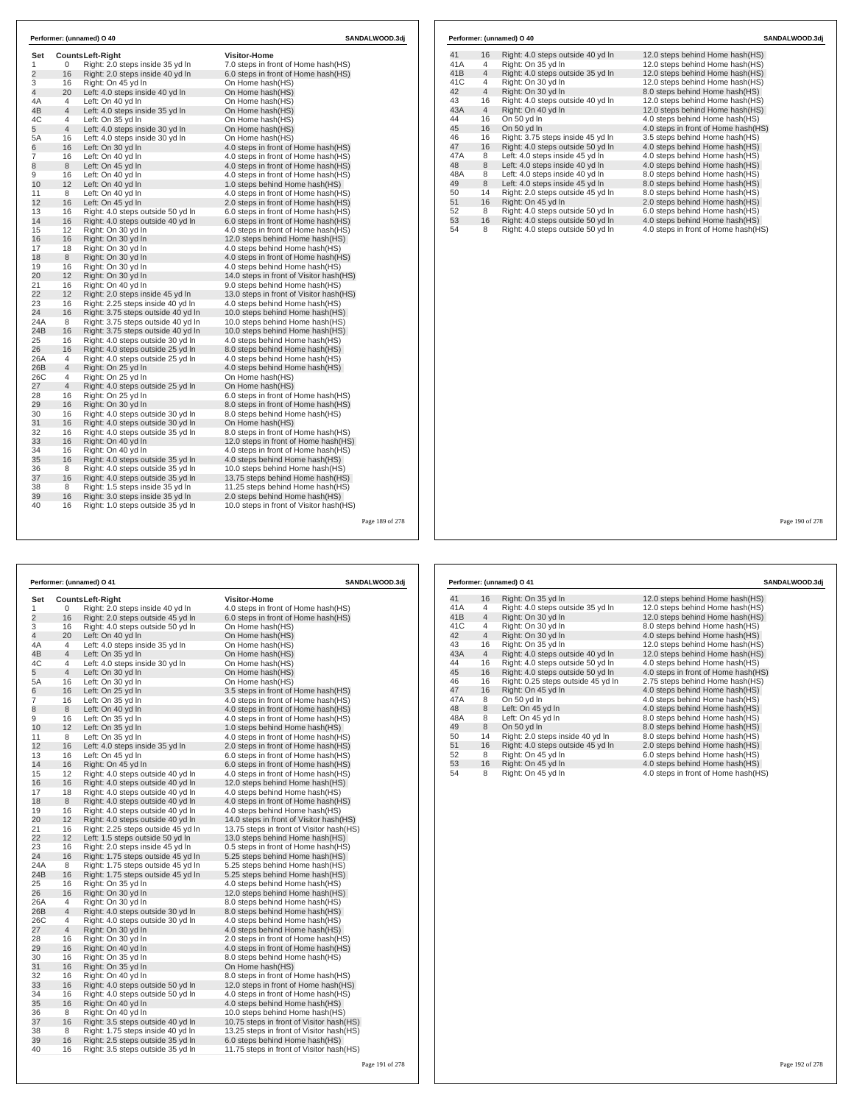| Set            |                | <b>CountsLeft-Right</b>                                                  | <b>Visitor-Home</b>                                               |  |
|----------------|----------------|--------------------------------------------------------------------------|-------------------------------------------------------------------|--|
| 1              | 0              | Right: 2.0 steps inside 35 yd In                                         | 7.0 steps in front of Home hash(HS)                               |  |
| $\overline{2}$ | 16             | Right: 2.0 steps inside 40 yd In                                         | 6.0 steps in front of Home hash(HS)                               |  |
| 3              | 16             | Right: On 45 yd In                                                       | On Home hash(HS)                                                  |  |
| $\overline{4}$ | 20             | Left: 4.0 steps inside 40 yd In                                          | On Home hash(HS)                                                  |  |
| 4A             | 4              | Left: On 40 yd In                                                        | On Home hash(HS)                                                  |  |
| 4B             | 4              | Left: 4.0 steps inside 35 yd In                                          | On Home hash(HS)                                                  |  |
| 4C             | 4              | Left: On 35 yd In                                                        | On Home hash(HS)                                                  |  |
| 5              | $\overline{4}$ | Left: 4.0 steps inside 30 yd In                                          | On Home hash(HS)                                                  |  |
| 5A             | 16             | Left: 4.0 steps inside 30 yd In                                          | On Home hash(HS)                                                  |  |
| 6              | 16             | Left: On 30 yd In                                                        | 4.0 steps in front of Home hash(HS)                               |  |
| 7              | 16             | Left: On 40 yd In                                                        | 4.0 steps in front of Home hash(HS)                               |  |
| 8              | 8              | Left: On 45 vd In                                                        | 4.0 steps in front of Home hash(HS)                               |  |
| 9              | 16             | Left: On 40 yd In                                                        | 4.0 steps in front of Home hash(HS)                               |  |
| 10             | 12             | Left: On 40 vd In                                                        | 1.0 steps behind Home hash(HS)                                    |  |
| 11             | 8              | Left: On 40 yd In                                                        | 4.0 steps in front of Home hash(HS)                               |  |
| 12             | 16             | Left: On 45 yd In                                                        | 2.0 steps in front of Home hash(HS)                               |  |
| 13             | 16             | Right: 4.0 steps outside 50 yd In                                        | 6.0 steps in front of Home hash(HS)                               |  |
| 14             | 16             | Right: 4.0 steps outside 40 yd In                                        | 6.0 steps in front of Home hash(HS)                               |  |
| 15             | 12             | Right: On 30 vd In                                                       | 4.0 steps in front of Home hash(HS)                               |  |
| 16             | 16             | Right: On 30 yd In                                                       | 12.0 steps behind Home hash(HS)                                   |  |
| 17             | 18             | Right: On 30 yd In                                                       | 4.0 steps behind Home hash(HS)                                    |  |
| 18             | 8              | Right: On 30 yd In                                                       | 4.0 steps in front of Home hash(HS)                               |  |
| 19             | 16             | Right: On 30 yd In                                                       | 4.0 steps behind Home hash(HS)                                    |  |
| 20             | 12             | Right: On 30 yd In                                                       | 14.0 steps in front of Visitor hash (HS)                          |  |
| 21             | 16             | Right: On 40 yd In                                                       | 9.0 steps behind Home hash(HS)                                    |  |
| 22<br>23       | 12             | Right: 2.0 steps inside 45 yd In                                         | 13.0 steps in front of Visitor hash (HS)                          |  |
|                | 16             | Right: 2.25 steps inside 40 yd In                                        | 4.0 steps behind Home hash(HS)                                    |  |
| 24             | 16             | Right: 3.75 steps outside 40 yd In                                       | 10.0 steps behind Home hash(HS)                                   |  |
| 24A<br>24B     | 8<br>16        | Right: 3.75 steps outside 40 yd In<br>Right: 3.75 steps outside 40 yd In | 10.0 steps behind Home hash(HS)                                   |  |
| 25             | 16             |                                                                          | 10.0 steps behind Home hash(HS)<br>4.0 steps behind Home hash(HS) |  |
| 26             | 16             | Right: 4.0 steps outside 30 yd In<br>Right: 4.0 steps outside 25 yd In   | 8.0 steps behind Home hash(HS)                                    |  |
| 26A            | 4              | Right: 4.0 steps outside 25 yd In                                        | 4.0 steps behind Home hash(HS)                                    |  |
| 26B            | 4              | Right: On 25 yd In                                                       | 4.0 steps behind Home hash(HS)                                    |  |
| 26C            | 4              | Right: On 25 vd In                                                       | On Home hash(HS)                                                  |  |
| 27             | 4              | Right: 4.0 steps outside 25 yd In                                        | On Home hash(HS)                                                  |  |
| 28             | 16             | Right: On 25 yd In                                                       | 6.0 steps in front of Home hash(HS)                               |  |
| 29             | 16             | Right: On 30 yd In                                                       | 8.0 steps in front of Home hash(HS)                               |  |
| 30             | 16             | Right: 4.0 steps outside 30 yd In                                        | 8.0 steps behind Home hash(HS)                                    |  |
| 31             | 16             | Right: 4.0 steps outside 30 yd In                                        | On Home hash(HS)                                                  |  |
| 32             | 16             | Right: 4.0 steps outside 35 yd In                                        | 8.0 steps in front of Home hash(HS)                               |  |
| 33             | 16             | Right: On 40 vd In                                                       | 12.0 steps in front of Home hash(HS)                              |  |
| 34             | 16             | Right: On 40 yd In                                                       | 4.0 steps in front of Home hash(HS)                               |  |
| 35             | 16             | Right: 4.0 steps outside 35 yd In                                        | 4.0 steps behind Home hash(HS)                                    |  |
| 36             | 8              | Right: 4.0 steps outside 35 yd In                                        | 10.0 steps behind Home hash(HS)                                   |  |
| 37             | 16             | Right: 4.0 steps outside 35 yd In                                        | 13.75 steps behind Home hash(HS)                                  |  |
| 38             | 8              | Right: 1.5 steps inside 35 vd In                                         | 11.25 steps behind Home hash (HS)                                 |  |
| 39             | 16             | Right: 3.0 steps inside 35 yd In                                         | 2.0 steps behind Home hash(HS)                                    |  |
| 40             | 16             | Right: 1.0 steps outside 35 yd In                                        | 10.0 steps in front of Visitor hash (HS)                          |  |

|     |                | Performer: (unnamed) O 40         | SANDALWOOD.3dj                      |
|-----|----------------|-----------------------------------|-------------------------------------|
| 41  | 16             | Right: 4.0 steps outside 40 yd In | 12.0 steps behind Home hash(HS)     |
| 41A | 4              | Right: On 35 yd In                | 12.0 steps behind Home hash(HS)     |
| 41B | $\overline{4}$ | Right: 4.0 steps outside 35 yd In | 12.0 steps behind Home hash(HS)     |
| 41C | 4              | Right: On 30 yd In                | 12.0 steps behind Home hash(HS)     |
| 42  | $\overline{4}$ | Right: On 30 vd In                | 8.0 steps behind Home hash (HS)     |
| 43  | 16             | Right: 4.0 steps outside 40 yd In | 12.0 steps behind Home hash(HS)     |
| 43A | $\overline{4}$ | Right: On 40 yd In                | 12.0 steps behind Home hash(HS)     |
| 44  | 16             | On 50 vd In                       | 4.0 steps behind Home hash (HS)     |
| 45  | 16             | On 50 yd In                       | 4.0 steps in front of Home hash(HS) |
| 46  | 16             | Right: 3.75 steps inside 45 yd In | 3.5 steps behind Home hash (HS)     |
| 47  | 16             | Right: 4.0 steps outside 50 yd In | 4.0 steps behind Home hash(HS)      |
| 47A | 8              | Left: 4.0 steps inside 45 vd In   | 4.0 steps behind Home hash (HS)     |
| 48  | 8              | Left: 4.0 steps inside 40 yd In   | 4.0 steps behind Home hash(HS)      |
| 48A | 8              | Left: 4.0 steps inside 40 yd In   | 8.0 steps behind Home hash(HS)      |
| 49  | 8              | Left: 4.0 steps inside 45 vd In   | 8.0 steps behind Home hash (HS)     |
| 50  | 14             | Right: 2.0 steps outside 45 yd In | 8.0 steps behind Home hash(HS)      |
| 51  | 16             | Right: On 45 vd In                | 2.0 steps behind Home hash (HS)     |
| 52  | 8              | Right: 4.0 steps outside 50 yd In | 6.0 steps behind Home hash(HS)      |
| 53  | 16             | Right: 4.0 steps outside 50 yd In | 4.0 steps behind Home hash(HS)      |
| 54  | 8              | Right: 4.0 steps outside 50 yd In | 4.0 steps in front of Home hash(HS) |

| Performer: (unnamed) O 41<br>SANDALWOOD.3dj |                |                                    |                                           |  |  |
|---------------------------------------------|----------------|------------------------------------|-------------------------------------------|--|--|
| Set                                         |                | <b>CountsLeft-Right</b>            | <b>Visitor-Home</b>                       |  |  |
| 1                                           | 0              | Right: 2.0 steps inside 40 yd In   | 4.0 steps in front of Home hash(HS)       |  |  |
| $\overline{2}$                              | 16             | Right: 2.0 steps outside 45 yd In  | 6.0 steps in front of Home hash(HS)       |  |  |
| 3                                           | 16             | Right: 4.0 steps outside 50 yd In  | On Home hash(HS)                          |  |  |
| 4                                           | 20             | Left: On 40 yd In                  | On Home hash(HS)                          |  |  |
| 4A                                          | 4              | Left: 4.0 steps inside 35 yd In    | On Home hash(HS)                          |  |  |
| 4B                                          | $\overline{4}$ | Left: On 35 yd In                  | On Home hash(HS)                          |  |  |
| 4C                                          | 4              | Left: 4.0 steps inside 30 yd In    | On Home hash(HS)                          |  |  |
| 5                                           | $\overline{4}$ | Left: On 30 yd In                  | On Home hash(HS)                          |  |  |
| 5A                                          | 16             | Left: On 30 yd In                  | On Home hash(HS)                          |  |  |
| 6                                           | 16             | Left: On 25 yd In                  | 3.5 steps in front of Home hash(HS)       |  |  |
| 7                                           | 16             | Left: On 35 yd In                  | 4.0 steps in front of Home hash(HS)       |  |  |
| 8                                           | 8              | Left: On 40 yd In                  | 4.0 steps in front of Home hash(HS)       |  |  |
| 9                                           | 16             | Left: On 35 yd In                  | 4.0 steps in front of Home hash(HS)       |  |  |
| 10                                          | 12             | Left: On 35 yd In                  | 1.0 steps behind Home hash(HS)            |  |  |
| 11                                          | 8              | Left: On 35 yd In                  | 4.0 steps in front of Home hash(HS)       |  |  |
| 12                                          | 16             | Left: 4.0 steps inside 35 yd In    | 2.0 steps in front of Home hash(HS)       |  |  |
| 13                                          | 16             | Left: On 45 yd In                  | 6.0 steps in front of Home hash(HS)       |  |  |
| 14                                          | 16             | Right: On 45 yd In                 | 6.0 steps in front of Home hash(HS)       |  |  |
| 15                                          | 12             | Right: 4.0 steps outside 40 yd In  | 4.0 steps in front of Home hash(HS)       |  |  |
| 16                                          | 16             | Right: 4.0 steps outside 40 yd In  | 12.0 steps behind Home hash(HS)           |  |  |
| 17                                          | 18             | Right: 4.0 steps outside 40 yd In  | 4.0 steps behind Home hash(HS)            |  |  |
| 18                                          | 8              | Right: 4.0 steps outside 40 yd In  | 4.0 steps in front of Home hash(HS)       |  |  |
| 19                                          | 16             | Right: 4.0 steps outside 40 yd In  | 4.0 steps behind Home hash(HS)            |  |  |
| 20                                          | 12             | Right: 4.0 steps outside 40 yd In  | 14.0 steps in front of Visitor hash(HS)   |  |  |
| 21                                          | 16             | Right: 2.25 steps outside 45 yd In | 13.75 steps in front of Visitor hash (HS) |  |  |
| 22                                          | 12             | Left: 1.5 steps outside 50 yd In   | 13.0 steps behind Home hash(HS)           |  |  |
| 23                                          | 16             | Right: 2.0 steps inside 45 yd In   | 0.5 steps in front of Home hash(HS)       |  |  |
| 24                                          | 16             | Right: 1.75 steps outside 45 yd In | 5.25 steps behind Home hash(HS)           |  |  |
| 24A                                         | 8              | Right: 1.75 steps outside 45 yd In | 5.25 steps behind Home hash(HS)           |  |  |
| 24B                                         | 16             | Right: 1.75 steps outside 45 yd In | 5.25 steps behind Home hash(HS)           |  |  |
| 25                                          | 16             | Right: On 35 yd In                 | 4.0 steps behind Home hash(HS)            |  |  |
| 26                                          | 16             | Right: On 30 yd In                 | 12.0 steps behind Home hash(HS)           |  |  |
| 26A                                         | $\overline{4}$ | Right: On 30 yd In                 | 8.0 steps behind Home hash(HS)            |  |  |
| 26B                                         | $\overline{4}$ | Right: 4.0 steps outside 30 yd In  | 8.0 steps behind Home hash(HS)            |  |  |
| 26C                                         | $\overline{4}$ | Right: 4.0 steps outside 30 yd In  | 4.0 steps behind Home hash(HS)            |  |  |
| 27                                          | $\overline{4}$ | Right: On 30 yd In                 | 4.0 steps behind Home hash(HS)            |  |  |
| 28                                          | 16             | Right: On 30 yd In                 | 2.0 steps in front of Home hash(HS)       |  |  |
| 29                                          | 16             | Right: On 40 yd In                 | 4.0 steps in front of Home hash(HS)       |  |  |
| 30                                          | 16             | Right: On 35 yd In                 | 8.0 steps behind Home hash(HS)            |  |  |
| 31                                          | 16             | Right: On 35 yd In                 | On Home hash(HS)                          |  |  |
| 32                                          | 16             | Right: On 40 yd In                 | 8.0 steps in front of Home hash(HS)       |  |  |
| 33                                          | 16             | Right: 4.0 steps outside 50 yd In  | 12.0 steps in front of Home hash(HS)      |  |  |
| 34                                          | 16             | Right: 4.0 steps outside 50 yd In  | 4.0 steps in front of Home hash(HS)       |  |  |
| 35                                          | 16             | Right: On 40 yd In                 | 4.0 steps behind Home hash(HS)            |  |  |
| 36                                          | 8              | Right: On 40 yd In                 | 10.0 steps behind Home hash(HS)           |  |  |
| 37                                          | 16             | Right: 3.5 steps outside 40 yd In  | 10.75 steps in front of Visitor hash(HS)  |  |  |
| 38<br>39                                    | 8<br>16        | Right: 1.75 steps inside 40 yd In  | 13.25 steps in front of Visitor hash (HS) |  |  |
| 40                                          | 16             | Right: 2.5 steps outside 35 yd In  | 6.0 steps behind Home hash(HS)            |  |  |
|                                             |                | Right: 3.5 steps outside 35 yd In  | 11.75 steps in front of Visitor hash(HS)  |  |  |

|     |                | Performer: (unnamed) O 41          | SANDALWOOD.3dj                      |
|-----|----------------|------------------------------------|-------------------------------------|
| 41  | 16             | Right: On 35 yd In                 | 12.0 steps behind Home hash(HS)     |
| 41A | 4              | Right: 4.0 steps outside 35 yd In  | 12.0 steps behind Home hash(HS)     |
| 41B | $\overline{4}$ | Right: On 30 yd In                 | 12.0 steps behind Home hash(HS)     |
| 41C | $\overline{4}$ | Right: On 30 yd In                 | 8.0 steps behind Home hash(HS)      |
| 42  | $\overline{4}$ | Right: On 30 yd In                 | 4.0 steps behind Home hash(HS)      |
| 43  | 16             | Right: On 35 yd In                 | 12.0 steps behind Home hash(HS)     |
| 43A | $\overline{4}$ | Right: 4.0 steps outside 40 yd In  | 12.0 steps behind Home hash(HS)     |
| 44  | 16             | Right: 4.0 steps outside 50 vd In  | 4.0 steps behind Home hash (HS)     |
| 45  | 16             | Right: 4.0 steps outside 50 yd In  | 4.0 steps in front of Home hash(HS) |
| 46  | 16             | Right: 0.25 steps outside 45 yd In | 2.75 steps behind Home hash(HS)     |
| 47  | 16             | Right: On 45 yd In                 | 4.0 steps behind Home hash(HS)      |
| 47A | 8              | On 50 yd In                        | 4.0 steps behind Home hash(HS)      |
| 48  | 8              | Left: On 45 yd In                  | 4.0 steps behind Home hash(HS)      |
| 48A | 8              | Left: On 45 yd In                  | 8.0 steps behind Home hash(HS)      |
| 49  | 8              | On 50 yd In                        | 8.0 steps behind Home hash(HS)      |
| 50  | 14             | Right: 2.0 steps inside 40 yd In   | 8.0 steps behind Home hash(HS)      |
| 51  | 16             | Right: 4.0 steps outside 45 yd In  | 2.0 steps behind Home hash(HS)      |
| 52  | 8              | Right: On 45 yd In                 | 6.0 steps behind Home hash(HS)      |
| 53  | 16             | Right: On 45 yd In                 | 4.0 steps behind Home hash(HS)      |
| 54  | 8              | Right: On 45 yd In                 | 4.0 steps in front of Home hash(HS) |

Page 190 of 278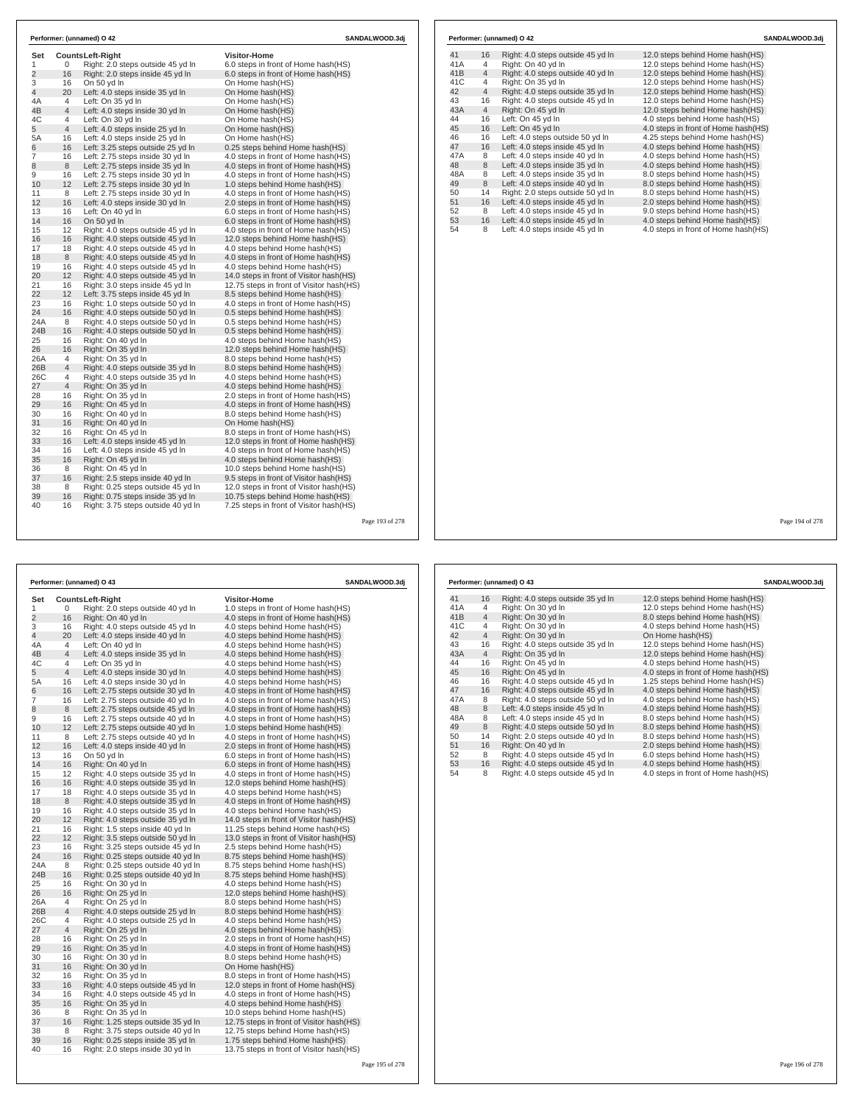| Set            |                | <b>CountsLeft-Right</b>                                 | <b>Visitor-Home</b>                                               |  |
|----------------|----------------|---------------------------------------------------------|-------------------------------------------------------------------|--|
| 1              | 0              | Right: 2.0 steps outside 45 yd In                       | 6.0 steps in front of Home hash(HS)                               |  |
| $\overline{2}$ | 16             | Right: 2.0 steps inside 45 yd In                        | 6.0 steps in front of Home hash(HS)                               |  |
| 3              | 16             | On 50 vd In                                             | On Home hash(HS)                                                  |  |
| $\overline{4}$ | 20             | Left: 4.0 steps inside 35 yd In                         | On Home hash(HS)                                                  |  |
| 4A             | 4              | Left: On 35 yd In                                       | On Home hash(HS)                                                  |  |
| 4B             | 4              | Left: 4.0 steps inside 30 yd In                         | On Home hash(HS)                                                  |  |
| 4C             | 4              | Left: On 30 yd In                                       | On Home hash(HS)                                                  |  |
| 5              | $\overline{4}$ | Left: 4.0 steps inside 25 yd In                         | On Home hash(HS)                                                  |  |
| 5A             | 16             | Left: 4.0 steps inside 25 yd In                         | On Home hash(HS)                                                  |  |
| 6              | 16             | Left: 3.25 steps outside 25 yd In                       | 0.25 steps behind Home hash(HS)                                   |  |
| 7              | 16             | Left: 2.75 steps inside 30 yd In                        | 4.0 steps in front of Home hash(HS)                               |  |
| 8              | 8              | Left: 2.75 steps inside 35 yd In                        | 4.0 steps in front of Home hash(HS)                               |  |
| 9              | 16             | Left: 2.75 steps inside 30 yd In                        | 4.0 steps in front of Home hash(HS)                               |  |
| 10             | 12             | Left: 2.75 steps inside 30 yd In                        | 1.0 steps behind Home hash(HS)                                    |  |
| 11             | 8              | Left: 2.75 steps inside 30 yd In                        | 4.0 steps in front of Home hash(HS)                               |  |
| 12             | 16             | Left: 4.0 steps inside 30 yd In                         | 2.0 steps in front of Home hash(HS)                               |  |
| 13             | 16             | Left: On 40 yd In                                       | 6.0 steps in front of Home hash(HS)                               |  |
| 14             | 16             | On 50 yd In                                             | 6.0 steps in front of Home hash(HS)                               |  |
| 15             | 12             | Right: 4.0 steps outside 45 yd In                       | 4.0 steps in front of Home hash(HS)                               |  |
| 16             | 16             | Right: 4.0 steps outside 45 yd In                       | 12.0 steps behind Home hash(HS)                                   |  |
| 17             | 18             | Right: 4.0 steps outside 45 yd In                       | 4.0 steps behind Home hash(HS)                                    |  |
| 18             | 8              | Right: 4.0 steps outside 45 yd In                       | 4.0 steps in front of Home hash(HS)                               |  |
| 19             | 16             | Right: 4.0 steps outside 45 yd In                       | 4.0 steps behind Home hash(HS)                                    |  |
| 20             | 12             | Right: 4.0 steps outside 45 yd In                       | 14.0 steps in front of Visitor hash(HS)                           |  |
| 21             | 16             | Right: 3.0 steps inside 45 yd In                        | 12.75 steps in front of Visitor hash (HS)                         |  |
| 22<br>23       | 12             | Left: 3.75 steps inside 45 yd In                        | 8.5 steps behind Home hash (HS)                                   |  |
|                | 16             | Right: 1.0 steps outside 50 yd In                       | 4.0 steps in front of Home hash(HS)                               |  |
| 24             | 16             | Right: 4.0 steps outside 50 yd In                       | 0.5 steps behind Home hash(HS)                                    |  |
| 24A<br>24B     | 8<br>16        | Right: 4.0 steps outside 50 yd In                       | 0.5 steps behind Home hash(HS)                                    |  |
| 25             | 16             | Right: 4.0 steps outside 50 yd In<br>Right: On 40 yd In | 0.5 steps behind Home hash(HS)                                    |  |
| 26             | 16             | Right: On 35 yd In                                      | 4.0 steps behind Home hash(HS)<br>12.0 steps behind Home hash(HS) |  |
| 26A            | 4              | Right: On 35 yd In                                      | 8.0 steps behind Home hash(HS)                                    |  |
| 26B            | 4              | Right: 4.0 steps outside 35 yd In                       | 8.0 steps behind Home hash(HS)                                    |  |
| 26C            | 4              | Right: 4.0 steps outside 35 yd In                       | 4.0 steps behind Home hash(HS)                                    |  |
| 27             | 4              | Right: On 35 yd In                                      | 4.0 steps behind Home hash(HS)                                    |  |
| 28             | 16             | Right: On 35 yd In                                      | 2.0 steps in front of Home hash (HS)                              |  |
| 29             | 16             | Right: On 45 yd In                                      | 4.0 steps in front of Home hash(HS)                               |  |
| 30             | 16             | Right: On 40 yd In                                      | 8.0 steps behind Home hash(HS)                                    |  |
| 31             | 16             | Right: On 40 yd In                                      | On Home hash(HS)                                                  |  |
| 32             | 16             | Right: On 45 yd In                                      | 8.0 steps in front of Home hash(HS)                               |  |
| 33             | 16             | Left: 4.0 steps inside 45 yd In                         | 12.0 steps in front of Home hash (HS)                             |  |
| 34             | 16             | Left: 4.0 steps inside 45 yd In                         | 4.0 steps in front of Home hash(HS)                               |  |
| 35             | 16             | Right: On 45 yd In                                      | 4.0 steps behind Home hash(HS)                                    |  |
| 36             | 8              | Right: On 45 yd In                                      | 10.0 steps behind Home hash(HS)                                   |  |
| 37             | 16             | Right: 2.5 steps inside 40 yd In                        | 9.5 steps in front of Visitor hash(HS)                            |  |
| 38             | 8              | Right: 0.25 steps outside 45 vd In                      | 12.0 steps in front of Visitor hash (HS)                          |  |
| 39             | 16             | Right: 0.75 steps inside 35 yd In                       | 10.75 steps behind Home hash(HS)                                  |  |
| 40             | 16             | Right: 3.75 steps outside 40 yd In                      | 7.25 steps in front of Visitor hash(HS)                           |  |

| Performer: (unnamed) O 43<br>SANDALWOOD.3dj |                |                                          |                                                                       |  |  |
|---------------------------------------------|----------------|------------------------------------------|-----------------------------------------------------------------------|--|--|
| Set                                         |                | <b>CountsLeft-Right</b>                  | <b>Visitor-Home</b>                                                   |  |  |
| 1                                           | 0              | Right: 2.0 steps outside 40 yd In        | 1.0 steps in front of Home hash(HS)                                   |  |  |
| $\overline{2}$                              | 16             | Right: On 40 yd In                       | 4.0 steps in front of Home hash(HS)                                   |  |  |
| 3                                           | 16             | Right: 4.0 steps outside 45 yd In        | 4.0 steps behind Home hash(HS)                                        |  |  |
| 4                                           | 20             | Left: 4.0 steps inside 40 yd In          | 4.0 steps behind Home hash(HS)                                        |  |  |
| 4A                                          | 4              | Left: On 40 yd In                        | 4.0 steps behind Home hash(HS)                                        |  |  |
| 4B                                          | $\overline{4}$ | Left: 4.0 steps inside 35 yd In          | 4.0 steps behind Home hash(HS)                                        |  |  |
| 4C                                          | 4              | Left: On 35 yd In                        | 4.0 steps behind Home hash(HS)                                        |  |  |
| 5                                           | $\overline{4}$ | Left: 4.0 steps inside 30 yd In          | 4.0 steps behind Home hash(HS)                                        |  |  |
| 5A                                          | 16             | Left: 4.0 steps inside 30 yd In          | 4.0 steps behind Home hash(HS)                                        |  |  |
| 6                                           | 16             | Left: 2.75 steps outside 30 yd In        | 4.0 steps in front of Home hash (HS)                                  |  |  |
| 7                                           | 16             | Left: 2.75 steps outside 40 yd In        | 4.0 steps in front of Home hash(HS)                                   |  |  |
| 8                                           | 8              | Left: 2.75 steps outside 45 yd In        | 4.0 steps in front of Home hash (HS)                                  |  |  |
| 9                                           | 16             | Left: 2.75 steps outside 40 yd In        | 4.0 steps in front of Home hash (HS)                                  |  |  |
| 10                                          | 12             | Left: 2.75 steps outside 40 yd In        | 1.0 steps behind Home hash(HS)                                        |  |  |
| 11                                          | 8              | Left: 2.75 steps outside 40 yd In        | 4.0 steps in front of Home hash (HS)                                  |  |  |
| 12                                          | 16             | Left: 4.0 steps inside 40 yd In          | 2.0 steps in front of Home hash(HS)                                   |  |  |
| 13                                          | 16             | On 50 yd In                              | 6.0 steps in front of Home hash(HS)                                   |  |  |
| 14                                          | 16             | Right: On 40 yd In                       | 6.0 steps in front of Home hash(HS)                                   |  |  |
| 15                                          | 12             | Right: 4.0 steps outside 35 yd In        | 4.0 steps in front of Home hash(HS)                                   |  |  |
| 16                                          | 16             | Right: 4.0 steps outside 35 yd In        | 12.0 steps behind Home hash(HS)                                       |  |  |
| 17                                          | 18             | Right: 4.0 steps outside 35 yd In        | 4.0 steps behind Home hash(HS)                                        |  |  |
| 18                                          | 8              | Right: 4.0 steps outside 35 yd In        | 4.0 steps in front of Home hash(HS)                                   |  |  |
| 19                                          | 16             | Right: 4.0 steps outside 35 yd In        | 4.0 steps behind Home hash(HS)                                        |  |  |
| 20                                          | 12             | Right: 4.0 steps outside 35 yd In        | 14.0 steps in front of Visitor hash(HS)                               |  |  |
| 21                                          | 16             | Right: 1.5 steps inside 40 yd In         | 11.25 steps behind Home hash(HS)                                      |  |  |
| 22                                          | 12             | Right: 3.5 steps outside 50 yd In        | 13.0 steps in front of Visitor hash (HS)                              |  |  |
| 23                                          | 16             | Right: 3.25 steps outside 45 yd In       | 2.5 steps behind Home hash(HS)                                        |  |  |
| 24                                          | 16             | Right: 0.25 steps outside 40 yd In       | 8.75 steps behind Home hash(HS)                                       |  |  |
| 24A                                         | 8              | Right: 0.25 steps outside 40 yd In       | 8.75 steps behind Home hash(HS)                                       |  |  |
| 24B                                         | 16             | Right: 0.25 steps outside 40 yd In       | 8.75 steps behind Home hash(HS)                                       |  |  |
| 25                                          | 16             | Right: On 30 yd In                       | 4.0 steps behind Home hash(HS)                                        |  |  |
| 26                                          | 16             | Right: On 25 yd In                       | 12.0 steps behind Home hash(HS)                                       |  |  |
| 26A                                         | 4              | Right: On 25 yd In                       | 8.0 steps behind Home hash (HS)                                       |  |  |
| 26B<br>26C                                  | 4<br>4         | Right: 4.0 steps outside 25 yd In        | 8.0 steps behind Home hash(HS)<br>4.0 steps behind Home hash(HS)      |  |  |
| 27                                          | $\overline{4}$ | Right: 4.0 steps outside 25 yd In        |                                                                       |  |  |
| 28                                          | 16             | Right: On 25 yd In<br>Right: On 25 yd In | 4.0 steps behind Home hash(HS)<br>2.0 steps in front of Home hash(HS) |  |  |
| 29                                          | 16             | Right: On 35 yd In                       | 4.0 steps in front of Home hash(HS)                                   |  |  |
| 30                                          | 16             | Right: On 30 yd In                       | 8.0 steps behind Home hash(HS)                                        |  |  |
| 31                                          | 16             | Right: On 30 yd In                       | On Home hash(HS)                                                      |  |  |
| 32                                          | 16             | Right: On 35 yd In                       | 8.0 steps in front of Home hash(HS)                                   |  |  |
| 33                                          | 16             | Right: 4.0 steps outside 45 yd In        | 12.0 steps in front of Home hash(HS)                                  |  |  |
| 34                                          | 16             | Right: 4.0 steps outside 45 yd In        | 4.0 steps in front of Home hash (HS)                                  |  |  |
| 35                                          | 16             | Right: On 35 yd In                       | 4.0 steps behind Home hash(HS)                                        |  |  |
| 36                                          | 8              | Right: On 35 yd In                       | 10.0 steps behind Home hash(HS)                                       |  |  |
| 37                                          | 16             | Right: 1.25 steps outside 35 yd In       | 12.75 steps in front of Visitor hash(HS)                              |  |  |
| 38                                          | 8              | Right: 3.75 steps outside 40 yd In       | 12.75 steps behind Home hash (HS)                                     |  |  |
| 39                                          | 16             | Right: 0.25 steps inside 35 yd In        | 1.75 steps behind Home hash(HS)                                       |  |  |
| 40                                          | 16             | Right: 2.0 steps inside 30 yd In         | 13.75 steps in front of Visitor hash (HS)                             |  |  |
|                                             |                |                                          |                                                                       |  |  |

|     |                | Performer: (unnamed) O 42         | SANDALWOOD.3dj                      |
|-----|----------------|-----------------------------------|-------------------------------------|
| 41  | 16             | Right: 4.0 steps outside 45 yd In | 12.0 steps behind Home hash(HS)     |
| 41A | 4              | Right: On 40 yd In                | 12.0 steps behind Home hash(HS)     |
| 41B | $\overline{4}$ | Right: 4.0 steps outside 40 yd In | 12.0 steps behind Home hash(HS)     |
| 41C | $\overline{4}$ | Right: On 35 yd In                | 12.0 steps behind Home hash(HS)     |
| 42  | $\overline{4}$ | Right: 4.0 steps outside 35 yd In | 12.0 steps behind Home hash(HS)     |
| 43  | 16             | Right: 4.0 steps outside 45 yd In | 12.0 steps behind Home hash(HS)     |
| 43A | $\overline{4}$ | Right: On 45 vd In                | 12.0 steps behind Home hash(HS)     |
| 44  | 16             | Left: On 45 vd In                 | 4.0 steps behind Home hash (HS)     |
| 45  | 16             | Left: On 45 yd In                 | 4.0 steps in front of Home hash(HS) |
| 46  | 16             | Left: 4.0 steps outside 50 yd In  | 4.25 steps behind Home hash(HS)     |
| 47  | 16             | Left: 4.0 steps inside 45 yd In   | 4.0 steps behind Home hash(HS)      |
| 47A | 8              | Left: 4.0 steps inside 40 vd In   | 4.0 steps behind Home hash(HS)      |
| 48  | 8              | Left: 4.0 steps inside 35 yd In   | 4.0 steps behind Home hash(HS)      |
| 48A | 8              | Left: 4.0 steps inside 35 yd In   | 8.0 steps behind Home hash(HS)      |
| 49  | 8              | Left: 4.0 steps inside 40 yd In   | 8.0 steps behind Home hash(HS)      |
| 50  | 14             | Right: 2.0 steps outside 50 yd In | 8.0 steps behind Home hash(HS)      |
| 51  | 16             | Left: 4.0 steps inside 45 yd In   | 2.0 steps behind Home hash(HS)      |
| 52  | 8              | Left: 4.0 steps inside 45 yd In   | 9.0 steps behind Home hash(HS)      |
| 53  | 16             | Left: 4.0 steps inside 45 yd In   | 4.0 steps behind Home hash(HS)      |
| 54  | 8              | Left: 4.0 steps inside 45 yd In   | 4.0 steps in front of Home hash(HS) |

Page 194 of 278

|     |                | Performer: (unnamed) O 43         | SANDALWOOD.3dj                       |
|-----|----------------|-----------------------------------|--------------------------------------|
| 41  | 16             | Right: 4.0 steps outside 35 yd In | 12.0 steps behind Home hash(HS)      |
| 41A | 4              | Right: On 30 yd In                | 12.0 steps behind Home hash(HS)      |
| 41B | $\overline{4}$ | Right: On 30 yd In                | 8.0 steps behind Home hash(HS)       |
| 41C | 4              | Right: On 30 yd In                | 4.0 steps behind Home hash(HS)       |
| 42  | $\overline{4}$ | Right: On 30 yd In                | On Home hash(HS)                     |
| 43  | 16             | Right: 4.0 steps outside 35 yd In | 12.0 steps behind Home hash(HS)      |
| 43A | $\overline{4}$ | Right: On 35 yd In                | 12.0 steps behind Home hash(HS)      |
| 44  | 16             | Right: On 45 vd In                | 4.0 steps behind Home hash(HS)       |
| 45  | 16             | Right: On 45 yd In                | 4.0 steps in front of Home hash (HS) |
| 46  | 16             | Right: 4.0 steps outside 45 yd In | 1.25 steps behind Home hash(HS)      |
| 47  | 16             | Right: 4.0 steps outside 45 yd In | 4.0 steps behind Home hash (HS)      |
| 47A | 8              | Right: 4.0 steps outside 50 yd In | 4.0 steps behind Home hash(HS)       |
| 48  | 8              | Left: 4.0 steps inside 45 yd In   | 4.0 steps behind Home hash(HS)       |
| 48A | 8              | Left: 4.0 steps inside 45 yd In   | 8.0 steps behind Home hash(HS)       |
| 49  | 8              | Right: 4.0 steps outside 50 yd In | 8.0 steps behind Home hash(HS)       |
| 50  | 14             | Right: 2.0 steps outside 40 yd In | 8.0 steps behind Home hash(HS)       |
| 51  | 16             | Right: On 40 yd In                | 2.0 steps behind Home hash(HS)       |
| 52  | 8              | Right: 4.0 steps outside 45 yd In | 6.0 steps behind Home hash(HS)       |
| 53  | 16             | Right: 4.0 steps outside 45 yd In | 4.0 steps behind Home hash(HS)       |
| 54  | 8              | Right: 4.0 steps outside 45 yd In | 4.0 steps in front of Home hash (HS) |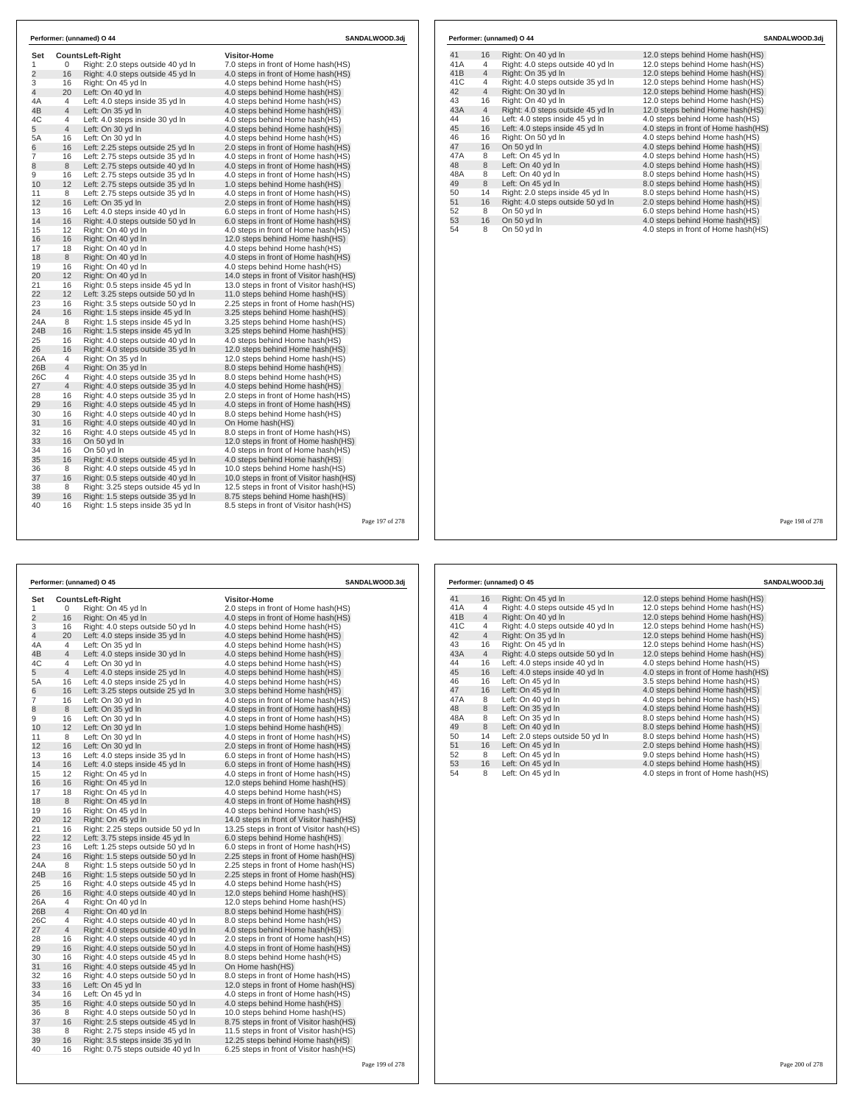| Set            |                | <b>CountsLeft-Right</b>            | Visitor-Home                             |  |
|----------------|----------------|------------------------------------|------------------------------------------|--|
| 1              | 0              | Right: 2.0 steps outside 40 yd In  | 7.0 steps in front of Home hash(HS)      |  |
| $\overline{2}$ | 16             | Right: 4.0 steps outside 45 yd In  | 4.0 steps in front of Home hash(HS)      |  |
| 3              | 16             | Right: On 45 yd In                 | 4.0 steps behind Home hash(HS)           |  |
| 4              | 20             | Left: On 40 yd In                  | 4.0 steps behind Home hash(HS)           |  |
| 4A             | 4              | Left: 4.0 steps inside 35 yd In    | 4.0 steps behind Home hash(HS)           |  |
| 4B             | $\overline{4}$ | Left: On 35 yd In                  | 4.0 steps behind Home hash(HS)           |  |
| 4C             | 4              | Left: 4.0 steps inside 30 yd In    | 4.0 steps behind Home hash(HS)           |  |
| 5              | $\overline{4}$ | Left: On 30 yd In                  | 4.0 steps behind Home hash(HS)           |  |
| 5A             | 16             | Left: On 30 yd In                  | 4.0 steps behind Home hash(HS)           |  |
| 6              | 16             | Left: 2.25 steps outside 25 yd In  | 2.0 steps in front of Home hash(HS)      |  |
| 7              | 16             | Left: 2.75 steps outside 35 yd In  | 4.0 steps in front of Home hash(HS)      |  |
| 8              | 8              | Left: 2.75 steps outside 40 yd In  | 4.0 steps in front of Home hash(HS)      |  |
| 9              | 16             | Left: 2.75 steps outside 35 yd In  | 4.0 steps in front of Home hash(HS)      |  |
| 10             | 12             | Left: 2.75 steps outside 35 yd In  | 1.0 steps behind Home hash(HS)           |  |
| 11             | 8              | Left: 2.75 steps outside 35 yd In  | 4.0 steps in front of Home hash(HS)      |  |
| 12             | 16             | Left: On 35 yd In                  | 2.0 steps in front of Home hash(HS)      |  |
| 13             | 16             | Left: 4.0 steps inside 40 yd In    | 6.0 steps in front of Home hash(HS)      |  |
| 14             | 16             | Right: 4.0 steps outside 50 yd In  | 6.0 steps in front of Home hash(HS)      |  |
| 15             | 12             | Right: On 40 yd In                 | 4.0 steps in front of Home hash(HS)      |  |
| 16             | 16             | Right: On 40 yd In                 | 12.0 steps behind Home hash(HS)          |  |
| 17             | 18             | Right: On 40 yd In                 | 4.0 steps behind Home hash(HS)           |  |
| 18             | 8              | Right: On 40 yd In                 | 4.0 steps in front of Home hash(HS)      |  |
| 19             | 16             | Right: On 40 yd In                 | 4.0 steps behind Home hash(HS)           |  |
| 20             | 12             | Right: On 40 yd In                 | 14.0 steps in front of Visitor hash(HS)  |  |
| 21             | 16             | Right: 0.5 steps inside 45 yd In   | 13.0 steps in front of Visitor hash (HS) |  |
| 22             | 12             | Left: 3.25 steps outside 50 yd In  | 11.0 steps behind Home hash(HS)          |  |
| 23             | 16             | Right: 3.5 steps outside 50 yd In  | 2.25 steps in front of Home hash(HS)     |  |
| 24             | 16             | Right: 1.5 steps inside 45 yd In   | 3.25 steps behind Home hash(HS)          |  |
| 24A            | 8              | Right: 1.5 steps inside 45 yd In   | 3.25 steps behind Home hash(HS)          |  |
| 24B            | 16             | Right: 1.5 steps inside 45 yd In   | 3.25 steps behind Home hash(HS)          |  |
| 25             | 16             | Right: 4.0 steps outside 40 yd In  | 4.0 steps behind Home hash(HS)           |  |
| 26             | 16             | Right: 4.0 steps outside 35 yd In  | 12.0 steps behind Home hash(HS)          |  |
| 26A            | 4              | Right: On 35 vd In                 | 12.0 steps behind Home hash(HS)          |  |
| 26B            | 4              | Right: On 35 yd In                 | 8.0 steps behind Home hash(HS)           |  |
| 26C            | 4              | Right: 4.0 steps outside 35 yd In  | 8.0 steps behind Home hash(HS)           |  |
| 27             | 4              | Right: 4.0 steps outside 35 yd In  | 4.0 steps behind Home hash(HS)           |  |
| 28             | 16             | Right: 4.0 steps outside 35 yd In  | 2.0 steps in front of Home hash(HS)      |  |
| 29             | 16             | Right: 4.0 steps outside 45 yd In  | 4.0 steps in front of Home hash(HS)      |  |
| 30             | 16             | Right: 4.0 steps outside 40 yd In  | 8.0 steps behind Home hash(HS)           |  |
| 31             | 16             | Right: 4.0 steps outside 40 vd In  | On Home hash(HS)                         |  |
| 32             | 16             | Right: 4.0 steps outside 45 yd In  | 8.0 steps in front of Home hash(HS)      |  |
| 33             | 16             | On 50 vd In                        | 12.0 steps in front of Home hash (HS)    |  |
| 34             | 16             | On 50 yd In                        | 4.0 steps in front of Home hash(HS)      |  |
| 35             | 16             | Right: 4.0 steps outside 45 yd In  | 4.0 steps behind Home hash(HS)           |  |
| 36             | 8              | Right: 4.0 steps outside 45 yd In  | 10.0 steps behind Home hash(HS)          |  |
| 37             | 16             | Right: 0.5 steps outside 40 yd In  | 10.0 steps in front of Visitor hash(HS)  |  |
| 38             | 8              | Right: 3.25 steps outside 45 yd In | 12.5 steps in front of Visitor hash (HS) |  |
| 39             | 16             | Right: 1.5 steps outside 35 yd In  | 8.75 steps behind Home hash(HS)          |  |
| 40             | 16             | Right: 1.5 steps inside 35 yd In   | 8.5 steps in front of Visitor hash(HS)   |  |

|     |                | Performer: (unnamed) O 45         | SANDALWOOD.3dj                      |
|-----|----------------|-----------------------------------|-------------------------------------|
| 41  | 16             | Right: On 45 yd In                | 12.0 steps behind Home hash (HS)    |
| 41A | 4              | Right: 4.0 steps outside 45 yd In | 12.0 steps behind Home hash(HS)     |
| 41B | $\overline{4}$ | Right: On 40 yd In                | 12.0 steps behind Home hash(HS)     |
| 41C | 4              | Right: 4.0 steps outside 40 yd In | 12.0 steps behind Home hash(HS)     |
| 42  | $\overline{4}$ | Right: On 35 yd In                | 12.0 steps behind Home hash(HS)     |
| 43  | 16             | Right: On 45 yd In                | 12.0 steps behind Home hash(HS)     |
| 43A | 4              | Right: 4.0 steps outside 50 yd In | 12.0 steps behind Home hash(HS)     |
| 44  | 16             | Left: 4.0 steps inside 40 yd In   | 4.0 steps behind Home hash(HS)      |
| 45  | 16             | Left: 4.0 steps inside 40 yd In   | 4.0 steps in front of Home hash(HS) |
| 46  | 16             | Left: On 45 yd In                 | 3.5 steps behind Home hash(HS)      |
| 47  | 16             | Left: On 45 yd In                 | 4.0 steps behind Home hash(HS)      |
| 47A | 8              | Left: On 40 yd In                 | 4.0 steps behind Home hash(HS)      |
| 48  | 8              | Left: On 35 yd In                 | 4.0 steps behind Home hash(HS)      |
| 48A | 8              | Left: On 35 yd In                 | 8.0 steps behind Home hash(HS)      |
| 49  | 8              | Left: On 40 yd In                 | 8.0 steps behind Home hash(HS)      |
| 50  | 14             | Left: 2.0 steps outside 50 yd In  | 8.0 steps behind Home hash(HS)      |
| 51  | 16             | Left: On 45 yd In                 | 2.0 steps behind Home hash(HS)      |
| 52  | 8              | Left: On 45 yd In                 | 9.0 steps behind Home hash(HS)      |
| 53  | 16             | Left: On 45 yd In                 | 4.0 steps behind Home hash(HS)      |
| 54  | 8              | Left: On 45 yd In                 | 4.0 steps in front of Home hash(HS) |

Page 199 of 278

Page 200 of 278

|     |                | Performer: (unnamed) O 44         | SANDALWOOD.3di                      |
|-----|----------------|-----------------------------------|-------------------------------------|
| 41  | 16             | Right: On 40 yd In                | 12.0 steps behind Home hash(HS)     |
| 41A | 4              | Right: 4.0 steps outside 40 yd In | 12.0 steps behind Home hash(HS)     |
| 41B | $\overline{4}$ | Right: On 35 yd In                | 12.0 steps behind Home hash(HS)     |
| 41C | 4              | Right: 4.0 steps outside 35 yd In | 12.0 steps behind Home hash(HS)     |
| 42  | $\overline{4}$ | Right: On 30 yd In                | 12.0 steps behind Home hash(HS)     |
| 43  | 16             | Right: On 40 yd In                | 12.0 steps behind Home hash(HS)     |
| 43A | $\overline{4}$ | Right: 4.0 steps outside 45 yd In | 12.0 steps behind Home hash(HS)     |
| 44  | 16             | Left: 4.0 steps inside 45 yd In   | 4.0 steps behind Home hash(HS)      |
| 45  | 16             | Left: 4.0 steps inside 45 yd In   | 4.0 steps in front of Home hash(HS) |
| 46  | 16             | Right: On 50 yd In                | 4.0 steps behind Home hash(HS)      |
| 47  | 16             | On 50 yd In                       | 4.0 steps behind Home hash(HS)      |
| 47A | 8              | Left: On 45 yd In                 | 4.0 steps behind Home hash(HS)      |
| 48  | 8              | Left: On 40 yd In                 | 4.0 steps behind Home hash(HS)      |
| 48A | 8              | Left: On 40 yd In                 | 8.0 steps behind Home hash(HS)      |
| 49  | 8              | Left: On 45 yd In                 | 8.0 steps behind Home hash(HS)      |
| 50  | 14             | Right: 2.0 steps inside 45 yd In  | 8.0 steps behind Home hash(HS)      |
| 51  | 16             | Right: 4.0 steps outside 50 yd In | 2.0 steps behind Home hash(HS)      |
| 52  | 8              | On 50 yd In                       | 6.0 steps behind Home hash(HS)      |
| 53  | 16             | On 50 yd In                       | 4.0 steps behind Home hash(HS)      |
| 54  | 8              | On 50 yd In                       | 4.0 steps in front of Home hash(HS) |

278

|           |                | Performer: (unnamed) O 45                               | SANDALWOOD.3dj                                                     |
|-----------|----------------|---------------------------------------------------------|--------------------------------------------------------------------|
| Set       |                | <b>CountsLeft-Right</b>                                 | <b>Visitor-Home</b>                                                |
| 1         | 0              | Right: On 45 yd In                                      | 2.0 steps in front of Home hash(HS)                                |
| 2         | 16             | Right: On 45 yd In                                      | 4.0 steps in front of Home hash(HS)                                |
| 3         | 16             | Right: 4.0 steps outside 50 yd In                       | 4.0 steps behind Home hash(HS)                                     |
| 4         | 20             | Left: 4.0 steps inside 35 yd In                         | 4.0 steps behind Home hash(HS)                                     |
| 4A        | $\overline{4}$ | Left: On 35 yd In                                       | 4.0 steps behind Home hash(HS)                                     |
| 4B        | $\overline{4}$ | Left: 4.0 steps inside 30 yd In                         | 4.0 steps behind Home hash(HS)                                     |
| 4C        | 4              | Left: On 30 yd In                                       | 4.0 steps behind Home hash(HS)                                     |
| 5         | 4              | Left: 4.0 steps inside 25 yd In                         | 4.0 steps behind Home hash(HS)                                     |
| 5A        | 16             | Left: 4.0 steps inside 25 yd In                         | 4.0 steps behind Home hash(HS)                                     |
| 6         | 16             | Left: 3.25 steps outside 25 yd In                       | 3.0 steps behind Home hash(HS)                                     |
| 7         | 16             | Left: On 30 yd In                                       | 4.0 steps in front of Home hash (HS)                               |
| 8         | 8              | Left: On 35 yd In                                       | 4.0 steps in front of Home hash (HS)                               |
| 9         | 16             | Left: On 30 yd In                                       | 4.0 steps in front of Home hash(HS)                                |
| 10        | 12             | Left: On 30 yd In                                       | 1.0 steps behind Home hash(HS)                                     |
| 11        | 8              | Left: On 30 yd In                                       | 4.0 steps in front of Home hash (HS)                               |
| 12        | 16             | Left: On 30 yd In                                       | 2.0 steps in front of Home hash(HS)                                |
| 13        | 16             | Left: 4.0 steps inside 35 yd In                         | 6.0 steps in front of Home hash(HS)                                |
| 14        | 16             | Left: 4.0 steps inside 45 yd In                         | 6.0 steps in front of Home hash(HS)                                |
| 15        | 12             | Right: On 45 yd In                                      | 4.0 steps in front of Home hash(HS)                                |
| 16        | 16             | Right: On 45 yd In                                      | 12.0 steps behind Home hash(HS)                                    |
| 17        | 18             | Right: On 45 yd In                                      | 4.0 steps behind Home hash(HS)                                     |
| 18        | 8              | Right: On 45 yd In                                      | 4.0 steps in front of Home hash(HS)                                |
| 19        | 16             | Right: On 45 yd In                                      | 4.0 steps behind Home hash(HS)                                     |
| 20        | 12             | Right: On 45 yd In                                      | 14.0 steps in front of Visitor hash(HS)                            |
| 21        | 16             | Right: 2.25 steps outside 50 yd In                      | 13.25 steps in front of Visitor hash(HS)                           |
| 22        | 12             | Left: 3.75 steps inside 45 yd In                        | 6.0 steps behind Home hash(HS)                                     |
| 23        | 16             | Left: 1.25 steps outside 50 yd In                       | 6.0 steps in front of Home hash (HS)                               |
| 24        | 16             | Right: 1.5 steps outside 50 yd In                       | 2.25 steps in front of Home hash(HS)                               |
| 24A       | 8              | Right: 1.5 steps outside 50 yd In                       | 2.25 steps in front of Home hash(HS)                               |
| 24B<br>25 | 16<br>16       | Right: 1.5 steps outside 50 yd In                       | 2.25 steps in front of Home hash(HS)                               |
| 26        | 16             | Right: 4.0 steps outside 45 yd In                       | 4.0 steps behind Home hash(HS)                                     |
| 26A       | 4              | Right: 4.0 steps outside 40 yd In<br>Right: On 40 yd In | 12.0 steps behind Home hash(HS)                                    |
| 26B       | $\overline{4}$ | Right: On 40 yd In                                      | 12.0 steps behind Home hash(HS)<br>8.0 steps behind Home hash (HS) |
| 26C       | 4              | Right: 4.0 steps outside 40 yd In                       | 8.0 steps behind Home hash(HS)                                     |
| 27        | $\overline{4}$ | Right: 4.0 steps outside 40 yd In                       | 4.0 steps behind Home hash(HS)                                     |
| 28        | 16             | Right: 4.0 steps outside 40 yd In                       | 2.0 steps in front of Home hash(HS)                                |
| 29        | 16             | Right: 4.0 steps outside 50 yd In                       | 4.0 steps in front of Home hash(HS)                                |
| 30        | 16             | Right: 4.0 steps outside 45 yd In                       | 8.0 steps behind Home hash(HS)                                     |
| 31        | 16             | Right: 4.0 steps outside 45 yd In                       | On Home hash(HS)                                                   |
| 32        | 16             | Right: 4.0 steps outside 50 yd In                       | 8.0 steps in front of Home hash(HS)                                |
| 33        | 16             | Left: On 45 yd In                                       | 12.0 steps in front of Home hash(HS)                               |
| 34        | 16             | Left: On 45 yd In                                       | 4.0 steps in front of Home hash (HS)                               |
| 35        | 16             | Right: 4.0 steps outside 50 yd In                       | 4.0 steps behind Home hash(HS)                                     |
| 36        | 8              | Right: 4.0 steps outside 50 yd In                       | 10.0 steps behind Home hash(HS)                                    |
| 37        | 16             | Right: 2.5 steps outside 45 yd In                       | 8.75 steps in front of Visitor hash (HS)                           |
| 38        | 8              | Right: 2.75 steps inside 45 yd In                       | 11.5 steps in front of Visitor hash (HS)                           |
| 39        | 16             | Right: 3.5 steps inside 35 yd In                        | 12.25 steps behind Home hash(HS)                                   |
| 40        | 16             | Right: 0.75 steps outside 40 yd In                      | 6.25 steps in front of Visitor hash(HS)                            |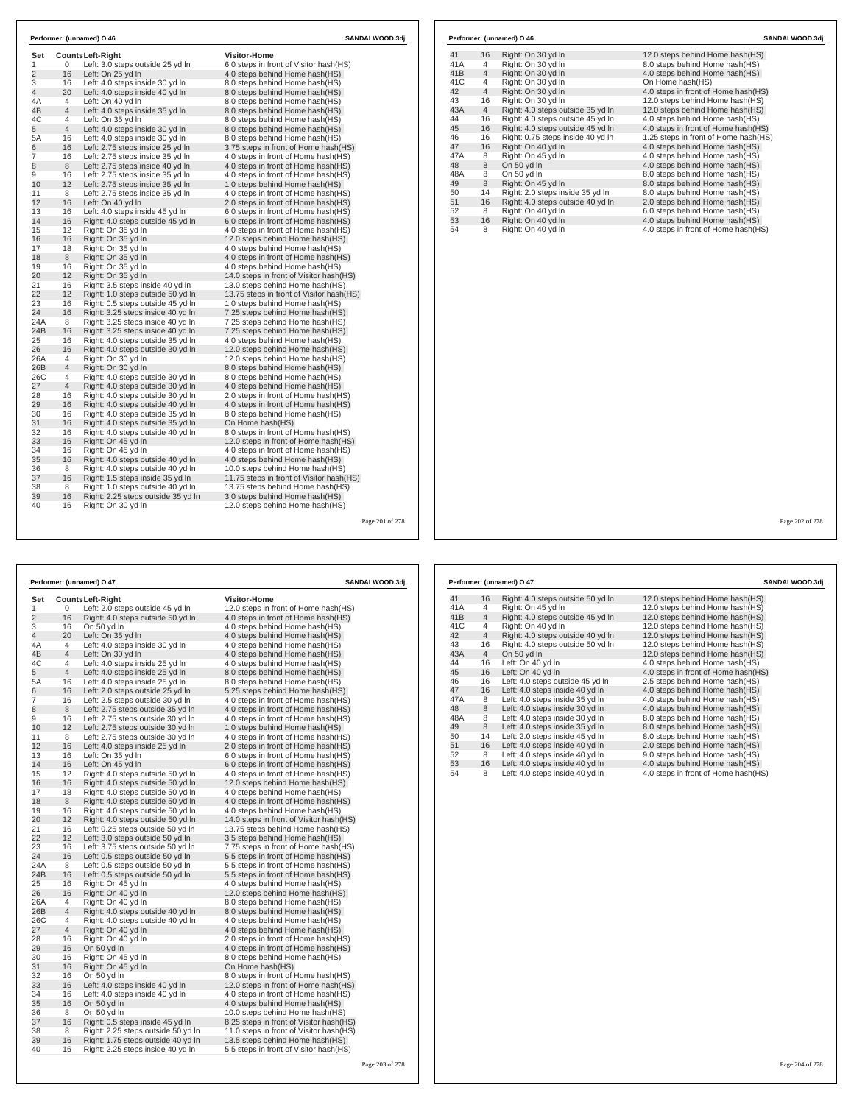| Set<br>1       | 0              | <b>CountsLeft-Right</b><br>Left: 3.0 steps outside 25 yd In | <b>Visitor-Home</b><br>6.0 steps in front of Visitor hash(HS) |
|----------------|----------------|-------------------------------------------------------------|---------------------------------------------------------------|
| $\overline{2}$ | 16             | Left: On 25 yd In                                           | 4.0 steps behind Home hash(HS)                                |
| 3              | 16             | Left: 4.0 steps inside 30 yd In                             | 8.0 steps behind Home hash (HS)                               |
| $\overline{4}$ | 20             | Left: 4.0 steps inside 40 yd In                             | 8.0 steps behind Home hash(HS)                                |
| 4A             | 4              | Left: On 40 yd In                                           | 8.0 steps behind Home hash(HS)                                |
| 4B             | $\overline{4}$ | Left: 4.0 steps inside 35 yd In                             | 8.0 steps behind Home hash(HS)                                |
| 4C             | 4              | Left: On 35 yd In                                           | 8.0 steps behind Home hash(HS)                                |
| 5              | $\overline{4}$ | Left: 4.0 steps inside 30 yd In                             | 8.0 steps behind Home hash(HS)                                |
| 5A             | 16             | Left: 4.0 steps inside 30 yd In                             | 8.0 steps behind Home hash(HS)                                |
| 6              | 16             | Left: 2.75 steps inside 25 yd In                            | 3.75 steps in front of Home hash(HS)                          |
| $\overline{7}$ | 16             | Left: 2.75 steps inside 35 yd In                            | 4.0 steps in front of Home hash(HS)                           |
| 8              | 8              | Left: 2.75 steps inside 40 yd In                            | 4.0 steps in front of Home hash(HS)                           |
| 9              | 16             | Left: 2.75 steps inside 35 yd In                            | 4.0 steps in front of Home hash(HS)                           |
| 10             | 12             | Left: 2.75 steps inside 35 yd In                            | 1.0 steps behind Home hash(HS)                                |
| 11             | 8              | Left: 2.75 steps inside 35 yd In                            | 4.0 steps in front of Home hash(HS)                           |
| 12             | 16             | Left: On 40 yd In                                           | 2.0 steps in front of Home hash(HS)                           |
| 13             | 16             | Left: 4.0 steps inside 45 yd In                             | 6.0 steps in front of Home hash(HS)                           |
| 14             | 16             | Right: 4.0 steps outside 45 yd In                           | 6.0 steps in front of Home hash(HS)                           |
| 15             | 12             | Right: On 35 vd In                                          | 4.0 steps in front of Home hash(HS)                           |
| 16             | 16             | Right: On 35 yd In                                          | 12.0 steps behind Home hash(HS)                               |
| 17             | 18             | Right: On 35 yd In                                          | 4.0 steps behind Home hash(HS)                                |
| 18             | 8              | Right: On 35 yd In                                          | 4.0 steps in front of Home hash(HS)                           |
| 19             | 16             | Right: On 35 yd In                                          | 4.0 steps behind Home hash(HS)                                |
| 20             | 12             | Right: On 35 yd In                                          | 14.0 steps in front of Visitor hash (HS)                      |
| 21             | 16             | Right: 3.5 steps inside 40 yd In                            | 13.0 steps behind Home hash(HS)                               |
| 22             | 12             | Right: 1.0 steps outside 50 yd In                           | 13.75 steps in front of Visitor hash (HS)                     |
| 23             | 16             | Right: 0.5 steps outside 45 yd In                           | 1.0 steps behind Home hash(HS)                                |
| 24             | 16             | Right: 3.25 steps inside 40 yd In                           | 7.25 steps behind Home hash(HS)                               |
| 24A            | 8              | Right: 3.25 steps inside 40 yd In                           | 7.25 steps behind Home hash(HS)                               |
| 24B            | 16             | Right: 3.25 steps inside 40 yd In                           | 7.25 steps behind Home hash(HS)                               |
| 25             | 16             | Right: 4.0 steps outside 35 yd In                           | 4.0 steps behind Home hash(HS)                                |
| 26             | 16             | Right: 4.0 steps outside 30 yd In                           | 12.0 steps behind Home hash(HS)                               |
| 26A            | 4              | Right: On 30 vd In                                          | 12.0 steps behind Home hash(HS)                               |
| 26B            | $\overline{4}$ | Right: On 30 yd In                                          | 8.0 steps behind Home hash(HS)                                |
| 26C            | 4              | Right: 4.0 steps outside 30 yd In                           | 8.0 steps behind Home hash(HS)                                |
| 27             | $\overline{4}$ | Right: 4.0 steps outside 30 yd In                           | 4.0 steps behind Home hash(HS)                                |
| 28             | 16             | Right: 4.0 steps outside 30 yd In                           | 2.0 steps in front of Home hash(HS)                           |
| 29             | 16             | Right: 4.0 steps outside 40 yd In                           | 4.0 steps in front of Home hash(HS)                           |
| 30             | 16             | Right: 4.0 steps outside 35 yd In                           | 8.0 steps behind Home hash(HS)                                |
| 31             | 16             | Right: 4.0 steps outside 35 vd In                           | On Home hash(HS)                                              |
| 32             | 16             | Right: 4.0 steps outside 40 yd In                           | 8.0 steps in front of Home hash(HS)                           |
| 33             | 16             | Right: On 45 vd In                                          | 12.0 steps in front of Home hash (HS)                         |
| 34             | 16             | Right: On 45 yd In                                          | 4.0 steps in front of Home hash(HS)                           |
| 35             | 16             | Right: 4.0 steps outside 40 yd In                           | 4.0 steps behind Home hash(HS)                                |
| 36             | 8              | Right: 4.0 steps outside 40 yd In                           | 10.0 steps behind Home hash(HS)                               |
| 37             | 16             | Right: 1.5 steps inside 35 yd In                            | 11.75 steps in front of Visitor hash (HS)                     |
| 38             | 8              | Right: 1.0 steps outside 40 yd In                           | 13.75 steps behind Home hash(HS)                              |
| 39             | 16             | Right: 2.25 steps outside 35 yd In                          | 3.0 steps behind Home hash(HS)                                |
| 40             | 16             | Right: On 30 yd In                                          | 12.0 steps behind Home hash(HS)                               |

|     |                | Performer: (unnamed) O 46         | SANDALWOOD.3dj                       |
|-----|----------------|-----------------------------------|--------------------------------------|
| 41  | 16             | Right: On 30 yd In                | 12.0 steps behind Home hash (HS)     |
| 41A | 4              | Right: On 30 yd In                | 8.0 steps behind Home hash(HS)       |
| 41B | $\overline{4}$ | Right: On 30 yd In                | 4.0 steps behind Home hash(HS)       |
| 41C | 4              | Right: On 30 yd In                | On Home hash(HS)                     |
| 42  | $\overline{4}$ | Right: On 30 yd In                | 4.0 steps in front of Home hash(HS)  |
| 43  | 16             | Right: On 30 yd In                | 12.0 steps behind Home hash(HS)      |
| 43A | $\overline{4}$ | Right: 4.0 steps outside 35 yd In | 12.0 steps behind Home hash(HS)      |
| 44  | 16             | Right: 4.0 steps outside 45 yd In | 4.0 steps behind Home hash(HS)       |
| 45  | 16             | Right: 4.0 steps outside 45 yd In | 4.0 steps in front of Home hash(HS)  |
| 46  | 16             | Right: 0.75 steps inside 40 yd In | 1.25 steps in front of Home hash(HS) |
| 47  | 16             | Right: On 40 yd In                | 4.0 steps behind Home hash(HS)       |
| 47A | 8              | Right: On 45 yd In                | 4.0 steps behind Home hash(HS)       |
| 48  | 8              | On 50 yd In                       | 4.0 steps behind Home hash(HS)       |
| 48A | 8              | On 50 yd In                       | 8.0 steps behind Home hash(HS)       |
| 49  | 8              | Right: On 45 yd In                | 8.0 steps behind Home hash(HS)       |
| 50  | 14             | Right: 2.0 steps inside 35 yd In  | 8.0 steps behind Home hash(HS)       |
| 51  | 16             | Right: 4.0 steps outside 40 yd In | 2.0 steps behind Home hash(HS)       |
| 52  | 8              | Right: On 40 yd In                | 6.0 steps behind Home hash(HS)       |
| 53  | 16             | Right: On 40 yd In                | 4.0 steps behind Home hash(HS)       |
| 54  | 8              | Right: On 40 yd In                | 4.0 steps in front of Home hash(HS)  |

 $\Gamma$ 

Page 202 of 278

|                |                | Performer: (unnamed) O 47          |                                          | SANDALWOOD.3dj  |
|----------------|----------------|------------------------------------|------------------------------------------|-----------------|
| Set            |                | CountsLeft-Right                   | <b>Visitor-Home</b>                      |                 |
| 1              | 0              | Left: 2.0 steps outside 45 yd In   | 12.0 steps in front of Home hash(HS)     |                 |
| $\overline{c}$ | 16             | Right: 4.0 steps outside 50 yd In  | 4.0 steps in front of Home hash (HS)     |                 |
| 3              | 16             | On 50 yd In                        | 4.0 steps behind Home hash (HS)          |                 |
| 4              | 20             | Left: On 35 yd In                  | 4.0 steps behind Home hash(HS)           |                 |
| 4Α             | 4              | Left: 4.0 steps inside 30 yd In    | 4.0 steps behind Home hash (HS)          |                 |
| 4B             | 4              | Left: On 30 yd In                  | 4.0 steps behind Home hash(HS)           |                 |
| 4C             | 4              | Left: 4.0 steps inside 25 yd In    | 4.0 steps behind Home hash(HS)           |                 |
| 5              | 4              | Left: 4.0 steps inside 25 yd In    | 8.0 steps behind Home hash(HS)           |                 |
| 5A             | 16             | Left: 4.0 steps inside 25 yd In    | 8.0 steps behind Home hash(HS)           |                 |
| 6              | 16             | Left: 2.0 steps outside 25 yd In   | 5.25 steps behind Home hash (HS)         |                 |
| 7              | 16             | Left: 2.5 steps outside 30 yd In   | 4.0 steps in front of Home hash(HS)      |                 |
| 8              | 8              | Left: 2.75 steps outside 35 yd In  | 4.0 steps in front of Home hash (HS)     |                 |
| 9              | 16             | Left: 2.75 steps outside 30 yd In  | 4.0 steps in front of Home hash(HS)      |                 |
| 10             | 12             | Left: 2.75 steps outside 30 yd In  | 1.0 steps behind Home hash(HS)           |                 |
| 11             | 8              | Left: 2.75 steps outside 30 yd In  | 4.0 steps in front of Home hash (HS)     |                 |
| 12             | 16             | Left: 4.0 steps inside 25 yd In    | 2.0 steps in front of Home hash(HS)      |                 |
| 13             | 16             | Left: On 35 yd In                  | 6.0 steps in front of Home hash(HS)      |                 |
| 14             | 16             | Left: On 45 yd In                  | 6.0 steps in front of Home hash(HS)      |                 |
| 15             | 12             | Right: 4.0 steps outside 50 yd In  | 4.0 steps in front of Home hash(HS)      |                 |
| 16             | 16             | Right: 4.0 steps outside 50 yd In  | 12.0 steps behind Home hash(HS)          |                 |
| 17             | 18             | Right: 4.0 steps outside 50 yd In  | 4.0 steps behind Home hash(HS)           |                 |
| 18             | 8              | Right: 4.0 steps outside 50 yd In  | 4.0 steps in front of Home hash(HS)      |                 |
| 19             | 16             | Right: 4.0 steps outside 50 yd In  | 4.0 steps behind Home hash(HS)           |                 |
| 20             | 12             | Right: 4.0 steps outside 50 yd In  | 14.0 steps in front of Visitor hash(HS)  |                 |
| 21             | 16             | Left: 0.25 steps outside 50 yd In  | 13.75 steps behind Home hash (HS)        |                 |
| 22             | 12             | Left: 3.0 steps outside 50 yd In   | 3.5 steps behind Home hash(HS)           |                 |
| 23             | 16             | Left: 3.75 steps outside 50 yd In  | 7.75 steps in front of Home hash (HS)    |                 |
| 24             | 16             | Left: 0.5 steps outside 50 yd In   | 5.5 steps in front of Home hash (HS)     |                 |
| 24A            | 8              | Left: 0.5 steps outside 50 yd In   | 5.5 steps in front of Home hash (HS)     |                 |
| 24B            | 16             | Left: 0.5 steps outside 50 yd In   | 5.5 steps in front of Home hash(HS)      |                 |
| 25             | 16             | Right: On 45 yd In                 | 4.0 steps behind Home hash(HS)           |                 |
| 26             | 16             | Right: On 40 yd In                 | 12.0 steps behind Home hash(HS)          |                 |
| 26A            | 4              | Right: On 40 yd In                 | 8.0 steps behind Home hash(HS)           |                 |
| 26B            | 4              | Right: 4.0 steps outside 40 yd In  | 8.0 steps behind Home hash(HS)           |                 |
| 26C            | 4              | Right: 4.0 steps outside 40 yd In  | 4.0 steps behind Home hash(HS)           |                 |
| 27             | $\overline{4}$ | Right: On 40 yd In                 | 4.0 steps behind Home hash(HS)           |                 |
| 28             | 16             | Right: On 40 yd In                 | 2.0 steps in front of Home hash(HS)      |                 |
| 29             | 16             | On 50 yd In                        | 4.0 steps in front of Home hash(HS)      |                 |
| 30             | 16             | Right: On 45 yd In                 | 8.0 steps behind Home hash(HS)           |                 |
| 31             | 16             | Right: On 45 yd In                 | On Home hash(HS)                         |                 |
| 32             | 16             | On 50 yd In                        | 8.0 steps in front of Home hash (HS)     |                 |
| 33             | 16             | Left: 4.0 steps inside 40 yd In    | 12.0 steps in front of Home hash(HS)     |                 |
| 34             | 16             | Left: 4.0 steps inside 40 yd In    | 4.0 steps in front of Home hash (HS)     |                 |
| 35             | 16             | On 50 yd In                        | 4.0 steps behind Home hash(HS)           |                 |
| 36             | 8              | On 50 yd In                        | 10.0 steps behind Home hash(HS)          |                 |
| 37             | 16             | Right: 0.5 steps inside 45 yd In   | 8.25 steps in front of Visitor hash (HS) |                 |
| 38             | 8              | Right: 2.25 steps outside 50 yd In | 11.0 steps in front of Visitor hash (HS) |                 |
| 39             | 16             | Right: 1.75 steps outside 40 yd In | 13.5 steps behind Home hash(HS)          |                 |
| 40             | 16             | Right: 2.25 steps inside 40 yd In  | 5.5 steps in front of Visitor hash(HS)   |                 |
|                |                |                                    |                                          | Page 203 of 278 |

|     |                | Performer: (unnamed) O 47         | SANDALWOOD.3dj                      |  |
|-----|----------------|-----------------------------------|-------------------------------------|--|
| 41  | 16             | Right: 4.0 steps outside 50 yd In | 12.0 steps behind Home hash (HS)    |  |
| 41A | 4              | Right: On 45 yd In                | 12.0 steps behind Home hash(HS)     |  |
| 41B | $\overline{4}$ | Right: 4.0 steps outside 45 yd In | 12.0 steps behind Home hash(HS)     |  |
| 41C | 4              | Right: On 40 yd In                | 12.0 steps behind Home hash(HS)     |  |
| 42  | $\overline{4}$ | Right: 4.0 steps outside 40 yd In | 12.0 steps behind Home hash(HS)     |  |
| 43  | 16             | Right: 4.0 steps outside 50 yd In | 12.0 steps behind Home hash(HS)     |  |
| 43A | $\overline{4}$ | On 50 yd In                       | 12.0 steps behind Home hash (HS)    |  |
| 44  | 16             | Left: On 40 vd In                 | 4.0 steps behind Home hash (HS)     |  |
| 45  | 16             | Left: On 40 yd In                 | 4.0 steps in front of Home hash(HS) |  |
| 46  | 16             | Left: 4.0 steps outside 45 yd In  | 2.5 steps behind Home hash(HS)      |  |
| 47  | 16             | Left: 4.0 steps inside 40 yd In   | 4.0 steps behind Home hash (HS)     |  |
| 47A | 8              | Left: 4.0 steps inside 35 yd In   | 4.0 steps behind Home hash (HS)     |  |
| 48  | 8              | Left: 4.0 steps inside 30 yd In   | 4.0 steps behind Home hash (HS)     |  |
| 48A | 8              | Left: 4.0 steps inside 30 yd In   | 8.0 steps behind Home hash(HS)      |  |
| 49  | 8              | Left: 4.0 steps inside 35 yd In   | 8.0 steps behind Home hash(HS)      |  |
| 50  | 14             | Left: 2.0 steps inside 45 yd In   | 8.0 steps behind Home hash(HS)      |  |
| 51  | 16             | Left: 4.0 steps inside 40 yd In   | 2.0 steps behind Home hash(HS)      |  |
| 52  | 8              | Left: 4.0 steps inside 40 yd In   | 9.0 steps behind Home hash(HS)      |  |
| 53  | 16             | Left: 4.0 steps inside 40 yd In   | 4.0 steps behind Home hash(HS)      |  |
| 54  | 8              | Left: 4.0 steps inside 40 yd In   | 4.0 steps in front of Home hash(HS) |  |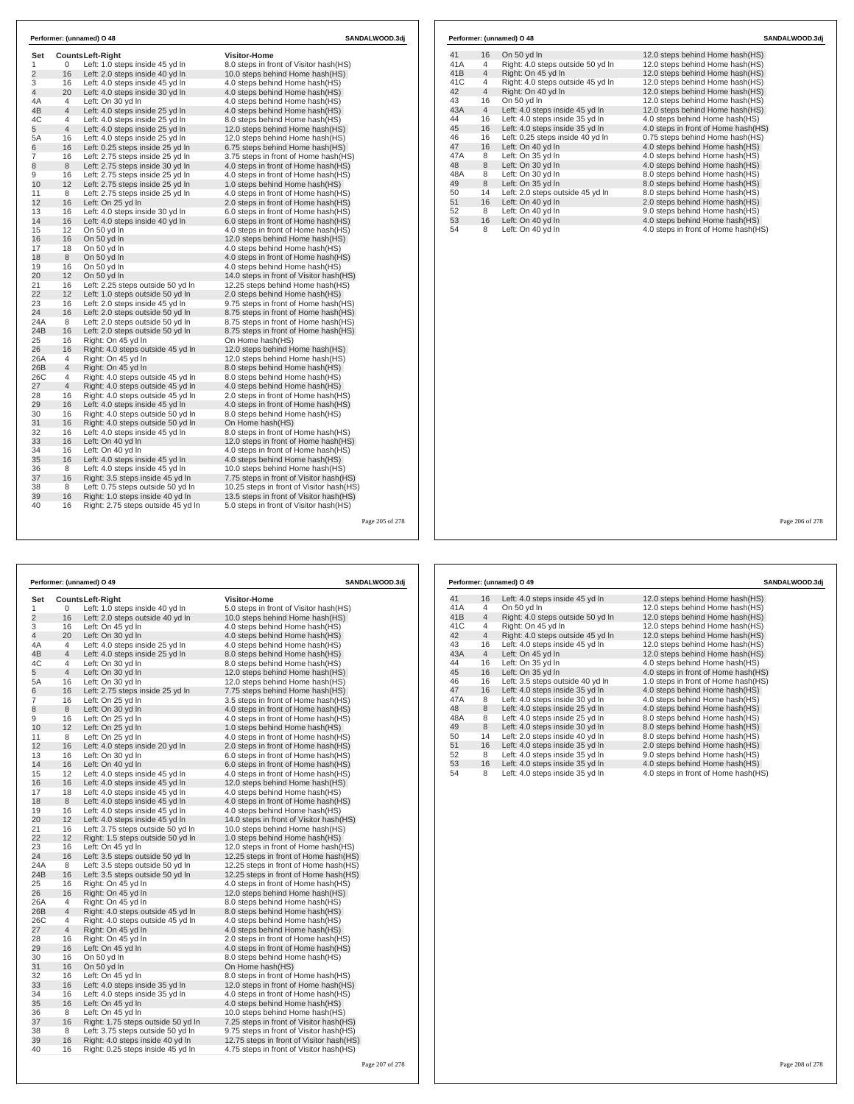| Set            |                |                                                            | <b>Visitor-Home</b>                       |
|----------------|----------------|------------------------------------------------------------|-------------------------------------------|
| 1              | 0              | <b>CountsLeft-Right</b><br>Left: 1.0 steps inside 45 yd In | 8.0 steps in front of Visitor hash(HS)    |
| $\overline{2}$ | 16             | Left: 2.0 steps inside 40 yd In                            | 10.0 steps behind Home hash(HS)           |
| 3              | 16             | Left: 4.0 steps inside 45 vd In                            | 4.0 steps behind Home hash(HS)            |
| 4              | 20             | Left: 4.0 steps inside 30 yd In                            | 4.0 steps behind Home hash(HS)            |
| 4A             | $\overline{4}$ | Left: On 30 vd In                                          | 4.0 steps behind Home hash(HS)            |
| 4B             | 4              | Left: 4.0 steps inside 25 yd In                            | 4.0 steps behind Home hash(HS)            |
| 4C             | $\overline{4}$ | Left: 4.0 steps inside 25 yd In                            | 8.0 steps behind Home hash(HS)            |
| 5              | $\overline{4}$ | Left: 4.0 steps inside 25 yd In                            | 12.0 steps behind Home hash(HS)           |
| 5A             | 16             | Left: 4.0 steps inside 25 yd In                            | 12.0 steps behind Home hash(HS)           |
| 6              | 16             | Left: 0.25 steps inside 25 yd In                           | 6.75 steps behind Home hash(HS)           |
| $\overline{7}$ | 16             | Left: 2.75 steps inside 25 yd In                           | 3.75 steps in front of Home hash(HS)      |
| 8              | 8              | Left: 2.75 steps inside 30 yd In                           | 4.0 steps in front of Home hash (HS)      |
| 9              | 16             | Left: 2.75 steps inside 25 yd In                           | 4.0 steps in front of Home hash(HS)       |
| 10             | 12             | Left: 2.75 steps inside 25 yd In                           | 1.0 steps behind Home hash(HS)            |
| 11             | 8              | Left: 2.75 steps inside 25 yd In                           | 4.0 steps in front of Home hash(HS)       |
| 12             | 16             | Left: On 25 yd In                                          | 2.0 steps in front of Home hash(HS)       |
| 13             | 16             | Left: 4.0 steps inside 30 yd In                            | 6.0 steps in front of Home hash(HS)       |
| 14             | 16             | Left: 4.0 steps inside 40 yd In                            | 6.0 steps in front of Home hash(HS)       |
| 15             | 12             | On 50 yd In                                                | 4.0 steps in front of Home hash(HS)       |
| 16             | 16             | On 50 yd In                                                | 12.0 steps behind Home hash(HS)           |
| 17             | 18             | On 50 yd In                                                | 4.0 steps behind Home hash(HS)            |
| 18             | 8              | On 50 yd In                                                | 4.0 steps in front of Home hash(HS)       |
| 19             | 16             | On 50 yd In                                                | 4.0 steps behind Home hash(HS)            |
| 20             | 12             | On 50 yd In                                                | 14.0 steps in front of Visitor hash(HS)   |
| 21             | 16             | Left: 2.25 steps outside 50 yd In                          | 12.25 steps behind Home hash(HS)          |
| 22             | 12             | Left: 1.0 steps outside 50 yd In                           | 2.0 steps behind Home hash(HS)            |
| 23             | 16             | Left: 2.0 steps inside 45 yd In                            | 9.75 steps in front of Home hash(HS)      |
| 24             | 16             | Left: 2.0 steps outside 50 yd In                           | 8.75 steps in front of Home hash(HS)      |
| 24A            | 8              | Left: 2.0 steps outside 50 yd In                           | 8.75 steps in front of Home hash(HS)      |
| 24B            | 16             | Left: 2.0 steps outside 50 yd In                           | 8.75 steps in front of Home hash(HS)      |
| 25             | 16             | Right: On 45 yd In                                         | On Home hash(HS)                          |
| 26             | 16             | Right: 4.0 steps outside 45 yd In                          | 12.0 steps behind Home hash(HS)           |
| 26A            | 4              | Right: On 45 yd In                                         | 12.0 steps behind Home hash(HS)           |
| 26B            | $\overline{4}$ | Right: On 45 yd In                                         | 8.0 steps behind Home hash(HS)            |
| 26C            | 4              | Right: 4.0 steps outside 45 yd In                          | 8.0 steps behind Home hash(HS)            |
| 27             | $\overline{4}$ | Right: 4.0 steps outside 45 yd In                          | 4.0 steps behind Home hash(HS)            |
| 28             | 16             | Right: 4.0 steps outside 45 yd In                          | 2.0 steps in front of Home hash(HS)       |
| 29             | 16             | Left: 4.0 steps inside 45 yd In                            | 4.0 steps in front of Home hash(HS)       |
| 30             | 16             | Right: 4.0 steps outside 50 yd In                          | 8.0 steps behind Home hash(HS)            |
| 31             | 16             | Right: 4.0 steps outside 50 yd In                          | On Home hash(HS)                          |
| 32             | 16             | Left: 4.0 steps inside 45 yd In                            | 8.0 steps in front of Home hash(HS)       |
| 33             | 16             | Left: On 40 yd In                                          | 12.0 steps in front of Home hash(HS)      |
| 34             | 16             | Left: On 40 yd In                                          | 4.0 steps in front of Home hash(HS)       |
| 35             | 16             | Left: 4.0 steps inside 45 yd In                            | 4.0 steps behind Home hash(HS)            |
| 36             | 8              | Left: 4.0 steps inside 45 yd In                            | 10.0 steps behind Home hash(HS)           |
| 37             | 16             | Right: 3.5 steps inside 45 yd In                           | 7.75 steps in front of Visitor hash(HS)   |
| 38             | 8              | Left: 0.75 steps outside 50 vd In                          | 10.25 steps in front of Visitor hash (HS) |
| 39             | 16             | Right: 1.0 steps inside 40 yd In                           | 13.5 steps in front of Visitor hash (HS)  |
| 40             | 16             | Right: 2.75 steps outside 45 yd In                         | 5.0 steps in front of Visitor hash(HS)    |

|                 |                | Performer: (unnamed) O 48         | SANDALWOOD.3di                      |
|-----------------|----------------|-----------------------------------|-------------------------------------|
| 41              | 16             | On 50 yd In                       | 12.0 steps behind Home hash (HS)    |
| 41A             | 4              | Right: 4.0 steps outside 50 yd In | 12.0 steps behind Home hash(HS)     |
| 41 <sub>B</sub> | $\overline{4}$ | Right: On 45 yd In                | 12.0 steps behind Home hash(HS)     |
| 41C             | 4              | Right: 4.0 steps outside 45 yd In | 12.0 steps behind Home hash(HS)     |
| 42              | $\overline{4}$ | Right: On 40 vd In                | 12.0 steps behind Home hash(HS)     |
| 43              | 16             | On 50 yd In                       | 12.0 steps behind Home hash(HS)     |
| 43A             | $\overline{4}$ | Left: 4.0 steps inside 45 yd In   | 12.0 steps behind Home hash(HS)     |
| 44              | 16             | Left: 4.0 steps inside 35 vd In   | 4.0 steps behind Home hash(HS)      |
| 45              | 16             | Left: 4.0 steps inside 35 yd In   | 4.0 steps in front of Home hash(HS) |
| 46              | 16             | Left: 0.25 steps inside 40 yd In  | 0.75 steps behind Home hash(HS)     |
| 47              | 16             | Left: On 40 yd In                 | 4.0 steps behind Home hash(HS)      |
| 47A             | 8              | Left: On 35 vd In                 | 4.0 steps behind Home hash(HS)      |
| 48              | 8              | Left: On 30 yd In                 | 4.0 steps behind Home hash(HS)      |
| 48A             | 8              | Left: On 30 yd In                 | 8.0 steps behind Home hash(HS)      |
| 49              | 8              | Left: On 35 yd In                 | 8.0 steps behind Home hash(HS)      |
| 50              | 14             | Left: 2.0 steps outside 45 yd In  | 8.0 steps behind Home hash(HS)      |
| 51              | 16             | Left: On 40 yd In                 | 2.0 steps behind Home hash(HS)      |
| 52              | 8              | Left: On 40 yd In                 | 9.0 steps behind Home hash(HS)      |
| 53              | 16             | Left: On 40 yd In                 | 4.0 steps behind Home hash(HS)      |
| 54              | 8              | Left: On 40 yd In                 | 4.0 steps in front of Home hash(HS) |

Page 205 of 278

|     |                | Performer: (unnamed) O 49          | SANDALWOOD.3dj                           |  |
|-----|----------------|------------------------------------|------------------------------------------|--|
| Set |                | <b>CountsLeft-Right</b>            | <b>Visitor-Home</b>                      |  |
| 1   | 0              | Left: 1.0 steps inside 40 yd In    | 5.0 steps in front of Visitor hash (HS)  |  |
| 2   | 16             | Left: 2.0 steps outside 40 yd In   | 10.0 steps behind Home hash(HS)          |  |
| 3   | 16             | Left: On 45 yd In                  | 4.0 steps behind Home hash (HS)          |  |
| 4   | 20             | Left: On 30 yd In                  | 4.0 steps behind Home hash(HS)           |  |
| 4A  | 4              | Left: 4.0 steps inside 25 yd In    | 4.0 steps behind Home hash(HS)           |  |
| 4B  | $\overline{4}$ | Left: 4.0 steps inside 25 yd In    | 8.0 steps behind Home hash(HS)           |  |
| 4C  | 4              | Left: On 30 yd In                  | 8.0 steps behind Home hash(HS)           |  |
| 5   | $\overline{4}$ | Left: On 30 yd In                  | 12.0 steps behind Home hash(HS)          |  |
| 5A  | 16             | Left: On 30 yd In                  | 12.0 steps behind Home hash(HS)          |  |
| 6   | 16             | Left: 2.75 steps inside 25 yd In   | 7.75 steps behind Home hash(HS)          |  |
| 7   | 16             | Left: On 25 yd In                  | 3.5 steps in front of Home hash (HS)     |  |
| 8   | 8              | Left: On 30 yd In                  | 4.0 steps in front of Home hash (HS)     |  |
| 9   | 16             | Left: On 25 yd In                  | 4.0 steps in front of Home hash (HS)     |  |
| 10  | 12             | Left: On 25 yd In                  | 1.0 steps behind Home hash(HS)           |  |
| 11  | 8              | Left: On 25 yd In                  | 4.0 steps in front of Home hash (HS)     |  |
| 12  | 16             | Left: 4.0 steps inside 20 yd In    | 2.0 steps in front of Home hash(HS)      |  |
| 13  | 16             | Left: On 30 yd In                  | 6.0 steps in front of Home hash(HS)      |  |
| 14  | 16             | Left: On 40 yd In                  | 6.0 steps in front of Home hash(HS)      |  |
| 15  | 12             | Left: 4.0 steps inside 45 yd In    | 4.0 steps in front of Home hash (HS)     |  |
| 16  | 16             | Left: 4.0 steps inside 45 yd In    | 12.0 steps behind Home hash(HS)          |  |
| 17  | 18             | Left: 4.0 steps inside 45 yd In    | 4.0 steps behind Home hash(HS)           |  |
| 18  | 8              | Left: 4.0 steps inside 45 yd In    | 4.0 steps in front of Home hash(HS)      |  |
| 19  | 16             | Left: 4.0 steps inside 45 yd In    | 4.0 steps behind Home hash(HS)           |  |
| 20  | 12             | Left: 4.0 steps inside 45 yd In    | 14.0 steps in front of Visitor hash(HS)  |  |
| 21  | 16             | Left: 3.75 steps outside 50 yd In  | 10.0 steps behind Home hash(HS)          |  |
| 22  | 12             | Right: 1.5 steps outside 50 yd In  | 1.0 steps behind Home hash(HS)           |  |
| 23  | 16             | Left: On 45 yd In                  | 12.0 steps in front of Home hash (HS)    |  |
| 24  | 16             | Left: 3.5 steps outside 50 yd In   | 12.25 steps in front of Home hash(HS)    |  |
| 24A | 8              | Left: 3.5 steps outside 50 yd In   | 12.25 steps in front of Home hash (HS)   |  |
| 24B | 16             | Left: 3.5 steps outside 50 yd In   | 12.25 steps in front of Home hash(HS)    |  |
| 25  | 16             | Right: On 45 yd In                 | 4.0 steps in front of Home hash (HS)     |  |
| 26  | 16             | Right: On 45 yd In                 | 12.0 steps behind Home hash(HS)          |  |
| 26A | 4              | Right: On 45 yd In                 | 8.0 steps behind Home hash(HS)           |  |
| 26B | $\overline{4}$ | Right: 4.0 steps outside 45 yd In  | 8.0 steps behind Home hash(HS)           |  |
| 26C | 4              | Right: 4.0 steps outside 45 yd In  | 4.0 steps behind Home hash(HS)           |  |
| 27  | $\overline{4}$ | Right: On 45 yd In                 | 4.0 steps behind Home hash(HS)           |  |
| 28  | 16             | Right: On 45 yd In                 | 2.0 steps in front of Home hash (HS)     |  |
| 29  | 16             | Left: On 45 yd In                  | 4.0 steps in front of Home hash(HS)      |  |
| 30  | 16             | On 50 yd In                        | 8.0 steps behind Home hash(HS)           |  |
| 31  | 16             | On 50 yd In                        | On Home hash(HS)                         |  |
| 32  | 16             | Left: On 45 yd In                  | 8.0 steps in front of Home hash (HS)     |  |
| 33  | 16             | Left: 4.0 steps inside 35 yd In    | 12.0 steps in front of Home hash(HS)     |  |
| 34  | 16             | Left: 4.0 steps inside 35 yd In    | 4.0 steps in front of Home hash (HS)     |  |
| 35  | 16             | Left: On 45 yd In                  | 4.0 steps behind Home hash(HS)           |  |
| 36  | 8              | Left: On 45 yd In                  | 10.0 steps behind Home hash(HS)          |  |
| 37  | 16             | Right: 1.75 steps outside 50 yd In | 7.25 steps in front of Visitor hash(HS)  |  |
| 38  | 8              | Left: 3.75 steps outside 50 yd In  | 9.75 steps in front of Visitor hash(HS)  |  |
| 39  | 16             | Right: 4.0 steps inside 40 yd In   | 12.75 steps in front of Visitor hash(HS) |  |
| 40  | 16             | Right: 0.25 steps inside 45 yd In  | 4.75 steps in front of Visitor hash(HS)  |  |

|     |                | Performer: (unnamed) O 49         | SANDALWOOD.3dj                       |
|-----|----------------|-----------------------------------|--------------------------------------|
| 41  | 16             | Left: 4.0 steps inside 45 yd In   | 12.0 steps behind Home hash(HS)      |
| 41A | 4              | On 50 yd In                       | 12.0 steps behind Home hash(HS)      |
| 41B | $\overline{4}$ | Right: 4.0 steps outside 50 yd In | 12.0 steps behind Home hash(HS)      |
| 41C | 4              | Right: On 45 yd In                | 12.0 steps behind Home hash(HS)      |
| 42  | 4              | Right: 4.0 steps outside 45 yd In | 12.0 steps behind Home hash(HS)      |
| 43  | 16             | Left: 4.0 steps inside 45 yd In   | 12.0 steps behind Home hash(HS)      |
| 43A | $\overline{4}$ | Left: On 45 yd In                 | 12.0 steps behind Home hash(HS)      |
| 44  | 16             | Left: On 35 yd In                 | 4.0 steps behind Home hash(HS)       |
| 45  | 16             | Left: On 35 yd In                 | 4.0 steps in front of Home hash (HS) |
| 46  | 16             | Left: 3.5 steps outside 40 yd In  | 1.0 steps in front of Home hash(HS)  |
| 47  | 16             | Left: 4.0 steps inside 35 yd In   | 4.0 steps behind Home hash (HS)      |
| 47A | 8              | Left: 4.0 steps inside 30 yd In   | 4.0 steps behind Home hash(HS)       |
| 48  | 8              | Left: 4.0 steps inside 25 yd In   | 4.0 steps behind Home hash(HS)       |
| 48A | 8              | Left: 4.0 steps inside 25 yd In   | 8.0 steps behind Home hash(HS)       |
| 49  | 8              | Left: 4.0 steps inside 30 vd In   | 8.0 steps behind Home hash(HS)       |
| 50  | 14             | Left: 2.0 steps inside 40 yd In   | 8.0 steps behind Home hash(HS)       |
| 51  | 16             | Left: 4.0 steps inside 35 yd In   | 2.0 steps behind Home hash(HS)       |
| 52  | 8              | Left: 4.0 steps inside 35 yd In   | 9.0 steps behind Home hash(HS)       |
| 53  | 16             | Left: 4.0 steps inside 35 yd In   | 4.0 steps behind Home hash(HS)       |
| 54  | 8              | Left: 4.0 steps inside 35 yd In   | 4.0 steps in front of Home hash(HS)  |

Page 206 of 278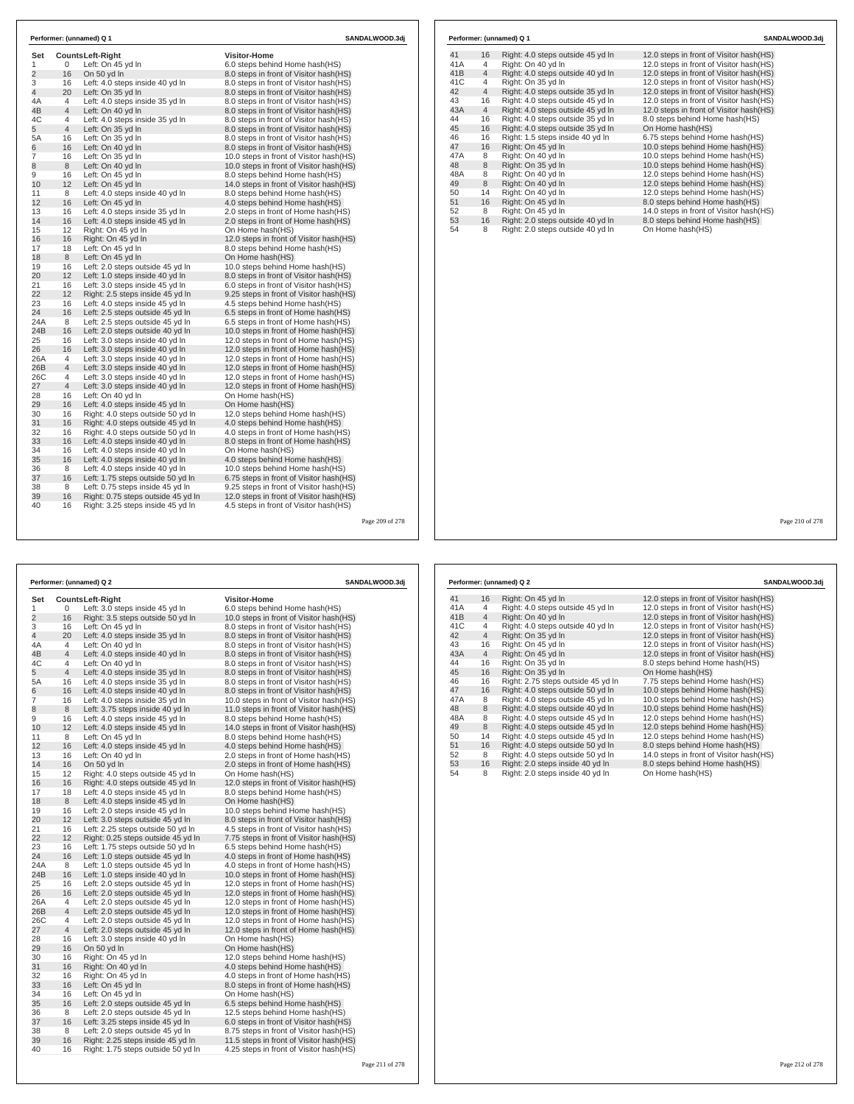|                |                | Performer: (unnamed) Q 1           |                                          | SANDALWOOD.3dj |
|----------------|----------------|------------------------------------|------------------------------------------|----------------|
| Set            |                | <b>CountsLeft-Right</b>            | <b>Visitor-Home</b>                      |                |
| 1              | 0              | Left: On 45 yd In                  | 6.0 steps behind Home hash(HS)           |                |
| $\overline{2}$ | 16             | On 50 yd In                        | 8.0 steps in front of Visitor hash (HS)  |                |
| 3              | 16             | Left: 4.0 steps inside 40 yd In    | 8.0 steps in front of Visitor hash(HS)   |                |
| $\overline{4}$ | 20             | Left: On 35 yd In                  | 8.0 steps in front of Visitor hash (HS)  |                |
| 4A             | 4              | Left: 4.0 steps inside 35 yd In    | 8.0 steps in front of Visitor hash(HS)   |                |
| 4B             | $\overline{4}$ | Left: On 40 yd In                  | 8.0 steps in front of Visitor hash(HS)   |                |
| 4C             | 4              | Left: 4.0 steps inside 35 yd In    | 8.0 steps in front of Visitor hash (HS)  |                |
| 5              | 4              | Left: On 35 yd In                  | 8.0 steps in front of Visitor hash(HS)   |                |
| 5A             | 16             | Left: On 35 yd In                  | 8.0 steps in front of Visitor hash (HS)  |                |
| 6              | 16             | Left: On 40 yd In                  | 8.0 steps in front of Visitor hash (HS)  |                |
| $\overline{7}$ | 16             |                                    | 10.0 steps in front of Visitor hash(HS)  |                |
|                | 8              | Left: On 35 yd In                  |                                          |                |
| 8              |                | Left: On 40 yd In                  | 10.0 steps in front of Visitor hash (HS) |                |
| 9              | 16             | Left: On 45 yd In                  | 8.0 steps behind Home hash(HS)           |                |
| 10             | 12             | Left: On 45 yd In                  | 14.0 steps in front of Visitor hash (HS) |                |
| 11             | 8              | Left: 4.0 steps inside 40 yd In    | 8.0 steps behind Home hash(HS)           |                |
| 12             | 16             | Left: On 45 yd In                  | 4.0 steps behind Home hash (HS)          |                |
| 13             | 16             | Left: 4.0 steps inside 35 yd In    | 2.0 steps in front of Home hash(HS)      |                |
| 14             | 16             | Left: 4.0 steps inside 45 yd In    | 2.0 steps in front of Home hash (HS)     |                |
| 15             | 12             | Right: On 45 vd In                 | On Home hash(HS)                         |                |
| 16             | 16             | Right: On 45 yd In                 | 12.0 steps in front of Visitor hash(HS)  |                |
| 17             | 18             | Left: On 45 yd In                  | 8.0 steps behind Home hash(HS)           |                |
| 18             | 8              | Left: On 45 yd In                  | On Home hash(HS)                         |                |
| 19             | 16             | Left: 2.0 steps outside 45 yd In   | 10.0 steps behind Home hash(HS)          |                |
| 20             | 12             | Left: 1.0 steps inside 40 yd In    | 8.0 steps in front of Visitor hash(HS)   |                |
| 21             | 16             | Left: 3.0 steps inside 45 yd In    | 6.0 steps in front of Visitor hash(HS)   |                |
| 22             | 12             | Right: 2.5 steps inside 45 yd In   | 9.25 steps in front of Visitor hash (HS) |                |
| 23             | 16             | Left: 4.0 steps inside 45 yd In    | 4.5 steps behind Home hash (HS)          |                |
| 24             | 16             | Left: 2.5 steps outside 45 yd In   | 6.5 steps in front of Home hash (HS)     |                |
| 24A            | 8              | Left: 2.5 steps outside 45 yd In   | 6.5 steps in front of Home hash (HS)     |                |
| 24B            | 16             | Left: 2.0 steps outside 40 yd In   | 10.0 steps in front of Home hash(HS)     |                |
| 25             | 16             | Left: 3.0 steps inside 40 yd In    | 12.0 steps in front of Home hash (HS)    |                |
| 26             | 16             | Left: 3.0 steps inside 40 yd In    | 12.0 steps in front of Home hash(HS)     |                |
| 26A            | 4              | Left: 3.0 steps inside 40 yd In    | 12.0 steps in front of Home hash (HS)    |                |
| 26B            | $\overline{4}$ | Left: 3.0 steps inside 40 yd In    | 12.0 steps in front of Home hash(HS)     |                |
| 26C            | 4              | Left: 3.0 steps inside 40 yd In    | 12.0 steps in front of Home hash(HS)     |                |
| 27             | $\overline{4}$ | Left: 3.0 steps inside 40 yd In    | 12.0 steps in front of Home hash(HS)     |                |
| 28             | 16             | Left: On 40 yd In                  | On Home hash(HS)                         |                |
| 29             | 16             | Left: 4.0 steps inside 45 yd In    | On Home hash(HS)                         |                |
| 30             | 16             | Right: 4.0 steps outside 50 yd In  | 12.0 steps behind Home hash(HS)          |                |
| 31             | 16             | Right: 4.0 steps outside 45 yd In  | 4.0 steps behind Home hash(HS)           |                |
| 32             | 16             | Right: 4.0 steps outside 50 yd In  | 4.0 steps in front of Home hash(HS)      |                |
| 33             | 16             | Left: 4.0 steps inside 40 yd In    | 8.0 steps in front of Home hash (HS)     |                |
| 34             | 16             | Left: 4.0 steps inside 40 yd In    | On Home hash(HS)                         |                |
| 35             | 16             | Left: 4.0 steps inside 40 yd In    | 4.0 steps behind Home hash (HS)          |                |
| 36             | 8              | Left: 4.0 steps inside 40 yd In    | 10.0 steps behind Home hash(HS)          |                |
| 37             | 16             | Left: 1.75 steps outside 50 yd In  | 6.75 steps in front of Visitor hash (HS) |                |
| 38             | 8              | Left: 0.75 steps inside 45 yd In   | 9.25 steps in front of Visitor hash (HS) |                |
| 39             | 16             | Right: 0.75 steps outside 45 yd In | 12.0 steps in front of Visitor hash (HS) |                |
|                |                |                                    |                                          |                |

| 41  | 16             | Right: 4.0 steps outside 45 yd In | 12.0 steps in front of Visitor hash (HS) |
|-----|----------------|-----------------------------------|------------------------------------------|
| 41A | 4              | Right: On 40 yd In                | 12.0 steps in front of Visitor hash(HS)  |
| 41B | $\overline{4}$ | Right: 4.0 steps outside 40 yd In | 12.0 steps in front of Visitor hash(HS)  |
| 41C | 4              | Right: On 35 yd In                | 12.0 steps in front of Visitor hash(HS)  |
| 42  | $\overline{4}$ | Right: 4.0 steps outside 35 yd In | 12.0 steps in front of Visitor hash(HS)  |
| 43  | 16             | Right: 4.0 steps outside 45 yd In | 12.0 steps in front of Visitor hash(HS)  |
| 43A | $\overline{4}$ | Right: 4.0 steps outside 45 yd In | 12.0 steps in front of Visitor hash(HS)  |
| 44  | 16             | Right: 4.0 steps outside 35 yd In | 8.0 steps behind Home hash(HS)           |
| 45  | 16             | Right: 4.0 steps outside 35 yd In | On Home hash(HS)                         |
| 46  | 16             | Right: 1.5 steps inside 40 yd In  | 6.75 steps behind Home hash(HS)          |
| 47  | 16             | Right: On 45 yd In                | 10.0 steps behind Home hash(HS)          |
| 47A | 8              | Right: On 40 yd In                | 10.0 steps behind Home hash(HS)          |
| 48  | 8              | Right: On 35 yd In                | 10.0 steps behind Home hash(HS)          |
| 48A | 8              | Right: On 40 yd In                | 12.0 steps behind Home hash(HS)          |
| 49  | 8              | Right: On 40 yd In                | 12.0 steps behind Home hash(HS)          |
| 50  | 14             | Right: On 40 yd In                | 12.0 steps behind Home hash(HS)          |
| 51  | 16             | Right: On 45 yd In                | 8.0 steps behind Home hash(HS)           |
| 52  | 8              | Right: On 45 yd In                | 14.0 steps in front of Visitor hash(HS)  |
| 53  | 16             | Right: 2.0 steps outside 40 yd In | 8.0 steps behind Home hash(HS)           |
| 54  | 8              | Right: 2.0 steps outside 40 yd In | On Home hash(HS)                         |

Page 210 of 278

|                |                | Performer: (unnamed) Q 2                                             |                                                                                    | SANDALWOOD.3dj  |
|----------------|----------------|----------------------------------------------------------------------|------------------------------------------------------------------------------------|-----------------|
| Set            |                | <b>CountsLeft-Right</b>                                              | <b>Visitor-Home</b>                                                                |                 |
| 1              | 0              | Left: 3.0 steps inside 45 yd In                                      | 6.0 steps behind Home hash(HS)                                                     |                 |
| $\overline{2}$ | 16             | Right: 3.5 steps outside 50 yd In                                    | 10.0 steps in front of Visitor hash(HS)                                            |                 |
| 3              | 16             | Left: On 45 yd In                                                    | 8.0 steps in front of Visitor hash(HS)                                             |                 |
| $\overline{4}$ | 20             | Left: 4.0 steps inside 35 yd In                                      | 8.0 steps in front of Visitor hash(HS)                                             |                 |
| 4A             | $\overline{4}$ | Left: On 40 yd In                                                    | 8.0 steps in front of Visitor hash (HS)                                            |                 |
| 4B             | $\overline{4}$ | Left: 4.0 steps inside 40 yd In                                      | 8.0 steps in front of Visitor hash(HS)                                             |                 |
| 4C             | $\overline{4}$ | Left: On 40 yd In                                                    | 8.0 steps in front of Visitor hash (HS)                                            |                 |
| 5              | $\overline{4}$ | Left: 4.0 steps inside 35 yd In                                      | 8.0 steps in front of Visitor hash(HS)                                             |                 |
| 5A             | 16             | Left: 4.0 steps inside 35 yd In                                      | 8.0 steps in front of Visitor hash(HS)                                             |                 |
| 6              | 16             | Left: 4.0 steps inside 40 vd In                                      | 8.0 steps in front of Visitor hash(HS)                                             |                 |
| $\overline{7}$ | 16             | Left: 4.0 steps inside 35 yd In                                      | 10.0 steps in front of Visitor hash(HS)                                            |                 |
| 8              | 8              | Left: 3.75 steps inside 40 yd In                                     | 11.0 steps in front of Visitor hash(HS)                                            |                 |
| 9              | 16             | Left: 4.0 steps inside 45 yd In                                      | 8.0 steps behind Home hash(HS)                                                     |                 |
| 10             | 12             | Left: 4.0 steps inside 45 yd In                                      | 14.0 steps in front of Visitor hash(HS)                                            |                 |
| 11             | 8              | Left: On 45 yd In                                                    | 8.0 steps behind Home hash(HS)                                                     |                 |
| 12             | 16             | Left: 4.0 steps inside 45 yd In                                      | 4.0 steps behind Home hash (HS)                                                    |                 |
| 13             | 16             | Left: On 40 yd In                                                    | 2.0 steps in front of Home hash (HS)                                               |                 |
| 14             | 16             | On 50 yd In                                                          | 2.0 steps in front of Home hash(HS)                                                |                 |
| 15             | 12             | Right: 4.0 steps outside 45 yd In                                    | On Home hash(HS)                                                                   |                 |
| 16             | 16             | Right: 4.0 steps outside 45 yd In                                    | 12.0 steps in front of Visitor hash (HS)                                           |                 |
| 17             | 18             | Left: 4.0 steps inside 45 yd In                                      | 8.0 steps behind Home hash(HS)                                                     |                 |
| 18             | 8              | Left: 4.0 steps inside 45 yd In                                      | On Home hash(HS)                                                                   |                 |
| 19             | 16             | Left: 2.0 steps inside 45 yd In                                      | 10.0 steps behind Home hash(HS)                                                    |                 |
| 20             | 12             | Left: 3.0 steps outside 45 yd In                                     | 8.0 steps in front of Visitor hash(HS)                                             |                 |
| 21             | 16             | Left: 2.25 steps outside 50 yd In                                    | 4.5 steps in front of Visitor hash (HS)                                            |                 |
| 22             | 12             | Right: 0.25 steps outside 45 yd In                                   | 7.75 steps in front of Visitor hash(HS)                                            |                 |
| 23             | 16             | Left: 1.75 steps outside 50 yd In                                    | 6.5 steps behind Home hash(HS)                                                     |                 |
| 24             | 16             | Left: 1.0 steps outside 45 yd In                                     | 4.0 steps in front of Home hash(HS)                                                |                 |
| 24A            | 8              | Left: 1.0 steps outside 45 yd In                                     | 4.0 steps in front of Home hash(HS)                                                |                 |
| 24B            | 16             | Left: 1.0 steps inside 40 yd In                                      | 10.0 steps in front of Home hash(HS)                                               |                 |
| 25             | 16             | Left: 2.0 steps outside 45 yd In                                     | 12.0 steps in front of Home hash(HS)                                               |                 |
| 26             | 16             | Left: 2.0 steps outside 45 yd In                                     | 12.0 steps in front of Home hash(HS)                                               |                 |
| 26A            | 4              | Left: 2.0 steps outside 45 yd In                                     | 12.0 steps in front of Home hash(HS)                                               |                 |
| 26B            | $\overline{4}$ | Left: 2.0 steps outside 45 yd In                                     | 12.0 steps in front of Home hash(HS)                                               |                 |
| 26C            | $\overline{4}$ | Left: 2.0 steps outside 45 yd In                                     | 12.0 steps in front of Home hash(HS)                                               |                 |
| 27             | $\overline{4}$ | Left: 2.0 steps outside 45 yd In                                     | 12.0 steps in front of Home hash(HS)                                               |                 |
| 28<br>29       | 16<br>16       | Left: 3.0 steps inside 40 yd In                                      | On Home hash(HS)                                                                   |                 |
|                |                | On 50 yd In                                                          | On Home hash(HS)                                                                   |                 |
| 30             | 16             | Right: On 45 yd In                                                   | 12.0 steps behind Home hash(HS)                                                    |                 |
| 31<br>32       | 16<br>16       | Right: On 40 vd In                                                   | 4.0 steps behind Home hash (HS)                                                    |                 |
| 33             | 16             | Right: On 45 yd In                                                   | 4.0 steps in front of Home hash(HS)                                                |                 |
| 34             | 16             | Left: On 45 yd In<br>Left: On 45 yd In                               | 8.0 steps in front of Home hash(HS)<br>On Home hash(HS)                            |                 |
| 35             | 16             | Left: 2.0 steps outside 45 yd In                                     | 6.5 steps behind Home hash(HS)                                                     |                 |
| 36             | 8              |                                                                      |                                                                                    |                 |
| 37             | 16             | Left: 2.0 steps outside 45 yd In                                     | 12.5 steps behind Home hash(HS)                                                    |                 |
| 38             | 8              | Left: 3.25 steps inside 45 yd In<br>Left: 2.0 steps outside 45 yd In | 6.0 steps in front of Visitor hash(HS)<br>8.75 steps in front of Visitor hash (HS) |                 |
| 39             | 16             | Right: 2.25 steps inside 45 yd In                                    | 11.5 steps in front of Visitor hash(HS)                                            |                 |
| 40             | 16             | Right: 1.75 steps outside 50 yd In                                   | 4.25 steps in front of Visitor hash(HS)                                            |                 |
|                |                |                                                                      |                                                                                    |                 |
|                |                |                                                                      |                                                                                    | Page 211 of 278 |

| Performer: (unnamed) Q 2 |                |                                    | SANDALWOOD.3dj                           |
|--------------------------|----------------|------------------------------------|------------------------------------------|
| 41                       | 16             | Right: On 45 yd In                 | 12.0 steps in front of Visitor hash (HS) |
| 41A                      | 4              | Right: 4.0 steps outside 45 yd In  | 12.0 steps in front of Visitor hash (HS) |
| 41B                      | $\overline{4}$ | Right: On 40 yd In                 | 12.0 steps in front of Visitor hash(HS)  |
| 41C                      | 4              | Right: 4.0 steps outside 40 yd In  | 12.0 steps in front of Visitor hash (HS) |
| 42                       | $\overline{4}$ | Right: On 35 yd In                 | 12.0 steps in front of Visitor hash(HS)  |
| 43                       | 16             | Right: On 45 yd In                 | 12.0 steps in front of Visitor hash(HS)  |
| 43A                      | $\overline{4}$ | Right: On 45 yd In                 | 12.0 steps in front of Visitor hash(HS)  |
| 44                       | 16             | Right: On 35 yd In                 | 8.0 steps behind Home hash(HS)           |
| 45                       | 16             | Right: On 35 yd In                 | On Home hash(HS)                         |
| 46                       | 16             | Right: 2.75 steps outside 45 vd In | 7.75 steps behind Home hash (HS)         |
| 47                       | 16             | Right: 4.0 steps outside 50 yd In  | 10.0 steps behind Home hash(HS)          |
| 47A                      | 8              | Right: 4.0 steps outside 45 vd In  | 10.0 steps behind Home hash(HS)          |
| 48                       | 8              | Right: 4.0 steps outside 40 yd In  | 10.0 steps behind Home hash(HS)          |
| 48A                      | 8              | Right: 4.0 steps outside 45 yd In  | 12.0 steps behind Home hash(HS)          |
| 49                       | 8              | Right: 4.0 steps outside 45 yd In  | 12.0 steps behind Home hash(HS)          |
| 50                       | 14             | Right: 4.0 steps outside 45 yd In  | 12.0 steps behind Home hash(HS)          |
| 51                       | 16             | Right: 4.0 steps outside 50 yd In  | 8.0 steps behind Home hash(HS)           |
| 52                       | 8              | Right: 4.0 steps outside 50 yd In  | 14.0 steps in front of Visitor hash(HS)  |
| 53                       | 16             | Right: 2.0 steps inside 40 yd In   | 8.0 steps behind Home hash(HS)           |
| 54                       | 8              | Right: 2.0 steps inside 40 yd In   | On Home hash(HS)                         |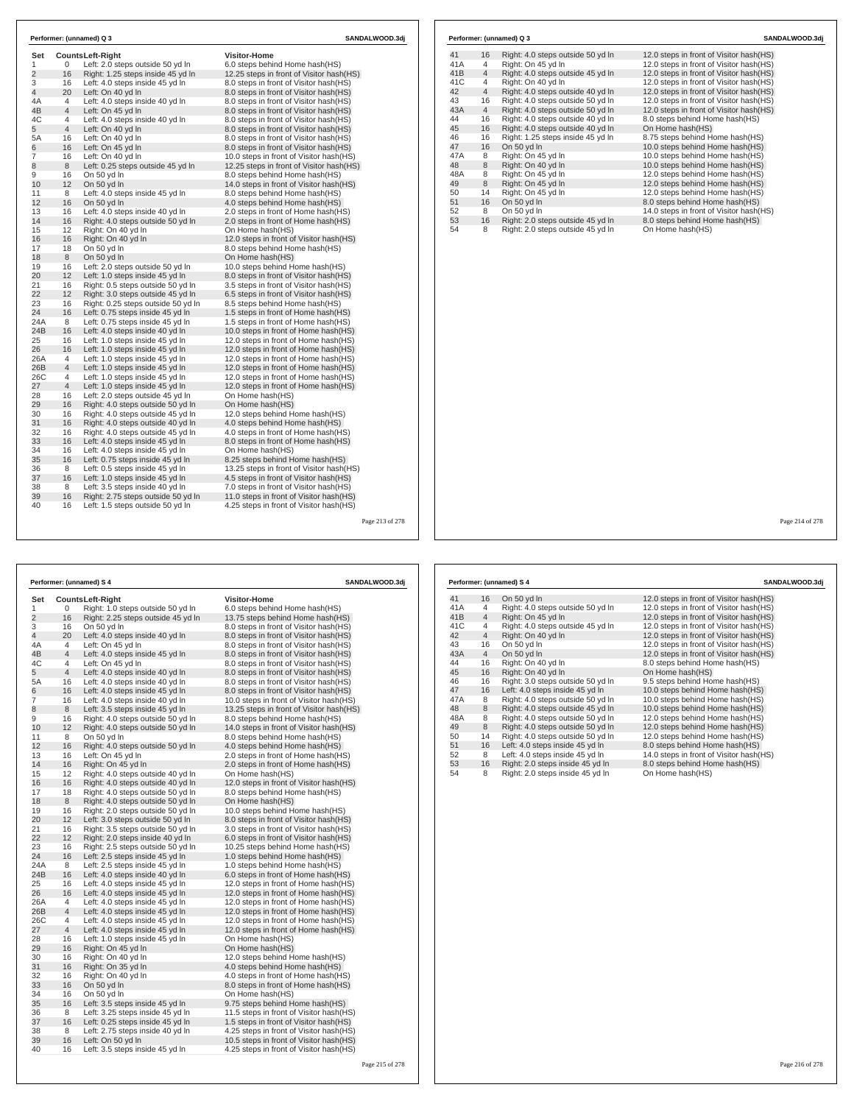| Set            |                | <b>CountsLeft-Right</b>                                            | <b>Visitor-Home</b>                                                          |
|----------------|----------------|--------------------------------------------------------------------|------------------------------------------------------------------------------|
| 1              | 0              | Left: 2.0 steps outside 50 yd In                                   | 6.0 steps behind Home hash(HS)                                               |
| $\overline{2}$ | 16             | Right: 1.25 steps inside 45 yd In                                  | 12.25 steps in front of Visitor hash(HS)                                     |
| 3              | 16             | Left: 4.0 steps inside 45 yd In                                    | 8.0 steps in front of Visitor hash (HS)                                      |
| 4              | 20             | Left: On 40 yd In                                                  | 8.0 steps in front of Visitor hash(HS)                                       |
| 4A             | 4              | Left: 4.0 steps inside 40 yd In                                    | 8.0 steps in front of Visitor hash (HS)                                      |
| 4B             | $\overline{4}$ | Left: On 45 yd In                                                  | 8.0 steps in front of Visitor hash(HS)                                       |
| 4C             | 4              | Left: 4.0 steps inside 40 yd In                                    | 8.0 steps in front of Visitor hash (HS)                                      |
| 5              | $\overline{4}$ | Left: On 40 yd In                                                  | 8.0 steps in front of Visitor hash(HS)                                       |
| 5A             | 16             | Left: On 40 yd In                                                  | 8.0 steps in front of Visitor hash(HS)                                       |
| 6              | 16             | Left: On 45 vd In                                                  | 8.0 steps in front of Visitor hash(HS)                                       |
| 7              | 16             | Left: On 40 yd In                                                  | 10.0 steps in front of Visitor hash(HS)                                      |
| 8              | 8              | Left: 0.25 steps outside 45 yd In                                  | 12.25 steps in front of Visitor hash (HS)                                    |
| 9              | 16             | On 50 yd In                                                        | 8.0 steps behind Home hash(HS)                                               |
| 10             | 12             | On 50 yd In                                                        | 14.0 steps in front of Visitor hash (HS)                                     |
| 11             | 8              | Left: 4.0 steps inside 45 yd In                                    | 8.0 steps behind Home hash(HS)                                               |
| 12             | 16             | On 50 yd In                                                        | 4.0 steps behind Home hash(HS)                                               |
| 13             | 16             | Left: 4.0 steps inside 40 yd In                                    | 2.0 steps in front of Home hash(HS)                                          |
| 14             | 16             | Right: 4.0 steps outside 50 yd In                                  | 2.0 steps in front of Home hash (HS)                                         |
| 15             | 12             | Right: On 40 vd In                                                 | On Home hash(HS)                                                             |
| 16             | 16             | Right: On 40 yd In                                                 | 12.0 steps in front of Visitor hash(HS)                                      |
| 17             | 18             | On 50 yd In                                                        | 8.0 steps behind Home hash(HS)                                               |
| 18             | 8              | On 50 yd In                                                        | On Home hash(HS)                                                             |
| 19             | 16             | Left: 2.0 steps outside 50 yd In                                   | 10.0 steps behind Home hash(HS)                                              |
| 20             | 12             | Left: 1.0 steps inside 45 yd In                                    | 8.0 steps in front of Visitor hash(HS)                                       |
| 21             | 16             | Right: 0.5 steps outside 50 yd In                                  | 3.5 steps in front of Visitor hash(HS)                                       |
| 22             | 12             | Right: 3.0 steps outside 45 yd In                                  | 6.5 steps in front of Visitor hash (HS)                                      |
| 23<br>24       | 16<br>16       | Right: 0.25 steps outside 50 yd In                                 | 8.5 steps behind Home hash(HS)                                               |
| 24A            | 8              | Left: 0.75 steps inside 45 yd In                                   | 1.5 steps in front of Home hash(HS)                                          |
| 24B            |                | Left: 0.75 steps inside 45 yd In                                   | 1.5 steps in front of Home hash(HS)                                          |
| 25             | 16<br>16       | Left: 4.0 steps inside 40 yd In<br>Left: 1.0 steps inside 45 yd In | 10.0 steps in front of Home hash(HS)<br>12.0 steps in front of Home hash(HS) |
| 26             | 16             | Left: 1.0 steps inside 45 yd In                                    | 12.0 steps in front of Home hash(HS)                                         |
| 26A            | 4              | Left: 1.0 steps inside 45 vd In                                    | 12.0 steps in front of Home hash(HS)                                         |
| 26B            | $\overline{4}$ | Left: 1.0 steps inside 45 yd In                                    | 12.0 steps in front of Home hash(HS)                                         |
| 26C            | 4              | Left: 1.0 steps inside 45 yd In                                    | 12.0 steps in front of Home hash(HS)                                         |
| 27             | 4              | Left: 1.0 steps inside 45 yd In                                    | 12.0 steps in front of Home hash(HS)                                         |
| 28             | 16             | Left: 2.0 steps outside 45 yd In                                   | On Home hash(HS)                                                             |
| 29             | 16             | Right: 4.0 steps outside 50 yd In                                  | On Home hash(HS)                                                             |
| 30             | 16             | Right: 4.0 steps outside 45 yd In                                  | 12.0 steps behind Home hash(HS)                                              |
| 31             | 16             | Right: 4.0 steps outside 40 yd In                                  | 4.0 steps behind Home hash (HS)                                              |
| 32             | 16             | Right: 4.0 steps outside 45 yd In                                  | 4.0 steps in front of Home hash(HS)                                          |
| 33             | 16             | Left: 4.0 steps inside 45 yd In                                    | 8.0 steps in front of Home hash(HS)                                          |
| 34             | 16             | Left: 4.0 steps inside 45 yd In                                    | On Home hash(HS)                                                             |
| 35             | 16             | Left: 0.75 steps inside 45 yd In                                   | 8.25 steps behind Home hash (HS)                                             |
| 36             | 8              | Left: 0.5 steps inside 45 yd In                                    | 13.25 steps in front of Visitor hash(HS)                                     |
| 37             | 16             | Left: 1.0 steps inside 45 yd In                                    | 4.5 steps in front of Visitor hash (HS)                                      |
| 38             | 8              | Left: 3.5 steps inside 40 yd In                                    | 7.0 steps in front of Visitor hash(HS)                                       |
| 39             | 16             | Right: 2.75 steps outside 50 yd In                                 | 11.0 steps in front of Visitor hash(HS)                                      |
| 40             | 16             | Left: 1.5 steps outside 50 yd In                                   | 4.25 steps in front of Visitor hash(HS)                                      |

|     |                | Performer: (unnamed) Q 3          | SANDALWOOD.3di                           |
|-----|----------------|-----------------------------------|------------------------------------------|
| 41  | 16             | Right: 4.0 steps outside 50 yd In | 12.0 steps in front of Visitor hash (HS) |
| 41A | 4              | Right: On 45 yd In                | 12.0 steps in front of Visitor hash (HS) |
| 41B | $\overline{4}$ | Right: 4.0 steps outside 45 yd In | 12.0 steps in front of Visitor hash(HS)  |
| 41C | 4              | Right: On 40 yd In                | 12.0 steps in front of Visitor hash(HS)  |
| 42  | $\overline{4}$ | Right: 4.0 steps outside 40 yd In | 12.0 steps in front of Visitor hash(HS)  |
| 43  | 16             | Right: 4.0 steps outside 50 yd In | 12.0 steps in front of Visitor hash(HS)  |
| 43A | $\overline{4}$ | Right: 4.0 steps outside 50 yd In | 12.0 steps in front of Visitor hash(HS)  |
| 44  | 16             | Right: 4.0 steps outside 40 yd In | 8.0 steps behind Home hash(HS)           |
| 45  | 16             | Right: 4.0 steps outside 40 yd In | On Home hash(HS)                         |
| 46  | 16             | Right: 1.25 steps inside 45 yd In | 8.75 steps behind Home hash(HS)          |
| 47  | 16             | On 50 yd In                       | 10.0 steps behind Home hash(HS)          |
| 47A | 8              | Right: On 45 yd In                | 10.0 steps behind Home hash(HS)          |
| 48  | 8              | Right: On 40 yd In                | 10.0 steps behind Home hash(HS)          |
| 48A | 8              | Right: On 45 yd In                | 12.0 steps behind Home hash(HS)          |
| 49  | 8              | Right: On 45 yd In                | 12.0 steps behind Home hash(HS)          |
| 50  | 14             | Right: On 45 yd In                | 12.0 steps behind Home hash(HS)          |
| 51  | 16             | On 50 yd In                       | 8.0 steps behind Home hash(HS)           |
| 52  | 8              | On 50 yd In                       | 14.0 steps in front of Visitor hash(HS)  |
| 53  | 16             | Right: 2.0 steps outside 45 yd In | 8.0 steps behind Home hash(HS)           |
| 54  | 8              | Right: 2.0 steps outside 45 yd In | On Home hash(HS)                         |

### Page 214 of 278

| Performer: (unnamed) S 4 |                |                                    | SANDALWOOD.3dj                            |                 |  |
|--------------------------|----------------|------------------------------------|-------------------------------------------|-----------------|--|
| Set                      |                | <b>CountsLeft-Right</b>            | <b>Visitor-Home</b>                       |                 |  |
| 1                        | 0              | Right: 1.0 steps outside 50 yd In  | 6.0 steps behind Home hash(HS)            |                 |  |
| 2                        | 16             | Right: 2.25 steps outside 45 yd In | 13.75 steps behind Home hash(HS)          |                 |  |
| 3                        | 16             | On 50 yd In                        | 8.0 steps in front of Visitor hash (HS)   |                 |  |
| 4                        | 20             | Left: 4.0 steps inside 40 yd In    | 8.0 steps in front of Visitor hash(HS)    |                 |  |
| 4A                       | $\overline{4}$ | Left: On 45 yd In                  | 8.0 steps in front of Visitor hash(HS)    |                 |  |
| 4B                       | $\overline{4}$ | Left: 4.0 steps inside 45 yd In    | 8.0 steps in front of Visitor hash(HS)    |                 |  |
| 4C                       | 4              | Left: On 45 yd In                  | 8.0 steps in front of Visitor hash (HS)   |                 |  |
| 5                        | $\overline{4}$ | Left: 4.0 steps inside 40 yd In    | 8.0 steps in front of Visitor hash(HS)    |                 |  |
| 5A                       | 16             | Left: 4.0 steps inside 40 yd In    | 8.0 steps in front of Visitor hash (HS)   |                 |  |
| 6                        | 16             | Left: 4.0 steps inside 45 vd In    | 8.0 steps in front of Visitor hash (HS)   |                 |  |
| $\overline{7}$           | 16             | Left: 4.0 steps inside 40 yd In    | 10.0 steps in front of Visitor hash(HS)   |                 |  |
| 8                        | 8              | Left: 3.5 steps inside 45 vd In    | 13.25 steps in front of Visitor hash (HS) |                 |  |
| 9                        | 16             | Right: 4.0 steps outside 50 yd In  | 8.0 steps behind Home hash(HS)            |                 |  |
| 10                       | 12             | Right: 4.0 steps outside 50 yd In  | 14.0 steps in front of Visitor hash (HS)  |                 |  |
| 11                       | 8              | On 50 yd In                        | 8.0 steps behind Home hash(HS)            |                 |  |
| 12                       | 16             | Right: 4.0 steps outside 50 yd In  | 4.0 steps behind Home hash (HS)           |                 |  |
| 13                       | 16             | Left: On 45 yd In                  | 2.0 steps in front of Home hash(HS)       |                 |  |
| 14                       | 16             | Right: On 45 yd In                 | 2.0 steps in front of Home hash(HS)       |                 |  |
| 15                       | 12             | Right: 4.0 steps outside 40 yd In  | On Home hash(HS)                          |                 |  |
| 16                       | 16             | Right: 4.0 steps outside 40 yd In  | 12.0 steps in front of Visitor hash(HS)   |                 |  |
| 17                       | 18             | Right: 4.0 steps outside 50 yd In  | 8.0 steps behind Home hash(HS)            |                 |  |
| 18                       | 8              | Right: 4.0 steps outside 50 yd In  | On Home hash(HS)                          |                 |  |
| 19                       | 16             | Right: 2.0 steps outside 50 yd In  | 10.0 steps behind Home hash(HS)           |                 |  |
| 20                       | 12             | Left: 3.0 steps outside 50 yd In   | 8.0 steps in front of Visitor hash(HS)    |                 |  |
| 21                       | 16             | Right: 3.5 steps outside 50 yd In  | 3.0 steps in front of Visitor hash (HS)   |                 |  |
| 22                       | 12             | Right: 2.0 steps inside 40 yd In   | 6.0 steps in front of Visitor hash (HS)   |                 |  |
| 23                       | 16             | Right: 2.5 steps outside 50 yd In  | 10.25 steps behind Home hash(HS)          |                 |  |
| 24                       | 16             | Left: 2.5 steps inside 45 yd In    | 1.0 steps behind Home hash(HS)            |                 |  |
| 24A                      | 8              | Left: 2.5 steps inside 45 yd In    | 1.0 steps behind Home hash(HS)            |                 |  |
| 24B                      | 16             | Left: 4.0 steps inside 40 yd In    | 6.0 steps in front of Home hash (HS)      |                 |  |
| 25                       | 16             | Left: 4.0 steps inside 45 yd In    | 12.0 steps in front of Home hash(HS)      |                 |  |
| 26                       | 16             | Left: 4.0 steps inside 45 yd In    | 12.0 steps in front of Home hash(HS)      |                 |  |
| 26A                      | $\overline{4}$ | Left: 4.0 steps inside 45 yd In    | 12.0 steps in front of Home hash(HS)      |                 |  |
| 26B                      | $\overline{4}$ | Left: 4.0 steps inside 45 yd In    | 12.0 steps in front of Home hash(HS)      |                 |  |
| 26C                      | 4              | Left: 4.0 steps inside 45 yd In    | 12.0 steps in front of Home hash(HS)      |                 |  |
| 27                       | $\overline{4}$ | Left: 4.0 steps inside 45 yd In    | 12.0 steps in front of Home hash(HS)      |                 |  |
| 28                       | 16             | Left: 1.0 steps inside 45 yd In    | On Home hash(HS)                          |                 |  |
| 29                       | 16             | Right: On 45 yd In                 | On Home hash(HS)                          |                 |  |
| 30                       | 16             | Right: On 40 yd In                 | 12.0 steps behind Home hash(HS)           |                 |  |
| 31                       | 16             | Right: On 35 yd In                 | 4.0 steps behind Home hash (HS)           |                 |  |
| 32                       | 16             | Right: On 40 yd In                 | 4.0 steps in front of Home hash (HS)      |                 |  |
| 33                       | 16             | On 50 yd In                        | 8.0 steps in front of Home hash(HS)       |                 |  |
| 34                       | 16             | On 50 yd In                        | On Home hash(HS)                          |                 |  |
| 35                       | 16             | Left: 3.5 steps inside 45 yd In    | 9.75 steps behind Home hash(HS)           |                 |  |
| 36                       | 8              | Left: 3.25 steps inside 45 yd In   | 11.5 steps in front of Visitor hash (HS)  |                 |  |
| 37                       | 16             | Left: 0.25 steps inside 45 yd In   | 1.5 steps in front of Visitor hash(HS)    |                 |  |
| 38                       | 8              | Left: 2.75 steps inside 40 yd In   | 4.25 steps in front of Visitor hash (HS)  |                 |  |
| 39                       | 16             | Left: On 50 yd In                  | 10.5 steps in front of Visitor hash(HS)   |                 |  |
| 40                       | 16             | Left: 3.5 steps inside 45 yd In    | 4.25 steps in front of Visitor hash(HS)   |                 |  |
|                          |                |                                    |                                           | Page 215 of 278 |  |

|     |                | Performer: (unnamed) S 4          | SANDALWOOD.3dj                           |
|-----|----------------|-----------------------------------|------------------------------------------|
| 41  | 16             | On 50 yd In                       | 12.0 steps in front of Visitor hash (HS) |
| 41A | 4              | Right: 4.0 steps outside 50 yd In | 12.0 steps in front of Visitor hash(HS)  |
| 41B | $\overline{4}$ | Right: On 45 yd In                | 12.0 steps in front of Visitor hash(HS)  |
| 41C | 4              | Right: 4.0 steps outside 45 yd In | 12.0 steps in front of Visitor hash(HS)  |
| 42  | $\overline{4}$ | Right: On 40 vd In                | 12.0 steps in front of Visitor hash(HS)  |
| 43  | 16             | On 50 yd In                       | 12.0 steps in front of Visitor hash(HS)  |
| 43A | $\overline{4}$ | On 50 yd In                       | 12.0 steps in front of Visitor hash(HS)  |
| 44  | 16             | Right: On 40 yd In                | 8.0 steps behind Home hash(HS)           |
| 45  | 16             | Right: On 40 yd In                | On Home hash(HS)                         |
| 46  | 16             | Right: 3.0 steps outside 50 yd In | 9.5 steps behind Home hash(HS)           |
| 47  | 16             | Left: 4.0 steps inside 45 yd In   | 10.0 steps behind Home hash(HS)          |
| 47A | 8              | Right: 4.0 steps outside 50 yd In | 10.0 steps behind Home hash(HS)          |
| 48  | 8              | Right: 4.0 steps outside 45 yd In | 10.0 steps behind Home hash(HS)          |
| 48A | 8              | Right: 4.0 steps outside 50 yd In | 12.0 steps behind Home hash(HS)          |
| 49  | 8              | Right: 4.0 steps outside 50 yd In | 12.0 steps behind Home hash(HS)          |
| 50  | 14             | Right: 4.0 steps outside 50 yd In | 12.0 steps behind Home hash(HS)          |
| 51  | 16             | Left: 4.0 steps inside 45 yd In   | 8.0 steps behind Home hash(HS)           |
| 52  | 8              | Left: 4.0 steps inside 45 yd In   | 14.0 steps in front of Visitor hash(HS)  |
| 53  | 16             | Right: 2.0 steps inside 45 yd In  | 8.0 steps behind Home hash(HS)           |
| 54  | 8              | Right: 2.0 steps inside 45 yd In  | On Home hash(HS)                         |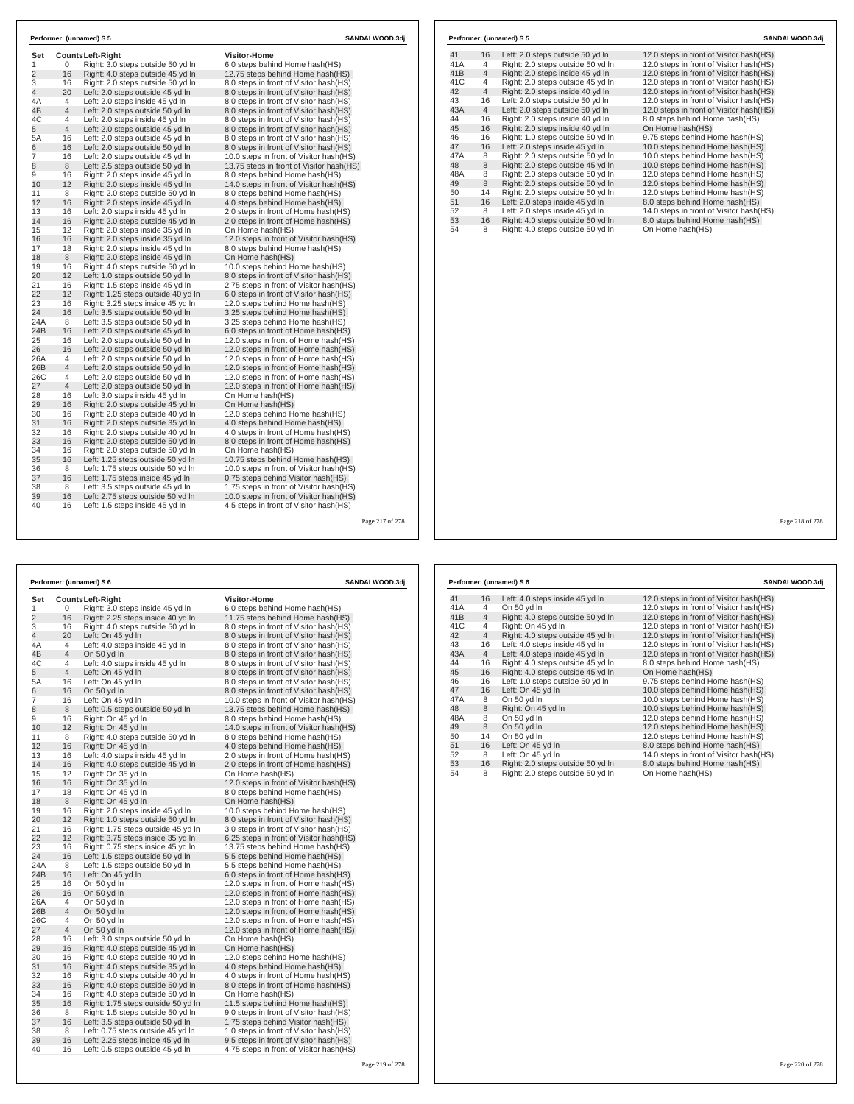| Set            |                | Counts Left-Right                                                     | Visitor-Home                                                       |  |
|----------------|----------------|-----------------------------------------------------------------------|--------------------------------------------------------------------|--|
| 1              | 0              | Right: 3.0 steps outside 50 yd In                                     | 6.0 steps behind Home hash(HS)                                     |  |
| $\overline{2}$ | 16             | Right: 4.0 steps outside 45 yd In                                     | 12.75 steps behind Home hash(HS)                                   |  |
| 3              | 16             | Right: 2.0 steps outside 50 yd In                                     | 8.0 steps in front of Visitor hash(HS)                             |  |
| $\overline{4}$ | 20             | Left: 2.0 steps outside 45 yd In                                      | 8.0 steps in front of Visitor hash(HS)                             |  |
| 4A             | $\overline{4}$ | Left: 2.0 steps inside 45 yd In                                       | 8.0 steps in front of Visitor hash(HS)                             |  |
| 4B             | $\overline{4}$ | Left: 2.0 steps outside 50 yd In                                      | 8.0 steps in front of Visitor hash(HS)                             |  |
| 4C             | 4              | Left: 2.0 steps inside 45 yd In                                       | 8.0 steps in front of Visitor hash(HS)                             |  |
| 5              | $\overline{4}$ | Left: 2.0 steps outside 45 yd In                                      | 8.0 steps in front of Visitor hash(HS)                             |  |
| 5A             | 16             | Left: 2.0 steps outside 45 yd In                                      | 8.0 steps in front of Visitor hash(HS)                             |  |
| 6              | 16             | Left: 2.0 steps outside 50 yd In                                      | 8.0 steps in front of Visitor hash(HS)                             |  |
| 7              | 16             | Left: 2.0 steps outside 45 yd In                                      | 10.0 steps in front of Visitor hash (HS)                           |  |
| 8              | 8              | Left: 2.5 steps outside 50 yd In                                      | 13.75 steps in front of Visitor hash (HS)                          |  |
| 9              | 16             | Right: 2.0 steps inside 45 yd In                                      | 8.0 steps behind Home hash(HS)                                     |  |
| 10             | 12             | Right: 2.0 steps inside 45 yd In                                      | 14.0 steps in front of Visitor hash (HS)                           |  |
| 11             | 8              | Right: 2.0 steps outside 50 yd In                                     | 8.0 steps behind Home hash(HS)                                     |  |
| 12             | 16             | Right: 2.0 steps inside 45 yd In                                      | 4.0 steps behind Home hash(HS)                                     |  |
| 13             | 16<br>16       | Left: 2.0 steps inside 45 yd In                                       | 2.0 steps in front of Home hash(HS)                                |  |
| 14             |                | Right: 2.0 steps outside 45 yd In                                     | 2.0 steps in front of Home hash(HS)                                |  |
| 15             | 12             | Right: 2.0 steps inside 35 yd In                                      | On Home hash(HS)                                                   |  |
| 16<br>17       | 16             | Right: 2.0 steps inside 35 yd In                                      | 12.0 steps in front of Visitor hash(HS)                            |  |
|                | 18             | Right: 2.0 steps inside 45 yd In                                      | 8.0 steps behind Home hash(HS)                                     |  |
| 18             | 8              | Right: 2.0 steps inside 45 yd In                                      | On Home hash(HS)                                                   |  |
| 19<br>20       | 16<br>12       | Right: 4.0 steps outside 50 yd In                                     | 10.0 steps behind Home hash(HS)                                    |  |
|                |                | Left: 1.0 steps outside 50 yd In                                      | 8.0 steps in front of Visitor hash(HS)                             |  |
| 21<br>22       | 16<br>12       | Right: 1.5 steps inside 45 yd In                                      | 2.75 steps in front of Visitor hash(HS)                            |  |
| 23             | 16             | Right: 1.25 steps outside 40 yd In                                    | 6.0 steps in front of Visitor hash(HS)                             |  |
| 24             | 16             | Right: 3.25 steps inside 45 yd In<br>Left: 3.5 steps outside 50 yd In | 12.0 steps behind Home hash(HS)<br>3.25 steps behind Home hash(HS) |  |
| 24A            | 8              | Left: 3.5 steps outside 50 yd In                                      | 3.25 steps behind Home hash(HS)                                    |  |
| 24B            | 16             |                                                                       | 6.0 steps in front of Home hash(HS)                                |  |
| 25             | 16             | Left: 2.0 steps outside 45 yd In<br>Left: 2.0 steps outside 50 yd In  | 12.0 steps in front of Home hash (HS)                              |  |
| 26             | 16             | Left: 2.0 steps outside 50 yd In                                      | 12.0 steps in front of Home hash(HS)                               |  |
| 26A            | 4              | Left: 2.0 steps outside 50 yd In                                      | 12.0 steps in front of Home hash(HS)                               |  |
| 26B            | $\overline{4}$ | Left: 2.0 steps outside 50 yd In                                      | 12.0 steps in front of Home hash(HS)                               |  |
| 26C            | 4              | Left: 2.0 steps outside 50 yd In                                      | 12.0 steps in front of Home hash (HS)                              |  |
| 27             | $\overline{4}$ | Left: 2.0 steps outside 50 yd In                                      | 12.0 steps in front of Home hash(HS)                               |  |
| 28             | 16             | Left: 3.0 steps inside 45 yd In                                       | On Home hash(HS)                                                   |  |
| 29             | 16             | Right: 2.0 steps outside 45 yd In                                     | On Home hash(HS)                                                   |  |
| 30             | 16             | Right: 2.0 steps outside 40 yd In                                     | 12.0 steps behind Home hash(HS)                                    |  |
| 31             | 16             | Right: 2.0 steps outside 35 yd In                                     | 4.0 steps behind Home hash(HS)                                     |  |
| 32             | 16             | Right: 2.0 steps outside 40 yd In                                     | 4.0 steps in front of Home hash(HS)                                |  |
| 33             | 16             | Right: 2.0 steps outside 50 yd In                                     | 8.0 steps in front of Home hash(HS)                                |  |
| 34             | 16             | Right: 2.0 steps outside 50 yd In                                     | On Home hash(HS)                                                   |  |
| 35             | 16             | Left: 1.25 steps outside 50 yd In                                     | 10.75 steps behind Home hash(HS)                                   |  |
| 36             | 8              | Left: 1.75 steps outside 50 yd In                                     | 10.0 steps in front of Visitor hash(HS)                            |  |
| 37             | 16             | Left: 1.75 steps inside 45 yd In                                      | 0.75 steps behind Visitor hash(HS)                                 |  |
| 38             | 8              | Left: 3.5 steps outside 45 yd In                                      | 1.75 steps in front of Visitor hash(HS)                            |  |
| 39             | 16             | Left: 2.75 steps outside 50 yd In                                     | 10.0 steps in front of Visitor hash(HS)                            |  |
|                |                |                                                                       |                                                                    |  |

30 16 Right: 4.0 steps outside 40 yd ln 12.0 steps behind Home hash(HS)

34 16 Right: 4.0 steps outside 50 yd ln On Home hash(HS)

27 4 On 50 yd ln 12.0 steps in front of Home hash(HS)<br>
28 16 Left: 3.0 steps outside 50 yd ln On Home hash(HS)

31 16 Right: 4.0 steps outside 35 yd ln 4.0 steps behind Home hash(HS) 32 16 Right: 4.0 steps outside 40 yd ln 4.0 steps in front of Home hash(HS) 33 16 Right: 4.0 steps outside 50 yd ln 8.0 steps in front of Home hash(HS)<br>34 16 Right: 4.0 steps outside 50 yd ln 9.0 steps in front of Home hash(HS)<br>35 16 Right: 1.75 steps outside 50 yd ln 11.5 steps behind Home hash(H

35 16 Right: 1.75 steps outside 50 yd ln 11.5 steps behind Home hash(HS) 36 8 Right: 1.5 steps outside 50 yd ln 9.0 steps in front of Visitor hash(HS) 37 16 Left: 3.5 steps outside 50 yd ln 1.75 steps behind Visitor hash(HS) 38 8 Left: 0.75 steps outside 45 yd ln 1.0 steps in front of Visitor hash(HS) 39 16 Left: 2.25 steps inside 45 yd ln 9.5 steps in front of Visitor hash(HS) 40 16 Left: 0.5 steps outside 45 yd ln 4.75 steps in front of Visitor hash(HS)

29 16 Right: 4.0 steps outside 45 yd In On Home hash(HS)<br>1901 16 Right: 4.0 steps outside 40 yd In 12.0 steps behind Home hash(HS)<br>11 16 Right: 4.0 steps outside 35 yd In 1.0 steps behind Home hash(HS)

28 16 Left: 3.0 steps outside 50 yd ln On Home hash(HS)

|     |                | Performer: (unnamed) S 5          | SANDALWOOD.3di                           |
|-----|----------------|-----------------------------------|------------------------------------------|
| 41  | 16             | Left: 2.0 steps outside 50 yd In  | 12.0 steps in front of Visitor hash (HS) |
| 41A | 4              | Right: 2.0 steps outside 50 yd In | 12.0 steps in front of Visitor hash (HS) |
| 41B | $\overline{4}$ | Right: 2.0 steps inside 45 yd In  | 12.0 steps in front of Visitor hash(HS)  |
| 41C | 4              | Right: 2.0 steps outside 45 yd In | 12.0 steps in front of Visitor hash(HS)  |
| 42  | $\overline{4}$ | Right: 2.0 steps inside 40 yd In  | 12.0 steps in front of Visitor hash(HS)  |
| 43  | 16             | Left: 2.0 steps outside 50 yd In  | 12.0 steps in front of Visitor hash(HS)  |
| 43A | $\overline{4}$ | Left: 2.0 steps outside 50 yd In  | 12.0 steps in front of Visitor hash(HS)  |
| 44  | 16             | Right: 2.0 steps inside 40 yd In  | 8.0 steps behind Home hash(HS)           |
| 45  | 16             | Right: 2.0 steps inside 40 yd In  | On Home hash(HS)                         |
| 46  | 16             | Right: 1.0 steps outside 50 yd In | 9.75 steps behind Home hash(HS)          |
| 47  | 16             | Left: 2.0 steps inside 45 yd In   | 10.0 steps behind Home hash(HS)          |
| 47A | 8              | Right: 2.0 steps outside 50 yd In | 10.0 steps behind Home hash(HS)          |
| 48  | 8              | Right: 2.0 steps outside 45 yd In | 10.0 steps behind Home hash(HS)          |
| 48A | 8              | Right: 2.0 steps outside 50 yd In | 12.0 steps behind Home hash(HS)          |
| 49  | 8              | Right: 2.0 steps outside 50 yd In | 12.0 steps behind Home hash(HS)          |
| 50  | 14             | Right: 2.0 steps outside 50 yd In | 12.0 steps behind Home hash(HS)          |
| 51  | 16             | Left: 2.0 steps inside 45 yd In   | 8.0 steps behind Home hash(HS)           |
| 52  | 8              | Left: 2.0 steps inside 45 yd In   | 14.0 steps in front of Visitor hash(HS)  |
| 53  | 16             | Right: 4.0 steps outside 50 yd In | 8.0 steps behind Home hash(HS)           |
| 54  | 8              | Right: 4.0 steps outside 50 yd In | On Home hash(HS)                         |
|     |                |                                   |                                          |
|     |                |                                   |                                          |

٦  $\Gamma$ 

|                |                         | Performer: (unnamed) S 6           | SANDALWOOD.3dj                          |     |                | Performer: (unnamed) S 6 |
|----------------|-------------------------|------------------------------------|-----------------------------------------|-----|----------------|--------------------------|
| Set            | <b>CountsLeft-Right</b> |                                    | <b>Visitor-Home</b>                     | 41  | 16             | Left: 4.0 steps inside   |
| 1              | 0                       | Right: 3.0 steps inside 45 yd In   | 6.0 steps behind Home hash (HS)         | 41A | $\overline{4}$ | On 50 yd In              |
| 2              | 16                      | Right: 2.25 steps inside 40 yd In  | 11.75 steps behind Home hash (HS)       | 41B | 4              | Right: 4.0 steps out:    |
| 3              | 16                      | Right: 4.0 steps outside 50 yd In  | 8.0 steps in front of Visitor hash(HS)  | 41C | $\overline{4}$ | Right: On 45 yd In       |
| 4              | 20                      | Left: On 45 yd In                  | 8.0 steps in front of Visitor hash (HS) | 42  | $\overline{4}$ | Right: 4.0 steps out:    |
| 4A             | 4                       | Left: 4.0 steps inside 45 yd In    | 8.0 steps in front of Visitor hash (HS) | 43  | 16             | Left: 4.0 steps inside   |
| 4B             | 4                       | On 50 yd In                        | 8.0 steps in front of Visitor hash (HS) | 43A | $\overline{4}$ | Left: 4.0 steps inside   |
| 4C             | 4                       | Left: 4.0 steps inside 45 yd In    | 8.0 steps in front of Visitor hash(HS)  | 44  | 16             | Right: 4.0 steps out:    |
| 5              | 4                       | Left: On 45 yd In                  | 8.0 steps in front of Visitor hash(HS)  | 45  | 16             | Right: 4.0 steps out:    |
| 5A             | 16                      | Left: On 45 yd In                  | 8.0 steps in front of Visitor hash (HS) | 46  | 16             | Left: 1.0 steps outsi    |
| 6              | 16                      | On 50 yd In                        | 8.0 steps in front of Visitor hash(HS)  | 47  | 16             | Left: On 45 yd In        |
| $\overline{7}$ | 16                      | Left: On 45 yd In                  | 10.0 steps in front of Visitor hash(HS) | 47A | 8              | On 50 yd In              |
| 8              | 8                       | Left: 0.5 steps outside 50 yd In   | 13.75 steps behind Home hash (HS)       | 48  | 8              | Right: On 45 yd In       |
| 9              | 16                      | Right: On 45 yd In                 | 8.0 steps behind Home hash(HS)          | 48A | 8              | On 50 yd In              |
| 10             | 12                      | Right: On 45 yd In                 | 14.0 steps in front of Visitor hash(HS) | 49  | 8              | On 50 yd In              |
| 11             | 8                       | Right: 4.0 steps outside 50 yd In  | 8.0 steps behind Home hash(HS)          | 50  | 14             | On 50 yd In              |
| 12             | 16                      | Right: On 45 yd In                 | 4.0 steps behind Home hash (HS)         | 51  | 16             | Left: On 45 yd In        |
| 13             | 16                      | Left: 4.0 steps inside 45 yd In    | 2.0 steps in front of Home hash(HS)     | 52  | 8              | Left: On 45 yd In        |
| 14             | 16                      | Right: 4.0 steps outside 45 yd In  | 2.0 steps in front of Home hash(HS)     | 53  | 16             | Right: 2.0 steps out:    |
| 15             | 12                      | Right: On 35 yd In                 | On Home hash(HS)                        | 54  | 8              | Right: 2.0 steps out:    |
| 16             | 16                      | Right: On 35 yd In                 | 12.0 steps in front of Visitor hash(HS) |     |                |                          |
| 17             | 18                      | Right: On 45 yd In                 | 8.0 steps behind Home hash(HS)          |     |                |                          |
| 18             | 8                       | Right: On 45 yd In                 | On Home hash(HS)                        |     |                |                          |
| 19             | 16                      | Right: 2.0 steps inside 45 yd In   | 10.0 steps behind Home hash(HS)         |     |                |                          |
| 20             | 12                      | Right: 1.0 steps outside 50 yd In  | 8.0 steps in front of Visitor hash(HS)  |     |                |                          |
| 21             | 16                      | Right: 1.75 steps outside 45 yd In | 3.0 steps in front of Visitor hash (HS) |     |                |                          |
| 22             | 12                      | Right: 3.75 steps inside 35 yd In  | 6.25 steps in front of Visitor hash(HS) |     |                |                          |
| 23             | 16                      | Right: 0.75 steps inside 45 yd In  | 13.75 steps behind Home hash(HS)        |     |                |                          |
| 24             | 16                      | Left: 1.5 steps outside 50 yd In   | 5.5 steps behind Home hash(HS)          |     |                |                          |
| 24A            | 8                       | Left: 1.5 steps outside 50 yd In   | 5.5 steps behind Home hash(HS)          |     |                |                          |
| 24B            | 16                      | Left: On 45 yd In                  | 6.0 steps in front of Home hash (HS)    |     |                |                          |
| 25             | 16                      | On 50 yd In                        | 12.0 steps in front of Home hash(HS)    |     |                |                          |
| 26             | 16                      | On 50 yd In                        | 12.0 steps in front of Home hash(HS)    |     |                |                          |
| 26A            | 4                       | On 50 yd In                        | 12.0 steps in front of Home hash(HS)    |     |                |                          |
| 26B            | 4                       | On 50 yd In                        | 12.0 steps in front of Home hash(HS)    |     |                |                          |
| 26C            | 4                       | On 50 yd In                        | 12.0 steps in front of Home hash(HS)    |     |                |                          |

|      |                | Performer: (unnamed) S 6          | SANDALWOOD.3dj                           |
|------|----------------|-----------------------------------|------------------------------------------|
|      |                |                                   |                                          |
| 41   | 16             | Left: 4.0 steps inside 45 yd In   | 12.0 steps in front of Visitor hash (HS) |
| 41 A | 4              | On 50 yd In                       | 12.0 steps in front of Visitor hash(HS)  |
| 41B  | $\overline{4}$ | Right: 4.0 steps outside 50 yd In | 12.0 steps in front of Visitor hash(HS)  |
| 41C  | 4              | Right: On 45 yd In                | 12.0 steps in front of Visitor hash(HS)  |
| 42   | 4              | Right: 4.0 steps outside 45 yd In | 12.0 steps in front of Visitor hash(HS)  |
| 43   | 16             | Left: 4.0 steps inside 45 yd In   | 12.0 steps in front of Visitor hash(HS)  |
| 43A  | 4              | Left: 4.0 steps inside 45 yd In   | 12.0 steps in front of Visitor hash (HS) |
| 44   | 16             | Right: 4.0 steps outside 45 yd In | 8.0 steps behind Home hash(HS)           |
| 45   | 16             | Right: 4.0 steps outside 45 yd In | On Home hash(HS)                         |
| 46   | 16             | Left: 1.0 steps outside 50 vd In  | 9.75 steps behind Home hash(HS)          |
| 47   | 16             | Left: On 45 yd In                 | 10.0 steps behind Home hash(HS)          |
| 47A  | 8              | On 50 yd In                       | 10.0 steps behind Home hash(HS)          |
| 48   | 8              | Right: On 45 yd In                | 10.0 steps behind Home hash(HS)          |
| 48A  | 8              | On 50 yd In                       | 12.0 steps behind Home hash(HS)          |
| 49   | 8              | On 50 vd In                       | 12.0 steps behind Home hash(HS)          |
| 50   | 14             | On 50 yd In                       | 12.0 steps behind Home hash(HS)          |
| 51   | 16             | Left: On 45 yd In                 | 8.0 steps behind Home hash(HS)           |
| 52   | 8              | Left: On 45 yd In                 | 14.0 steps in front of Visitor hash(HS)  |
| 53   | 16             | Right: 2.0 steps outside 50 yd In | 8.0 steps behind Home hash (HS)          |
| 54   | 8              | Right: 2.0 steps outside 50 yd In | On Home hash(HS)                         |
|      |                |                                   |                                          |

Page 218 of 278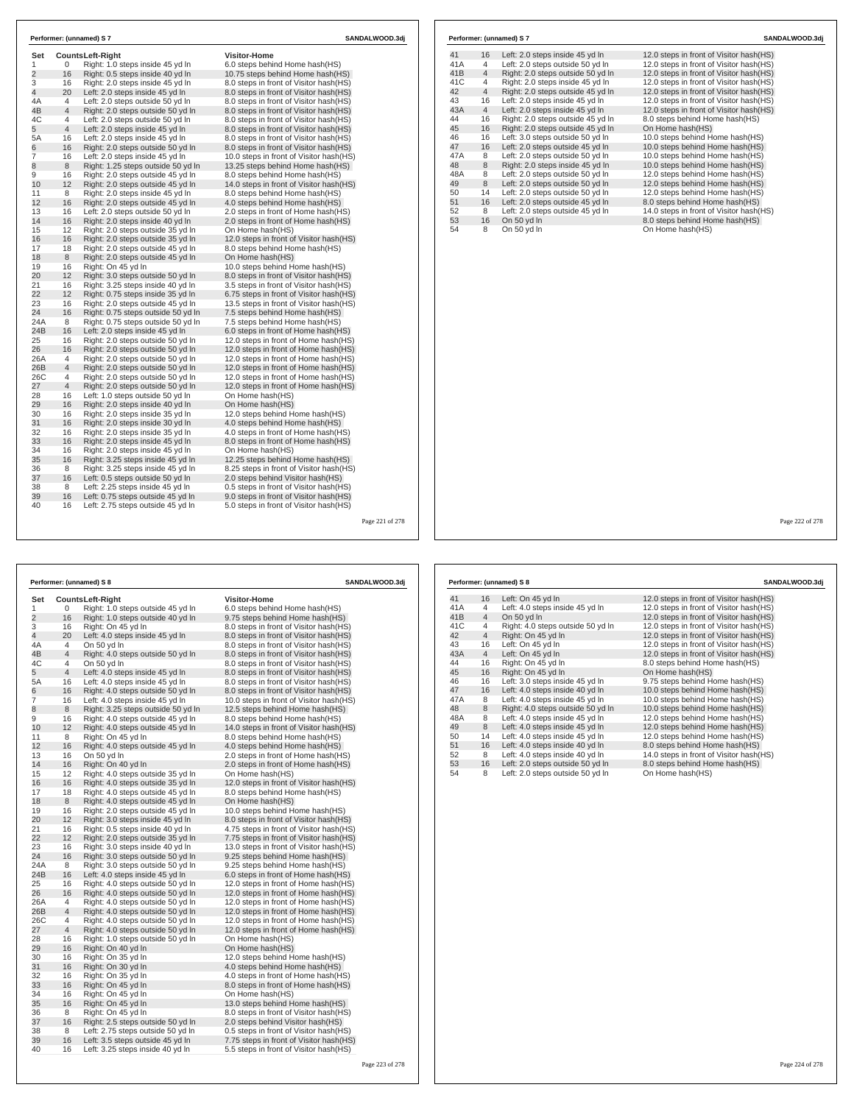| Set            |                | <b>CountsLeft-Right</b>                                                | <b>Visitor-Home</b>                                                               |  |
|----------------|----------------|------------------------------------------------------------------------|-----------------------------------------------------------------------------------|--|
| 1              | 0              | Right: 1.0 steps inside 45 yd In                                       | 6.0 steps behind Home hash(HS)                                                    |  |
| $\overline{2}$ | 16             | Right: 0.5 steps inside 40 yd In                                       | 10.75 steps behind Home hash(HS)                                                  |  |
| 3              | 16             | Right: 2.0 steps inside 45 yd In                                       | 8.0 steps in front of Visitor hash (HS)                                           |  |
| $\overline{4}$ | 20             | Left: 2.0 steps inside 45 yd In                                        | 8.0 steps in front of Visitor hash(HS)                                            |  |
| 4Α             | 4              | Left: 2.0 steps outside 50 yd In                                       | 8.0 steps in front of Visitor hash (HS)                                           |  |
| 4B             | 4              | Right: 2.0 steps outside 50 yd In                                      | 8.0 steps in front of Visitor hash(HS)                                            |  |
| 4C             | 4              | Left: 2.0 steps outside 50 yd In                                       | 8.0 steps in front of Visitor hash (HS)                                           |  |
| 5              | 4              | Left: 2.0 steps inside 45 yd In                                        | 8.0 steps in front of Visitor hash (HS)                                           |  |
| 5A             | 16             | Left: 2.0 steps inside 45 yd In                                        | 8.0 steps in front of Visitor hash(HS)                                            |  |
| 6              | 16             | Right: 2.0 steps outside 50 yd In                                      | 8.0 steps in front of Visitor hash (HS)                                           |  |
| 7              | 16             | Left: 2.0 steps inside 45 yd In                                        | 10.0 steps in front of Visitor hash (HS)                                          |  |
| 8              | 8              | Right: 1.25 steps outside 50 yd In                                     | 13.25 steps behind Home hash(HS)                                                  |  |
| 9              | 16             | Right: 2.0 steps outside 45 yd In                                      | 8.0 steps behind Home hash(HS)                                                    |  |
| 10             | 12             | Right: 2.0 steps outside 45 yd In                                      | 14.0 steps in front of Visitor hash (HS)                                          |  |
| 11             | 8              | Right: 2.0 steps inside 45 yd In                                       | 8.0 steps behind Home hash(HS)                                                    |  |
| 12             | 16             | Right: 2.0 steps outside 45 yd In                                      | 4.0 steps behind Home hash (HS)                                                   |  |
| 13             | 16             | Left: 2.0 steps outside 50 yd In                                       | 2.0 steps in front of Home hash (HS)                                              |  |
| 14             | 16             | Right: 2.0 steps inside 40 yd In                                       | 2.0 steps in front of Home hash(HS)                                               |  |
| 15             | 12             | Right: 2.0 steps outside 35 yd In                                      | On Home hash(HS)                                                                  |  |
| 16             | 16             | Right: 2.0 steps outside 35 yd In                                      | 12.0 steps in front of Visitor hash (HS)                                          |  |
| 17             | 18             | Right: 2.0 steps outside 45 vd In                                      | 8.0 steps behind Home hash(HS)                                                    |  |
| 18             | 8              | Right: 2.0 steps outside 45 yd In                                      | On Home hash(HS)                                                                  |  |
| 19             | 16             | Right: On 45 vd In                                                     | 10.0 steps behind Home hash(HS)                                                   |  |
| 20             | 12             | Right: 3.0 steps outside 50 yd In                                      | 8.0 steps in front of Visitor hash(HS)                                            |  |
| 21             | 16             | Right: 3.25 steps inside 40 yd In                                      | 3.5 steps in front of Visitor hash (HS)                                           |  |
| 22             | 12             | Right: 0.75 steps inside 35 yd In                                      | 6.75 steps in front of Visitor hash (HS)                                          |  |
| 23             | 16             | Right: 2.0 steps outside 45 yd In                                      | 13.5 steps in front of Visitor hash (HS)                                          |  |
| 24             | 16             | Right: 0.75 steps outside 50 yd In                                     | 7.5 steps behind Home hash(HS)                                                    |  |
| 24A            | 8              | Right: 0.75 steps outside 50 yd In                                     | 7.5 steps behind Home hash(HS)                                                    |  |
| 24B            | 16             | Left: 2.0 steps inside 45 yd In                                        | 6.0 steps in front of Home hash (HS)                                              |  |
| 25             | 16             | Right: 2.0 steps outside 50 yd In                                      | 12.0 steps in front of Home hash (HS)                                             |  |
| 26             | 16             | Right: 2.0 steps outside 50 yd In                                      | 12.0 steps in front of Home hash(HS)                                              |  |
| 26A            | 4              | Right: 2.0 steps outside 50 yd In                                      | 12.0 steps in front of Home hash(HS)                                              |  |
| 26B            | 4              | Right: 2.0 steps outside 50 yd In                                      | 12.0 steps in front of Home hash(HS)                                              |  |
| 26C            | 4              | Right: 2.0 steps outside 50 vd In                                      | 12.0 steps in front of Home hash (HS)                                             |  |
| 27             | $\overline{4}$ | Right: 2.0 steps outside 50 yd In                                      | 12.0 steps in front of Home hash(HS)                                              |  |
| 28<br>29       | 16             | Left: 1.0 steps outside 50 yd In                                       | On Home hash(HS)                                                                  |  |
|                | 16             | Right: 2.0 steps inside 40 yd In                                       | On Home hash(HS)                                                                  |  |
| 30             | 16             | Right: 2.0 steps inside 35 yd In                                       | 12.0 steps behind Home hash(HS)                                                   |  |
| 31             | 16             | Right: 2.0 steps inside 30 yd In                                       | 4.0 steps behind Home hash(HS)                                                    |  |
| 32<br>33       | 16<br>16       | Right: 2.0 steps inside 35 yd In                                       | 4.0 steps in front of Home hash (HS)                                              |  |
| 34             | 16             | Right: 2.0 steps inside 45 yd In                                       | 8.0 steps in front of Home hash(HS)                                               |  |
|                |                | Right: 2.0 steps inside 45 yd In                                       | On Home hash(HS)                                                                  |  |
| 35<br>36       | 16<br>8        | Right: 3.25 steps inside 45 yd In                                      | 12.25 steps behind Home hash (HS)                                                 |  |
| 37             | 16             | Right: 3.25 steps inside 45 yd In                                      | 8.25 steps in front of Visitor hash (HS)                                          |  |
| 38             | 8              | Left: 0.5 steps outside 50 yd In<br>Left: 2.25 steps inside 45 vd In   | 2.0 steps behind Visitor hash (HS)                                                |  |
| 39             | 16             |                                                                        | 0.5 steps in front of Visitor hash (HS)                                           |  |
| 40             | 16             | Left: 0.75 steps outside 45 yd In<br>Left: 2.75 steps outside 45 yd In | 9.0 steps in front of Visitor hash(HS)<br>5.0 steps in front of Visitor hash (HS) |  |

| 41  | 16             | Left: 2.0 steps inside 45 yd In   | 12.0 steps in front of Visitor hash (HS) |
|-----|----------------|-----------------------------------|------------------------------------------|
| 41A | $\overline{4}$ | Left: 2.0 steps outside 50 yd In  | 12.0 steps in front of Visitor hash(HS)  |
| 41B | $\overline{4}$ | Right: 2.0 steps outside 50 yd In | 12.0 steps in front of Visitor hash(HS)  |
| 41C | 4              | Right: 2.0 steps inside 45 yd In  | 12.0 steps in front of Visitor hash(HS)  |
| 42  | $\overline{4}$ | Right: 2.0 steps outside 45 yd In | 12.0 steps in front of Visitor hash(HS)  |
| 43  | 16             | Left: 2.0 steps inside 45 yd In   | 12.0 steps in front of Visitor hash(HS)  |
| 43A | $\overline{4}$ | Left: 2.0 steps inside 45 yd In   | 12.0 steps in front of Visitor hash(HS)  |
| 44  | 16             | Right: 2.0 steps outside 45 yd In | 8.0 steps behind Home hash(HS)           |
| 45  | 16             | Right: 2.0 steps outside 45 yd In | On Home hash(HS)                         |
| 46  | 16             | Left: 3.0 steps outside 50 yd In  | 10.0 steps behind Home hash(HS)          |
| 47  | 16             | Left: 2.0 steps outside 45 yd In  | 10.0 steps behind Home hash(HS)          |
| 47A | 8              | Left: 2.0 steps outside 50 vd In  | 10.0 steps behind Home hash(HS)          |
| 48  | 8              | Right: 2.0 steps inside 45 yd In  | 10.0 steps behind Home hash(HS)          |
| 48A | 8              | Left: 2.0 steps outside 50 yd In  | 12.0 steps behind Home hash(HS)          |
| 49  | 8              | Left: 2.0 steps outside 50 yd In  | 12.0 steps behind Home hash(HS)          |
| 50  | 14             | Left: 2.0 steps outside 50 yd In  | 12.0 steps behind Home hash(HS)          |
| 51  | 16             | Left: 2.0 steps outside 45 yd In  | 8.0 steps behind Home hash(HS)           |
| 52  | 8              | Left: 2.0 steps outside 45 yd In  | 14.0 steps in front of Visitor hash(HS)  |
| 53  | 16             | On 50 vd In                       | 8.0 steps behind Home hash(HS)           |
| 54  | 8              | On 50 yd In                       | On Home hash(HS)                         |
|     |                |                                   |                                          |
|     |                |                                   |                                          |
|     |                |                                   |                                          |
|     |                |                                   |                                          |

Page 222 of 278

|                |                | Performer: (unnamed) S 8                                               |                                                                              | SANDALWOOD.3dj  |
|----------------|----------------|------------------------------------------------------------------------|------------------------------------------------------------------------------|-----------------|
| Set            |                | <b>CountsLeft-Right</b>                                                | <b>Visitor-Home</b>                                                          |                 |
| 1              | $\Omega$       | Right: 1.0 steps outside 45 yd In                                      | 6.0 steps behind Home hash(HS)                                               |                 |
| $\overline{2}$ | 16             | Right: 1.0 steps outside 40 yd In                                      | 9.75 steps behind Home hash(HS)                                              |                 |
| 3              | 16             | Right: On 45 yd In                                                     | 8.0 steps in front of Visitor hash(HS)                                       |                 |
| 4              | 20             | Left: 4.0 steps inside 45 yd In                                        | 8.0 steps in front of Visitor hash(HS)                                       |                 |
| 4A             | $\overline{4}$ | On 50 yd In                                                            | 8.0 steps in front of Visitor hash(HS)                                       |                 |
| 4B             | $\overline{4}$ | Right: 4.0 steps outside 50 yd In                                      | 8.0 steps in front of Visitor hash(HS)                                       |                 |
| 4C             | 4              | On 50 yd In                                                            | 8.0 steps in front of Visitor hash(HS)                                       |                 |
| 5              | 4              | Left: 4.0 steps inside 45 yd In                                        | 8.0 steps in front of Visitor hash(HS)                                       |                 |
| 5A             | 16             | Left: 4.0 steps inside 45 yd In                                        | 8.0 steps in front of Visitor hash (HS)                                      |                 |
| 6              | 16             | Right: 4.0 steps outside 50 yd In                                      | 8.0 steps in front of Visitor hash(HS)                                       |                 |
| 7              | 16             | Left: 4.0 steps inside 45 yd In                                        | 10.0 steps in front of Visitor hash(HS)                                      |                 |
| 8              | 8              | Right: 3.25 steps outside 50 yd In                                     | 12.5 steps behind Home hash (HS)                                             |                 |
| 9              | 16             | Right: 4.0 steps outside 45 yd In                                      | 8.0 steps behind Home hash(HS)                                               |                 |
| 10             | 12             | Right: 4.0 steps outside 45 yd In                                      | 14.0 steps in front of Visitor hash (HS)                                     |                 |
| 11             | 8              | Right: On 45 yd In                                                     | 8.0 steps behind Home hash(HS)                                               |                 |
| 12             | 16             | Right: 4.0 steps outside 45 yd In                                      | 4.0 steps behind Home hash (HS)                                              |                 |
| 13             | 16             | On 50 vd In                                                            | 2.0 steps in front of Home hash (HS)                                         |                 |
| 14             | 16             | Right: On 40 yd In                                                     | 2.0 steps in front of Home hash(HS)                                          |                 |
| 15             | 12             | Right: 4.0 steps outside 35 yd In                                      | On Home hash(HS)                                                             |                 |
| 16             | 16             | Right: 4.0 steps outside 35 yd In                                      | 12.0 steps in front of Visitor hash(HS)                                      |                 |
| 17             | 18             | Right: 4.0 steps outside 45 yd In                                      | 8.0 steps behind Home hash(HS)                                               |                 |
| 18             | 8              | Right: 4.0 steps outside 45 yd In                                      | On Home hash(HS)                                                             |                 |
| 19             | 16             | Right: 2.0 steps outside 45 yd In                                      | 10.0 steps behind Home hash(HS)                                              |                 |
| 20             | 12             | Right: 3.0 steps inside 45 yd In                                       | 8.0 steps in front of Visitor hash(HS)                                       |                 |
| 21             | 16             | Right: 0.5 steps inside 40 yd In                                       | 4.75 steps in front of Visitor hash (HS)                                     |                 |
| 22             | 12             | Right: 2.0 steps outside 35 yd In                                      | 7.75 steps in front of Visitor hash (HS)                                     |                 |
| 23             | 16             | Right: 3.0 steps inside 40 yd In                                       | 13.0 steps in front of Visitor hash(HS)                                      |                 |
| 24             | 16             | Right: 3.0 steps outside 50 yd In                                      | 9.25 steps behind Home hash (HS)                                             |                 |
| 24A            | 8              | Right: 3.0 steps outside 50 yd In                                      | 9.25 steps behind Home hash(HS)                                              |                 |
| 24B            | 16<br>16       | Left: 4.0 steps inside 45 yd In                                        | 6.0 steps in front of Home hash (HS)                                         |                 |
| 25             | 16             | Right: 4.0 steps outside 50 yd In                                      | 12.0 steps in front of Home hash(HS)                                         |                 |
| 26<br>26A      | 4              | Right: 4.0 steps outside 50 yd In<br>Right: 4.0 steps outside 50 yd In | 12.0 steps in front of Home hash(HS)<br>12.0 steps in front of Home hash(HS) |                 |
| 26B            | $\overline{4}$ | Right: 4.0 steps outside 50 yd In                                      | 12.0 steps in front of Home hash(HS)                                         |                 |
| 26C            | 4              | Right: 4.0 steps outside 50 yd In                                      | 12.0 steps in front of Home hash(HS)                                         |                 |
| 27             | $\overline{4}$ | Right: 4.0 steps outside 50 yd In                                      | 12.0 steps in front of Home hash(HS)                                         |                 |
| 28             | 16             | Right: 1.0 steps outside 50 yd In                                      | On Home hash(HS)                                                             |                 |
| 29             | 16             | Right: On 40 yd In                                                     | On Home hash(HS)                                                             |                 |
| 30             | 16             | Right: On 35 yd In                                                     | 12.0 steps behind Home hash(HS)                                              |                 |
| 31             | 16             | Right: On 30 yd In                                                     | 4.0 steps behind Home hash(HS)                                               |                 |
| 32             | 16             | Right: On 35 yd In                                                     | 4.0 steps in front of Home hash(HS)                                          |                 |
| 33             | 16             | Right: On 45 yd In                                                     | 8.0 steps in front of Home hash(HS)                                          |                 |
| 34             | 16             | Right: On 45 yd In                                                     | On Home hash(HS)                                                             |                 |
| 35             | 16             | Right: On 45 yd In                                                     | 13.0 steps behind Home hash (HS)                                             |                 |
| 36             | 8              | Right: On 45 yd In                                                     | 8.0 steps in front of Visitor hash(HS)                                       |                 |
| 37             | 16             | Right: 2.5 steps outside 50 yd In                                      | 2.0 steps behind Visitor hash (HS)                                           |                 |
| 38             | 8              | Left: 2.75 steps outside 50 yd In                                      | 0.5 steps in front of Visitor hash(HS)                                       |                 |
| 39             | 16             | Left: 3.5 steps outside 45 yd In                                       | 7.75 steps in front of Visitor hash(HS)                                      |                 |
| 40             | 16             | Left: 3.25 steps inside 40 yd In                                       | 5.5 steps in front of Visitor hash(HS)                                       |                 |
|                |                |                                                                        |                                                                              | Page 223 of 278 |

|     |                | Performer: (unnamed) S 8          | SANDALWOOD.3dj                           |
|-----|----------------|-----------------------------------|------------------------------------------|
| 41  | 16             | Left: On 45 yd In                 | 12.0 steps in front of Visitor hash (HS) |
| 41A | 4              | Left: 4.0 steps inside 45 yd In   | 12.0 steps in front of Visitor hash(HS)  |
| 41B | $\overline{4}$ | On 50 yd In                       | 12.0 steps in front of Visitor hash(HS)  |
| 41C | 4              | Right: 4.0 steps outside 50 yd In | 12.0 steps in front of Visitor hash(HS)  |
| 42  | $\overline{4}$ | Right: On 45 yd In                | 12.0 steps in front of Visitor hash(HS)  |
| 43  | 16             | Left: On 45 yd In                 | 12.0 steps in front of Visitor hash(HS)  |
| 43A | $\overline{4}$ | Left: On 45 yd In                 | 12.0 steps in front of Visitor hash(HS)  |
| 44  | 16             | Right: On 45 vd In                | 8.0 steps behind Home hash(HS)           |
| 45  | 16             | Right: On 45 vd In                | On Home hash(HS)                         |
| 46  | 16             | Left: 3.0 steps inside 45 vd In   | 9.75 steps behind Home hash(HS)          |
| 47  | 16             | Left: 4.0 steps inside 40 yd In   | 10.0 steps behind Home hash(HS)          |
| 47A | 8              | Left: 4.0 steps inside 45 yd In   | 10.0 steps behind Home hash(HS)          |
| 48  | 8              | Right: 4.0 steps outside 50 yd In | 10.0 steps behind Home hash(HS)          |
| 48A | 8              | Left: 4.0 steps inside 45 yd In   | 12.0 steps behind Home hash(HS)          |
| 49  | 8              | Left: 4.0 steps inside 45 yd In   | 12.0 steps behind Home hash(HS)          |
| 50  | 14             | Left: 4.0 steps inside 45 yd In   | 12.0 steps behind Home hash(HS)          |
| 51  | 16             | Left: 4.0 steps inside 40 yd In   | 8.0 steps behind Home hash(HS)           |
| 52  | 8              | Left: 4.0 steps inside 40 yd In   | 14.0 steps in front of Visitor hash(HS)  |
| 53  | 16             | Left: 2.0 steps outside 50 yd In  | 8.0 steps behind Home hash(HS)           |
| 54  | 8              | Left: 2.0 steps outside 50 yd In  | On Home hash(HS)                         |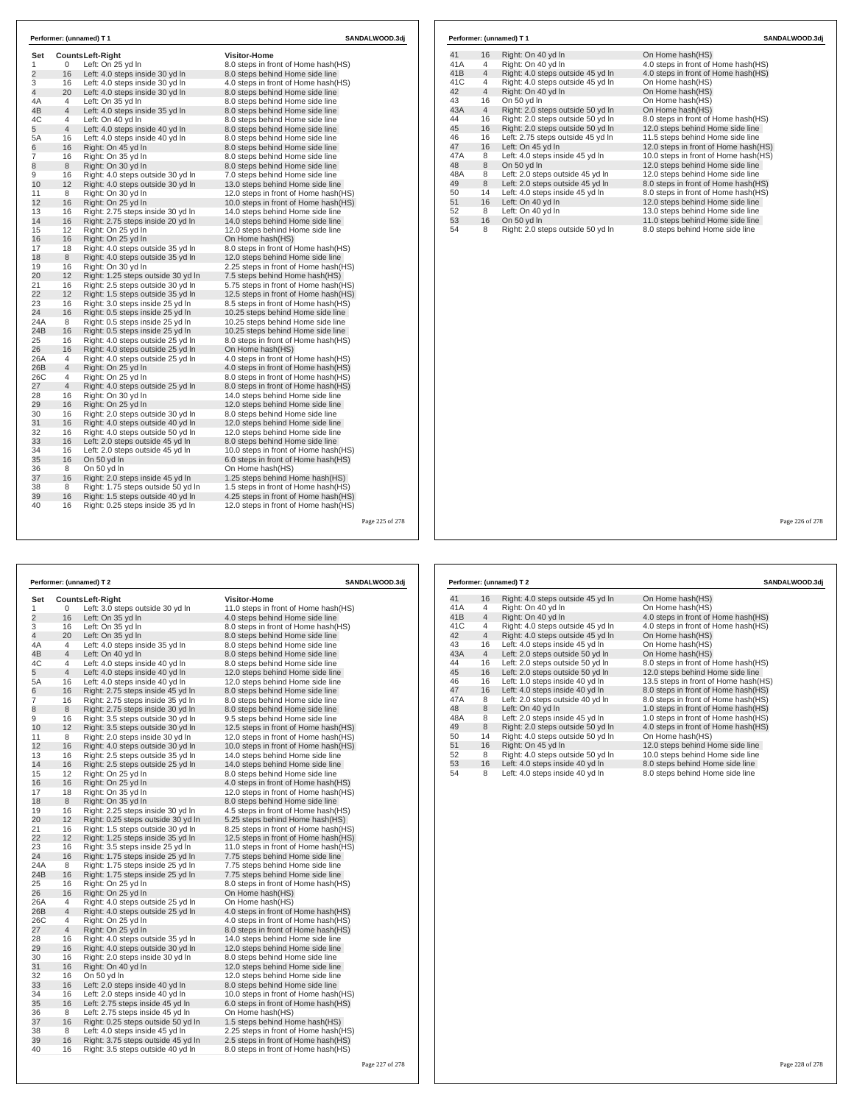| Counts Left-Right                                                                                                                                                                                                                                                                                                    | Visitor-Home                                                                                                                                                                                                                                                                                                                                                                                                                                                                                                                                                                                                                                                                                                                                                                                                                                                                                                                                                                                                                                                                                                                                                                                                                                                                                                                                                                                                                                                                                                                                |                                                                                                                                                                                                                                                                                                                                                                                                                                                                                                                                                                                                                                                                                                                                                                                                                                                                                                                                                                                                                                                                                                                                                                                                                                                                                                                                                                                                                                                                                                                                                                                                                                                                                                                                                                                                |  |  |
|----------------------------------------------------------------------------------------------------------------------------------------------------------------------------------------------------------------------------------------------------------------------------------------------------------------------|---------------------------------------------------------------------------------------------------------------------------------------------------------------------------------------------------------------------------------------------------------------------------------------------------------------------------------------------------------------------------------------------------------------------------------------------------------------------------------------------------------------------------------------------------------------------------------------------------------------------------------------------------------------------------------------------------------------------------------------------------------------------------------------------------------------------------------------------------------------------------------------------------------------------------------------------------------------------------------------------------------------------------------------------------------------------------------------------------------------------------------------------------------------------------------------------------------------------------------------------------------------------------------------------------------------------------------------------------------------------------------------------------------------------------------------------------------------------------------------------------------------------------------------------|------------------------------------------------------------------------------------------------------------------------------------------------------------------------------------------------------------------------------------------------------------------------------------------------------------------------------------------------------------------------------------------------------------------------------------------------------------------------------------------------------------------------------------------------------------------------------------------------------------------------------------------------------------------------------------------------------------------------------------------------------------------------------------------------------------------------------------------------------------------------------------------------------------------------------------------------------------------------------------------------------------------------------------------------------------------------------------------------------------------------------------------------------------------------------------------------------------------------------------------------------------------------------------------------------------------------------------------------------------------------------------------------------------------------------------------------------------------------------------------------------------------------------------------------------------------------------------------------------------------------------------------------------------------------------------------------------------------------------------------------------------------------------------------------|--|--|
|                                                                                                                                                                                                                                                                                                                      |                                                                                                                                                                                                                                                                                                                                                                                                                                                                                                                                                                                                                                                                                                                                                                                                                                                                                                                                                                                                                                                                                                                                                                                                                                                                                                                                                                                                                                                                                                                                             |                                                                                                                                                                                                                                                                                                                                                                                                                                                                                                                                                                                                                                                                                                                                                                                                                                                                                                                                                                                                                                                                                                                                                                                                                                                                                                                                                                                                                                                                                                                                                                                                                                                                                                                                                                                                |  |  |
|                                                                                                                                                                                                                                                                                                                      |                                                                                                                                                                                                                                                                                                                                                                                                                                                                                                                                                                                                                                                                                                                                                                                                                                                                                                                                                                                                                                                                                                                                                                                                                                                                                                                                                                                                                                                                                                                                             |                                                                                                                                                                                                                                                                                                                                                                                                                                                                                                                                                                                                                                                                                                                                                                                                                                                                                                                                                                                                                                                                                                                                                                                                                                                                                                                                                                                                                                                                                                                                                                                                                                                                                                                                                                                                |  |  |
|                                                                                                                                                                                                                                                                                                                      |                                                                                                                                                                                                                                                                                                                                                                                                                                                                                                                                                                                                                                                                                                                                                                                                                                                                                                                                                                                                                                                                                                                                                                                                                                                                                                                                                                                                                                                                                                                                             |                                                                                                                                                                                                                                                                                                                                                                                                                                                                                                                                                                                                                                                                                                                                                                                                                                                                                                                                                                                                                                                                                                                                                                                                                                                                                                                                                                                                                                                                                                                                                                                                                                                                                                                                                                                                |  |  |
|                                                                                                                                                                                                                                                                                                                      |                                                                                                                                                                                                                                                                                                                                                                                                                                                                                                                                                                                                                                                                                                                                                                                                                                                                                                                                                                                                                                                                                                                                                                                                                                                                                                                                                                                                                                                                                                                                             |                                                                                                                                                                                                                                                                                                                                                                                                                                                                                                                                                                                                                                                                                                                                                                                                                                                                                                                                                                                                                                                                                                                                                                                                                                                                                                                                                                                                                                                                                                                                                                                                                                                                                                                                                                                                |  |  |
|                                                                                                                                                                                                                                                                                                                      |                                                                                                                                                                                                                                                                                                                                                                                                                                                                                                                                                                                                                                                                                                                                                                                                                                                                                                                                                                                                                                                                                                                                                                                                                                                                                                                                                                                                                                                                                                                                             |                                                                                                                                                                                                                                                                                                                                                                                                                                                                                                                                                                                                                                                                                                                                                                                                                                                                                                                                                                                                                                                                                                                                                                                                                                                                                                                                                                                                                                                                                                                                                                                                                                                                                                                                                                                                |  |  |
|                                                                                                                                                                                                                                                                                                                      |                                                                                                                                                                                                                                                                                                                                                                                                                                                                                                                                                                                                                                                                                                                                                                                                                                                                                                                                                                                                                                                                                                                                                                                                                                                                                                                                                                                                                                                                                                                                             |                                                                                                                                                                                                                                                                                                                                                                                                                                                                                                                                                                                                                                                                                                                                                                                                                                                                                                                                                                                                                                                                                                                                                                                                                                                                                                                                                                                                                                                                                                                                                                                                                                                                                                                                                                                                |  |  |
|                                                                                                                                                                                                                                                                                                                      |                                                                                                                                                                                                                                                                                                                                                                                                                                                                                                                                                                                                                                                                                                                                                                                                                                                                                                                                                                                                                                                                                                                                                                                                                                                                                                                                                                                                                                                                                                                                             |                                                                                                                                                                                                                                                                                                                                                                                                                                                                                                                                                                                                                                                                                                                                                                                                                                                                                                                                                                                                                                                                                                                                                                                                                                                                                                                                                                                                                                                                                                                                                                                                                                                                                                                                                                                                |  |  |
|                                                                                                                                                                                                                                                                                                                      |                                                                                                                                                                                                                                                                                                                                                                                                                                                                                                                                                                                                                                                                                                                                                                                                                                                                                                                                                                                                                                                                                                                                                                                                                                                                                                                                                                                                                                                                                                                                             |                                                                                                                                                                                                                                                                                                                                                                                                                                                                                                                                                                                                                                                                                                                                                                                                                                                                                                                                                                                                                                                                                                                                                                                                                                                                                                                                                                                                                                                                                                                                                                                                                                                                                                                                                                                                |  |  |
|                                                                                                                                                                                                                                                                                                                      |                                                                                                                                                                                                                                                                                                                                                                                                                                                                                                                                                                                                                                                                                                                                                                                                                                                                                                                                                                                                                                                                                                                                                                                                                                                                                                                                                                                                                                                                                                                                             |                                                                                                                                                                                                                                                                                                                                                                                                                                                                                                                                                                                                                                                                                                                                                                                                                                                                                                                                                                                                                                                                                                                                                                                                                                                                                                                                                                                                                                                                                                                                                                                                                                                                                                                                                                                                |  |  |
|                                                                                                                                                                                                                                                                                                                      |                                                                                                                                                                                                                                                                                                                                                                                                                                                                                                                                                                                                                                                                                                                                                                                                                                                                                                                                                                                                                                                                                                                                                                                                                                                                                                                                                                                                                                                                                                                                             |                                                                                                                                                                                                                                                                                                                                                                                                                                                                                                                                                                                                                                                                                                                                                                                                                                                                                                                                                                                                                                                                                                                                                                                                                                                                                                                                                                                                                                                                                                                                                                                                                                                                                                                                                                                                |  |  |
|                                                                                                                                                                                                                                                                                                                      |                                                                                                                                                                                                                                                                                                                                                                                                                                                                                                                                                                                                                                                                                                                                                                                                                                                                                                                                                                                                                                                                                                                                                                                                                                                                                                                                                                                                                                                                                                                                             |                                                                                                                                                                                                                                                                                                                                                                                                                                                                                                                                                                                                                                                                                                                                                                                                                                                                                                                                                                                                                                                                                                                                                                                                                                                                                                                                                                                                                                                                                                                                                                                                                                                                                                                                                                                                |  |  |
|                                                                                                                                                                                                                                                                                                                      |                                                                                                                                                                                                                                                                                                                                                                                                                                                                                                                                                                                                                                                                                                                                                                                                                                                                                                                                                                                                                                                                                                                                                                                                                                                                                                                                                                                                                                                                                                                                             |                                                                                                                                                                                                                                                                                                                                                                                                                                                                                                                                                                                                                                                                                                                                                                                                                                                                                                                                                                                                                                                                                                                                                                                                                                                                                                                                                                                                                                                                                                                                                                                                                                                                                                                                                                                                |  |  |
|                                                                                                                                                                                                                                                                                                                      |                                                                                                                                                                                                                                                                                                                                                                                                                                                                                                                                                                                                                                                                                                                                                                                                                                                                                                                                                                                                                                                                                                                                                                                                                                                                                                                                                                                                                                                                                                                                             |                                                                                                                                                                                                                                                                                                                                                                                                                                                                                                                                                                                                                                                                                                                                                                                                                                                                                                                                                                                                                                                                                                                                                                                                                                                                                                                                                                                                                                                                                                                                                                                                                                                                                                                                                                                                |  |  |
|                                                                                                                                                                                                                                                                                                                      |                                                                                                                                                                                                                                                                                                                                                                                                                                                                                                                                                                                                                                                                                                                                                                                                                                                                                                                                                                                                                                                                                                                                                                                                                                                                                                                                                                                                                                                                                                                                             |                                                                                                                                                                                                                                                                                                                                                                                                                                                                                                                                                                                                                                                                                                                                                                                                                                                                                                                                                                                                                                                                                                                                                                                                                                                                                                                                                                                                                                                                                                                                                                                                                                                                                                                                                                                                |  |  |
|                                                                                                                                                                                                                                                                                                                      |                                                                                                                                                                                                                                                                                                                                                                                                                                                                                                                                                                                                                                                                                                                                                                                                                                                                                                                                                                                                                                                                                                                                                                                                                                                                                                                                                                                                                                                                                                                                             |                                                                                                                                                                                                                                                                                                                                                                                                                                                                                                                                                                                                                                                                                                                                                                                                                                                                                                                                                                                                                                                                                                                                                                                                                                                                                                                                                                                                                                                                                                                                                                                                                                                                                                                                                                                                |  |  |
|                                                                                                                                                                                                                                                                                                                      |                                                                                                                                                                                                                                                                                                                                                                                                                                                                                                                                                                                                                                                                                                                                                                                                                                                                                                                                                                                                                                                                                                                                                                                                                                                                                                                                                                                                                                                                                                                                             |                                                                                                                                                                                                                                                                                                                                                                                                                                                                                                                                                                                                                                                                                                                                                                                                                                                                                                                                                                                                                                                                                                                                                                                                                                                                                                                                                                                                                                                                                                                                                                                                                                                                                                                                                                                                |  |  |
|                                                                                                                                                                                                                                                                                                                      |                                                                                                                                                                                                                                                                                                                                                                                                                                                                                                                                                                                                                                                                                                                                                                                                                                                                                                                                                                                                                                                                                                                                                                                                                                                                                                                                                                                                                                                                                                                                             |                                                                                                                                                                                                                                                                                                                                                                                                                                                                                                                                                                                                                                                                                                                                                                                                                                                                                                                                                                                                                                                                                                                                                                                                                                                                                                                                                                                                                                                                                                                                                                                                                                                                                                                                                                                                |  |  |
|                                                                                                                                                                                                                                                                                                                      |                                                                                                                                                                                                                                                                                                                                                                                                                                                                                                                                                                                                                                                                                                                                                                                                                                                                                                                                                                                                                                                                                                                                                                                                                                                                                                                                                                                                                                                                                                                                             |                                                                                                                                                                                                                                                                                                                                                                                                                                                                                                                                                                                                                                                                                                                                                                                                                                                                                                                                                                                                                                                                                                                                                                                                                                                                                                                                                                                                                                                                                                                                                                                                                                                                                                                                                                                                |  |  |
|                                                                                                                                                                                                                                                                                                                      |                                                                                                                                                                                                                                                                                                                                                                                                                                                                                                                                                                                                                                                                                                                                                                                                                                                                                                                                                                                                                                                                                                                                                                                                                                                                                                                                                                                                                                                                                                                                             |                                                                                                                                                                                                                                                                                                                                                                                                                                                                                                                                                                                                                                                                                                                                                                                                                                                                                                                                                                                                                                                                                                                                                                                                                                                                                                                                                                                                                                                                                                                                                                                                                                                                                                                                                                                                |  |  |
|                                                                                                                                                                                                                                                                                                                      |                                                                                                                                                                                                                                                                                                                                                                                                                                                                                                                                                                                                                                                                                                                                                                                                                                                                                                                                                                                                                                                                                                                                                                                                                                                                                                                                                                                                                                                                                                                                             |                                                                                                                                                                                                                                                                                                                                                                                                                                                                                                                                                                                                                                                                                                                                                                                                                                                                                                                                                                                                                                                                                                                                                                                                                                                                                                                                                                                                                                                                                                                                                                                                                                                                                                                                                                                                |  |  |
|                                                                                                                                                                                                                                                                                                                      |                                                                                                                                                                                                                                                                                                                                                                                                                                                                                                                                                                                                                                                                                                                                                                                                                                                                                                                                                                                                                                                                                                                                                                                                                                                                                                                                                                                                                                                                                                                                             |                                                                                                                                                                                                                                                                                                                                                                                                                                                                                                                                                                                                                                                                                                                                                                                                                                                                                                                                                                                                                                                                                                                                                                                                                                                                                                                                                                                                                                                                                                                                                                                                                                                                                                                                                                                                |  |  |
|                                                                                                                                                                                                                                                                                                                      |                                                                                                                                                                                                                                                                                                                                                                                                                                                                                                                                                                                                                                                                                                                                                                                                                                                                                                                                                                                                                                                                                                                                                                                                                                                                                                                                                                                                                                                                                                                                             |                                                                                                                                                                                                                                                                                                                                                                                                                                                                                                                                                                                                                                                                                                                                                                                                                                                                                                                                                                                                                                                                                                                                                                                                                                                                                                                                                                                                                                                                                                                                                                                                                                                                                                                                                                                                |  |  |
|                                                                                                                                                                                                                                                                                                                      |                                                                                                                                                                                                                                                                                                                                                                                                                                                                                                                                                                                                                                                                                                                                                                                                                                                                                                                                                                                                                                                                                                                                                                                                                                                                                                                                                                                                                                                                                                                                             |                                                                                                                                                                                                                                                                                                                                                                                                                                                                                                                                                                                                                                                                                                                                                                                                                                                                                                                                                                                                                                                                                                                                                                                                                                                                                                                                                                                                                                                                                                                                                                                                                                                                                                                                                                                                |  |  |
|                                                                                                                                                                                                                                                                                                                      |                                                                                                                                                                                                                                                                                                                                                                                                                                                                                                                                                                                                                                                                                                                                                                                                                                                                                                                                                                                                                                                                                                                                                                                                                                                                                                                                                                                                                                                                                                                                             |                                                                                                                                                                                                                                                                                                                                                                                                                                                                                                                                                                                                                                                                                                                                                                                                                                                                                                                                                                                                                                                                                                                                                                                                                                                                                                                                                                                                                                                                                                                                                                                                                                                                                                                                                                                                |  |  |
|                                                                                                                                                                                                                                                                                                                      |                                                                                                                                                                                                                                                                                                                                                                                                                                                                                                                                                                                                                                                                                                                                                                                                                                                                                                                                                                                                                                                                                                                                                                                                                                                                                                                                                                                                                                                                                                                                             |                                                                                                                                                                                                                                                                                                                                                                                                                                                                                                                                                                                                                                                                                                                                                                                                                                                                                                                                                                                                                                                                                                                                                                                                                                                                                                                                                                                                                                                                                                                                                                                                                                                                                                                                                                                                |  |  |
|                                                                                                                                                                                                                                                                                                                      |                                                                                                                                                                                                                                                                                                                                                                                                                                                                                                                                                                                                                                                                                                                                                                                                                                                                                                                                                                                                                                                                                                                                                                                                                                                                                                                                                                                                                                                                                                                                             |                                                                                                                                                                                                                                                                                                                                                                                                                                                                                                                                                                                                                                                                                                                                                                                                                                                                                                                                                                                                                                                                                                                                                                                                                                                                                                                                                                                                                                                                                                                                                                                                                                                                                                                                                                                                |  |  |
|                                                                                                                                                                                                                                                                                                                      |                                                                                                                                                                                                                                                                                                                                                                                                                                                                                                                                                                                                                                                                                                                                                                                                                                                                                                                                                                                                                                                                                                                                                                                                                                                                                                                                                                                                                                                                                                                                             |                                                                                                                                                                                                                                                                                                                                                                                                                                                                                                                                                                                                                                                                                                                                                                                                                                                                                                                                                                                                                                                                                                                                                                                                                                                                                                                                                                                                                                                                                                                                                                                                                                                                                                                                                                                                |  |  |
|                                                                                                                                                                                                                                                                                                                      |                                                                                                                                                                                                                                                                                                                                                                                                                                                                                                                                                                                                                                                                                                                                                                                                                                                                                                                                                                                                                                                                                                                                                                                                                                                                                                                                                                                                                                                                                                                                             |                                                                                                                                                                                                                                                                                                                                                                                                                                                                                                                                                                                                                                                                                                                                                                                                                                                                                                                                                                                                                                                                                                                                                                                                                                                                                                                                                                                                                                                                                                                                                                                                                                                                                                                                                                                                |  |  |
|                                                                                                                                                                                                                                                                                                                      |                                                                                                                                                                                                                                                                                                                                                                                                                                                                                                                                                                                                                                                                                                                                                                                                                                                                                                                                                                                                                                                                                                                                                                                                                                                                                                                                                                                                                                                                                                                                             |                                                                                                                                                                                                                                                                                                                                                                                                                                                                                                                                                                                                                                                                                                                                                                                                                                                                                                                                                                                                                                                                                                                                                                                                                                                                                                                                                                                                                                                                                                                                                                                                                                                                                                                                                                                                |  |  |
|                                                                                                                                                                                                                                                                                                                      |                                                                                                                                                                                                                                                                                                                                                                                                                                                                                                                                                                                                                                                                                                                                                                                                                                                                                                                                                                                                                                                                                                                                                                                                                                                                                                                                                                                                                                                                                                                                             |                                                                                                                                                                                                                                                                                                                                                                                                                                                                                                                                                                                                                                                                                                                                                                                                                                                                                                                                                                                                                                                                                                                                                                                                                                                                                                                                                                                                                                                                                                                                                                                                                                                                                                                                                                                                |  |  |
|                                                                                                                                                                                                                                                                                                                      |                                                                                                                                                                                                                                                                                                                                                                                                                                                                                                                                                                                                                                                                                                                                                                                                                                                                                                                                                                                                                                                                                                                                                                                                                                                                                                                                                                                                                                                                                                                                             |                                                                                                                                                                                                                                                                                                                                                                                                                                                                                                                                                                                                                                                                                                                                                                                                                                                                                                                                                                                                                                                                                                                                                                                                                                                                                                                                                                                                                                                                                                                                                                                                                                                                                                                                                                                                |  |  |
|                                                                                                                                                                                                                                                                                                                      |                                                                                                                                                                                                                                                                                                                                                                                                                                                                                                                                                                                                                                                                                                                                                                                                                                                                                                                                                                                                                                                                                                                                                                                                                                                                                                                                                                                                                                                                                                                                             |                                                                                                                                                                                                                                                                                                                                                                                                                                                                                                                                                                                                                                                                                                                                                                                                                                                                                                                                                                                                                                                                                                                                                                                                                                                                                                                                                                                                                                                                                                                                                                                                                                                                                                                                                                                                |  |  |
|                                                                                                                                                                                                                                                                                                                      |                                                                                                                                                                                                                                                                                                                                                                                                                                                                                                                                                                                                                                                                                                                                                                                                                                                                                                                                                                                                                                                                                                                                                                                                                                                                                                                                                                                                                                                                                                                                             |                                                                                                                                                                                                                                                                                                                                                                                                                                                                                                                                                                                                                                                                                                                                                                                                                                                                                                                                                                                                                                                                                                                                                                                                                                                                                                                                                                                                                                                                                                                                                                                                                                                                                                                                                                                                |  |  |
|                                                                                                                                                                                                                                                                                                                      |                                                                                                                                                                                                                                                                                                                                                                                                                                                                                                                                                                                                                                                                                                                                                                                                                                                                                                                                                                                                                                                                                                                                                                                                                                                                                                                                                                                                                                                                                                                                             |                                                                                                                                                                                                                                                                                                                                                                                                                                                                                                                                                                                                                                                                                                                                                                                                                                                                                                                                                                                                                                                                                                                                                                                                                                                                                                                                                                                                                                                                                                                                                                                                                                                                                                                                                                                                |  |  |
|                                                                                                                                                                                                                                                                                                                      |                                                                                                                                                                                                                                                                                                                                                                                                                                                                                                                                                                                                                                                                                                                                                                                                                                                                                                                                                                                                                                                                                                                                                                                                                                                                                                                                                                                                                                                                                                                                             |                                                                                                                                                                                                                                                                                                                                                                                                                                                                                                                                                                                                                                                                                                                                                                                                                                                                                                                                                                                                                                                                                                                                                                                                                                                                                                                                                                                                                                                                                                                                                                                                                                                                                                                                                                                                |  |  |
|                                                                                                                                                                                                                                                                                                                      |                                                                                                                                                                                                                                                                                                                                                                                                                                                                                                                                                                                                                                                                                                                                                                                                                                                                                                                                                                                                                                                                                                                                                                                                                                                                                                                                                                                                                                                                                                                                             |                                                                                                                                                                                                                                                                                                                                                                                                                                                                                                                                                                                                                                                                                                                                                                                                                                                                                                                                                                                                                                                                                                                                                                                                                                                                                                                                                                                                                                                                                                                                                                                                                                                                                                                                                                                                |  |  |
|                                                                                                                                                                                                                                                                                                                      |                                                                                                                                                                                                                                                                                                                                                                                                                                                                                                                                                                                                                                                                                                                                                                                                                                                                                                                                                                                                                                                                                                                                                                                                                                                                                                                                                                                                                                                                                                                                             |                                                                                                                                                                                                                                                                                                                                                                                                                                                                                                                                                                                                                                                                                                                                                                                                                                                                                                                                                                                                                                                                                                                                                                                                                                                                                                                                                                                                                                                                                                                                                                                                                                                                                                                                                                                                |  |  |
|                                                                                                                                                                                                                                                                                                                      |                                                                                                                                                                                                                                                                                                                                                                                                                                                                                                                                                                                                                                                                                                                                                                                                                                                                                                                                                                                                                                                                                                                                                                                                                                                                                                                                                                                                                                                                                                                                             |                                                                                                                                                                                                                                                                                                                                                                                                                                                                                                                                                                                                                                                                                                                                                                                                                                                                                                                                                                                                                                                                                                                                                                                                                                                                                                                                                                                                                                                                                                                                                                                                                                                                                                                                                                                                |  |  |
|                                                                                                                                                                                                                                                                                                                      |                                                                                                                                                                                                                                                                                                                                                                                                                                                                                                                                                                                                                                                                                                                                                                                                                                                                                                                                                                                                                                                                                                                                                                                                                                                                                                                                                                                                                                                                                                                                             |                                                                                                                                                                                                                                                                                                                                                                                                                                                                                                                                                                                                                                                                                                                                                                                                                                                                                                                                                                                                                                                                                                                                                                                                                                                                                                                                                                                                                                                                                                                                                                                                                                                                                                                                                                                                |  |  |
|                                                                                                                                                                                                                                                                                                                      |                                                                                                                                                                                                                                                                                                                                                                                                                                                                                                                                                                                                                                                                                                                                                                                                                                                                                                                                                                                                                                                                                                                                                                                                                                                                                                                                                                                                                                                                                                                                             |                                                                                                                                                                                                                                                                                                                                                                                                                                                                                                                                                                                                                                                                                                                                                                                                                                                                                                                                                                                                                                                                                                                                                                                                                                                                                                                                                                                                                                                                                                                                                                                                                                                                                                                                                                                                |  |  |
|                                                                                                                                                                                                                                                                                                                      |                                                                                                                                                                                                                                                                                                                                                                                                                                                                                                                                                                                                                                                                                                                                                                                                                                                                                                                                                                                                                                                                                                                                                                                                                                                                                                                                                                                                                                                                                                                                             |                                                                                                                                                                                                                                                                                                                                                                                                                                                                                                                                                                                                                                                                                                                                                                                                                                                                                                                                                                                                                                                                                                                                                                                                                                                                                                                                                                                                                                                                                                                                                                                                                                                                                                                                                                                                |  |  |
|                                                                                                                                                                                                                                                                                                                      |                                                                                                                                                                                                                                                                                                                                                                                                                                                                                                                                                                                                                                                                                                                                                                                                                                                                                                                                                                                                                                                                                                                                                                                                                                                                                                                                                                                                                                                                                                                                             |                                                                                                                                                                                                                                                                                                                                                                                                                                                                                                                                                                                                                                                                                                                                                                                                                                                                                                                                                                                                                                                                                                                                                                                                                                                                                                                                                                                                                                                                                                                                                                                                                                                                                                                                                                                                |  |  |
|                                                                                                                                                                                                                                                                                                                      |                                                                                                                                                                                                                                                                                                                                                                                                                                                                                                                                                                                                                                                                                                                                                                                                                                                                                                                                                                                                                                                                                                                                                                                                                                                                                                                                                                                                                                                                                                                                             |                                                                                                                                                                                                                                                                                                                                                                                                                                                                                                                                                                                                                                                                                                                                                                                                                                                                                                                                                                                                                                                                                                                                                                                                                                                                                                                                                                                                                                                                                                                                                                                                                                                                                                                                                                                                |  |  |
|                                                                                                                                                                                                                                                                                                                      |                                                                                                                                                                                                                                                                                                                                                                                                                                                                                                                                                                                                                                                                                                                                                                                                                                                                                                                                                                                                                                                                                                                                                                                                                                                                                                                                                                                                                                                                                                                                             |                                                                                                                                                                                                                                                                                                                                                                                                                                                                                                                                                                                                                                                                                                                                                                                                                                                                                                                                                                                                                                                                                                                                                                                                                                                                                                                                                                                                                                                                                                                                                                                                                                                                                                                                                                                                |  |  |
|                                                                                                                                                                                                                                                                                                                      |                                                                                                                                                                                                                                                                                                                                                                                                                                                                                                                                                                                                                                                                                                                                                                                                                                                                                                                                                                                                                                                                                                                                                                                                                                                                                                                                                                                                                                                                                                                                             |                                                                                                                                                                                                                                                                                                                                                                                                                                                                                                                                                                                                                                                                                                                                                                                                                                                                                                                                                                                                                                                                                                                                                                                                                                                                                                                                                                                                                                                                                                                                                                                                                                                                                                                                                                                                |  |  |
|                                                                                                                                                                                                                                                                                                                      |                                                                                                                                                                                                                                                                                                                                                                                                                                                                                                                                                                                                                                                                                                                                                                                                                                                                                                                                                                                                                                                                                                                                                                                                                                                                                                                                                                                                                                                                                                                                             |                                                                                                                                                                                                                                                                                                                                                                                                                                                                                                                                                                                                                                                                                                                                                                                                                                                                                                                                                                                                                                                                                                                                                                                                                                                                                                                                                                                                                                                                                                                                                                                                                                                                                                                                                                                                |  |  |
|                                                                                                                                                                                                                                                                                                                      |                                                                                                                                                                                                                                                                                                                                                                                                                                                                                                                                                                                                                                                                                                                                                                                                                                                                                                                                                                                                                                                                                                                                                                                                                                                                                                                                                                                                                                                                                                                                             |                                                                                                                                                                                                                                                                                                                                                                                                                                                                                                                                                                                                                                                                                                                                                                                                                                                                                                                                                                                                                                                                                                                                                                                                                                                                                                                                                                                                                                                                                                                                                                                                                                                                                                                                                                                                |  |  |
| Right: 0.25 steps inside 35 yd In                                                                                                                                                                                                                                                                                    | 12.0 steps in front of Home hash(HS)                                                                                                                                                                                                                                                                                                                                                                                                                                                                                                                                                                                                                                                                                                                                                                                                                                                                                                                                                                                                                                                                                                                                                                                                                                                                                                                                                                                                                                                                                                        |                                                                                                                                                                                                                                                                                                                                                                                                                                                                                                                                                                                                                                                                                                                                                                                                                                                                                                                                                                                                                                                                                                                                                                                                                                                                                                                                                                                                                                                                                                                                                                                                                                                                                                                                                                                                |  |  |
| 0<br>16<br>16<br>20<br>4<br>$\overline{4}$<br>4<br>$\overline{4}$<br>16<br>16<br>16<br>8<br>16<br>12<br>8<br>16<br>16<br>16<br>12<br>16<br>18<br>8<br>16<br>12<br>16<br>12<br>16<br>16<br>8<br>16<br>16<br>16<br>4<br>$\overline{4}$<br>4<br>4<br>16<br>16<br>16<br>16<br>16<br>16<br>16<br>16<br>8<br>16<br>8<br>16 | Left: On 25 yd In<br>Left: 4.0 steps inside 30 yd In<br>Left: 4.0 steps inside 30 yd In<br>Left: 4.0 steps inside 30 yd In<br>Left: On 35 yd In<br>Left: 4.0 steps inside 35 yd In<br>Left: On 40 yd In<br>Left: 4.0 steps inside 40 yd In<br>Left: 4.0 steps inside 40 yd In<br>Right: On 45 yd In<br>Right: On 35 yd In<br>Right: On 30 yd In<br>Right: 4.0 steps outside 30 yd In<br>Right: 4.0 steps outside 30 yd In<br>Right: On 30 yd In<br>Right: On 25 yd In<br>Right: 2.75 steps inside 30 yd In<br>Right: 2.75 steps inside 20 yd In<br>Right: On 25 yd In<br>Right: On 25 yd In<br>Right: 4.0 steps outside 35 yd In<br>Right: 4.0 steps outside 35 yd In<br>Right: On 30 yd In<br>Right: 1.25 steps outside 30 yd In<br>Right: 2.5 steps outside 30 yd In<br>Right: 1.5 steps outside 35 yd In<br>Right: 3.0 steps inside 25 yd In<br>Right: 0.5 steps inside 25 yd In<br>Right: 0.5 steps inside 25 yd In<br>Right: 0.5 steps inside 25 yd In<br>Right: 4.0 steps outside 25 yd In<br>Right: 4.0 steps outside 25 yd In<br>Right: 4.0 steps outside 25 yd In<br>Right: On 25 yd In<br>Right: On 25 vd In<br>Right: 4.0 steps outside 25 yd In<br>Right: On 30 yd In<br>Right: On 25 yd In<br>Right: 2.0 steps outside 30 yd In<br>Right: 4.0 steps outside 40 yd In<br>Right: 4.0 steps outside 50 yd In<br>Left: 2.0 steps outside 45 yd In<br>Left: 2.0 steps outside 45 yd In<br>On 50 vd In<br>On 50 yd In<br>Right: 2.0 steps inside 45 yd In<br>Right: 1.75 steps outside 50 yd In<br>Right: 1.5 steps outside 40 yd In | 8.0 steps in front of Home hash(HS)<br>8.0 steps behind Home side line<br>4.0 steps in front of Home hash(HS)<br>8.0 steps behind Home side line<br>8.0 steps behind Home side line<br>8.0 steps behind Home side line<br>8.0 steps behind Home side line<br>8.0 steps behind Home side line<br>8.0 steps behind Home side line<br>8.0 steps behind Home side line<br>8.0 steps behind Home side line<br>8.0 steps behind Home side line<br>7.0 steps behind Home side line<br>13.0 steps behind Home side line<br>12.0 steps in front of Home hash(HS)<br>10.0 steps in front of Home hash(HS)<br>14.0 steps behind Home side line<br>14.0 steps behind Home side line<br>12.0 steps behind Home side line<br>On Home hash(HS)<br>8.0 steps in front of Home hash(HS)<br>12.0 steps behind Home side line<br>2.25 steps in front of Home hash(HS)<br>7.5 steps behind Home hash(HS)<br>5.75 steps in front of Home hash(HS)<br>12.5 steps in front of Home hash (HS)<br>8.5 steps in front of Home hash(HS)<br>10.25 steps behind Home side line<br>10.25 steps behind Home side line<br>10.25 steps behind Home side line<br>8.0 steps in front of Home hash(HS)<br>On Home hash(HS)<br>4.0 steps in front of Home hash(HS)<br>4.0 steps in front of Home hash(HS)<br>8.0 steps in front of Home hash (HS)<br>8.0 steps in front of Home hash(HS)<br>14.0 steps behind Home side line<br>12.0 steps behind Home side line<br>8.0 steps behind Home side line<br>12.0 steps behind Home side line<br>12.0 steps behind Home side line<br>8.0 steps behind Home side line<br>10.0 steps in front of Home hash(HS)<br>6.0 steps in front of Home hash(HS)<br>On Home hash(HS)<br>1.25 steps behind Home hash(HS)<br>1.5 steps in front of Home hash(HS)<br>4.25 steps in front of Home hash(HS) |  |  |

| 41<br>41A<br>41B<br>41C<br>42<br>43<br>43A | 16<br>4<br>$\overline{4}$<br>4<br>$\overline{4}$<br>16 | Right: On 40 yd In<br>Right: On 40 yd In<br>Right: 4.0 steps outside 45 yd In<br>Right: 4.0 steps outside 45 yd In<br>Right: On 40 yd In | On Home hash(HS)<br>4.0 steps in front of Home hash (HS)<br>4.0 steps in front of Home hash(HS)<br>On Home hash(HS) |
|--------------------------------------------|--------------------------------------------------------|------------------------------------------------------------------------------------------------------------------------------------------|---------------------------------------------------------------------------------------------------------------------|
|                                            |                                                        |                                                                                                                                          |                                                                                                                     |
|                                            |                                                        |                                                                                                                                          |                                                                                                                     |
|                                            |                                                        |                                                                                                                                          |                                                                                                                     |
|                                            |                                                        |                                                                                                                                          |                                                                                                                     |
|                                            |                                                        |                                                                                                                                          | On Home hash(HS)                                                                                                    |
|                                            |                                                        | On 50 yd In                                                                                                                              | On Home hash(HS)                                                                                                    |
|                                            | $\overline{4}$                                         | Right: 2.0 steps outside 50 yd In                                                                                                        | On Home hash(HS)                                                                                                    |
| 44                                         | 16                                                     | Right: 2.0 steps outside 50 yd In                                                                                                        | 8.0 steps in front of Home hash(HS)                                                                                 |
| 45                                         | 16                                                     | Right: 2.0 steps outside 50 yd In                                                                                                        | 12.0 steps behind Home side line                                                                                    |
| 46                                         | 16                                                     | Left: 2.75 steps outside 45 yd In                                                                                                        | 11.5 steps behind Home side line                                                                                    |
| 47                                         | 16                                                     | Left: On 45 yd In                                                                                                                        | 12.0 steps in front of Home hash(HS)                                                                                |
| 47A                                        | 8                                                      | Left: 4.0 steps inside 45 yd In                                                                                                          | 10.0 steps in front of Home hash(HS)                                                                                |
| 48                                         | 8                                                      | On 50 yd In                                                                                                                              | 12.0 steps behind Home side line                                                                                    |
| 48A                                        | 8                                                      | Left: 2.0 steps outside 45 yd In                                                                                                         | 12.0 steps behind Home side line                                                                                    |
| 49                                         | 8                                                      | Left: 2.0 steps outside 45 yd In                                                                                                         | 8.0 steps in front of Home hash(HS)                                                                                 |
| 50                                         | 14                                                     | Left: 4.0 steps inside 45 yd In                                                                                                          | 8.0 steps in front of Home hash(HS)                                                                                 |
| 51                                         | 16                                                     | Left: On 40 yd In                                                                                                                        | 12.0 steps behind Home side line                                                                                    |
| 52                                         | 8                                                      | Left: On 40 yd In                                                                                                                        | 13.0 steps behind Home side line                                                                                    |
| 53                                         | 16                                                     | On 50 vd In                                                                                                                              | 11.0 steps behind Home side line                                                                                    |
| 54                                         | 8                                                      | Right: 2.0 steps outside 50 yd In                                                                                                        | 8.0 steps behind Home side line                                                                                     |

Page 226 of 278

|                |                                  | Performer: (unnamed) T 2           |                                                                      | SANDALWOOD.3dj  |
|----------------|----------------------------------|------------------------------------|----------------------------------------------------------------------|-----------------|
| Set            |                                  | <b>CountsLeft-Right</b>            | <b>Visitor-Home</b>                                                  |                 |
| 1              | 0                                | Left: 3.0 steps outside 30 yd In   | 11.0 steps in front of Home hash(HS)                                 |                 |
| $\overline{c}$ | 16                               | Left: On 35 yd In                  | 4.0 steps behind Home side line                                      |                 |
| 3              | 16                               | Left: On 35 vd In                  | 8.0 steps in front of Home hash (HS)                                 |                 |
| $\overline{4}$ | 20                               | Left: On 35 yd In                  | 8.0 steps behind Home side line                                      |                 |
| 4A             | $\overline{4}$                   | Left: 4.0 steps inside 35 yd In    | 8.0 steps behind Home side line                                      |                 |
| 4B             | $\overline{4}$                   | Left: On 40 yd In                  | 8.0 steps behind Home side line                                      |                 |
| 4C             | 4                                | Left: 4.0 steps inside 40 yd In    | 8.0 steps behind Home side line                                      |                 |
| 5              | $\overline{4}$                   | Left: 4.0 steps inside 40 yd In    | 12.0 steps behind Home side line                                     |                 |
| 5A             | 16                               | Left: 4.0 steps inside 40 yd In    | 12.0 steps behind Home side line                                     |                 |
| 6              | 16                               | Right: 2.75 steps inside 45 yd In  | 8.0 steps behind Home side line                                      |                 |
| $\overline{7}$ | 16                               | Right: 2.75 steps inside 35 yd In  | 8.0 steps behind Home side line                                      |                 |
| 8              | 8                                | Right: 2.75 steps inside 30 yd In  | 8.0 steps behind Home side line                                      |                 |
| 9              | 16                               | Right: 3.5 steps outside 30 yd In  | 9.5 steps behind Home side line                                      |                 |
| 10             | 12                               | Right: 3.5 steps outside 30 yd In  | 12.5 steps in front of Home hash(HS)                                 |                 |
| 11             | 8                                | Right: 2.0 steps inside 30 yd In   | 12.0 steps in front of Home hash(HS)                                 |                 |
| 12             | 16                               | Right: 4.0 steps outside 30 yd In  | 10.0 steps in front of Home hash(HS)                                 |                 |
| 13             | 16                               | Right: 2.5 steps outside 35 yd In  | 14.0 steps behind Home side line                                     |                 |
| 14             | 16                               | Right: 2.5 steps outside 25 yd In  | 14.0 steps behind Home side line                                     |                 |
| 15             | 12                               | Right: On 25 yd In                 | 8.0 steps behind Home side line                                      |                 |
| 16             | 16                               | Right: On 25 yd In                 | 4.0 steps in front of Home hash(HS)                                  |                 |
| 17             | 18                               | Right: On 35 yd In                 | 12.0 steps in front of Home hash(HS)                                 |                 |
| 18             | 8                                | Right: On 35 yd In                 | 8.0 steps behind Home side line                                      |                 |
| 19             | 16                               | Right: 2.25 steps inside 30 yd In  | 4.5 steps in front of Home hash (HS)                                 |                 |
| 20             | 12                               | Right: 0.25 steps outside 30 yd In | 5.25 steps behind Home hash(HS)                                      |                 |
| 21             | 16                               | Right: 1.5 steps outside 30 yd In  | 8.25 steps in front of Home hash (HS)                                |                 |
| 22             | 12                               | Right: 1.25 steps inside 35 yd In  | 12.5 steps in front of Home hash(HS)                                 |                 |
| 23             | 16                               | Right: 3.5 steps inside 25 yd In   | 11.0 steps in front of Home hash(HS)                                 |                 |
| 24             | 16                               | Right: 1.75 steps inside 25 yd In  | 7.75 steps behind Home side line                                     |                 |
| 24A            | 8                                | Right: 1.75 steps inside 25 yd In  | 7.75 steps behind Home side line                                     |                 |
| 24B            | 16                               | Right: 1.75 steps inside 25 yd In  | 7.75 steps behind Home side line                                     |                 |
| 25             | 16                               | Right: On 25 yd In                 | 8.0 steps in front of Home hash(HS)                                  |                 |
| 26             | 16                               | Right: On 25 yd In                 | On Home hash(HS)                                                     |                 |
| 26A            | $\overline{4}$<br>$\overline{4}$ | Right: 4.0 steps outside 25 yd In  | On Home hash(HS)                                                     |                 |
| 26B            |                                  | Right: 4.0 steps outside 25 yd In  | 4.0 steps in front of Home hash(HS)                                  |                 |
| 26C<br>27      | 4<br>$\overline{4}$              | Right: On 25 yd In                 | 4.0 steps in front of Home hash(HS)                                  |                 |
|                |                                  | Right: On 25 yd In                 | 8.0 steps in front of Home hash(HS)                                  |                 |
| 28<br>29       | 16<br>16                         | Right: 4.0 steps outside 35 yd In  | 14.0 steps behind Home side line                                     |                 |
|                | 16                               | Right: 4.0 steps outside 30 yd In  | 12.0 steps behind Home side line                                     |                 |
| 30             | 16                               | Right: 2.0 steps inside 30 yd In   | 8.0 steps behind Home side line                                      |                 |
| 31<br>32       | 16                               | Right: On 40 yd In<br>On 50 yd In  | 12.0 steps behind Home side line<br>12.0 steps behind Home side line |                 |
| 33             | 16                               | Left: 2.0 steps inside 40 yd In    | 8.0 steps behind Home side line                                      |                 |
| 34             | 16                               | Left: 2.0 steps inside 40 yd In    | 10.0 steps in front of Home hash(HS)                                 |                 |
| 35             | 16                               | Left: 2.75 steps inside 45 yd In   | 6.0 steps in front of Home hash(HS)                                  |                 |
| 36             | 8                                | Left: 2.75 steps inside 45 yd In   | On Home hash(HS)                                                     |                 |
| 37             | 16                               | Right: 0.25 steps outside 50 yd In | 1.5 steps behind Home hash(HS)                                       |                 |
| 38             | 8                                | Left: 4.0 steps inside 45 yd In    | 2.25 steps in front of Home hash(HS)                                 |                 |
| 39             | 16                               | Right: 3.75 steps outside 45 yd In | 2.5 steps in front of Home hash(HS)                                  |                 |
| 40             | 16                               | Right: 3.5 steps outside 40 yd In  | 8.0 steps in front of Home hash(HS)                                  |                 |
|                |                                  |                                    |                                                                      |                 |
|                |                                  |                                    |                                                                      | Page 227 of 278 |

|     |                | Performer: (unnamed) T 2          | SANDALWOOD.3dj                        |
|-----|----------------|-----------------------------------|---------------------------------------|
| 41  | 16             | Right: 4.0 steps outside 45 yd In | On Home hash(HS)                      |
| 41A | 4              | Right: On 40 yd In                | On Home hash(HS)                      |
| 41B | $\overline{4}$ | Right: On 40 yd In                | 4.0 steps in front of Home hash(HS)   |
| 41C | 4              | Right: 4.0 steps outside 45 yd In | 4.0 steps in front of Home hash (HS)  |
| 42  | $\overline{4}$ | Right: 4.0 steps outside 45 yd In | On Home hash(HS)                      |
| 43  | 16             | Left: 4.0 steps inside 45 yd In   | On Home hash(HS)                      |
| 43A | $\overline{4}$ | Left: 2.0 steps outside 50 yd In  | On Home hash(HS)                      |
| 44  | 16             | Left: 2.0 steps outside 50 yd In  | 8.0 steps in front of Home hash(HS)   |
| 45  | 16             | Left: 2.0 steps outside 50 yd In  | 12.0 steps behind Home side line      |
| 46  | 16             | Left: 1.0 steps inside 40 vd In   | 13.5 steps in front of Home hash (HS) |
| 47  | 16             | Left: 4.0 steps inside 40 yd In   | 8.0 steps in front of Home hash(HS)   |
| 47A | 8              | Left: 2.0 steps outside 40 vd In  | 8.0 steps in front of Home hash(HS)   |
| 48  | 8              | Left: On 40 yd In                 | 1.0 steps in front of Home hash (HS)  |
| 48A | 8              | Left: 2.0 steps inside 45 yd In   | 1.0 steps in front of Home hash(HS)   |
| 49  | 8              | Right: 2.0 steps outside 50 yd In | 4.0 steps in front of Home hash(HS)   |
| 50  | 14             | Right: 4.0 steps outside 50 yd In | On Home hash(HS)                      |
| 51  | 16             | Right: On 45 yd In                | 12.0 steps behind Home side line      |
| 52  | 8              | Right: 4.0 steps outside 50 yd In | 10.0 steps behind Home side line      |
| 53  | 16             | Left: 4.0 steps inside 40 yd In   | 8.0 steps behind Home side line       |
| 54  | 8              | Left: 4.0 steps inside 40 yd In   | 8.0 steps behind Home side line       |

Page 228 of 278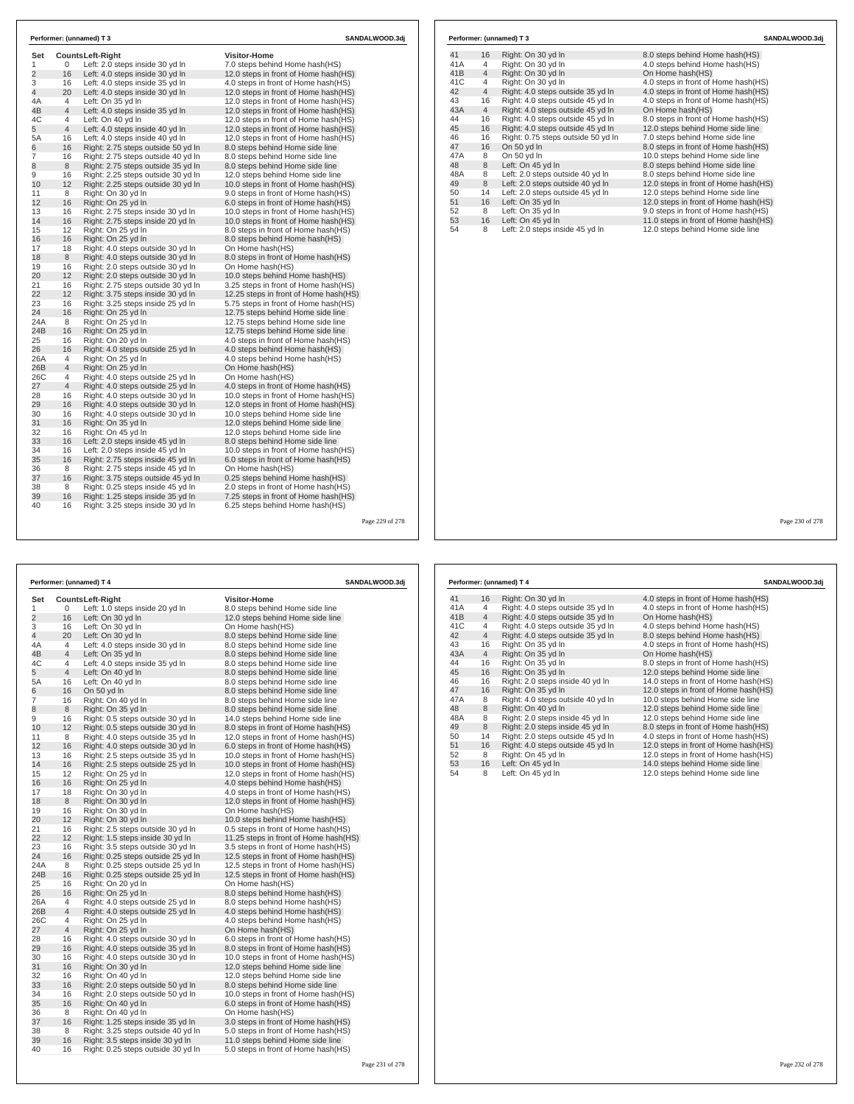| Set<br>1        | 0              | <b>CountsLeft-Right</b><br>Left: 2.0 steps inside 30 yd In | <b>Visitor-Home</b><br>7.0 steps behind Home hash(HS) |  |
|-----------------|----------------|------------------------------------------------------------|-------------------------------------------------------|--|
| $\overline{2}$  | 16             | Left: 4.0 steps inside 30 yd In                            | 12.0 steps in front of Home hash(HS)                  |  |
| 3               | 16             | Left: 4.0 steps inside 35 yd In                            | 4.0 steps in front of Home hash(HS)                   |  |
| $\overline{4}$  | 20             | Left: 4.0 steps inside 30 yd In                            | 12.0 steps in front of Home hash(HS)                  |  |
| 4A              | $\overline{4}$ | Left: On 35 yd In                                          | 12.0 steps in front of Home hash(HS)                  |  |
| 4B              | $\overline{4}$ | Left: 4.0 steps inside 35 yd In                            | 12.0 steps in front of Home hash(HS)                  |  |
| 4C              | 4              | Left: On 40 vd In                                          | 12.0 steps in front of Home hash(HS)                  |  |
| 5               | $\overline{4}$ | Left: 4.0 steps inside 40 yd In                            | 12.0 steps in front of Home hash(HS)                  |  |
| 5A              | 16             | Left: 4.0 steps inside 40 yd In                            | 12.0 steps in front of Home hash(HS)                  |  |
| 6               | 16             | Right: 2.75 steps outside 50 yd In                         | 8.0 steps behind Home side line                       |  |
| $\overline{7}$  | 16             | Right: 2.75 steps outside 40 yd In                         | 8.0 steps behind Home side line                       |  |
| 8               | 8              | Right: 2.75 steps outside 35 yd In                         | 8.0 steps behind Home side line                       |  |
| 9               | 16             | Right: 2.25 steps outside 30 yd In                         | 12.0 steps behind Home side line                      |  |
| 10              | 12             | Right: 2.25 steps outside 30 yd In                         | 10.0 steps in front of Home hash(HS)                  |  |
| 11              | 8              | Right: On 30 yd In                                         | 9.0 steps in front of Home hash (HS)                  |  |
| 12              | 16             | Right: On 25 yd In                                         | 6.0 steps in front of Home hash(HS)                   |  |
| 13              | 16             | Right: 2.75 steps inside 30 yd In                          | 10.0 steps in front of Home hash(HS)                  |  |
| 14              | 16             | Right: 2.75 steps inside 20 yd In                          | 10.0 steps in front of Home hash(HS)                  |  |
| 15              | 12             | Right: On 25 yd In                                         | 8.0 steps in front of Home hash (HS)                  |  |
| 16              | 16             | Right: On 25 yd In                                         | 8.0 steps behind Home hash(HS)                        |  |
| 17              | 18             | Right: 4.0 steps outside 30 yd In                          | On Home hash(HS)                                      |  |
| 18              | 8              | Right: 4.0 steps outside 30 yd In                          | 8.0 steps in front of Home hash(HS)                   |  |
| 19              | 16             | Right: 2.0 steps outside 30 yd In                          | On Home hash(HS)                                      |  |
| 20              | 12             | Right: 2.0 steps outside 30 yd In                          | 10.0 steps behind Home hash(HS)                       |  |
| 21              | 16             | Right: 2.75 steps outside 30 yd In                         | 3.25 steps in front of Home hash(HS)                  |  |
| 22              | 12             | Right: 3.75 steps inside 30 yd In                          | 12.25 steps in front of Home hash (HS)                |  |
| 23              | 16             | Right: 3.25 steps inside 25 yd In                          | 5.75 steps in front of Home hash(HS)                  |  |
| 24              | 16             | Right: On 25 yd In                                         | 12.75 steps behind Home side line                     |  |
| 24A             | 8              | Right: On 25 yd In                                         | 12.75 steps behind Home side line                     |  |
| 24 <sub>B</sub> | 16             | Right: On 25 yd In                                         | 12.75 steps behind Home side line                     |  |
| 25              | 16             | Right: On 20 yd In                                         | 4.0 steps in front of Home hash (HS)                  |  |
| 26              | 16             | Right: 4.0 steps outside 25 yd In                          | 4.0 steps behind Home hash (HS)                       |  |
| 26A             | 4              | Right: On 25 yd In                                         | 4.0 steps behind Home hash(HS)                        |  |
| 26B             | $\overline{4}$ | Right: On 25 yd In                                         | On Home hash(HS)                                      |  |
| 26C             | 4              | Right: 4.0 steps outside 25 yd In                          | On Home hash(HS)                                      |  |
| 27              | $\overline{4}$ | Right: 4.0 steps outside 25 yd In                          | 4.0 steps in front of Home hash(HS)                   |  |
| 28              | 16             | Right: 4.0 steps outside 30 yd In                          | 10.0 steps in front of Home hash(HS)                  |  |
| 29              | 16             | Right: 4.0 steps outside 30 yd In                          | 12.0 steps in front of Home hash(HS)                  |  |
| 30              | 16             | Right: 4.0 steps outside 30 yd In                          | 10.0 steps behind Home side line                      |  |
| 31              | 16             | Right: On 35 yd In                                         | 12.0 steps behind Home side line                      |  |
| 32              | 16             | Right: On 45 yd In                                         | 12.0 steps behind Home side line                      |  |
| 33              | 16             | Left: 2.0 steps inside 45 yd In                            | 8.0 steps behind Home side line                       |  |
| 34              | 16             | Left: 2.0 steps inside 45 yd In                            | 10.0 steps in front of Home hash(HS)                  |  |
| 35              | 16             | Right: 2.75 steps inside 45 yd In                          | 6.0 steps in front of Home hash(HS)                   |  |
| 36              | 8              | Right: 2.75 steps inside 45 yd In                          | On Home hash(HS)                                      |  |
| 37              | 16             | Right: 3.75 steps outside 45 yd In                         | 0.25 steps behind Home hash (HS)                      |  |
| 38              | 8              | Right: 0.25 steps inside 45 vd In                          | 2.0 steps in front of Home hash (HS)                  |  |
| 39              | 16             | Right: 1.25 steps inside 35 yd In                          | 7.25 steps in front of Home hash(HS)                  |  |
| 40              | 16             | Right: 3.25 steps inside 30 yd In                          | 6.25 steps behind Home hash (HS)                      |  |

| Performer: (unnamed) T 4<br><b>SANDALWOOD.3dj</b> |                     |                                                                        |                                                                  |  |  |
|---------------------------------------------------|---------------------|------------------------------------------------------------------------|------------------------------------------------------------------|--|--|
| Set                                               |                     | <b>CountsLeft-Right</b>                                                | <b>Visitor-Home</b>                                              |  |  |
| 1                                                 | 0                   | Left: 1.0 steps inside 20 yd In                                        | 8.0 steps behind Home side line                                  |  |  |
| $\overline{2}$                                    | 16                  | Left: On 30 yd In                                                      | 12.0 steps behind Home side line                                 |  |  |
| 3                                                 | 16                  | Left: On 30 yd In                                                      | On Home hash(HS)                                                 |  |  |
| 4                                                 | 20                  | Left: On 30 yd In                                                      | 8.0 steps behind Home side line                                  |  |  |
| 4A                                                | 4                   | Left: 4.0 steps inside 30 yd In                                        | 8.0 steps behind Home side line                                  |  |  |
| 4B                                                | 4                   | Left: On 35 yd In                                                      | 8.0 steps behind Home side line                                  |  |  |
| 4C                                                | 4                   | Left: 4.0 steps inside 35 yd In                                        | 8.0 steps behind Home side line                                  |  |  |
| 5                                                 | 4                   | Left: On 40 yd In                                                      | 8.0 steps behind Home side line                                  |  |  |
| 5A                                                | 16                  | Left: On 40 yd In                                                      | 8.0 steps behind Home side line                                  |  |  |
| 6                                                 | 16                  | On 50 yd In                                                            | 8.0 steps behind Home side line                                  |  |  |
| 7                                                 | 16                  | Right: On 40 yd In                                                     | 8.0 steps behind Home side line                                  |  |  |
| 8                                                 | 8                   | Right: On 35 yd In                                                     | 8.0 steps behind Home side line                                  |  |  |
| 9                                                 | 16                  | Right: 0.5 steps outside 30 yd In                                      | 14.0 steps behind Home side line                                 |  |  |
| 10                                                | 12                  | Right: 0.5 steps outside 30 yd In                                      | 8.0 steps in front of Home hash(HS)                              |  |  |
| 11                                                | 8                   | Right: 4.0 steps outside 35 yd In                                      | 12.0 steps in front of Home hash (HS)                            |  |  |
| 12                                                | 16                  | Right: 4.0 steps outside 30 yd In                                      | 6.0 steps in front of Home hash(HS)                              |  |  |
| 13                                                | 16                  | Right: 2.5 steps outside 35 yd In                                      | 10.0 steps in front of Home hash(HS)                             |  |  |
| 14                                                | 16                  | Right: 2.5 steps outside 25 yd In                                      | 10.0 steps in front of Home hash(HS)                             |  |  |
| 15                                                | 12                  | Right: On 25 yd In                                                     | 12.0 steps in front of Home hash(HS)                             |  |  |
| 16                                                | 16                  | Right: On 25 yd In                                                     | 4.0 steps behind Home hash(HS)                                   |  |  |
| 17                                                | 18                  | Right: On 30 yd In                                                     | 4.0 steps in front of Home hash(HS)                              |  |  |
| 18                                                | 8                   | Right: On 30 yd In                                                     | 12.0 steps in front of Home hash(HS)                             |  |  |
| 19                                                | 16                  | Right: On 30 yd In                                                     | On Home hash(HS)                                                 |  |  |
| 20                                                | 12                  | Right: On 30 yd In                                                     | 10.0 steps behind Home hash(HS)                                  |  |  |
| 21                                                | 16                  | Right: 2.5 steps outside 30 yd In                                      | 0.5 steps in front of Home hash(HS)                              |  |  |
| 22                                                | 12                  | Right: 1.5 steps inside 30 yd In                                       | 11.25 steps in front of Home hash (HS)                           |  |  |
| 23                                                | 16                  | Right: 3.5 steps outside 30 yd In                                      | 3.5 steps in front of Home hash(HS)                              |  |  |
| 24                                                | 16                  | Right: 0.25 steps outside 25 yd In                                     | 12.5 steps in front of Home hash (HS)                            |  |  |
| 24A                                               | 8                   | Right: 0.25 steps outside 25 yd In                                     | 12.5 steps in front of Home hash(HS)                             |  |  |
| 24 <sub>B</sub><br>25                             | 16                  | Right: 0.25 steps outside 25 yd In                                     | 12.5 steps in front of Home hash(HS)                             |  |  |
|                                                   | 16                  | Right: On 20 yd In                                                     | On Home hash(HS)                                                 |  |  |
| 26<br>26A                                         | 16                  | Right: On 25 yd In                                                     | 8.0 steps behind Home hash(HS)                                   |  |  |
| 26B                                               | 4<br>$\overline{4}$ | Right: 4.0 steps outside 25 yd In<br>Right: 4.0 steps outside 25 yd In | 8.0 steps behind Home hash(HS)<br>4.0 steps behind Home hash(HS) |  |  |
| 26C                                               | 4                   | Right: On 25 yd In                                                     | 4.0 steps behind Home hash(HS)                                   |  |  |
| 27                                                | 4                   | Right: On 25 yd In                                                     | On Home hash(HS)                                                 |  |  |
| 28                                                | 16                  | Right: 4.0 steps outside 30 yd In                                      | 6.0 steps in front of Home hash(HS)                              |  |  |
| 29                                                | 16                  | Right: 4.0 steps outside 35 yd In                                      | 8.0 steps in front of Home hash(HS)                              |  |  |
| 30                                                | 16                  | Right: 4.0 steps outside 30 yd In                                      | 10.0 steps in front of Home hash(HS)                             |  |  |
| 31                                                | 16                  | Right: On 30 yd In                                                     | 12.0 steps behind Home side line                                 |  |  |
| 32                                                | 16                  | Right: On 40 yd In                                                     | 12.0 steps behind Home side line                                 |  |  |
| 33                                                | 16                  | Right: 2.0 steps outside 50 yd In                                      | 8.0 steps behind Home side line                                  |  |  |
| 34                                                | 16                  | Right: 2.0 steps outside 50 yd In                                      | 10.0 steps in front of Home hash(HS)                             |  |  |
| 35                                                | 16                  | Right: On 40 yd In                                                     | 6.0 steps in front of Home hash(HS)                              |  |  |
| 36                                                | 8                   | Right: On 40 yd In                                                     | On Home hash(HS)                                                 |  |  |
| 37                                                | 16                  | Right: 1.25 steps inside 35 yd In                                      | 3.0 steps in front of Home hash(HS)                              |  |  |
| 38                                                | 8                   | Right: 3.25 steps outside 40 yd In                                     | 5.0 steps in front of Home hash(HS)                              |  |  |
| 39                                                | 16                  | Right: 3.5 steps inside 30 yd In                                       | 11.0 steps behind Home side line                                 |  |  |
| 40                                                | 16                  | Right: 0.25 steps outside 30 yd In                                     | 5.0 steps in front of Home hash(HS)                              |  |  |

|     |                | Performer: (unnamed) T 3           | SANDALWOOD.3di                       |
|-----|----------------|------------------------------------|--------------------------------------|
| 41  | 16             | Right: On 30 yd In                 | 8.0 steps behind Home hash (HS)      |
| 41A | 4              | Right: On 30 yd In                 | 4.0 steps behind Home hash(HS)       |
| 41B | 4              | Right: On 30 yd In                 | On Home hash(HS)                     |
| 41C | 4              | Right: On 30 yd In                 | 4.0 steps in front of Home hash(HS)  |
| 42  | $\overline{4}$ | Right: 4.0 steps outside 35 yd In  | 4.0 steps in front of Home hash(HS)  |
| 43  | 16             | Right: 4.0 steps outside 45 yd In  | 4.0 steps in front of Home hash(HS)  |
| 43A | $\overline{4}$ | Right: 4.0 steps outside 45 yd In  | On Home hash(HS)                     |
| 44  | 16             | Right: 4.0 steps outside 45 yd In  | 8.0 steps in front of Home hash(HS)  |
| 45  | 16             | Right: 4.0 steps outside 45 yd In  | 12.0 steps behind Home side line     |
| 46  | 16             | Right: 0.75 steps outside 50 yd In | 7.0 steps behind Home side line      |
| 47  | 16             | On 50 yd In                        | 8.0 steps in front of Home hash(HS)  |
| 47A | 8              | On 50 yd In                        | 10.0 steps behind Home side line     |
| 48  | 8              | Left: On 45 yd In                  | 8.0 steps behind Home side line      |
| 48A | 8              | Left: 2.0 steps outside 40 yd In   | 8.0 steps behind Home side line      |
| 49  | 8              | Left: 2.0 steps outside 40 yd In   | 12.0 steps in front of Home hash(HS) |
| 50  | 14             | Left: 2.0 steps outside 45 yd In   | 12.0 steps behind Home side line     |
| 51  | 16             | Left: On 35 yd In                  | 12.0 steps in front of Home hash(HS) |
| 52  | 8              | Left: On 35 yd In                  | 9.0 steps in front of Home hash(HS)  |
| 53  | 16             | Left: On 45 yd In                  | 11.0 steps in front of Home hash(HS) |
| 54  | 8              | Left: 2.0 steps inside 45 yd In    | 12.0 steps behind Home side line     |

Page 230 of 278

|     |                | Performer: (unnamed) T 4          | SANDALWOOD.3dj                       |
|-----|----------------|-----------------------------------|--------------------------------------|
| 41  | 16             | Right: On 30 yd In                | 4.0 steps in front of Home hash (HS) |
| 41A | 4              | Right: 4.0 steps outside 35 yd In | 4.0 steps in front of Home hash(HS)  |
| 41B | $\overline{4}$ | Right: 4.0 steps outside 35 yd In | On Home hash(HS)                     |
| 41C | 4              | Right: 4.0 steps outside 35 yd In | 4.0 steps behind Home hash(HS)       |
| 42  | $\overline{4}$ | Right: 4.0 steps outside 35 yd In | 8.0 steps behind Home hash(HS)       |
| 43  | 16             | Right: On 35 yd In                | 4.0 steps in front of Home hash(HS)  |
| 43A | $\overline{4}$ | Right: On 35 yd In                | On Home hash(HS)                     |
| 44  | 16             | Right: On 35 yd In                | 8.0 steps in front of Home hash(HS)  |
| 45  | 16             | Right: On 35 yd In                | 12.0 steps behind Home side line     |
| 46  | 16             | Right: 2.0 steps inside 40 yd In  | 14.0 steps in front of Home hash(HS) |
| 47  | 16             | Right: On 35 yd In                | 12.0 steps in front of Home hash(HS) |
| 47A | 8              | Right: 4.0 steps outside 40 yd In | 10.0 steps behind Home side line     |
| 48  | 8              | Right: On 40 yd In                | 12.0 steps behind Home side line     |
| 48A | 8              | Right: 2.0 steps inside 45 yd In  | 12.0 steps behind Home side line     |
| 49  | 8              | Right: 2.0 steps inside 45 yd In  | 8.0 steps in front of Home hash (HS) |
| 50  | 14             | Right: 2.0 steps outside 45 yd In | 4.0 steps in front of Home hash(HS)  |
| 51  | 16             | Right: 4.0 steps outside 45 yd In | 12.0 steps in front of Home hash(HS) |
| 52  | 8              | Right: On 45 yd In                | 12.0 steps in front of Home hash(HS) |
| 53  | 16             | Left: On 45 yd In                 | 14.0 steps behind Home side line     |
| 54  | 8              | Left: On 45 yd In                 | 12.0 steps behind Home side line     |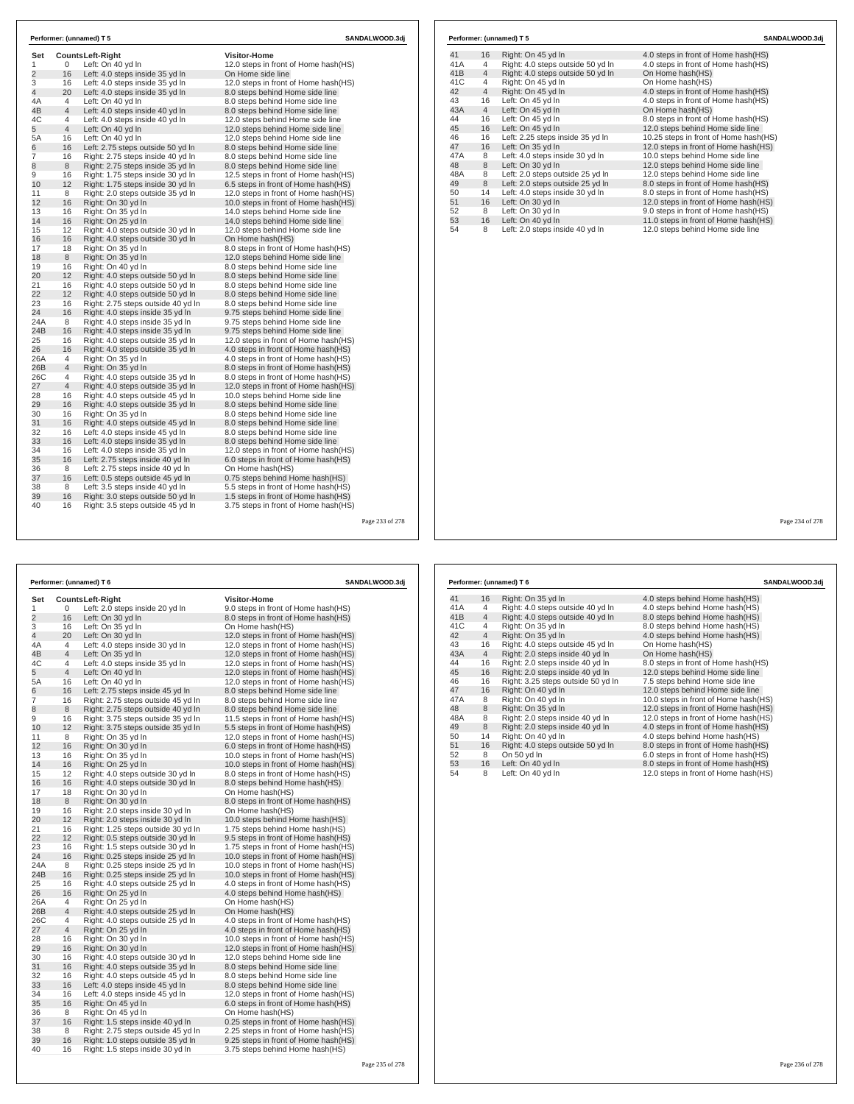| Set                 |                      | <b>CountsLeft-Right</b>                                            | <b>Visitor-Home</b>                                                 |  |
|---------------------|----------------------|--------------------------------------------------------------------|---------------------------------------------------------------------|--|
| 1<br>$\overline{2}$ | 0<br>16              | Left: On 40 yd In                                                  | 12.0 steps in front of Home hash(HS)<br>On Home side line           |  |
|                     |                      | Left: 4.0 steps inside 35 yd In                                    |                                                                     |  |
| 3                   | 16                   | Left: 4.0 steps inside 35 vd In                                    | 12.0 steps in front of Home hash(HS)                                |  |
| 4                   | 20<br>$\overline{4}$ | Left: 4.0 steps inside 35 yd In<br>Left: On 40 vd In               | 8.0 steps behind Home side line<br>8.0 steps behind Home side line  |  |
| 4A<br>4B            | $\overline{4}$       |                                                                    |                                                                     |  |
| 4C                  | $\overline{4}$       | Left: 4.0 steps inside 40 yd In<br>Left: 4.0 steps inside 40 vd In | 8.0 steps behind Home side line<br>12.0 steps behind Home side line |  |
| 5                   | $\overline{4}$       | Left: On 40 yd In                                                  | 12.0 steps behind Home side line                                    |  |
| 5A                  | 16                   | Left: On 40 yd In                                                  | 12.0 steps behind Home side line                                    |  |
| 6                   | 16                   | Left: 2.75 steps outside 50 yd In                                  | 8.0 steps behind Home side line                                     |  |
| $\overline{7}$      | 16                   | Right: 2.75 steps inside 40 yd In                                  | 8.0 steps behind Home side line                                     |  |
| 8                   | 8                    | Right: 2.75 steps inside 35 yd In                                  | 8.0 steps behind Home side line                                     |  |
| 9                   | 16                   | Right: 1.75 steps inside 30 yd In                                  | 12.5 steps in front of Home hash(HS)                                |  |
| 10                  | 12                   | Right: 1.75 steps inside 30 yd In                                  | 6.5 steps in front of Home hash(HS)                                 |  |
| 11                  | 8                    | Right: 2.0 steps outside 35 yd In                                  | 12.0 steps in front of Home hash(HS)                                |  |
| 12                  | 16                   | Right: On 30 yd In                                                 | 10.0 steps in front of Home hash(HS)                                |  |
| 13                  | 16                   | Right: On 35 yd In                                                 | 14.0 steps behind Home side line                                    |  |
| 14                  | 16                   | Right: On 25 yd In                                                 | 14.0 steps behind Home side line                                    |  |
| 15                  | 12                   | Right: 4.0 steps outside 30 yd In                                  | 12.0 steps behind Home side line                                    |  |
| 16                  | 16                   | Right: 4.0 steps outside 30 yd In                                  | On Home hash(HS)                                                    |  |
| 17                  | 18                   | Right: On 35 vd In                                                 | 8.0 steps in front of Home hash(HS)                                 |  |
| 18                  | 8                    | Right: On 35 yd In                                                 | 12.0 steps behind Home side line                                    |  |
| 19                  | 16                   | Right: On 40 yd In                                                 | 8.0 steps behind Home side line                                     |  |
| 20                  | 12 <sup>2</sup>      | Right: 4.0 steps outside 50 yd In                                  | 8.0 steps behind Home side line                                     |  |
| 21                  | 16                   | Right: 4.0 steps outside 50 yd In                                  | 8.0 steps behind Home side line                                     |  |
| 22                  | 12                   | Right: 4.0 steps outside 50 yd In                                  | 8.0 steps behind Home side line                                     |  |
| 23                  | 16                   | Right: 2.75 steps outside 40 yd In                                 | 8.0 steps behind Home side line                                     |  |
| 24                  | 16                   | Right: 4.0 steps inside 35 yd In                                   | 9.75 steps behind Home side line                                    |  |
| 24A                 | 8                    | Right: 4.0 steps inside 35 yd In                                   | 9.75 steps behind Home side line                                    |  |
| 24B                 | 16                   | Right: 4.0 steps inside 35 yd In                                   | 9.75 steps behind Home side line                                    |  |
| 25                  | 16                   | Right: 4.0 steps outside 35 yd In                                  | 12.0 steps in front of Home hash(HS)                                |  |
| 26                  | 16                   | Right: 4.0 steps outside 35 yd In                                  | 4.0 steps in front of Home hash(HS)                                 |  |
| 26A                 | 4                    | Right: On 35 yd In                                                 | 4.0 steps in front of Home hash(HS)                                 |  |
| 26B                 | $\overline{4}$       | Right: On 35 yd In                                                 | 8.0 steps in front of Home hash(HS)                                 |  |
| 26C                 | 4                    | Right: 4.0 steps outside 35 yd In                                  | 8.0 steps in front of Home hash(HS)                                 |  |
| 27                  | $\overline{4}$       | Right: 4.0 steps outside 35 yd In                                  | 12.0 steps in front of Home hash(HS)                                |  |
| 28                  | 16                   | Right: 4.0 steps outside 45 yd In                                  | 10.0 steps behind Home side line                                    |  |
| 29                  | 16                   | Right: 4.0 steps outside 35 yd In                                  | 8.0 steps behind Home side line                                     |  |
| 30                  | 16                   | Right: On 35 yd In                                                 | 8.0 steps behind Home side line                                     |  |
| 31                  | 16                   | Right: 4.0 steps outside 45 vd In                                  | 8.0 steps behind Home side line                                     |  |
| 32                  | 16                   | Left: 4.0 steps inside 45 yd In                                    | 8.0 steps behind Home side line                                     |  |
| 33                  | 16                   | Left: 4.0 steps inside 35 yd In                                    | 8.0 steps behind Home side line                                     |  |
| 34                  | 16                   | Left: 4.0 steps inside 35 yd In                                    | 12.0 steps in front of Home hash(HS)                                |  |
| 35                  | 16                   | Left: 2.75 steps inside 40 yd In                                   | 6.0 steps in front of Home hash(HS)                                 |  |
| 36                  | 8                    | Left: 2.75 steps inside 40 yd In                                   | On Home hash(HS)                                                    |  |
| 37                  | 16                   | Left: 0.5 steps outside 45 yd In                                   | 0.75 steps behind Home hash(HS)                                     |  |
| 38                  | 8                    | Left: 3.5 steps inside 40 yd In                                    | 5.5 steps in front of Home hash(HS)                                 |  |
| 39                  | 16                   | Right: 3.0 steps outside 50 yd In                                  | 1.5 steps in front of Home hash (HS)                                |  |
|                     |                      | Right: 3.5 steps outside 45 yd In                                  | 3.75 steps in front of Home hash(HS)                                |  |

30 16 Right: 4.0 steps outside 30 yd ln 12.0 steps behind Home side line 31 16 Right: 4.0 steps outside 35 yd ln 8.0 steps behind Home side line 32 16 Right: 4.0 steps outside 45 yd ln 8.0 steps behind Home side line 33 16 Left: 4.0 steps inside 45 yd ln 8.0 steps behind Home side line 34 16 Left: 4.0 steps inside 45 yd ln 12.0 steps in front of Home hash(HS) 35 16 Right: On 45 yd ln 6.0 steps in front of Home hash(HS) 36 8 Right: On 45 yd ln On Home hash(HS) 37 16 Right: 1.5 steps inside 40 yd ln 0.25 steps in front of Home hash(HS) 38 8 Right: 2.75 steps outside 45 yd ln 2.25 steps in front of Home hash(HS) 39 16 Right: 1.0 steps outside 35 yd ln 9.25 steps in front of Home hash(HS) 40 16 Right: 1.5 steps inside 30 yd ln 3.75 steps behind Home hash(HS)

|     |                | Performer: (unnamed) T 5          | SANDALWOOD.3dj                        |
|-----|----------------|-----------------------------------|---------------------------------------|
| 41  | 16             | Right: On 45 yd In                | 4.0 steps in front of Home hash(HS)   |
| 41A | 4              | Right: 4.0 steps outside 50 yd In | 4.0 steps in front of Home hash(HS)   |
| 41B | $\overline{4}$ | Right: 4.0 steps outside 50 yd In | On Home hash(HS)                      |
| 41C | 4              | Right: On 45 yd In                | On Home hash(HS)                      |
| 42  | $\overline{4}$ | Right: On 45 yd In                | 4.0 steps in front of Home hash(HS)   |
| 43  | 16             | Left: On 45 yd In                 | 4.0 steps in front of Home hash(HS)   |
| 43A | $\overline{4}$ | Left: On 45 yd In                 | On Home hash(HS)                      |
| 44  | 16             | Left: On 45 vd In                 | 8.0 steps in front of Home hash(HS)   |
| 45  | 16             | Left: On 45 yd In                 | 12.0 steps behind Home side line      |
| 46  | 16             | Left: 2.25 steps inside 35 yd In  | 10.25 steps in front of Home hash(HS) |
| 47  | 16             | Left: On 35 yd In                 | 12.0 steps in front of Home hash(HS)  |
| 47A | 8              | Left: 4.0 steps inside 30 yd In   | 10.0 steps behind Home side line      |
| 48  | 8              | Left: On 30 yd In                 | 12.0 steps behind Home side line      |
| 48A | 8              | Left: 2.0 steps outside 25 yd In  | 12.0 steps behind Home side line      |
| 49  | 8              | Left: 2.0 steps outside 25 yd In  | 8.0 steps in front of Home hash(HS)   |
| 50  | 14             | Left: 4.0 steps inside 30 yd In   | 8.0 steps in front of Home hash(HS)   |
| 51  | 16             | Left: On 30 yd In                 | 12.0 steps in front of Home hash(HS)  |
| 52  | 8              | Left: On 30 yd In                 | 9.0 steps in front of Home hash(HS)   |
| 53  | 16             | Left: On 40 yd In                 | 11.0 steps in front of Home hash(HS)  |
| 54  | 8              | Left: 2.0 steps inside 40 yd In   | 12.0 steps behind Home side line      |

Page 234 of 278

|                |                | Performer: (unnamed) T 6           | SANDALWOOD.3dj                        |     |                | Performer: (unnamed) T 6         |
|----------------|----------------|------------------------------------|---------------------------------------|-----|----------------|----------------------------------|
| Set            |                | <b>CountsLeft-Right</b>            | <b>Visitor-Home</b>                   | 41  | 16             | Right: On 35 yd In               |
| 1              | 0              | Left: 2.0 steps inside 20 yd In    | 9.0 steps in front of Home hash (HS)  | 41A | 4              | Right: 4.0 steps outside 40 yd   |
| $\overline{c}$ | 16             | Left: On 30 yd In                  | 8.0 steps in front of Home hash(HS)   | 41B | $\overline{4}$ | Right: 4.0 steps outside 40 yd   |
| 3              | 16             | Left: On 35 yd In                  | On Home hash(HS)                      | 41C | $\overline{4}$ | Right: On 35 yd In               |
| 4              | 20             | Left: On 30 yd In                  | 12.0 steps in front of Home hash(HS)  | 42  | $\overline{4}$ | Right: On 35 yd In               |
| 4A             | 4              | Left: 4.0 steps inside 30 yd In    | 12.0 steps in front of Home hash(HS)  | 43  | 16             | Right: 4.0 steps outside 45 yd   |
| 4B             | 4              | Left: On 35 yd In                  | 12.0 steps in front of Home hash(HS)  | 43A | $\overline{4}$ | Right: 2.0 steps inside 40 yd Ir |
| 4C             | 4              | Left: 4.0 steps inside 35 yd In    | 12.0 steps in front of Home hash(HS)  | 44  | 16             | Right: 2.0 steps inside 40 yd Ir |
| 5              | 4              | Left: On 40 yd In                  | 12.0 steps in front of Home hash(HS)  | 45  | 16             | Right: 2.0 steps inside 40 yd In |
| 5A             | 16             | Left: On 40 yd In                  | 12.0 steps in front of Home hash (HS) | 46  | 16             | Right: 3.25 steps outside 50 yo  |
| 6              | 16             | Left: 2.75 steps inside 45 yd In   | 8.0 steps behind Home side line       | 47  | 16             | Right: On 40 yd In               |
| $\overline{7}$ | 16             | Right: 2.75 steps outside 45 yd In | 8.0 steps behind Home side line       | 47A | 8              | Right: On 40 yd In               |
| 8              | 8              | Right: 2.75 steps outside 40 yd In | 8.0 steps behind Home side line       | 48  | 8              | Right: On 35 yd In               |
| 9              | 16             | Right: 3.75 steps outside 35 yd In | 11.5 steps in front of Home hash(HS)  | 48A | 8              | Right: 2.0 steps inside 40 yd Ir |
| 10             | 12             | Right: 3.75 steps outside 35 yd In | 5.5 steps in front of Home hash(HS)   | 49  | 8              | Right: 2.0 steps inside 40 yd Ir |
| 11             | 8              | Right: On 35 yd In                 | 12.0 steps in front of Home hash(HS)  | 50  | 14             | Right: On 40 yd In               |
| 12             | 16             | Right: On 30 yd In                 | 6.0 steps in front of Home hash (HS)  | 51  | 16             | Right: 4.0 steps outside 50 yd   |
| 13             | 16             | Right: On 35 yd In                 | 10.0 steps in front of Home hash(HS)  | 52  | 8              | On 50 yd In                      |
| 14             | 16             | Right: On 25 yd In                 | 10.0 steps in front of Home hash(HS)  | 53  | 16             | Left: On 40 yd In                |
| 15             | 12             | Right: 4.0 steps outside 30 yd In  | 8.0 steps in front of Home hash(HS)   | 54  | 8              | Left: On 40 yd In                |
| 16             | 16             | Right: 4.0 steps outside 30 yd In  | 8.0 steps behind Home hash(HS)        |     |                |                                  |
| 17             | 18             | Right: On 30 yd In                 | On Home hash(HS)                      |     |                |                                  |
| 18             | 8              | Right: On 30 yd In                 | 8.0 steps in front of Home hash (HS)  |     |                |                                  |
| 19             | 16             | Right: 2.0 steps inside 30 yd In   | On Home hash(HS)                      |     |                |                                  |
| 20             | 12             | Right: 2.0 steps inside 30 yd In   | 10.0 steps behind Home hash(HS)       |     |                |                                  |
| 21             | 16             | Right: 1.25 steps outside 30 yd In | 1.75 steps behind Home hash(HS)       |     |                |                                  |
| 22             | 12             | Right: 0.5 steps outside 30 yd In  | 9.5 steps in front of Home hash (HS)  |     |                |                                  |
| 23             | 16             | Right: 1.5 steps outside 30 yd In  | 1.75 steps in front of Home hash(HS)  |     |                |                                  |
| 24             | 16             | Right: 0.25 steps inside 25 yd In  | 10.0 steps in front of Home hash(HS)  |     |                |                                  |
| 24A            | 8              | Right: 0.25 steps inside 25 yd In  | 10.0 steps in front of Home hash(HS)  |     |                |                                  |
| 24B            | 16             | Right: 0.25 steps inside 25 yd In  | 10.0 steps in front of Home hash(HS)  |     |                |                                  |
| 25             | 16             | Right: 4.0 steps outside 25 yd In  | 4.0 steps in front of Home hash(HS)   |     |                |                                  |
| 26             | 16             | Right: On 25 yd In                 | 4.0 steps behind Home hash(HS)        |     |                |                                  |
| 26A            | 4              | Right: On 25 yd In                 | On Home hash(HS)                      |     |                |                                  |
| 26B            | $\overline{4}$ | Right: 4.0 steps outside 25 yd In  | On Home hash(HS)                      |     |                |                                  |
| 26C            | 4              | Right: 4.0 steps outside 25 yd In  | 4.0 steps in front of Home hash(HS)   |     |                |                                  |
| 27             | 4              | Right: On 25 yd In                 | 4.0 steps in front of Home hash(HS)   |     |                |                                  |
| 28             | 16             | Right: On 30 yd In                 | 10.0 steps in front of Home hash(HS)  |     |                |                                  |
| 29             | 16             | Right: On 30 yd In                 | 12.0 steps in front of Home hash(HS)  |     |                |                                  |
| 30             | 16             | Right: 4.0 steps outside 30 yd In  | 12.0 steps behind Home side line      |     |                |                                  |
| 31             | 16             | Right: 4.0 steps outside 35 yd In  | 8.0 steps behind Home side line       |     |                |                                  |

ח ר

| Performer: (unnamed) T 6<br>SANDALWOOD.3dj |    |                                    |                                      |  |  |
|--------------------------------------------|----|------------------------------------|--------------------------------------|--|--|
|                                            |    |                                    |                                      |  |  |
| 41                                         | 16 | Right: On 35 yd In                 | 4.0 steps behind Home hash (HS)      |  |  |
| 41 A                                       | 4  | Right: 4.0 steps outside 40 yd In  | 4.0 steps behind Home hash (HS)      |  |  |
| 41B                                        | 4  | Right: 4.0 steps outside 40 yd In  | 8.0 steps behind Home hash(HS)       |  |  |
| 41C                                        | 4  | Right: On 35 yd In                 | 8.0 steps behind Home hash(HS)       |  |  |
| 42                                         | 4  | Right: On 35 yd In                 | 4.0 steps behind Home hash(HS)       |  |  |
| 43                                         | 16 | Right: 4.0 steps outside 45 yd In  | On Home hash(HS)                     |  |  |
| 43A                                        | 4  | Right: 2.0 steps inside 40 yd In   | On Home hash(HS)                     |  |  |
| 44                                         | 16 | Right: 2.0 steps inside 40 yd In   | 8.0 steps in front of Home hash(HS)  |  |  |
| 45                                         | 16 | Right: 2.0 steps inside 40 yd In   | 12.0 steps behind Home side line     |  |  |
| 46                                         | 16 | Right: 3.25 steps outside 50 yd In | 7.5 steps behind Home side line      |  |  |
| 47                                         | 16 | Right: On 40 yd In                 | 12.0 steps behind Home side line     |  |  |
| 47 A                                       | 8  | Right: On 40 vd In                 | 10.0 steps in front of Home hash(HS) |  |  |
| 48                                         | 8  | Right: On 35 yd In                 | 12.0 steps in front of Home hash(HS) |  |  |
| 48A                                        | 8  | Right: 2.0 steps inside 40 yd In   | 12.0 steps in front of Home hash(HS) |  |  |
| 49                                         | 8  | Right: 2.0 steps inside 40 yd In   | 4.0 steps in front of Home hash (HS) |  |  |
| 50                                         | 14 | Right: On 40 yd In                 | 4.0 steps behind Home hash(HS)       |  |  |
| 51                                         | 16 | Right: 4.0 steps outside 50 yd In  | 8.0 steps in front of Home hash(HS)  |  |  |
| 52                                         | 8  | On 50 yd In                        | 6.0 steps in front of Home hash(HS)  |  |  |
| 53                                         | 16 | Left: On 40 yd In                  | 8.0 steps in front of Home hash (HS) |  |  |
| 54                                         | 8  | Left: On 40 yd In                  | 12.0 steps in front of Home hash(HS) |  |  |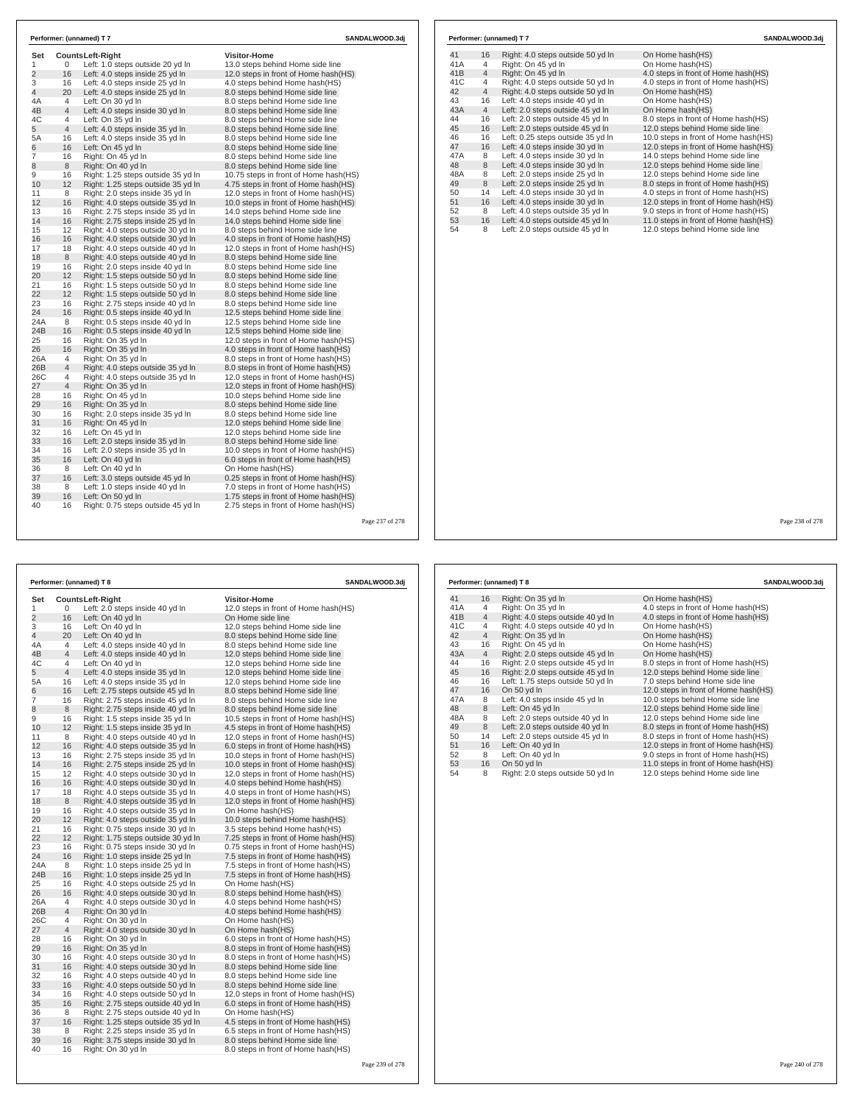| Set            |                | Counts Left-Right                                       | <b>Visitor-Home</b>                    | 41  | 16             | Right: 4.0 steps outside 50 yd In | On Home hash(HS)                      |
|----------------|----------------|---------------------------------------------------------|----------------------------------------|-----|----------------|-----------------------------------|---------------------------------------|
| -1             | $\mathbf{0}$   | Left: 1.0 steps outside 20 yd In                        | 13.0 steps behind Home side line       | 41A | $\overline{4}$ | Right: On 45 yd In                | On Home hash(HS)                      |
| $\overline{2}$ | 16             | Left: 4.0 steps inside 25 yd In                         | 12.0 steps in front of Home hash(HS)   | 41B | $\overline{4}$ | Right: On 45 yd In                | 4.0 steps in front of Home hash(HS)   |
| 3              | 16             | Left: 4.0 steps inside 25 yd In                         | 4.0 steps behind Home hash(HS)         | 41C | $\overline{4}$ | Right: 4.0 steps outside 50 yd In | 4.0 steps in front of Home hash(HS)   |
| 4              | 20             | Left: 4.0 steps inside 25 yd In                         | 8.0 steps behind Home side line        | 42  | $\overline{4}$ | Right: 4.0 steps outside 50 yd In | On Home hash(HS)                      |
| 4A             | $\overline{4}$ | Left: On 30 yd In                                       | 8.0 steps behind Home side line        | 43  | 16             | Left: 4.0 steps inside 40 yd In   | On Home hash(HS)                      |
| 4B             | $\overline{4}$ | Left: 4.0 steps inside 30 yd In                         | 8.0 steps behind Home side line        | 43A | $\overline{4}$ | Left: 2.0 steps outside 45 yd In  | On Home hash(HS)                      |
| 4C             | $\overline{4}$ | Left: On 35 yd In                                       | 8.0 steps behind Home side line        | 44  | 16             | Left: 2.0 steps outside 45 yd In  | 8.0 steps in front of Home hash(HS)   |
| 5              | $\overline{4}$ | Left: 4.0 steps inside 35 yd In                         | 8.0 steps behind Home side line        | 45  | 16             | Left: 2.0 steps outside 45 yd In  | 12.0 steps behind Home side line      |
| 5A             | 16             | Left: 4.0 steps inside 35 yd In                         | 8.0 steps behind Home side line        | 46  | 16             | Left: 0.25 steps outside 35 yd In | 10.0 steps in front of Home hash (HS) |
| 6              | 16             | Left: On 45 vd In                                       | 8.0 steps behind Home side line        | 47  | 16             | Left: 4.0 steps inside 30 yd In   | 12.0 steps in front of Home hash(HS)  |
| $\overline{7}$ | 16             | Right: On 45 yd In                                      | 8.0 steps behind Home side line        | 47A | 8              | Left: 4.0 steps inside 30 yd In   | 14.0 steps behind Home side line      |
|                | 8              | Right: On 40 yd In                                      | 8.0 steps behind Home side line        | 48  | 8              | Left: 4.0 steps inside 30 yd In   | 12.0 steps behind Home side line      |
| 9              | 16             | Right: 1.25 steps outside 35 yd In                      | 10.75 steps in front of Home hash (HS) | 48A | 8              | Left: 2.0 steps inside 25 yd In   | 12.0 steps behind Home side line      |
| 10             | 12             | Right: 1.25 steps outside 35 yd In                      | 4.75 steps in front of Home hash(HS)   | 49  | 8              | Left: 2.0 steps inside 25 yd In   | 8.0 steps in front of Home hash(HS)   |
| 11             | 8              | Right: 2.0 steps inside 35 yd In                        | 12.0 steps in front of Home hash(HS)   | 50  | 14             | Left: 4.0 steps inside 30 yd In   | 4.0 steps in front of Home hash(HS)   |
| 12             | 16             | Right: 4.0 steps outside 35 yd In                       | 10.0 steps in front of Home hash(HS)   | 51  | 16             | Left: 4.0 steps inside 30 yd In   | 12.0 steps in front of Home hash(HS)  |
| 13             | 16             | Right: 2.75 steps inside 35 yd In                       | 14.0 steps behind Home side line       | 52  | 8              | Left: 4.0 steps outside 35 yd In  | 9.0 steps in front of Home hash(HS)   |
| 14             | 16             | Right: 2.75 steps inside 25 yd In                       | 14.0 steps behind Home side line       | 53  | 16             | Left: 4.0 steps outside 45 yd In  | 11.0 steps in front of Home hash(HS)  |
| 15             | 12             | Right: 4.0 steps outside 30 yd In                       | 8.0 steps behind Home side line        | 54  | 8              | Left: 2.0 steps outside 45 yd In  | 12.0 steps behind Home side line      |
| 16             | 16             | Right: 4.0 steps outside 30 yd In                       | 4.0 steps in front of Home hash(HS)    |     |                |                                   |                                       |
| 17             | 18             | Right: 4.0 steps outside 40 yd In                       | 12.0 steps in front of Home hash(HS)   |     |                |                                   |                                       |
| 18             | 8              | Right: 4.0 steps outside 40 yd In                       | 8.0 steps behind Home side line        |     |                |                                   |                                       |
| 19             | 16             | Right: 2.0 steps inside 40 yd In                        | 8.0 steps behind Home side line        |     |                |                                   |                                       |
| 20             | 12             | Right: 1.5 steps outside 50 yd In                       | 8.0 steps behind Home side line        |     |                |                                   |                                       |
| 21             | 16             | Right: 1.5 steps outside 50 yd In                       | 8.0 steps behind Home side line        |     |                |                                   |                                       |
| 22             | 12             | Right: 1.5 steps outside 50 yd In                       | 8.0 steps behind Home side line        |     |                |                                   |                                       |
| 23             | 16             | Right: 2.75 steps inside 40 yd In                       | 8.0 steps behind Home side line        |     |                |                                   |                                       |
| 24             | 16             | Right: 0.5 steps inside 40 yd In                        | 12.5 steps behind Home side line       |     |                |                                   |                                       |
| 24A            | 8              | Right: 0.5 steps inside 40 yd In                        | 12.5 steps behind Home side line       |     |                |                                   |                                       |
| 24B            | 16             | Right: 0.5 steps inside 40 yd In                        | 12.5 steps behind Home side line       |     |                |                                   |                                       |
| 25             | 16             | Right: On 35 yd In                                      | 12.0 steps in front of Home hash (HS)  |     |                |                                   |                                       |
| 26             | 16             | Right: On 35 yd In                                      | 4.0 steps in front of Home hash(HS)    |     |                |                                   |                                       |
| 26A            | $\overline{4}$ |                                                         | 8.0 steps in front of Home hash (HS)   |     |                |                                   |                                       |
| 26B            | $\overline{4}$ | Right: On 35 yd In<br>Right: 4.0 steps outside 35 yd In | 8.0 steps in front of Home hash(HS)    |     |                |                                   |                                       |
|                |                |                                                         |                                        |     |                |                                   |                                       |
| 26C<br>27      | $\overline{4}$ | Right: 4.0 steps outside 35 yd In                       | 12.0 steps in front of Home hash(HS)   |     |                |                                   |                                       |
|                | $\overline{4}$ | Right: On 35 yd In                                      | 12.0 steps in front of Home hash(HS)   |     |                |                                   |                                       |
| 28             | 16             | Right: On 45 yd In                                      | 10.0 steps behind Home side line       |     |                |                                   |                                       |
| 29             | 16             | Right: On 35 yd In                                      | 8.0 steps behind Home side line        |     |                |                                   |                                       |
| 30             | 16             | Right: 2.0 steps inside 35 yd In                        | 8.0 steps behind Home side line        |     |                |                                   |                                       |
| 31             | 16             | Right: On 45 yd In                                      | 12.0 steps behind Home side line       |     |                |                                   |                                       |
| 32             | 16             | Left: On 45 yd In                                       | 12.0 steps behind Home side line       |     |                |                                   |                                       |
| 33             | 16             | Left: 2.0 steps inside 35 yd In                         | 8.0 steps behind Home side line        |     |                |                                   |                                       |
| 34             | 16             | Left: 2.0 steps inside 35 yd In                         | 10.0 steps in front of Home hash(HS)   |     |                |                                   |                                       |
| 35             | 16             | Left: On 40 vd In                                       | 6.0 steps in front of Home hash(HS)    |     |                |                                   |                                       |
| 36             | 8              | Left: On 40 yd In                                       | On Home hash(HS)                       |     |                |                                   |                                       |
| 37             | 16             | Left: 3.0 steps outside 45 yd In                        | 0.25 steps in front of Home hash(HS)   |     |                |                                   |                                       |
| 38             | 8              | Left: 1.0 steps inside 40 yd In                         | 7.0 steps in front of Home hash(HS)    |     |                |                                   |                                       |
| 39<br>40       | 16             | Left: On 50 yd In                                       | 1.75 steps in front of Home hash(HS)   |     |                |                                   |                                       |
|                | 16             | Right: 0.75 steps outside 45 yd In                      | 2.75 steps in front of Home hash(HS)   |     |                |                                   |                                       |

|          |                | Performer: (unnamed) T 8                                              | SANDALWOOD.3dj                                                              |  |  |
|----------|----------------|-----------------------------------------------------------------------|-----------------------------------------------------------------------------|--|--|
| Set      |                | <b>CountsLeft-Right</b>                                               | <b>Visitor-Home</b>                                                         |  |  |
| 1        | 0              | Left: 2.0 steps inside 40 yd In                                       | 12.0 steps in front of Home hash (HS)                                       |  |  |
| 2        | 16             | Left: On 40 yd In                                                     | On Home side line                                                           |  |  |
| 3        | 16             | Left: On 40 yd In                                                     | 12.0 steps behind Home side line                                            |  |  |
| 4        | 20             | Left: On 40 yd In                                                     | 8.0 steps behind Home side line                                             |  |  |
| 4A       | 4              | Left: 4.0 steps inside 40 yd In                                       | 8.0 steps behind Home side line                                             |  |  |
| 4B       | 4              | Left: 4.0 steps inside 40 yd In                                       | 12.0 steps behind Home side line                                            |  |  |
| 4C       | 4              | Left: On 40 yd In                                                     | 12.0 steps behind Home side line                                            |  |  |
| 5        | $\overline{4}$ | Left: 4.0 steps inside 35 yd In                                       | 12.0 steps behind Home side line                                            |  |  |
| 5A       | 16             | Left: 4.0 steps inside 35 yd In                                       | 12.0 steps behind Home side line                                            |  |  |
| 6        | 16             | Left: 2.75 steps outside 45 yd In                                     | 8.0 steps behind Home side line                                             |  |  |
| 7        | 16             | Right: 2.75 steps inside 45 yd In                                     | 8.0 steps behind Home side line                                             |  |  |
| 8        | 8              | Right: 2.75 steps inside 40 yd In                                     | 8.0 steps behind Home side line                                             |  |  |
| 9        | 16             | Right: 1.5 steps inside 35 yd In                                      | 10.5 steps in front of Home hash (HS)                                       |  |  |
| 10       | 12             | Right: 1.5 steps inside 35 yd In                                      | 4.5 steps in front of Home hash(HS)                                         |  |  |
| 11       | 8              | Right: 4.0 steps outside 40 yd In                                     | 12.0 steps in front of Home hash(HS)                                        |  |  |
| 12       | 16             | Right: 4.0 steps outside 35 yd In                                     | 6.0 steps in front of Home hash(HS)                                         |  |  |
| 13       | 16             | Right: 2.75 steps inside 35 yd In                                     | 10.0 steps in front of Home hash(HS)                                        |  |  |
| 14       | 16             | Right: 2.75 steps inside 25 yd In                                     | 10.0 steps in front of Home hash(HS)                                        |  |  |
| 15       | 12             | Right: 4.0 steps outside 30 yd In                                     | 12.0 steps in front of Home hash (HS)                                       |  |  |
| 16       | 16             | Right: 4.0 steps outside 30 yd In                                     | 4.0 steps behind Home hash(HS)                                              |  |  |
| 17       | 18             | Right: 4.0 steps outside 35 yd In                                     | 4.0 steps in front of Home hash(HS)                                         |  |  |
| 18       | 8              | Right: 4.0 steps outside 35 yd In                                     | 12.0 steps in front of Home hash(HS)                                        |  |  |
| 19       | 16             | Right: 4.0 steps outside 35 yd In                                     | On Home hash(HS)                                                            |  |  |
| 20       | 12             | Right: 4.0 steps outside 35 yd In                                     | 10.0 steps behind Home hash(HS)                                             |  |  |
| 21       | 16             | Right: 0.75 steps inside 30 yd In                                     | 3.5 steps behind Home hash(HS)                                              |  |  |
| 22<br>23 | 12<br>16       | Right: 1.75 steps outside 30 yd In                                    | 7.25 steps in front of Home hash(HS)                                        |  |  |
| 24       | 16             | Right: 0.75 steps inside 30 yd In<br>Right: 1.0 steps inside 25 yd In | 0.75 steps in front of Home hash(HS)<br>7.5 steps in front of Home hash(HS) |  |  |
| 24A      | 8              | Right: 1.0 steps inside 25 yd In                                      | 7.5 steps in front of Home hash(HS)                                         |  |  |
| 24B      | 16             | Right: 1.0 steps inside 25 yd In                                      | 7.5 steps in front of Home hash(HS)                                         |  |  |
| 25       | 16             | Right: 4.0 steps outside 25 yd In                                     | On Home hash(HS)                                                            |  |  |
| 26       | 16             | Right: 4.0 steps outside 30 yd In                                     | 8.0 steps behind Home hash(HS)                                              |  |  |
| 26A      | 4              | Right: 4.0 steps outside 30 yd In                                     | 4.0 steps behind Home hash(HS)                                              |  |  |
| 26B      | 4              | Right: On 30 yd In                                                    | 4.0 steps behind Home hash(HS)                                              |  |  |
| 26C      | 4              | Right: On 30 yd In                                                    | On Home hash(HS)                                                            |  |  |
| 27       | $\overline{4}$ | Right: 4.0 steps outside 30 yd In                                     | On Home hash(HS)                                                            |  |  |
| 28       | 16             | Right: On 30 yd In                                                    | 6.0 steps in front of Home hash(HS)                                         |  |  |
| 29       | 16             | Right: On 35 yd In                                                    | 8.0 steps in front of Home hash(HS)                                         |  |  |
| 30       | 16             | Right: 4.0 steps outside 30 yd In                                     | 8.0 steps in front of Home hash(HS)                                         |  |  |
| 31       | 16             | Right: 4.0 steps outside 30 yd In                                     | 8.0 steps behind Home side line                                             |  |  |
| 32       | 16             | Right: 4.0 steps outside 40 yd In                                     | 8.0 steps behind Home side line                                             |  |  |
| 33       | 16             | Right: 4.0 steps outside 50 yd In                                     | 8.0 steps behind Home side line                                             |  |  |
| 34       | 16             | Right: 4.0 steps outside 50 yd In                                     | 12.0 steps in front of Home hash (HS)                                       |  |  |
| 35       | 16             | Right: 2.75 steps outside 40 yd In                                    | 6.0 steps in front of Home hash(HS)                                         |  |  |
| 36       | 8              | Right: 2.75 steps outside 40 yd In                                    | On Home hash(HS)                                                            |  |  |
| 37       | 16             | Right: 1.25 steps outside 35 yd In                                    | 4.5 steps in front of Home hash(HS)                                         |  |  |
| 38       | 8              | Right: 2.25 steps inside 35 yd In                                     | 6.5 steps in front of Home hash(HS)                                         |  |  |
| 39       | 16             | Right: 3.75 steps inside 30 yd In                                     | 8.0 steps behind Home side line                                             |  |  |
| 40       | 16             | Right: On 30 yd In                                                    | 8.0 steps in front of Home hash(HS)                                         |  |  |

|     |                | Performer: (unnamed) T 8          | SANDALWOOD.3dj                       |
|-----|----------------|-----------------------------------|--------------------------------------|
| 41  | 16             | Right: On 35 yd In                | On Home hash(HS)                     |
| 41A | 4              | Right: On 35 yd In                | 4.0 steps in front of Home hash(HS)  |
| 41B | $\overline{4}$ | Right: 4.0 steps outside 40 yd In | 4.0 steps in front of Home hash(HS)  |
| 41C | 4              | Right: 4.0 steps outside 40 yd In | On Home hash(HS)                     |
| 42  | $\overline{4}$ | Right: On 35 yd In                | On Home hash(HS)                     |
| 43  | 16             | Right: On 45 yd In                | On Home hash(HS)                     |
| 43A | $\overline{4}$ | Right: 2.0 steps outside 45 yd In | On Home hash(HS)                     |
| 44  | 16             | Right: 2.0 steps outside 45 yd In | 8.0 steps in front of Home hash(HS)  |
| 45  | 16             | Right: 2.0 steps outside 45 yd In | 12.0 steps behind Home side line     |
| 46  | 16             | Left: 1.75 steps outside 50 yd In | 7.0 steps behind Home side line      |
| 47  | 16             | On 50 yd In                       | 12.0 steps in front of Home hash(HS) |
| 47A | 8              | Left: 4.0 steps inside 45 yd In   | 10.0 steps behind Home side line     |
| 48  | 8              | Left: On 45 yd In                 | 12.0 steps behind Home side line     |
| 48A | 8              | Left: 2.0 steps outside 40 yd In  | 12.0 steps behind Home side line     |
| 49  | 8              | Left: 2.0 steps outside 40 yd In  | 8.0 steps in front of Home hash(HS)  |
| 50  | 14             | Left: 2.0 steps outside 45 yd In  | 8.0 steps in front of Home hash(HS)  |
| 51  | 16             | Left: On 40 yd In                 | 12.0 steps in front of Home hash(HS) |
| 52  | 8              | Left: On 40 yd In                 | 9.0 steps in front of Home hash(HS)  |
| 53  | 16             | On 50 yd In                       | 11.0 steps in front of Home hash(HS) |
| 54  | 8              | Right: 2.0 steps outside 50 yd In | 12.0 steps behind Home side line     |

Page 239 of 278

**Performer: (unnamed) T 7 SANDALWOOD.3dj**

Page 238 of 278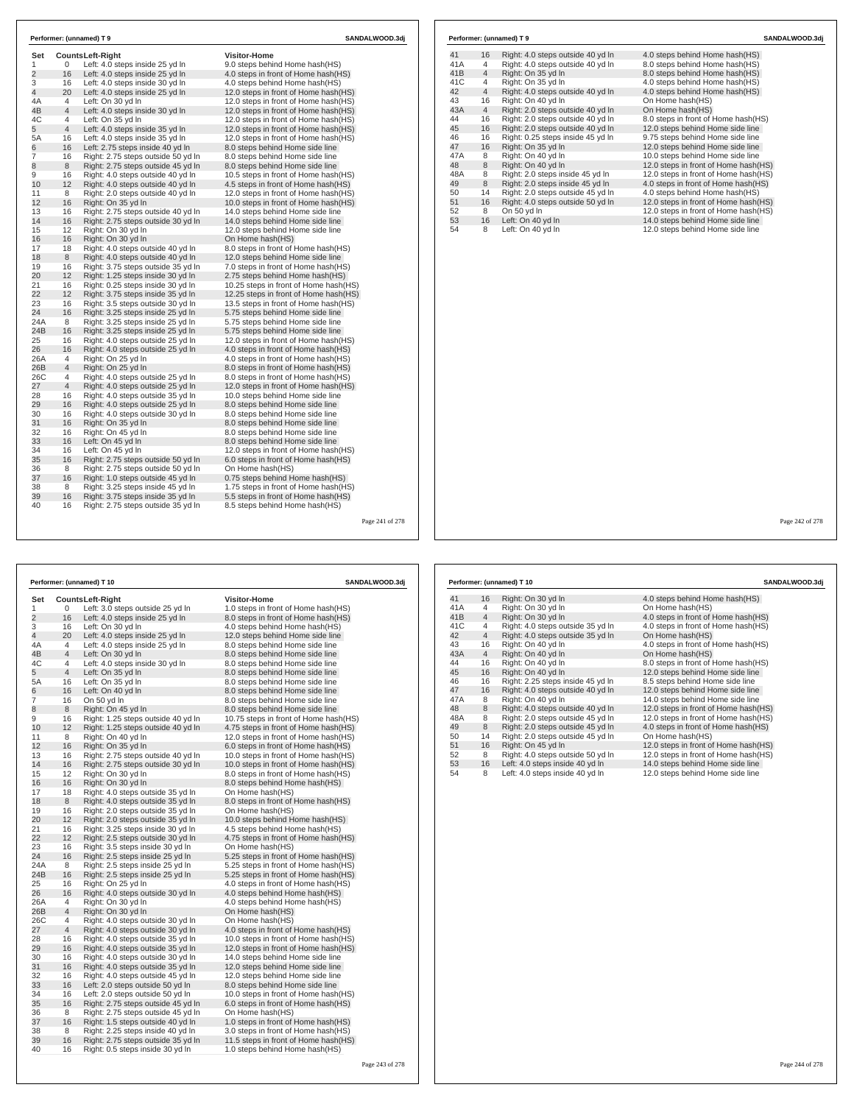| Set<br>1       | 0               | Counts Left-Riaht                                                  | <b>Visitor-Home</b>                                                   |  |
|----------------|-----------------|--------------------------------------------------------------------|-----------------------------------------------------------------------|--|
| $\overline{2}$ | 16              | Left: 4.0 steps inside 25 yd In<br>Left: 4.0 steps inside 25 yd In | 9.0 steps behind Home hash(HS)<br>4.0 steps in front of Home hash(HS) |  |
| 3              | 16              | Left: 4.0 steps inside 30 yd In                                    | 4.0 steps behind Home hash(HS)                                        |  |
| 4              | 20              | Left: 4.0 steps inside 25 yd In                                    | 12.0 steps in front of Home hash(HS)                                  |  |
| 4A             | 4               | Left: On 30 yd In                                                  | 12.0 steps in front of Home hash(HS)                                  |  |
| 4B             | $\overline{4}$  | Left: 4.0 steps inside 30 yd In                                    | 12.0 steps in front of Home hash(HS)                                  |  |
| 4C             | 4               | Left: On 35 yd In                                                  | 12.0 steps in front of Home hash(HS)                                  |  |
| 5              | $\overline{4}$  | Left: 4.0 steps inside 35 yd In                                    | 12.0 steps in front of Home hash(HS)                                  |  |
| 5A             | 16              | Left: 4.0 steps inside 35 yd In                                    | 12.0 steps in front of Home hash(HS)                                  |  |
| 6              | 16              | Left: 2.75 steps inside 40 yd In                                   | 8.0 steps behind Home side line                                       |  |
| 7              | 16              | Right: 2.75 steps outside 50 yd In                                 | 8.0 steps behind Home side line                                       |  |
| 8              | 8               | Right: 2.75 steps outside 45 yd In                                 | 8.0 steps behind Home side line                                       |  |
| 9              | 16              | Right: 4.0 steps outside 40 yd In                                  | 10.5 steps in front of Home hash(HS)                                  |  |
| 10             | 12              | Right: 4.0 steps outside 40 yd In                                  | 4.5 steps in front of Home hash(HS)                                   |  |
| 11             | 8               | Right: 2.0 steps outside 40 yd In                                  | 12.0 steps in front of Home hash(HS)                                  |  |
| 12             | 16              | Right: On 35 yd In                                                 | 10.0 steps in front of Home hash(HS)                                  |  |
| 13             | 16              | Right: 2.75 steps outside 40 yd In                                 | 14.0 steps behind Home side line                                      |  |
| 14             | 16              | Right: 2.75 steps outside 30 yd In                                 | 14.0 steps behind Home side line                                      |  |
| 15             | 12 <sup>2</sup> | Right: On 30 yd In                                                 | 12.0 steps behind Home side line                                      |  |
| 16             | 16              | Right: On 30 yd In                                                 | On Home hash(HS)                                                      |  |
| 17             | 18              | Right: 4.0 steps outside 40 yd In                                  | 8.0 steps in front of Home hash(HS)                                   |  |
| 18             | 8               | Right: 4.0 steps outside 40 yd In                                  | 12.0 steps behind Home side line                                      |  |
| 19             | 16              | Right: 3.75 steps outside 35 yd In                                 | 7.0 steps in front of Home hash(HS)                                   |  |
| 20             | 12              | Right: 1.25 steps inside 30 yd In                                  | 2.75 steps behind Home hash(HS)                                       |  |
| 21             | 16              | Right: 0.25 steps inside 30 yd In                                  | 10.25 steps in front of Home hash(HS)                                 |  |
| 22             | 12              | Right: 3.75 steps inside 35 yd In                                  | 12.25 steps in front of Home hash (HS)                                |  |
| 23             | 16              | Right: 3.5 steps outside 30 yd In                                  | 13.5 steps in front of Home hash(HS)                                  |  |
| 24             | 16              | Right: 3.25 steps inside 25 yd In                                  | 5.75 steps behind Home side line                                      |  |
| 24A            | 8               | Right: 3.25 steps inside 25 yd In                                  | 5.75 steps behind Home side line                                      |  |
| 24B            | 16              | Right: 3.25 steps inside 25 yd In                                  | 5.75 steps behind Home side line                                      |  |
| 25             | 16              | Right: 4.0 steps outside 25 yd In                                  | 12.0 steps in front of Home hash(HS)                                  |  |
| 26             | 16              | Right: 4.0 steps outside 25 yd In                                  | 4.0 steps in front of Home hash(HS)                                   |  |
| 26A            | 4               | Right: On 25 yd In                                                 | 4.0 steps in front of Home hash(HS)                                   |  |
| 26B            | 4               | Right: On 25 yd In                                                 | 8.0 steps in front of Home hash(HS)                                   |  |
| 26C            | 4               | Right: 4.0 steps outside 25 yd In                                  | 8.0 steps in front of Home hash(HS)                                   |  |
| 27             | $\overline{4}$  | Right: 4.0 steps outside 25 yd In                                  | 12.0 steps in front of Home hash(HS)                                  |  |
| 28             | 16              | Right: 4.0 steps outside 35 yd In                                  | 10.0 steps behind Home side line                                      |  |
| 29             | 16              | Right: 4.0 steps outside 25 yd In                                  | 8.0 steps behind Home side line                                       |  |
| 30             | 16              | Right: 4.0 steps outside 30 yd In                                  | 8.0 steps behind Home side line                                       |  |
| 31             | 16              | Right: On 35 yd In                                                 | 8.0 steps behind Home side line                                       |  |
| 32             | 16              | Right: On 45 yd In                                                 | 8.0 steps behind Home side line                                       |  |
| 33             | 16              | Left: On 45 yd In                                                  | 8.0 steps behind Home side line                                       |  |
| 34             | 16              | Left: On 45 yd In                                                  | 12.0 steps in front of Home hash(HS)                                  |  |
| 35             | 16              | Right: 2.75 steps outside 50 yd In                                 | 6.0 steps in front of Home hash(HS)                                   |  |
| 36             | 8               | Right: 2.75 steps outside 50 yd In                                 | On Home hash(HS)                                                      |  |
| 37             | 16              | Right: 1.0 steps outside 45 yd In                                  | 0.75 steps behind Home hash(HS)                                       |  |
| 38             | 8               | Right: 3.25 steps inside 45 yd In                                  | 1.75 steps in front of Home hash(HS)                                  |  |
| 39             | 16              | Right: 3.75 steps inside 35 yd In                                  | 5.5 steps in front of Home hash(HS)                                   |  |
| 40             | 16              | Right: 2.75 steps outside 35 yd In                                 | 8.5 steps behind Home hash(HS)                                        |  |

|                |                | Performer: (unnamed) T 10          | SANDALWOOD.3dj                         |
|----------------|----------------|------------------------------------|----------------------------------------|
| Set            |                | Counts Left-Right                  | <b>Visitor-Home</b>                    |
| 1              | 0              | Left: 3.0 steps outside 25 yd In   | 1.0 steps in front of Home hash(HS)    |
| $\overline{2}$ | 16             | Left: 4.0 steps inside 25 yd In    | 8.0 steps in front of Home hash(HS)    |
| 3              | 16             | Left: On 30 yd In                  | 4.0 steps behind Home hash(HS)         |
| 4              | 20             | Left: 4.0 steps inside 25 yd In    | 12.0 steps behind Home side line       |
| 4A             | 4              | Left: 4.0 steps inside 25 yd In    | 8.0 steps behind Home side line        |
| 4B             | $\overline{4}$ | Left: On 30 yd In                  | 8.0 steps behind Home side line        |
| 4C             | 4              | Left: 4.0 steps inside 30 yd In    | 8.0 steps behind Home side line        |
| 5              | $\overline{4}$ | Left: On 35 yd In                  | 8.0 steps behind Home side line        |
| 5A             | 16             | Left: On 35 yd In                  | 8.0 steps behind Home side line        |
| 6              | 16             | Left: On 40 yd In                  | 8.0 steps behind Home side line        |
| 7              | 16             | On 50 yd In                        | 8.0 steps behind Home side line        |
| 8              | 8              | Right: On 45 yd In                 | 8.0 steps behind Home side line        |
| 9              | 16             | Right: 1.25 steps outside 40 yd In | 10.75 steps in front of Home hash (HS) |
| 10             | 12             | Right: 1.25 steps outside 40 yd In | 4.75 steps in front of Home hash (HS)  |
| 11             | 8              | Right: On 40 yd In                 | 12.0 steps in front of Home hash(HS)   |
| 12             | 16             | Right: On 35 yd In                 | 6.0 steps in front of Home hash(HS)    |
| 13             | 16             | Right: 2.75 steps outside 40 yd In | 10.0 steps in front of Home hash (HS)  |
| 14             | 16             | Right: 2.75 steps outside 30 yd In | 10.0 steps in front of Home hash(HS)   |
| 15             | 12             | Right: On 30 yd In                 | 8.0 steps in front of Home hash (HS)   |
| 16             | 16             | Right: On 30 yd In                 | 8.0 steps behind Home hash(HS)         |
| 17             | 18             | Right: 4.0 steps outside 35 yd In  | On Home hash(HS)                       |
| 18             | 8              | Right: 4.0 steps outside 35 yd In  | 8.0 steps in front of Home hash(HS)    |
| 19             | 16             | Right: 2.0 steps outside 35 yd In  | On Home hash(HS)                       |
| 20             | 12             | Right: 2.0 steps outside 35 yd In  | 10.0 steps behind Home hash(HS)        |
| 21             | 16             | Right: 3.25 steps inside 30 yd In  | 4.5 steps behind Home hash(HS)         |
| 22             | 12             | Right: 2.5 steps outside 30 yd In  | 4.75 steps in front of Home hash(HS)   |
| 23             | 16             | Right: 3.5 steps inside 30 yd In   | On Home hash(HS)                       |
| 24             | 16             | Right: 2.5 steps inside 25 yd In   | 5.25 steps in front of Home hash(HS)   |
| 24A            | 8              | Right: 2.5 steps inside 25 yd In   | 5.25 steps in front of Home hash(HS)   |
| 24B            | 16             | Right: 2.5 steps inside 25 yd In   | 5.25 steps in front of Home hash(HS)   |
| 25             | 16             | Right: On 25 yd In                 | 4.0 steps in front of Home hash (HS)   |
| 26             | 16             | Right: 4.0 steps outside 30 yd In  | 4.0 steps behind Home hash(HS)         |
| 26A            | 4              | Right: On 30 yd In                 | 4.0 steps behind Home hash(HS)         |
| 26B            | 4              | Right: On 30 yd In                 | On Home hash(HS)                       |
| 26C            | 4              | Right: 4.0 steps outside 30 yd In  | On Home hash(HS)                       |
| 27             | 4              | Right: 4.0 steps outside 30 yd In  | 4.0 steps in front of Home hash (HS)   |
| 28             | 16             | Right: 4.0 steps outside 35 yd In  | 10.0 steps in front of Home hash(HS)   |
| 29             | 16             | Right: 4.0 steps outside 35 yd In  | 12.0 steps in front of Home hash(HS)   |
| 30             | 16             | Right: 4.0 steps outside 30 yd In  | 14.0 steps behind Home side line       |
| 31             | 16             | Right: 4.0 steps outside 35 yd In  | 12.0 steps behind Home side line       |
| 32             | 16             | Right: 4.0 steps outside 45 yd In  | 12.0 steps behind Home side line       |
| 33             | 16             | Left: 2.0 steps outside 50 yd In   | 8.0 steps behind Home side line        |
| 34             | 16             | Left: 2.0 steps outside 50 yd In   | 10.0 steps in front of Home hash(HS)   |
| 35             | 16             | Right: 2.75 steps outside 45 yd In | 6.0 steps in front of Home hash(HS)    |
| 36             | 8              | Right: 2.75 steps outside 45 yd In | On Home hash(HS)                       |
| 37             | 16             | Right: 1.5 steps outside 40 yd In  | 1.0 steps in front of Home hash(HS)    |
| 38             | 8              | Right: 2.25 steps inside 40 yd In  | 3.0 steps in front of Home hash (HS)   |
| 39             | 16             | Right: 2.75 steps outside 35 yd In | 11.5 steps in front of Home hash(HS)   |
| 40             | 16             | Right: 0.5 steps inside 30 yd In   | 1.0 steps behind Home hash(HS)         |

Page 243 of 278

## **Performer: (unnamed) T 9 SANDALWOOD.3dj**

| 41  | 16             | Right: 4.0 steps outside 40 yd In | 4.0 steps behind Home hash (HS)      |
|-----|----------------|-----------------------------------|--------------------------------------|
| 41A | 4              | Right: 4.0 steps outside 40 yd In | 8.0 steps behind Home hash(HS)       |
| 41B | $\overline{4}$ | Right: On 35 yd In                | 8.0 steps behind Home hash(HS)       |
| 41C | 4              | Right: On 35 yd In                | 4.0 steps behind Home hash(HS)       |
| 42  | $\overline{4}$ | Right: 4.0 steps outside 40 yd In | 4.0 steps behind Home hash(HS)       |
| 43  | 16             | Right: On 40 yd In                | On Home hash(HS)                     |
| 43A | $\overline{4}$ | Right: 2.0 steps outside 40 yd In | On Home hash(HS)                     |
| 44  | 16             | Right: 2.0 steps outside 40 vd In | 8.0 steps in front of Home hash(HS)  |
| 45  | 16             | Right: 2.0 steps outside 40 yd In | 12.0 steps behind Home side line     |
| 46  | 16             | Right: 0.25 steps inside 45 vd In | 9.75 steps behind Home side line     |
| 47  | 16             | Right: On 35 yd In                | 12.0 steps behind Home side line     |
| 47A | 8              | Right: On 40 yd In                | 10.0 steps behind Home side line     |
| 48  | 8              | Right: On 40 yd In                | 12.0 steps in front of Home hash(HS) |
| 48A | 8              | Right: 2.0 steps inside 45 yd In  | 12.0 steps in front of Home hash(HS) |
| 49  | 8              | Right: 2.0 steps inside 45 yd In  | 4.0 steps in front of Home hash(HS)  |
| 50  | 14             | Right: 2.0 steps outside 45 yd In | 4.0 steps behind Home hash (HS)      |
| 51  | 16             | Right: 4.0 steps outside 50 yd In | 12.0 steps in front of Home hash(HS) |
| 52  | 8              | On 50 yd In                       | 12.0 steps in front of Home hash(HS) |
| 53  | 16             | Left: On 40 yd In                 | 14.0 steps behind Home side line     |
| 54  | 8              | Left: On 40 yd In                 | 12.0 steps behind Home side line     |

Page 242 of 278

|     |                | Performer: (unnamed) T 10         | SANDALWOOD.3dj                       |
|-----|----------------|-----------------------------------|--------------------------------------|
| 41  | 16             | Right: On 30 yd In                | 4.0 steps behind Home hash(HS)       |
| 41A | 4              | Right: On 30 yd In                | On Home hash(HS)                     |
| 41B | 4              | Right: On 30 vd In                | 4.0 steps in front of Home hash(HS)  |
| 41C | 4              | Right: 4.0 steps outside 35 yd In | 4.0 steps in front of Home hash (HS) |
| 42  | $\overline{4}$ | Right: 4.0 steps outside 35 yd In | On Home hash(HS)                     |
| 43  | 16             | Right: On 40 yd In                | 4.0 steps in front of Home hash (HS) |
| 43A | 4              | Right: On 40 yd In                | On Home hash(HS)                     |
| 44  | 16             | Right: On 40 vd In                | 8.0 steps in front of Home hash (HS) |
| 45  | 16             | Right: On 40 yd In                | 12.0 steps behind Home side line     |
| 46  | 16             | Right: 2.25 steps inside 45 yd In | 8.5 steps behind Home side line      |
| 47  | 16             | Right: 4.0 steps outside 40 yd In | 12.0 steps behind Home side line     |
| 47A | 8              | Right: On 40 vd In                | 14.0 steps behind Home side line     |
| 48  | 8              | Right: 4.0 steps outside 40 yd In | 12.0 steps in front of Home hash(HS) |
| 48A | 8              | Right: 2.0 steps outside 45 yd In | 12.0 steps in front of Home hash(HS) |
| 49  | 8              | Right: 2.0 steps outside 45 yd In | 4.0 steps in front of Home hash(HS)  |
| 50  | 14             | Right: 2.0 steps outside 45 yd In | On Home hash(HS)                     |
| 51  | 16             | Right: On 45 yd In                | 12.0 steps in front of Home hash(HS) |
| 52  | 8              | Right: 4.0 steps outside 50 yd In | 12.0 steps in front of Home hash(HS) |
| 53  | 16             | Left: 4.0 steps inside 40 yd In   | 14.0 steps behind Home side line     |
| 54  | 8              | Left: 4.0 steps inside 40 yd In   | 12.0 steps behind Home side line     |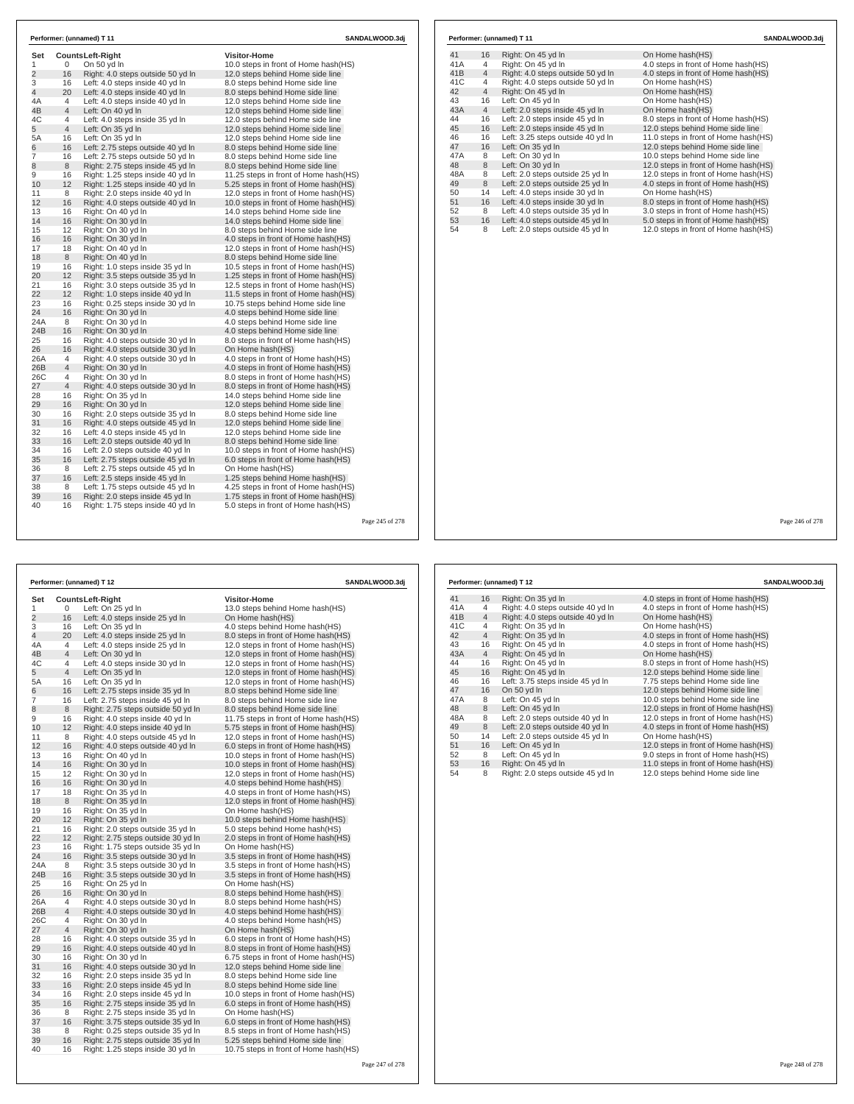| Set            |                | <b>CountsLeft-Right</b>           | <b>Visitor-Home</b>                   |  |
|----------------|----------------|-----------------------------------|---------------------------------------|--|
| 1              | 0              | On 50 yd In                       | 10.0 steps in front of Home hash(HS)  |  |
| $\overline{2}$ | 16             | Right: 4.0 steps outside 50 yd In | 12.0 steps behind Home side line      |  |
| 3              | 16             | Left: 4.0 steps inside 40 vd In   | 8.0 steps behind Home side line       |  |
| 4              | 20             | Left: 4.0 steps inside 40 yd In   | 8.0 steps behind Home side line       |  |
| 4Α             | $\overline{4}$ | Left: 4.0 steps inside 40 yd In   | 12.0 steps behind Home side line      |  |
| 4B             | $\overline{4}$ | Left: On 40 yd In                 | 12.0 steps behind Home side line      |  |
| 4C             | 4              | Left: 4.0 steps inside 35 yd In   | 12.0 steps behind Home side line      |  |
| 5              | $\overline{4}$ | Left: On 35 yd In                 | 12.0 steps behind Home side line      |  |
| 5A             | 16             | Left: On 35 yd In                 | 12.0 steps behind Home side line      |  |
| 6              | 16             | Left: 2.75 steps outside 40 vd In | 8.0 steps behind Home side line       |  |
| 7              | 16             | Left: 2.75 steps outside 50 yd In | 8.0 steps behind Home side line       |  |
| 8              | 8              | Right: 2.75 steps inside 45 yd In | 8.0 steps behind Home side line       |  |
| 9              | 16             | Right: 1.25 steps inside 40 yd In | 11.25 steps in front of Home hash(HS) |  |
| 10             | 12             | Right: 1.25 steps inside 40 yd In | 5.25 steps in front of Home hash (HS) |  |
| 11             | 8              | Right: 2.0 steps inside 40 yd In  | 12.0 steps in front of Home hash(HS)  |  |
| 12             | 16             | Right: 4.0 steps outside 40 yd In | 10.0 steps in front of Home hash(HS)  |  |
| 13             | 16             | Right: On 40 vd In                | 14.0 steps behind Home side line      |  |
| 14             | 16             | Right: On 30 yd In                | 14.0 steps behind Home side line      |  |
| 15             | 12             | Right: On 30 yd In                | 8.0 steps behind Home side line       |  |
| 16             | 16             | Right: On 30 yd In                | 4.0 steps in front of Home hash(HS)   |  |
| 17             | 18             | Right: On 40 yd In                | 12.0 steps in front of Home hash(HS)  |  |
| 18             | 8              | Right: On 40 yd In                | 8.0 steps behind Home side line       |  |
| 19             | 16             | Right: 1.0 steps inside 35 yd In  | 10.5 steps in front of Home hash(HS)  |  |
| 20             | 12             | Right: 3.5 steps outside 35 yd In | 1.25 steps in front of Home hash(HS)  |  |
| 21             | 16             | Right: 3.0 steps outside 35 yd In | 12.5 steps in front of Home hash(HS)  |  |
| 22             | 12             | Right: 1.0 steps inside 40 yd In  | 11.5 steps in front of Home hash (HS) |  |
| 23             | 16             | Right: 0.25 steps inside 30 yd In | 10.75 steps behind Home side line     |  |
| 24             | 16             | Right: On 30 yd In                | 4.0 steps behind Home side line       |  |
| 24A            | 8              | Right: On 30 yd In                | 4.0 steps behind Home side line       |  |
| 24B            | 16             | Right: On 30 yd In                | 4.0 steps behind Home side line       |  |
| 25             | 16             | Right: 4.0 steps outside 30 yd In | 8.0 steps in front of Home hash(HS)   |  |
| 26             | 16             | Right: 4.0 steps outside 30 yd In | On Home hash(HS)                      |  |
| 26A            | 4              | Right: 4.0 steps outside 30 vd In | 4.0 steps in front of Home hash (HS)  |  |
| 26B            | $\overline{4}$ | Right: On 30 yd In                | 4.0 steps in front of Home hash(HS)   |  |
| 26C            | 4              | Right: On 30 yd In                | 8.0 steps in front of Home hash (HS)  |  |
| 27             | $\overline{4}$ | Right: 4.0 steps outside 30 yd In | 8.0 steps in front of Home hash(HS)   |  |
| 28             | 16             | Right: On 35 yd In                | 14.0 steps behind Home side line      |  |
| 29             | 16             | Right: On 30 yd In                | 12.0 steps behind Home side line      |  |
| 30             | 16             | Right: 2.0 steps outside 35 yd In | 8.0 steps behind Home side line       |  |
| 31             | 16             | Right: 4.0 steps outside 45 yd In | 12.0 steps behind Home side line      |  |
| 32             | 16             | Left: 4.0 steps inside 45 yd In   | 12.0 steps behind Home side line      |  |
| 33             | 16             | Left: 2.0 steps outside 40 yd In  | 8.0 steps behind Home side line       |  |
| 34             | 16             | Left: 2.0 steps outside 40 yd In  | 10.0 steps in front of Home hash(HS)  |  |
| 35             | 16             | Left: 2.75 steps outside 45 yd In | 6.0 steps in front of Home hash(HS)   |  |
| 36             | 8              | Left: 2.75 steps outside 45 yd In | On Home hash(HS)                      |  |
| 37             | 16             | Left: 2.5 steps inside 45 yd In   | 1.25 steps behind Home hash(HS)       |  |
| 38             | 8              | Left: 1.75 steps outside 45 yd In | 4.25 steps in front of Home hash (HS) |  |
| 39             | 16             | Right: 2.0 steps inside 45 yd In  | 1.75 steps in front of Home hash(HS)  |  |
| 40             | 16             | Right: 1.75 steps inside 40 yd In | 5.0 steps in front of Home hash(HS)   |  |

|     |                | Performer: (unnamed) T 12         | SANDALWOOD.3dj                       |
|-----|----------------|-----------------------------------|--------------------------------------|
| 41  | 16             | Right: On 35 yd In                | 4.0 steps in front of Home hash(HS)  |
| 41A | 4              | Right: 4.0 steps outside 40 yd In | 4.0 steps in front of Home hash(HS)  |
| 41B | $\overline{4}$ | Right: 4.0 steps outside 40 yd In | On Home hash(HS)                     |
| 41C | $\overline{4}$ | Right: On 35 yd In                | On Home hash(HS)                     |
| 42  | $\overline{4}$ | Right: On 35 yd In                | 4.0 steps in front of Home hash(HS)  |
| 43  | 16             | Right: On 45 yd In                | 4.0 steps in front of Home hash(HS)  |
| 43A | $\overline{4}$ | Right: On 45 yd In                | On Home hash(HS)                     |
| 44  | 16             | Right: On 45 yd In                | 8.0 steps in front of Home hash(HS)  |
| 45  | 16             | Right: On 45 yd In                | 12.0 steps behind Home side line     |
| 46  | 16             | Left: 3.75 steps inside 45 yd In  | 7.75 steps behind Home side line     |
| 47  | 16             | On 50 yd In                       | 12.0 steps behind Home side line     |
| 47A | 8              | Left: On 45 yd In                 | 10.0 steps behind Home side line     |
| 48  | 8              | Left: On 45 yd In                 | 12.0 steps in front of Home hash(HS) |
| 48A | 8              | Left: 2.0 steps outside 40 yd In  | 12.0 steps in front of Home hash(HS) |
| 49  | 8              | Left: 2.0 steps outside 40 yd In  | 4.0 steps in front of Home hash(HS)  |
| 50  | 14             | Left: 2.0 steps outside 45 yd In  | On Home hash(HS)                     |
| 51  | 16             | Left: On 45 yd In                 | 12.0 steps in front of Home hash(HS) |
| 52  | 8              | Left: On 45 yd In                 | 9.0 steps in front of Home hash(HS)  |
| 53  | 16             | Right: On 45 yd In                | 11.0 steps in front of Home hash(HS) |
| 54  | 8              | Right: 2.0 steps outside 45 yd In | 12.0 steps behind Home side line     |

**Performer: (unnamed) T 12 SANDALWOOD.3** 

| Set            |                | <b>CountsLeft-Right</b>            | <b>Visitor-Home</b>                   |
|----------------|----------------|------------------------------------|---------------------------------------|
| 1              | 0              | Left: On 25 yd In                  | 13.0 steps behind Home hash(HS)       |
| $\overline{2}$ | 16             | Left: 4.0 steps inside 25 yd In    | On Home hash(HS)                      |
| 3              | 16             | Left: On 35 yd In                  | 4.0 steps behind Home hash(HS)        |
| 4              | 20             | Left: 4.0 steps inside 25 yd In    | 8.0 steps in front of Home hash(HS)   |
| 4A             | 4              | Left: 4.0 steps inside 25 yd In    | 12.0 steps in front of Home hash(HS)  |
| 4B             | $\overline{4}$ | Left: On 30 yd In                  | 12.0 steps in front of Home hash(HS)  |
| 4C             | 4              | Left: 4.0 steps inside 30 yd In    | 12.0 steps in front of Home hash(HS)  |
| 5              | $\overline{4}$ | Left: On 35 yd In                  | 12.0 steps in front of Home hash(HS)  |
| 5A             | 16             | Left: On 35 yd In                  | 12.0 steps in front of Home hash(HS)  |
| 6              | 16             | Left: 2.75 steps inside 35 yd In   | 8.0 steps behind Home side line       |
| 7              | 16             | Left: 2.75 steps inside 45 yd In   | 8.0 steps behind Home side line       |
| 8              | 8              | Right: 2.75 steps outside 50 yd In | 8.0 steps behind Home side line       |
| 9              | 16             | Right: 4.0 steps inside 40 yd In   | 11.75 steps in front of Home hash(HS) |
| 10             | 12             | Right: 4.0 steps inside 40 yd In   | 5.75 steps in front of Home hash(HS)  |
| 11             | 8              | Right: 4.0 steps outside 45 yd In  | 12.0 steps in front of Home hash(HS)  |
| 12             | 16             | Right: 4.0 steps outside 40 yd In  | 6.0 steps in front of Home hash(HS)   |
| 13             | 16             | Right: On 40 yd In                 | 10.0 steps in front of Home hash(HS)  |
| 14             | 16             | Right: On 30 yd In                 | 10.0 steps in front of Home hash(HS)  |
| 15             | 12             | Right: On 30 yd In                 | 12.0 steps in front of Home hash(HS)  |
| 16             | 16             | Right: On 30 yd In                 | 4.0 steps behind Home hash(HS)        |
| 17             | 18             | Right: On 35 yd In                 | 4.0 steps in front of Home hash(HS)   |
| 18             | 8              | Right: On 35 yd In                 | 12.0 steps in front of Home hash(HS)  |
| 19             | 16             | Right: On 35 yd In                 | On Home hash(HS)                      |
| 20             | 12             | Right: On 35 yd In                 | 10.0 steps behind Home hash(HS)       |
| 21             | 16             | Right: 2.0 steps outside 35 yd In  | 5.0 steps behind Home hash(HS)        |
| 22             | 12             | Right: 2.75 steps outside 30 yd In | 2.0 steps in front of Home hash(HS)   |
| 23             | 16             | Right: 1.75 steps outside 35 yd In | On Home hash(HS)                      |
| 24             | 16             | Right: 3.5 steps outside 30 yd In  | 3.5 steps in front of Home hash(HS)   |
| 24A            | 8              | Right: 3.5 steps outside 30 yd In  | 3.5 steps in front of Home hash(HS)   |
| 24B            | 16             | Right: 3.5 steps outside 30 yd In  | 3.5 steps in front of Home hash(HS)   |
| 25             | 16             | Right: On 25 yd In                 | On Home hash(HS)                      |
| 26             | 16             | Right: On 30 yd In                 | 8.0 steps behind Home hash(HS)        |
| 26A            | 4              | Right: 4.0 steps outside 30 yd In  | 8.0 steps behind Home hash(HS)        |
| 26B            | $\overline{4}$ | Right: 4.0 steps outside 30 yd In  | 4.0 steps behind Home hash(HS)        |
| 26C            | 4              | Right: On 30 yd In                 | 4.0 steps behind Home hash(HS)        |
| 27             | $\overline{4}$ | Right: On 30 yd In                 | On Home hash(HS)                      |
| 28             | 16             | Right: 4.0 steps outside 35 yd In  | 6.0 steps in front of Home hash(HS)   |
| 29             | 16             | Right: 4.0 steps outside 40 yd In  | 8.0 steps in front of Home hash(HS)   |
| 30             | 16             | Right: On 30 yd In                 | 6.75 steps in front of Home hash(HS)  |
| 31             | 16             | Right: 4.0 steps outside 30 yd In  | 12.0 steps behind Home side line      |
| 32             | 16             | Right: 2.0 steps inside 35 yd In   | 8.0 steps behind Home side line       |
| 33             | 16             | Right: 2.0 steps inside 45 yd In   | 8.0 steps behind Home side line       |
| 34             | 16             | Right: 2.0 steps inside 45 yd In   | 10.0 steps in front of Home hash(HS)  |
| 35             | 16             | Right: 2.75 steps inside 35 yd In  | 6.0 steps in front of Home hash(HS)   |
| 36             | 8              | Right: 2.75 steps inside 35 yd In  | On Home hash(HS)                      |
| 37             | 16             | Right: 3.75 steps outside 35 yd In | 6.0 steps in front of Home hash(HS)   |
| 38             | 8              | Right: 0.25 steps outside 35 vd In | 8.5 steps in front of Home hash (HS)  |
| 39             | 16             | Right: 2.75 steps outside 35 yd In | 5.25 steps behind Home side line      |
| 40             | 16             | Right: 1.25 steps inside 30 yd In  | 10.75 steps in front of Home hash(HS) |
|                |                |                                    |                                       |
|                |                |                                    |                                       |

| Page 248 of 278 |  |  |
|-----------------|--|--|
|                 |  |  |

|     |                | Performer: (unnamed) T 11         | SANDALWOOD.3dj                       |
|-----|----------------|-----------------------------------|--------------------------------------|
| 41  | 16             | Right: On 45 yd In                | On Home hash(HS)                     |
| 41A | 4              | Right: On 45 yd In                | 4.0 steps in front of Home hash (HS) |
| 41B | $\overline{4}$ | Right: 4.0 steps outside 50 yd In | 4.0 steps in front of Home hash(HS)  |
| 41C | 4              | Right: 4.0 steps outside 50 yd In | On Home hash(HS)                     |
| 42  | $\overline{4}$ | Right: On 45 yd In                | On Home hash(HS)                     |
| 43  | 16             | Left: On 45 yd In                 | On Home hash(HS)                     |
| 43A | $\overline{4}$ | Left: 2.0 steps inside 45 yd In   | On Home hash(HS)                     |
| 44  | 16             | Left: 2.0 steps inside 45 yd In   | 8.0 steps in front of Home hash(HS)  |
| 45  | 16             | Left: 2.0 steps inside 45 yd In   | 12.0 steps behind Home side line     |
| 46  | 16             | Left: 3.25 steps outside 40 yd In | 11.0 steps in front of Home hash(HS) |
| 47  | 16             | Left: On 35 yd In                 | 12.0 steps behind Home side line     |
| 47A | 8              | Left: On 30 yd In                 | 10.0 steps behind Home side line     |
| 48  | 8              | Left: On 30 yd In                 | 12.0 steps in front of Home hash(HS) |
| 48A | 8              | Left: 2.0 steps outside 25 yd In  | 12.0 steps in front of Home hash(HS) |
| 49  | 8              | Left: 2.0 steps outside 25 yd In  | 4.0 steps in front of Home hash(HS)  |
| 50  | 14             | Left: 4.0 steps inside 30 yd In   | On Home hash(HS)                     |
| 51  | 16             | Left: 4.0 steps inside 30 yd In   | 8.0 steps in front of Home hash(HS)  |
| 52  | 8              | Left: 4.0 steps outside 35 yd In  | 3.0 steps in front of Home hash(HS)  |
| 53  | 16             | Left: 4.0 steps outside 45 yd In  | 5.0 steps in front of Home hash(HS)  |
| 54  | 8              | Left: 2.0 steps outside 45 yd In  | 12.0 steps in front of Home hash(HS) |

| 1(no) | Page 245 of 278 |  |
|-------|-----------------|--|
|       |                 |  |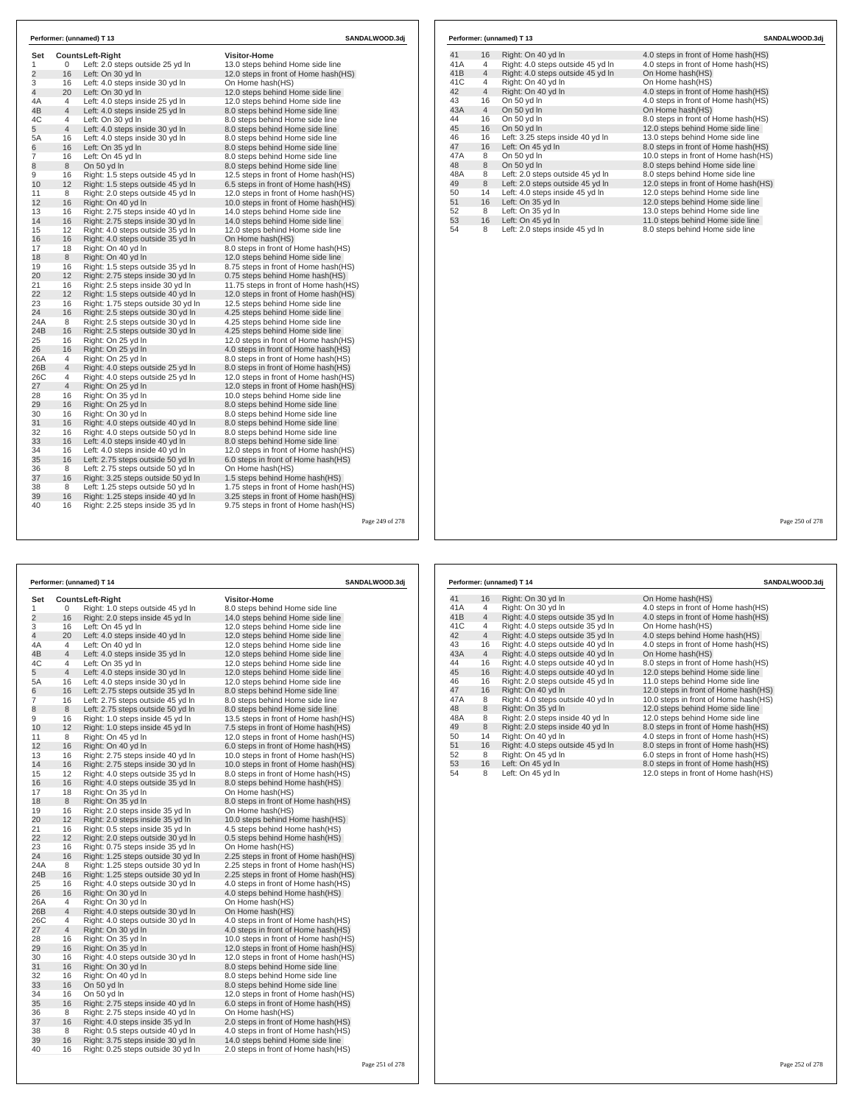| Set<br>$\mathbf{1}$ | 0              | <b>CountsLeft-Right</b><br>Left: 2.0 steps outside 25 yd In | <b>Visitor-Home</b><br>13.0 steps behind Home side line |  |
|---------------------|----------------|-------------------------------------------------------------|---------------------------------------------------------|--|
| $\overline{2}$      | 16             | Left: On 30 yd In                                           | 12.0 steps in front of Home hash(HS)                    |  |
| 3                   | 16             | Left: 4.0 steps inside 30 yd In                             | On Home hash(HS)                                        |  |
| 4                   | 20             | Left: On 30 yd In                                           | 12.0 steps behind Home side line                        |  |
| 4A                  | $\overline{4}$ | Left: 4.0 steps inside 25 yd In                             | 12.0 steps behind Home side line                        |  |
| 4B                  | $\overline{4}$ | Left: 4.0 steps inside 25 yd In                             | 8.0 steps behind Home side line                         |  |
| 4C                  | 4              | Left: On 30 yd In                                           | 8.0 steps behind Home side line                         |  |
| 5                   | $\overline{4}$ | Left: 4.0 steps inside 30 yd In                             | 8.0 steps behind Home side line                         |  |
| 5A                  | 16             | Left: 4.0 steps inside 30 yd In                             | 8.0 steps behind Home side line                         |  |
| 6                   | 16             | Left: On 35 yd In                                           | 8.0 steps behind Home side line                         |  |
| 7                   | 16             | Left: On 45 yd In                                           | 8.0 steps behind Home side line                         |  |
| 8                   | 8              | On 50 vd In                                                 | 8.0 steps behind Home side line                         |  |
| 9                   | 16             | Right: 1.5 steps outside 45 yd In                           | 12.5 steps in front of Home hash(HS)                    |  |
| 10                  | 12             | Right: 1.5 steps outside 45 vd In                           | 6.5 steps in front of Home hash (HS)                    |  |
| 11                  | 8              | Right: 2.0 steps outside 45 yd In                           | 12.0 steps in front of Home hash(HS)                    |  |
| 12                  | 16             | Right: On 40 yd In                                          | 10.0 steps in front of Home hash(HS)                    |  |
| 13                  | 16             | Right: 2.75 steps inside 40 yd In                           | 14.0 steps behind Home side line                        |  |
| 14                  | 16             | Right: 2.75 steps inside 30 yd In                           | 14.0 steps behind Home side line                        |  |
| 15                  | 12             | Right: 4.0 steps outside 35 vd In                           | 12.0 steps behind Home side line                        |  |
| 16                  | 16             | Right: 4.0 steps outside 35 yd In                           | On Home hash(HS)                                        |  |
| 17                  | 18             | Right: On 40 yd In                                          | 8.0 steps in front of Home hash(HS)                     |  |
| 18                  | 8              | Right: On 40 yd In                                          | 12.0 steps behind Home side line                        |  |
| 19                  | 16             | Right: 1.5 steps outside 35 yd In                           | 8.75 steps in front of Home hash(HS)                    |  |
| 20                  | 12             | Right: 2.75 steps inside 30 yd In                           | 0.75 steps behind Home hash(HS)                         |  |
| 21                  | 16             | Right: 2.5 steps inside 30 yd In                            | 11.75 steps in front of Home hash(HS)                   |  |
| 22                  | 12             | Right: 1.5 steps outside 40 yd In                           | 12.0 steps in front of Home hash(HS)                    |  |
| 23                  | 16             | Right: 1.75 steps outside 30 yd In                          | 12.5 steps behind Home side line                        |  |
| 24                  | 16             | Right: 2.5 steps outside 30 yd In                           | 4.25 steps behind Home side line                        |  |
| 24A                 | 8              | Right: 2.5 steps outside 30 yd In                           | 4.25 steps behind Home side line                        |  |
| 24B                 | 16             | Right: 2.5 steps outside 30 yd In                           | 4.25 steps behind Home side line                        |  |
| 25                  | 16             | Right: On 25 yd In                                          | 12.0 steps in front of Home hash(HS)                    |  |
| 26                  | 16             | Right: On 25 yd In                                          | 4.0 steps in front of Home hash(HS)                     |  |
| 26A                 | 4              | Right: On 25 yd In                                          | 8.0 steps in front of Home hash(HS)                     |  |
| 26B                 | 4              | Right: 4.0 steps outside 25 yd In                           | 8.0 steps in front of Home hash(HS)                     |  |
| 26C                 | 4              | Right: 4.0 steps outside 25 yd In                           | 12.0 steps in front of Home hash(HS)                    |  |
| 27                  | $\overline{4}$ | Right: On 25 yd In                                          | 12.0 steps in front of Home hash(HS)                    |  |
| 28                  | 16             | Right: On 35 vd In                                          | 10.0 steps behind Home side line                        |  |
| 29                  | 16             | Right: On 25 yd In                                          | 8.0 steps behind Home side line                         |  |
| 30                  | 16             | Right: On 30 yd In                                          | 8.0 steps behind Home side line                         |  |
| 31                  | 16             | Right: 4.0 steps outside 40 yd In                           | 8.0 steps behind Home side line                         |  |
| 32                  | 16             | Right: 4.0 steps outside 50 yd In                           | 8.0 steps behind Home side line                         |  |
| 33                  | 16             | Left: 4.0 steps inside 40 yd In                             | 8.0 steps behind Home side line                         |  |
| 34                  | 16             | Left: 4.0 steps inside 40 yd In                             | 12.0 steps in front of Home hash(HS)                    |  |
| 35                  | 16             | Left: 2.75 steps outside 50 yd In                           | 6.0 steps in front of Home hash(HS)                     |  |
| 36                  | 8              | Left: 2.75 steps outside 50 yd In                           | On Home hash(HS)                                        |  |
| 37                  | 16             | Right: 3.25 steps outside 50 yd In                          | 1.5 steps behind Home hash(HS)                          |  |
| 38                  | 8              | Left: 1.25 steps outside 50 vd In                           | 1.75 steps in front of Home hash(HS)                    |  |
| 39                  | 16             | Right: 1.25 steps inside 40 yd In                           | 3.25 steps in front of Home hash(HS)                    |  |
| 40                  | 16             | Right: 2.25 steps inside 35 yd In                           | 9.75 steps in front of Home hash (HS)                   |  |

| Performer: (unnamed) T 14<br>SANDALWOOD.3dj |                |                                    |                                       |  |  |
|---------------------------------------------|----------------|------------------------------------|---------------------------------------|--|--|
| Set                                         |                | Counts Left-Right                  | <b>Visitor-Home</b>                   |  |  |
| 1                                           | 0              | Right: 1.0 steps outside 45 yd In  | 8.0 steps behind Home side line       |  |  |
| $\overline{2}$                              | 16             | Right: 2.0 steps inside 45 yd In   | 14.0 steps behind Home side line      |  |  |
| 3                                           | 16             | Left: On 45 yd In                  | 12.0 steps behind Home side line      |  |  |
| 4                                           | 20             | Left: 4.0 steps inside 40 yd In    | 12.0 steps behind Home side line      |  |  |
| 4Α                                          | 4              | Left: On 40 yd In                  | 12.0 steps behind Home side line      |  |  |
| 4B                                          | $\overline{4}$ | Left: 4.0 steps inside 35 yd In    | 12.0 steps behind Home side line      |  |  |
| 4C                                          | 4              | Left: On 35 yd In                  | 12.0 steps behind Home side line      |  |  |
| 5                                           | $\overline{4}$ | Left: 4.0 steps inside 30 yd In    | 12.0 steps behind Home side line      |  |  |
| 5А                                          | 16             | Left: 4.0 steps inside 30 yd In    | 12.0 steps behind Home side line      |  |  |
| 6                                           | 16             | Left: 2.75 steps outside 35 yd In  | 8.0 steps behind Home side line       |  |  |
| 7                                           | 16             | Left: 2.75 steps outside 45 yd In  | 8.0 steps behind Home side line       |  |  |
| 8                                           | 8              | Left: 2.75 steps outside 50 yd In  | 8.0 steps behind Home side line       |  |  |
| 9                                           | 16             | Right: 1.0 steps inside 45 yd In   | 13.5 steps in front of Home hash (HS) |  |  |
| 10                                          | 12             | Right: 1.0 steps inside 45 yd In   | 7.5 steps in front of Home hash(HS)   |  |  |
| 11                                          | 8              | Right: On 45 yd In                 | 12.0 steps in front of Home hash (HS) |  |  |
| 12                                          | 16             | Right: On 40 yd In                 | 6.0 steps in front of Home hash(HS)   |  |  |
| 13                                          | 16             | Right: 2.75 steps inside 40 yd In  | 10.0 steps in front of Home hash (HS) |  |  |
| 14                                          | 16             | Right: 2.75 steps inside 30 yd In  | 10.0 steps in front of Home hash(HS)  |  |  |
| 15                                          | 12             | Right: 4.0 steps outside 35 yd In  | 8.0 steps in front of Home hash (HS)  |  |  |
| 16                                          | 16             | Right: 4.0 steps outside 35 yd In  | 8.0 steps behind Home hash(HS)        |  |  |
| 17                                          | 18             | Right: On 35 yd In                 | On Home hash(HS)                      |  |  |
| 18                                          | 8              | Right: On 35 yd In                 | 8.0 steps in front of Home hash(HS)   |  |  |
| 19                                          | 16             | Right: 2.0 steps inside 35 yd In   | On Home hash(HS)                      |  |  |
| 20                                          | 12             | Right: 2.0 steps inside 35 yd In   | 10.0 steps behind Home hash(HS)       |  |  |
| 21                                          | 16             | Right: 0.5 steps inside 35 yd In   | 4.5 steps behind Home hash(HS)        |  |  |
| 22                                          | 12             | Right: 2.0 steps outside 30 yd In  | 0.5 steps behind Home hash (HS)       |  |  |
| 23                                          | 16             | Right: 0.75 steps inside 35 yd In  | On Home hash(HS)                      |  |  |
| 24                                          | 16             | Right: 1.25 steps outside 30 yd In | 2.25 steps in front of Home hash(HS)  |  |  |
| 24A                                         | 8              | Right: 1.25 steps outside 30 yd In | 2.25 steps in front of Home hash (HS) |  |  |
| 24B                                         | 16             | Right: 1.25 steps outside 30 yd In | 2.25 steps in front of Home hash (HS) |  |  |
| 25                                          | 16             | Right: 4.0 steps outside 30 yd In  | 4.0 steps in front of Home hash (HS)  |  |  |
| 26                                          | 16             | Right: On 30 yd In                 | 4.0 steps behind Home hash (HS)       |  |  |
| 26A                                         | 4              | Right: On 30 yd In                 | On Home hash(HS)                      |  |  |
| 26B                                         | $\overline{4}$ | Right: 4.0 steps outside 30 yd In  | On Home hash(HS)                      |  |  |
| 26C                                         | 4              | Right: 4.0 steps outside 30 yd In  | 4.0 steps in front of Home hash (HS)  |  |  |
| 27                                          | $\overline{4}$ | Right: On 30 yd In                 | 4.0 steps in front of Home hash (HS)  |  |  |
| 28                                          | 16             | Right: On 35 yd In                 | 10.0 steps in front of Home hash (HS) |  |  |
| 29                                          | 16             | Right: On 35 yd In                 | 12.0 steps in front of Home hash(HS)  |  |  |
| 30                                          | 16             | Right: 4.0 steps outside 30 yd In  | 12.0 steps in front of Home hash (HS) |  |  |
| 31                                          | 16             | Right: On 30 yd In                 | 8.0 steps behind Home side line       |  |  |
| 32                                          | 16             | Right: On 40 yd In                 | 8.0 steps behind Home side line       |  |  |
| 33                                          | 16             | On 50 yd In                        | 8.0 steps behind Home side line       |  |  |
| 34                                          | 16             | On 50 yd In                        | 12.0 steps in front of Home hash(HS)  |  |  |
| 35                                          | 16             | Right: 2.75 steps inside 40 yd In  | 6.0 steps in front of Home hash(HS)   |  |  |
| 36                                          | 8              | Right: 2.75 steps inside 40 yd In  | On Home hash(HS)                      |  |  |
| 37                                          | 16             | Right: 4.0 steps inside 35 yd In   | 2.0 steps in front of Home hash(HS)   |  |  |
| 38                                          | 8              | Right: 0.5 steps outside 40 yd In  | 4.0 steps in front of Home hash (HS)  |  |  |
| 39                                          | 16             | Right: 3.75 steps inside 30 yd In  | 14.0 steps behind Home side line      |  |  |
| 40                                          | 16             | Right: 0.25 steps outside 30 yd In | 2.0 steps in front of Home hash(HS)   |  |  |

|     |                | Performer: (unnamed) T 13         | SANDALWOOD.3dj                       |  |
|-----|----------------|-----------------------------------|--------------------------------------|--|
| 41  | 16             | Right: On 40 yd In                | 4.0 steps in front of Home hash (HS) |  |
| 41A | 4              | Right: 4.0 steps outside 45 yd In | 4.0 steps in front of Home hash(HS)  |  |
| 41B | $\overline{4}$ | Right: 4.0 steps outside 45 yd In | On Home hash(HS)                     |  |
| 41C | 4              | Right: On 40 yd In                | On Home hash(HS)                     |  |
| 42  | $\overline{4}$ | Right: On 40 yd In                | 4.0 steps in front of Home hash(HS)  |  |
| 43  | 16             | On 50 yd In                       | 4.0 steps in front of Home hash (HS) |  |
| 43A | $\overline{4}$ | On 50 yd In                       | On Home hash(HS)                     |  |
| 44  | 16             | On 50 vd In                       | 8.0 steps in front of Home hash(HS)  |  |
| 45  | 16             | On 50 yd In                       | 12.0 steps behind Home side line     |  |
| 46  | 16             | Left: 3.25 steps inside 40 yd In  | 13.0 steps behind Home side line     |  |
| 47  | 16             | Left: On 45 yd In                 | 8.0 steps in front of Home hash(HS)  |  |
| 47A | 8              | On 50 yd In                       | 10.0 steps in front of Home hash(HS) |  |
| 48  | 8              | On 50 yd In                       | 8.0 steps behind Home side line      |  |
| 48A | 8              | Left: 2.0 steps outside 45 yd In  | 8.0 steps behind Home side line      |  |
| 49  | 8              | Left: 2.0 steps outside 45 yd In  | 12.0 steps in front of Home hash(HS) |  |
| 50  | 14             | Left: 4.0 steps inside 45 yd In   | 12.0 steps behind Home side line     |  |
| 51  | 16             | Left: On 35 yd In                 | 12.0 steps behind Home side line     |  |
| 52  | 8              | Left: On 35 yd In                 | 13.0 steps behind Home side line     |  |
| 53  | 16             | Left: On 45 yd In                 | 11.0 steps behind Home side line     |  |
| 54  | 8              | Left: 2.0 steps inside 45 yd In   | 8.0 steps behind Home side line      |  |

Page 250 of 278

|     |                | Performer: (unnamed) T 14         | SANDALWOOD.3dj                       |
|-----|----------------|-----------------------------------|--------------------------------------|
| 41  | 16             | Right: On 30 yd In                | On Home hash(HS)                     |
| 41A | 4              | Right: On 30 yd In                | 4.0 steps in front of Home hash(HS)  |
| 41B | $\overline{4}$ | Right: 4.0 steps outside 35 yd In | 4.0 steps in front of Home hash(HS)  |
| 41C | 4              | Right: 4.0 steps outside 35 yd In | On Home hash(HS)                     |
| 42  | $\overline{4}$ | Right: 4.0 steps outside 35 yd In | 4.0 steps behind Home hash(HS)       |
| 43  | 16             | Right: 4.0 steps outside 40 yd In | 4.0 steps in front of Home hash(HS)  |
| 43A | $\overline{4}$ | Right: 4.0 steps outside 40 yd In | On Home hash(HS)                     |
| 44  | 16             | Right: 4.0 steps outside 40 vd In | 8.0 steps in front of Home hash(HS)  |
| 45  | 16             | Right: 4.0 steps outside 40 yd In | 12.0 steps behind Home side line     |
| 46  | 16             | Right: 2.0 steps outside 45 yd In | 11.0 steps behind Home side line     |
| 47  | 16             | Right: On 40 yd In                | 12.0 steps in front of Home hash(HS) |
| 47A | 8              | Right: 4.0 steps outside 40 yd In | 10.0 steps in front of Home hash(HS) |
| 48  | 8              | Right: On 35 yd In                | 12.0 steps behind Home side line     |
| 48A | 8              | Right: 2.0 steps inside 40 yd In  | 12.0 steps behind Home side line     |
| 49  | 8              | Right: 2.0 steps inside 40 yd In  | 8.0 steps in front of Home hash (HS) |
| 50  | 14             | Right: On 40 yd In                | 4.0 steps in front of Home hash(HS)  |
| 51  | 16             | Right: 4.0 steps outside 45 yd In | 8.0 steps in front of Home hash(HS)  |
| 52  | 8              | Right: On 45 yd In                | 6.0 steps in front of Home hash(HS)  |
| 53  | 16             | Left: On 45 yd In                 | 8.0 steps in front of Home hash(HS)  |
| 54  | 8              | Left: On 45 yd In                 | 12.0 steps in front of Home hash(HS) |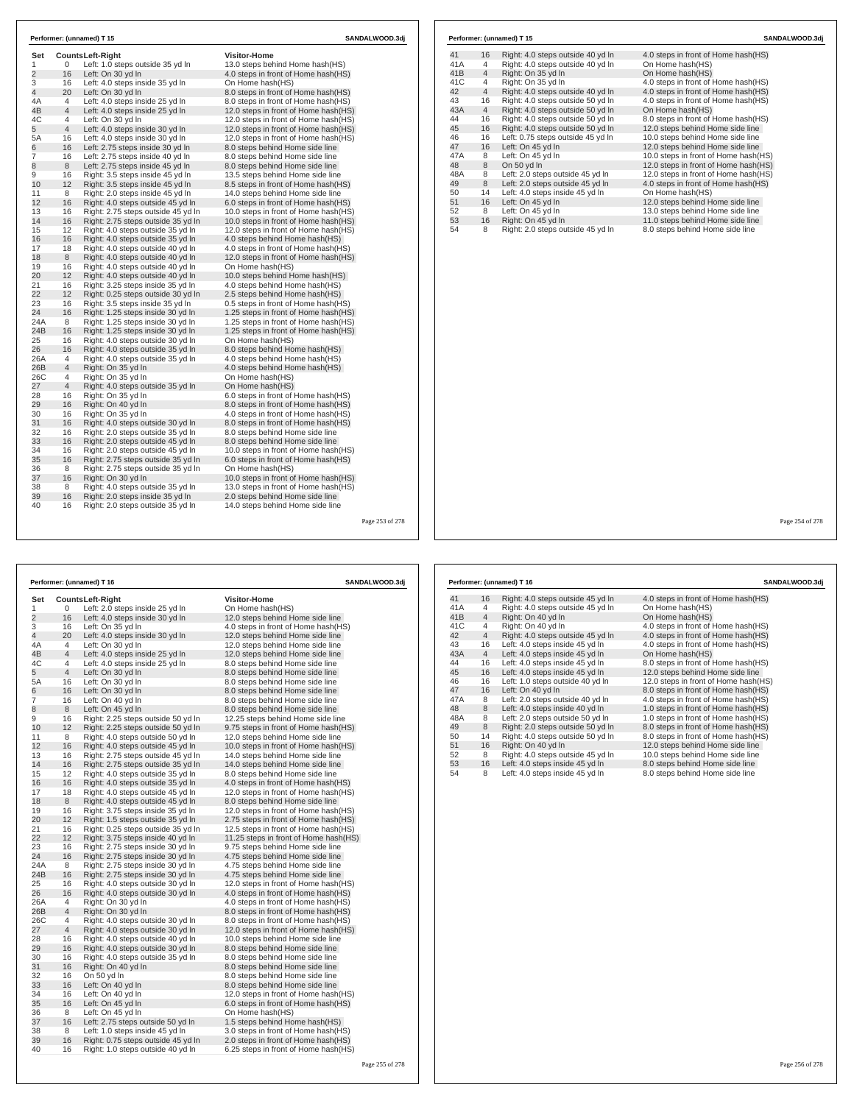| Set            |                | <b>CountsLeft-Right</b>            | <b>Visitor-Home</b>                   |  |
|----------------|----------------|------------------------------------|---------------------------------------|--|
| 1              | 0              | Left: 1.0 steps outside 35 yd In   | 13.0 steps behind Home hash(HS)       |  |
| $\overline{2}$ | 16             | Left: On 30 yd In                  | 4.0 steps in front of Home hash(HS)   |  |
| 3              | 16             | Left: 4.0 steps inside 35 yd In    | On Home hash(HS)                      |  |
| 4              | 20             | Left: On 30 yd In                  | 8.0 steps in front of Home hash(HS)   |  |
| 4A             | $\overline{4}$ | Left: 4.0 steps inside 25 yd In    | 8.0 steps in front of Home hash (HS)  |  |
| 4B             | $\overline{4}$ | Left: 4.0 steps inside 25 yd In    | 12.0 steps in front of Home hash(HS)  |  |
| 4C             | 4              | Left: On 30 yd In                  | 12.0 steps in front of Home hash(HS)  |  |
| 5              | $\overline{4}$ | Left: 4.0 steps inside 30 yd In    | 12.0 steps in front of Home hash(HS)  |  |
| 5A             | 16             | Left: 4.0 steps inside 30 yd In    | 12.0 steps in front of Home hash(HS)  |  |
| 6              | 16             | Left: 2.75 steps inside 30 yd In   | 8.0 steps behind Home side line       |  |
| $\overline{7}$ | 16             | Left: 2.75 steps inside 40 yd In   | 8.0 steps behind Home side line       |  |
| 8              | 8              | Left: 2.75 steps inside 45 yd In   | 8.0 steps behind Home side line       |  |
| 9              | 16             | Right: 3.5 steps inside 45 yd In   | 13.5 steps behind Home side line      |  |
| 10             | 12             | Right: 3.5 steps inside 45 yd In   | 8.5 steps in front of Home hash(HS)   |  |
| 11             | 8              | Right: 2.0 steps inside 45 yd In   | 14.0 steps behind Home side line      |  |
| 12             | 16             | Right: 4.0 steps outside 45 yd In  | 6.0 steps in front of Home hash(HS)   |  |
| 13             | 16             | Right: 2.75 steps outside 45 vd In | 10.0 steps in front of Home hash (HS) |  |
| 14             | 16             | Right: 2.75 steps outside 35 yd In | 10.0 steps in front of Home hash(HS)  |  |
| 15             | 12             | Right: 4.0 steps outside 35 vd In  | 12.0 steps in front of Home hash (HS) |  |
| 16             | 16             | Right: 4.0 steps outside 35 yd In  | 4.0 steps behind Home hash(HS)        |  |
| 17             | 18             | Right: 4.0 steps outside 40 yd In  | 4.0 steps in front of Home hash(HS)   |  |
| 18             | 8              | Right: 4.0 steps outside 40 yd In  | 12.0 steps in front of Home hash(HS)  |  |
| 19             | 16             | Right: 4.0 steps outside 40 yd In  | On Home hash(HS)                      |  |
| 20             | 12             | Right: 4.0 steps outside 40 yd In  | 10.0 steps behind Home hash(HS)       |  |
| 21             | 16             | Right: 3.25 steps inside 35 yd In  | 4.0 steps behind Home hash(HS)        |  |
| 22             | 12             | Right: 0.25 steps outside 30 yd In | 2.5 steps behind Home hash(HS)        |  |
| 23             | 16             | Right: 3.5 steps inside 35 yd In   | 0.5 steps in front of Home hash(HS)   |  |
| 24             | 16             | Right: 1.25 steps inside 30 yd In  | 1.25 steps in front of Home hash(HS)  |  |
| 24A            | 8              | Right: 1.25 steps inside 30 yd In  | 1.25 steps in front of Home hash(HS)  |  |
| 24B            | 16             | Right: 1.25 steps inside 30 yd In  | 1.25 steps in front of Home hash(HS)  |  |
| 25             | 16             | Right: 4.0 steps outside 30 yd In  | On Home hash(HS)                      |  |
| 26             | 16             | Right: 4.0 steps outside 35 yd In  | 8.0 steps behind Home hash(HS)        |  |
| 26A            | 4              | Right: 4.0 steps outside 35 yd In  | 4.0 steps behind Home hash(HS)        |  |
| 26B            | $\overline{4}$ | Right: On 35 yd In                 | 4.0 steps behind Home hash(HS)        |  |
| 26C            | 4              | Right: On 35 yd In                 | On Home hash(HS)                      |  |
| 27             | 4              | Right: 4.0 steps outside 35 yd In  | On Home hash(HS)                      |  |
| 28             | 16             | Right: On 35 yd In                 | 6.0 steps in front of Home hash(HS)   |  |
| 29             | 16             | Right: On 40 yd In                 | 8.0 steps in front of Home hash(HS)   |  |
| 30             | 16             | Right: On 35 yd In                 | 4.0 steps in front of Home hash(HS)   |  |
| 31             | 16             | Right: 4.0 steps outside 30 yd In  | 8.0 steps in front of Home hash(HS)   |  |
| 32             | 16             | Right: 2.0 steps outside 35 yd In  | 8.0 steps behind Home side line       |  |
| 33             | 16             | Right: 2.0 steps outside 45 yd In  | 8.0 steps behind Home side line       |  |
| 34             | 16             | Right: 2.0 steps outside 45 yd In  | 10.0 steps in front of Home hash(HS)  |  |
| 35             | 16             | Right: 2.75 steps outside 35 yd In | 6.0 steps in front of Home hash(HS)   |  |
| 36             | 8              | Right: 2.75 steps outside 35 yd In | On Home hash(HS)                      |  |
| 37             | 16             | Right: On 30 yd In                 | 10.0 steps in front of Home hash(HS)  |  |
| 38             | 8              | Right: 4.0 steps outside 35 yd In  | 13.0 steps in front of Home hash(HS)  |  |
| 39             | 16             | Right: 2.0 steps inside 35 yd In   | 2.0 steps behind Home side line       |  |
| 40             | 16             | Right: 2.0 steps outside 35 yd In  | 14.0 steps behind Home side line      |  |

|     |                | Performer: (unnamed) T 15         | SANDALWOOD.3di                       |
|-----|----------------|-----------------------------------|--------------------------------------|
| 41  | 16             | Right: 4.0 steps outside 40 yd In | 4.0 steps in front of Home hash (HS) |
| 41A | 4              | Right: 4.0 steps outside 40 yd In | On Home hash(HS)                     |
| 41B | $\overline{4}$ | Right: On 35 vd In                | On Home hash(HS)                     |
| 41C | 4              | Right: On 35 yd In                | 4.0 steps in front of Home hash (HS) |
| 42  | $\overline{4}$ | Right: 4.0 steps outside 40 yd In | 4.0 steps in front of Home hash(HS)  |
| 43  | 16             | Right: 4.0 steps outside 50 yd In | 4.0 steps in front of Home hash(HS)  |
| 43A | $\overline{4}$ | Right: 4.0 steps outside 50 yd In | On Home hash(HS)                     |
| 44  | 16             | Right: 4.0 steps outside 50 yd In | 8.0 steps in front of Home hash(HS)  |
| 45  | 16             | Right: 4.0 steps outside 50 yd In | 12.0 steps behind Home side line     |
| 46  | 16             | Left: 0.75 steps outside 45 yd In | 10.0 steps behind Home side line     |
| 47  | 16             | Left: On 45 yd In                 | 12.0 steps behind Home side line     |
| 47A | 8              | Left: On 45 yd In                 | 10.0 steps in front of Home hash(HS) |
| 48  | 8              | On 50 yd In                       | 12.0 steps in front of Home hash(HS) |
| 48A | 8              | Left: 2.0 steps outside 45 yd In  | 12.0 steps in front of Home hash(HS) |
| 49  | 8              | Left: 2.0 steps outside 45 yd In  | 4.0 steps in front of Home hash(HS)  |
| 50  | 14             | Left: 4.0 steps inside 45 yd In   | On Home hash(HS)                     |
| 51  | 16             | Left: On 45 vd In                 | 12.0 steps behind Home side line     |
| 52  | 8              | Left: On 45 yd In                 | 13.0 steps behind Home side line     |
| 53  | 16             | Right: On 45 yd In                | 11.0 steps behind Home side line     |
| 54  | 8              | Right: 2.0 steps outside 45 yd In | 8.0 steps behind Home side line      |

Page 254 of 278

| <b>Visitor-Home</b><br>Set<br>Counts Left-Right<br>Left: 2.0 steps inside 25 yd In<br>On Home hash(HS)<br>1<br>0<br>$\overline{c}$<br>16<br>Left: 4.0 steps inside 30 yd In<br>12.0 steps behind Home side line<br>3<br>16<br>Left: On 35 yd In<br>4.0 steps in front of Home hash(HS)<br>20<br>4<br>Left: 4.0 steps inside 30 yd In<br>12.0 steps behind Home side line<br>$\overline{4}$<br>4A<br>Left: On 30 yd In<br>12.0 steps behind Home side line<br>$\overline{4}$<br>4B<br>Left: 4.0 steps inside 25 yd In<br>12.0 steps behind Home side line<br>4C<br>4<br>Left: 4.0 steps inside 25 yd In<br>8.0 steps behind Home side line<br>5<br>$\overline{4}$<br>Left: On 30 yd In<br>8.0 steps behind Home side line<br>5A<br>16<br>Left: On 30 yd In<br>8.0 steps behind Home side line<br>16<br>Left: On 30 yd In<br>8.0 steps behind Home side line<br>6<br>7<br>16<br>Left: On 40 yd In<br>8.0 steps behind Home side line<br>8<br>8<br>Left: On 45 yd In<br>8.0 steps behind Home side line<br>9<br>16<br>Right: 2.25 steps outside 50 yd In<br>12.25 steps behind Home side line<br>12<br>10<br>Right: 2.25 steps outside 50 yd In<br>9.75 steps in front of Home hash (HS)<br>8<br>11<br>Right: 4.0 steps outside 50 yd In<br>12.0 steps behind Home side line<br>12<br>16<br>Right: 4.0 steps outside 45 yd In<br>10.0 steps in front of Home hash(HS)<br>16<br>13<br>Right: 2.75 steps outside 45 yd In<br>14.0 steps behind Home side line<br>14<br>16<br>Right: 2.75 steps outside 35 yd In<br>14.0 steps behind Home side line<br>12<br>15<br>Right: 4.0 steps outside 35 yd In<br>8.0 steps behind Home side line<br>16<br>16<br>Right: 4.0 steps outside 35 yd In<br>4.0 steps in front of Home hash(HS)<br>17<br>18<br>Right: 4.0 steps outside 45 yd In<br>12.0 steps in front of Home hash (HS)<br>8<br>18<br>8.0 steps behind Home side line<br>Right: 4.0 steps outside 45 yd In<br>16<br>19<br>Right: 3.75 steps inside 35 yd In<br>12.0 steps in front of Home hash(HS)<br>12<br>20<br>Right: 1.5 steps outside 35 yd In<br>2.75 steps in front of Home hash(HS)<br>16<br>21<br>Right: 0.25 steps outside 35 yd In<br>12.5 steps in front of Home hash(HS)<br>12<br>22<br>Right: 3.75 steps inside 40 yd In<br>11.25 steps in front of Home hash (HS)<br>23<br>16<br>Right: 2.75 steps inside 30 yd In<br>9.75 steps behind Home side line<br>24<br>16<br>Right: 2.75 steps inside 30 yd In<br>4.75 steps behind Home side line<br>24A<br>8<br>Right: 2.75 steps inside 30 yd In<br>4.75 steps behind Home side line<br>24B<br>16<br>Right: 2.75 steps inside 30 yd In<br>4.75 steps behind Home side line<br>25<br>16<br>Right: 4.0 steps outside 30 yd In<br>12.0 steps in front of Home hash(HS)<br>26<br>16<br>Right: 4.0 steps outside 30 yd In<br>4.0 steps in front of Home hash(HS)<br>26A<br>$\overline{4}$<br>Right: On 30 vd In<br>4.0 steps in front of Home hash (HS)<br>$\overline{4}$<br>26B<br>Right: On 30 yd In<br>8.0 steps in front of Home hash(HS)<br>26C<br>$\overline{4}$<br>Right: 4.0 steps outside 30 yd In<br>8.0 steps in front of Home hash(HS)<br>$\overline{4}$<br>27<br>Right: 4.0 steps outside 30 yd In<br>12.0 steps in front of Home hash(HS)<br>28<br>16<br>Right: 4.0 steps outside 40 yd In<br>10.0 steps behind Home side line<br>16<br>29<br>Right: 4.0 steps outside 30 yd In<br>8.0 steps behind Home side line<br>30<br>16<br>Right: 4.0 steps outside 35 yd In<br>8.0 steps behind Home side line<br>16<br>31<br>Right: On 40 yd In<br>8.0 steps behind Home side line<br>32<br>16<br>On 50 yd In<br>8.0 steps behind Home side line<br>16<br>33<br>Left: On 40 yd In<br>8.0 steps behind Home side line<br>16<br>34<br>Left: On 40 yd In<br>12.0 steps in front of Home hash(HS)<br>16<br>35<br>Left: On 45 yd In<br>6.0 steps in front of Home hash(HS)<br>8<br>36<br>Left: On 45 yd In<br>On Home hash(HS)<br>16<br>37<br>Left: 2.75 steps outside 50 yd In<br>1.5 steps behind Home hash(HS)<br>38<br>8<br>Left: 1.0 steps inside 45 yd In<br>3.0 steps in front of Home hash(HS)<br>16<br>39<br>Right: 0.75 steps outside 45 yd In<br>2.0 steps in front of Home hash(HS)<br>40<br>16<br>Right: 1.0 steps outside 40 yd In<br>6.25 steps in front of Home hash(HS)<br>Page 255 of 278 |  | Performer: (unnamed) T 16 | SANDALWOOD.3dj |
|-------------------------------------------------------------------------------------------------------------------------------------------------------------------------------------------------------------------------------------------------------------------------------------------------------------------------------------------------------------------------------------------------------------------------------------------------------------------------------------------------------------------------------------------------------------------------------------------------------------------------------------------------------------------------------------------------------------------------------------------------------------------------------------------------------------------------------------------------------------------------------------------------------------------------------------------------------------------------------------------------------------------------------------------------------------------------------------------------------------------------------------------------------------------------------------------------------------------------------------------------------------------------------------------------------------------------------------------------------------------------------------------------------------------------------------------------------------------------------------------------------------------------------------------------------------------------------------------------------------------------------------------------------------------------------------------------------------------------------------------------------------------------------------------------------------------------------------------------------------------------------------------------------------------------------------------------------------------------------------------------------------------------------------------------------------------------------------------------------------------------------------------------------------------------------------------------------------------------------------------------------------------------------------------------------------------------------------------------------------------------------------------------------------------------------------------------------------------------------------------------------------------------------------------------------------------------------------------------------------------------------------------------------------------------------------------------------------------------------------------------------------------------------------------------------------------------------------------------------------------------------------------------------------------------------------------------------------------------------------------------------------------------------------------------------------------------------------------------------------------------------------------------------------------------------------------------------------------------------------------------------------------------------------------------------------------------------------------------------------------------------------------------------------------------------------------------------------------------------------------------------------------------------------------------------------------------------------------------------------------------------------------------------------------------------------------------------------------------------------------------------------------------------------------------------------------------------------------------------------------------------------------------------------------------------------------------------------------------------------------------------------------------------------------------------------------------------------------------------------------------------------------------------------------------------------------------------------------------------------------------------------------|--|---------------------------|----------------|
|                                                                                                                                                                                                                                                                                                                                                                                                                                                                                                                                                                                                                                                                                                                                                                                                                                                                                                                                                                                                                                                                                                                                                                                                                                                                                                                                                                                                                                                                                                                                                                                                                                                                                                                                                                                                                                                                                                                                                                                                                                                                                                                                                                                                                                                                                                                                                                                                                                                                                                                                                                                                                                                                                                                                                                                                                                                                                                                                                                                                                                                                                                                                                                                                                                                                                                                                                                                                                                                                                                                                                                                                                                                                                                                                                                                                                                                                                                                                                                                                                                                                                                                                                                                                                                                                   |  |                           |                |
|                                                                                                                                                                                                                                                                                                                                                                                                                                                                                                                                                                                                                                                                                                                                                                                                                                                                                                                                                                                                                                                                                                                                                                                                                                                                                                                                                                                                                                                                                                                                                                                                                                                                                                                                                                                                                                                                                                                                                                                                                                                                                                                                                                                                                                                                                                                                                                                                                                                                                                                                                                                                                                                                                                                                                                                                                                                                                                                                                                                                                                                                                                                                                                                                                                                                                                                                                                                                                                                                                                                                                                                                                                                                                                                                                                                                                                                                                                                                                                                                                                                                                                                                                                                                                                                                   |  |                           |                |
|                                                                                                                                                                                                                                                                                                                                                                                                                                                                                                                                                                                                                                                                                                                                                                                                                                                                                                                                                                                                                                                                                                                                                                                                                                                                                                                                                                                                                                                                                                                                                                                                                                                                                                                                                                                                                                                                                                                                                                                                                                                                                                                                                                                                                                                                                                                                                                                                                                                                                                                                                                                                                                                                                                                                                                                                                                                                                                                                                                                                                                                                                                                                                                                                                                                                                                                                                                                                                                                                                                                                                                                                                                                                                                                                                                                                                                                                                                                                                                                                                                                                                                                                                                                                                                                                   |  |                           |                |
|                                                                                                                                                                                                                                                                                                                                                                                                                                                                                                                                                                                                                                                                                                                                                                                                                                                                                                                                                                                                                                                                                                                                                                                                                                                                                                                                                                                                                                                                                                                                                                                                                                                                                                                                                                                                                                                                                                                                                                                                                                                                                                                                                                                                                                                                                                                                                                                                                                                                                                                                                                                                                                                                                                                                                                                                                                                                                                                                                                                                                                                                                                                                                                                                                                                                                                                                                                                                                                                                                                                                                                                                                                                                                                                                                                                                                                                                                                                                                                                                                                                                                                                                                                                                                                                                   |  |                           |                |
|                                                                                                                                                                                                                                                                                                                                                                                                                                                                                                                                                                                                                                                                                                                                                                                                                                                                                                                                                                                                                                                                                                                                                                                                                                                                                                                                                                                                                                                                                                                                                                                                                                                                                                                                                                                                                                                                                                                                                                                                                                                                                                                                                                                                                                                                                                                                                                                                                                                                                                                                                                                                                                                                                                                                                                                                                                                                                                                                                                                                                                                                                                                                                                                                                                                                                                                                                                                                                                                                                                                                                                                                                                                                                                                                                                                                                                                                                                                                                                                                                                                                                                                                                                                                                                                                   |  |                           |                |
|                                                                                                                                                                                                                                                                                                                                                                                                                                                                                                                                                                                                                                                                                                                                                                                                                                                                                                                                                                                                                                                                                                                                                                                                                                                                                                                                                                                                                                                                                                                                                                                                                                                                                                                                                                                                                                                                                                                                                                                                                                                                                                                                                                                                                                                                                                                                                                                                                                                                                                                                                                                                                                                                                                                                                                                                                                                                                                                                                                                                                                                                                                                                                                                                                                                                                                                                                                                                                                                                                                                                                                                                                                                                                                                                                                                                                                                                                                                                                                                                                                                                                                                                                                                                                                                                   |  |                           |                |
|                                                                                                                                                                                                                                                                                                                                                                                                                                                                                                                                                                                                                                                                                                                                                                                                                                                                                                                                                                                                                                                                                                                                                                                                                                                                                                                                                                                                                                                                                                                                                                                                                                                                                                                                                                                                                                                                                                                                                                                                                                                                                                                                                                                                                                                                                                                                                                                                                                                                                                                                                                                                                                                                                                                                                                                                                                                                                                                                                                                                                                                                                                                                                                                                                                                                                                                                                                                                                                                                                                                                                                                                                                                                                                                                                                                                                                                                                                                                                                                                                                                                                                                                                                                                                                                                   |  |                           |                |
|                                                                                                                                                                                                                                                                                                                                                                                                                                                                                                                                                                                                                                                                                                                                                                                                                                                                                                                                                                                                                                                                                                                                                                                                                                                                                                                                                                                                                                                                                                                                                                                                                                                                                                                                                                                                                                                                                                                                                                                                                                                                                                                                                                                                                                                                                                                                                                                                                                                                                                                                                                                                                                                                                                                                                                                                                                                                                                                                                                                                                                                                                                                                                                                                                                                                                                                                                                                                                                                                                                                                                                                                                                                                                                                                                                                                                                                                                                                                                                                                                                                                                                                                                                                                                                                                   |  |                           |                |
|                                                                                                                                                                                                                                                                                                                                                                                                                                                                                                                                                                                                                                                                                                                                                                                                                                                                                                                                                                                                                                                                                                                                                                                                                                                                                                                                                                                                                                                                                                                                                                                                                                                                                                                                                                                                                                                                                                                                                                                                                                                                                                                                                                                                                                                                                                                                                                                                                                                                                                                                                                                                                                                                                                                                                                                                                                                                                                                                                                                                                                                                                                                                                                                                                                                                                                                                                                                                                                                                                                                                                                                                                                                                                                                                                                                                                                                                                                                                                                                                                                                                                                                                                                                                                                                                   |  |                           |                |
|                                                                                                                                                                                                                                                                                                                                                                                                                                                                                                                                                                                                                                                                                                                                                                                                                                                                                                                                                                                                                                                                                                                                                                                                                                                                                                                                                                                                                                                                                                                                                                                                                                                                                                                                                                                                                                                                                                                                                                                                                                                                                                                                                                                                                                                                                                                                                                                                                                                                                                                                                                                                                                                                                                                                                                                                                                                                                                                                                                                                                                                                                                                                                                                                                                                                                                                                                                                                                                                                                                                                                                                                                                                                                                                                                                                                                                                                                                                                                                                                                                                                                                                                                                                                                                                                   |  |                           |                |
|                                                                                                                                                                                                                                                                                                                                                                                                                                                                                                                                                                                                                                                                                                                                                                                                                                                                                                                                                                                                                                                                                                                                                                                                                                                                                                                                                                                                                                                                                                                                                                                                                                                                                                                                                                                                                                                                                                                                                                                                                                                                                                                                                                                                                                                                                                                                                                                                                                                                                                                                                                                                                                                                                                                                                                                                                                                                                                                                                                                                                                                                                                                                                                                                                                                                                                                                                                                                                                                                                                                                                                                                                                                                                                                                                                                                                                                                                                                                                                                                                                                                                                                                                                                                                                                                   |  |                           |                |
|                                                                                                                                                                                                                                                                                                                                                                                                                                                                                                                                                                                                                                                                                                                                                                                                                                                                                                                                                                                                                                                                                                                                                                                                                                                                                                                                                                                                                                                                                                                                                                                                                                                                                                                                                                                                                                                                                                                                                                                                                                                                                                                                                                                                                                                                                                                                                                                                                                                                                                                                                                                                                                                                                                                                                                                                                                                                                                                                                                                                                                                                                                                                                                                                                                                                                                                                                                                                                                                                                                                                                                                                                                                                                                                                                                                                                                                                                                                                                                                                                                                                                                                                                                                                                                                                   |  |                           |                |
|                                                                                                                                                                                                                                                                                                                                                                                                                                                                                                                                                                                                                                                                                                                                                                                                                                                                                                                                                                                                                                                                                                                                                                                                                                                                                                                                                                                                                                                                                                                                                                                                                                                                                                                                                                                                                                                                                                                                                                                                                                                                                                                                                                                                                                                                                                                                                                                                                                                                                                                                                                                                                                                                                                                                                                                                                                                                                                                                                                                                                                                                                                                                                                                                                                                                                                                                                                                                                                                                                                                                                                                                                                                                                                                                                                                                                                                                                                                                                                                                                                                                                                                                                                                                                                                                   |  |                           |                |
|                                                                                                                                                                                                                                                                                                                                                                                                                                                                                                                                                                                                                                                                                                                                                                                                                                                                                                                                                                                                                                                                                                                                                                                                                                                                                                                                                                                                                                                                                                                                                                                                                                                                                                                                                                                                                                                                                                                                                                                                                                                                                                                                                                                                                                                                                                                                                                                                                                                                                                                                                                                                                                                                                                                                                                                                                                                                                                                                                                                                                                                                                                                                                                                                                                                                                                                                                                                                                                                                                                                                                                                                                                                                                                                                                                                                                                                                                                                                                                                                                                                                                                                                                                                                                                                                   |  |                           |                |
|                                                                                                                                                                                                                                                                                                                                                                                                                                                                                                                                                                                                                                                                                                                                                                                                                                                                                                                                                                                                                                                                                                                                                                                                                                                                                                                                                                                                                                                                                                                                                                                                                                                                                                                                                                                                                                                                                                                                                                                                                                                                                                                                                                                                                                                                                                                                                                                                                                                                                                                                                                                                                                                                                                                                                                                                                                                                                                                                                                                                                                                                                                                                                                                                                                                                                                                                                                                                                                                                                                                                                                                                                                                                                                                                                                                                                                                                                                                                                                                                                                                                                                                                                                                                                                                                   |  |                           |                |
|                                                                                                                                                                                                                                                                                                                                                                                                                                                                                                                                                                                                                                                                                                                                                                                                                                                                                                                                                                                                                                                                                                                                                                                                                                                                                                                                                                                                                                                                                                                                                                                                                                                                                                                                                                                                                                                                                                                                                                                                                                                                                                                                                                                                                                                                                                                                                                                                                                                                                                                                                                                                                                                                                                                                                                                                                                                                                                                                                                                                                                                                                                                                                                                                                                                                                                                                                                                                                                                                                                                                                                                                                                                                                                                                                                                                                                                                                                                                                                                                                                                                                                                                                                                                                                                                   |  |                           |                |
|                                                                                                                                                                                                                                                                                                                                                                                                                                                                                                                                                                                                                                                                                                                                                                                                                                                                                                                                                                                                                                                                                                                                                                                                                                                                                                                                                                                                                                                                                                                                                                                                                                                                                                                                                                                                                                                                                                                                                                                                                                                                                                                                                                                                                                                                                                                                                                                                                                                                                                                                                                                                                                                                                                                                                                                                                                                                                                                                                                                                                                                                                                                                                                                                                                                                                                                                                                                                                                                                                                                                                                                                                                                                                                                                                                                                                                                                                                                                                                                                                                                                                                                                                                                                                                                                   |  |                           |                |
|                                                                                                                                                                                                                                                                                                                                                                                                                                                                                                                                                                                                                                                                                                                                                                                                                                                                                                                                                                                                                                                                                                                                                                                                                                                                                                                                                                                                                                                                                                                                                                                                                                                                                                                                                                                                                                                                                                                                                                                                                                                                                                                                                                                                                                                                                                                                                                                                                                                                                                                                                                                                                                                                                                                                                                                                                                                                                                                                                                                                                                                                                                                                                                                                                                                                                                                                                                                                                                                                                                                                                                                                                                                                                                                                                                                                                                                                                                                                                                                                                                                                                                                                                                                                                                                                   |  |                           |                |
|                                                                                                                                                                                                                                                                                                                                                                                                                                                                                                                                                                                                                                                                                                                                                                                                                                                                                                                                                                                                                                                                                                                                                                                                                                                                                                                                                                                                                                                                                                                                                                                                                                                                                                                                                                                                                                                                                                                                                                                                                                                                                                                                                                                                                                                                                                                                                                                                                                                                                                                                                                                                                                                                                                                                                                                                                                                                                                                                                                                                                                                                                                                                                                                                                                                                                                                                                                                                                                                                                                                                                                                                                                                                                                                                                                                                                                                                                                                                                                                                                                                                                                                                                                                                                                                                   |  |                           |                |
|                                                                                                                                                                                                                                                                                                                                                                                                                                                                                                                                                                                                                                                                                                                                                                                                                                                                                                                                                                                                                                                                                                                                                                                                                                                                                                                                                                                                                                                                                                                                                                                                                                                                                                                                                                                                                                                                                                                                                                                                                                                                                                                                                                                                                                                                                                                                                                                                                                                                                                                                                                                                                                                                                                                                                                                                                                                                                                                                                                                                                                                                                                                                                                                                                                                                                                                                                                                                                                                                                                                                                                                                                                                                                                                                                                                                                                                                                                                                                                                                                                                                                                                                                                                                                                                                   |  |                           |                |
|                                                                                                                                                                                                                                                                                                                                                                                                                                                                                                                                                                                                                                                                                                                                                                                                                                                                                                                                                                                                                                                                                                                                                                                                                                                                                                                                                                                                                                                                                                                                                                                                                                                                                                                                                                                                                                                                                                                                                                                                                                                                                                                                                                                                                                                                                                                                                                                                                                                                                                                                                                                                                                                                                                                                                                                                                                                                                                                                                                                                                                                                                                                                                                                                                                                                                                                                                                                                                                                                                                                                                                                                                                                                                                                                                                                                                                                                                                                                                                                                                                                                                                                                                                                                                                                                   |  |                           |                |
|                                                                                                                                                                                                                                                                                                                                                                                                                                                                                                                                                                                                                                                                                                                                                                                                                                                                                                                                                                                                                                                                                                                                                                                                                                                                                                                                                                                                                                                                                                                                                                                                                                                                                                                                                                                                                                                                                                                                                                                                                                                                                                                                                                                                                                                                                                                                                                                                                                                                                                                                                                                                                                                                                                                                                                                                                                                                                                                                                                                                                                                                                                                                                                                                                                                                                                                                                                                                                                                                                                                                                                                                                                                                                                                                                                                                                                                                                                                                                                                                                                                                                                                                                                                                                                                                   |  |                           |                |
|                                                                                                                                                                                                                                                                                                                                                                                                                                                                                                                                                                                                                                                                                                                                                                                                                                                                                                                                                                                                                                                                                                                                                                                                                                                                                                                                                                                                                                                                                                                                                                                                                                                                                                                                                                                                                                                                                                                                                                                                                                                                                                                                                                                                                                                                                                                                                                                                                                                                                                                                                                                                                                                                                                                                                                                                                                                                                                                                                                                                                                                                                                                                                                                                                                                                                                                                                                                                                                                                                                                                                                                                                                                                                                                                                                                                                                                                                                                                                                                                                                                                                                                                                                                                                                                                   |  |                           |                |
|                                                                                                                                                                                                                                                                                                                                                                                                                                                                                                                                                                                                                                                                                                                                                                                                                                                                                                                                                                                                                                                                                                                                                                                                                                                                                                                                                                                                                                                                                                                                                                                                                                                                                                                                                                                                                                                                                                                                                                                                                                                                                                                                                                                                                                                                                                                                                                                                                                                                                                                                                                                                                                                                                                                                                                                                                                                                                                                                                                                                                                                                                                                                                                                                                                                                                                                                                                                                                                                                                                                                                                                                                                                                                                                                                                                                                                                                                                                                                                                                                                                                                                                                                                                                                                                                   |  |                           |                |
|                                                                                                                                                                                                                                                                                                                                                                                                                                                                                                                                                                                                                                                                                                                                                                                                                                                                                                                                                                                                                                                                                                                                                                                                                                                                                                                                                                                                                                                                                                                                                                                                                                                                                                                                                                                                                                                                                                                                                                                                                                                                                                                                                                                                                                                                                                                                                                                                                                                                                                                                                                                                                                                                                                                                                                                                                                                                                                                                                                                                                                                                                                                                                                                                                                                                                                                                                                                                                                                                                                                                                                                                                                                                                                                                                                                                                                                                                                                                                                                                                                                                                                                                                                                                                                                                   |  |                           |                |
|                                                                                                                                                                                                                                                                                                                                                                                                                                                                                                                                                                                                                                                                                                                                                                                                                                                                                                                                                                                                                                                                                                                                                                                                                                                                                                                                                                                                                                                                                                                                                                                                                                                                                                                                                                                                                                                                                                                                                                                                                                                                                                                                                                                                                                                                                                                                                                                                                                                                                                                                                                                                                                                                                                                                                                                                                                                                                                                                                                                                                                                                                                                                                                                                                                                                                                                                                                                                                                                                                                                                                                                                                                                                                                                                                                                                                                                                                                                                                                                                                                                                                                                                                                                                                                                                   |  |                           |                |
|                                                                                                                                                                                                                                                                                                                                                                                                                                                                                                                                                                                                                                                                                                                                                                                                                                                                                                                                                                                                                                                                                                                                                                                                                                                                                                                                                                                                                                                                                                                                                                                                                                                                                                                                                                                                                                                                                                                                                                                                                                                                                                                                                                                                                                                                                                                                                                                                                                                                                                                                                                                                                                                                                                                                                                                                                                                                                                                                                                                                                                                                                                                                                                                                                                                                                                                                                                                                                                                                                                                                                                                                                                                                                                                                                                                                                                                                                                                                                                                                                                                                                                                                                                                                                                                                   |  |                           |                |
|                                                                                                                                                                                                                                                                                                                                                                                                                                                                                                                                                                                                                                                                                                                                                                                                                                                                                                                                                                                                                                                                                                                                                                                                                                                                                                                                                                                                                                                                                                                                                                                                                                                                                                                                                                                                                                                                                                                                                                                                                                                                                                                                                                                                                                                                                                                                                                                                                                                                                                                                                                                                                                                                                                                                                                                                                                                                                                                                                                                                                                                                                                                                                                                                                                                                                                                                                                                                                                                                                                                                                                                                                                                                                                                                                                                                                                                                                                                                                                                                                                                                                                                                                                                                                                                                   |  |                           |                |
|                                                                                                                                                                                                                                                                                                                                                                                                                                                                                                                                                                                                                                                                                                                                                                                                                                                                                                                                                                                                                                                                                                                                                                                                                                                                                                                                                                                                                                                                                                                                                                                                                                                                                                                                                                                                                                                                                                                                                                                                                                                                                                                                                                                                                                                                                                                                                                                                                                                                                                                                                                                                                                                                                                                                                                                                                                                                                                                                                                                                                                                                                                                                                                                                                                                                                                                                                                                                                                                                                                                                                                                                                                                                                                                                                                                                                                                                                                                                                                                                                                                                                                                                                                                                                                                                   |  |                           |                |
|                                                                                                                                                                                                                                                                                                                                                                                                                                                                                                                                                                                                                                                                                                                                                                                                                                                                                                                                                                                                                                                                                                                                                                                                                                                                                                                                                                                                                                                                                                                                                                                                                                                                                                                                                                                                                                                                                                                                                                                                                                                                                                                                                                                                                                                                                                                                                                                                                                                                                                                                                                                                                                                                                                                                                                                                                                                                                                                                                                                                                                                                                                                                                                                                                                                                                                                                                                                                                                                                                                                                                                                                                                                                                                                                                                                                                                                                                                                                                                                                                                                                                                                                                                                                                                                                   |  |                           |                |
|                                                                                                                                                                                                                                                                                                                                                                                                                                                                                                                                                                                                                                                                                                                                                                                                                                                                                                                                                                                                                                                                                                                                                                                                                                                                                                                                                                                                                                                                                                                                                                                                                                                                                                                                                                                                                                                                                                                                                                                                                                                                                                                                                                                                                                                                                                                                                                                                                                                                                                                                                                                                                                                                                                                                                                                                                                                                                                                                                                                                                                                                                                                                                                                                                                                                                                                                                                                                                                                                                                                                                                                                                                                                                                                                                                                                                                                                                                                                                                                                                                                                                                                                                                                                                                                                   |  |                           |                |
|                                                                                                                                                                                                                                                                                                                                                                                                                                                                                                                                                                                                                                                                                                                                                                                                                                                                                                                                                                                                                                                                                                                                                                                                                                                                                                                                                                                                                                                                                                                                                                                                                                                                                                                                                                                                                                                                                                                                                                                                                                                                                                                                                                                                                                                                                                                                                                                                                                                                                                                                                                                                                                                                                                                                                                                                                                                                                                                                                                                                                                                                                                                                                                                                                                                                                                                                                                                                                                                                                                                                                                                                                                                                                                                                                                                                                                                                                                                                                                                                                                                                                                                                                                                                                                                                   |  |                           |                |
|                                                                                                                                                                                                                                                                                                                                                                                                                                                                                                                                                                                                                                                                                                                                                                                                                                                                                                                                                                                                                                                                                                                                                                                                                                                                                                                                                                                                                                                                                                                                                                                                                                                                                                                                                                                                                                                                                                                                                                                                                                                                                                                                                                                                                                                                                                                                                                                                                                                                                                                                                                                                                                                                                                                                                                                                                                                                                                                                                                                                                                                                                                                                                                                                                                                                                                                                                                                                                                                                                                                                                                                                                                                                                                                                                                                                                                                                                                                                                                                                                                                                                                                                                                                                                                                                   |  |                           |                |
|                                                                                                                                                                                                                                                                                                                                                                                                                                                                                                                                                                                                                                                                                                                                                                                                                                                                                                                                                                                                                                                                                                                                                                                                                                                                                                                                                                                                                                                                                                                                                                                                                                                                                                                                                                                                                                                                                                                                                                                                                                                                                                                                                                                                                                                                                                                                                                                                                                                                                                                                                                                                                                                                                                                                                                                                                                                                                                                                                                                                                                                                                                                                                                                                                                                                                                                                                                                                                                                                                                                                                                                                                                                                                                                                                                                                                                                                                                                                                                                                                                                                                                                                                                                                                                                                   |  |                           |                |
|                                                                                                                                                                                                                                                                                                                                                                                                                                                                                                                                                                                                                                                                                                                                                                                                                                                                                                                                                                                                                                                                                                                                                                                                                                                                                                                                                                                                                                                                                                                                                                                                                                                                                                                                                                                                                                                                                                                                                                                                                                                                                                                                                                                                                                                                                                                                                                                                                                                                                                                                                                                                                                                                                                                                                                                                                                                                                                                                                                                                                                                                                                                                                                                                                                                                                                                                                                                                                                                                                                                                                                                                                                                                                                                                                                                                                                                                                                                                                                                                                                                                                                                                                                                                                                                                   |  |                           |                |
|                                                                                                                                                                                                                                                                                                                                                                                                                                                                                                                                                                                                                                                                                                                                                                                                                                                                                                                                                                                                                                                                                                                                                                                                                                                                                                                                                                                                                                                                                                                                                                                                                                                                                                                                                                                                                                                                                                                                                                                                                                                                                                                                                                                                                                                                                                                                                                                                                                                                                                                                                                                                                                                                                                                                                                                                                                                                                                                                                                                                                                                                                                                                                                                                                                                                                                                                                                                                                                                                                                                                                                                                                                                                                                                                                                                                                                                                                                                                                                                                                                                                                                                                                                                                                                                                   |  |                           |                |
|                                                                                                                                                                                                                                                                                                                                                                                                                                                                                                                                                                                                                                                                                                                                                                                                                                                                                                                                                                                                                                                                                                                                                                                                                                                                                                                                                                                                                                                                                                                                                                                                                                                                                                                                                                                                                                                                                                                                                                                                                                                                                                                                                                                                                                                                                                                                                                                                                                                                                                                                                                                                                                                                                                                                                                                                                                                                                                                                                                                                                                                                                                                                                                                                                                                                                                                                                                                                                                                                                                                                                                                                                                                                                                                                                                                                                                                                                                                                                                                                                                                                                                                                                                                                                                                                   |  |                           |                |
|                                                                                                                                                                                                                                                                                                                                                                                                                                                                                                                                                                                                                                                                                                                                                                                                                                                                                                                                                                                                                                                                                                                                                                                                                                                                                                                                                                                                                                                                                                                                                                                                                                                                                                                                                                                                                                                                                                                                                                                                                                                                                                                                                                                                                                                                                                                                                                                                                                                                                                                                                                                                                                                                                                                                                                                                                                                                                                                                                                                                                                                                                                                                                                                                                                                                                                                                                                                                                                                                                                                                                                                                                                                                                                                                                                                                                                                                                                                                                                                                                                                                                                                                                                                                                                                                   |  |                           |                |
|                                                                                                                                                                                                                                                                                                                                                                                                                                                                                                                                                                                                                                                                                                                                                                                                                                                                                                                                                                                                                                                                                                                                                                                                                                                                                                                                                                                                                                                                                                                                                                                                                                                                                                                                                                                                                                                                                                                                                                                                                                                                                                                                                                                                                                                                                                                                                                                                                                                                                                                                                                                                                                                                                                                                                                                                                                                                                                                                                                                                                                                                                                                                                                                                                                                                                                                                                                                                                                                                                                                                                                                                                                                                                                                                                                                                                                                                                                                                                                                                                                                                                                                                                                                                                                                                   |  |                           |                |
|                                                                                                                                                                                                                                                                                                                                                                                                                                                                                                                                                                                                                                                                                                                                                                                                                                                                                                                                                                                                                                                                                                                                                                                                                                                                                                                                                                                                                                                                                                                                                                                                                                                                                                                                                                                                                                                                                                                                                                                                                                                                                                                                                                                                                                                                                                                                                                                                                                                                                                                                                                                                                                                                                                                                                                                                                                                                                                                                                                                                                                                                                                                                                                                                                                                                                                                                                                                                                                                                                                                                                                                                                                                                                                                                                                                                                                                                                                                                                                                                                                                                                                                                                                                                                                                                   |  |                           |                |
|                                                                                                                                                                                                                                                                                                                                                                                                                                                                                                                                                                                                                                                                                                                                                                                                                                                                                                                                                                                                                                                                                                                                                                                                                                                                                                                                                                                                                                                                                                                                                                                                                                                                                                                                                                                                                                                                                                                                                                                                                                                                                                                                                                                                                                                                                                                                                                                                                                                                                                                                                                                                                                                                                                                                                                                                                                                                                                                                                                                                                                                                                                                                                                                                                                                                                                                                                                                                                                                                                                                                                                                                                                                                                                                                                                                                                                                                                                                                                                                                                                                                                                                                                                                                                                                                   |  |                           |                |
|                                                                                                                                                                                                                                                                                                                                                                                                                                                                                                                                                                                                                                                                                                                                                                                                                                                                                                                                                                                                                                                                                                                                                                                                                                                                                                                                                                                                                                                                                                                                                                                                                                                                                                                                                                                                                                                                                                                                                                                                                                                                                                                                                                                                                                                                                                                                                                                                                                                                                                                                                                                                                                                                                                                                                                                                                                                                                                                                                                                                                                                                                                                                                                                                                                                                                                                                                                                                                                                                                                                                                                                                                                                                                                                                                                                                                                                                                                                                                                                                                                                                                                                                                                                                                                                                   |  |                           |                |
|                                                                                                                                                                                                                                                                                                                                                                                                                                                                                                                                                                                                                                                                                                                                                                                                                                                                                                                                                                                                                                                                                                                                                                                                                                                                                                                                                                                                                                                                                                                                                                                                                                                                                                                                                                                                                                                                                                                                                                                                                                                                                                                                                                                                                                                                                                                                                                                                                                                                                                                                                                                                                                                                                                                                                                                                                                                                                                                                                                                                                                                                                                                                                                                                                                                                                                                                                                                                                                                                                                                                                                                                                                                                                                                                                                                                                                                                                                                                                                                                                                                                                                                                                                                                                                                                   |  |                           |                |
|                                                                                                                                                                                                                                                                                                                                                                                                                                                                                                                                                                                                                                                                                                                                                                                                                                                                                                                                                                                                                                                                                                                                                                                                                                                                                                                                                                                                                                                                                                                                                                                                                                                                                                                                                                                                                                                                                                                                                                                                                                                                                                                                                                                                                                                                                                                                                                                                                                                                                                                                                                                                                                                                                                                                                                                                                                                                                                                                                                                                                                                                                                                                                                                                                                                                                                                                                                                                                                                                                                                                                                                                                                                                                                                                                                                                                                                                                                                                                                                                                                                                                                                                                                                                                                                                   |  |                           |                |
|                                                                                                                                                                                                                                                                                                                                                                                                                                                                                                                                                                                                                                                                                                                                                                                                                                                                                                                                                                                                                                                                                                                                                                                                                                                                                                                                                                                                                                                                                                                                                                                                                                                                                                                                                                                                                                                                                                                                                                                                                                                                                                                                                                                                                                                                                                                                                                                                                                                                                                                                                                                                                                                                                                                                                                                                                                                                                                                                                                                                                                                                                                                                                                                                                                                                                                                                                                                                                                                                                                                                                                                                                                                                                                                                                                                                                                                                                                                                                                                                                                                                                                                                                                                                                                                                   |  |                           |                |
|                                                                                                                                                                                                                                                                                                                                                                                                                                                                                                                                                                                                                                                                                                                                                                                                                                                                                                                                                                                                                                                                                                                                                                                                                                                                                                                                                                                                                                                                                                                                                                                                                                                                                                                                                                                                                                                                                                                                                                                                                                                                                                                                                                                                                                                                                                                                                                                                                                                                                                                                                                                                                                                                                                                                                                                                                                                                                                                                                                                                                                                                                                                                                                                                                                                                                                                                                                                                                                                                                                                                                                                                                                                                                                                                                                                                                                                                                                                                                                                                                                                                                                                                                                                                                                                                   |  |                           |                |
|                                                                                                                                                                                                                                                                                                                                                                                                                                                                                                                                                                                                                                                                                                                                                                                                                                                                                                                                                                                                                                                                                                                                                                                                                                                                                                                                                                                                                                                                                                                                                                                                                                                                                                                                                                                                                                                                                                                                                                                                                                                                                                                                                                                                                                                                                                                                                                                                                                                                                                                                                                                                                                                                                                                                                                                                                                                                                                                                                                                                                                                                                                                                                                                                                                                                                                                                                                                                                                                                                                                                                                                                                                                                                                                                                                                                                                                                                                                                                                                                                                                                                                                                                                                                                                                                   |  |                           |                |
|                                                                                                                                                                                                                                                                                                                                                                                                                                                                                                                                                                                                                                                                                                                                                                                                                                                                                                                                                                                                                                                                                                                                                                                                                                                                                                                                                                                                                                                                                                                                                                                                                                                                                                                                                                                                                                                                                                                                                                                                                                                                                                                                                                                                                                                                                                                                                                                                                                                                                                                                                                                                                                                                                                                                                                                                                                                                                                                                                                                                                                                                                                                                                                                                                                                                                                                                                                                                                                                                                                                                                                                                                                                                                                                                                                                                                                                                                                                                                                                                                                                                                                                                                                                                                                                                   |  |                           |                |
|                                                                                                                                                                                                                                                                                                                                                                                                                                                                                                                                                                                                                                                                                                                                                                                                                                                                                                                                                                                                                                                                                                                                                                                                                                                                                                                                                                                                                                                                                                                                                                                                                                                                                                                                                                                                                                                                                                                                                                                                                                                                                                                                                                                                                                                                                                                                                                                                                                                                                                                                                                                                                                                                                                                                                                                                                                                                                                                                                                                                                                                                                                                                                                                                                                                                                                                                                                                                                                                                                                                                                                                                                                                                                                                                                                                                                                                                                                                                                                                                                                                                                                                                                                                                                                                                   |  |                           |                |
|                                                                                                                                                                                                                                                                                                                                                                                                                                                                                                                                                                                                                                                                                                                                                                                                                                                                                                                                                                                                                                                                                                                                                                                                                                                                                                                                                                                                                                                                                                                                                                                                                                                                                                                                                                                                                                                                                                                                                                                                                                                                                                                                                                                                                                                                                                                                                                                                                                                                                                                                                                                                                                                                                                                                                                                                                                                                                                                                                                                                                                                                                                                                                                                                                                                                                                                                                                                                                                                                                                                                                                                                                                                                                                                                                                                                                                                                                                                                                                                                                                                                                                                                                                                                                                                                   |  |                           |                |
|                                                                                                                                                                                                                                                                                                                                                                                                                                                                                                                                                                                                                                                                                                                                                                                                                                                                                                                                                                                                                                                                                                                                                                                                                                                                                                                                                                                                                                                                                                                                                                                                                                                                                                                                                                                                                                                                                                                                                                                                                                                                                                                                                                                                                                                                                                                                                                                                                                                                                                                                                                                                                                                                                                                                                                                                                                                                                                                                                                                                                                                                                                                                                                                                                                                                                                                                                                                                                                                                                                                                                                                                                                                                                                                                                                                                                                                                                                                                                                                                                                                                                                                                                                                                                                                                   |  |                           |                |

|     |                | Performer: (unnamed) T 16         | SANDALWOOD.3dj                       |
|-----|----------------|-----------------------------------|--------------------------------------|
| 41  | 16             | Right: 4.0 steps outside 45 yd In | 4.0 steps in front of Home hash (HS) |
| 41A | 4              | Right: 4.0 steps outside 45 yd In | On Home hash(HS)                     |
| 41B | $\overline{4}$ | Right: On 40 vd In                | On Home hash(HS)                     |
| 41C | 4              | Right: On 40 yd In                | 4.0 steps in front of Home hash(HS)  |
| 42  | $\overline{4}$ | Right: 4.0 steps outside 45 yd In | 4.0 steps in front of Home hash(HS)  |
| 43  | 16             | Left: 4.0 steps inside 45 yd In   | 4.0 steps in front of Home hash(HS)  |
| 43A | $\overline{4}$ | Left: 4.0 steps inside 45 yd In   | On Home hash(HS)                     |
| 44  | 16             | Left: 4.0 steps inside 45 vd In   | 8.0 steps in front of Home hash(HS)  |
| 45  | 16             | Left: 4.0 steps inside 45 yd In   | 12.0 steps behind Home side line     |
| 46  | 16             | Left: 1.0 steps outside 40 yd In  | 12.0 steps in front of Home hash(HS) |
| 47  | 16             | Left: On 40 yd In                 | 8.0 steps in front of Home hash(HS)  |
| 47A | 8              | Left: 2.0 steps outside 40 yd In  | 4.0 steps in front of Home hash(HS)  |
| 48  | 8              | Left: 4.0 steps inside 40 yd In   | 1.0 steps in front of Home hash(HS)  |
| 48A | 8              | Left: 2.0 steps outside 50 yd In  | 1.0 steps in front of Home hash(HS)  |
| 49  | 8              | Right: 2.0 steps outside 50 yd In | 8.0 steps in front of Home hash(HS)  |
| 50  | 14             | Right: 4.0 steps outside 50 yd In | 8.0 steps in front of Home hash(HS)  |
| 51  | 16             | Right: On 40 vd In                | 12.0 steps behind Home side line     |
| 52  | 8              | Right: 4.0 steps outside 45 yd In | 10.0 steps behind Home side line     |
| 53  | 16             | Left: 4.0 steps inside 45 yd In   | 8.0 steps behind Home side line      |
| 54  | 8              | Left: 4.0 steps inside 45 yd In   | 8.0 steps behind Home side line      |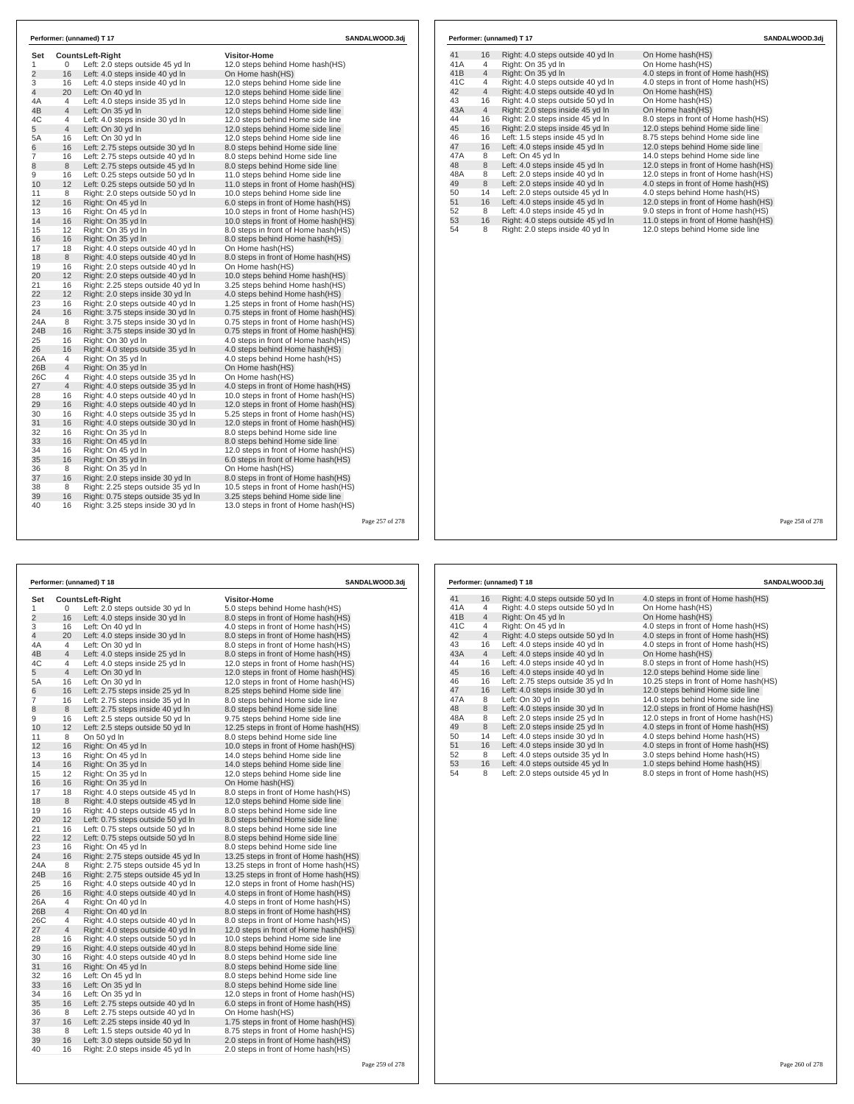| Set            |                | <b>CountsLeft-Right</b>                                 | <b>Visitor-Home</b>                                                          |  |
|----------------|----------------|---------------------------------------------------------|------------------------------------------------------------------------------|--|
| $\mathbf{1}$   | 0              | Left: 2.0 steps outside 45 yd In                        | 12.0 steps behind Home hash(HS)                                              |  |
| $\overline{2}$ | 16             | Left: 4.0 steps inside 40 yd In                         | On Home hash(HS)                                                             |  |
| 3              | 16             | Left: 4.0 steps inside 40 vd In                         | 12.0 steps behind Home side line                                             |  |
| $\overline{4}$ | 20             | Left: On 40 yd In                                       | 12.0 steps behind Home side line                                             |  |
| 4A             | $\overline{4}$ | Left: 4.0 steps inside 35 yd In                         | 12.0 steps behind Home side line                                             |  |
| 4B             | $\overline{4}$ | Left: On 35 yd In                                       | 12.0 steps behind Home side line                                             |  |
| 4C             | 4              | Left: 4.0 steps inside 30 yd In                         | 12.0 steps behind Home side line                                             |  |
| 5              | $\overline{4}$ | Left: On 30 yd In                                       | 12.0 steps behind Home side line                                             |  |
| 5A             | 16             | Left: On 30 yd In                                       | 12.0 steps behind Home side line                                             |  |
| 6              | 16             | Left: 2.75 steps outside 30 yd In                       | 8.0 steps behind Home side line                                              |  |
| 7              | 16             | Left: 2.75 steps outside 40 yd In                       | 8.0 steps behind Home side line                                              |  |
| 8<br>9         | 8<br>16        | Left: 2.75 steps outside 45 yd In                       | 8.0 steps behind Home side line                                              |  |
|                |                | Left: 0.25 steps outside 50 yd In                       | 11.0 steps behind Home side line                                             |  |
| 10<br>11       | 12             | Left: 0.25 steps outside 50 yd In                       | 11.0 steps in front of Home hash(HS)                                         |  |
| 12             | 8<br>16        | Right: 2.0 steps outside 50 yd In<br>Right: On 45 yd In | 10.0 steps behind Home side line<br>6.0 steps in front of Home hash(HS)      |  |
|                |                |                                                         |                                                                              |  |
| 13<br>14       | 16<br>16       | Right: On 45 yd In<br>Right: On 35 yd In                | 10.0 steps in front of Home hash(HS)<br>10.0 steps in front of Home hash(HS) |  |
|                | 12             | Right: On 35 yd In                                      |                                                                              |  |
| 15<br>16       | 16             | Right: On 35 yd In                                      | 8.0 steps in front of Home hash(HS)<br>8.0 steps behind Home hash(HS)        |  |
| 17             | 18             | Right: 4.0 steps outside 40 yd In                       | On Home hash(HS)                                                             |  |
| 18             | 8              | Right: 4.0 steps outside 40 yd In                       | 8.0 steps in front of Home hash(HS)                                          |  |
| 19             | 16             | Right: 2.0 steps outside 40 yd In                       | On Home hash(HS)                                                             |  |
| 20             | 12             | Right: 2.0 steps outside 40 yd In                       | 10.0 steps behind Home hash(HS)                                              |  |
| 21             | 16             | Right: 2.25 steps outside 40 yd In                      | 3.25 steps behind Home hash(HS)                                              |  |
| 22             | 12             | Right: 2.0 steps inside 30 yd In                        | 4.0 steps behind Home hash(HS)                                               |  |
| 23             | 16             | Right: 2.0 steps outside 40 yd In                       | 1.25 steps in front of Home hash(HS)                                         |  |
| 24             | 16             | Right: 3.75 steps inside 30 yd In                       | 0.75 steps in front of Home hash(HS)                                         |  |
| 24A            | 8              | Right: 3.75 steps inside 30 yd In                       | 0.75 steps in front of Home hash(HS)                                         |  |
| 24B            | 16             | Right: 3.75 steps inside 30 yd In                       | 0.75 steps in front of Home hash(HS)                                         |  |
| 25             | 16             | Right: On 30 yd In                                      | 4.0 steps in front of Home hash(HS)                                          |  |
| 26             | 16             | Right: 4.0 steps outside 35 yd In                       | 4.0 steps behind Home hash(HS)                                               |  |
| 26A            | 4              | Right: On 35 yd In                                      | 4.0 steps behind Home hash(HS)                                               |  |
| 26B            | $\overline{4}$ | Right: On 35 yd In                                      | On Home hash(HS)                                                             |  |
| 26C            | $\overline{4}$ | Right: 4.0 steps outside 35 yd In                       | On Home hash(HS)                                                             |  |
| 27             | $\overline{4}$ | Right: 4.0 steps outside 35 yd In                       | 4.0 steps in front of Home hash(HS)                                          |  |
| 28             | 16             | Right: 4.0 steps outside 40 yd In                       | 10.0 steps in front of Home hash(HS)                                         |  |
| 29             | 16             | Right: 4.0 steps outside 40 yd In                       | 12.0 steps in front of Home hash(HS)                                         |  |
| 30             | 16             | Right: 4.0 steps outside 35 yd In                       | 5.25 steps in front of Home hash(HS)                                         |  |
| 31             | 16             | Right: 4.0 steps outside 30 yd In                       | 12.0 steps in front of Home hash(HS)                                         |  |
| 32             | 16             | Right: On 35 yd In                                      | 8.0 steps behind Home side line                                              |  |
| 33             | 16             | Right: On 45 vd In                                      | 8.0 steps behind Home side line                                              |  |
| 34             | 16             | Right: On 45 yd In                                      | 12.0 steps in front of Home hash(HS)                                         |  |
| 35             | 16             | Right: On 35 vd In                                      | 6.0 steps in front of Home hash(HS)                                          |  |
| 36             | 8              | Right: On 35 yd In                                      | On Home hash(HS)                                                             |  |
| 37             | 16             | Right: 2.0 steps inside 30 yd In                        | 8.0 steps in front of Home hash(HS)                                          |  |
| 38             | 8              | Right: 2.25 steps outside 35 yd In                      | 10.5 steps in front of Home hash(HS)                                         |  |
| 39             | 16             | Right: 0.75 steps outside 35 yd In                      | 3.25 steps behind Home side line                                             |  |
| 40             | 16             | Right: 3.25 steps inside 30 yd In                       | 13.0 steps in front of Home hash(HS)                                         |  |

|                |          | Performer: (unnamed) T 18          | SANDALWOOD.3dj                         |  |
|----------------|----------|------------------------------------|----------------------------------------|--|
| Set            |          | Counts Left-Right                  | <b>Visitor-Home</b>                    |  |
| 1              | 0        | Left: 2.0 steps outside 30 yd In   | 5.0 steps behind Home hash(HS)         |  |
| $\overline{2}$ | 16       | Left: 4.0 steps inside 30 yd In    | 8.0 steps in front of Home hash (HS)   |  |
| 3              | 16       | Left: On 40 yd In                  | 4.0 steps in front of Home hash(HS)    |  |
| $\overline{4}$ | 20       | Left: 4.0 steps inside 30 yd In    | 8.0 steps in front of Home hash(HS)    |  |
| 4A             | 4        | Left: On 30 yd In                  | 8.0 steps in front of Home hash (HS)   |  |
| 4B             | 4        | Left: 4.0 steps inside 25 yd In    | 8.0 steps in front of Home hash(HS)    |  |
| 4C             | 4        | Left: 4.0 steps inside 25 yd In    | 12.0 steps in front of Home hash(HS)   |  |
| 5              | 4        | Left: On 30 yd In                  | 12.0 steps in front of Home hash(HS)   |  |
| 5A             | 16       | Left: On 30 yd In                  | 12.0 steps in front of Home hash (HS)  |  |
| 6              | 16       | Left: 2.75 steps inside 25 yd In   | 8.25 steps behind Home side line       |  |
| 7              | 16       | Left: 2.75 steps inside 35 yd In   | 8.0 steps behind Home side line        |  |
| 8              | 8        | Left: 2.75 steps inside 40 yd In   | 8.0 steps behind Home side line        |  |
| 9              | 16       | Left: 2.5 steps outside 50 yd In   | 9.75 steps behind Home side line       |  |
| 10             | 12       | Left: 2.5 steps outside 50 yd In   | 12.25 steps in front of Home hash(HS)  |  |
| 11             | 8        | On 50 yd In                        | 8.0 steps behind Home side line        |  |
| 12             | 16       | Right: On 45 yd In                 | 10.0 steps in front of Home hash(HS)   |  |
| 13             | 16       | Right: On 45 yd In                 | 14.0 steps behind Home side line       |  |
| 14             | 16       | Right: On 35 yd In                 | 14.0 steps behind Home side line       |  |
| 15             | 12       | Right: On 35 yd In                 | 12.0 steps behind Home side line       |  |
| 16             | 16       | Right: On 35 yd In                 | On Home hash(HS)                       |  |
| 17             | 18       | Right: 4.0 steps outside 45 yd In  | 8.0 steps in front of Home hash (HS)   |  |
| 18             | 8        |                                    |                                        |  |
| 19             |          | Right: 4.0 steps outside 45 yd In  | 12.0 steps behind Home side line       |  |
| 20             | 16<br>12 | Right: 4.0 steps outside 45 yd In  | 8.0 steps behind Home side line        |  |
|                |          | Left: 0.75 steps outside 50 yd In  | 8.0 steps behind Home side line        |  |
| 21             | 16       | Left: 0.75 steps outside 50 yd In  | 8.0 steps behind Home side line        |  |
| 22             | 12       | Left: 0.75 steps outside 50 yd In  | 8.0 steps behind Home side line        |  |
| 23             | 16       | Right: On 45 yd In                 | 8.0 steps behind Home side line        |  |
| 24             | 16       | Right: 2.75 steps outside 45 yd In | 13.25 steps in front of Home hash (HS) |  |
| 24A            | 8        | Right: 2.75 steps outside 45 yd In | 13.25 steps in front of Home hash (HS) |  |
| 24B            | 16       | Right: 2.75 steps outside 45 yd In | 13.25 steps in front of Home hash(HS)  |  |
| 25             | 16       | Right: 4.0 steps outside 40 yd In  | 12.0 steps in front of Home hash(HS)   |  |
| 26             | 16       | Right: 4.0 steps outside 40 yd In  | 4.0 steps in front of Home hash(HS)    |  |
| 26A            | 4        | Right: On 40 yd In                 | 4.0 steps in front of Home hash(HS)    |  |
| 26B            | 4        | Right: On 40 yd In                 | 8.0 steps in front of Home hash(HS)    |  |
| 26C            | 4        | Right: 4.0 steps outside 40 yd In  | 8.0 steps in front of Home hash(HS)    |  |
| 27             | 4        | Right: 4.0 steps outside 40 yd In  | 12.0 steps in front of Home hash(HS)   |  |
| 28             | 16       | Right: 4.0 steps outside 50 yd In  | 10.0 steps behind Home side line       |  |
| 29             | 16       | Right: 4.0 steps outside 40 yd In  | 8.0 steps behind Home side line        |  |
| 30             | 16       | Right: 4.0 steps outside 40 yd In  | 8.0 steps behind Home side line        |  |
| 31             | 16       | Right: On 45 yd In                 | 8.0 steps behind Home side line        |  |
| 32             | 16       | Left: On 45 yd In                  | 8.0 steps behind Home side line        |  |
| 33             | 16       | Left: On 35 yd In                  | 8.0 steps behind Home side line        |  |
| 34             | 16       | Left: On 35 yd In                  | 12.0 steps in front of Home hash(HS)   |  |
| 35             | 16       | Left: 2.75 steps outside 40 yd In  | 6.0 steps in front of Home hash(HS)    |  |
| 36             | 8        | Left: 2.75 steps outside 40 yd In  | On Home hash(HS)                       |  |
| 37             | 16       | Left: 2.25 steps inside 40 yd In   | 1.75 steps in front of Home hash(HS)   |  |
| 38             | 8        | Left: 1.5 steps outside 40 yd In   | 8.75 steps in front of Home hash(HS)   |  |
| 39             | 16       | Left: 3.0 steps outside 50 yd In   | 2.0 steps in front of Home hash(HS)    |  |
| 40             | 16       | Right: 2.0 steps inside 45 yd In   | 2.0 steps in front of Home hash(HS)    |  |

Page 259 of 278

| 41  | 16             | Right: 4.0 steps outside 40 yd In | On Home hash(HS)                     |
|-----|----------------|-----------------------------------|--------------------------------------|
| 41A | 4              | Right: On 35 yd In                | On Home hash(HS)                     |
| 41B | $\overline{4}$ | Right: On 35 yd In                | 4.0 steps in front of Home hash(HS)  |
| 41C | 4              | Right: 4.0 steps outside 40 yd In | 4.0 steps in front of Home hash(HS)  |
| 42  | $\overline{4}$ | Right: 4.0 steps outside 40 yd In | On Home hash(HS)                     |
| 43  | 16             | Right: 4.0 steps outside 50 yd In | On Home hash(HS)                     |
| 43A | $\overline{4}$ | Right: 2.0 steps inside 45 yd In  | On Home hash(HS)                     |
| 44  | 16             | Right: 2.0 steps inside 45 yd In  | 8.0 steps in front of Home hash(HS)  |
| 45  | 16             | Right: 2.0 steps inside 45 yd In  | 12.0 steps behind Home side line     |
| 46  | 16             | Left: 1.5 steps inside 45 yd In   | 8.75 steps behind Home side line     |
| 47  | 16             | Left: 4.0 steps inside 45 yd In   | 12.0 steps behind Home side line     |
| 47A | 8              | Left: On 45 yd In                 | 14.0 steps behind Home side line     |
| 48  | 8              | Left: 4.0 steps inside 45 yd In   | 12.0 steps in front of Home hash(HS) |
| 48A | 8              | Left: 2.0 steps inside 40 yd In   | 12.0 steps in front of Home hash(HS) |
| 49  | 8              | Left: 2.0 steps inside 40 yd In   | 4.0 steps in front of Home hash(HS)  |
| 50  | 14             | Left: 2.0 steps outside 45 yd In  | 4.0 steps behind Home hash(HS)       |
| 51  | 16             | Left: 4.0 steps inside 45 yd In   | 12.0 steps in front of Home hash(HS) |
| 52  | 8              | Left: 4.0 steps inside 45 yd In   | 9.0 steps in front of Home hash(HS)  |
| 53  | 16             | Right: 4.0 steps outside 45 yd In | 11.0 steps in front of Home hash(HS) |
| 54  | 8              | Right: 2.0 steps inside 40 yd In  | 12.0 steps behind Home side line     |

Page 258 of 278

|     |                | Performer: (unnamed) T 18         | SANDALWOOD.3dj                         |
|-----|----------------|-----------------------------------|----------------------------------------|
| 41  | 16             | Right: 4.0 steps outside 50 yd In | 4.0 steps in front of Home hash (HS)   |
| 41A | 4              | Right: 4.0 steps outside 50 yd In | On Home hash(HS)                       |
| 41B | $\overline{4}$ | Right: On 45 yd In                | On Home hash(HS)                       |
| 41C | 4              | Right: On 45 yd In                | 4.0 steps in front of Home hash(HS)    |
| 42  | $\overline{4}$ | Right: 4.0 steps outside 50 yd In | 4.0 steps in front of Home hash(HS)    |
| 43  | 16             | Left: 4.0 steps inside 40 yd In   | 4.0 steps in front of Home hash(HS)    |
| 43A | $\overline{4}$ | Left: 4.0 steps inside 40 yd In   | On Home hash(HS)                       |
| 44  | 16             | Left: 4.0 steps inside 40 yd In   | 8.0 steps in front of Home hash(HS)    |
| 45  | 16             | Left: 4.0 steps inside 40 yd In   | 12.0 steps behind Home side line       |
| 46  | 16             | Left: 2.75 steps outside 35 yd In | 10.25 steps in front of Home hash (HS) |
| 47  | 16             | Left: 4.0 steps inside 30 yd In   | 12.0 steps behind Home side line       |
| 47A | 8              | Left: On 30 yd In                 | 14.0 steps behind Home side line       |
| 48  | 8              | Left: 4.0 steps inside 30 yd In   | 12.0 steps in front of Home hash(HS)   |
| 48A | 8              | Left: 2.0 steps inside 25 yd In   | 12.0 steps in front of Home hash(HS)   |
| 49  | 8              | Left: 2.0 steps inside 25 yd In   | 4.0 steps in front of Home hash(HS)    |
| 50  | 14             | Left: 4.0 steps inside 30 yd In   | 4.0 steps behind Home hash(HS)         |
| 51  | 16             | Left: 4.0 steps inside 30 yd In   | 4.0 steps in front of Home hash(HS)    |
| 52  | 8              | Left: 4.0 steps outside 35 yd In  | 3.0 steps behind Home hash(HS)         |
| 53  | 16             | Left: 4.0 steps outside 45 yd In  | 1.0 steps behind Home hash(HS)         |
| 54  | 8              | Left: 2.0 steps outside 45 yd In  | 8.0 steps in front of Home hash(HS)    |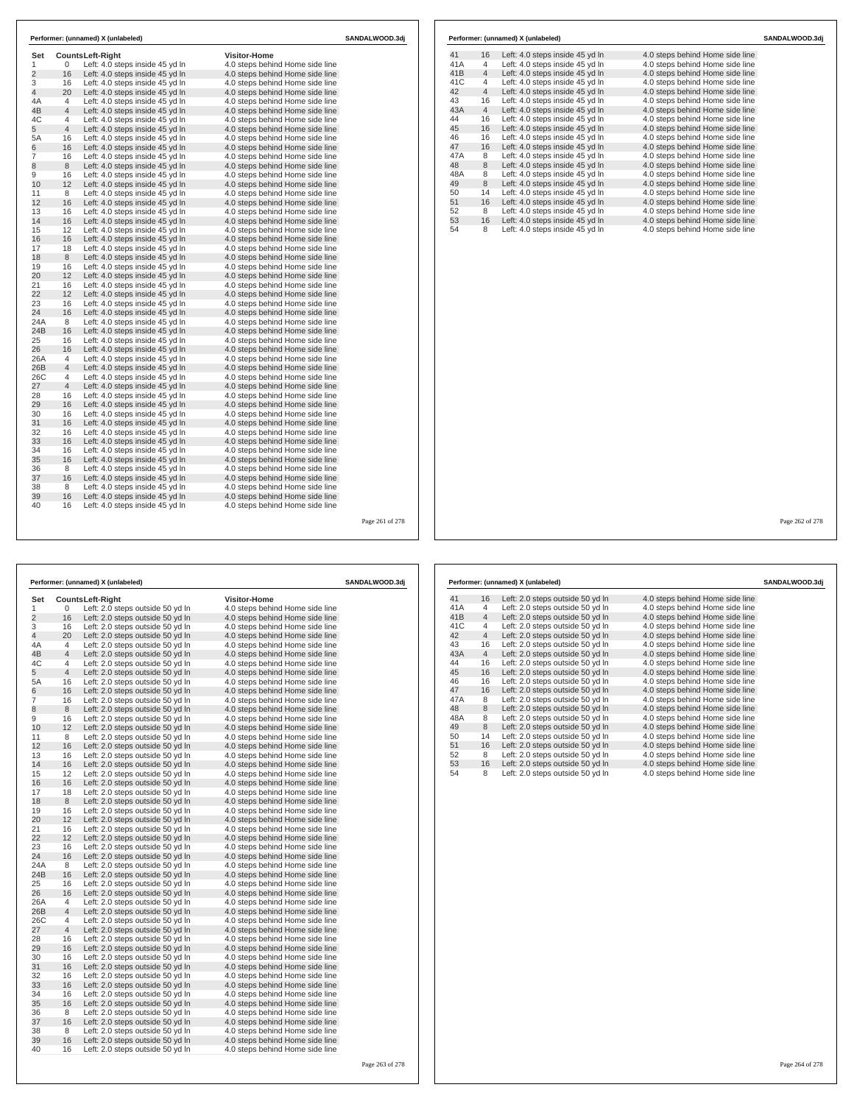| Set            |                     | Counts Left-Right               | <b>Visitor-Home</b>                                                |  |
|----------------|---------------------|---------------------------------|--------------------------------------------------------------------|--|
| 1              | 0                   | Left: 4.0 steps inside 45 yd In | 4.0 steps behind Home side line                                    |  |
| $\overline{2}$ | 16                  | Left: 4.0 steps inside 45 yd In | 4.0 steps behind Home side line                                    |  |
| 3              | 16                  | Left: 4.0 steps inside 45 yd In | 4.0 steps behind Home side line                                    |  |
| 4              | 20                  | Left: 4.0 steps inside 45 yd In | 4.0 steps behind Home side line                                    |  |
| 4A             | 4                   | Left: 4.0 steps inside 45 yd In | 4.0 steps behind Home side line                                    |  |
| 4B             | $\overline{4}$      | Left: 4.0 steps inside 45 yd In | 4.0 steps behind Home side line                                    |  |
| 4C             | 4                   | Left: 4.0 steps inside 45 yd In | 4.0 steps behind Home side line                                    |  |
| 5              | $\overline{4}$      | Left: 4.0 steps inside 45 yd In | 4.0 steps behind Home side line                                    |  |
| 5A             | 16                  | Left: 4.0 steps inside 45 yd In | 4.0 steps behind Home side line                                    |  |
| 6              | 16                  | Left: 4.0 steps inside 45 yd In | 4.0 steps behind Home side line                                    |  |
| 7              | 16                  | Left: 4.0 steps inside 45 yd In | 4.0 steps behind Home side line                                    |  |
| 8              | 8                   | Left: 4.0 steps inside 45 yd In | 4.0 steps behind Home side line                                    |  |
| 9              | 16                  | Left: 4.0 steps inside 45 yd In | 4.0 steps behind Home side line                                    |  |
| 10             | 12                  | Left: 4.0 steps inside 45 yd In | 4.0 steps behind Home side line                                    |  |
| 11             | 8                   | Left: 4.0 steps inside 45 yd In | 4.0 steps behind Home side line                                    |  |
| 12             | 16                  | Left: 4.0 steps inside 45 yd In | 4.0 steps behind Home side line                                    |  |
| 13             | 16                  | Left: 4.0 steps inside 45 yd In | 4.0 steps behind Home side line                                    |  |
| 14             | 16                  | Left: 4.0 steps inside 45 yd In | 4.0 steps behind Home side line                                    |  |
| 15             | 12                  | Left: 4.0 steps inside 45 yd In | 4.0 steps behind Home side line                                    |  |
| 16             | 16                  | Left: 4.0 steps inside 45 yd In | 4.0 steps behind Home side line                                    |  |
| 17             | 18                  | Left: 4.0 steps inside 45 yd In | 4.0 steps behind Home side line                                    |  |
| 18             | 8                   | Left: 4.0 steps inside 45 yd In | 4.0 steps behind Home side line                                    |  |
| 19             | 16<br>12            | Left: 4.0 steps inside 45 yd In | 4.0 steps behind Home side line                                    |  |
| 20             |                     | Left: 4.0 steps inside 45 yd In | 4.0 steps behind Home side line                                    |  |
| 21<br>22       | 16                  | Left: 4.0 steps inside 45 yd In | 4.0 steps behind Home side line                                    |  |
| 23             | 12<br>16            | Left: 4.0 steps inside 45 yd In | 4.0 steps behind Home side line                                    |  |
| 24             | 16                  | Left: 4.0 steps inside 45 yd In | 4.0 steps behind Home side line                                    |  |
| 24A            | 8                   | Left: 4.0 steps inside 45 yd In | 4.0 steps behind Home side line                                    |  |
| 24B            | 16                  | Left: 4.0 steps inside 45 yd In | 4.0 steps behind Home side line                                    |  |
| 25             | 16                  | Left: 4.0 steps inside 45 yd In | 4.0 steps behind Home side line                                    |  |
|                |                     | Left: 4.0 steps inside 45 yd In | 4.0 steps behind Home side line                                    |  |
| 26             | 16<br>4             | Left: 4.0 steps inside 45 yd In | 4.0 steps behind Home side line                                    |  |
| 26A<br>26B     | $\overline{4}$      | Left: 4.0 steps inside 45 yd In | 4.0 steps behind Home side line<br>4.0 steps behind Home side line |  |
| 26C            |                     | Left: 4.0 steps inside 45 yd In |                                                                    |  |
| 27             | 4<br>$\overline{4}$ | Left: 4.0 steps inside 45 yd In | 4.0 steps behind Home side line                                    |  |
| 28             | 16                  | Left: 4.0 steps inside 45 yd In | 4.0 steps behind Home side line                                    |  |
| 29             | 16                  | Left: 4.0 steps inside 45 yd In | 4.0 steps behind Home side line                                    |  |
| 30             | 16                  | Left: 4.0 steps inside 45 yd In | 4.0 steps behind Home side line<br>4.0 steps behind Home side line |  |
| 31             | 16                  | Left: 4.0 steps inside 45 yd In |                                                                    |  |
| 32             | 16                  | Left: 4.0 steps inside 45 yd In | 4.0 steps behind Home side line                                    |  |
|                |                     | Left: 4.0 steps inside 45 yd In | 4.0 steps behind Home side line                                    |  |
| 33<br>34       | 16<br>16            | Left: 4.0 steps inside 45 yd In | 4.0 steps behind Home side line                                    |  |
|                |                     | Left: 4.0 steps inside 45 yd In | 4.0 steps behind Home side line                                    |  |
| 35<br>36       | 16<br>8             | Left: 4.0 steps inside 45 yd In | 4.0 steps behind Home side line                                    |  |
| 37             | 16                  | Left: 4.0 steps inside 45 yd In | 4.0 steps behind Home side line<br>4.0 steps behind Home side line |  |
| 38             | 8                   | Left: 4.0 steps inside 45 yd In |                                                                    |  |
| 39             | 16                  | Left: 4.0 steps inside 45 yd In | 4.0 steps behind Home side line                                    |  |
| 40             | 16                  | Left: 4.0 steps inside 45 yd In | 4.0 steps behind Home side line                                    |  |
|                |                     | Left: 4.0 steps inside 45 yd In | 4.0 steps behind Home side line                                    |  |

|                |                |                                                                      |                                                                    | Page 261 of 278 |                    |                |     |
|----------------|----------------|----------------------------------------------------------------------|--------------------------------------------------------------------|-----------------|--------------------|----------------|-----|
|                |                |                                                                      |                                                                    |                 |                    |                |     |
|                |                |                                                                      |                                                                    |                 |                    |                |     |
|                |                |                                                                      |                                                                    |                 |                    |                |     |
|                |                |                                                                      |                                                                    |                 |                    |                |     |
|                |                | Performer: (unnamed) X (unlabeled)                                   |                                                                    | SANDALWOOD.3dj  | Performer: (unname |                |     |
| Set            |                | <b>CountsLeft-Right</b>                                              | <b>Visitor-Home</b>                                                |                 | 41                 | 16             | Let |
| 1              | 0              | Left: 2.0 steps outside 50 yd In                                     | 4.0 steps behind Home side line                                    |                 | 41A                | 4              | Let |
| $\overline{2}$ | 16             | Left: 2.0 steps outside 50 yd In                                     | 4.0 steps behind Home side line                                    |                 | 41B                | $\overline{4}$ | Let |
| 3              | 16             | Left: 2.0 steps outside 50 yd In                                     | 4.0 steps behind Home side line                                    |                 | 41C                | 4              | Let |
| $\overline{4}$ | 20             | Left: 2.0 steps outside 50 yd In                                     | 4.0 steps behind Home side line                                    |                 | 42                 | $\overline{4}$ | Let |
| 4A             | 4              | Left: 2.0 steps outside 50 yd In                                     | 4.0 steps behind Home side line                                    |                 | 43                 | 16             | Let |
| 4B             | $\overline{4}$ | Left: 2.0 steps outside 50 yd In                                     | 4.0 steps behind Home side line                                    |                 | 43A                | $\overline{4}$ | Let |
| 4C             | $\overline{4}$ | Left: 2.0 steps outside 50 yd In                                     | 4.0 steps behind Home side line                                    |                 | 44                 | 16             | Let |
| 5              | $\overline{4}$ | Left: 2.0 steps outside 50 yd In                                     | 4.0 steps behind Home side line                                    |                 | 45                 | 16             | Let |
| 5A             | 16             | Left: 2.0 steps outside 50 yd In                                     | 4.0 steps behind Home side line                                    |                 | 46                 | 16             | Let |
| 6              | 16             | Left: 2.0 steps outside 50 yd In                                     | 4.0 steps behind Home side line                                    |                 | 47                 | 16             | Let |
| $\overline{7}$ | 16             | Left: 2.0 steps outside 50 yd In                                     | 4.0 steps behind Home side line                                    |                 | 47A                | 8              | Let |
| 8              | 8              | Left: 2.0 steps outside 50 yd In                                     | 4.0 steps behind Home side line                                    |                 | 48                 | 8              | Let |
| 9              | 16             | Left: 2.0 steps outside 50 yd In                                     | 4.0 steps behind Home side line                                    |                 | 48A                | 8              | Let |
| 10             | 12             | Left: 2.0 steps outside 50 yd In                                     | 4.0 steps behind Home side line                                    |                 | 49                 | 8              | Let |
| 11             | 8              | Left: 2.0 steps outside 50 yd In                                     | 4.0 steps behind Home side line                                    |                 | 50                 | 14             | Let |
| 12             | 16             | Left: 2.0 steps outside 50 yd In                                     | 4.0 steps behind Home side line                                    |                 | 51                 | 16             | Let |
| 13             | 16             | Left: 2.0 steps outside 50 yd In                                     | 4.0 steps behind Home side line                                    |                 | 52                 | 8              | Let |
| 14             | 16             | Left: 2.0 steps outside 50 yd In                                     | 4.0 steps behind Home side line                                    |                 | 53                 | 16             | Let |
| 15             | 12             | Left: 2.0 steps outside 50 yd In                                     | 4.0 steps behind Home side line                                    |                 | 54                 | 8              | Let |
| 16             | 16             | Left: 2.0 steps outside 50 yd In                                     | 4.0 steps behind Home side line                                    |                 |                    |                |     |
| 17             | 18             | Left: 2.0 steps outside 50 yd In                                     | 4.0 steps behind Home side line                                    |                 |                    |                |     |
| 18             | 8              | Left: 2.0 steps outside 50 yd In                                     | 4.0 steps behind Home side line                                    |                 |                    |                |     |
| 19             | 16             | Left: 2.0 steps outside 50 yd In                                     | 4.0 steps behind Home side line                                    |                 |                    |                |     |
| 20             | 12             | Left: 2.0 steps outside 50 yd In                                     | 4.0 steps behind Home side line                                    |                 |                    |                |     |
| 21             | 16             | Left: 2.0 steps outside 50 yd In                                     | 4.0 steps behind Home side line                                    |                 |                    |                |     |
| 22             | 12             | Left: 2.0 steps outside 50 yd In                                     | 4.0 steps behind Home side line                                    |                 |                    |                |     |
| 23             | 16             | Left: 2.0 steps outside 50 yd In                                     | 4.0 steps behind Home side line                                    |                 |                    |                |     |
| 24             | 16             | Left: 2.0 steps outside 50 yd In                                     | 4.0 steps behind Home side line                                    |                 |                    |                |     |
| 24A            | 8              | Left: 2.0 steps outside 50 yd In                                     | 4.0 steps behind Home side line                                    |                 |                    |                |     |
| 24B            | 16             | Left: 2.0 steps outside 50 yd In                                     | 4.0 steps behind Home side line                                    |                 |                    |                |     |
| 25             | 16             | Left: 2.0 steps outside 50 yd In                                     | 4.0 steps behind Home side line                                    |                 |                    |                |     |
| 26             | 16             |                                                                      |                                                                    |                 |                    |                |     |
| 26A            | 4              | Left: 2.0 steps outside 50 yd In<br>Left: 2.0 steps outside 50 yd In | 4.0 steps behind Home side line<br>4.0 steps behind Home side line |                 |                    |                |     |
| 26B            | $\overline{4}$ |                                                                      |                                                                    |                 |                    |                |     |
| 26C            | 4              | Left: 2.0 steps outside 50 yd In                                     | 4.0 steps behind Home side line                                    |                 |                    |                |     |
| 27             | $\overline{4}$ | Left: 2.0 steps outside 50 yd In                                     | 4.0 steps behind Home side line                                    |                 |                    |                |     |
| 28             | 16             | Left: 2.0 steps outside 50 yd In<br>Left: 2.0 steps outside 50 yd In | 4.0 steps behind Home side line<br>4.0 steps behind Home side line |                 |                    |                |     |
| 29             | 16             |                                                                      |                                                                    |                 |                    |                |     |
| 30             | 16             | Left: 2.0 steps outside 50 yd In<br>Left: 2.0 steps outside 50 yd In | 4.0 steps behind Home side line<br>4.0 steps behind Home side line |                 |                    |                |     |
| 31             | 16             | Left: 2.0 steps outside 50 yd In                                     | 4.0 steps behind Home side line                                    |                 |                    |                |     |
| 32             | 16             | Left: 2.0 steps outside 50 yd In                                     | 4.0 steps behind Home side line                                    |                 |                    |                |     |
| 33             | 16             |                                                                      | 4.0 steps behind Home side line                                    |                 |                    |                |     |
| 34             | 16             | Left: 2.0 steps outside 50 yd In<br>Left: 2.0 steps outside 50 yd In | 4.0 steps behind Home side line                                    |                 |                    |                |     |
| 35             | 16             | Left: 2.0 steps outside 50 yd In                                     | 4.0 steps behind Home side line                                    |                 |                    |                |     |
| 36             | 8              | Left: 2.0 steps outside 50 yd In                                     | 4.0 steps behind Home side line                                    |                 |                    |                |     |
|                |                |                                                                      |                                                                    |                 |                    |                |     |

35 16 Left: 2.0 steps outside 50 yd ln 4.0 steps behind Home side line 36 8 Left: 2.0 steps outside 50 yd ln 4.0 steps behind Home side line 37 16 Left: 2.0 steps outside 50 yd ln 4.0 steps behind Home side line 38 8 Left: 2.0 steps outside 50 yd ln 4.0 steps behind Home side line 39 16 Left: 2.0 steps outside 50 yd ln 4.0 steps behind Home side line 40 16 Left: 2.0 steps outside 50 yd ln 4.0 steps behind Home side line

41 16 Left: 4.0 steps inside 45 yd ln 4.0 steps behind Home side line 41A 4 Left: 4.0 steps inside 45 yd ln 4.0 steps behind Home side line<br>41B 4 Left: 4.0 steps inside 45 yd ln 4.0 steps behind Home side line 41B 4 Left: 4.0 steps inside 45 yd ln 4.0 steps behind Home side line<br>41C 4 Left: 4.0 steps inside 45 yd ln 4.0 steps behind Home side line<br>42 4 Left: 4.0 steps inside 45 yd ln 4.0 steps behind Home side line 41C 4 Left: 4.0 steps inside 45 yd ln 4.0 steps behind Home side line 42 4 Left: 4.0 steps inside 45 yd ln 4.0 steps behind Home side line 43 16 Left: 4.0 steps inside 45 yd ln 4.0 steps behind Home side line 43A 4 Left: 4.0 steps inside 45 yd ln 4.0 steps behind Home side line<br>44 16 Left: 4.0 steps inside 45 yd ln 4.0 steps behind Home side line 44 16 Left: 4.0 steps inside 45 yd ln 4.0 steps behind Home side line<br>45 16 Left: 4.0 steps inside 45 yd ln 4.0 steps behind Home side line<br>46 16 Left: 4.0 steps inside 45 yd ln 4.0 steps behind Home side line 4.0 steps behind Home side line<br>4.0 steps behind Home side line 45 16 Left: 4.0 steps inside 45 yd ln<br>46 16 Left: 4.0 steps inside 45 yd ln<br>47 16 Left: 4.0 steps inside 45 yd ln 47 16 Left: 4.0 steps inside 45 yd ln 4.0 steps behind Home side line<br>47A 8 Left: 4.0 steps inside 45 yd ln 4.0 steps behind Home side line 47A 8 Left: 4.0 steps inside 45 yd In 4.0 steps behind Home side line<br>48 8 Left: 4.0 steps inside 45 yd In 4.0 steps behind Home side line<br>48 8 Left: 4.0 steps inside 45 yd In 4.0 steps behind Home side line 48 8 Left: 4.0 steps inside 45 yd ln 4.0 steps behind Home side line 48A 8 Left: 4.0 steps inside 45 yd ln 4.0 steps behind Home side line 49 8 Left: 4.0 steps inside 45 yd ln<br>
4.0 steps behind Home side line<br>
50 14 Left: 4.0 steps inside 45 yd ln<br>
4.0 steps behind Home side line 50 14 Left: 4.0 steps inside 45 yd ln 4.0 steps behind Home side line 51 16 Left: 4.0 steps inside 45 yd ln 4.0 steps behind Home side line<br>52 8 Left: 4.0 steps inside 45 yd ln 4.0 steps behind Home side line<br>54 16 Left: 4.0 steps inside 45 yd ln 4.0 steps behind Home side line<br>8 Left: 4.0 s 52 8 Left: 4.0 steps inside 45 yd ln 4.0 steps behind Home side line 53 16 Left: 4.0 steps inside 45 yd ln 4.0 steps behind Home side line 54 8 Left: 4.0 steps inside 45 yd ln 4.0 steps behind Home side line **Performer: (unnamed) X (unlabeled) SANDALWOOD.3dj**

|     |                | Performer: (unnamed) X (unlabeled) |                                 | SANDALWOOD.3dj |
|-----|----------------|------------------------------------|---------------------------------|----------------|
|     |                |                                    |                                 |                |
| 41  | 16             | Left: 2.0 steps outside 50 yd In   | 4.0 steps behind Home side line |                |
| 41A | 4              | Left: 2.0 steps outside 50 yd In   | 4.0 steps behind Home side line |                |
| 41B | $\overline{4}$ | Left: 2.0 steps outside 50 yd In   | 4.0 steps behind Home side line |                |
| 41C | 4              | Left: 2.0 steps outside 50 yd In   | 4.0 steps behind Home side line |                |
| 42  | $\overline{4}$ | Left: 2.0 steps outside 50 yd In   | 4.0 steps behind Home side line |                |
| 43  | 16             | Left: 2.0 steps outside 50 yd In   | 4.0 steps behind Home side line |                |
| 43A | $\overline{4}$ | Left: 2.0 steps outside 50 yd In   | 4.0 steps behind Home side line |                |
| 44  | 16             | Left: 2.0 steps outside 50 vd In   | 4.0 steps behind Home side line |                |
| 45  | 16             | Left: 2.0 steps outside 50 yd In   | 4.0 steps behind Home side line |                |
| 46  | 16             | Left: 2.0 steps outside 50 vd In   | 4.0 steps behind Home side line |                |
| 47  | 16             | Left: 2.0 steps outside 50 yd In   | 4.0 steps behind Home side line |                |
| 47A | 8              | Left: 2.0 steps outside 50 yd In   | 4.0 steps behind Home side line |                |
| 48  | 8              | Left: 2.0 steps outside 50 yd In   | 4.0 steps behind Home side line |                |
| 48A | 8              | Left: 2.0 steps outside 50 yd In   | 4.0 steps behind Home side line |                |
| 49  | 8              | Left: 2.0 steps outside 50 yd In   | 4.0 steps behind Home side line |                |
| 50  | 14             | Left: 2.0 steps outside 50 yd In   | 4.0 steps behind Home side line |                |
| 51  | 16             | Left: 2.0 steps outside 50 vd In   | 4.0 steps behind Home side line |                |
| 52  | 8              | Left: 2.0 steps outside 50 yd In   | 4.0 steps behind Home side line |                |
| 53  | 16             | Left: 2.0 steps outside 50 yd In   | 4.0 steps behind Home side line |                |
| 54  | 8              | Left: 2.0 steps outside 50 yd In   | 4.0 steps behind Home side line |                |

Page 262 of 278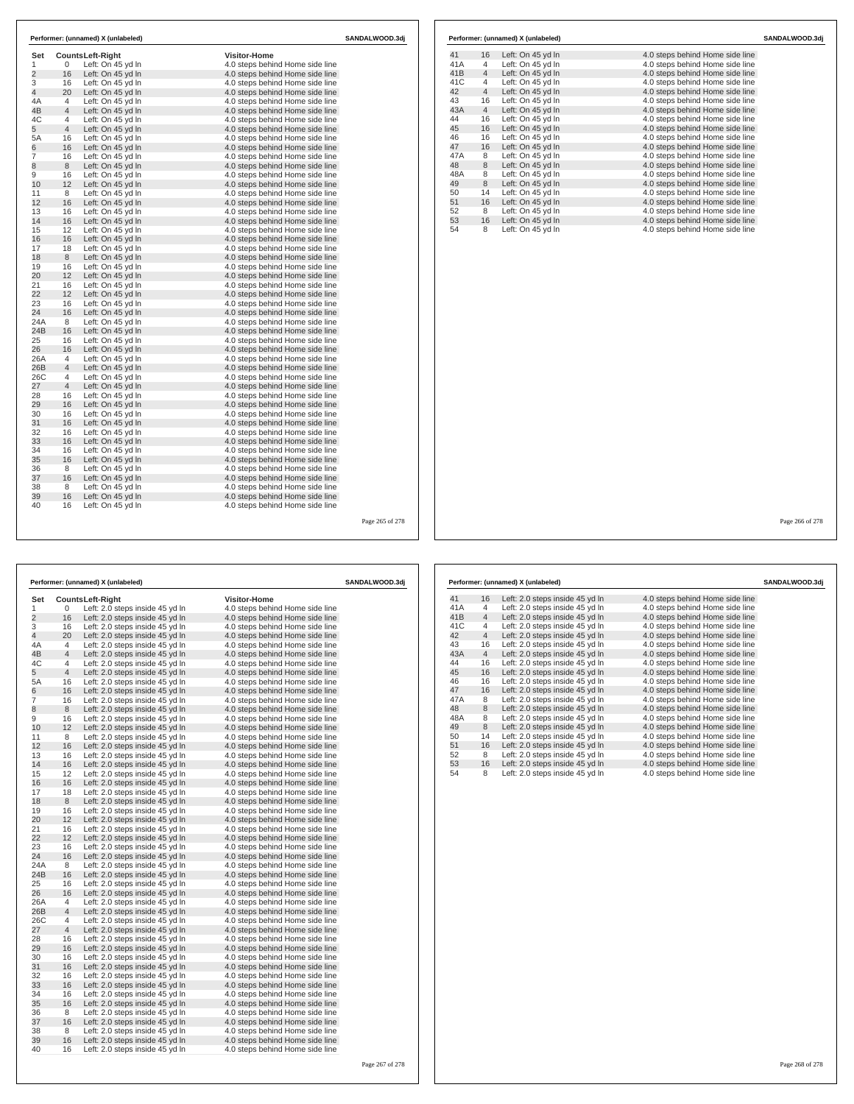| Set<br>1       |                                  | <b>CountsLeft-Right</b> | <b>Visitor-Home</b>             |  |
|----------------|----------------------------------|-------------------------|---------------------------------|--|
| $\overline{2}$ | 0<br>16                          | Left: On 45 yd In       | 4.0 steps behind Home side line |  |
| 3              | 16                               | Left: On 45 yd In       | 4.0 steps behind Home side line |  |
| $\overline{4}$ |                                  | Left: On 45 vd In       | 4.0 steps behind Home side line |  |
|                | 20                               | Left: On 45 yd In       | 4.0 steps behind Home side line |  |
| 4A<br>4B       | $\overline{4}$<br>$\overline{4}$ | Left: On 45 yd In       | 4.0 steps behind Home side line |  |
|                |                                  | Left: On 45 yd In       | 4.0 steps behind Home side line |  |
| 4C<br>5        | 4<br>$\overline{4}$              | Left: On 45 yd In       | 4.0 steps behind Home side line |  |
|                |                                  | Left: On 45 yd In       | 4.0 steps behind Home side line |  |
| 5A             | 16                               | Left: On 45 yd In       | 4.0 steps behind Home side line |  |
| 6              | 16                               | Left: On 45 vd In       | 4.0 steps behind Home side line |  |
| $\overline{7}$ | 16                               | Left: On 45 yd In       | 4.0 steps behind Home side line |  |
| 8              | 8                                | Left: On 45 yd In       | 4.0 steps behind Home side line |  |
| 9              | 16                               | Left: On 45 yd In       | 4.0 steps behind Home side line |  |
| 10             | 12                               | Left: On 45 yd In       | 4.0 steps behind Home side line |  |
| 11             | 8                                | Left: On 45 yd In       | 4.0 steps behind Home side line |  |
| 12             | 16                               | Left: On 45 yd In       | 4.0 steps behind Home side line |  |
| 13             | 16                               | Left: On 45 yd In       | 4.0 steps behind Home side line |  |
| 14             | 16                               | Left: On 45 yd In       | 4.0 steps behind Home side line |  |
| 15             | 12                               | Left: On 45 vd In       | 4.0 steps behind Home side line |  |
| 16             | 16                               | Left: On 45 yd In       | 4.0 steps behind Home side line |  |
| 17             | 18                               | Left: On 45 yd In       | 4.0 steps behind Home side line |  |
| 18             | 8                                | Left: On 45 yd In       | 4.0 steps behind Home side line |  |
| 19             | 16                               | Left: On 45 vd In       | 4.0 steps behind Home side line |  |
| 20             | 12                               | Left: On 45 yd In       | 4.0 steps behind Home side line |  |
| 21             | 16                               | Left: On 45 yd In       | 4.0 steps behind Home side line |  |
| 22             | 12                               | Left: On 45 vd In       | 4.0 steps behind Home side line |  |
| 23             | 16                               | Left: On 45 yd In       | 4.0 steps behind Home side line |  |
| 24             | 16                               | Left: On 45 yd In       | 4.0 steps behind Home side line |  |
| 24A            | 8                                | Left: On 45 yd In       | 4.0 steps behind Home side line |  |
| 24B            | 16                               | Left: On 45 vd In       | 4.0 steps behind Home side line |  |
| 25             | 16                               | Left: On 45 yd In       | 4.0 steps behind Home side line |  |
| 26             | 16                               | Left: On 45 yd In       | 4.0 steps behind Home side line |  |
| 26A            | $\overline{4}$                   | Left: On 45 yd In       | 4.0 steps behind Home side line |  |
| 26B            | $\overline{4}$                   | Left: On 45 yd In       | 4.0 steps behind Home side line |  |
| 26C            | 4                                | Left: On 45 yd In       | 4.0 steps behind Home side line |  |
| 27             | $\overline{4}$                   | Left: On 45 yd In       | 4.0 steps behind Home side line |  |
| 28             | 16                               | Left: On 45 yd In       | 4.0 steps behind Home side line |  |
| 29             | 16                               | Left: On 45 yd In       | 4.0 steps behind Home side line |  |
| 30             | 16                               | Left: On 45 yd In       | 4.0 steps behind Home side line |  |
| 31             | 16                               | Left: On 45 yd In       | 4.0 steps behind Home side line |  |
| 32             | 16                               | Left: On 45 yd In       | 4.0 steps behind Home side line |  |
| 33             | 16                               | Left: On 45 vd In       | 4.0 steps behind Home side line |  |
| 34             | 16                               | Left: On 45 yd In       | 4.0 steps behind Home side line |  |
| 35             | 16                               | Left: On 45 yd In       | 4.0 steps behind Home side line |  |
| 36             | 8                                | Left: On 45 yd In       | 4.0 steps behind Home side line |  |
| 37             | 16                               | Left: On 45 yd In       | 4.0 steps behind Home side line |  |
| 38             | 8                                | Left: On 45 yd In       | 4.0 steps behind Home side line |  |
| 39             | 16                               | Left: On 45 yd In       | 4.0 steps behind Home side line |  |
| 40             | 16                               | Left: On 45 yd In       | 4.0 steps behind Home side line |  |

|     |                | Performer: (unnamed) X (unlabeled) |                                 | SANDALWOOD.3di |
|-----|----------------|------------------------------------|---------------------------------|----------------|
| 41  | 16             | Left: On 45 yd In                  | 4.0 steps behind Home side line |                |
| 41A | $\overline{4}$ | Left: On 45 yd In                  | 4.0 steps behind Home side line |                |
| 41B | $\overline{4}$ | Left: On 45 yd In                  | 4.0 steps behind Home side line |                |
| 41C | 4              | Left: On 45 yd In                  | 4.0 steps behind Home side line |                |
| 42  | $\overline{4}$ | Left: On 45 yd In                  | 4.0 steps behind Home side line |                |
| 43  | 16             | Left: On 45 yd In                  | 4.0 steps behind Home side line |                |
| 43A | $\overline{4}$ | Left: On 45 yd In                  | 4.0 steps behind Home side line |                |
| 44  | 16             | Left: On 45 vd In                  | 4.0 steps behind Home side line |                |
| 45  | 16             | Left: On 45 yd In                  | 4.0 steps behind Home side line |                |
| 46  | 16             | Left: On 45 vd In                  | 4.0 steps behind Home side line |                |
| 47  | 16             | Left: On 45 yd In                  | 4.0 steps behind Home side line |                |
| 47A | 8              | Left: On 45 yd In                  | 4.0 steps behind Home side line |                |
| 48  | 8              | Left: On 45 yd In                  | 4.0 steps behind Home side line |                |
| 48A | 8              | Left: On 45 yd In                  | 4.0 steps behind Home side line |                |
| 49  | 8              | Left: On 45 vd In                  | 4.0 steps behind Home side line |                |
| 50  | 14             | Left: On 45 yd In                  | 4.0 steps behind Home side line |                |
| 51  | 16             | Left: On 45 yd In                  | 4.0 steps behind Home side line |                |
| 52  | 8              | Left: On 45 yd In                  | 4.0 steps behind Home side line |                |
| 53  | 16             | Left: On 45 yd In                  | 4.0 steps behind Home side line |                |
| 54  | 8              | Left: On 45 yd In                  | 4.0 steps behind Home side line |                |

Page 265 of 278

|                | Performer: (unnamed) X (unlabeled)<br>SANDALWOOD.3dj |                                 |                                 |  |
|----------------|------------------------------------------------------|---------------------------------|---------------------------------|--|
| Set            |                                                      | <b>CountsLeft-Right</b>         | <b>Visitor-Home</b>             |  |
| 1              | 0                                                    | Left: 2.0 steps inside 45 yd In | 4.0 steps behind Home side line |  |
| $\overline{a}$ | 16                                                   | Left: 2.0 steps inside 45 yd In | 4.0 steps behind Home side line |  |
| 3              | 16                                                   | Left: 2.0 steps inside 45 yd In | 4.0 steps behind Home side line |  |
| $\overline{4}$ | 20                                                   | Left: 2.0 steps inside 45 yd In | 4.0 steps behind Home side line |  |
| 4A             | $\overline{4}$                                       | Left: 2.0 steps inside 45 yd In | 4.0 steps behind Home side line |  |
| 4B             | $\overline{4}$                                       | Left: 2.0 steps inside 45 yd In | 4.0 steps behind Home side line |  |
| 4C             | 4                                                    | Left: 2.0 steps inside 45 yd In | 4.0 steps behind Home side line |  |
| 5              | $\overline{4}$                                       | Left: 2.0 steps inside 45 yd In | 4.0 steps behind Home side line |  |
| 5A             | 16                                                   | Left: 2.0 steps inside 45 yd In | 4.0 steps behind Home side line |  |
| 6              | 16                                                   | Left: 2.0 steps inside 45 yd In | 4.0 steps behind Home side line |  |
| 7              | 16                                                   | Left: 2.0 steps inside 45 yd In | 4.0 steps behind Home side line |  |
| 8              | 8                                                    | Left: 2.0 steps inside 45 yd In | 4.0 steps behind Home side line |  |
| 9              | 16                                                   | Left: 2.0 steps inside 45 yd In | 4.0 steps behind Home side line |  |
| 10             | 12                                                   | Left: 2.0 steps inside 45 yd In | 4.0 steps behind Home side line |  |
| 11             | 8                                                    | Left: 2.0 steps inside 45 yd In | 4.0 steps behind Home side line |  |
| 12             | 16                                                   | Left: 2.0 steps inside 45 yd In | 4.0 steps behind Home side line |  |
| 13             | 16                                                   | Left: 2.0 steps inside 45 yd In | 4.0 steps behind Home side line |  |
| 14             | 16                                                   | Left: 2.0 steps inside 45 yd In | 4.0 steps behind Home side line |  |
| 15             | 12                                                   | Left: 2.0 steps inside 45 yd In | 4.0 steps behind Home side line |  |
| 16             | 16                                                   | Left: 2.0 steps inside 45 yd In | 4.0 steps behind Home side line |  |
| 17             | 18                                                   | Left: 2.0 steps inside 45 yd In | 4.0 steps behind Home side line |  |
| 18             | 8                                                    | Left: 2.0 steps inside 45 yd In | 4.0 steps behind Home side line |  |
| 19             | 16                                                   | Left: 2.0 steps inside 45 yd In | 4.0 steps behind Home side line |  |
| 20             | 12                                                   | Left: 2.0 steps inside 45 yd In | 4.0 steps behind Home side line |  |
| 21             | 16                                                   | Left: 2.0 steps inside 45 yd In | 4.0 steps behind Home side line |  |
| 22             | 12                                                   | Left: 2.0 steps inside 45 yd In | 4.0 steps behind Home side line |  |
| 23             | 16                                                   | Left: 2.0 steps inside 45 yd In | 4.0 steps behind Home side line |  |
| 24             | 16                                                   | Left: 2.0 steps inside 45 yd In | 4.0 steps behind Home side line |  |
| 24A            | 8                                                    | Left: 2.0 steps inside 45 yd In | 4.0 steps behind Home side line |  |
| 24B            | 16                                                   | Left: 2.0 steps inside 45 yd In | 4.0 steps behind Home side line |  |
| 25             | 16                                                   | Left: 2.0 steps inside 45 yd In | 4.0 steps behind Home side line |  |
| 26             | 16                                                   | Left: 2.0 steps inside 45 yd In | 4.0 steps behind Home side line |  |
| 26A            | 4                                                    | Left: 2.0 steps inside 45 yd In | 4.0 steps behind Home side line |  |
| 26B            | $\overline{4}$                                       | Left: 2.0 steps inside 45 yd In | 4.0 steps behind Home side line |  |
| 26C            | 4                                                    | Left: 2.0 steps inside 45 yd In | 4.0 steps behind Home side line |  |
| 27             | $\overline{4}$                                       | Left: 2.0 steps inside 45 yd In | 4.0 steps behind Home side line |  |
| 28             | 16                                                   | Left: 2.0 steps inside 45 yd In | 4.0 steps behind Home side line |  |
| 29             | 16                                                   | Left: 2.0 steps inside 45 yd In | 4.0 steps behind Home side line |  |
| 30             | 16                                                   | Left: 2.0 steps inside 45 yd In | 4.0 steps behind Home side line |  |
| 31             | 16                                                   | Left: 2.0 steps inside 45 yd In | 4.0 steps behind Home side line |  |
| 32             | 16                                                   | Left: 2.0 steps inside 45 yd In | 4.0 steps behind Home side line |  |
| 33             | 16                                                   | Left: 2.0 steps inside 45 yd In | 4.0 steps behind Home side line |  |
| 34             | 16                                                   | Left: 2.0 steps inside 45 yd In | 4.0 steps behind Home side line |  |
| 35             | 16                                                   | Left: 2.0 steps inside 45 yd In | 4.0 steps behind Home side line |  |
| 36             | 8                                                    | Left: 2.0 steps inside 45 yd In | 4.0 steps behind Home side line |  |
| 37             | 16                                                   | Left: 2.0 steps inside 45 yd In | 4.0 steps behind Home side line |  |
| 38             | 8                                                    | Left: 2.0 steps inside 45 yd In | 4.0 steps behind Home side line |  |
| 39             | 16                                                   | Left: 2.0 steps inside 45 yd In | 4.0 steps behind Home side line |  |
| 40             | 16                                                   | Left: 2.0 steps inside 45 yd In | 4.0 steps behind Home side line |  |
|                |                                                      |                                 |                                 |  |

| Performer: (unnamed) X (unlabeled) | SANDALWOOD.3di |                                 |                                 |  |
|------------------------------------|----------------|---------------------------------|---------------------------------|--|
| 41                                 | 16             | Left: 2.0 steps inside 45 yd In | 4.0 steps behind Home side line |  |
| 41A                                | $\overline{4}$ | Left: 2.0 steps inside 45 yd In | 4.0 steps behind Home side line |  |
| 41B                                | $\overline{4}$ | Left: 2.0 steps inside 45 yd In | 4.0 steps behind Home side line |  |
| 41C                                | 4              | Left: 2.0 steps inside 45 yd In | 4.0 steps behind Home side line |  |
| 42                                 | $\overline{4}$ | Left: 2.0 steps inside 45 yd In | 4.0 steps behind Home side line |  |
| 43                                 | 16             | Left: 2.0 steps inside 45 yd In | 4.0 steps behind Home side line |  |
| 43A                                | $\overline{4}$ | Left: 2.0 steps inside 45 yd In | 4.0 steps behind Home side line |  |
| 44                                 | 16             | Left: 2.0 steps inside 45 yd In | 4.0 steps behind Home side line |  |
| 45                                 | 16             | Left: 2.0 steps inside 45 yd In | 4.0 steps behind Home side line |  |
| 46                                 | 16             | Left: 2.0 steps inside 45 yd In | 4.0 steps behind Home side line |  |
| 47                                 | 16             | Left: 2.0 steps inside 45 yd In | 4.0 steps behind Home side line |  |
| 47A                                | 8              | Left: 2.0 steps inside 45 yd In | 4.0 steps behind Home side line |  |
| 48                                 | 8              | Left: 2.0 steps inside 45 yd In | 4.0 steps behind Home side line |  |
| 48A                                | 8              | Left: 2.0 steps inside 45 yd In | 4.0 steps behind Home side line |  |
| 49                                 | 8              | Left: 2.0 steps inside 45 yd In | 4.0 steps behind Home side line |  |
| 50                                 | 14             | Left: 2.0 steps inside 45 yd In | 4.0 steps behind Home side line |  |
| 51                                 | 16             | Left: 2.0 steps inside 45 yd In | 4.0 steps behind Home side line |  |
| 52                                 | 8              | Left: 2.0 steps inside 45 yd In | 4.0 steps behind Home side line |  |
| 53                                 | 16             | Left: 2.0 steps inside 45 yd In | 4.0 steps behind Home side line |  |
| 54                                 | 8              | Left: 2.0 steps inside 45 yd In | 4.0 steps behind Home side line |  |
|                                    |                |                                 |                                 |  |
|                                    |                |                                 |                                 |  |
|                                    |                |                                 |                                 |  |

Page 266 of 278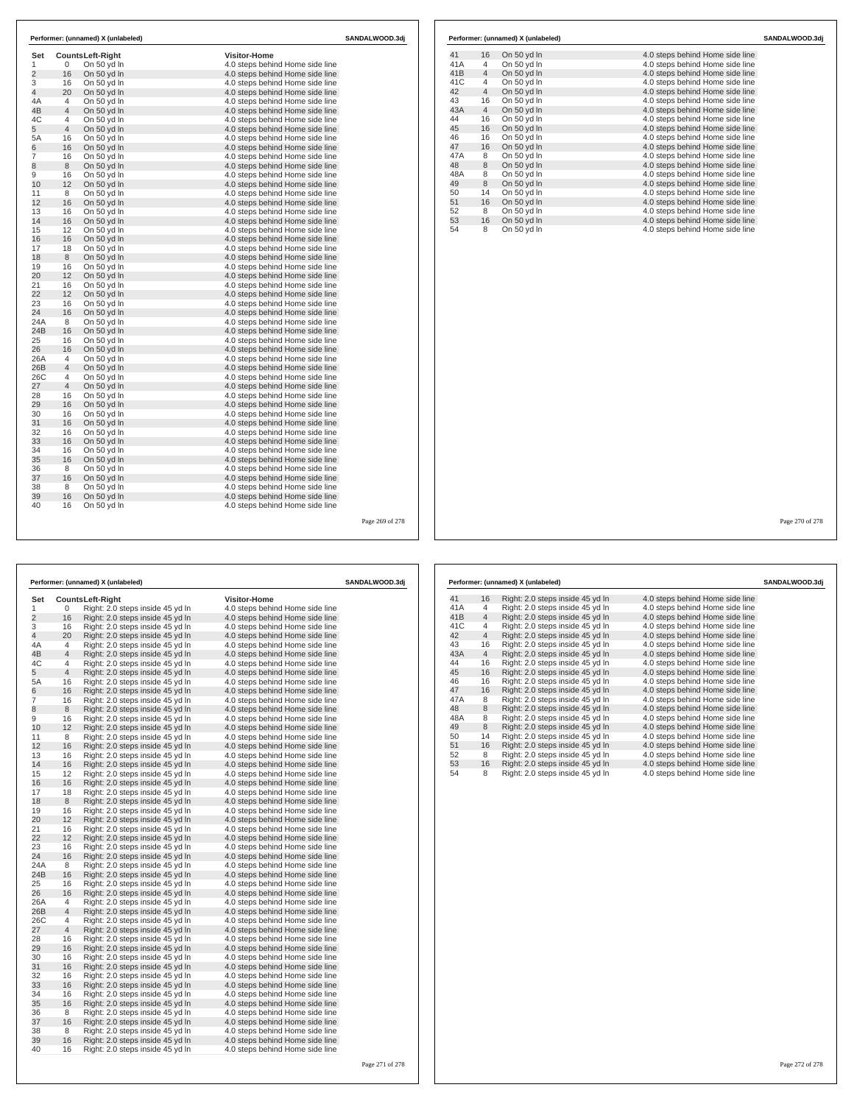| Set<br>1        | 0              | <b>CountsLeft-Right</b><br>On 50 yd In | <b>Visitor-Home</b><br>4.0 steps behind Home side line |  |
|-----------------|----------------|----------------------------------------|--------------------------------------------------------|--|
| $\overline{2}$  | 16             | On 50 yd In                            | 4.0 steps behind Home side line                        |  |
| 3               | 16             | On 50 vd In                            | 4.0 steps behind Home side line                        |  |
| $\overline{4}$  | 20             | On 50 yd In                            | 4.0 steps behind Home side line                        |  |
| 4A              | $\overline{4}$ | On 50 vd In                            | 4.0 steps behind Home side line                        |  |
| 4B              | $\overline{4}$ | On 50 yd In                            | 4.0 steps behind Home side line                        |  |
| 4C              | 4              | On 50 yd In                            | 4.0 steps behind Home side line                        |  |
| 5               | $\overline{4}$ | On 50 yd In                            | 4.0 steps behind Home side line                        |  |
| 5A              | 16             | On 50 yd In                            | 4.0 steps behind Home side line                        |  |
| 6               | 16             | On 50 vd In                            | 4.0 steps behind Home side line                        |  |
| $\overline{7}$  | 16             | On 50 yd In                            | 4.0 steps behind Home side line                        |  |
| 8               | 8              | On 50 yd In                            | 4.0 steps behind Home side line                        |  |
| 9               | 16             | On 50 yd In                            | 4.0 steps behind Home side line                        |  |
| 10              | 12             | On 50 yd In                            | 4.0 steps behind Home side line                        |  |
| 11              | 8              | On 50 yd In                            | 4.0 steps behind Home side line                        |  |
| 12              | 16             | On 50 yd In                            | 4.0 steps behind Home side line                        |  |
| 13              | 16             | On 50 vd In                            | 4.0 steps behind Home side line                        |  |
| 14              | 16             | On 50 yd In                            | 4.0 steps behind Home side line                        |  |
| 15              | 12             | On 50 yd In                            | 4.0 steps behind Home side line                        |  |
| 16              | 16             | On 50 yd In                            | 4.0 steps behind Home side line                        |  |
| 17              | 18             | On 50 yd In                            | 4.0 steps behind Home side line                        |  |
| 18              | 8              | On 50 yd In                            | 4.0 steps behind Home side line                        |  |
| 19              | 16             | On 50 yd In                            | 4.0 steps behind Home side line                        |  |
| 20              | 12             | On 50 yd In                            | 4.0 steps behind Home side line                        |  |
| 21              | 16             | On 50 yd In                            | 4.0 steps behind Home side line                        |  |
| 22              | 12             | On 50 yd In                            | 4.0 steps behind Home side line                        |  |
| 23              | 16             | On 50 yd In                            | 4.0 steps behind Home side line                        |  |
| 24              | 16             | On 50 yd In                            | 4.0 steps behind Home side line                        |  |
| 24A             | 8              | On 50 yd In                            | 4.0 steps behind Home side line                        |  |
| 24 <sub>B</sub> | 16             | On 50 yd In                            | 4.0 steps behind Home side line                        |  |
| 25              | 16             | On 50 yd In                            | 4.0 steps behind Home side line                        |  |
| 26              | 16             | On 50 yd In                            | 4.0 steps behind Home side line                        |  |
| 26A             | $\overline{4}$ | On 50 yd In                            | 4.0 steps behind Home side line                        |  |
| 26B             | $\overline{4}$ | On 50 yd In                            | 4.0 steps behind Home side line                        |  |
| 26C             | 4              | On 50 vd In                            | 4.0 steps behind Home side line                        |  |
| 27              | $\overline{4}$ | On 50 yd In                            | 4.0 steps behind Home side line                        |  |
| 28              | 16             | On 50 yd In                            | 4.0 steps behind Home side line                        |  |
| 29              | 16             | On 50 yd In                            | 4.0 steps behind Home side line                        |  |
| 30              | 16             | On 50 yd In                            | 4.0 steps behind Home side line                        |  |
| 31              | 16             | On 50 yd In                            | 4.0 steps behind Home side line                        |  |
| 32              | 16             | On 50 yd In                            | 4.0 steps behind Home side line                        |  |
| 33              | 16             | On 50 vd In                            | 4.0 steps behind Home side line                        |  |
| 34              | 16             | On 50 yd In                            | 4.0 steps behind Home side line                        |  |
| 35              | 16             | On 50 yd In                            | 4.0 steps behind Home side line                        |  |
| 36              | 8              | On 50 yd In                            | 4.0 steps behind Home side line                        |  |
| 37              | 16             | On 50 yd In                            | 4.0 steps behind Home side line                        |  |
| 38              | 8              | On 50 yd In                            | 4.0 steps behind Home side line                        |  |
| 39              | 16             | On 50 yd In                            | 4.0 steps behind Home side line                        |  |
| 40              | 16             | On 50 yd In                            | 4.0 steps behind Home side line                        |  |

|                 |                | Performer: (unnamed) X (unlabeled) |                                 | SANDALWOOD.3di |
|-----------------|----------------|------------------------------------|---------------------------------|----------------|
| 41              | 16             | On 50 yd In                        | 4.0 steps behind Home side line |                |
| 41A             | $\overline{4}$ | On 50 yd In                        | 4.0 steps behind Home side line |                |
| 41 <sub>B</sub> | $\overline{4}$ | On 50 yd In                        | 4.0 steps behind Home side line |                |
| 41C             | 4              | On 50 yd In                        | 4.0 steps behind Home side line |                |
| 42              | $\overline{4}$ | On 50 yd In                        | 4.0 steps behind Home side line |                |
| 43              | 16             | On 50 yd In                        | 4.0 steps behind Home side line |                |
| 43A             | $\overline{4}$ | On 50 yd In                        | 4.0 steps behind Home side line |                |
| 44              | 16             | On 50 yd In                        | 4.0 steps behind Home side line |                |
| 45              | 16             | On 50 yd In                        | 4.0 steps behind Home side line |                |
| 46              | 16             | On 50 yd In                        | 4.0 steps behind Home side line |                |
| 47              | 16             | On 50 yd In                        | 4.0 steps behind Home side line |                |
| 47A             | 8              | On 50 yd In                        | 4.0 steps behind Home side line |                |
| 48              | 8              | On 50 yd In                        | 4.0 steps behind Home side line |                |
| 48A             | 8              | On 50 yd In                        | 4.0 steps behind Home side line |                |
| 49              | 8              | On 50 yd In                        | 4.0 steps behind Home side line |                |
| 50              | 14             | On 50 yd In                        | 4.0 steps behind Home side line |                |
| 51              | 16             | On 50 yd In                        | 4.0 steps behind Home side line |                |
| 52              | 8              | On 50 yd In                        | 4.0 steps behind Home side line |                |
| 53              | 16             | On 50 yd In                        | 4.0 steps behind Home side line |                |
| 54              | 8              | On 50 yd In                        | 4.0 steps behind Home side line |                |

Page 269 of 278

|                |                | Performer: (unnamed) X (unlabeled) |                                 | SANDALWOOD.3dj |
|----------------|----------------|------------------------------------|---------------------------------|----------------|
| Set            |                | <b>CountsLeft-Right</b>            | <b>Visitor-Home</b>             |                |
| 1              | 0              | Right: 2.0 steps inside 45 yd In   | 4.0 steps behind Home side line |                |
| $\overline{2}$ | 16             | Right: 2.0 steps inside 45 yd In   | 4.0 steps behind Home side line |                |
| 3              | 16             | Right: 2.0 steps inside 45 yd In   | 4.0 steps behind Home side line |                |
| $\overline{4}$ | 20             | Right: 2.0 steps inside 45 yd In   | 4.0 steps behind Home side line |                |
| 4A             | $\overline{4}$ | Right: 2.0 steps inside 45 yd In   | 4.0 steps behind Home side line |                |
| 4B             | 4              | Right: 2.0 steps inside 45 yd In   | 4.0 steps behind Home side line |                |
| 4C             | 4              | Right: 2.0 steps inside 45 yd In   | 4.0 steps behind Home side line |                |
| 5              | 4              | Right: 2.0 steps inside 45 yd In   | 4.0 steps behind Home side line |                |
| 5A             | 16             | Right: 2.0 steps inside 45 yd In   | 4.0 steps behind Home side line |                |
| 6              | 16             | Right: 2.0 steps inside 45 yd In   | 4.0 steps behind Home side line |                |
| 7              | 16             | Right: 2.0 steps inside 45 yd In   | 4.0 steps behind Home side line |                |
| 8              | 8              | Right: 2.0 steps inside 45 yd In   | 4.0 steps behind Home side line |                |
| 9              | 16             | Right: 2.0 steps inside 45 yd In   | 4.0 steps behind Home side line |                |
| 10             | 12             | Right: 2.0 steps inside 45 yd In   | 4.0 steps behind Home side line |                |
| 11             | 8              | Right: 2.0 steps inside 45 yd In   | 4.0 steps behind Home side line |                |
| 12             | 16             | Right: 2.0 steps inside 45 yd In   | 4.0 steps behind Home side line |                |
| 13             | 16             | Right: 2.0 steps inside 45 yd In   | 4.0 steps behind Home side line |                |
| 14             | 16             | Right: 2.0 steps inside 45 yd In   | 4.0 steps behind Home side line |                |
| 15             | 12             | Right: 2.0 steps inside 45 yd In   | 4.0 steps behind Home side line |                |
| 16             | 16             | Right: 2.0 steps inside 45 yd In   | 4.0 steps behind Home side line |                |
| 17             | 18             | Right: 2.0 steps inside 45 yd In   | 4.0 steps behind Home side line |                |
| 18             | 8              | Right: 2.0 steps inside 45 yd In   | 4.0 steps behind Home side line |                |
| 19             | 16             | Right: 2.0 steps inside 45 yd In   | 4.0 steps behind Home side line |                |
| 20             | 12             | Right: 2.0 steps inside 45 yd In   | 4.0 steps behind Home side line |                |
| 21             | 16             | Right: 2.0 steps inside 45 yd In   | 4.0 steps behind Home side line |                |
| 22             | 12             | Right: 2.0 steps inside 45 yd In   | 4.0 steps behind Home side line |                |
| 23             | 16             | Right: 2.0 steps inside 45 yd In   | 4.0 steps behind Home side line |                |
| 24             | 16             | Right: 2.0 steps inside 45 yd In   | 4.0 steps behind Home side line |                |
| 24A            | 8              | Right: 2.0 steps inside 45 yd In   | 4.0 steps behind Home side line |                |
| 24B            | 16             | Right: 2.0 steps inside 45 yd In   | 4.0 steps behind Home side line |                |
| 25             | 16             | Right: 2.0 steps inside 45 yd In   | 4.0 steps behind Home side line |                |
| 26             | 16             | Right: 2.0 steps inside 45 yd In   | 4.0 steps behind Home side line |                |
| 26A            | 4              | Right: 2.0 steps inside 45 yd In   | 4.0 steps behind Home side line |                |
| 26B            | 4              | Right: 2.0 steps inside 45 yd In   | 4.0 steps behind Home side line |                |
| 26C            | 4              | Right: 2.0 steps inside 45 yd In   | 4.0 steps behind Home side line |                |
| 27             | $\overline{4}$ | Right: 2.0 steps inside 45 yd In   | 4.0 steps behind Home side line |                |
| 28             | 16             | Right: 2.0 steps inside 45 yd In   | 4.0 steps behind Home side line |                |
| 29             | 16             | Right: 2.0 steps inside 45 yd In   | 4.0 steps behind Home side line |                |
| 30             | 16             | Right: 2.0 steps inside 45 yd In   | 4.0 steps behind Home side line |                |
| 31             | 16             | Right: 2.0 steps inside 45 yd In   | 4.0 steps behind Home side line |                |
| 32             | 16             | Right: 2.0 steps inside 45 yd In   | 4.0 steps behind Home side line |                |
| 33             | 16             | Right: 2.0 steps inside 45 yd In   | 4.0 steps behind Home side line |                |
| 34             | 16             | Right: 2.0 steps inside 45 yd In   | 4.0 steps behind Home side line |                |
| 35             | 16             | Right: 2.0 steps inside 45 yd In   | 4.0 steps behind Home side line |                |
| 36             | 8              | Right: 2.0 steps inside 45 yd In   | 4.0 steps behind Home side line |                |
| 37             | 16             | Right: 2.0 steps inside 45 yd In   | 4.0 steps behind Home side line |                |
| 38             | 8              | Right: 2.0 steps inside 45 yd In   | 4.0 steps behind Home side line |                |
| 39             | 16             | Right: 2.0 steps inside 45 yd In   | 4.0 steps behind Home side line |                |
| 40             | 16             | Right: 2.0 steps inside 45 yd In   | 4.0 steps behind Home side line |                |
|                |                |                                    |                                 |                |

| Right: 2.0 steps inside 45 yd In<br>Right: 2.0 steps inside 45 yd In<br>Right: 2.0 steps inside 45 yd In<br>Right: 2.0 steps inside 45 yd In<br>Right: 2.0 steps inside 45 yd In<br>Right: 2.0 steps inside 45 yd In<br>Right: 2.0 steps inside 45 yd In<br>Right: 2.0 steps inside 45 yd In<br>Right: 2.0 steps inside 45 yd In<br>Right: 2.0 steps inside 45 vd In<br>Right: 2.0 steps inside 45 yd In<br>Right: 2.0 steps inside 45 yd In | 4.0 steps behind Home side line<br>4.0 steps behind Home side line<br>4.0 steps behind Home side line<br>4.0 steps behind Home side line<br>4.0 steps behind Home side line<br>4.0 steps behind Home side line<br>4.0 steps behind Home side line<br>4.0 steps behind Home side line<br>4.0 steps behind Home side line<br>4.0 steps behind Home side line<br>4.0 steps behind Home side line<br>4.0 steps behind Home side line |  |
|----------------------------------------------------------------------------------------------------------------------------------------------------------------------------------------------------------------------------------------------------------------------------------------------------------------------------------------------------------------------------------------------------------------------------------------------|----------------------------------------------------------------------------------------------------------------------------------------------------------------------------------------------------------------------------------------------------------------------------------------------------------------------------------------------------------------------------------------------------------------------------------|--|
|                                                                                                                                                                                                                                                                                                                                                                                                                                              |                                                                                                                                                                                                                                                                                                                                                                                                                                  |  |
|                                                                                                                                                                                                                                                                                                                                                                                                                                              |                                                                                                                                                                                                                                                                                                                                                                                                                                  |  |
|                                                                                                                                                                                                                                                                                                                                                                                                                                              |                                                                                                                                                                                                                                                                                                                                                                                                                                  |  |
|                                                                                                                                                                                                                                                                                                                                                                                                                                              |                                                                                                                                                                                                                                                                                                                                                                                                                                  |  |
|                                                                                                                                                                                                                                                                                                                                                                                                                                              |                                                                                                                                                                                                                                                                                                                                                                                                                                  |  |
|                                                                                                                                                                                                                                                                                                                                                                                                                                              |                                                                                                                                                                                                                                                                                                                                                                                                                                  |  |
|                                                                                                                                                                                                                                                                                                                                                                                                                                              |                                                                                                                                                                                                                                                                                                                                                                                                                                  |  |
|                                                                                                                                                                                                                                                                                                                                                                                                                                              |                                                                                                                                                                                                                                                                                                                                                                                                                                  |  |
|                                                                                                                                                                                                                                                                                                                                                                                                                                              |                                                                                                                                                                                                                                                                                                                                                                                                                                  |  |
|                                                                                                                                                                                                                                                                                                                                                                                                                                              |                                                                                                                                                                                                                                                                                                                                                                                                                                  |  |
|                                                                                                                                                                                                                                                                                                                                                                                                                                              |                                                                                                                                                                                                                                                                                                                                                                                                                                  |  |
|                                                                                                                                                                                                                                                                                                                                                                                                                                              |                                                                                                                                                                                                                                                                                                                                                                                                                                  |  |
| Right: 2.0 steps inside 45 yd In                                                                                                                                                                                                                                                                                                                                                                                                             | 4.0 steps behind Home side line                                                                                                                                                                                                                                                                                                                                                                                                  |  |
| Right: 2.0 steps inside 45 yd In                                                                                                                                                                                                                                                                                                                                                                                                             | 4.0 steps behind Home side line                                                                                                                                                                                                                                                                                                                                                                                                  |  |
| Right: 2.0 steps inside 45 yd In                                                                                                                                                                                                                                                                                                                                                                                                             | 4.0 steps behind Home side line                                                                                                                                                                                                                                                                                                                                                                                                  |  |
| Right: 2.0 steps inside 45 yd In                                                                                                                                                                                                                                                                                                                                                                                                             | 4.0 steps behind Home side line                                                                                                                                                                                                                                                                                                                                                                                                  |  |
| Right: 2.0 steps inside 45 yd In                                                                                                                                                                                                                                                                                                                                                                                                             | 4.0 steps behind Home side line                                                                                                                                                                                                                                                                                                                                                                                                  |  |
| Right: 2.0 steps inside 45 yd In                                                                                                                                                                                                                                                                                                                                                                                                             | 4.0 steps behind Home side line                                                                                                                                                                                                                                                                                                                                                                                                  |  |
| Right: 2.0 steps inside 45 yd In                                                                                                                                                                                                                                                                                                                                                                                                             | 4.0 steps behind Home side line                                                                                                                                                                                                                                                                                                                                                                                                  |  |
| Right: 2.0 steps inside 45 yd In                                                                                                                                                                                                                                                                                                                                                                                                             | 4.0 steps behind Home side line                                                                                                                                                                                                                                                                                                                                                                                                  |  |
|                                                                                                                                                                                                                                                                                                                                                                                                                                              |                                                                                                                                                                                                                                                                                                                                                                                                                                  |  |

Page 270 of 278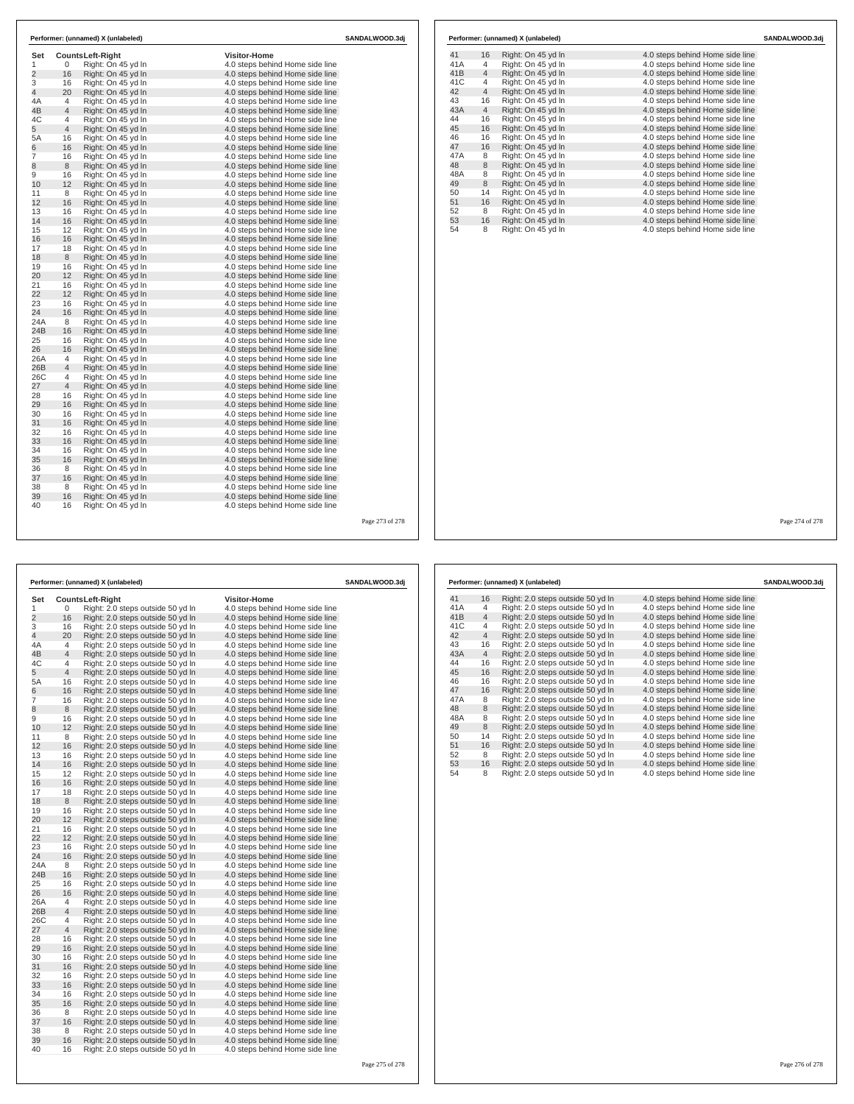| Set            |                | <b>CountsLeft-Right</b> | <b>Visitor-Home</b>             |  |
|----------------|----------------|-------------------------|---------------------------------|--|
| 1              | 0              | Right: On 45 yd In      | 4.0 steps behind Home side line |  |
| $\overline{2}$ | 16             | Right: On 45 yd In      | 4.0 steps behind Home side line |  |
| 3              | 16             | Right: On 45 yd In      | 4.0 steps behind Home side line |  |
| $\overline{4}$ | 20             | Right: On 45 yd In      | 4.0 steps behind Home side line |  |
| 4A             | 4              | Right: On 45 vd In      | 4.0 steps behind Home side line |  |
| 4B             | $\overline{4}$ | Right: On 45 yd In      | 4.0 steps behind Home side line |  |
| 4C             | 4              | Right: On 45 yd In      | 4.0 steps behind Home side line |  |
| 5              | $\overline{4}$ | Right: On 45 yd In      | 4.0 steps behind Home side line |  |
| 5A             | 16             | Right: On 45 yd In      | 4.0 steps behind Home side line |  |
| 6              | 16             | Right: On 45 yd In      | 4.0 steps behind Home side line |  |
| $\overline{7}$ | 16             | Right: On 45 yd In      | 4.0 steps behind Home side line |  |
| 8              | 8              | Right: On 45 yd In      | 4.0 steps behind Home side line |  |
| 9              | 16             | Right: On 45 yd In      | 4.0 steps behind Home side line |  |
| 10             | 12             | Right: On 45 yd In      | 4.0 steps behind Home side line |  |
| 11             | 8              | Right: On 45 yd In      | 4.0 steps behind Home side line |  |
| 12             | 16             | Right: On 45 yd In      | 4.0 steps behind Home side line |  |
| 13             | 16             | Right: On 45 yd In      | 4.0 steps behind Home side line |  |
| 14             | 16             | Right: On 45 yd In      | 4.0 steps behind Home side line |  |
| 15             | 12             | Right: On 45 vd In      | 4.0 steps behind Home side line |  |
| 16             | 16             | Right: On 45 yd In      | 4.0 steps behind Home side line |  |
| 17             | 18             | Right: On 45 yd In      | 4.0 steps behind Home side line |  |
| 18             | 8              | Right: On 45 yd In      | 4.0 steps behind Home side line |  |
| 19             | 16             | Right: On 45 yd In      | 4.0 steps behind Home side line |  |
| 20             | 12             | Right: On 45 yd In      | 4.0 steps behind Home side line |  |
| 21             | 16             | Right: On 45 yd In      | 4.0 steps behind Home side line |  |
| 22             | 12             | Right: On 45 yd In      | 4.0 steps behind Home side line |  |
| 23             | 16             | Right: On 45 yd In      | 4.0 steps behind Home side line |  |
| 24             | 16             | Right: On 45 vd In      | 4.0 steps behind Home side line |  |
| 24A            | 8              | Right: On 45 yd In      | 4.0 steps behind Home side line |  |
| 24B            | 16             | Right: On 45 yd In      | 4.0 steps behind Home side line |  |
| 25             | 16             | Right: On 45 yd In      | 4.0 steps behind Home side line |  |
| 26             | 16             | Right: On 45 yd In      | 4.0 steps behind Home side line |  |
| 26A            | 4              | Right: On 45 yd In      | 4.0 steps behind Home side line |  |
| 26B            | $\overline{4}$ | Right: On 45 yd In      | 4.0 steps behind Home side line |  |
| 26C            | 4              | Right: On 45 vd In      | 4.0 steps behind Home side line |  |
| 27             | 4              | Right: On 45 yd In      | 4.0 steps behind Home side line |  |
| 28             | 16             | Right: On 45 yd In      | 4.0 steps behind Home side line |  |
| 29             | 16             | Right: On 45 yd In      | 4.0 steps behind Home side line |  |
| 30             | 16             | Right: On 45 yd In      | 4.0 steps behind Home side line |  |
| 31             | 16             | Right: On 45 yd In      | 4.0 steps behind Home side line |  |
| 32             | 16             | Right: On 45 yd In      | 4.0 steps behind Home side line |  |
| 33             | 16             | Right: On 45 yd In      | 4.0 steps behind Home side line |  |
| 34             | 16             | Right: On 45 yd In      | 4.0 steps behind Home side line |  |
| 35             | 16             | Right: On 45 yd In      | 4.0 steps behind Home side line |  |
| 36             | 8              | Right: On 45 yd In      | 4.0 steps behind Home side line |  |
| 37             | 16             | Right: On 45 yd In      | 4.0 steps behind Home side line |  |
| 38             | 8              | Right: On 45 vd In      | 4.0 steps behind Home side line |  |
| 39             | 16             | Right: On 45 yd In      | 4.0 steps behind Home side line |  |
| 40             | 16             | Right: On 45 yd In      | 4.0 steps behind Home side line |  |

| 41<br>41A | 16             | Right: On 45 yd In | 4.0 steps behind Home side line |  |
|-----------|----------------|--------------------|---------------------------------|--|
|           | 4              | Right: On 45 yd In | 4.0 steps behind Home side line |  |
| 41B       | $\overline{4}$ | Right: On 45 yd In | 4.0 steps behind Home side line |  |
| 41C       | 4              | Right: On 45 yd In | 4.0 steps behind Home side line |  |
| 42        | $\overline{4}$ | Right: On 45 yd In | 4.0 steps behind Home side line |  |
| 43        | 16             | Right: On 45 yd In | 4.0 steps behind Home side line |  |
| 43A       | $\overline{4}$ | Right: On 45 yd In | 4.0 steps behind Home side line |  |
| 44        | 16             | Right: On 45 yd In | 4.0 steps behind Home side line |  |
| 45        | 16             | Right: On 45 yd In | 4.0 steps behind Home side line |  |
| 46        | 16             | Right: On 45 yd In | 4.0 steps behind Home side line |  |
| 47        | 16             | Right: On 45 yd In | 4.0 steps behind Home side line |  |
| 47A       | 8              | Right: On 45 yd In | 4.0 steps behind Home side line |  |
| 48        | 8              | Right: On 45 yd In | 4.0 steps behind Home side line |  |
| 48A       | 8              | Right: On 45 yd In | 4.0 steps behind Home side line |  |
| 49        | 8              | Right: On 45 yd In | 4.0 steps behind Home side line |  |
| 50        | 14             | Right: On 45 yd In | 4.0 steps behind Home side line |  |
| 51        | 16             | Right: On 45 yd In | 4.0 steps behind Home side line |  |
| 52        | 8              | Right: On 45 yd In | 4.0 steps behind Home side line |  |
| 53        | 16             | Right: On 45 yd In | 4.0 steps behind Home side line |  |
| 54        | 8              | Right: On 45 yd In | 4.0 steps behind Home side line |  |

Page 273 of 278

|                |                | Performer: (unnamed) X (unlabeled)<br>SANDALWOOD.3dj                   |                                                                    |                 |  |
|----------------|----------------|------------------------------------------------------------------------|--------------------------------------------------------------------|-----------------|--|
| Set<br>1       | 0              | Counts Left-Right                                                      | <b>Visitor-Home</b>                                                |                 |  |
| $\overline{2}$ | 16             | Right: 2.0 steps outside 50 yd In<br>Right: 2.0 steps outside 50 yd In | 4.0 steps behind Home side line<br>4.0 steps behind Home side line |                 |  |
| 3              | 16             | Right: 2.0 steps outside 50 yd In                                      | 4.0 steps behind Home side line                                    |                 |  |
| $\overline{4}$ | 20             | Right: 2.0 steps outside 50 yd In                                      | 4.0 steps behind Home side line                                    |                 |  |
| 4A             | 4              | Right: 2.0 steps outside 50 yd In                                      | 4.0 steps behind Home side line                                    |                 |  |
| 4B             | 4              | Right: 2.0 steps outside 50 yd In                                      | 4.0 steps behind Home side line                                    |                 |  |
| 4C             | 4              | Right: 2.0 steps outside 50 yd In                                      | 4.0 steps behind Home side line                                    |                 |  |
| 5              | $\overline{4}$ | Right: 2.0 steps outside 50 yd In                                      | 4.0 steps behind Home side line                                    |                 |  |
| 5A             | 16             | Right: 2.0 steps outside 50 yd In                                      | 4.0 steps behind Home side line                                    |                 |  |
| 6              | 16             | Right: 2.0 steps outside 50 yd In                                      | 4.0 steps behind Home side line                                    |                 |  |
| 7              | 16             | Right: 2.0 steps outside 50 yd In                                      | 4.0 steps behind Home side line                                    |                 |  |
| 8              | 8              | Right: 2.0 steps outside 50 yd In                                      | 4.0 steps behind Home side line                                    |                 |  |
| 9              | 16             | Right: 2.0 steps outside 50 yd In                                      | 4.0 steps behind Home side line                                    |                 |  |
| 10             | 12             | Right: 2.0 steps outside 50 yd In                                      | 4.0 steps behind Home side line                                    |                 |  |
| 11             | 8              | Right: 2.0 steps outside 50 yd In                                      | 4.0 steps behind Home side line                                    |                 |  |
| 12             | 16             | Right: 2.0 steps outside 50 yd In                                      | 4.0 steps behind Home side line                                    |                 |  |
| 13             | 16             | Right: 2.0 steps outside 50 yd In                                      | 4.0 steps behind Home side line                                    |                 |  |
| 14             | 16             | Right: 2.0 steps outside 50 yd In                                      | 4.0 steps behind Home side line                                    |                 |  |
| 15             | 12             | Right: 2.0 steps outside 50 yd In                                      | 4.0 steps behind Home side line                                    |                 |  |
| 16             | 16             | Right: 2.0 steps outside 50 yd In                                      | 4.0 steps behind Home side line                                    |                 |  |
| 17             | 18             | Right: 2.0 steps outside 50 yd In                                      | 4.0 steps behind Home side line                                    |                 |  |
| 18             | 8              | Right: 2.0 steps outside 50 yd In                                      | 4.0 steps behind Home side line                                    |                 |  |
| 19             | 16             | Right: 2.0 steps outside 50 yd In                                      | 4.0 steps behind Home side line                                    |                 |  |
| 20             | 12             | Right: 2.0 steps outside 50 yd In                                      | 4.0 steps behind Home side line                                    |                 |  |
| 21             | 16             | Right: 2.0 steps outside 50 yd In                                      | 4.0 steps behind Home side line                                    |                 |  |
| 22             | 12             | Right: 2.0 steps outside 50 yd In                                      | 4.0 steps behind Home side line                                    |                 |  |
| 23             | 16             | Right: 2.0 steps outside 50 yd In                                      | 4.0 steps behind Home side line                                    |                 |  |
| 24             | 16             | Right: 2.0 steps outside 50 yd In                                      | 4.0 steps behind Home side line                                    |                 |  |
| 24A            | 8              | Right: 2.0 steps outside 50 yd In                                      | 4.0 steps behind Home side line                                    |                 |  |
| 24B            | 16             | Right: 2.0 steps outside 50 yd In                                      | 4.0 steps behind Home side line                                    |                 |  |
| 25             | 16             | Right: 2.0 steps outside 50 yd In                                      | 4.0 steps behind Home side line                                    |                 |  |
| 26             | 16             | Right: 2.0 steps outside 50 yd In                                      | 4.0 steps behind Home side line                                    |                 |  |
| 26A            | 4              | Right: 2.0 steps outside 50 yd In                                      | 4.0 steps behind Home side line                                    |                 |  |
| 26B            | $\overline{4}$ | Right: 2.0 steps outside 50 yd In                                      | 4.0 steps behind Home side line                                    |                 |  |
| 26C            | 4              | Right: 2.0 steps outside 50 yd In                                      | 4.0 steps behind Home side line                                    |                 |  |
| 27             | 4              | Right: 2.0 steps outside 50 yd In                                      | 4.0 steps behind Home side line                                    |                 |  |
| 28<br>29       | 16<br>16       | Right: 2.0 steps outside 50 yd In                                      | 4.0 steps behind Home side line                                    |                 |  |
| 30             | 16             | Right: 2.0 steps outside 50 yd In<br>Right: 2.0 steps outside 50 yd In | 4.0 steps behind Home side line<br>4.0 steps behind Home side line |                 |  |
| 31             | 16             | Right: 2.0 steps outside 50 yd In                                      |                                                                    |                 |  |
| 32             | 16             | Right: 2.0 steps outside 50 yd In                                      | 4.0 steps behind Home side line<br>4.0 steps behind Home side line |                 |  |
| 33             | 16             | Right: 2.0 steps outside 50 yd In                                      | 4.0 steps behind Home side line                                    |                 |  |
| 34             | 16             | Right: 2.0 steps outside 50 yd In                                      | 4.0 steps behind Home side line                                    |                 |  |
| 35             | 16             | Right: 2.0 steps outside 50 yd In                                      | 4.0 steps behind Home side line                                    |                 |  |
| 36             | 8              | Right: 2.0 steps outside 50 yd In                                      | 4.0 steps behind Home side line                                    |                 |  |
| 37             | 16             | Right: 2.0 steps outside 50 yd In                                      | 4.0 steps behind Home side line                                    |                 |  |
| 38             | 8              | Right: 2.0 steps outside 50 yd In                                      | 4.0 steps behind Home side line                                    |                 |  |
| 39             | 16             | Right: 2.0 steps outside 50 yd In                                      | 4.0 steps behind Home side line                                    |                 |  |
| 40             | 16             | Right: 2.0 steps outside 50 yd In                                      | 4.0 steps behind Home side line                                    |                 |  |
|                |                |                                                                        |                                                                    |                 |  |
|                |                |                                                                        |                                                                    | Page 275 of 278 |  |

| Performer: (unnamed) X (unlabeled) |                |                                   | SANDALWOOD.3dj                  |  |
|------------------------------------|----------------|-----------------------------------|---------------------------------|--|
| 41                                 | 16             | Right: 2.0 steps outside 50 yd In | 4.0 steps behind Home side line |  |
| 41A                                | 4              | Right: 2.0 steps outside 50 yd In | 4.0 steps behind Home side line |  |
| 41B                                | $\overline{4}$ | Right: 2.0 steps outside 50 yd In | 4.0 steps behind Home side line |  |
| 41C                                | 4              | Right: 2.0 steps outside 50 yd In | 4.0 steps behind Home side line |  |
| 42                                 | $\overline{4}$ | Right: 2.0 steps outside 50 yd In | 4.0 steps behind Home side line |  |
| 43                                 | 16             | Right: 2.0 steps outside 50 yd In | 4.0 steps behind Home side line |  |
| 43A                                | $\overline{4}$ | Right: 2.0 steps outside 50 yd In | 4.0 steps behind Home side line |  |
| 44                                 | 16             | Right: 2.0 steps outside 50 yd In | 4.0 steps behind Home side line |  |
| 45                                 | 16             | Right: 2.0 steps outside 50 yd In | 4.0 steps behind Home side line |  |
| 46                                 | 16             | Right: 2.0 steps outside 50 yd In | 4.0 steps behind Home side line |  |
| 47                                 | 16             | Right: 2.0 steps outside 50 yd In | 4.0 steps behind Home side line |  |
| 47A                                | 8              | Right: 2.0 steps outside 50 yd In | 4.0 steps behind Home side line |  |
| 48                                 | 8              | Right: 2.0 steps outside 50 yd In | 4.0 steps behind Home side line |  |
| 48A                                | 8              | Right: 2.0 steps outside 50 yd In | 4.0 steps behind Home side line |  |
| 49                                 | 8              | Right: 2.0 steps outside 50 yd In | 4.0 steps behind Home side line |  |
| 50                                 | 14             | Right: 2.0 steps outside 50 yd In | 4.0 steps behind Home side line |  |
| 51                                 | 16             | Right: 2.0 steps outside 50 yd In | 4.0 steps behind Home side line |  |
| 52                                 | 8              | Right: 2.0 steps outside 50 yd In | 4.0 steps behind Home side line |  |
| 53                                 | 16             | Right: 2.0 steps outside 50 yd In | 4.0 steps behind Home side line |  |
| 54                                 | 8              | Right: 2.0 steps outside 50 yd In | 4.0 steps behind Home side line |  |
|                                    |                |                                   |                                 |  |
|                                    |                |                                   |                                 |  |
|                                    |                |                                   |                                 |  |

Page 274 of 278